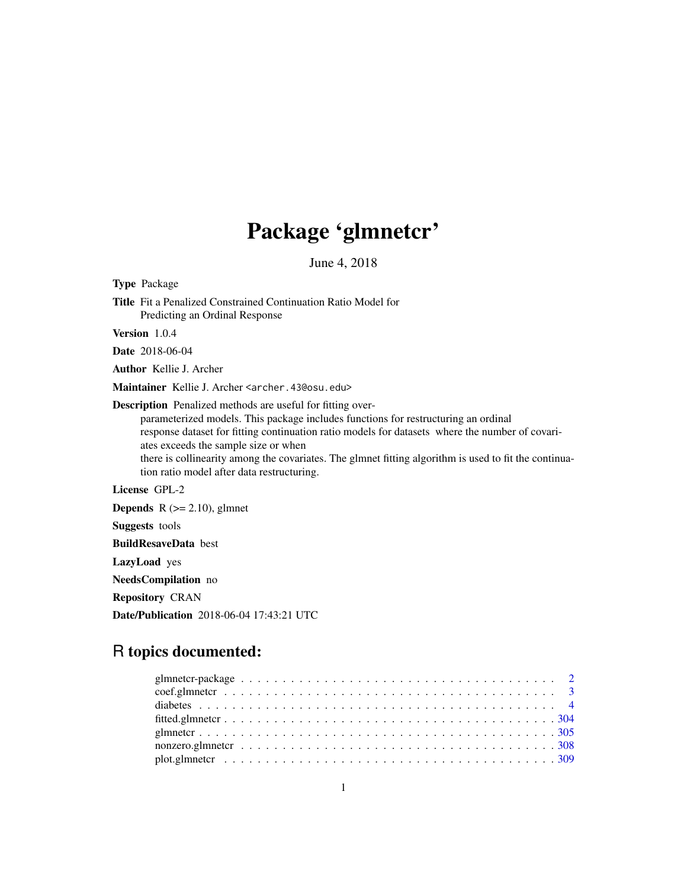# Package 'glmnetcr'

June 4, 2018

<span id="page-0-0"></span>Type Package Title Fit a Penalized Constrained Continuation Ratio Model for Predicting an Ordinal Response Version 1.0.4 Date 2018-06-04 Author Kellie J. Archer Maintainer Kellie J. Archer <archer.43@osu.edu> Description Penalized methods are useful for fitting overparameterized models. This package includes functions for restructuring an ordinal response dataset for fitting continuation ratio models for datasets where the number of covariates exceeds the sample size or when there is collinearity among the covariates. The glmnet fitting algorithm is used to fit the continuation ratio model after data restructuring. License GPL-2 **Depends**  $R$  ( $>= 2.10$ ), glmnet Suggests tools BuildResaveData best LazyLoad yes

NeedsCompilation no

Repository CRAN

Date/Publication 2018-06-04 17:43:21 UTC

## R topics documented:

| glmnetcr-package $\ldots \ldots \ldots \ldots \ldots \ldots \ldots \ldots \ldots \ldots \ldots \ldots \ldots 2$ |  |  |
|-----------------------------------------------------------------------------------------------------------------|--|--|
|                                                                                                                 |  |  |
|                                                                                                                 |  |  |
|                                                                                                                 |  |  |
|                                                                                                                 |  |  |
|                                                                                                                 |  |  |
|                                                                                                                 |  |  |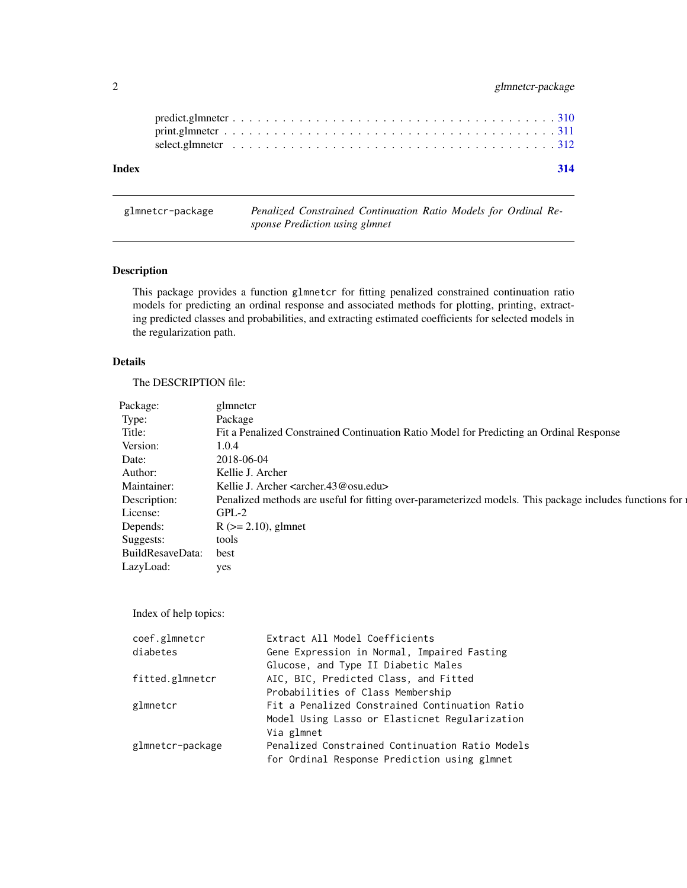## <span id="page-1-0"></span>2 glmnetcr-package

| 314 |  |  |  |  |  |  |  |  |  |  |  |  |  |  |  |  |  |  |  |  |  |  |  |  |  |  |  |  |  |  |  |  |  |  |  |  |  |  |  |  |  |  |  |  |  |  |  |  |  |  |  |  |  |  |  |  |  |  |  |  |  |  |  |  |  |  |  |  |  |  |  |  |
|-----|--|--|--|--|--|--|--|--|--|--|--|--|--|--|--|--|--|--|--|--|--|--|--|--|--|--|--|--|--|--|--|--|--|--|--|--|--|--|--|--|--|--|--|--|--|--|--|--|--|--|--|--|--|--|--|--|--|--|--|--|--|--|--|--|--|--|--|--|--|--|--|--|
|     |  |  |  |  |  |  |  |  |  |  |  |  |  |  |  |  |  |  |  |  |  |  |  |  |  |  |  |  |  |  |  |  |  |  |  |  |  |  |  |  |  |  |  |  |  |  |  |  |  |  |  |  |  |  |  |  |  |  |  |  |  |  |  |  |  |  |  |  |  |  |  |  |
|     |  |  |  |  |  |  |  |  |  |  |  |  |  |  |  |  |  |  |  |  |  |  |  |  |  |  |  |  |  |  |  |  |  |  |  |  |  |  |  |  |  |  |  |  |  |  |  |  |  |  |  |  |  |  |  |  |  |  |  |  |  |  |  |  |  |  |  |  |  |  |  |  |
|     |  |  |  |  |  |  |  |  |  |  |  |  |  |  |  |  |  |  |  |  |  |  |  |  |  |  |  |  |  |  |  |  |  |  |  |  |  |  |  |  |  |  |  |  |  |  |  |  |  |  |  |  |  |  |  |  |  |  |  |  |  |  |  |  |  |  |  |  |  |  |  |  |

## glmnetcr-package *Penalized Constrained Continuation Ratio Models for Ordinal Response Prediction using glmnet*

## Description

This package provides a function glmnetcr for fitting penalized constrained continuation ratio models for predicting an ordinal response and associated methods for plotting, printing, extracting predicted classes and probabilities, and extracting estimated coefficients for selected models in the regularization path.

#### Details

The DESCRIPTION file:

| Package:              | glmnetcr                                                                                                  |
|-----------------------|-----------------------------------------------------------------------------------------------------------|
| Type:                 | Package                                                                                                   |
| Title:                | Fit a Penalized Constrained Continuation Ratio Model for Predicting an Ordinal Response                   |
| Version:              | 1.0.4                                                                                                     |
| Date:                 | 2018-06-04                                                                                                |
| Author:               | Kellie J. Archer                                                                                          |
| Maintainer:           | Kellie J. Archer <archer.43@osu.edu></archer.43@osu.edu>                                                  |
| Description:          | Penalized methods are useful for fitting over-parameterized models. This package includes functions for a |
| License:              | $GPL-2$                                                                                                   |
| Depends:              | $R$ ( $>= 2.10$ ), glmnet                                                                                 |
| Suggests:             | tools                                                                                                     |
| BuildResaveData: best |                                                                                                           |
| LazyLoad:             | yes                                                                                                       |
|                       |                                                                                                           |

Index of help topics:

| coef.glmnetcr    | Extract All Model Coefficients                  |
|------------------|-------------------------------------------------|
| diabetes         | Gene Expression in Normal, Impaired Fasting     |
|                  | Glucose, and Type II Diabetic Males             |
| fitted.glmnetcr  | AIC, BIC, Predicted Class, and Fitted           |
|                  | Probabilities of Class Membership               |
| glmnetcr         | Fit a Penalized Constrained Continuation Ratio  |
|                  | Model Using Lasso or Elasticnet Regularization  |
|                  | Via glmnet                                      |
| glmnetcr-package | Penalized Constrained Continuation Ratio Models |
|                  | for Ordinal Response Prediction using glmnet    |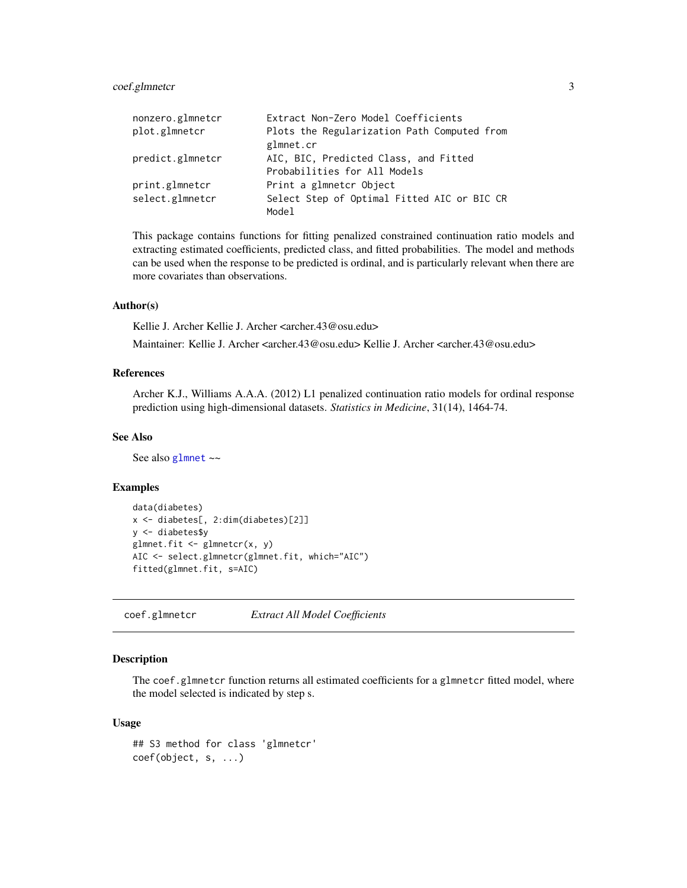## <span id="page-2-0"></span>coef.glmnetcr 3

| nonzero.glmnetcr | Extract Non-Zero Model Coefficients         |
|------------------|---------------------------------------------|
| plot.glmnetcr    | Plots the Regularization Path Computed from |
|                  | glmnet.cr                                   |
| predict.glmnetcr | AIC, BIC, Predicted Class, and Fitted       |
|                  | Probabilities for All Models                |
| print.glmnetcr   | Print a glmnetcr Object                     |
| select.glmnetcr  | Select Step of Optimal Fitted AIC or BIC CR |
|                  | Model                                       |

This package contains functions for fitting penalized constrained continuation ratio models and extracting estimated coefficients, predicted class, and fitted probabilities. The model and methods can be used when the response to be predicted is ordinal, and is particularly relevant when there are more covariates than observations.

#### Author(s)

Kellie J. Archer Kellie J. Archer <archer.43@osu.edu>

Maintainer: Kellie J. Archer <archer.43@osu.edu> Kellie J. Archer <archer.43@osu.edu>

#### References

Archer K.J., Williams A.A.A. (2012) L1 penalized continuation ratio models for ordinal response prediction using high-dimensional datasets. *Statistics in Medicine*, 31(14), 1464-74.

### See Also

See also [glmnet](#page-0-0) ~~

#### Examples

```
data(diabetes)
x <- diabetes[, 2:dim(diabetes)[2]]
y <- diabetes$y
glmnet.fit \leq glmnetcr(x, y)
AIC <- select.glmnetcr(glmnet.fit, which="AIC")
fitted(glmnet.fit, s=AIC)
```
coef.glmnetcr *Extract All Model Coefficients*

## Description

The coef.glmnetcr function returns all estimated coefficients for a glmnetcr fitted model, where the model selected is indicated by step s.

#### Usage

```
## S3 method for class 'glmnetcr'
coef(object, s, ...)
```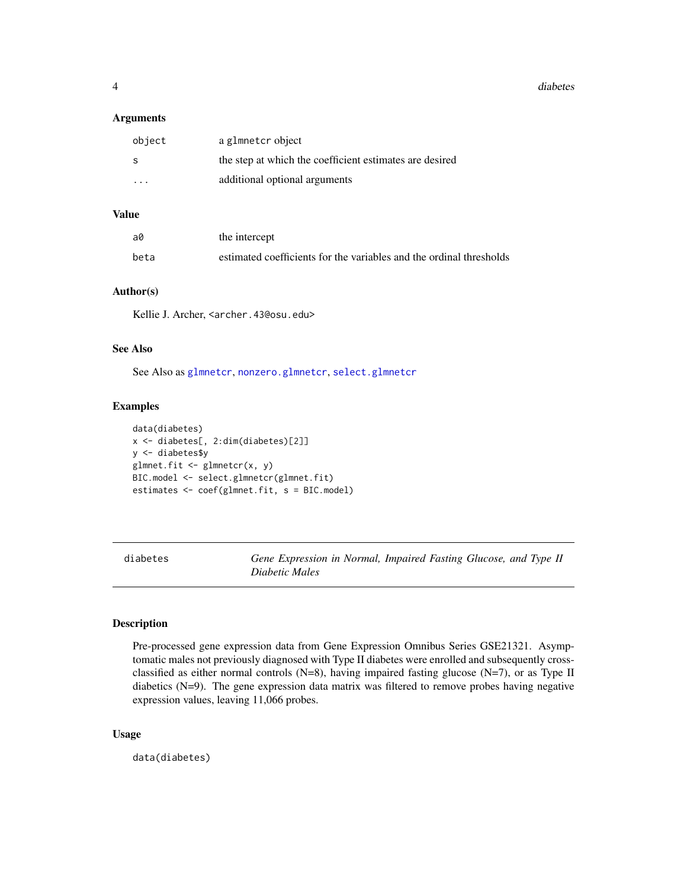#### <span id="page-3-0"></span>**Arguments**

| object                  | a glmnetcr object                                       |
|-------------------------|---------------------------------------------------------|
| -S                      | the step at which the coefficient estimates are desired |
| $\cdot$ $\cdot$ $\cdot$ | additional optional arguments                           |

## Value

| a0   | the intercept                                                       |
|------|---------------------------------------------------------------------|
| beta | estimated coefficients for the variables and the ordinal thresholds |

## Author(s)

Kellie J. Archer, <archer.43@osu.edu>

#### See Also

See Also as [glmnetcr](#page-304-1), [nonzero.glmnetcr](#page-307-1), [select.glmnetcr](#page-311-1)

## Examples

```
data(diabetes)
x <- diabetes[, 2:dim(diabetes)[2]]
y <- diabetes$y
glmnet.fit <- glmnetcr(x, y)
BIC.model <- select.glmnetcr(glmnet.fit)
estimates <- coef(glmnet.fit, s = BIC.model)
```
diabetes *Gene Expression in Normal, Impaired Fasting Glucose, and Type II Diabetic Males*

## Description

Pre-processed gene expression data from Gene Expression Omnibus Series GSE21321. Asymptomatic males not previously diagnosed with Type II diabetes were enrolled and subsequently crossclassified as either normal controls  $(N=8)$ , having impaired fasting glucose  $(N=7)$ , or as Type II diabetics (N=9). The gene expression data matrix was filtered to remove probes having negative expression values, leaving 11,066 probes.

## Usage

data(diabetes)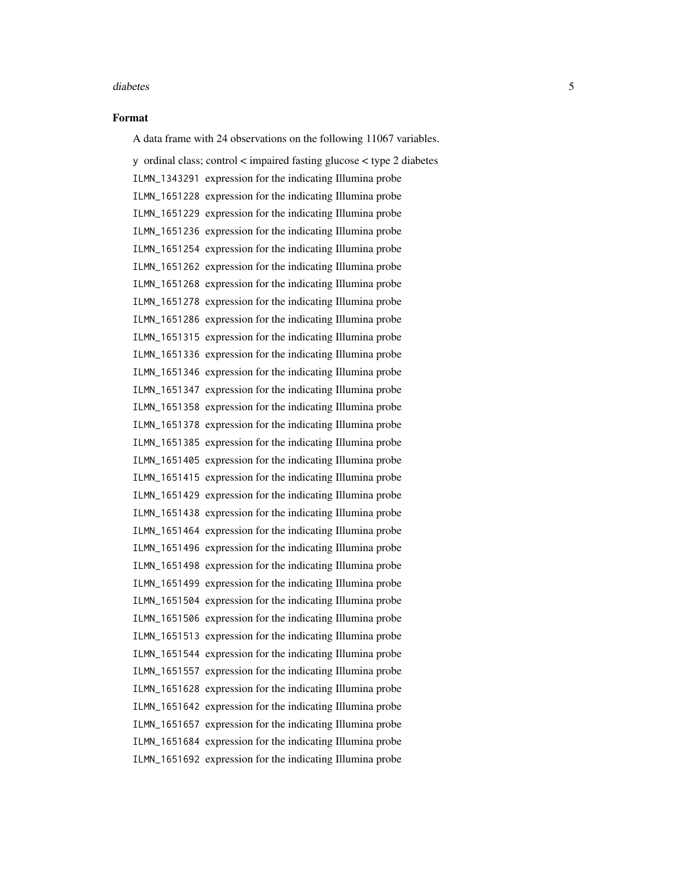#### Format

A data frame with 24 observations on the following 11067 variables.

y ordinal class; control < impaired fasting glucose < type 2 diabetes ILMN\_1343291 expression for the indicating Illumina probe ILMN\_1651228 expression for the indicating Illumina probe ILMN\_1651229 expression for the indicating Illumina probe ILMN\_1651236 expression for the indicating Illumina probe ILMN\_1651254 expression for the indicating Illumina probe ILMN\_1651262 expression for the indicating Illumina probe ILMN\_1651268 expression for the indicating Illumina probe ILMN\_1651278 expression for the indicating Illumina probe ILMN\_1651286 expression for the indicating Illumina probe ILMN\_1651315 expression for the indicating Illumina probe ILMN\_1651336 expression for the indicating Illumina probe ILMN\_1651346 expression for the indicating Illumina probe ILMN\_1651347 expression for the indicating Illumina probe ILMN\_1651358 expression for the indicating Illumina probe ILMN\_1651378 expression for the indicating Illumina probe ILMN\_1651385 expression for the indicating Illumina probe ILMN\_1651405 expression for the indicating Illumina probe ILMN\_1651415 expression for the indicating Illumina probe ILMN\_1651429 expression for the indicating Illumina probe ILMN\_1651438 expression for the indicating Illumina probe ILMN\_1651464 expression for the indicating Illumina probe ILMN\_1651496 expression for the indicating Illumina probe ILMN\_1651498 expression for the indicating Illumina probe ILMN\_1651499 expression for the indicating Illumina probe ILMN\_1651504 expression for the indicating Illumina probe ILMN\_1651506 expression for the indicating Illumina probe ILMN\_1651513 expression for the indicating Illumina probe ILMN\_1651544 expression for the indicating Illumina probe ILMN\_1651557 expression for the indicating Illumina probe ILMN\_1651628 expression for the indicating Illumina probe ILMN\_1651642 expression for the indicating Illumina probe ILMN\_1651657 expression for the indicating Illumina probe ILMN\_1651684 expression for the indicating Illumina probe ILMN\_1651692 expression for the indicating Illumina probe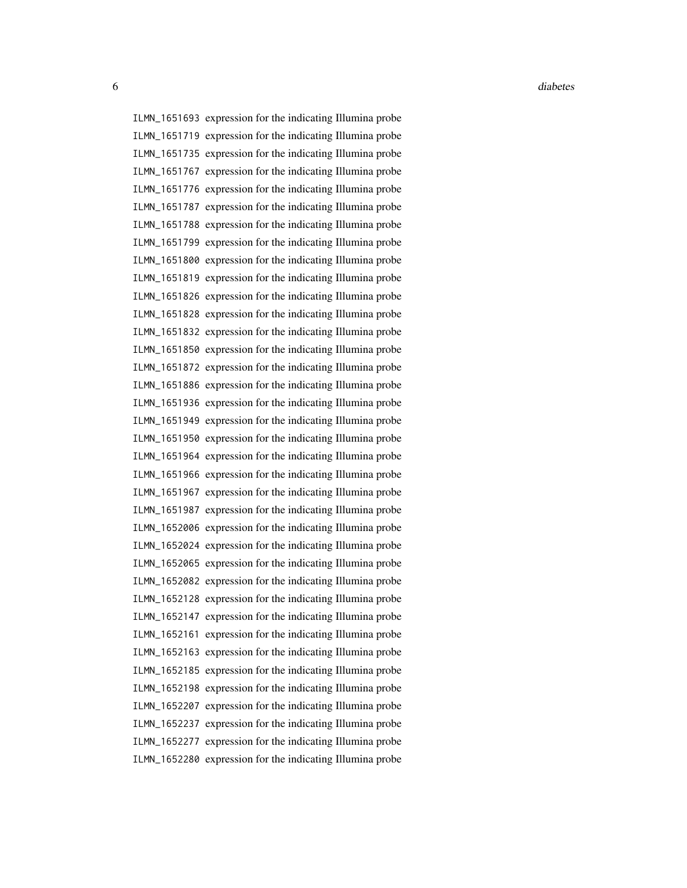ILMN\_1651693 expression for the indicating Illumina probe ILMN\_1651719 expression for the indicating Illumina probe ILMN\_1651735 expression for the indicating Illumina probe ILMN\_1651767 expression for the indicating Illumina probe ILMN\_1651776 expression for the indicating Illumina probe ILMN\_1651787 expression for the indicating Illumina probe ILMN\_1651788 expression for the indicating Illumina probe ILMN\_1651799 expression for the indicating Illumina probe ILMN\_1651800 expression for the indicating Illumina probe ILMN\_1651819 expression for the indicating Illumina probe ILMN\_1651826 expression for the indicating Illumina probe ILMN\_1651828 expression for the indicating Illumina probe ILMN\_1651832 expression for the indicating Illumina probe ILMN\_1651850 expression for the indicating Illumina probe ILMN\_1651872 expression for the indicating Illumina probe ILMN\_1651886 expression for the indicating Illumina probe ILMN\_1651936 expression for the indicating Illumina probe ILMN\_1651949 expression for the indicating Illumina probe ILMN\_1651950 expression for the indicating Illumina probe ILMN\_1651964 expression for the indicating Illumina probe ILMN\_1651966 expression for the indicating Illumina probe ILMN\_1651967 expression for the indicating Illumina probe ILMN\_1651987 expression for the indicating Illumina probe ILMN\_1652006 expression for the indicating Illumina probe ILMN\_1652024 expression for the indicating Illumina probe ILMN\_1652065 expression for the indicating Illumina probe ILMN\_1652082 expression for the indicating Illumina probe ILMN\_1652128 expression for the indicating Illumina probe ILMN\_1652147 expression for the indicating Illumina probe ILMN\_1652161 expression for the indicating Illumina probe ILMN\_1652163 expression for the indicating Illumina probe ILMN\_1652185 expression for the indicating Illumina probe ILMN\_1652198 expression for the indicating Illumina probe ILMN\_1652207 expression for the indicating Illumina probe ILMN\_1652237 expression for the indicating Illumina probe ILMN\_1652277 expression for the indicating Illumina probe ILMN\_1652280 expression for the indicating Illumina probe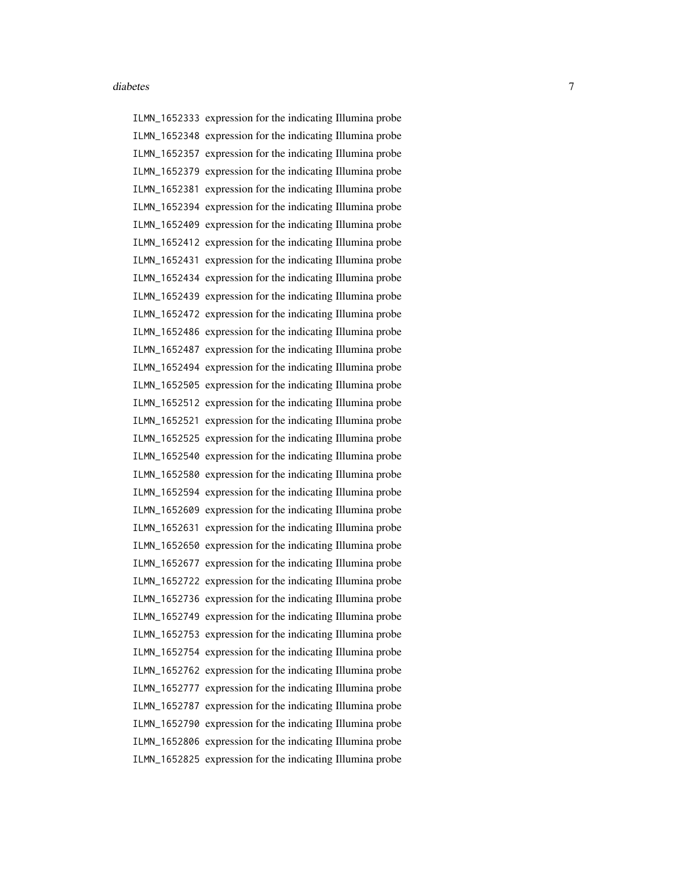ILMN\_1652333 expression for the indicating Illumina probe ILMN\_1652348 expression for the indicating Illumina probe ILMN\_1652357 expression for the indicating Illumina probe ILMN\_1652379 expression for the indicating Illumina probe ILMN\_1652381 expression for the indicating Illumina probe ILMN\_1652394 expression for the indicating Illumina probe ILMN\_1652409 expression for the indicating Illumina probe ILMN\_1652412 expression for the indicating Illumina probe ILMN\_1652431 expression for the indicating Illumina probe ILMN\_1652434 expression for the indicating Illumina probe ILMN\_1652439 expression for the indicating Illumina probe ILMN\_1652472 expression for the indicating Illumina probe ILMN\_1652486 expression for the indicating Illumina probe ILMN\_1652487 expression for the indicating Illumina probe ILMN\_1652494 expression for the indicating Illumina probe ILMN\_1652505 expression for the indicating Illumina probe ILMN\_1652512 expression for the indicating Illumina probe ILMN\_1652521 expression for the indicating Illumina probe ILMN\_1652525 expression for the indicating Illumina probe ILMN\_1652540 expression for the indicating Illumina probe ILMN\_1652580 expression for the indicating Illumina probe ILMN\_1652594 expression for the indicating Illumina probe ILMN\_1652609 expression for the indicating Illumina probe ILMN\_1652631 expression for the indicating Illumina probe ILMN\_1652650 expression for the indicating Illumina probe ILMN\_1652677 expression for the indicating Illumina probe ILMN\_1652722 expression for the indicating Illumina probe ILMN\_1652736 expression for the indicating Illumina probe ILMN\_1652749 expression for the indicating Illumina probe ILMN\_1652753 expression for the indicating Illumina probe ILMN\_1652754 expression for the indicating Illumina probe ILMN\_1652762 expression for the indicating Illumina probe ILMN\_1652777 expression for the indicating Illumina probe ILMN\_1652787 expression for the indicating Illumina probe ILMN\_1652790 expression for the indicating Illumina probe ILMN\_1652806 expression for the indicating Illumina probe ILMN\_1652825 expression for the indicating Illumina probe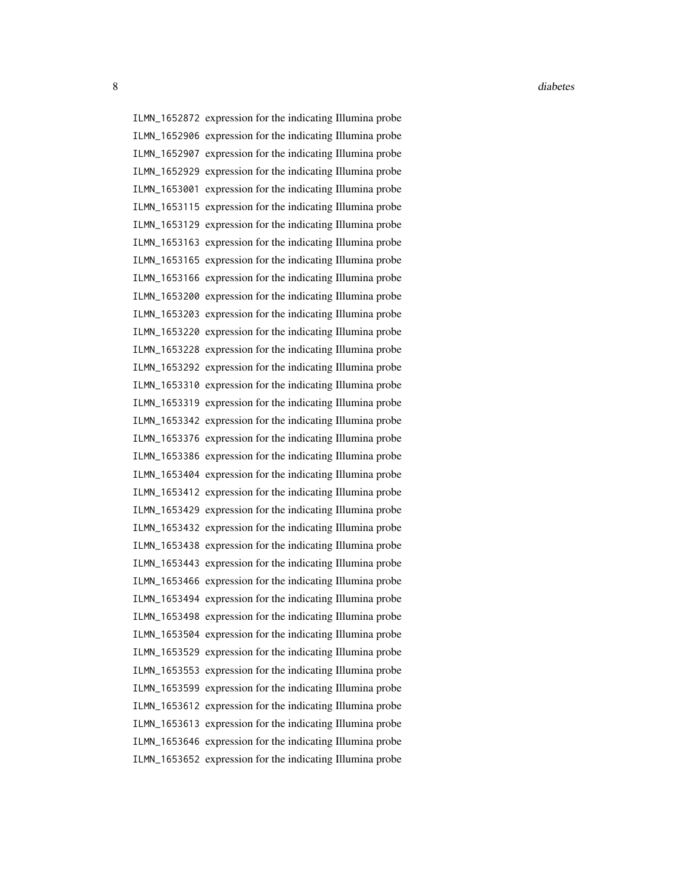8 diabetes and the contract of the contract of the contract of the contract of the contract of the contract of the contract of the contract of the contract of the contract of the contract of the contract of the contract of

ILMN\_1652872 expression for the indicating Illumina probe ILMN\_1652906 expression for the indicating Illumina probe ILMN\_1652907 expression for the indicating Illumina probe ILMN\_1652929 expression for the indicating Illumina probe ILMN\_1653001 expression for the indicating Illumina probe ILMN\_1653115 expression for the indicating Illumina probe ILMN\_1653129 expression for the indicating Illumina probe ILMN\_1653163 expression for the indicating Illumina probe ILMN\_1653165 expression for the indicating Illumina probe ILMN\_1653166 expression for the indicating Illumina probe ILMN\_1653200 expression for the indicating Illumina probe ILMN\_1653203 expression for the indicating Illumina probe ILMN\_1653220 expression for the indicating Illumina probe ILMN\_1653228 expression for the indicating Illumina probe ILMN\_1653292 expression for the indicating Illumina probe ILMN\_1653310 expression for the indicating Illumina probe ILMN\_1653319 expression for the indicating Illumina probe ILMN\_1653342 expression for the indicating Illumina probe ILMN\_1653376 expression for the indicating Illumina probe ILMN\_1653386 expression for the indicating Illumina probe ILMN\_1653404 expression for the indicating Illumina probe ILMN\_1653412 expression for the indicating Illumina probe ILMN\_1653429 expression for the indicating Illumina probe ILMN\_1653432 expression for the indicating Illumina probe ILMN\_1653438 expression for the indicating Illumina probe ILMN\_1653443 expression for the indicating Illumina probe ILMN\_1653466 expression for the indicating Illumina probe ILMN\_1653494 expression for the indicating Illumina probe ILMN\_1653498 expression for the indicating Illumina probe ILMN\_1653504 expression for the indicating Illumina probe ILMN\_1653529 expression for the indicating Illumina probe ILMN\_1653553 expression for the indicating Illumina probe ILMN\_1653599 expression for the indicating Illumina probe ILMN\_1653612 expression for the indicating Illumina probe ILMN\_1653613 expression for the indicating Illumina probe ILMN\_1653646 expression for the indicating Illumina probe ILMN\_1653652 expression for the indicating Illumina probe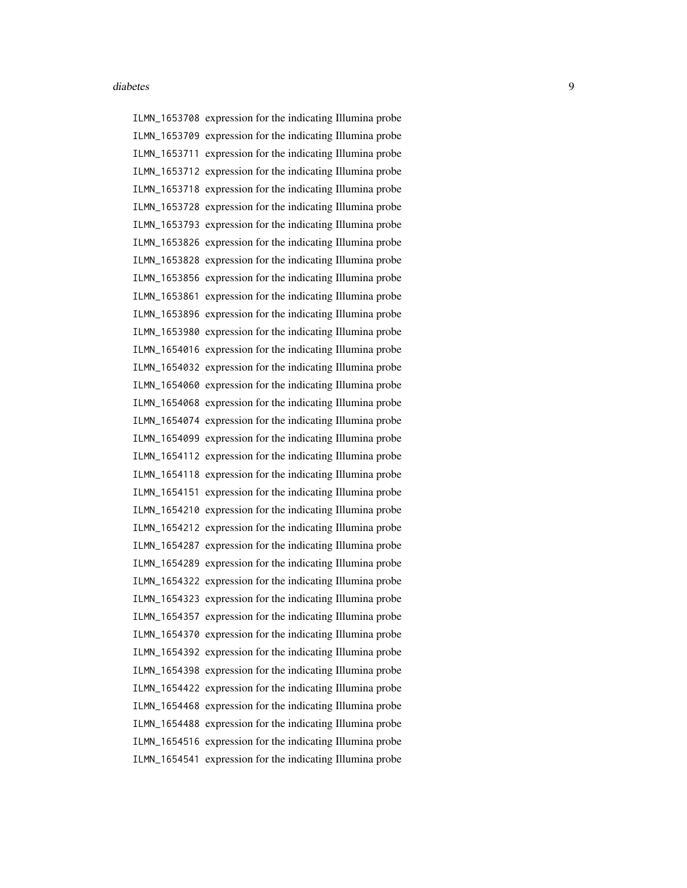ILMN\_1653708 expression for the indicating Illumina probe ILMN\_1653709 expression for the indicating Illumina probe ILMN\_1653711 expression for the indicating Illumina probe ILMN\_1653712 expression for the indicating Illumina probe ILMN\_1653718 expression for the indicating Illumina probe ILMN\_1653728 expression for the indicating Illumina probe ILMN\_1653793 expression for the indicating Illumina probe ILMN\_1653826 expression for the indicating Illumina probe ILMN\_1653828 expression for the indicating Illumina probe ILMN\_1653856 expression for the indicating Illumina probe ILMN\_1653861 expression for the indicating Illumina probe ILMN\_1653896 expression for the indicating Illumina probe ILMN\_1653980 expression for the indicating Illumina probe ILMN\_1654016 expression for the indicating Illumina probe ILMN\_1654032 expression for the indicating Illumina probe ILMN\_1654060 expression for the indicating Illumina probe ILMN\_1654068 expression for the indicating Illumina probe ILMN\_1654074 expression for the indicating Illumina probe ILMN\_1654099 expression for the indicating Illumina probe ILMN\_1654112 expression for the indicating Illumina probe ILMN\_1654118 expression for the indicating Illumina probe ILMN\_1654151 expression for the indicating Illumina probe ILMN\_1654210 expression for the indicating Illumina probe ILMN\_1654212 expression for the indicating Illumina probe ILMN\_1654287 expression for the indicating Illumina probe ILMN\_1654289 expression for the indicating Illumina probe ILMN\_1654322 expression for the indicating Illumina probe ILMN\_1654323 expression for the indicating Illumina probe ILMN\_1654357 expression for the indicating Illumina probe ILMN\_1654370 expression for the indicating Illumina probe ILMN\_1654392 expression for the indicating Illumina probe ILMN\_1654398 expression for the indicating Illumina probe ILMN\_1654422 expression for the indicating Illumina probe ILMN\_1654468 expression for the indicating Illumina probe ILMN\_1654488 expression for the indicating Illumina probe ILMN\_1654516 expression for the indicating Illumina probe ILMN\_1654541 expression for the indicating Illumina probe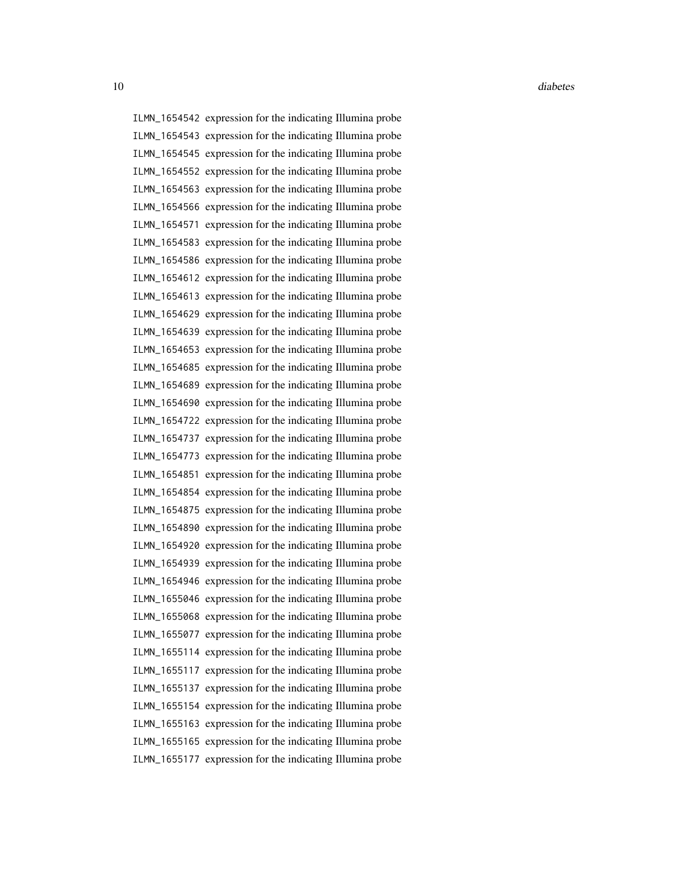10 diabetes diabetes diabetes diabetes diabetes diabetes diabetes diabetes diabetes diabetes diabetes diabetes diabetes diabetes diabetes diabetes diabetes diabetes diabetes diabetes diabetes diabetes diabetes diabetes dia

ILMN\_1654542 expression for the indicating Illumina probe ILMN\_1654543 expression for the indicating Illumina probe ILMN\_1654545 expression for the indicating Illumina probe ILMN\_1654552 expression for the indicating Illumina probe ILMN\_1654563 expression for the indicating Illumina probe ILMN\_1654566 expression for the indicating Illumina probe ILMN\_1654571 expression for the indicating Illumina probe ILMN\_1654583 expression for the indicating Illumina probe ILMN\_1654586 expression for the indicating Illumina probe ILMN\_1654612 expression for the indicating Illumina probe ILMN\_1654613 expression for the indicating Illumina probe ILMN\_1654629 expression for the indicating Illumina probe ILMN\_1654639 expression for the indicating Illumina probe ILMN\_1654653 expression for the indicating Illumina probe ILMN\_1654685 expression for the indicating Illumina probe ILMN\_1654689 expression for the indicating Illumina probe ILMN\_1654690 expression for the indicating Illumina probe ILMN\_1654722 expression for the indicating Illumina probe ILMN\_1654737 expression for the indicating Illumina probe ILMN\_1654773 expression for the indicating Illumina probe ILMN\_1654851 expression for the indicating Illumina probe ILMN\_1654854 expression for the indicating Illumina probe ILMN\_1654875 expression for the indicating Illumina probe ILMN\_1654890 expression for the indicating Illumina probe ILMN\_1654920 expression for the indicating Illumina probe ILMN\_1654939 expression for the indicating Illumina probe ILMN\_1654946 expression for the indicating Illumina probe ILMN\_1655046 expression for the indicating Illumina probe ILMN\_1655068 expression for the indicating Illumina probe ILMN\_1655077 expression for the indicating Illumina probe ILMN\_1655114 expression for the indicating Illumina probe ILMN\_1655117 expression for the indicating Illumina probe ILMN\_1655137 expression for the indicating Illumina probe ILMN\_1655154 expression for the indicating Illumina probe ILMN\_1655163 expression for the indicating Illumina probe ILMN\_1655165 expression for the indicating Illumina probe ILMN\_1655177 expression for the indicating Illumina probe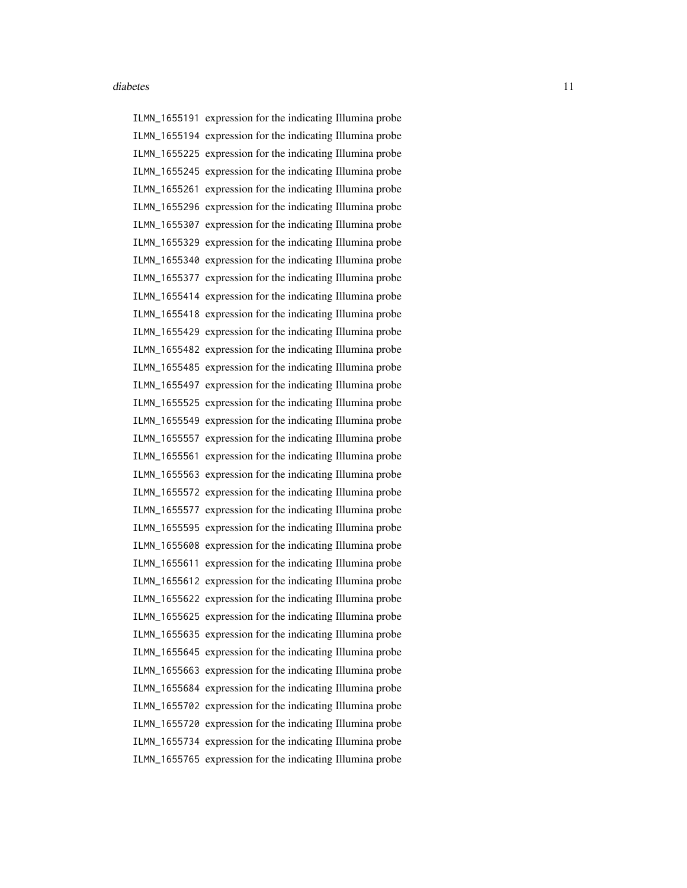ILMN\_1655191 expression for the indicating Illumina probe ILMN\_1655194 expression for the indicating Illumina probe ILMN\_1655225 expression for the indicating Illumina probe ILMN\_1655245 expression for the indicating Illumina probe ILMN\_1655261 expression for the indicating Illumina probe ILMN\_1655296 expression for the indicating Illumina probe ILMN\_1655307 expression for the indicating Illumina probe ILMN\_1655329 expression for the indicating Illumina probe ILMN\_1655340 expression for the indicating Illumina probe ILMN\_1655377 expression for the indicating Illumina probe ILMN\_1655414 expression for the indicating Illumina probe ILMN\_1655418 expression for the indicating Illumina probe ILMN\_1655429 expression for the indicating Illumina probe ILMN\_1655482 expression for the indicating Illumina probe ILMN\_1655485 expression for the indicating Illumina probe ILMN\_1655497 expression for the indicating Illumina probe ILMN\_1655525 expression for the indicating Illumina probe ILMN\_1655549 expression for the indicating Illumina probe ILMN\_1655557 expression for the indicating Illumina probe ILMN\_1655561 expression for the indicating Illumina probe ILMN\_1655563 expression for the indicating Illumina probe ILMN\_1655572 expression for the indicating Illumina probe ILMN\_1655577 expression for the indicating Illumina probe ILMN\_1655595 expression for the indicating Illumina probe ILMN\_1655608 expression for the indicating Illumina probe ILMN\_1655611 expression for the indicating Illumina probe ILMN\_1655612 expression for the indicating Illumina probe ILMN\_1655622 expression for the indicating Illumina probe ILMN\_1655625 expression for the indicating Illumina probe ILMN\_1655635 expression for the indicating Illumina probe ILMN\_1655645 expression for the indicating Illumina probe ILMN\_1655663 expression for the indicating Illumina probe ILMN\_1655684 expression for the indicating Illumina probe ILMN\_1655702 expression for the indicating Illumina probe ILMN\_1655720 expression for the indicating Illumina probe ILMN\_1655734 expression for the indicating Illumina probe ILMN\_1655765 expression for the indicating Illumina probe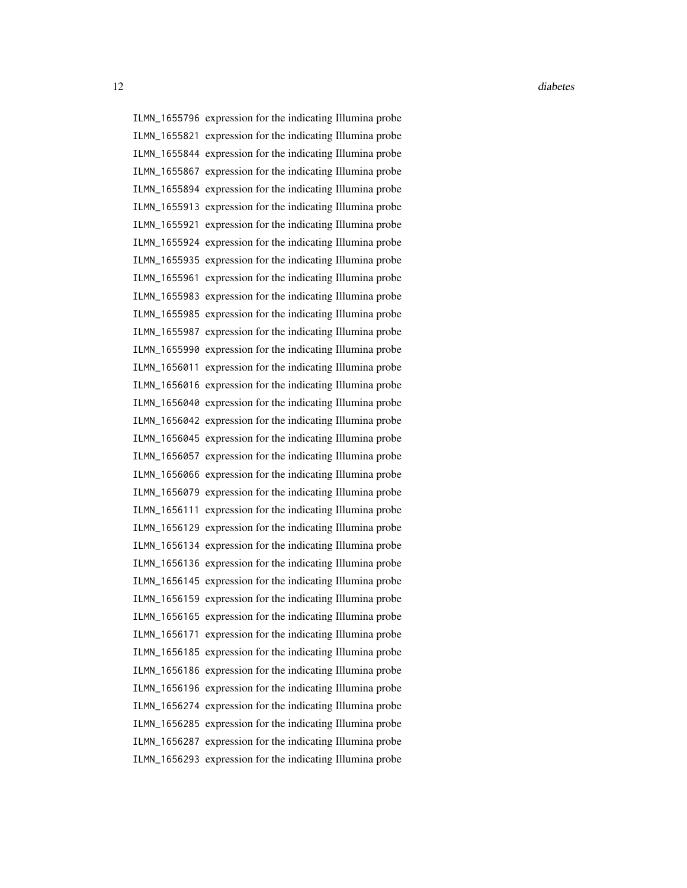ILMN\_1655796 expression for the indicating Illumina probe ILMN\_1655821 expression for the indicating Illumina probe ILMN\_1655844 expression for the indicating Illumina probe ILMN\_1655867 expression for the indicating Illumina probe ILMN\_1655894 expression for the indicating Illumina probe ILMN\_1655913 expression for the indicating Illumina probe ILMN\_1655921 expression for the indicating Illumina probe ILMN\_1655924 expression for the indicating Illumina probe ILMN\_1655935 expression for the indicating Illumina probe ILMN\_1655961 expression for the indicating Illumina probe ILMN\_1655983 expression for the indicating Illumina probe ILMN\_1655985 expression for the indicating Illumina probe ILMN\_1655987 expression for the indicating Illumina probe ILMN\_1655990 expression for the indicating Illumina probe ILMN\_1656011 expression for the indicating Illumina probe ILMN\_1656016 expression for the indicating Illumina probe ILMN\_1656040 expression for the indicating Illumina probe ILMN\_1656042 expression for the indicating Illumina probe ILMN\_1656045 expression for the indicating Illumina probe ILMN\_1656057 expression for the indicating Illumina probe ILMN\_1656066 expression for the indicating Illumina probe ILMN\_1656079 expression for the indicating Illumina probe ILMN\_1656111 expression for the indicating Illumina probe ILMN\_1656129 expression for the indicating Illumina probe ILMN\_1656134 expression for the indicating Illumina probe ILMN\_1656136 expression for the indicating Illumina probe ILMN\_1656145 expression for the indicating Illumina probe ILMN\_1656159 expression for the indicating Illumina probe ILMN\_1656165 expression for the indicating Illumina probe ILMN\_1656171 expression for the indicating Illumina probe ILMN\_1656185 expression for the indicating Illumina probe ILMN\_1656186 expression for the indicating Illumina probe ILMN\_1656196 expression for the indicating Illumina probe ILMN\_1656274 expression for the indicating Illumina probe ILMN\_1656285 expression for the indicating Illumina probe ILMN\_1656287 expression for the indicating Illumina probe ILMN\_1656293 expression for the indicating Illumina probe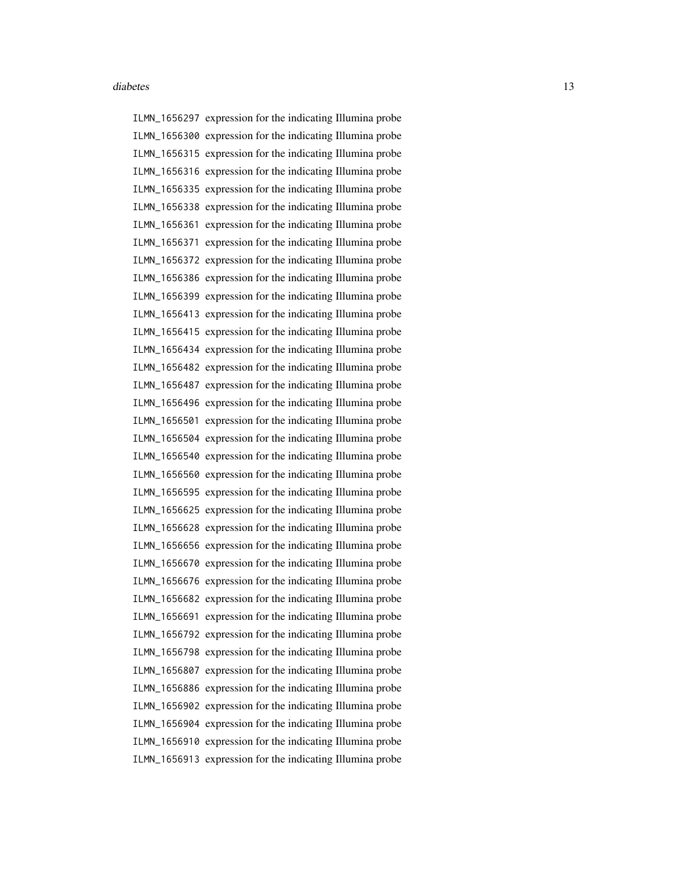ILMN\_1656297 expression for the indicating Illumina probe ILMN\_1656300 expression for the indicating Illumina probe ILMN\_1656315 expression for the indicating Illumina probe ILMN\_1656316 expression for the indicating Illumina probe ILMN\_1656335 expression for the indicating Illumina probe ILMN\_1656338 expression for the indicating Illumina probe ILMN\_1656361 expression for the indicating Illumina probe ILMN\_1656371 expression for the indicating Illumina probe ILMN\_1656372 expression for the indicating Illumina probe ILMN\_1656386 expression for the indicating Illumina probe ILMN\_1656399 expression for the indicating Illumina probe ILMN\_1656413 expression for the indicating Illumina probe ILMN\_1656415 expression for the indicating Illumina probe ILMN\_1656434 expression for the indicating Illumina probe ILMN\_1656482 expression for the indicating Illumina probe ILMN\_1656487 expression for the indicating Illumina probe ILMN\_1656496 expression for the indicating Illumina probe ILMN\_1656501 expression for the indicating Illumina probe ILMN\_1656504 expression for the indicating Illumina probe ILMN\_1656540 expression for the indicating Illumina probe ILMN\_1656560 expression for the indicating Illumina probe ILMN\_1656595 expression for the indicating Illumina probe ILMN\_1656625 expression for the indicating Illumina probe ILMN\_1656628 expression for the indicating Illumina probe ILMN\_1656656 expression for the indicating Illumina probe ILMN\_1656670 expression for the indicating Illumina probe ILMN\_1656676 expression for the indicating Illumina probe ILMN\_1656682 expression for the indicating Illumina probe ILMN\_1656691 expression for the indicating Illumina probe ILMN\_1656792 expression for the indicating Illumina probe ILMN\_1656798 expression for the indicating Illumina probe ILMN\_1656807 expression for the indicating Illumina probe ILMN\_1656886 expression for the indicating Illumina probe ILMN\_1656902 expression for the indicating Illumina probe ILMN\_1656904 expression for the indicating Illumina probe ILMN\_1656910 expression for the indicating Illumina probe ILMN\_1656913 expression for the indicating Illumina probe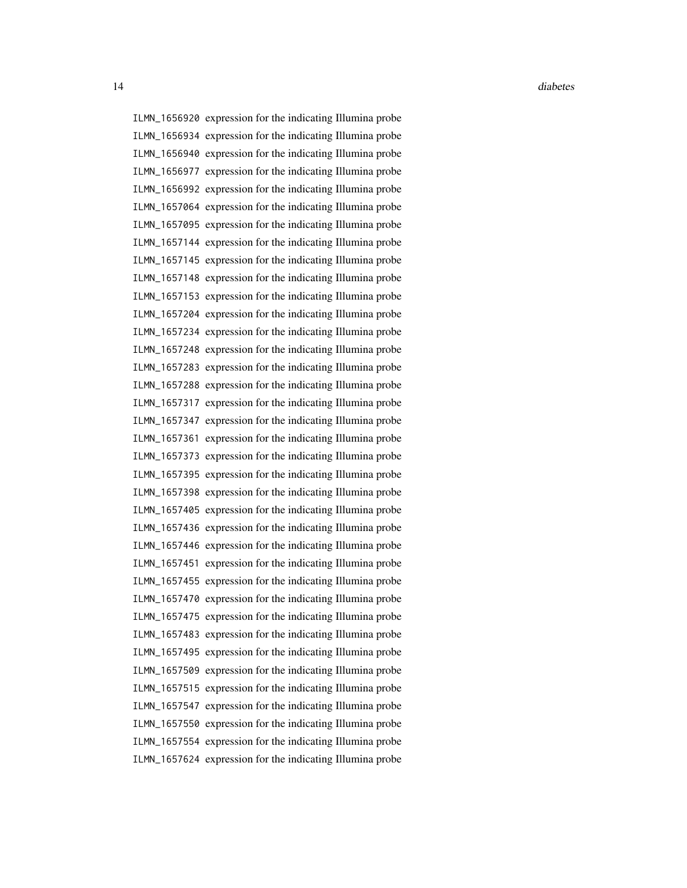ILMN\_1656920 expression for the indicating Illumina probe ILMN\_1656934 expression for the indicating Illumina probe ILMN\_1656940 expression for the indicating Illumina probe ILMN\_1656977 expression for the indicating Illumina probe ILMN\_1656992 expression for the indicating Illumina probe ILMN\_1657064 expression for the indicating Illumina probe ILMN\_1657095 expression for the indicating Illumina probe ILMN\_1657144 expression for the indicating Illumina probe ILMN\_1657145 expression for the indicating Illumina probe ILMN\_1657148 expression for the indicating Illumina probe ILMN\_1657153 expression for the indicating Illumina probe ILMN\_1657204 expression for the indicating Illumina probe ILMN\_1657234 expression for the indicating Illumina probe ILMN\_1657248 expression for the indicating Illumina probe ILMN\_1657283 expression for the indicating Illumina probe ILMN\_1657288 expression for the indicating Illumina probe ILMN\_1657317 expression for the indicating Illumina probe ILMN\_1657347 expression for the indicating Illumina probe ILMN\_1657361 expression for the indicating Illumina probe ILMN\_1657373 expression for the indicating Illumina probe ILMN\_1657395 expression for the indicating Illumina probe ILMN\_1657398 expression for the indicating Illumina probe ILMN\_1657405 expression for the indicating Illumina probe ILMN\_1657436 expression for the indicating Illumina probe ILMN\_1657446 expression for the indicating Illumina probe ILMN\_1657451 expression for the indicating Illumina probe ILMN\_1657455 expression for the indicating Illumina probe ILMN\_1657470 expression for the indicating Illumina probe ILMN\_1657475 expression for the indicating Illumina probe ILMN\_1657483 expression for the indicating Illumina probe ILMN\_1657495 expression for the indicating Illumina probe ILMN\_1657509 expression for the indicating Illumina probe ILMN\_1657515 expression for the indicating Illumina probe ILMN\_1657547 expression for the indicating Illumina probe ILMN\_1657550 expression for the indicating Illumina probe ILMN\_1657554 expression for the indicating Illumina probe ILMN\_1657624 expression for the indicating Illumina probe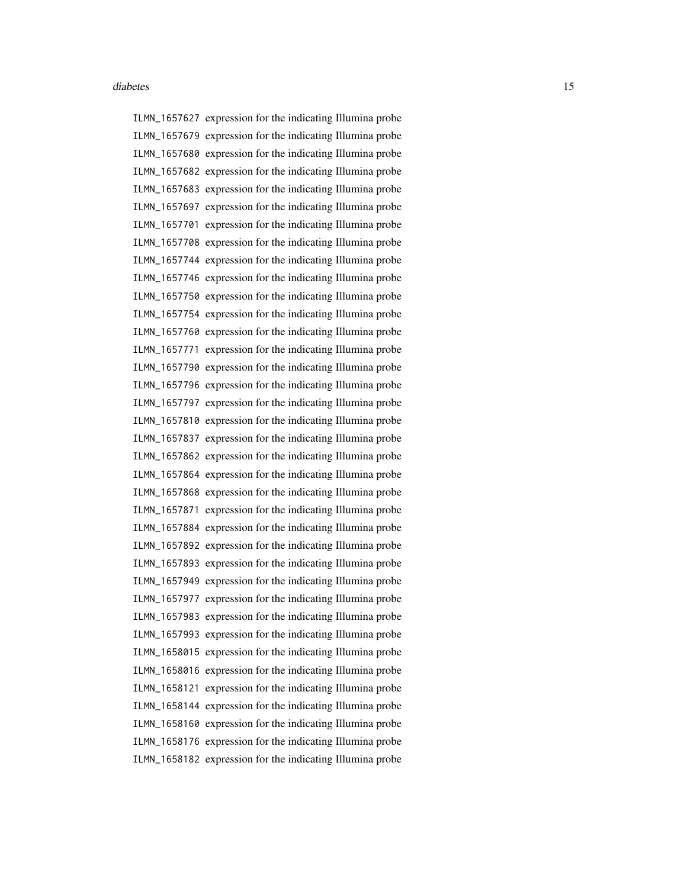ILMN\_1657627 expression for the indicating Illumina probe ILMN\_1657679 expression for the indicating Illumina probe ILMN\_1657680 expression for the indicating Illumina probe ILMN\_1657682 expression for the indicating Illumina probe ILMN\_1657683 expression for the indicating Illumina probe ILMN\_1657697 expression for the indicating Illumina probe ILMN\_1657701 expression for the indicating Illumina probe ILMN\_1657708 expression for the indicating Illumina probe ILMN\_1657744 expression for the indicating Illumina probe ILMN\_1657746 expression for the indicating Illumina probe ILMN\_1657750 expression for the indicating Illumina probe ILMN\_1657754 expression for the indicating Illumina probe ILMN\_1657760 expression for the indicating Illumina probe ILMN\_1657771 expression for the indicating Illumina probe ILMN\_1657790 expression for the indicating Illumina probe ILMN\_1657796 expression for the indicating Illumina probe ILMN\_1657797 expression for the indicating Illumina probe ILMN\_1657810 expression for the indicating Illumina probe ILMN\_1657837 expression for the indicating Illumina probe ILMN\_1657862 expression for the indicating Illumina probe ILMN\_1657864 expression for the indicating Illumina probe ILMN\_1657868 expression for the indicating Illumina probe ILMN\_1657871 expression for the indicating Illumina probe ILMN\_1657884 expression for the indicating Illumina probe ILMN\_1657892 expression for the indicating Illumina probe ILMN\_1657893 expression for the indicating Illumina probe ILMN\_1657949 expression for the indicating Illumina probe ILMN\_1657977 expression for the indicating Illumina probe ILMN\_1657983 expression for the indicating Illumina probe ILMN\_1657993 expression for the indicating Illumina probe ILMN\_1658015 expression for the indicating Illumina probe ILMN\_1658016 expression for the indicating Illumina probe ILMN\_1658121 expression for the indicating Illumina probe ILMN\_1658144 expression for the indicating Illumina probe ILMN\_1658160 expression for the indicating Illumina probe ILMN\_1658176 expression for the indicating Illumina probe ILMN\_1658182 expression for the indicating Illumina probe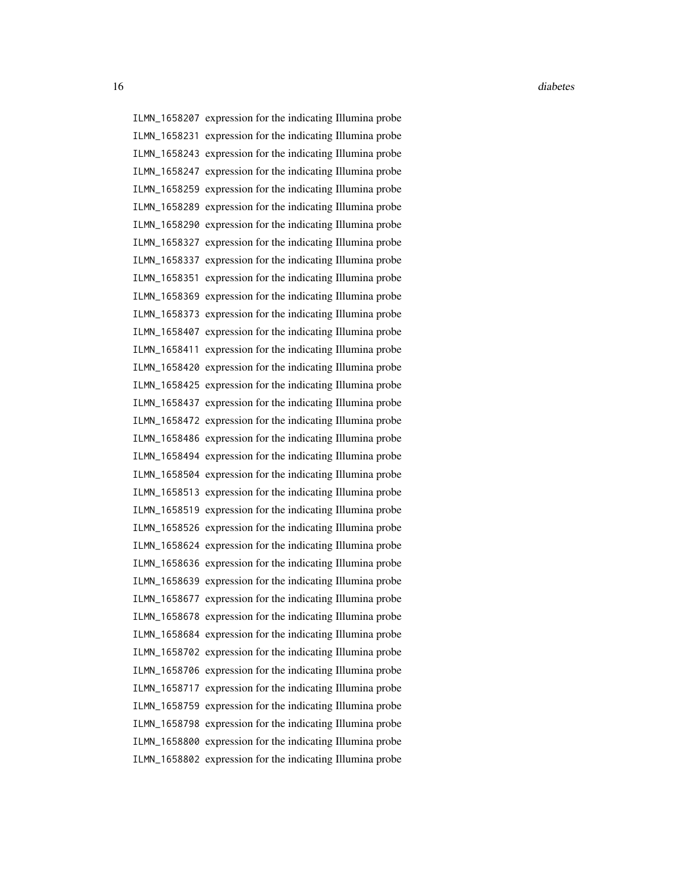16 diabetes diabetes diabetes diabetes diabetes diabetes diabetes diabetes diabetes diabetes diabetes diabetes diabetes diabetes diabetes diabetes diabetes diabetes diabetes diabetes diabetes diabetes diabetes diabetes dia

ILMN\_1658207 expression for the indicating Illumina probe ILMN\_1658231 expression for the indicating Illumina probe ILMN\_1658243 expression for the indicating Illumina probe ILMN\_1658247 expression for the indicating Illumina probe ILMN\_1658259 expression for the indicating Illumina probe ILMN\_1658289 expression for the indicating Illumina probe ILMN\_1658290 expression for the indicating Illumina probe ILMN\_1658327 expression for the indicating Illumina probe ILMN\_1658337 expression for the indicating Illumina probe ILMN\_1658351 expression for the indicating Illumina probe ILMN\_1658369 expression for the indicating Illumina probe ILMN\_1658373 expression for the indicating Illumina probe ILMN\_1658407 expression for the indicating Illumina probe ILMN\_1658411 expression for the indicating Illumina probe ILMN\_1658420 expression for the indicating Illumina probe ILMN\_1658425 expression for the indicating Illumina probe ILMN\_1658437 expression for the indicating Illumina probe ILMN\_1658472 expression for the indicating Illumina probe ILMN\_1658486 expression for the indicating Illumina probe ILMN\_1658494 expression for the indicating Illumina probe ILMN\_1658504 expression for the indicating Illumina probe ILMN\_1658513 expression for the indicating Illumina probe ILMN\_1658519 expression for the indicating Illumina probe ILMN\_1658526 expression for the indicating Illumina probe ILMN\_1658624 expression for the indicating Illumina probe ILMN\_1658636 expression for the indicating Illumina probe ILMN\_1658639 expression for the indicating Illumina probe ILMN\_1658677 expression for the indicating Illumina probe ILMN\_1658678 expression for the indicating Illumina probe ILMN\_1658684 expression for the indicating Illumina probe ILMN\_1658702 expression for the indicating Illumina probe ILMN\_1658706 expression for the indicating Illumina probe ILMN\_1658717 expression for the indicating Illumina probe ILMN\_1658759 expression for the indicating Illumina probe ILMN\_1658798 expression for the indicating Illumina probe ILMN\_1658800 expression for the indicating Illumina probe ILMN\_1658802 expression for the indicating Illumina probe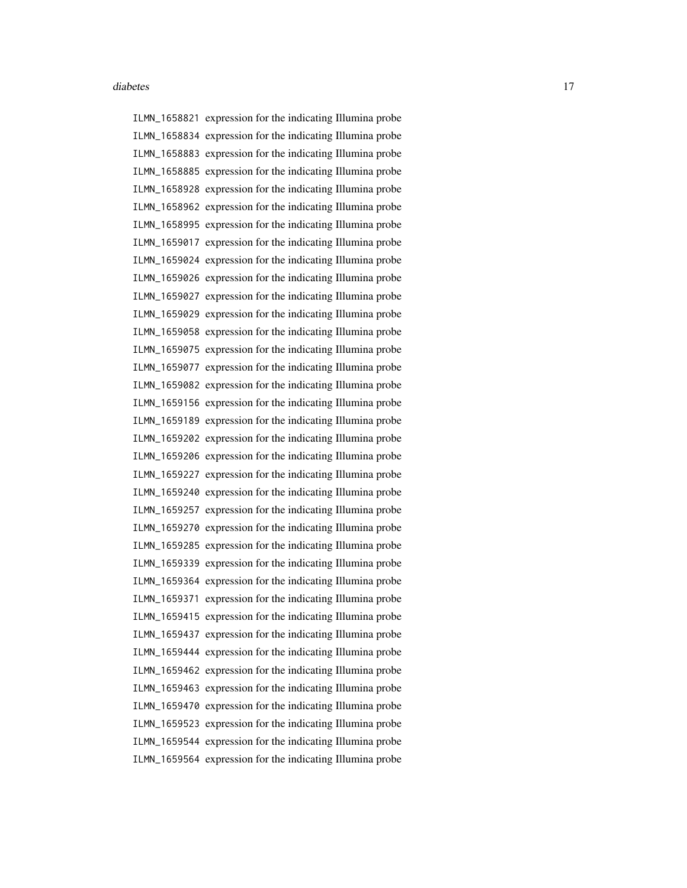ILMN\_1658821 expression for the indicating Illumina probe ILMN\_1658834 expression for the indicating Illumina probe ILMN\_1658883 expression for the indicating Illumina probe ILMN\_1658885 expression for the indicating Illumina probe ILMN\_1658928 expression for the indicating Illumina probe ILMN\_1658962 expression for the indicating Illumina probe ILMN\_1658995 expression for the indicating Illumina probe ILMN\_1659017 expression for the indicating Illumina probe ILMN\_1659024 expression for the indicating Illumina probe ILMN\_1659026 expression for the indicating Illumina probe ILMN\_1659027 expression for the indicating Illumina probe ILMN\_1659029 expression for the indicating Illumina probe ILMN\_1659058 expression for the indicating Illumina probe ILMN\_1659075 expression for the indicating Illumina probe ILMN\_1659077 expression for the indicating Illumina probe ILMN\_1659082 expression for the indicating Illumina probe ILMN\_1659156 expression for the indicating Illumina probe ILMN\_1659189 expression for the indicating Illumina probe ILMN\_1659202 expression for the indicating Illumina probe ILMN\_1659206 expression for the indicating Illumina probe ILMN\_1659227 expression for the indicating Illumina probe ILMN\_1659240 expression for the indicating Illumina probe ILMN\_1659257 expression for the indicating Illumina probe ILMN\_1659270 expression for the indicating Illumina probe ILMN\_1659285 expression for the indicating Illumina probe ILMN\_1659339 expression for the indicating Illumina probe ILMN\_1659364 expression for the indicating Illumina probe ILMN\_1659371 expression for the indicating Illumina probe ILMN\_1659415 expression for the indicating Illumina probe ILMN\_1659437 expression for the indicating Illumina probe ILMN\_1659444 expression for the indicating Illumina probe ILMN\_1659462 expression for the indicating Illumina probe ILMN\_1659463 expression for the indicating Illumina probe ILMN\_1659470 expression for the indicating Illumina probe ILMN\_1659523 expression for the indicating Illumina probe ILMN\_1659544 expression for the indicating Illumina probe ILMN\_1659564 expression for the indicating Illumina probe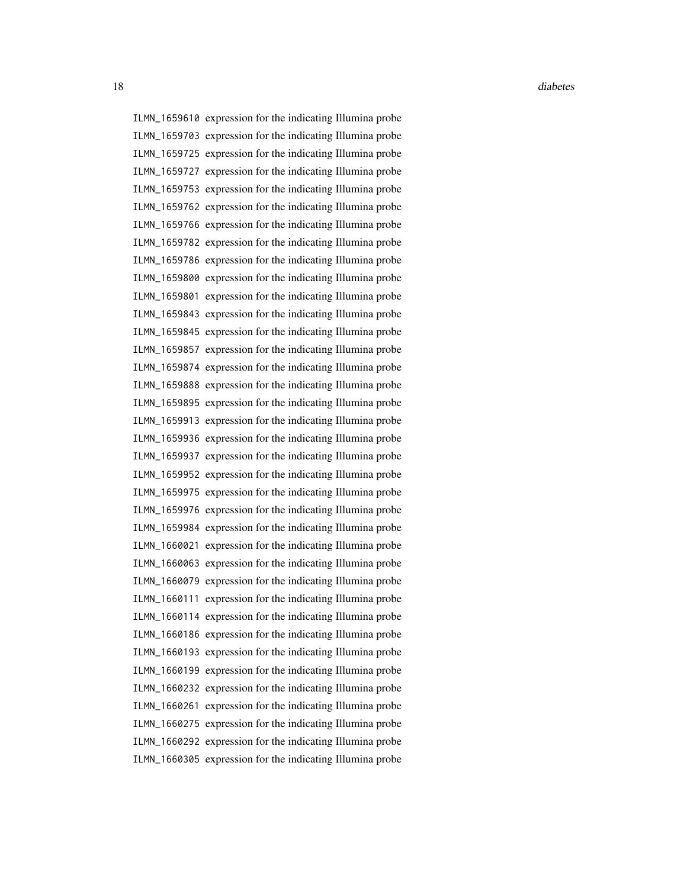18 diabetes diabetes diabetes diabetes diabetes diabetes diabetes diabetes diabetes diabetes diabetes diabetes diabetes diabetes diabetes diabetes diabetes diabetes diabetes diabetes diabetes diabetes diabetes diabetes dia

ILMN\_1659610 expression for the indicating Illumina probe ILMN\_1659703 expression for the indicating Illumina probe ILMN\_1659725 expression for the indicating Illumina probe ILMN\_1659727 expression for the indicating Illumina probe ILMN\_1659753 expression for the indicating Illumina probe ILMN\_1659762 expression for the indicating Illumina probe ILMN\_1659766 expression for the indicating Illumina probe ILMN\_1659782 expression for the indicating Illumina probe ILMN\_1659786 expression for the indicating Illumina probe ILMN\_1659800 expression for the indicating Illumina probe ILMN\_1659801 expression for the indicating Illumina probe ILMN\_1659843 expression for the indicating Illumina probe ILMN\_1659845 expression for the indicating Illumina probe ILMN\_1659857 expression for the indicating Illumina probe ILMN\_1659874 expression for the indicating Illumina probe ILMN\_1659888 expression for the indicating Illumina probe ILMN\_1659895 expression for the indicating Illumina probe ILMN\_1659913 expression for the indicating Illumina probe ILMN\_1659936 expression for the indicating Illumina probe ILMN\_1659937 expression for the indicating Illumina probe ILMN\_1659952 expression for the indicating Illumina probe ILMN\_1659975 expression for the indicating Illumina probe ILMN\_1659976 expression for the indicating Illumina probe ILMN\_1659984 expression for the indicating Illumina probe ILMN\_1660021 expression for the indicating Illumina probe ILMN\_1660063 expression for the indicating Illumina probe ILMN\_1660079 expression for the indicating Illumina probe ILMN\_1660111 expression for the indicating Illumina probe ILMN\_1660114 expression for the indicating Illumina probe ILMN\_1660186 expression for the indicating Illumina probe ILMN\_1660193 expression for the indicating Illumina probe ILMN\_1660199 expression for the indicating Illumina probe ILMN\_1660232 expression for the indicating Illumina probe ILMN\_1660261 expression for the indicating Illumina probe ILMN\_1660275 expression for the indicating Illumina probe ILMN\_1660292 expression for the indicating Illumina probe ILMN\_1660305 expression for the indicating Illumina probe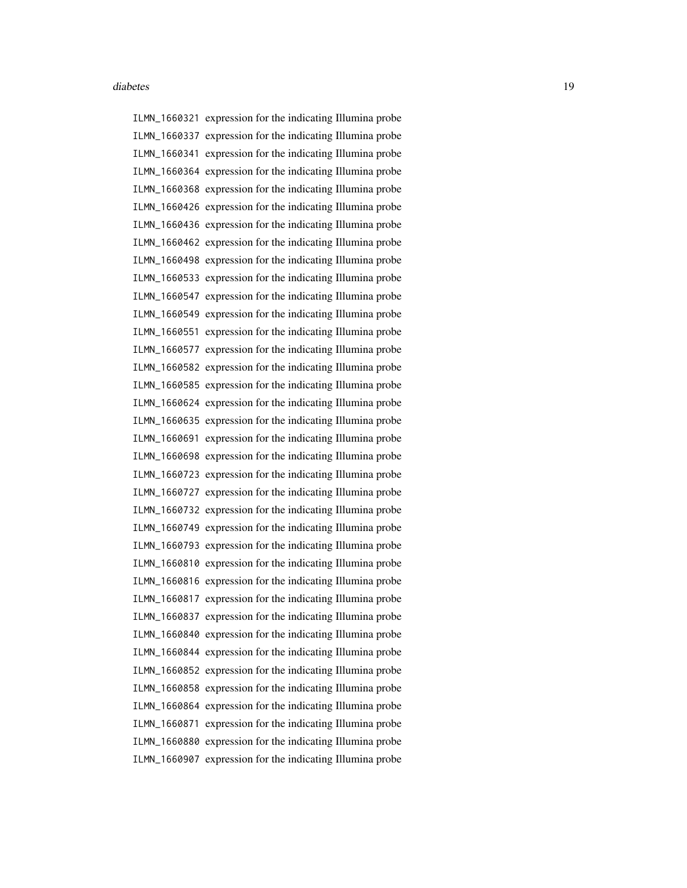ILMN\_1660321 expression for the indicating Illumina probe ILMN\_1660337 expression for the indicating Illumina probe ILMN\_1660341 expression for the indicating Illumina probe ILMN\_1660364 expression for the indicating Illumina probe ILMN\_1660368 expression for the indicating Illumina probe ILMN\_1660426 expression for the indicating Illumina probe ILMN\_1660436 expression for the indicating Illumina probe ILMN\_1660462 expression for the indicating Illumina probe ILMN\_1660498 expression for the indicating Illumina probe ILMN\_1660533 expression for the indicating Illumina probe ILMN\_1660547 expression for the indicating Illumina probe ILMN\_1660549 expression for the indicating Illumina probe ILMN\_1660551 expression for the indicating Illumina probe ILMN\_1660577 expression for the indicating Illumina probe ILMN\_1660582 expression for the indicating Illumina probe ILMN\_1660585 expression for the indicating Illumina probe ILMN\_1660624 expression for the indicating Illumina probe ILMN\_1660635 expression for the indicating Illumina probe ILMN\_1660691 expression for the indicating Illumina probe ILMN\_1660698 expression for the indicating Illumina probe ILMN\_1660723 expression for the indicating Illumina probe ILMN\_1660727 expression for the indicating Illumina probe ILMN\_1660732 expression for the indicating Illumina probe ILMN\_1660749 expression for the indicating Illumina probe ILMN\_1660793 expression for the indicating Illumina probe ILMN\_1660810 expression for the indicating Illumina probe ILMN\_1660816 expression for the indicating Illumina probe ILMN\_1660817 expression for the indicating Illumina probe ILMN\_1660837 expression for the indicating Illumina probe ILMN\_1660840 expression for the indicating Illumina probe ILMN\_1660844 expression for the indicating Illumina probe ILMN\_1660852 expression for the indicating Illumina probe ILMN\_1660858 expression for the indicating Illumina probe ILMN\_1660864 expression for the indicating Illumina probe ILMN\_1660871 expression for the indicating Illumina probe ILMN\_1660880 expression for the indicating Illumina probe ILMN\_1660907 expression for the indicating Illumina probe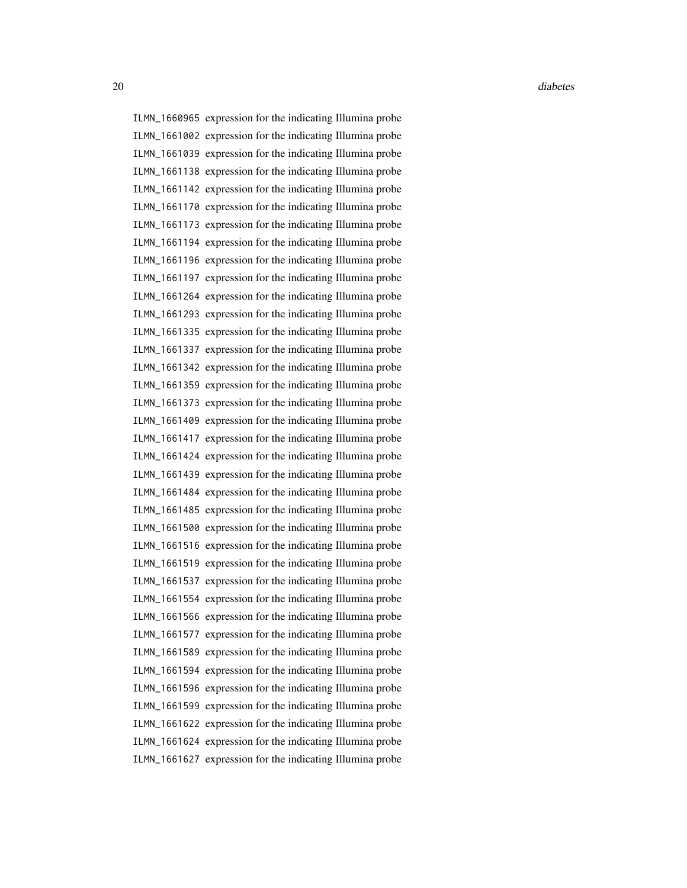ILMN\_1660965 expression for the indicating Illumina probe ILMN\_1661002 expression for the indicating Illumina probe ILMN\_1661039 expression for the indicating Illumina probe ILMN\_1661138 expression for the indicating Illumina probe ILMN\_1661142 expression for the indicating Illumina probe ILMN\_1661170 expression for the indicating Illumina probe ILMN\_1661173 expression for the indicating Illumina probe ILMN\_1661194 expression for the indicating Illumina probe ILMN\_1661196 expression for the indicating Illumina probe ILMN\_1661197 expression for the indicating Illumina probe ILMN\_1661264 expression for the indicating Illumina probe ILMN\_1661293 expression for the indicating Illumina probe ILMN\_1661335 expression for the indicating Illumina probe ILMN\_1661337 expression for the indicating Illumina probe ILMN\_1661342 expression for the indicating Illumina probe ILMN\_1661359 expression for the indicating Illumina probe ILMN\_1661373 expression for the indicating Illumina probe ILMN\_1661409 expression for the indicating Illumina probe ILMN\_1661417 expression for the indicating Illumina probe ILMN\_1661424 expression for the indicating Illumina probe ILMN\_1661439 expression for the indicating Illumina probe ILMN\_1661484 expression for the indicating Illumina probe ILMN\_1661485 expression for the indicating Illumina probe ILMN\_1661500 expression for the indicating Illumina probe ILMN\_1661516 expression for the indicating Illumina probe ILMN\_1661519 expression for the indicating Illumina probe ILMN\_1661537 expression for the indicating Illumina probe ILMN\_1661554 expression for the indicating Illumina probe ILMN\_1661566 expression for the indicating Illumina probe ILMN\_1661577 expression for the indicating Illumina probe ILMN\_1661589 expression for the indicating Illumina probe ILMN\_1661594 expression for the indicating Illumina probe ILMN\_1661596 expression for the indicating Illumina probe ILMN\_1661599 expression for the indicating Illumina probe ILMN\_1661622 expression for the indicating Illumina probe ILMN\_1661624 expression for the indicating Illumina probe ILMN\_1661627 expression for the indicating Illumina probe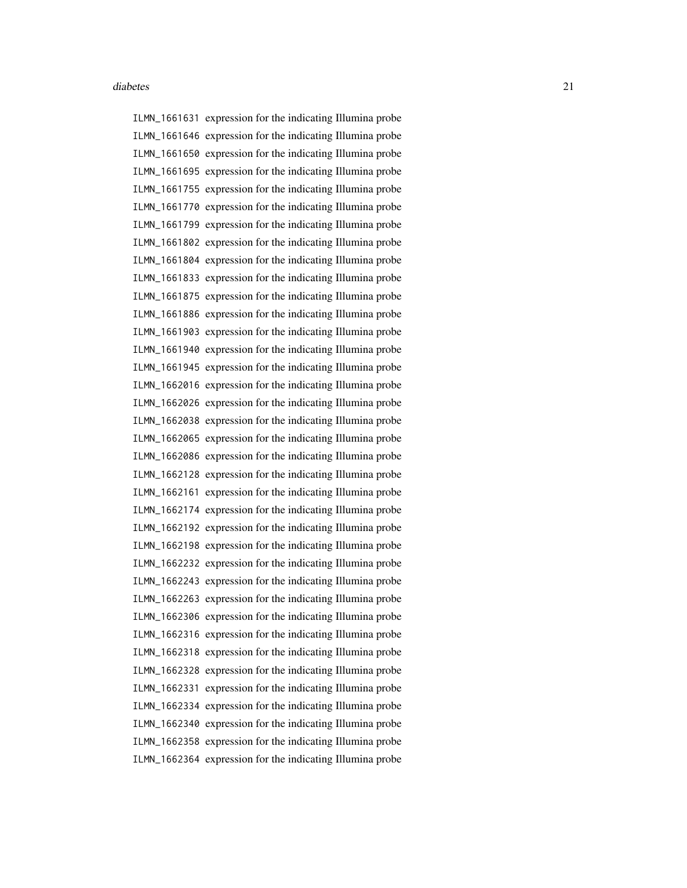ILMN\_1661631 expression for the indicating Illumina probe ILMN\_1661646 expression for the indicating Illumina probe ILMN\_1661650 expression for the indicating Illumina probe ILMN\_1661695 expression for the indicating Illumina probe ILMN\_1661755 expression for the indicating Illumina probe ILMN\_1661770 expression for the indicating Illumina probe ILMN\_1661799 expression for the indicating Illumina probe ILMN\_1661802 expression for the indicating Illumina probe ILMN\_1661804 expression for the indicating Illumina probe ILMN\_1661833 expression for the indicating Illumina probe ILMN\_1661875 expression for the indicating Illumina probe ILMN\_1661886 expression for the indicating Illumina probe ILMN\_1661903 expression for the indicating Illumina probe ILMN\_1661940 expression for the indicating Illumina probe ILMN\_1661945 expression for the indicating Illumina probe ILMN\_1662016 expression for the indicating Illumina probe ILMN\_1662026 expression for the indicating Illumina probe ILMN\_1662038 expression for the indicating Illumina probe ILMN\_1662065 expression for the indicating Illumina probe ILMN\_1662086 expression for the indicating Illumina probe ILMN\_1662128 expression for the indicating Illumina probe ILMN\_1662161 expression for the indicating Illumina probe ILMN\_1662174 expression for the indicating Illumina probe ILMN\_1662192 expression for the indicating Illumina probe ILMN\_1662198 expression for the indicating Illumina probe ILMN\_1662232 expression for the indicating Illumina probe ILMN\_1662243 expression for the indicating Illumina probe ILMN\_1662263 expression for the indicating Illumina probe ILMN\_1662306 expression for the indicating Illumina probe ILMN\_1662316 expression for the indicating Illumina probe ILMN\_1662318 expression for the indicating Illumina probe ILMN\_1662328 expression for the indicating Illumina probe ILMN\_1662331 expression for the indicating Illumina probe ILMN\_1662334 expression for the indicating Illumina probe ILMN\_1662340 expression for the indicating Illumina probe ILMN\_1662358 expression for the indicating Illumina probe ILMN\_1662364 expression for the indicating Illumina probe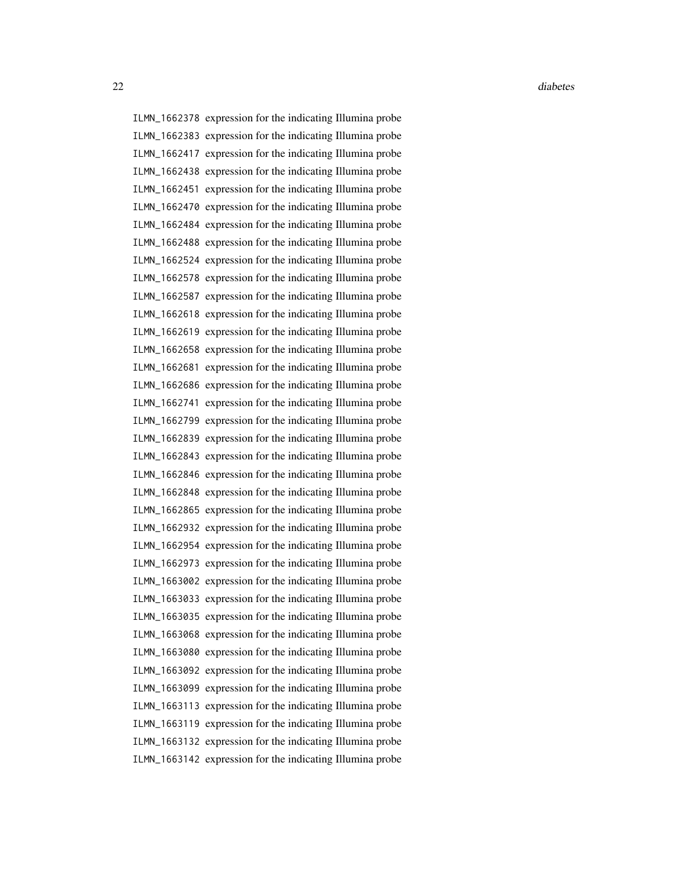22 diabetes and the contract of the contract of the contract of the contract of the contract of the contract of the contract of the contract of the contract of the contract of the contract of the contract of the contract o

ILMN\_1662378 expression for the indicating Illumina probe ILMN\_1662383 expression for the indicating Illumina probe ILMN\_1662417 expression for the indicating Illumina probe ILMN\_1662438 expression for the indicating Illumina probe ILMN\_1662451 expression for the indicating Illumina probe ILMN\_1662470 expression for the indicating Illumina probe ILMN\_1662484 expression for the indicating Illumina probe ILMN\_1662488 expression for the indicating Illumina probe ILMN\_1662524 expression for the indicating Illumina probe ILMN\_1662578 expression for the indicating Illumina probe ILMN\_1662587 expression for the indicating Illumina probe ILMN\_1662618 expression for the indicating Illumina probe ILMN\_1662619 expression for the indicating Illumina probe ILMN\_1662658 expression for the indicating Illumina probe ILMN\_1662681 expression for the indicating Illumina probe ILMN\_1662686 expression for the indicating Illumina probe ILMN\_1662741 expression for the indicating Illumina probe ILMN\_1662799 expression for the indicating Illumina probe ILMN\_1662839 expression for the indicating Illumina probe ILMN\_1662843 expression for the indicating Illumina probe ILMN\_1662846 expression for the indicating Illumina probe ILMN\_1662848 expression for the indicating Illumina probe ILMN\_1662865 expression for the indicating Illumina probe ILMN\_1662932 expression for the indicating Illumina probe ILMN\_1662954 expression for the indicating Illumina probe ILMN\_1662973 expression for the indicating Illumina probe ILMN\_1663002 expression for the indicating Illumina probe ILMN\_1663033 expression for the indicating Illumina probe ILMN\_1663035 expression for the indicating Illumina probe ILMN\_1663068 expression for the indicating Illumina probe ILMN\_1663080 expression for the indicating Illumina probe ILMN\_1663092 expression for the indicating Illumina probe ILMN\_1663099 expression for the indicating Illumina probe ILMN\_1663113 expression for the indicating Illumina probe ILMN\_1663119 expression for the indicating Illumina probe ILMN\_1663132 expression for the indicating Illumina probe ILMN\_1663142 expression for the indicating Illumina probe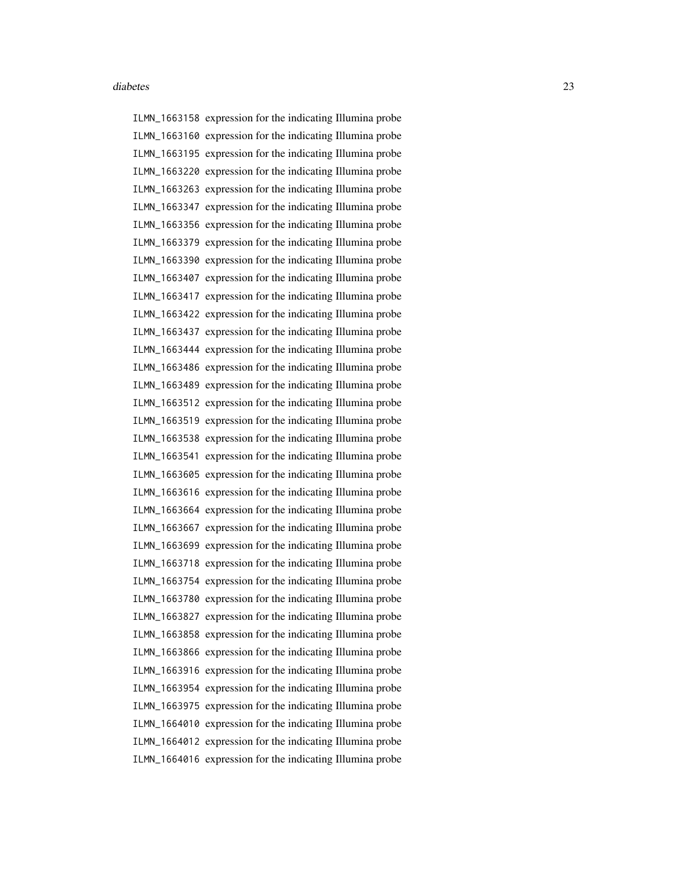ILMN\_1663158 expression for the indicating Illumina probe ILMN\_1663160 expression for the indicating Illumina probe ILMN\_1663195 expression for the indicating Illumina probe ILMN\_1663220 expression for the indicating Illumina probe ILMN\_1663263 expression for the indicating Illumina probe ILMN\_1663347 expression for the indicating Illumina probe ILMN\_1663356 expression for the indicating Illumina probe ILMN\_1663379 expression for the indicating Illumina probe ILMN\_1663390 expression for the indicating Illumina probe ILMN\_1663407 expression for the indicating Illumina probe ILMN\_1663417 expression for the indicating Illumina probe ILMN\_1663422 expression for the indicating Illumina probe ILMN\_1663437 expression for the indicating Illumina probe ILMN\_1663444 expression for the indicating Illumina probe ILMN\_1663486 expression for the indicating Illumina probe ILMN\_1663489 expression for the indicating Illumina probe ILMN\_1663512 expression for the indicating Illumina probe ILMN\_1663519 expression for the indicating Illumina probe ILMN\_1663538 expression for the indicating Illumina probe ILMN\_1663541 expression for the indicating Illumina probe ILMN\_1663605 expression for the indicating Illumina probe ILMN\_1663616 expression for the indicating Illumina probe ILMN\_1663664 expression for the indicating Illumina probe ILMN\_1663667 expression for the indicating Illumina probe ILMN\_1663699 expression for the indicating Illumina probe ILMN\_1663718 expression for the indicating Illumina probe ILMN\_1663754 expression for the indicating Illumina probe ILMN\_1663780 expression for the indicating Illumina probe ILMN\_1663827 expression for the indicating Illumina probe ILMN\_1663858 expression for the indicating Illumina probe ILMN\_1663866 expression for the indicating Illumina probe ILMN\_1663916 expression for the indicating Illumina probe ILMN\_1663954 expression for the indicating Illumina probe ILMN\_1663975 expression for the indicating Illumina probe ILMN\_1664010 expression for the indicating Illumina probe ILMN\_1664012 expression for the indicating Illumina probe ILMN\_1664016 expression for the indicating Illumina probe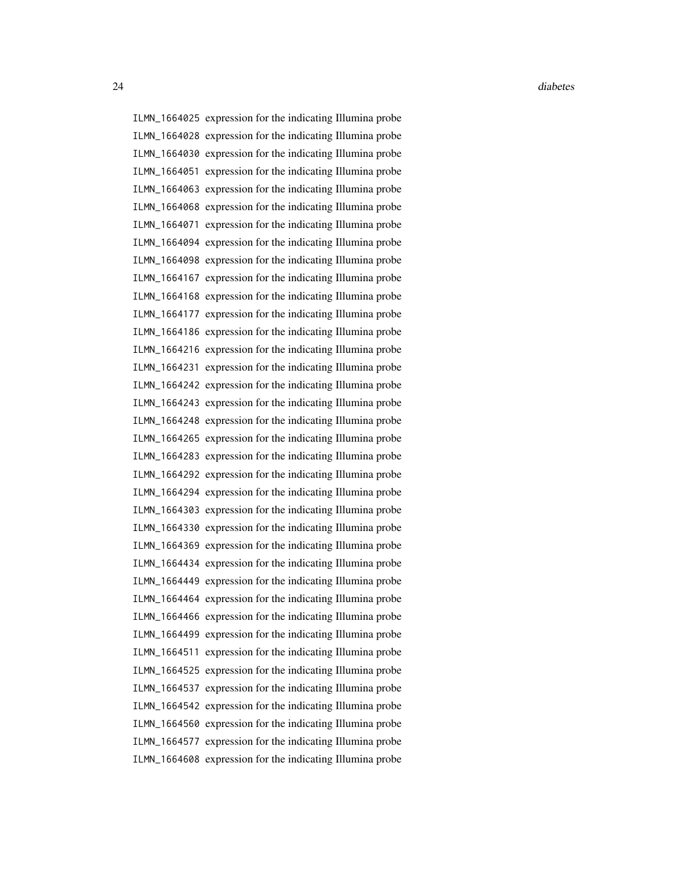ILMN\_1664025 expression for the indicating Illumina probe ILMN\_1664028 expression for the indicating Illumina probe ILMN\_1664030 expression for the indicating Illumina probe ILMN\_1664051 expression for the indicating Illumina probe ILMN\_1664063 expression for the indicating Illumina probe ILMN\_1664068 expression for the indicating Illumina probe ILMN\_1664071 expression for the indicating Illumina probe ILMN\_1664094 expression for the indicating Illumina probe ILMN\_1664098 expression for the indicating Illumina probe ILMN\_1664167 expression for the indicating Illumina probe ILMN\_1664168 expression for the indicating Illumina probe ILMN\_1664177 expression for the indicating Illumina probe ILMN\_1664186 expression for the indicating Illumina probe ILMN\_1664216 expression for the indicating Illumina probe ILMN\_1664231 expression for the indicating Illumina probe ILMN\_1664242 expression for the indicating Illumina probe ILMN\_1664243 expression for the indicating Illumina probe ILMN\_1664248 expression for the indicating Illumina probe ILMN\_1664265 expression for the indicating Illumina probe ILMN\_1664283 expression for the indicating Illumina probe ILMN\_1664292 expression for the indicating Illumina probe ILMN\_1664294 expression for the indicating Illumina probe ILMN\_1664303 expression for the indicating Illumina probe ILMN\_1664330 expression for the indicating Illumina probe ILMN\_1664369 expression for the indicating Illumina probe ILMN\_1664434 expression for the indicating Illumina probe ILMN\_1664449 expression for the indicating Illumina probe ILMN\_1664464 expression for the indicating Illumina probe ILMN\_1664466 expression for the indicating Illumina probe ILMN\_1664499 expression for the indicating Illumina probe ILMN\_1664511 expression for the indicating Illumina probe ILMN\_1664525 expression for the indicating Illumina probe ILMN\_1664537 expression for the indicating Illumina probe ILMN\_1664542 expression for the indicating Illumina probe ILMN\_1664560 expression for the indicating Illumina probe ILMN\_1664577 expression for the indicating Illumina probe ILMN\_1664608 expression for the indicating Illumina probe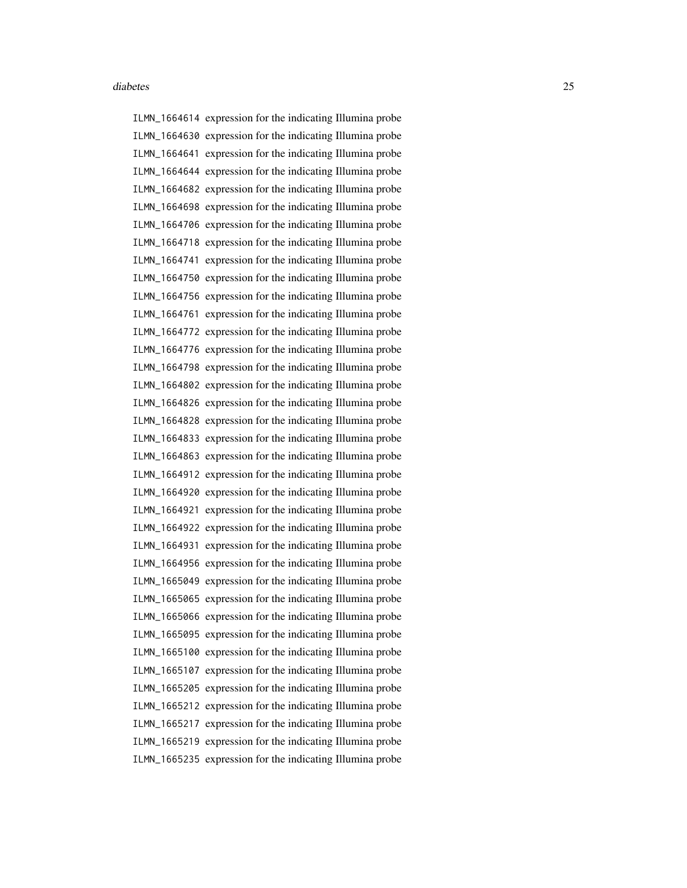ILMN\_1664614 expression for the indicating Illumina probe ILMN\_1664630 expression for the indicating Illumina probe ILMN\_1664641 expression for the indicating Illumina probe ILMN\_1664644 expression for the indicating Illumina probe ILMN\_1664682 expression for the indicating Illumina probe ILMN\_1664698 expression for the indicating Illumina probe ILMN\_1664706 expression for the indicating Illumina probe ILMN\_1664718 expression for the indicating Illumina probe ILMN\_1664741 expression for the indicating Illumina probe ILMN\_1664750 expression for the indicating Illumina probe ILMN\_1664756 expression for the indicating Illumina probe ILMN\_1664761 expression for the indicating Illumina probe ILMN\_1664772 expression for the indicating Illumina probe ILMN\_1664776 expression for the indicating Illumina probe ILMN\_1664798 expression for the indicating Illumina probe ILMN\_1664802 expression for the indicating Illumina probe ILMN\_1664826 expression for the indicating Illumina probe ILMN\_1664828 expression for the indicating Illumina probe ILMN\_1664833 expression for the indicating Illumina probe ILMN\_1664863 expression for the indicating Illumina probe ILMN\_1664912 expression for the indicating Illumina probe ILMN\_1664920 expression for the indicating Illumina probe ILMN\_1664921 expression for the indicating Illumina probe ILMN\_1664922 expression for the indicating Illumina probe ILMN\_1664931 expression for the indicating Illumina probe ILMN\_1664956 expression for the indicating Illumina probe ILMN\_1665049 expression for the indicating Illumina probe ILMN\_1665065 expression for the indicating Illumina probe ILMN\_1665066 expression for the indicating Illumina probe ILMN\_1665095 expression for the indicating Illumina probe ILMN\_1665100 expression for the indicating Illumina probe ILMN\_1665107 expression for the indicating Illumina probe ILMN\_1665205 expression for the indicating Illumina probe ILMN\_1665212 expression for the indicating Illumina probe ILMN\_1665217 expression for the indicating Illumina probe ILMN\_1665219 expression for the indicating Illumina probe ILMN\_1665235 expression for the indicating Illumina probe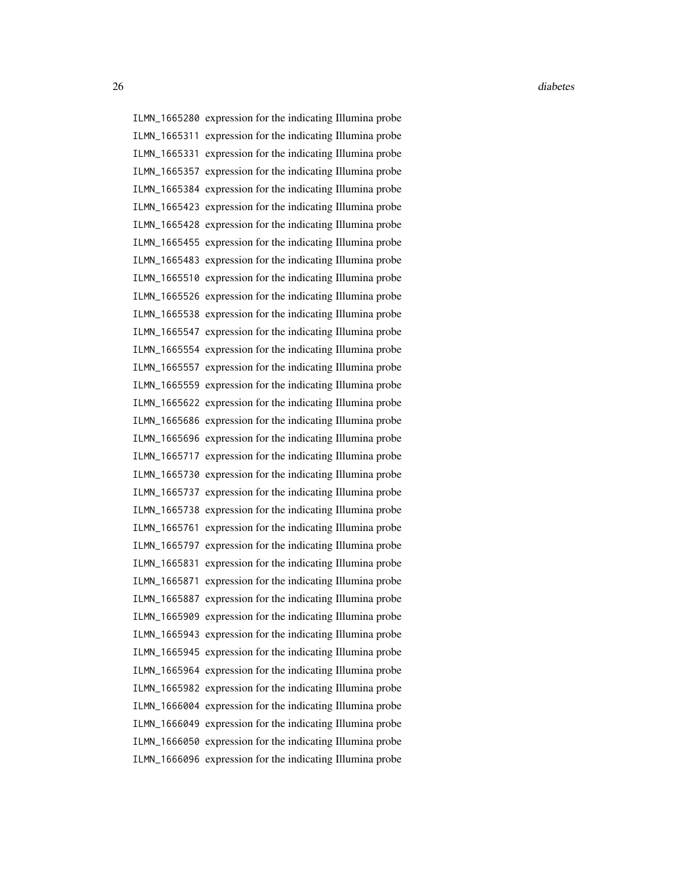26 diabetes and the contract of the contract of the contract of the contract of the contract of the contract of the contract of the contract of the contract of the contract of the contract of the contract of the contract o

ILMN\_1665280 expression for the indicating Illumina probe ILMN\_1665311 expression for the indicating Illumina probe ILMN\_1665331 expression for the indicating Illumina probe ILMN\_1665357 expression for the indicating Illumina probe ILMN\_1665384 expression for the indicating Illumina probe ILMN\_1665423 expression for the indicating Illumina probe ILMN\_1665428 expression for the indicating Illumina probe ILMN\_1665455 expression for the indicating Illumina probe ILMN\_1665483 expression for the indicating Illumina probe ILMN\_1665510 expression for the indicating Illumina probe ILMN\_1665526 expression for the indicating Illumina probe ILMN\_1665538 expression for the indicating Illumina probe ILMN\_1665547 expression for the indicating Illumina probe ILMN\_1665554 expression for the indicating Illumina probe ILMN\_1665557 expression for the indicating Illumina probe ILMN\_1665559 expression for the indicating Illumina probe ILMN\_1665622 expression for the indicating Illumina probe ILMN\_1665686 expression for the indicating Illumina probe ILMN\_1665696 expression for the indicating Illumina probe ILMN\_1665717 expression for the indicating Illumina probe ILMN\_1665730 expression for the indicating Illumina probe ILMN\_1665737 expression for the indicating Illumina probe ILMN\_1665738 expression for the indicating Illumina probe ILMN\_1665761 expression for the indicating Illumina probe ILMN\_1665797 expression for the indicating Illumina probe ILMN\_1665831 expression for the indicating Illumina probe ILMN\_1665871 expression for the indicating Illumina probe ILMN\_1665887 expression for the indicating Illumina probe ILMN\_1665909 expression for the indicating Illumina probe ILMN\_1665943 expression for the indicating Illumina probe ILMN\_1665945 expression for the indicating Illumina probe ILMN\_1665964 expression for the indicating Illumina probe ILMN\_1665982 expression for the indicating Illumina probe ILMN\_1666004 expression for the indicating Illumina probe ILMN\_1666049 expression for the indicating Illumina probe ILMN\_1666050 expression for the indicating Illumina probe ILMN\_1666096 expression for the indicating Illumina probe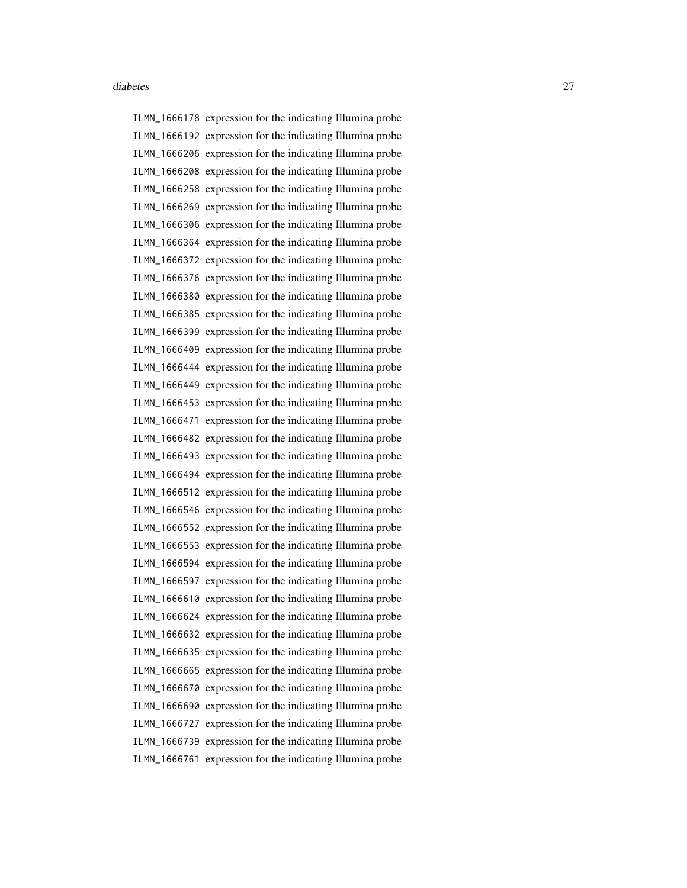ILMN\_1666178 expression for the indicating Illumina probe ILMN\_1666192 expression for the indicating Illumina probe ILMN\_1666206 expression for the indicating Illumina probe ILMN\_1666208 expression for the indicating Illumina probe ILMN\_1666258 expression for the indicating Illumina probe ILMN\_1666269 expression for the indicating Illumina probe ILMN\_1666306 expression for the indicating Illumina probe ILMN\_1666364 expression for the indicating Illumina probe ILMN\_1666372 expression for the indicating Illumina probe ILMN\_1666376 expression for the indicating Illumina probe ILMN\_1666380 expression for the indicating Illumina probe ILMN\_1666385 expression for the indicating Illumina probe ILMN\_1666399 expression for the indicating Illumina probe ILMN\_1666409 expression for the indicating Illumina probe ILMN\_1666444 expression for the indicating Illumina probe ILMN\_1666449 expression for the indicating Illumina probe ILMN\_1666453 expression for the indicating Illumina probe ILMN\_1666471 expression for the indicating Illumina probe ILMN\_1666482 expression for the indicating Illumina probe ILMN\_1666493 expression for the indicating Illumina probe ILMN\_1666494 expression for the indicating Illumina probe ILMN\_1666512 expression for the indicating Illumina probe ILMN\_1666546 expression for the indicating Illumina probe ILMN\_1666552 expression for the indicating Illumina probe ILMN\_1666553 expression for the indicating Illumina probe ILMN\_1666594 expression for the indicating Illumina probe ILMN\_1666597 expression for the indicating Illumina probe ILMN\_1666610 expression for the indicating Illumina probe ILMN\_1666624 expression for the indicating Illumina probe ILMN\_1666632 expression for the indicating Illumina probe ILMN\_1666635 expression for the indicating Illumina probe ILMN\_1666665 expression for the indicating Illumina probe ILMN\_1666670 expression for the indicating Illumina probe ILMN\_1666690 expression for the indicating Illumina probe ILMN\_1666727 expression for the indicating Illumina probe ILMN\_1666739 expression for the indicating Illumina probe ILMN\_1666761 expression for the indicating Illumina probe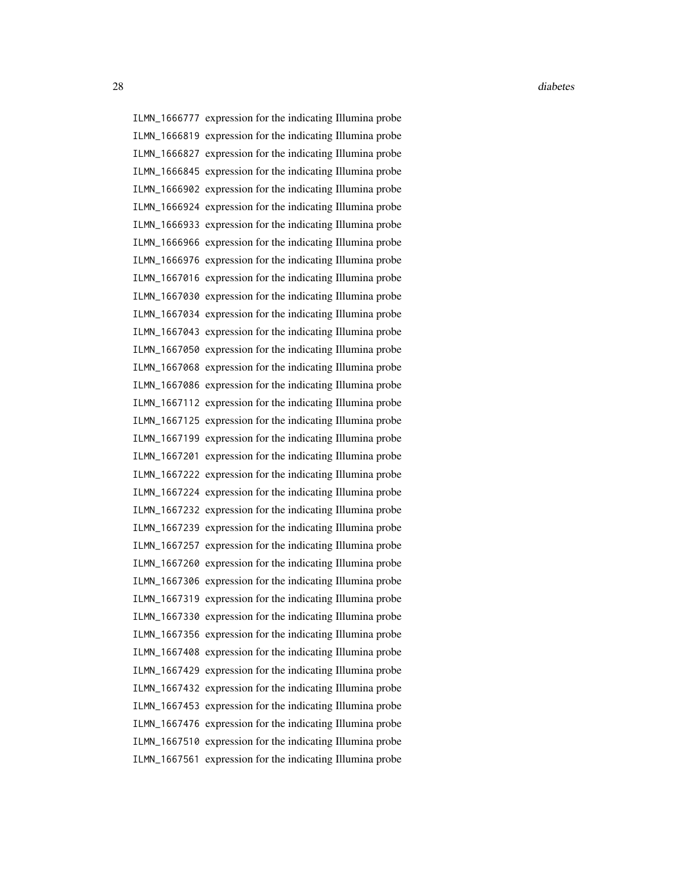28 diabetes and the contract of the contract of the contract of the contract of the contract of the contract of the contract of the contract of the contract of the contract of the contract of the contract of the contract o

ILMN\_1666777 expression for the indicating Illumina probe ILMN\_1666819 expression for the indicating Illumina probe ILMN\_1666827 expression for the indicating Illumina probe ILMN\_1666845 expression for the indicating Illumina probe ILMN\_1666902 expression for the indicating Illumina probe ILMN\_1666924 expression for the indicating Illumina probe ILMN\_1666933 expression for the indicating Illumina probe ILMN\_1666966 expression for the indicating Illumina probe ILMN\_1666976 expression for the indicating Illumina probe ILMN\_1667016 expression for the indicating Illumina probe ILMN\_1667030 expression for the indicating Illumina probe ILMN\_1667034 expression for the indicating Illumina probe ILMN\_1667043 expression for the indicating Illumina probe ILMN\_1667050 expression for the indicating Illumina probe ILMN\_1667068 expression for the indicating Illumina probe ILMN\_1667086 expression for the indicating Illumina probe ILMN\_1667112 expression for the indicating Illumina probe ILMN\_1667125 expression for the indicating Illumina probe ILMN\_1667199 expression for the indicating Illumina probe ILMN\_1667201 expression for the indicating Illumina probe ILMN\_1667222 expression for the indicating Illumina probe ILMN\_1667224 expression for the indicating Illumina probe ILMN\_1667232 expression for the indicating Illumina probe ILMN\_1667239 expression for the indicating Illumina probe ILMN\_1667257 expression for the indicating Illumina probe ILMN\_1667260 expression for the indicating Illumina probe ILMN\_1667306 expression for the indicating Illumina probe ILMN\_1667319 expression for the indicating Illumina probe ILMN\_1667330 expression for the indicating Illumina probe ILMN\_1667356 expression for the indicating Illumina probe ILMN\_1667408 expression for the indicating Illumina probe ILMN\_1667429 expression for the indicating Illumina probe ILMN\_1667432 expression for the indicating Illumina probe ILMN\_1667453 expression for the indicating Illumina probe ILMN\_1667476 expression for the indicating Illumina probe ILMN\_1667510 expression for the indicating Illumina probe ILMN\_1667561 expression for the indicating Illumina probe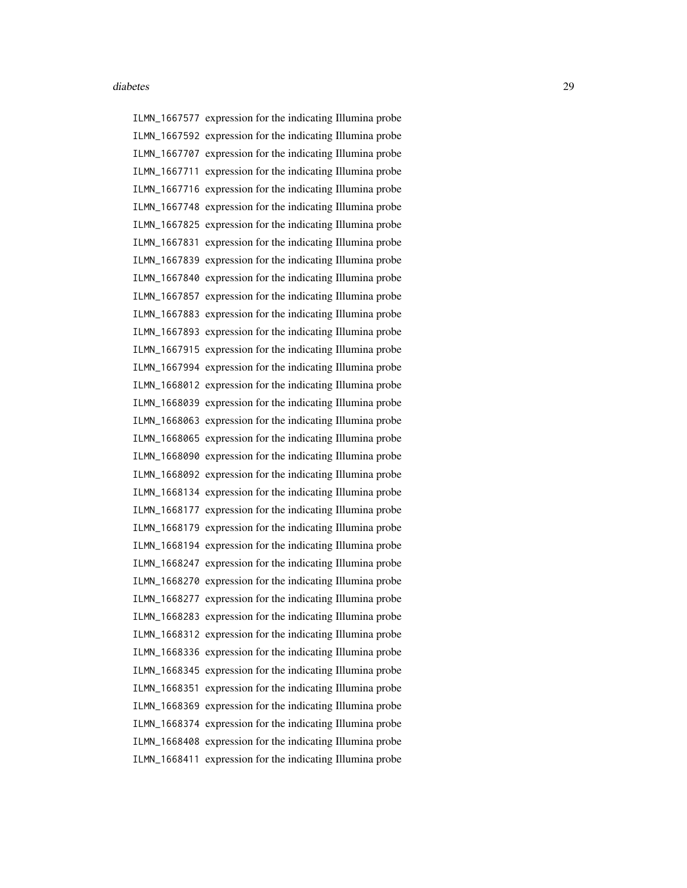ILMN\_1667577 expression for the indicating Illumina probe ILMN\_1667592 expression for the indicating Illumina probe ILMN\_1667707 expression for the indicating Illumina probe ILMN\_1667711 expression for the indicating Illumina probe ILMN\_1667716 expression for the indicating Illumina probe ILMN\_1667748 expression for the indicating Illumina probe ILMN\_1667825 expression for the indicating Illumina probe ILMN\_1667831 expression for the indicating Illumina probe ILMN\_1667839 expression for the indicating Illumina probe ILMN\_1667840 expression for the indicating Illumina probe ILMN\_1667857 expression for the indicating Illumina probe ILMN\_1667883 expression for the indicating Illumina probe ILMN\_1667893 expression for the indicating Illumina probe ILMN\_1667915 expression for the indicating Illumina probe ILMN\_1667994 expression for the indicating Illumina probe ILMN\_1668012 expression for the indicating Illumina probe ILMN\_1668039 expression for the indicating Illumina probe ILMN\_1668063 expression for the indicating Illumina probe ILMN\_1668065 expression for the indicating Illumina probe ILMN\_1668090 expression for the indicating Illumina probe ILMN\_1668092 expression for the indicating Illumina probe ILMN\_1668134 expression for the indicating Illumina probe ILMN\_1668177 expression for the indicating Illumina probe ILMN\_1668179 expression for the indicating Illumina probe ILMN\_1668194 expression for the indicating Illumina probe ILMN\_1668247 expression for the indicating Illumina probe ILMN\_1668270 expression for the indicating Illumina probe ILMN\_1668277 expression for the indicating Illumina probe ILMN\_1668283 expression for the indicating Illumina probe ILMN\_1668312 expression for the indicating Illumina probe ILMN\_1668336 expression for the indicating Illumina probe ILMN\_1668345 expression for the indicating Illumina probe ILMN\_1668351 expression for the indicating Illumina probe ILMN\_1668369 expression for the indicating Illumina probe ILMN\_1668374 expression for the indicating Illumina probe ILMN\_1668408 expression for the indicating Illumina probe ILMN\_1668411 expression for the indicating Illumina probe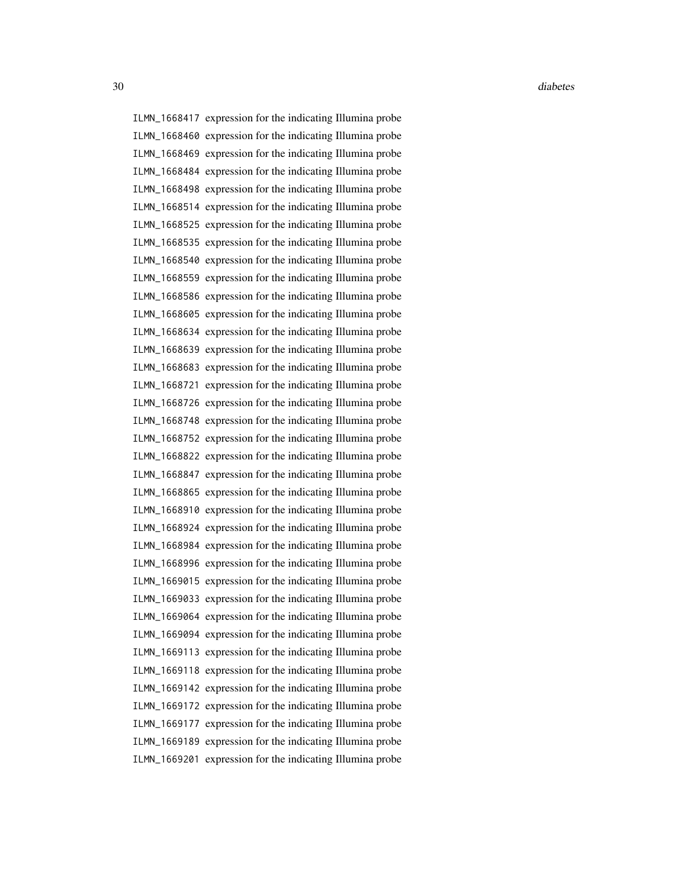ILMN\_1668417 expression for the indicating Illumina probe ILMN\_1668460 expression for the indicating Illumina probe ILMN\_1668469 expression for the indicating Illumina probe ILMN\_1668484 expression for the indicating Illumina probe ILMN\_1668498 expression for the indicating Illumina probe ILMN\_1668514 expression for the indicating Illumina probe ILMN\_1668525 expression for the indicating Illumina probe ILMN\_1668535 expression for the indicating Illumina probe ILMN\_1668540 expression for the indicating Illumina probe ILMN\_1668559 expression for the indicating Illumina probe ILMN\_1668586 expression for the indicating Illumina probe ILMN\_1668605 expression for the indicating Illumina probe ILMN\_1668634 expression for the indicating Illumina probe ILMN\_1668639 expression for the indicating Illumina probe ILMN\_1668683 expression for the indicating Illumina probe ILMN\_1668721 expression for the indicating Illumina probe ILMN\_1668726 expression for the indicating Illumina probe ILMN\_1668748 expression for the indicating Illumina probe ILMN\_1668752 expression for the indicating Illumina probe ILMN\_1668822 expression for the indicating Illumina probe ILMN\_1668847 expression for the indicating Illumina probe ILMN\_1668865 expression for the indicating Illumina probe ILMN\_1668910 expression for the indicating Illumina probe ILMN\_1668924 expression for the indicating Illumina probe ILMN\_1668984 expression for the indicating Illumina probe ILMN\_1668996 expression for the indicating Illumina probe ILMN\_1669015 expression for the indicating Illumina probe ILMN\_1669033 expression for the indicating Illumina probe ILMN\_1669064 expression for the indicating Illumina probe ILMN\_1669094 expression for the indicating Illumina probe ILMN\_1669113 expression for the indicating Illumina probe ILMN\_1669118 expression for the indicating Illumina probe ILMN\_1669142 expression for the indicating Illumina probe ILMN\_1669172 expression for the indicating Illumina probe ILMN\_1669177 expression for the indicating Illumina probe ILMN\_1669189 expression for the indicating Illumina probe ILMN\_1669201 expression for the indicating Illumina probe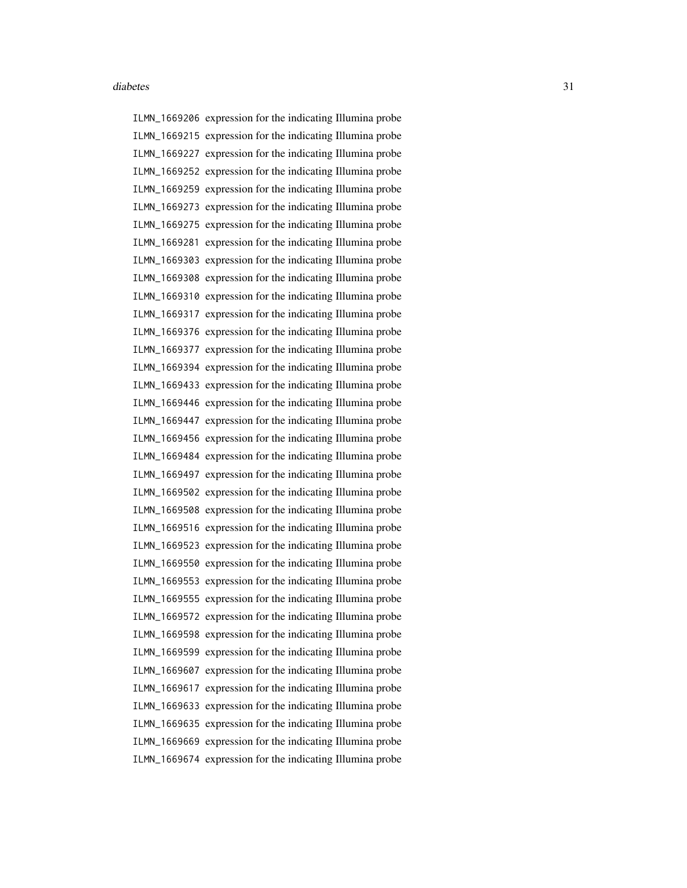ILMN\_1669206 expression for the indicating Illumina probe ILMN\_1669215 expression for the indicating Illumina probe ILMN\_1669227 expression for the indicating Illumina probe ILMN\_1669252 expression for the indicating Illumina probe ILMN\_1669259 expression for the indicating Illumina probe ILMN\_1669273 expression for the indicating Illumina probe ILMN\_1669275 expression for the indicating Illumina probe ILMN\_1669281 expression for the indicating Illumina probe ILMN\_1669303 expression for the indicating Illumina probe ILMN\_1669308 expression for the indicating Illumina probe ILMN\_1669310 expression for the indicating Illumina probe ILMN\_1669317 expression for the indicating Illumina probe ILMN\_1669376 expression for the indicating Illumina probe ILMN\_1669377 expression for the indicating Illumina probe ILMN\_1669394 expression for the indicating Illumina probe ILMN\_1669433 expression for the indicating Illumina probe ILMN\_1669446 expression for the indicating Illumina probe ILMN\_1669447 expression for the indicating Illumina probe ILMN\_1669456 expression for the indicating Illumina probe ILMN\_1669484 expression for the indicating Illumina probe ILMN\_1669497 expression for the indicating Illumina probe ILMN\_1669502 expression for the indicating Illumina probe ILMN\_1669508 expression for the indicating Illumina probe ILMN\_1669516 expression for the indicating Illumina probe ILMN\_1669523 expression for the indicating Illumina probe ILMN\_1669550 expression for the indicating Illumina probe ILMN\_1669553 expression for the indicating Illumina probe ILMN\_1669555 expression for the indicating Illumina probe ILMN\_1669572 expression for the indicating Illumina probe ILMN\_1669598 expression for the indicating Illumina probe ILMN\_1669599 expression for the indicating Illumina probe ILMN\_1669607 expression for the indicating Illumina probe ILMN\_1669617 expression for the indicating Illumina probe ILMN\_1669633 expression for the indicating Illumina probe ILMN\_1669635 expression for the indicating Illumina probe ILMN\_1669669 expression for the indicating Illumina probe ILMN\_1669674 expression for the indicating Illumina probe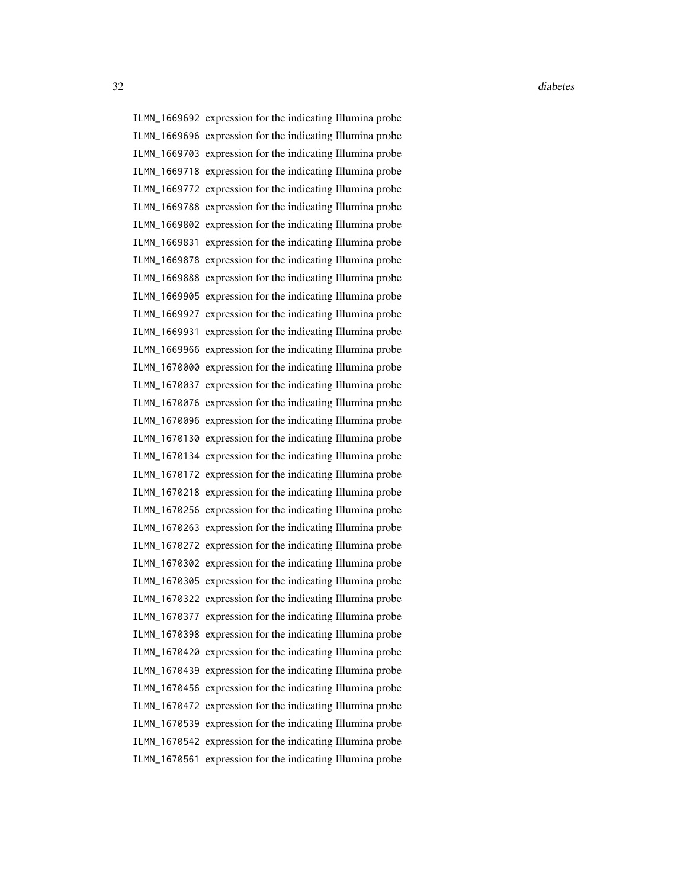ILMN\_1669692 expression for the indicating Illumina probe ILMN\_1669696 expression for the indicating Illumina probe ILMN\_1669703 expression for the indicating Illumina probe ILMN\_1669718 expression for the indicating Illumina probe ILMN\_1669772 expression for the indicating Illumina probe ILMN\_1669788 expression for the indicating Illumina probe ILMN\_1669802 expression for the indicating Illumina probe ILMN\_1669831 expression for the indicating Illumina probe ILMN\_1669878 expression for the indicating Illumina probe ILMN\_1669888 expression for the indicating Illumina probe ILMN\_1669905 expression for the indicating Illumina probe ILMN\_1669927 expression for the indicating Illumina probe ILMN\_1669931 expression for the indicating Illumina probe ILMN\_1669966 expression for the indicating Illumina probe ILMN\_1670000 expression for the indicating Illumina probe ILMN\_1670037 expression for the indicating Illumina probe ILMN\_1670076 expression for the indicating Illumina probe ILMN\_1670096 expression for the indicating Illumina probe ILMN\_1670130 expression for the indicating Illumina probe ILMN\_1670134 expression for the indicating Illumina probe ILMN\_1670172 expression for the indicating Illumina probe ILMN\_1670218 expression for the indicating Illumina probe ILMN\_1670256 expression for the indicating Illumina probe ILMN\_1670263 expression for the indicating Illumina probe ILMN\_1670272 expression for the indicating Illumina probe ILMN\_1670302 expression for the indicating Illumina probe ILMN\_1670305 expression for the indicating Illumina probe ILMN\_1670322 expression for the indicating Illumina probe ILMN\_1670377 expression for the indicating Illumina probe ILMN\_1670398 expression for the indicating Illumina probe ILMN\_1670420 expression for the indicating Illumina probe ILMN\_1670439 expression for the indicating Illumina probe ILMN\_1670456 expression for the indicating Illumina probe ILMN\_1670472 expression for the indicating Illumina probe ILMN\_1670539 expression for the indicating Illumina probe ILMN\_1670542 expression for the indicating Illumina probe ILMN\_1670561 expression for the indicating Illumina probe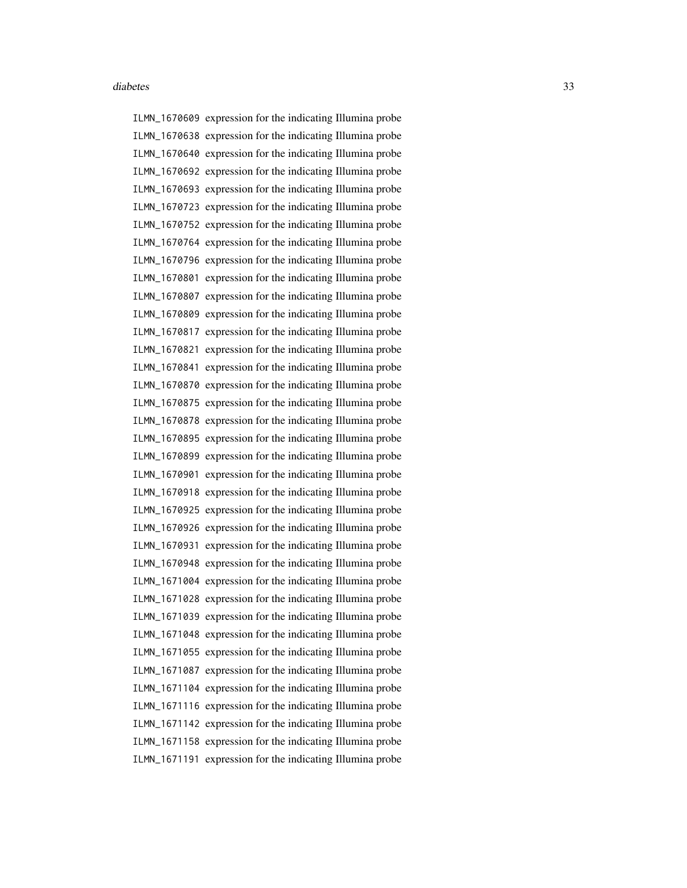ILMN\_1670609 expression for the indicating Illumina probe ILMN\_1670638 expression for the indicating Illumina probe ILMN\_1670640 expression for the indicating Illumina probe ILMN\_1670692 expression for the indicating Illumina probe ILMN\_1670693 expression for the indicating Illumina probe ILMN\_1670723 expression for the indicating Illumina probe ILMN\_1670752 expression for the indicating Illumina probe ILMN\_1670764 expression for the indicating Illumina probe ILMN\_1670796 expression for the indicating Illumina probe ILMN\_1670801 expression for the indicating Illumina probe ILMN\_1670807 expression for the indicating Illumina probe ILMN\_1670809 expression for the indicating Illumina probe ILMN\_1670817 expression for the indicating Illumina probe ILMN\_1670821 expression for the indicating Illumina probe ILMN\_1670841 expression for the indicating Illumina probe ILMN\_1670870 expression for the indicating Illumina probe ILMN\_1670875 expression for the indicating Illumina probe ILMN\_1670878 expression for the indicating Illumina probe ILMN\_1670895 expression for the indicating Illumina probe ILMN\_1670899 expression for the indicating Illumina probe ILMN\_1670901 expression for the indicating Illumina probe ILMN\_1670918 expression for the indicating Illumina probe ILMN\_1670925 expression for the indicating Illumina probe ILMN\_1670926 expression for the indicating Illumina probe ILMN\_1670931 expression for the indicating Illumina probe ILMN\_1670948 expression for the indicating Illumina probe ILMN\_1671004 expression for the indicating Illumina probe ILMN\_1671028 expression for the indicating Illumina probe ILMN\_1671039 expression for the indicating Illumina probe ILMN\_1671048 expression for the indicating Illumina probe ILMN\_1671055 expression for the indicating Illumina probe ILMN\_1671087 expression for the indicating Illumina probe ILMN\_1671104 expression for the indicating Illumina probe ILMN\_1671116 expression for the indicating Illumina probe ILMN\_1671142 expression for the indicating Illumina probe ILMN\_1671158 expression for the indicating Illumina probe ILMN\_1671191 expression for the indicating Illumina probe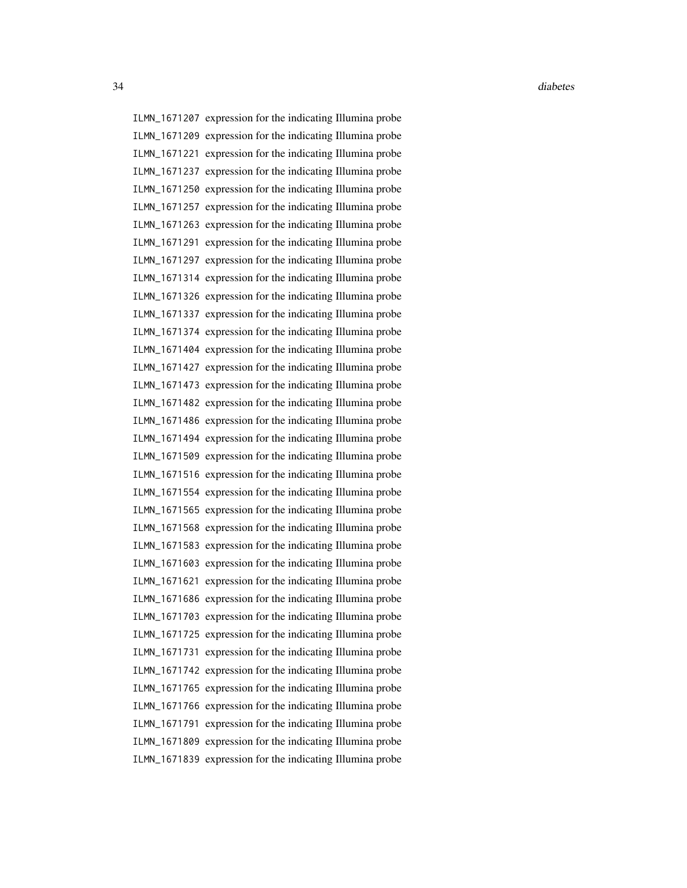ILMN\_1671207 expression for the indicating Illumina probe ILMN\_1671209 expression for the indicating Illumina probe ILMN\_1671221 expression for the indicating Illumina probe ILMN\_1671237 expression for the indicating Illumina probe ILMN\_1671250 expression for the indicating Illumina probe ILMN\_1671257 expression for the indicating Illumina probe ILMN\_1671263 expression for the indicating Illumina probe ILMN\_1671291 expression for the indicating Illumina probe ILMN\_1671297 expression for the indicating Illumina probe ILMN\_1671314 expression for the indicating Illumina probe ILMN\_1671326 expression for the indicating Illumina probe ILMN\_1671337 expression for the indicating Illumina probe ILMN\_1671374 expression for the indicating Illumina probe ILMN\_1671404 expression for the indicating Illumina probe ILMN\_1671427 expression for the indicating Illumina probe ILMN\_1671473 expression for the indicating Illumina probe ILMN\_1671482 expression for the indicating Illumina probe ILMN\_1671486 expression for the indicating Illumina probe ILMN\_1671494 expression for the indicating Illumina probe ILMN\_1671509 expression for the indicating Illumina probe ILMN\_1671516 expression for the indicating Illumina probe ILMN\_1671554 expression for the indicating Illumina probe ILMN\_1671565 expression for the indicating Illumina probe ILMN\_1671568 expression for the indicating Illumina probe ILMN\_1671583 expression for the indicating Illumina probe ILMN\_1671603 expression for the indicating Illumina probe ILMN\_1671621 expression for the indicating Illumina probe ILMN\_1671686 expression for the indicating Illumina probe ILMN\_1671703 expression for the indicating Illumina probe ILMN\_1671725 expression for the indicating Illumina probe ILMN\_1671731 expression for the indicating Illumina probe ILMN\_1671742 expression for the indicating Illumina probe ILMN\_1671765 expression for the indicating Illumina probe ILMN\_1671766 expression for the indicating Illumina probe ILMN\_1671791 expression for the indicating Illumina probe ILMN\_1671809 expression for the indicating Illumina probe ILMN\_1671839 expression for the indicating Illumina probe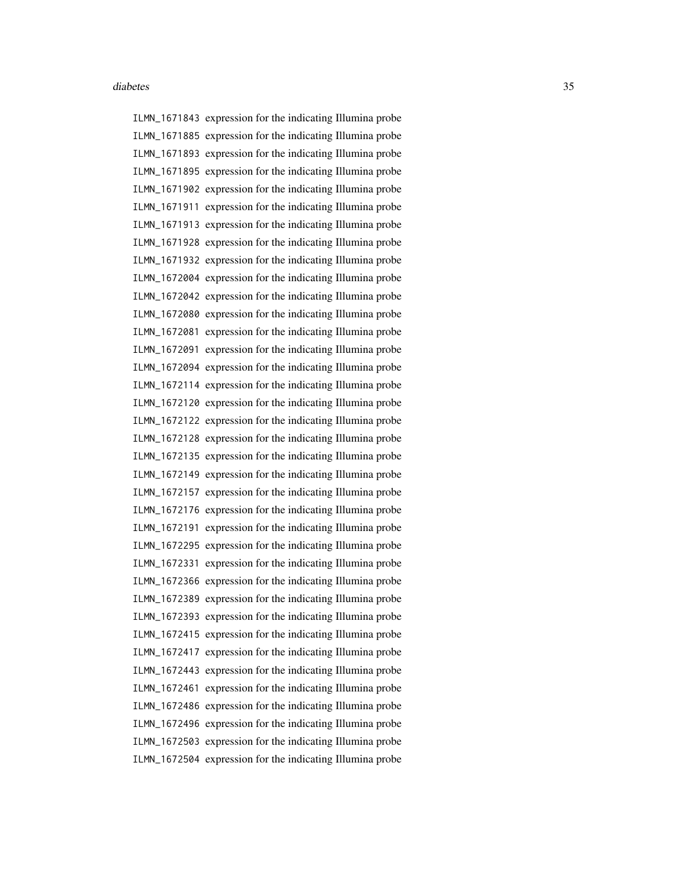ILMN\_1671843 expression for the indicating Illumina probe ILMN\_1671885 expression for the indicating Illumina probe ILMN\_1671893 expression for the indicating Illumina probe ILMN\_1671895 expression for the indicating Illumina probe ILMN\_1671902 expression for the indicating Illumina probe ILMN\_1671911 expression for the indicating Illumina probe ILMN\_1671913 expression for the indicating Illumina probe ILMN\_1671928 expression for the indicating Illumina probe ILMN\_1671932 expression for the indicating Illumina probe ILMN\_1672004 expression for the indicating Illumina probe ILMN\_1672042 expression for the indicating Illumina probe ILMN\_1672080 expression for the indicating Illumina probe ILMN\_1672081 expression for the indicating Illumina probe ILMN\_1672091 expression for the indicating Illumina probe ILMN\_1672094 expression for the indicating Illumina probe ILMN\_1672114 expression for the indicating Illumina probe ILMN\_1672120 expression for the indicating Illumina probe ILMN\_1672122 expression for the indicating Illumina probe ILMN\_1672128 expression for the indicating Illumina probe ILMN\_1672135 expression for the indicating Illumina probe ILMN\_1672149 expression for the indicating Illumina probe ILMN\_1672157 expression for the indicating Illumina probe ILMN\_1672176 expression for the indicating Illumina probe ILMN\_1672191 expression for the indicating Illumina probe ILMN\_1672295 expression for the indicating Illumina probe ILMN\_1672331 expression for the indicating Illumina probe ILMN\_1672366 expression for the indicating Illumina probe ILMN\_1672389 expression for the indicating Illumina probe ILMN\_1672393 expression for the indicating Illumina probe ILMN\_1672415 expression for the indicating Illumina probe ILMN\_1672417 expression for the indicating Illumina probe ILMN\_1672443 expression for the indicating Illumina probe ILMN\_1672461 expression for the indicating Illumina probe ILMN\_1672486 expression for the indicating Illumina probe ILMN\_1672496 expression for the indicating Illumina probe ILMN\_1672503 expression for the indicating Illumina probe ILMN\_1672504 expression for the indicating Illumina probe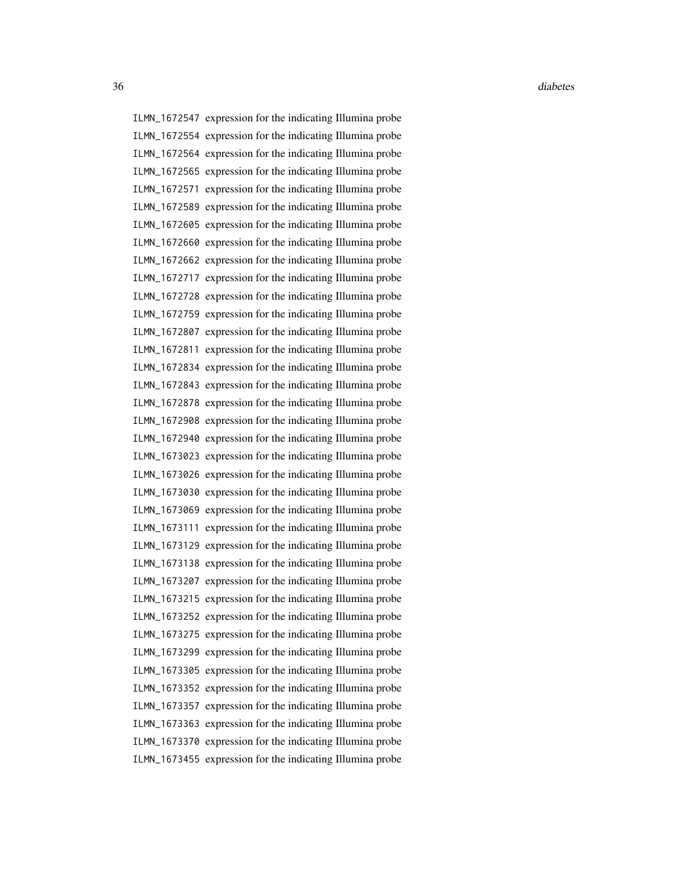ILMN\_1672547 expression for the indicating Illumina probe ILMN\_1672554 expression for the indicating Illumina probe ILMN\_1672564 expression for the indicating Illumina probe ILMN\_1672565 expression for the indicating Illumina probe ILMN\_1672571 expression for the indicating Illumina probe ILMN\_1672589 expression for the indicating Illumina probe ILMN\_1672605 expression for the indicating Illumina probe ILMN\_1672660 expression for the indicating Illumina probe ILMN\_1672662 expression for the indicating Illumina probe ILMN\_1672717 expression for the indicating Illumina probe ILMN\_1672728 expression for the indicating Illumina probe ILMN\_1672759 expression for the indicating Illumina probe ILMN\_1672807 expression for the indicating Illumina probe ILMN\_1672811 expression for the indicating Illumina probe ILMN\_1672834 expression for the indicating Illumina probe ILMN\_1672843 expression for the indicating Illumina probe ILMN\_1672878 expression for the indicating Illumina probe ILMN\_1672908 expression for the indicating Illumina probe ILMN\_1672940 expression for the indicating Illumina probe ILMN\_1673023 expression for the indicating Illumina probe ILMN\_1673026 expression for the indicating Illumina probe ILMN\_1673030 expression for the indicating Illumina probe ILMN\_1673069 expression for the indicating Illumina probe ILMN\_1673111 expression for the indicating Illumina probe ILMN\_1673129 expression for the indicating Illumina probe ILMN\_1673138 expression for the indicating Illumina probe ILMN\_1673207 expression for the indicating Illumina probe ILMN\_1673215 expression for the indicating Illumina probe ILMN\_1673252 expression for the indicating Illumina probe ILMN\_1673275 expression for the indicating Illumina probe ILMN\_1673299 expression for the indicating Illumina probe ILMN\_1673305 expression for the indicating Illumina probe ILMN\_1673352 expression for the indicating Illumina probe ILMN\_1673357 expression for the indicating Illumina probe ILMN\_1673363 expression for the indicating Illumina probe ILMN\_1673370 expression for the indicating Illumina probe ILMN\_1673455 expression for the indicating Illumina probe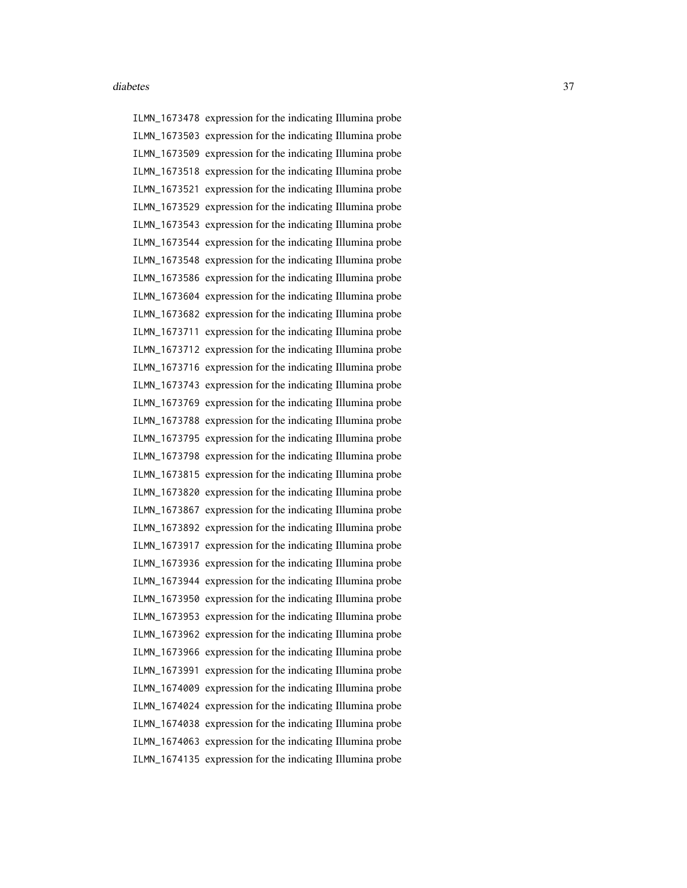ILMN\_1673478 expression for the indicating Illumina probe ILMN\_1673503 expression for the indicating Illumina probe ILMN\_1673509 expression for the indicating Illumina probe ILMN\_1673518 expression for the indicating Illumina probe ILMN\_1673521 expression for the indicating Illumina probe ILMN\_1673529 expression for the indicating Illumina probe ILMN\_1673543 expression for the indicating Illumina probe ILMN\_1673544 expression for the indicating Illumina probe ILMN\_1673548 expression for the indicating Illumina probe ILMN\_1673586 expression for the indicating Illumina probe ILMN\_1673604 expression for the indicating Illumina probe ILMN\_1673682 expression for the indicating Illumina probe ILMN\_1673711 expression for the indicating Illumina probe ILMN\_1673712 expression for the indicating Illumina probe ILMN\_1673716 expression for the indicating Illumina probe ILMN\_1673743 expression for the indicating Illumina probe ILMN\_1673769 expression for the indicating Illumina probe ILMN\_1673788 expression for the indicating Illumina probe ILMN\_1673795 expression for the indicating Illumina probe ILMN\_1673798 expression for the indicating Illumina probe ILMN\_1673815 expression for the indicating Illumina probe ILMN\_1673820 expression for the indicating Illumina probe ILMN\_1673867 expression for the indicating Illumina probe ILMN\_1673892 expression for the indicating Illumina probe ILMN\_1673917 expression for the indicating Illumina probe ILMN\_1673936 expression for the indicating Illumina probe ILMN\_1673944 expression for the indicating Illumina probe ILMN\_1673950 expression for the indicating Illumina probe ILMN\_1673953 expression for the indicating Illumina probe ILMN\_1673962 expression for the indicating Illumina probe ILMN\_1673966 expression for the indicating Illumina probe ILMN\_1673991 expression for the indicating Illumina probe ILMN\_1674009 expression for the indicating Illumina probe ILMN\_1674024 expression for the indicating Illumina probe ILMN\_1674038 expression for the indicating Illumina probe ILMN\_1674063 expression for the indicating Illumina probe ILMN\_1674135 expression for the indicating Illumina probe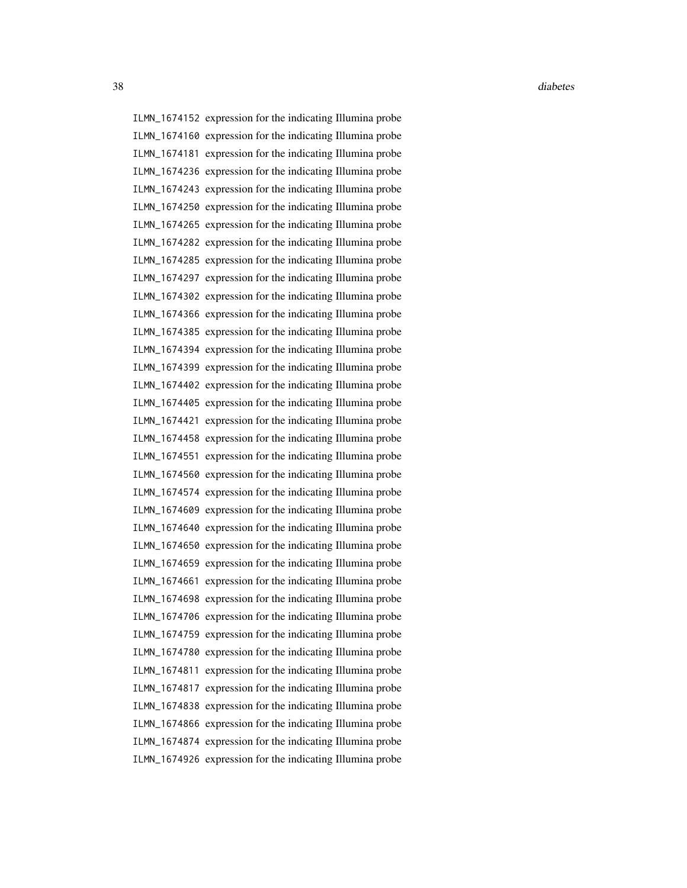ILMN\_1674152 expression for the indicating Illumina probe ILMN\_1674160 expression for the indicating Illumina probe ILMN\_1674181 expression for the indicating Illumina probe ILMN\_1674236 expression for the indicating Illumina probe ILMN\_1674243 expression for the indicating Illumina probe ILMN\_1674250 expression for the indicating Illumina probe ILMN\_1674265 expression for the indicating Illumina probe ILMN\_1674282 expression for the indicating Illumina probe ILMN\_1674285 expression for the indicating Illumina probe ILMN\_1674297 expression for the indicating Illumina probe ILMN\_1674302 expression for the indicating Illumina probe ILMN\_1674366 expression for the indicating Illumina probe ILMN\_1674385 expression for the indicating Illumina probe ILMN\_1674394 expression for the indicating Illumina probe ILMN\_1674399 expression for the indicating Illumina probe ILMN\_1674402 expression for the indicating Illumina probe ILMN\_1674405 expression for the indicating Illumina probe ILMN\_1674421 expression for the indicating Illumina probe ILMN\_1674458 expression for the indicating Illumina probe ILMN\_1674551 expression for the indicating Illumina probe ILMN\_1674560 expression for the indicating Illumina probe ILMN\_1674574 expression for the indicating Illumina probe ILMN\_1674609 expression for the indicating Illumina probe ILMN\_1674640 expression for the indicating Illumina probe ILMN\_1674650 expression for the indicating Illumina probe ILMN\_1674659 expression for the indicating Illumina probe ILMN\_1674661 expression for the indicating Illumina probe ILMN\_1674698 expression for the indicating Illumina probe ILMN\_1674706 expression for the indicating Illumina probe ILMN\_1674759 expression for the indicating Illumina probe ILMN\_1674780 expression for the indicating Illumina probe ILMN\_1674811 expression for the indicating Illumina probe ILMN\_1674817 expression for the indicating Illumina probe ILMN\_1674838 expression for the indicating Illumina probe ILMN\_1674866 expression for the indicating Illumina probe ILMN\_1674874 expression for the indicating Illumina probe ILMN\_1674926 expression for the indicating Illumina probe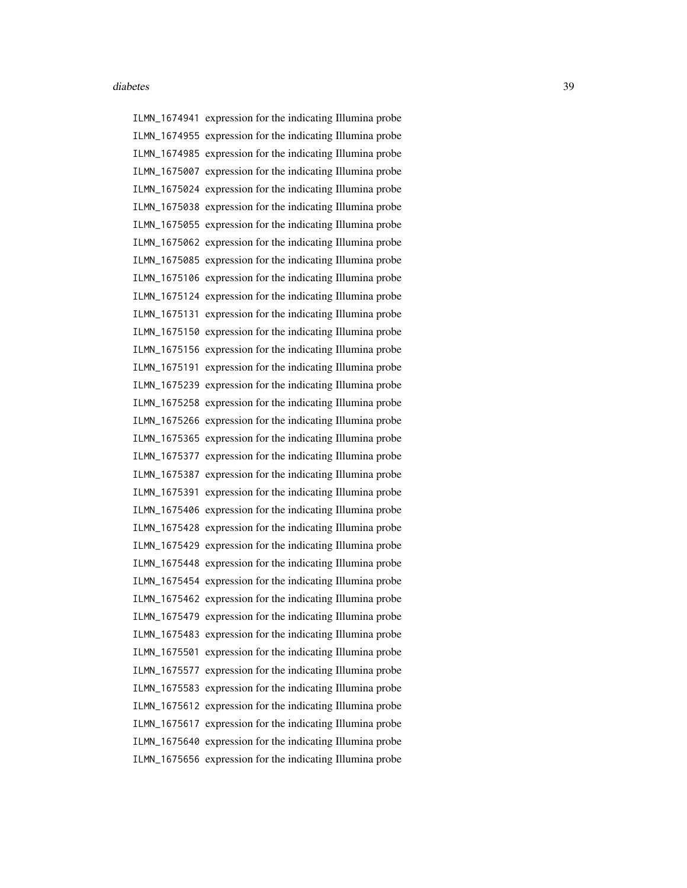ILMN\_1674941 expression for the indicating Illumina probe ILMN\_1674955 expression for the indicating Illumina probe ILMN\_1674985 expression for the indicating Illumina probe ILMN\_1675007 expression for the indicating Illumina probe ILMN\_1675024 expression for the indicating Illumina probe ILMN\_1675038 expression for the indicating Illumina probe ILMN\_1675055 expression for the indicating Illumina probe ILMN\_1675062 expression for the indicating Illumina probe ILMN\_1675085 expression for the indicating Illumina probe ILMN\_1675106 expression for the indicating Illumina probe ILMN\_1675124 expression for the indicating Illumina probe ILMN\_1675131 expression for the indicating Illumina probe ILMN\_1675150 expression for the indicating Illumina probe ILMN\_1675156 expression for the indicating Illumina probe ILMN\_1675191 expression for the indicating Illumina probe ILMN\_1675239 expression for the indicating Illumina probe ILMN\_1675258 expression for the indicating Illumina probe ILMN\_1675266 expression for the indicating Illumina probe ILMN\_1675365 expression for the indicating Illumina probe ILMN\_1675377 expression for the indicating Illumina probe ILMN\_1675387 expression for the indicating Illumina probe ILMN\_1675391 expression for the indicating Illumina probe ILMN\_1675406 expression for the indicating Illumina probe ILMN\_1675428 expression for the indicating Illumina probe ILMN\_1675429 expression for the indicating Illumina probe ILMN\_1675448 expression for the indicating Illumina probe ILMN\_1675454 expression for the indicating Illumina probe ILMN\_1675462 expression for the indicating Illumina probe ILMN\_1675479 expression for the indicating Illumina probe ILMN\_1675483 expression for the indicating Illumina probe ILMN\_1675501 expression for the indicating Illumina probe ILMN\_1675577 expression for the indicating Illumina probe ILMN\_1675583 expression for the indicating Illumina probe ILMN\_1675612 expression for the indicating Illumina probe ILMN\_1675617 expression for the indicating Illumina probe ILMN\_1675640 expression for the indicating Illumina probe ILMN\_1675656 expression for the indicating Illumina probe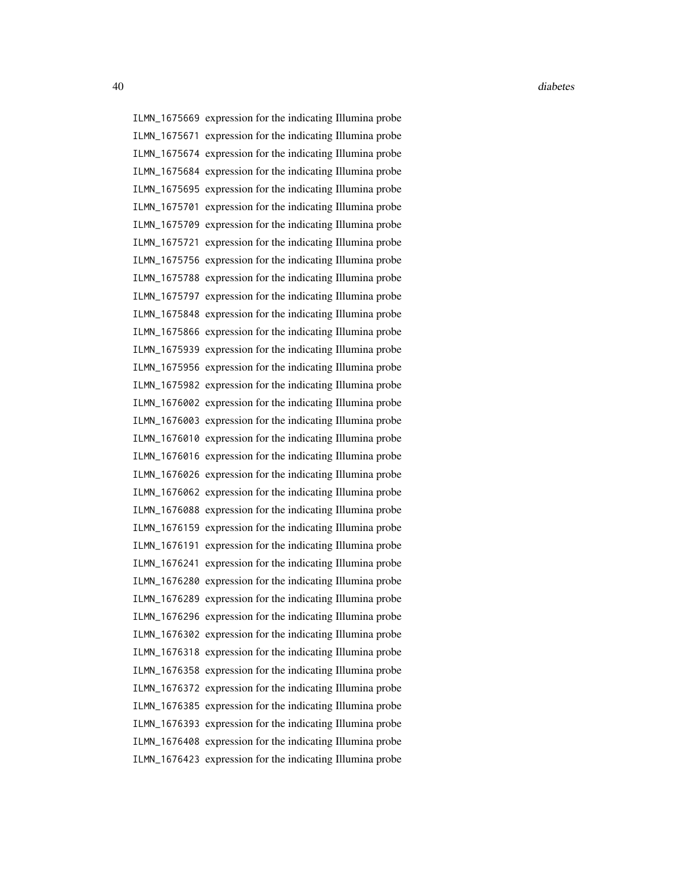ILMN\_1675669 expression for the indicating Illumina probe ILMN\_1675671 expression for the indicating Illumina probe ILMN\_1675674 expression for the indicating Illumina probe ILMN\_1675684 expression for the indicating Illumina probe ILMN\_1675695 expression for the indicating Illumina probe ILMN\_1675701 expression for the indicating Illumina probe ILMN\_1675709 expression for the indicating Illumina probe ILMN\_1675721 expression for the indicating Illumina probe ILMN\_1675756 expression for the indicating Illumina probe ILMN\_1675788 expression for the indicating Illumina probe ILMN\_1675797 expression for the indicating Illumina probe ILMN\_1675848 expression for the indicating Illumina probe ILMN\_1675866 expression for the indicating Illumina probe ILMN\_1675939 expression for the indicating Illumina probe ILMN\_1675956 expression for the indicating Illumina probe ILMN\_1675982 expression for the indicating Illumina probe ILMN\_1676002 expression for the indicating Illumina probe ILMN\_1676003 expression for the indicating Illumina probe ILMN\_1676010 expression for the indicating Illumina probe ILMN\_1676016 expression for the indicating Illumina probe ILMN\_1676026 expression for the indicating Illumina probe ILMN\_1676062 expression for the indicating Illumina probe ILMN\_1676088 expression for the indicating Illumina probe ILMN\_1676159 expression for the indicating Illumina probe ILMN\_1676191 expression for the indicating Illumina probe ILMN\_1676241 expression for the indicating Illumina probe ILMN\_1676280 expression for the indicating Illumina probe ILMN\_1676289 expression for the indicating Illumina probe ILMN\_1676296 expression for the indicating Illumina probe ILMN\_1676302 expression for the indicating Illumina probe ILMN\_1676318 expression for the indicating Illumina probe ILMN\_1676358 expression for the indicating Illumina probe ILMN\_1676372 expression for the indicating Illumina probe ILMN\_1676385 expression for the indicating Illumina probe ILMN\_1676393 expression for the indicating Illumina probe ILMN\_1676408 expression for the indicating Illumina probe ILMN\_1676423 expression for the indicating Illumina probe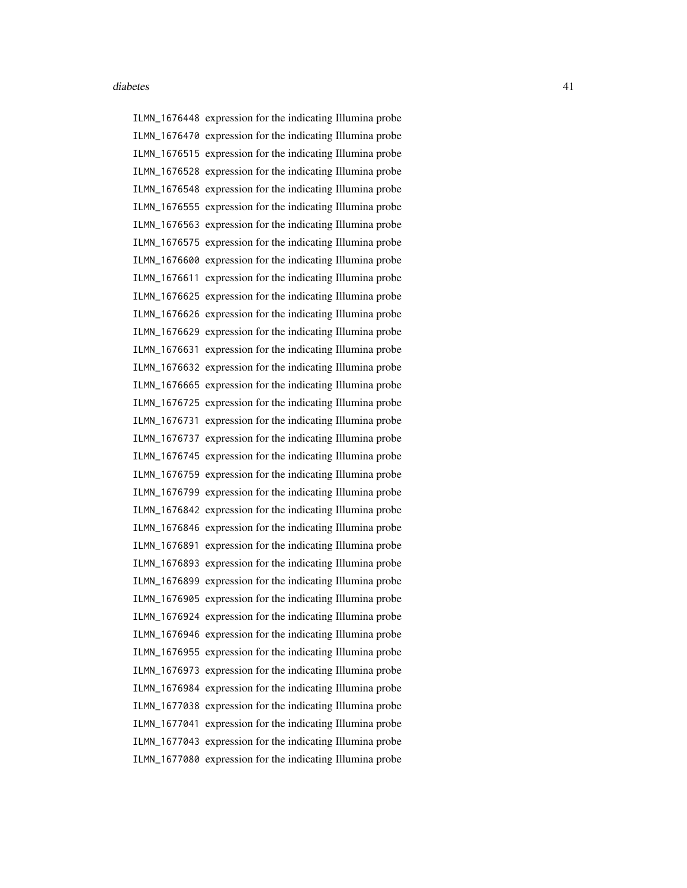ILMN\_1676448 expression for the indicating Illumina probe ILMN\_1676470 expression for the indicating Illumina probe ILMN\_1676515 expression for the indicating Illumina probe ILMN\_1676528 expression for the indicating Illumina probe ILMN\_1676548 expression for the indicating Illumina probe ILMN\_1676555 expression for the indicating Illumina probe ILMN\_1676563 expression for the indicating Illumina probe ILMN\_1676575 expression for the indicating Illumina probe ILMN\_1676600 expression for the indicating Illumina probe ILMN\_1676611 expression for the indicating Illumina probe ILMN\_1676625 expression for the indicating Illumina probe ILMN\_1676626 expression for the indicating Illumina probe ILMN\_1676629 expression for the indicating Illumina probe ILMN\_1676631 expression for the indicating Illumina probe ILMN\_1676632 expression for the indicating Illumina probe ILMN\_1676665 expression for the indicating Illumina probe ILMN\_1676725 expression for the indicating Illumina probe ILMN\_1676731 expression for the indicating Illumina probe ILMN\_1676737 expression for the indicating Illumina probe ILMN\_1676745 expression for the indicating Illumina probe ILMN\_1676759 expression for the indicating Illumina probe ILMN\_1676799 expression for the indicating Illumina probe ILMN\_1676842 expression for the indicating Illumina probe ILMN\_1676846 expression for the indicating Illumina probe ILMN\_1676891 expression for the indicating Illumina probe ILMN\_1676893 expression for the indicating Illumina probe ILMN\_1676899 expression for the indicating Illumina probe ILMN\_1676905 expression for the indicating Illumina probe ILMN\_1676924 expression for the indicating Illumina probe ILMN\_1676946 expression for the indicating Illumina probe ILMN\_1676955 expression for the indicating Illumina probe ILMN\_1676973 expression for the indicating Illumina probe ILMN\_1676984 expression for the indicating Illumina probe ILMN\_1677038 expression for the indicating Illumina probe ILMN\_1677041 expression for the indicating Illumina probe ILMN\_1677043 expression for the indicating Illumina probe ILMN\_1677080 expression for the indicating Illumina probe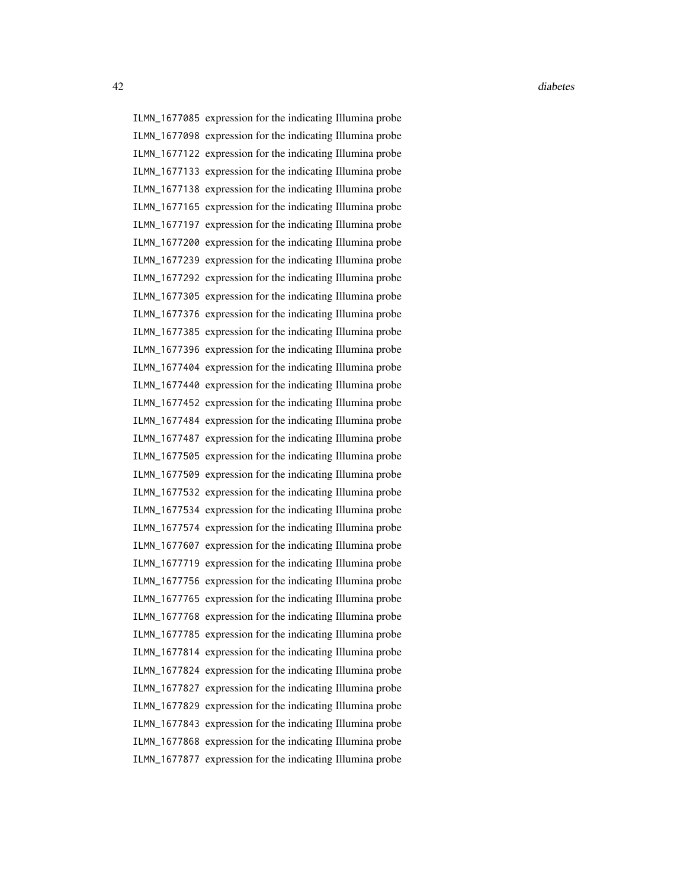ILMN\_1677085 expression for the indicating Illumina probe ILMN\_1677098 expression for the indicating Illumina probe ILMN\_1677122 expression for the indicating Illumina probe ILMN\_1677133 expression for the indicating Illumina probe ILMN\_1677138 expression for the indicating Illumina probe ILMN\_1677165 expression for the indicating Illumina probe ILMN\_1677197 expression for the indicating Illumina probe ILMN\_1677200 expression for the indicating Illumina probe ILMN\_1677239 expression for the indicating Illumina probe ILMN\_1677292 expression for the indicating Illumina probe ILMN\_1677305 expression for the indicating Illumina probe ILMN\_1677376 expression for the indicating Illumina probe ILMN\_1677385 expression for the indicating Illumina probe ILMN\_1677396 expression for the indicating Illumina probe ILMN\_1677404 expression for the indicating Illumina probe ILMN\_1677440 expression for the indicating Illumina probe ILMN\_1677452 expression for the indicating Illumina probe ILMN\_1677484 expression for the indicating Illumina probe ILMN\_1677487 expression for the indicating Illumina probe ILMN\_1677505 expression for the indicating Illumina probe ILMN\_1677509 expression for the indicating Illumina probe ILMN\_1677532 expression for the indicating Illumina probe ILMN\_1677534 expression for the indicating Illumina probe ILMN\_1677574 expression for the indicating Illumina probe ILMN\_1677607 expression for the indicating Illumina probe ILMN\_1677719 expression for the indicating Illumina probe ILMN\_1677756 expression for the indicating Illumina probe ILMN\_1677765 expression for the indicating Illumina probe ILMN\_1677768 expression for the indicating Illumina probe ILMN\_1677785 expression for the indicating Illumina probe ILMN\_1677814 expression for the indicating Illumina probe ILMN\_1677824 expression for the indicating Illumina probe ILMN\_1677827 expression for the indicating Illumina probe ILMN\_1677829 expression for the indicating Illumina probe ILMN\_1677843 expression for the indicating Illumina probe ILMN\_1677868 expression for the indicating Illumina probe ILMN\_1677877 expression for the indicating Illumina probe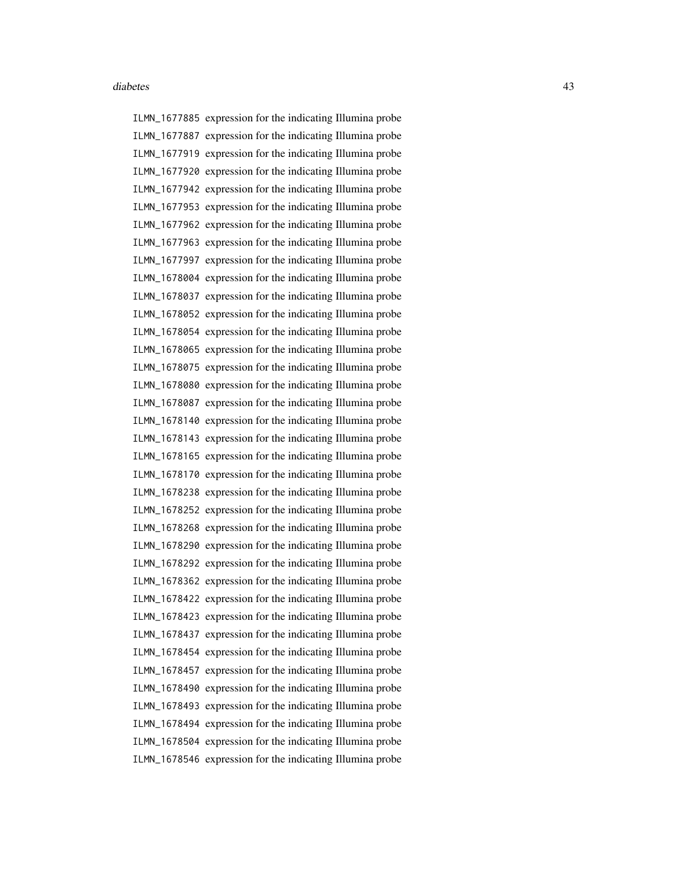ILMN\_1677885 expression for the indicating Illumina probe ILMN\_1677887 expression for the indicating Illumina probe ILMN\_1677919 expression for the indicating Illumina probe ILMN\_1677920 expression for the indicating Illumina probe ILMN\_1677942 expression for the indicating Illumina probe ILMN\_1677953 expression for the indicating Illumina probe ILMN\_1677962 expression for the indicating Illumina probe ILMN\_1677963 expression for the indicating Illumina probe ILMN\_1677997 expression for the indicating Illumina probe ILMN\_1678004 expression for the indicating Illumina probe ILMN\_1678037 expression for the indicating Illumina probe ILMN\_1678052 expression for the indicating Illumina probe ILMN\_1678054 expression for the indicating Illumina probe ILMN\_1678065 expression for the indicating Illumina probe ILMN\_1678075 expression for the indicating Illumina probe ILMN\_1678080 expression for the indicating Illumina probe ILMN\_1678087 expression for the indicating Illumina probe ILMN\_1678140 expression for the indicating Illumina probe ILMN\_1678143 expression for the indicating Illumina probe ILMN\_1678165 expression for the indicating Illumina probe ILMN\_1678170 expression for the indicating Illumina probe ILMN\_1678238 expression for the indicating Illumina probe ILMN\_1678252 expression for the indicating Illumina probe ILMN\_1678268 expression for the indicating Illumina probe ILMN\_1678290 expression for the indicating Illumina probe ILMN\_1678292 expression for the indicating Illumina probe ILMN\_1678362 expression for the indicating Illumina probe ILMN\_1678422 expression for the indicating Illumina probe ILMN\_1678423 expression for the indicating Illumina probe ILMN\_1678437 expression for the indicating Illumina probe ILMN\_1678454 expression for the indicating Illumina probe ILMN\_1678457 expression for the indicating Illumina probe ILMN\_1678490 expression for the indicating Illumina probe ILMN\_1678493 expression for the indicating Illumina probe ILMN\_1678494 expression for the indicating Illumina probe ILMN\_1678504 expression for the indicating Illumina probe ILMN\_1678546 expression for the indicating Illumina probe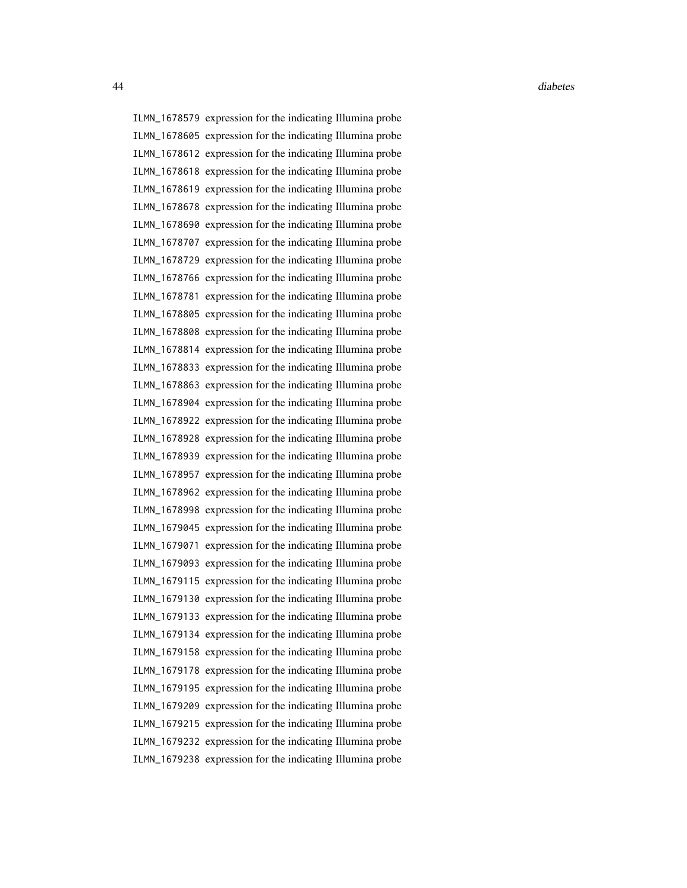ILMN\_1678579 expression for the indicating Illumina probe ILMN\_1678605 expression for the indicating Illumina probe ILMN\_1678612 expression for the indicating Illumina probe ILMN\_1678618 expression for the indicating Illumina probe ILMN\_1678619 expression for the indicating Illumina probe ILMN\_1678678 expression for the indicating Illumina probe ILMN\_1678690 expression for the indicating Illumina probe ILMN\_1678707 expression for the indicating Illumina probe ILMN\_1678729 expression for the indicating Illumina probe ILMN\_1678766 expression for the indicating Illumina probe ILMN\_1678781 expression for the indicating Illumina probe ILMN\_1678805 expression for the indicating Illumina probe ILMN\_1678808 expression for the indicating Illumina probe ILMN\_1678814 expression for the indicating Illumina probe ILMN\_1678833 expression for the indicating Illumina probe ILMN\_1678863 expression for the indicating Illumina probe ILMN\_1678904 expression for the indicating Illumina probe ILMN\_1678922 expression for the indicating Illumina probe ILMN\_1678928 expression for the indicating Illumina probe ILMN\_1678939 expression for the indicating Illumina probe ILMN\_1678957 expression for the indicating Illumina probe ILMN\_1678962 expression for the indicating Illumina probe ILMN\_1678998 expression for the indicating Illumina probe ILMN\_1679045 expression for the indicating Illumina probe ILMN\_1679071 expression for the indicating Illumina probe ILMN\_1679093 expression for the indicating Illumina probe ILMN\_1679115 expression for the indicating Illumina probe ILMN\_1679130 expression for the indicating Illumina probe ILMN\_1679133 expression for the indicating Illumina probe ILMN\_1679134 expression for the indicating Illumina probe ILMN\_1679158 expression for the indicating Illumina probe ILMN\_1679178 expression for the indicating Illumina probe ILMN\_1679195 expression for the indicating Illumina probe ILMN\_1679209 expression for the indicating Illumina probe ILMN\_1679215 expression for the indicating Illumina probe ILMN\_1679232 expression for the indicating Illumina probe ILMN\_1679238 expression for the indicating Illumina probe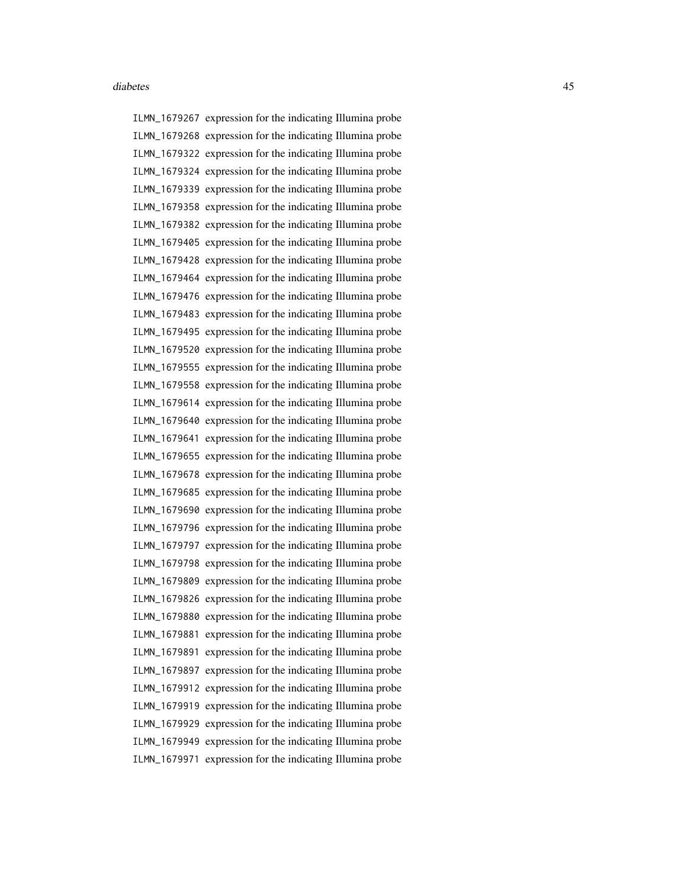ILMN\_1679267 expression for the indicating Illumina probe ILMN\_1679268 expression for the indicating Illumina probe ILMN\_1679322 expression for the indicating Illumina probe ILMN\_1679324 expression for the indicating Illumina probe ILMN\_1679339 expression for the indicating Illumina probe ILMN\_1679358 expression for the indicating Illumina probe ILMN\_1679382 expression for the indicating Illumina probe ILMN\_1679405 expression for the indicating Illumina probe ILMN\_1679428 expression for the indicating Illumina probe ILMN\_1679464 expression for the indicating Illumina probe ILMN\_1679476 expression for the indicating Illumina probe ILMN\_1679483 expression for the indicating Illumina probe ILMN\_1679495 expression for the indicating Illumina probe ILMN\_1679520 expression for the indicating Illumina probe ILMN\_1679555 expression for the indicating Illumina probe ILMN\_1679558 expression for the indicating Illumina probe ILMN\_1679614 expression for the indicating Illumina probe ILMN\_1679640 expression for the indicating Illumina probe ILMN\_1679641 expression for the indicating Illumina probe ILMN\_1679655 expression for the indicating Illumina probe ILMN\_1679678 expression for the indicating Illumina probe ILMN\_1679685 expression for the indicating Illumina probe ILMN\_1679690 expression for the indicating Illumina probe ILMN\_1679796 expression for the indicating Illumina probe ILMN\_1679797 expression for the indicating Illumina probe ILMN\_1679798 expression for the indicating Illumina probe ILMN\_1679809 expression for the indicating Illumina probe ILMN\_1679826 expression for the indicating Illumina probe ILMN\_1679880 expression for the indicating Illumina probe ILMN\_1679881 expression for the indicating Illumina probe ILMN\_1679891 expression for the indicating Illumina probe ILMN\_1679897 expression for the indicating Illumina probe ILMN\_1679912 expression for the indicating Illumina probe ILMN\_1679919 expression for the indicating Illumina probe ILMN\_1679929 expression for the indicating Illumina probe ILMN\_1679949 expression for the indicating Illumina probe ILMN\_1679971 expression for the indicating Illumina probe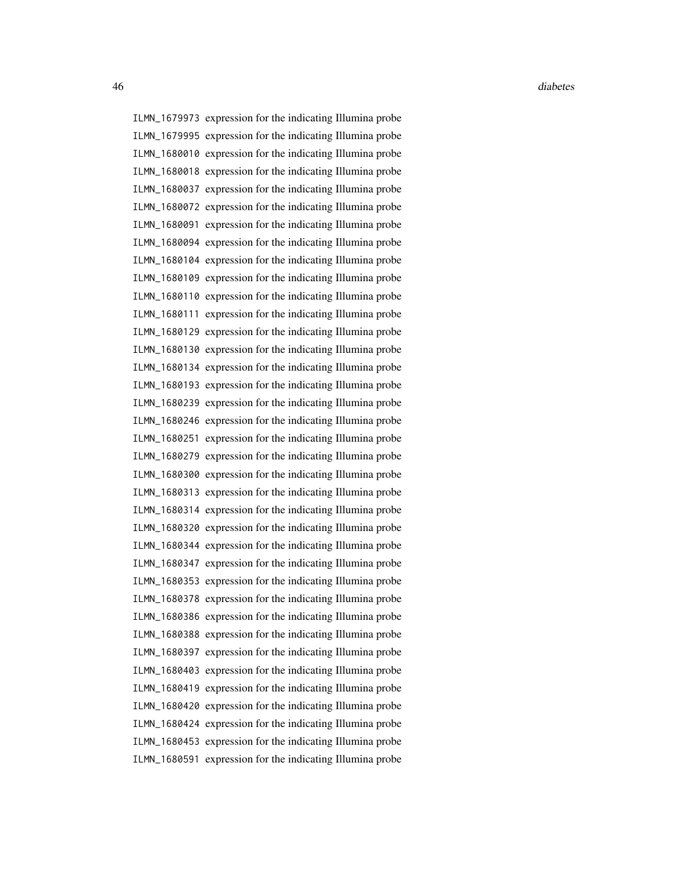46 diabetes diabetes diabetes diabetes diabetes diabetes diabetes diabetes diabetes diabetes diabetes diabetes

ILMN\_1679973 expression for the indicating Illumina probe ILMN\_1679995 expression for the indicating Illumina probe ILMN\_1680010 expression for the indicating Illumina probe ILMN\_1680018 expression for the indicating Illumina probe ILMN\_1680037 expression for the indicating Illumina probe ILMN\_1680072 expression for the indicating Illumina probe ILMN\_1680091 expression for the indicating Illumina probe ILMN\_1680094 expression for the indicating Illumina probe ILMN\_1680104 expression for the indicating Illumina probe ILMN\_1680109 expression for the indicating Illumina probe ILMN\_1680110 expression for the indicating Illumina probe ILMN\_1680111 expression for the indicating Illumina probe ILMN\_1680129 expression for the indicating Illumina probe ILMN\_1680130 expression for the indicating Illumina probe ILMN\_1680134 expression for the indicating Illumina probe ILMN\_1680193 expression for the indicating Illumina probe ILMN\_1680239 expression for the indicating Illumina probe ILMN\_1680246 expression for the indicating Illumina probe ILMN\_1680251 expression for the indicating Illumina probe ILMN\_1680279 expression for the indicating Illumina probe ILMN\_1680300 expression for the indicating Illumina probe ILMN\_1680313 expression for the indicating Illumina probe ILMN\_1680314 expression for the indicating Illumina probe ILMN\_1680320 expression for the indicating Illumina probe ILMN\_1680344 expression for the indicating Illumina probe ILMN\_1680347 expression for the indicating Illumina probe ILMN\_1680353 expression for the indicating Illumina probe ILMN\_1680378 expression for the indicating Illumina probe ILMN\_1680386 expression for the indicating Illumina probe ILMN\_1680388 expression for the indicating Illumina probe ILMN\_1680397 expression for the indicating Illumina probe ILMN\_1680403 expression for the indicating Illumina probe ILMN\_1680419 expression for the indicating Illumina probe ILMN\_1680420 expression for the indicating Illumina probe ILMN\_1680424 expression for the indicating Illumina probe ILMN\_1680453 expression for the indicating Illumina probe ILMN\_1680591 expression for the indicating Illumina probe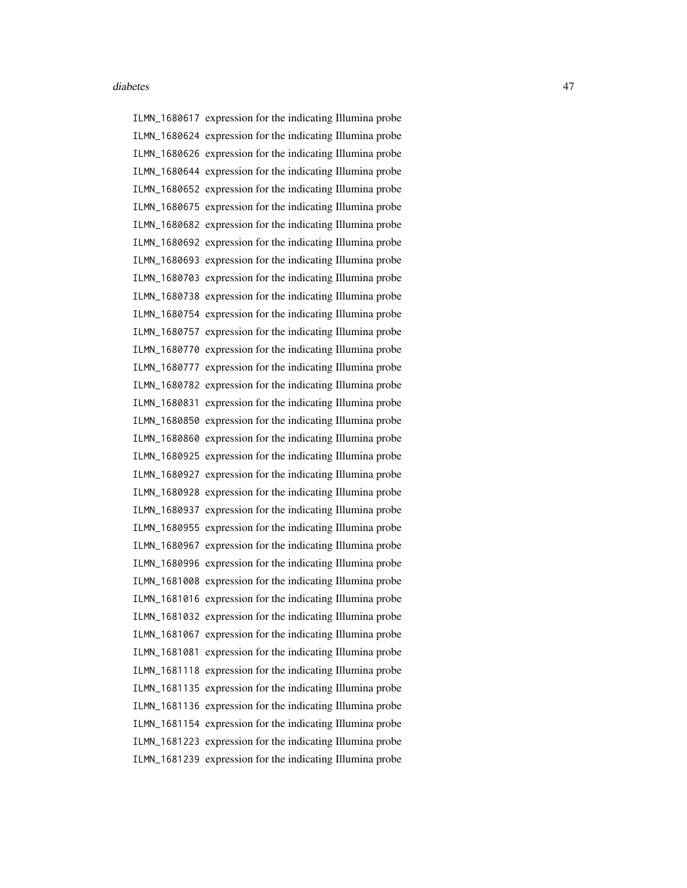ILMN\_1680617 expression for the indicating Illumina probe ILMN\_1680624 expression for the indicating Illumina probe ILMN\_1680626 expression for the indicating Illumina probe ILMN\_1680644 expression for the indicating Illumina probe ILMN\_1680652 expression for the indicating Illumina probe ILMN\_1680675 expression for the indicating Illumina probe ILMN\_1680682 expression for the indicating Illumina probe ILMN\_1680692 expression for the indicating Illumina probe ILMN\_1680693 expression for the indicating Illumina probe ILMN\_1680703 expression for the indicating Illumina probe ILMN\_1680738 expression for the indicating Illumina probe ILMN\_1680754 expression for the indicating Illumina probe ILMN\_1680757 expression for the indicating Illumina probe ILMN\_1680770 expression for the indicating Illumina probe ILMN\_1680777 expression for the indicating Illumina probe ILMN\_1680782 expression for the indicating Illumina probe ILMN\_1680831 expression for the indicating Illumina probe ILMN\_1680850 expression for the indicating Illumina probe ILMN\_1680860 expression for the indicating Illumina probe ILMN\_1680925 expression for the indicating Illumina probe ILMN\_1680927 expression for the indicating Illumina probe ILMN\_1680928 expression for the indicating Illumina probe ILMN\_1680937 expression for the indicating Illumina probe ILMN\_1680955 expression for the indicating Illumina probe ILMN\_1680967 expression for the indicating Illumina probe ILMN\_1680996 expression for the indicating Illumina probe ILMN\_1681008 expression for the indicating Illumina probe ILMN\_1681016 expression for the indicating Illumina probe ILMN\_1681032 expression for the indicating Illumina probe ILMN\_1681067 expression for the indicating Illumina probe ILMN\_1681081 expression for the indicating Illumina probe ILMN\_1681118 expression for the indicating Illumina probe ILMN\_1681135 expression for the indicating Illumina probe ILMN\_1681136 expression for the indicating Illumina probe ILMN\_1681154 expression for the indicating Illumina probe ILMN\_1681223 expression for the indicating Illumina probe ILMN\_1681239 expression for the indicating Illumina probe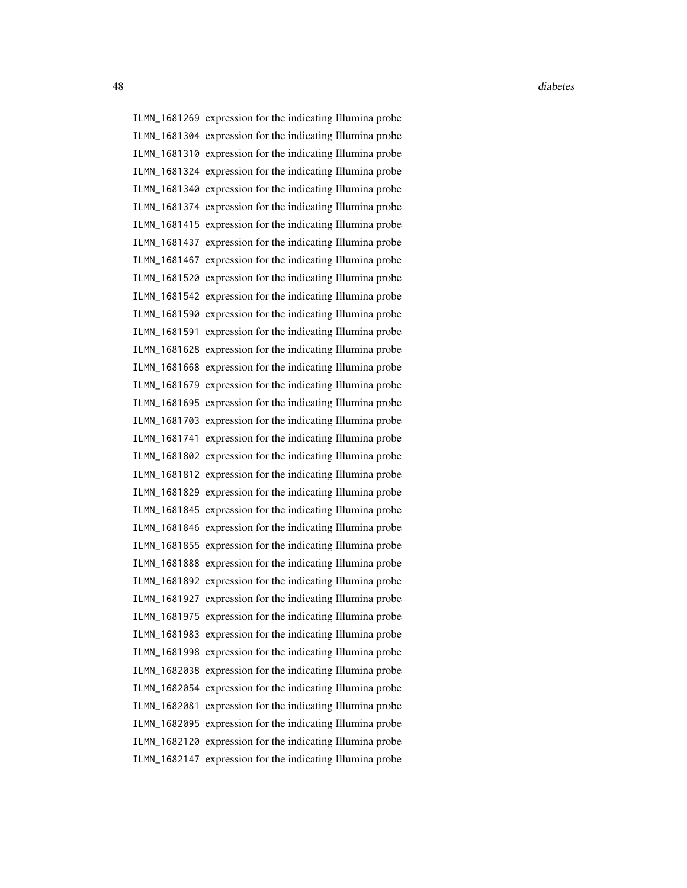ILMN\_1681269 expression for the indicating Illumina probe ILMN\_1681304 expression for the indicating Illumina probe ILMN\_1681310 expression for the indicating Illumina probe ILMN\_1681324 expression for the indicating Illumina probe ILMN\_1681340 expression for the indicating Illumina probe ILMN\_1681374 expression for the indicating Illumina probe ILMN\_1681415 expression for the indicating Illumina probe ILMN\_1681437 expression for the indicating Illumina probe ILMN\_1681467 expression for the indicating Illumina probe ILMN\_1681520 expression for the indicating Illumina probe ILMN\_1681542 expression for the indicating Illumina probe ILMN\_1681590 expression for the indicating Illumina probe ILMN\_1681591 expression for the indicating Illumina probe ILMN\_1681628 expression for the indicating Illumina probe ILMN\_1681668 expression for the indicating Illumina probe ILMN\_1681679 expression for the indicating Illumina probe ILMN\_1681695 expression for the indicating Illumina probe ILMN\_1681703 expression for the indicating Illumina probe ILMN\_1681741 expression for the indicating Illumina probe ILMN\_1681802 expression for the indicating Illumina probe ILMN\_1681812 expression for the indicating Illumina probe ILMN\_1681829 expression for the indicating Illumina probe ILMN\_1681845 expression for the indicating Illumina probe ILMN\_1681846 expression for the indicating Illumina probe ILMN\_1681855 expression for the indicating Illumina probe ILMN\_1681888 expression for the indicating Illumina probe ILMN\_1681892 expression for the indicating Illumina probe ILMN\_1681927 expression for the indicating Illumina probe ILMN\_1681975 expression for the indicating Illumina probe ILMN\_1681983 expression for the indicating Illumina probe ILMN\_1681998 expression for the indicating Illumina probe ILMN\_1682038 expression for the indicating Illumina probe ILMN\_1682054 expression for the indicating Illumina probe ILMN\_1682081 expression for the indicating Illumina probe ILMN\_1682095 expression for the indicating Illumina probe ILMN\_1682120 expression for the indicating Illumina probe ILMN\_1682147 expression for the indicating Illumina probe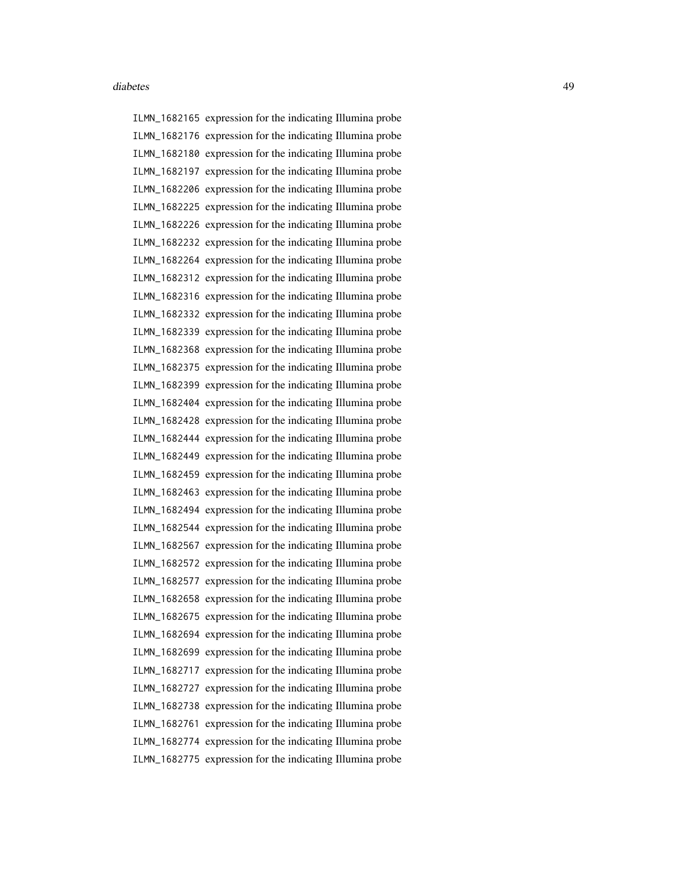ILMN\_1682165 expression for the indicating Illumina probe ILMN\_1682176 expression for the indicating Illumina probe ILMN\_1682180 expression for the indicating Illumina probe ILMN\_1682197 expression for the indicating Illumina probe ILMN\_1682206 expression for the indicating Illumina probe ILMN\_1682225 expression for the indicating Illumina probe ILMN\_1682226 expression for the indicating Illumina probe ILMN\_1682232 expression for the indicating Illumina probe ILMN\_1682264 expression for the indicating Illumina probe ILMN\_1682312 expression for the indicating Illumina probe ILMN\_1682316 expression for the indicating Illumina probe ILMN\_1682332 expression for the indicating Illumina probe ILMN\_1682339 expression for the indicating Illumina probe ILMN\_1682368 expression for the indicating Illumina probe ILMN\_1682375 expression for the indicating Illumina probe ILMN\_1682399 expression for the indicating Illumina probe ILMN\_1682404 expression for the indicating Illumina probe ILMN\_1682428 expression for the indicating Illumina probe ILMN\_1682444 expression for the indicating Illumina probe ILMN\_1682449 expression for the indicating Illumina probe ILMN\_1682459 expression for the indicating Illumina probe ILMN\_1682463 expression for the indicating Illumina probe ILMN\_1682494 expression for the indicating Illumina probe ILMN\_1682544 expression for the indicating Illumina probe ILMN\_1682567 expression for the indicating Illumina probe ILMN\_1682572 expression for the indicating Illumina probe ILMN\_1682577 expression for the indicating Illumina probe ILMN\_1682658 expression for the indicating Illumina probe ILMN\_1682675 expression for the indicating Illumina probe ILMN\_1682694 expression for the indicating Illumina probe ILMN\_1682699 expression for the indicating Illumina probe ILMN\_1682717 expression for the indicating Illumina probe ILMN\_1682727 expression for the indicating Illumina probe ILMN\_1682738 expression for the indicating Illumina probe ILMN\_1682761 expression for the indicating Illumina probe ILMN\_1682774 expression for the indicating Illumina probe ILMN\_1682775 expression for the indicating Illumina probe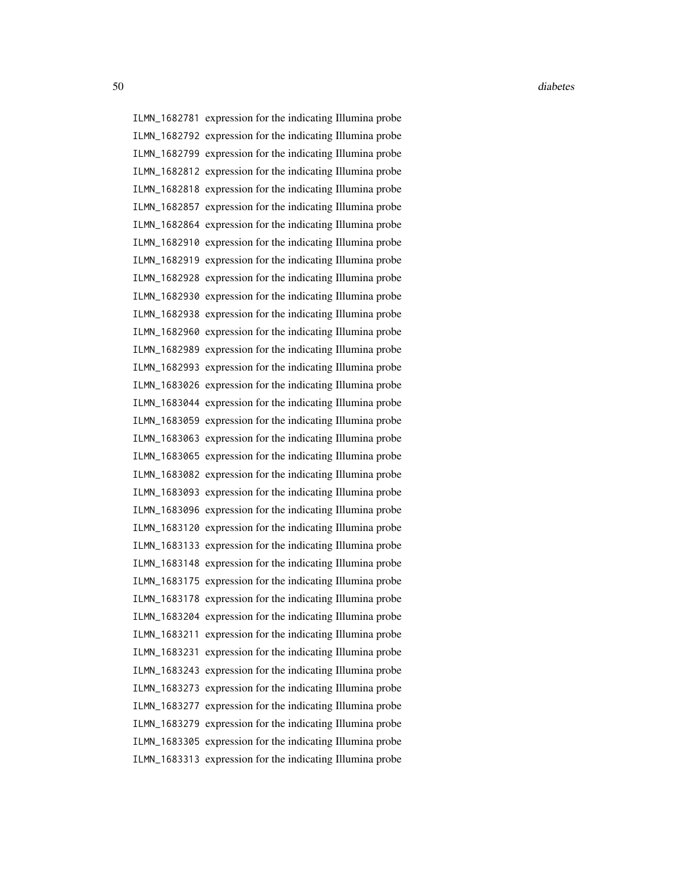ILMN\_1682781 expression for the indicating Illumina probe ILMN\_1682792 expression for the indicating Illumina probe ILMN\_1682799 expression for the indicating Illumina probe ILMN\_1682812 expression for the indicating Illumina probe ILMN\_1682818 expression for the indicating Illumina probe ILMN\_1682857 expression for the indicating Illumina probe ILMN\_1682864 expression for the indicating Illumina probe ILMN\_1682910 expression for the indicating Illumina probe ILMN\_1682919 expression for the indicating Illumina probe ILMN\_1682928 expression for the indicating Illumina probe ILMN\_1682930 expression for the indicating Illumina probe ILMN\_1682938 expression for the indicating Illumina probe ILMN\_1682960 expression for the indicating Illumina probe ILMN\_1682989 expression for the indicating Illumina probe ILMN\_1682993 expression for the indicating Illumina probe ILMN\_1683026 expression for the indicating Illumina probe ILMN\_1683044 expression for the indicating Illumina probe ILMN\_1683059 expression for the indicating Illumina probe ILMN\_1683063 expression for the indicating Illumina probe ILMN\_1683065 expression for the indicating Illumina probe ILMN\_1683082 expression for the indicating Illumina probe ILMN\_1683093 expression for the indicating Illumina probe ILMN\_1683096 expression for the indicating Illumina probe ILMN\_1683120 expression for the indicating Illumina probe ILMN\_1683133 expression for the indicating Illumina probe ILMN\_1683148 expression for the indicating Illumina probe ILMN\_1683175 expression for the indicating Illumina probe ILMN\_1683178 expression for the indicating Illumina probe ILMN\_1683204 expression for the indicating Illumina probe ILMN\_1683211 expression for the indicating Illumina probe ILMN\_1683231 expression for the indicating Illumina probe ILMN\_1683243 expression for the indicating Illumina probe ILMN\_1683273 expression for the indicating Illumina probe ILMN\_1683277 expression for the indicating Illumina probe ILMN\_1683279 expression for the indicating Illumina probe ILMN\_1683305 expression for the indicating Illumina probe ILMN\_1683313 expression for the indicating Illumina probe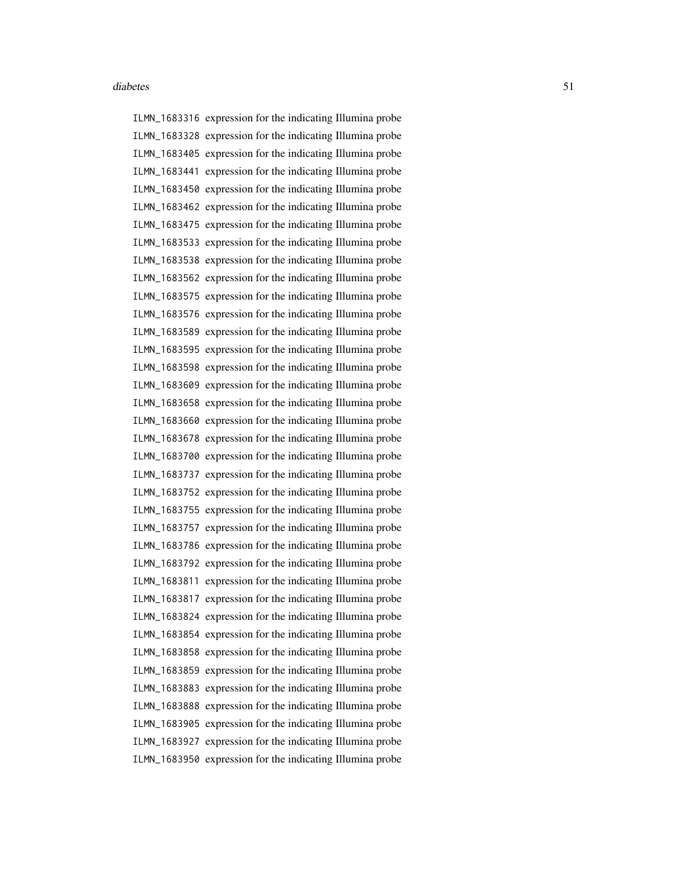ILMN\_1683316 expression for the indicating Illumina probe ILMN\_1683328 expression for the indicating Illumina probe ILMN\_1683405 expression for the indicating Illumina probe ILMN\_1683441 expression for the indicating Illumina probe ILMN\_1683450 expression for the indicating Illumina probe ILMN\_1683462 expression for the indicating Illumina probe ILMN\_1683475 expression for the indicating Illumina probe ILMN\_1683533 expression for the indicating Illumina probe ILMN\_1683538 expression for the indicating Illumina probe ILMN\_1683562 expression for the indicating Illumina probe ILMN\_1683575 expression for the indicating Illumina probe ILMN\_1683576 expression for the indicating Illumina probe ILMN\_1683589 expression for the indicating Illumina probe ILMN\_1683595 expression for the indicating Illumina probe ILMN\_1683598 expression for the indicating Illumina probe ILMN\_1683609 expression for the indicating Illumina probe ILMN\_1683658 expression for the indicating Illumina probe ILMN\_1683660 expression for the indicating Illumina probe ILMN\_1683678 expression for the indicating Illumina probe ILMN\_1683700 expression for the indicating Illumina probe ILMN\_1683737 expression for the indicating Illumina probe ILMN\_1683752 expression for the indicating Illumina probe ILMN\_1683755 expression for the indicating Illumina probe ILMN\_1683757 expression for the indicating Illumina probe ILMN\_1683786 expression for the indicating Illumina probe ILMN\_1683792 expression for the indicating Illumina probe ILMN\_1683811 expression for the indicating Illumina probe ILMN\_1683817 expression for the indicating Illumina probe ILMN\_1683824 expression for the indicating Illumina probe ILMN\_1683854 expression for the indicating Illumina probe ILMN\_1683858 expression for the indicating Illumina probe ILMN\_1683859 expression for the indicating Illumina probe ILMN\_1683883 expression for the indicating Illumina probe ILMN\_1683888 expression for the indicating Illumina probe ILMN\_1683905 expression for the indicating Illumina probe ILMN\_1683927 expression for the indicating Illumina probe ILMN\_1683950 expression for the indicating Illumina probe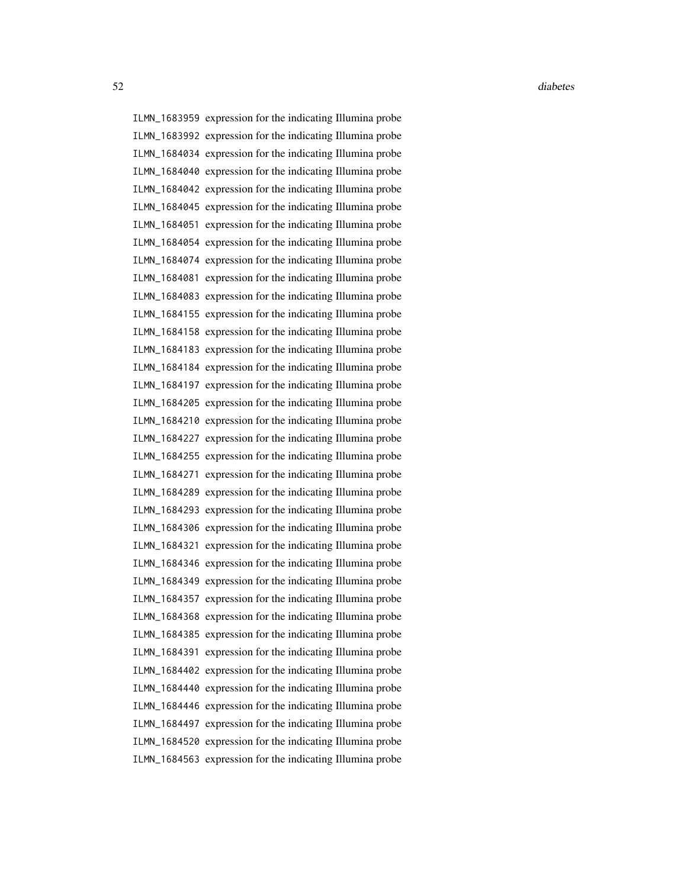ILMN\_1683959 expression for the indicating Illumina probe ILMN\_1683992 expression for the indicating Illumina probe ILMN\_1684034 expression for the indicating Illumina probe ILMN\_1684040 expression for the indicating Illumina probe ILMN\_1684042 expression for the indicating Illumina probe ILMN\_1684045 expression for the indicating Illumina probe ILMN\_1684051 expression for the indicating Illumina probe ILMN\_1684054 expression for the indicating Illumina probe ILMN\_1684074 expression for the indicating Illumina probe ILMN\_1684081 expression for the indicating Illumina probe ILMN\_1684083 expression for the indicating Illumina probe ILMN\_1684155 expression for the indicating Illumina probe ILMN\_1684158 expression for the indicating Illumina probe ILMN\_1684183 expression for the indicating Illumina probe ILMN\_1684184 expression for the indicating Illumina probe ILMN\_1684197 expression for the indicating Illumina probe ILMN\_1684205 expression for the indicating Illumina probe ILMN\_1684210 expression for the indicating Illumina probe ILMN\_1684227 expression for the indicating Illumina probe ILMN\_1684255 expression for the indicating Illumina probe ILMN\_1684271 expression for the indicating Illumina probe ILMN\_1684289 expression for the indicating Illumina probe ILMN\_1684293 expression for the indicating Illumina probe ILMN\_1684306 expression for the indicating Illumina probe ILMN\_1684321 expression for the indicating Illumina probe ILMN\_1684346 expression for the indicating Illumina probe ILMN\_1684349 expression for the indicating Illumina probe ILMN\_1684357 expression for the indicating Illumina probe ILMN\_1684368 expression for the indicating Illumina probe ILMN\_1684385 expression for the indicating Illumina probe ILMN\_1684391 expression for the indicating Illumina probe ILMN\_1684402 expression for the indicating Illumina probe ILMN\_1684440 expression for the indicating Illumina probe ILMN\_1684446 expression for the indicating Illumina probe ILMN\_1684497 expression for the indicating Illumina probe ILMN\_1684520 expression for the indicating Illumina probe ILMN\_1684563 expression for the indicating Illumina probe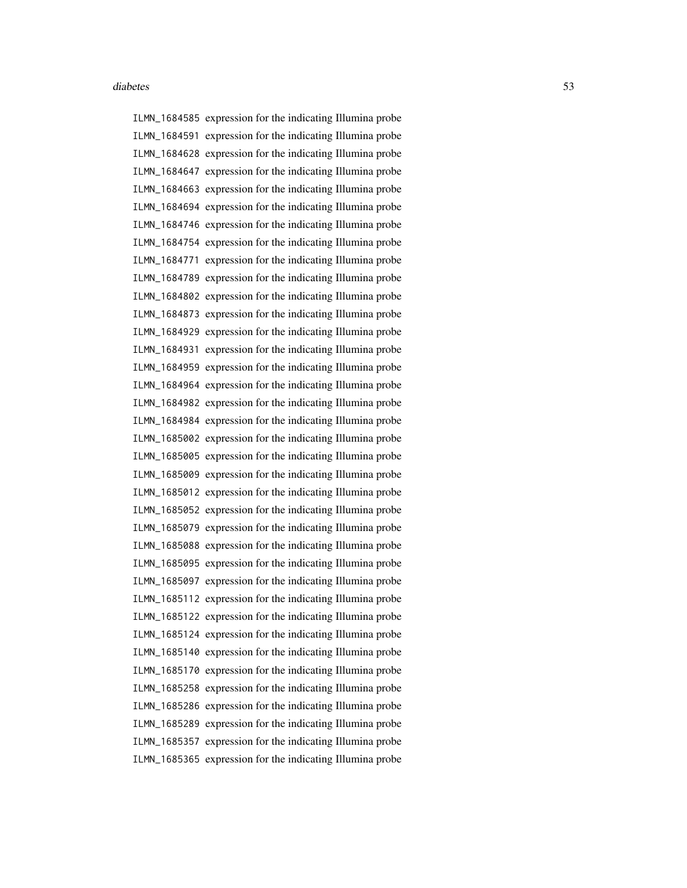ILMN\_1684585 expression for the indicating Illumina probe ILMN\_1684591 expression for the indicating Illumina probe ILMN\_1684628 expression for the indicating Illumina probe ILMN\_1684647 expression for the indicating Illumina probe ILMN\_1684663 expression for the indicating Illumina probe ILMN\_1684694 expression for the indicating Illumina probe ILMN\_1684746 expression for the indicating Illumina probe ILMN\_1684754 expression for the indicating Illumina probe ILMN\_1684771 expression for the indicating Illumina probe ILMN\_1684789 expression for the indicating Illumina probe ILMN\_1684802 expression for the indicating Illumina probe ILMN\_1684873 expression for the indicating Illumina probe ILMN\_1684929 expression for the indicating Illumina probe ILMN\_1684931 expression for the indicating Illumina probe ILMN\_1684959 expression for the indicating Illumina probe ILMN\_1684964 expression for the indicating Illumina probe ILMN\_1684982 expression for the indicating Illumina probe ILMN\_1684984 expression for the indicating Illumina probe ILMN\_1685002 expression for the indicating Illumina probe ILMN\_1685005 expression for the indicating Illumina probe ILMN\_1685009 expression for the indicating Illumina probe ILMN\_1685012 expression for the indicating Illumina probe ILMN\_1685052 expression for the indicating Illumina probe ILMN\_1685079 expression for the indicating Illumina probe ILMN\_1685088 expression for the indicating Illumina probe ILMN\_1685095 expression for the indicating Illumina probe ILMN\_1685097 expression for the indicating Illumina probe ILMN\_1685112 expression for the indicating Illumina probe ILMN\_1685122 expression for the indicating Illumina probe ILMN\_1685124 expression for the indicating Illumina probe ILMN\_1685140 expression for the indicating Illumina probe ILMN\_1685170 expression for the indicating Illumina probe ILMN\_1685258 expression for the indicating Illumina probe ILMN\_1685286 expression for the indicating Illumina probe ILMN\_1685289 expression for the indicating Illumina probe ILMN\_1685357 expression for the indicating Illumina probe ILMN\_1685365 expression for the indicating Illumina probe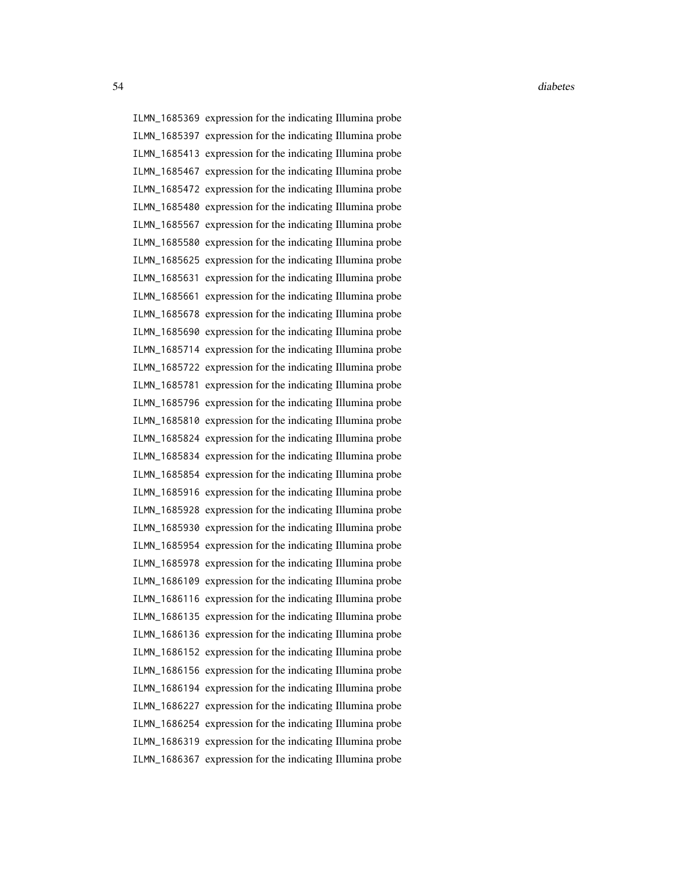ILMN\_1685369 expression for the indicating Illumina probe ILMN\_1685397 expression for the indicating Illumina probe ILMN\_1685413 expression for the indicating Illumina probe ILMN\_1685467 expression for the indicating Illumina probe ILMN\_1685472 expression for the indicating Illumina probe ILMN\_1685480 expression for the indicating Illumina probe ILMN\_1685567 expression for the indicating Illumina probe ILMN\_1685580 expression for the indicating Illumina probe ILMN\_1685625 expression for the indicating Illumina probe ILMN\_1685631 expression for the indicating Illumina probe ILMN\_1685661 expression for the indicating Illumina probe ILMN\_1685678 expression for the indicating Illumina probe ILMN\_1685690 expression for the indicating Illumina probe ILMN\_1685714 expression for the indicating Illumina probe ILMN\_1685722 expression for the indicating Illumina probe ILMN\_1685781 expression for the indicating Illumina probe ILMN\_1685796 expression for the indicating Illumina probe ILMN\_1685810 expression for the indicating Illumina probe ILMN\_1685824 expression for the indicating Illumina probe ILMN\_1685834 expression for the indicating Illumina probe ILMN\_1685854 expression for the indicating Illumina probe ILMN\_1685916 expression for the indicating Illumina probe ILMN\_1685928 expression for the indicating Illumina probe ILMN\_1685930 expression for the indicating Illumina probe ILMN\_1685954 expression for the indicating Illumina probe ILMN\_1685978 expression for the indicating Illumina probe ILMN\_1686109 expression for the indicating Illumina probe ILMN\_1686116 expression for the indicating Illumina probe ILMN\_1686135 expression for the indicating Illumina probe ILMN\_1686136 expression for the indicating Illumina probe ILMN\_1686152 expression for the indicating Illumina probe ILMN\_1686156 expression for the indicating Illumina probe ILMN\_1686194 expression for the indicating Illumina probe ILMN\_1686227 expression for the indicating Illumina probe ILMN\_1686254 expression for the indicating Illumina probe ILMN\_1686319 expression for the indicating Illumina probe ILMN\_1686367 expression for the indicating Illumina probe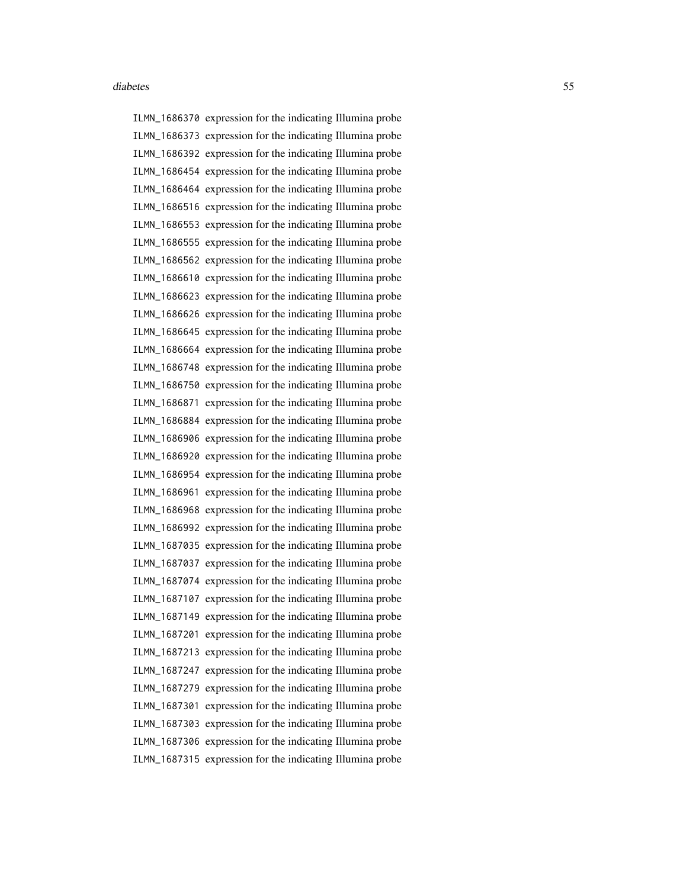ILMN\_1686370 expression for the indicating Illumina probe ILMN\_1686373 expression for the indicating Illumina probe ILMN\_1686392 expression for the indicating Illumina probe ILMN\_1686454 expression for the indicating Illumina probe ILMN\_1686464 expression for the indicating Illumina probe ILMN\_1686516 expression for the indicating Illumina probe ILMN\_1686553 expression for the indicating Illumina probe ILMN\_1686555 expression for the indicating Illumina probe ILMN\_1686562 expression for the indicating Illumina probe ILMN\_1686610 expression for the indicating Illumina probe ILMN\_1686623 expression for the indicating Illumina probe ILMN\_1686626 expression for the indicating Illumina probe ILMN\_1686645 expression for the indicating Illumina probe ILMN\_1686664 expression for the indicating Illumina probe ILMN\_1686748 expression for the indicating Illumina probe ILMN\_1686750 expression for the indicating Illumina probe ILMN\_1686871 expression for the indicating Illumina probe ILMN\_1686884 expression for the indicating Illumina probe ILMN\_1686906 expression for the indicating Illumina probe ILMN\_1686920 expression for the indicating Illumina probe ILMN\_1686954 expression for the indicating Illumina probe ILMN\_1686961 expression for the indicating Illumina probe ILMN\_1686968 expression for the indicating Illumina probe ILMN\_1686992 expression for the indicating Illumina probe ILMN\_1687035 expression for the indicating Illumina probe ILMN\_1687037 expression for the indicating Illumina probe ILMN\_1687074 expression for the indicating Illumina probe ILMN\_1687107 expression for the indicating Illumina probe ILMN\_1687149 expression for the indicating Illumina probe ILMN\_1687201 expression for the indicating Illumina probe ILMN\_1687213 expression for the indicating Illumina probe ILMN\_1687247 expression for the indicating Illumina probe ILMN\_1687279 expression for the indicating Illumina probe ILMN\_1687301 expression for the indicating Illumina probe ILMN\_1687303 expression for the indicating Illumina probe ILMN\_1687306 expression for the indicating Illumina probe ILMN\_1687315 expression for the indicating Illumina probe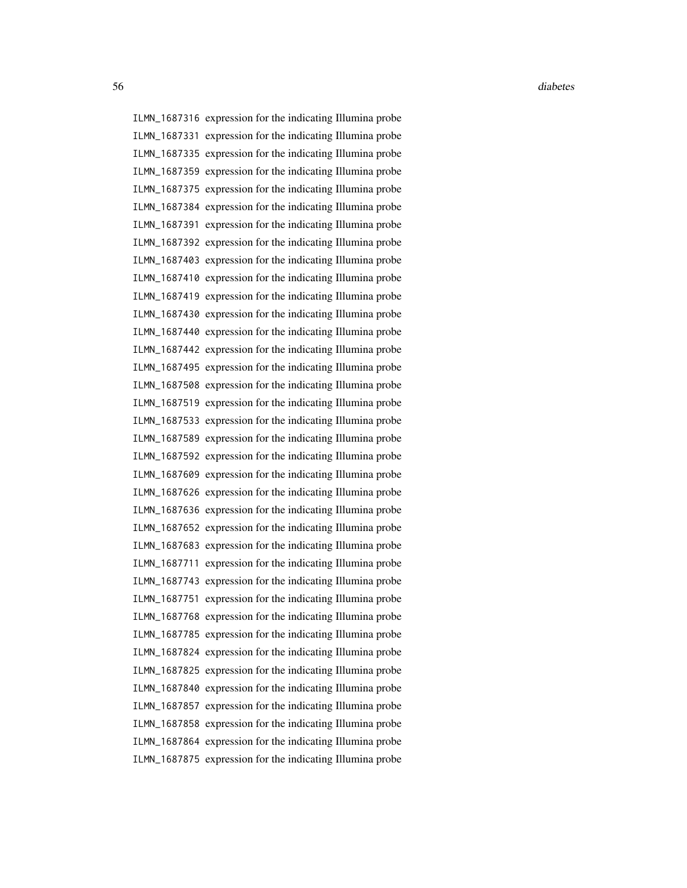ILMN\_1687316 expression for the indicating Illumina probe ILMN\_1687331 expression for the indicating Illumina probe ILMN\_1687335 expression for the indicating Illumina probe ILMN\_1687359 expression for the indicating Illumina probe ILMN\_1687375 expression for the indicating Illumina probe ILMN\_1687384 expression for the indicating Illumina probe ILMN\_1687391 expression for the indicating Illumina probe ILMN\_1687392 expression for the indicating Illumina probe ILMN\_1687403 expression for the indicating Illumina probe ILMN\_1687410 expression for the indicating Illumina probe ILMN\_1687419 expression for the indicating Illumina probe ILMN\_1687430 expression for the indicating Illumina probe ILMN\_1687440 expression for the indicating Illumina probe ILMN\_1687442 expression for the indicating Illumina probe ILMN\_1687495 expression for the indicating Illumina probe ILMN\_1687508 expression for the indicating Illumina probe ILMN\_1687519 expression for the indicating Illumina probe ILMN\_1687533 expression for the indicating Illumina probe ILMN\_1687589 expression for the indicating Illumina probe ILMN\_1687592 expression for the indicating Illumina probe ILMN\_1687609 expression for the indicating Illumina probe ILMN\_1687626 expression for the indicating Illumina probe ILMN\_1687636 expression for the indicating Illumina probe ILMN\_1687652 expression for the indicating Illumina probe ILMN\_1687683 expression for the indicating Illumina probe ILMN\_1687711 expression for the indicating Illumina probe ILMN\_1687743 expression for the indicating Illumina probe ILMN\_1687751 expression for the indicating Illumina probe ILMN\_1687768 expression for the indicating Illumina probe ILMN\_1687785 expression for the indicating Illumina probe ILMN\_1687824 expression for the indicating Illumina probe ILMN\_1687825 expression for the indicating Illumina probe ILMN\_1687840 expression for the indicating Illumina probe ILMN\_1687857 expression for the indicating Illumina probe ILMN\_1687858 expression for the indicating Illumina probe ILMN\_1687864 expression for the indicating Illumina probe ILMN\_1687875 expression for the indicating Illumina probe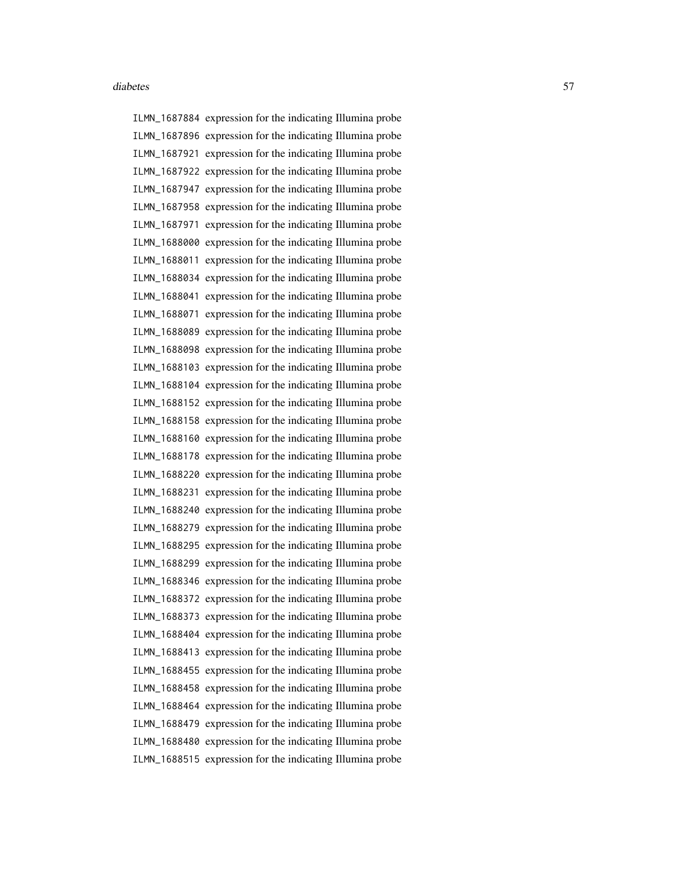ILMN\_1687884 expression for the indicating Illumina probe ILMN\_1687896 expression for the indicating Illumina probe ILMN\_1687921 expression for the indicating Illumina probe ILMN\_1687922 expression for the indicating Illumina probe ILMN\_1687947 expression for the indicating Illumina probe ILMN\_1687958 expression for the indicating Illumina probe ILMN\_1687971 expression for the indicating Illumina probe ILMN\_1688000 expression for the indicating Illumina probe ILMN\_1688011 expression for the indicating Illumina probe ILMN\_1688034 expression for the indicating Illumina probe ILMN\_1688041 expression for the indicating Illumina probe ILMN\_1688071 expression for the indicating Illumina probe ILMN\_1688089 expression for the indicating Illumina probe ILMN\_1688098 expression for the indicating Illumina probe ILMN\_1688103 expression for the indicating Illumina probe ILMN\_1688104 expression for the indicating Illumina probe ILMN\_1688152 expression for the indicating Illumina probe ILMN\_1688158 expression for the indicating Illumina probe ILMN\_1688160 expression for the indicating Illumina probe ILMN\_1688178 expression for the indicating Illumina probe ILMN\_1688220 expression for the indicating Illumina probe ILMN\_1688231 expression for the indicating Illumina probe ILMN\_1688240 expression for the indicating Illumina probe ILMN\_1688279 expression for the indicating Illumina probe ILMN\_1688295 expression for the indicating Illumina probe ILMN\_1688299 expression for the indicating Illumina probe ILMN\_1688346 expression for the indicating Illumina probe ILMN\_1688372 expression for the indicating Illumina probe ILMN\_1688373 expression for the indicating Illumina probe ILMN\_1688404 expression for the indicating Illumina probe ILMN\_1688413 expression for the indicating Illumina probe ILMN\_1688455 expression for the indicating Illumina probe ILMN\_1688458 expression for the indicating Illumina probe ILMN\_1688464 expression for the indicating Illumina probe ILMN\_1688479 expression for the indicating Illumina probe ILMN\_1688480 expression for the indicating Illumina probe ILMN\_1688515 expression for the indicating Illumina probe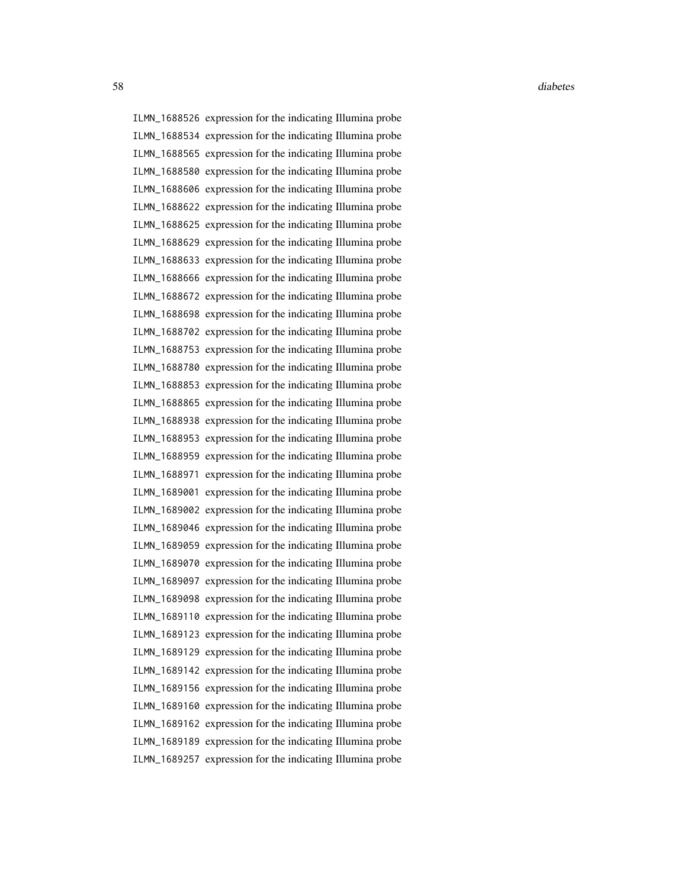ILMN\_1688526 expression for the indicating Illumina probe ILMN\_1688534 expression for the indicating Illumina probe ILMN\_1688565 expression for the indicating Illumina probe ILMN\_1688580 expression for the indicating Illumina probe ILMN\_1688606 expression for the indicating Illumina probe ILMN\_1688622 expression for the indicating Illumina probe ILMN\_1688625 expression for the indicating Illumina probe ILMN\_1688629 expression for the indicating Illumina probe ILMN\_1688633 expression for the indicating Illumina probe ILMN\_1688666 expression for the indicating Illumina probe ILMN\_1688672 expression for the indicating Illumina probe ILMN\_1688698 expression for the indicating Illumina probe ILMN\_1688702 expression for the indicating Illumina probe ILMN\_1688753 expression for the indicating Illumina probe ILMN\_1688780 expression for the indicating Illumina probe ILMN\_1688853 expression for the indicating Illumina probe ILMN\_1688865 expression for the indicating Illumina probe ILMN\_1688938 expression for the indicating Illumina probe ILMN\_1688953 expression for the indicating Illumina probe ILMN\_1688959 expression for the indicating Illumina probe ILMN\_1688971 expression for the indicating Illumina probe ILMN\_1689001 expression for the indicating Illumina probe ILMN\_1689002 expression for the indicating Illumina probe ILMN\_1689046 expression for the indicating Illumina probe ILMN\_1689059 expression for the indicating Illumina probe ILMN\_1689070 expression for the indicating Illumina probe ILMN\_1689097 expression for the indicating Illumina probe ILMN\_1689098 expression for the indicating Illumina probe ILMN\_1689110 expression for the indicating Illumina probe ILMN\_1689123 expression for the indicating Illumina probe ILMN\_1689129 expression for the indicating Illumina probe ILMN\_1689142 expression for the indicating Illumina probe ILMN\_1689156 expression for the indicating Illumina probe ILMN\_1689160 expression for the indicating Illumina probe ILMN\_1689162 expression for the indicating Illumina probe ILMN\_1689189 expression for the indicating Illumina probe ILMN\_1689257 expression for the indicating Illumina probe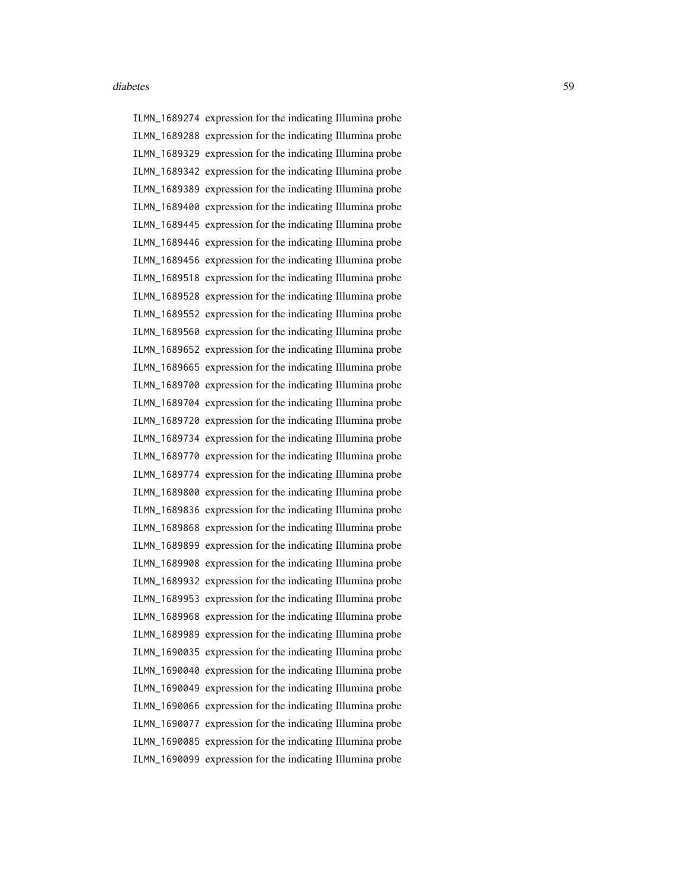ILMN\_1689274 expression for the indicating Illumina probe ILMN\_1689288 expression for the indicating Illumina probe ILMN\_1689329 expression for the indicating Illumina probe ILMN\_1689342 expression for the indicating Illumina probe ILMN\_1689389 expression for the indicating Illumina probe ILMN\_1689400 expression for the indicating Illumina probe ILMN\_1689445 expression for the indicating Illumina probe ILMN\_1689446 expression for the indicating Illumina probe ILMN\_1689456 expression for the indicating Illumina probe ILMN\_1689518 expression for the indicating Illumina probe ILMN\_1689528 expression for the indicating Illumina probe ILMN\_1689552 expression for the indicating Illumina probe ILMN\_1689560 expression for the indicating Illumina probe ILMN\_1689652 expression for the indicating Illumina probe ILMN\_1689665 expression for the indicating Illumina probe ILMN\_1689700 expression for the indicating Illumina probe ILMN\_1689704 expression for the indicating Illumina probe ILMN\_1689720 expression for the indicating Illumina probe ILMN\_1689734 expression for the indicating Illumina probe ILMN\_1689770 expression for the indicating Illumina probe ILMN\_1689774 expression for the indicating Illumina probe ILMN\_1689800 expression for the indicating Illumina probe ILMN\_1689836 expression for the indicating Illumina probe ILMN\_1689868 expression for the indicating Illumina probe ILMN\_1689899 expression for the indicating Illumina probe ILMN\_1689908 expression for the indicating Illumina probe ILMN\_1689932 expression for the indicating Illumina probe ILMN\_1689953 expression for the indicating Illumina probe ILMN\_1689968 expression for the indicating Illumina probe ILMN\_1689989 expression for the indicating Illumina probe ILMN\_1690035 expression for the indicating Illumina probe ILMN\_1690040 expression for the indicating Illumina probe ILMN\_1690049 expression for the indicating Illumina probe ILMN\_1690066 expression for the indicating Illumina probe ILMN\_1690077 expression for the indicating Illumina probe ILMN\_1690085 expression for the indicating Illumina probe ILMN\_1690099 expression for the indicating Illumina probe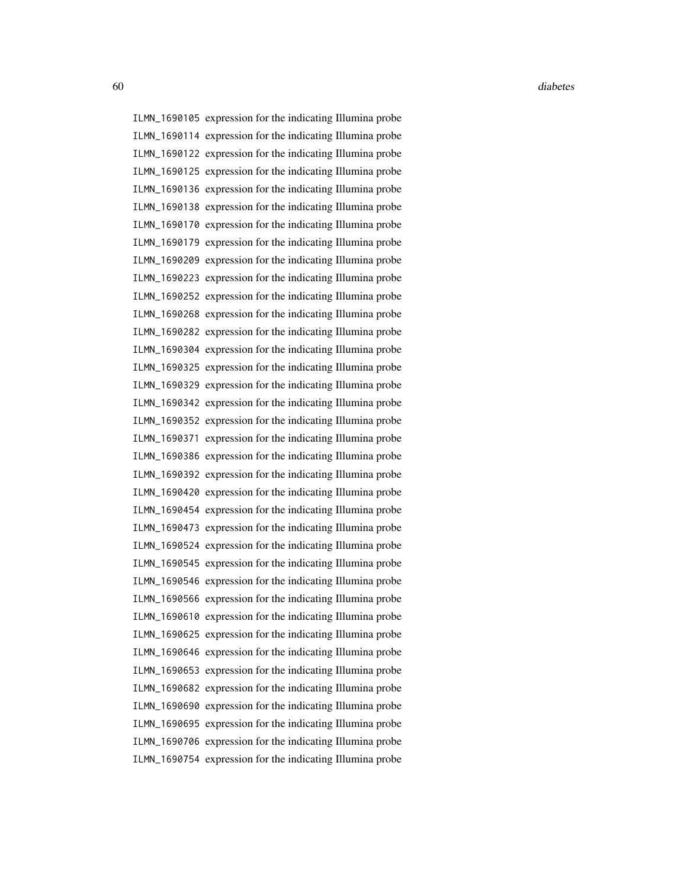ILMN\_1690105 expression for the indicating Illumina probe ILMN\_1690114 expression for the indicating Illumina probe ILMN\_1690122 expression for the indicating Illumina probe ILMN\_1690125 expression for the indicating Illumina probe ILMN\_1690136 expression for the indicating Illumina probe ILMN\_1690138 expression for the indicating Illumina probe ILMN\_1690170 expression for the indicating Illumina probe ILMN\_1690179 expression for the indicating Illumina probe ILMN\_1690209 expression for the indicating Illumina probe ILMN\_1690223 expression for the indicating Illumina probe ILMN\_1690252 expression for the indicating Illumina probe ILMN\_1690268 expression for the indicating Illumina probe ILMN\_1690282 expression for the indicating Illumina probe ILMN\_1690304 expression for the indicating Illumina probe ILMN\_1690325 expression for the indicating Illumina probe ILMN\_1690329 expression for the indicating Illumina probe ILMN\_1690342 expression for the indicating Illumina probe ILMN\_1690352 expression for the indicating Illumina probe ILMN\_1690371 expression for the indicating Illumina probe ILMN\_1690386 expression for the indicating Illumina probe ILMN\_1690392 expression for the indicating Illumina probe ILMN\_1690420 expression for the indicating Illumina probe ILMN\_1690454 expression for the indicating Illumina probe ILMN\_1690473 expression for the indicating Illumina probe ILMN\_1690524 expression for the indicating Illumina probe ILMN\_1690545 expression for the indicating Illumina probe ILMN\_1690546 expression for the indicating Illumina probe ILMN\_1690566 expression for the indicating Illumina probe ILMN\_1690610 expression for the indicating Illumina probe ILMN\_1690625 expression for the indicating Illumina probe ILMN\_1690646 expression for the indicating Illumina probe ILMN\_1690653 expression for the indicating Illumina probe ILMN\_1690682 expression for the indicating Illumina probe ILMN\_1690690 expression for the indicating Illumina probe ILMN\_1690695 expression for the indicating Illumina probe ILMN\_1690706 expression for the indicating Illumina probe ILMN\_1690754 expression for the indicating Illumina probe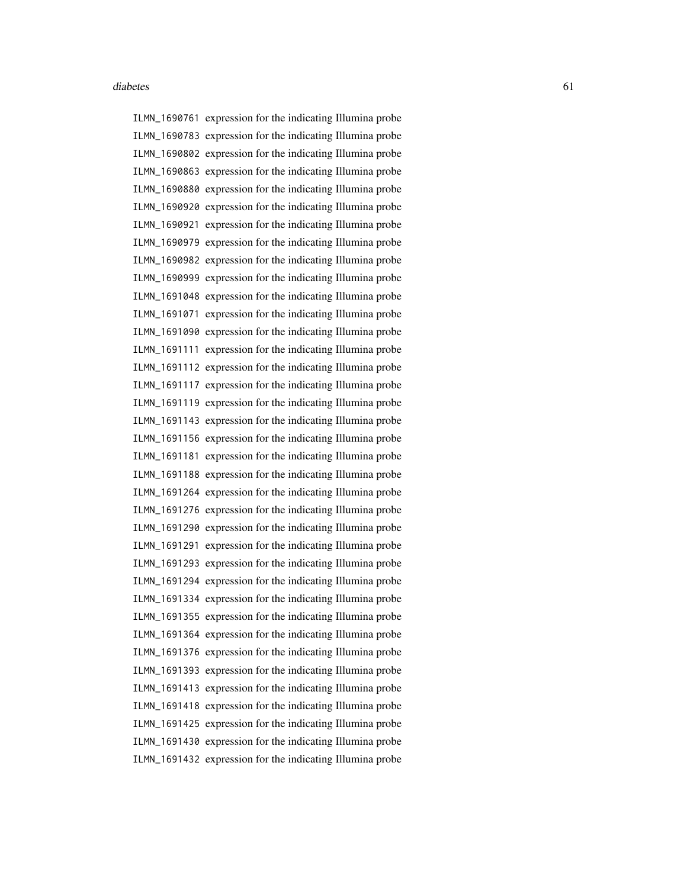ILMN\_1690761 expression for the indicating Illumina probe ILMN\_1690783 expression for the indicating Illumina probe ILMN\_1690802 expression for the indicating Illumina probe ILMN\_1690863 expression for the indicating Illumina probe ILMN\_1690880 expression for the indicating Illumina probe ILMN\_1690920 expression for the indicating Illumina probe ILMN\_1690921 expression for the indicating Illumina probe ILMN\_1690979 expression for the indicating Illumina probe ILMN\_1690982 expression for the indicating Illumina probe ILMN\_1690999 expression for the indicating Illumina probe ILMN\_1691048 expression for the indicating Illumina probe ILMN\_1691071 expression for the indicating Illumina probe ILMN\_1691090 expression for the indicating Illumina probe ILMN\_1691111 expression for the indicating Illumina probe ILMN\_1691112 expression for the indicating Illumina probe ILMN\_1691117 expression for the indicating Illumina probe ILMN\_1691119 expression for the indicating Illumina probe ILMN\_1691143 expression for the indicating Illumina probe ILMN\_1691156 expression for the indicating Illumina probe ILMN\_1691181 expression for the indicating Illumina probe ILMN\_1691188 expression for the indicating Illumina probe ILMN\_1691264 expression for the indicating Illumina probe ILMN\_1691276 expression for the indicating Illumina probe ILMN\_1691290 expression for the indicating Illumina probe ILMN\_1691291 expression for the indicating Illumina probe ILMN\_1691293 expression for the indicating Illumina probe ILMN\_1691294 expression for the indicating Illumina probe ILMN\_1691334 expression for the indicating Illumina probe ILMN\_1691355 expression for the indicating Illumina probe ILMN\_1691364 expression for the indicating Illumina probe ILMN\_1691376 expression for the indicating Illumina probe ILMN\_1691393 expression for the indicating Illumina probe ILMN\_1691413 expression for the indicating Illumina probe ILMN\_1691418 expression for the indicating Illumina probe ILMN\_1691425 expression for the indicating Illumina probe ILMN\_1691430 expression for the indicating Illumina probe ILMN\_1691432 expression for the indicating Illumina probe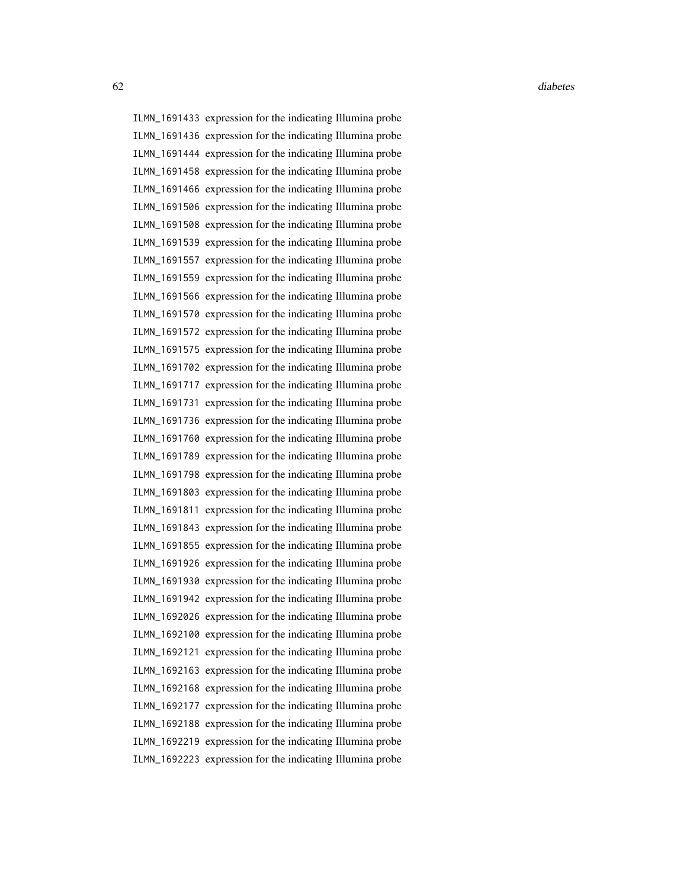ILMN\_1691433 expression for the indicating Illumina probe ILMN\_1691436 expression for the indicating Illumina probe ILMN\_1691444 expression for the indicating Illumina probe ILMN\_1691458 expression for the indicating Illumina probe ILMN\_1691466 expression for the indicating Illumina probe ILMN\_1691506 expression for the indicating Illumina probe ILMN\_1691508 expression for the indicating Illumina probe ILMN\_1691539 expression for the indicating Illumina probe ILMN\_1691557 expression for the indicating Illumina probe ILMN\_1691559 expression for the indicating Illumina probe ILMN\_1691566 expression for the indicating Illumina probe ILMN\_1691570 expression for the indicating Illumina probe ILMN\_1691572 expression for the indicating Illumina probe ILMN\_1691575 expression for the indicating Illumina probe ILMN\_1691702 expression for the indicating Illumina probe ILMN\_1691717 expression for the indicating Illumina probe ILMN\_1691731 expression for the indicating Illumina probe ILMN\_1691736 expression for the indicating Illumina probe ILMN\_1691760 expression for the indicating Illumina probe ILMN\_1691789 expression for the indicating Illumina probe ILMN\_1691798 expression for the indicating Illumina probe ILMN\_1691803 expression for the indicating Illumina probe ILMN\_1691811 expression for the indicating Illumina probe ILMN\_1691843 expression for the indicating Illumina probe ILMN\_1691855 expression for the indicating Illumina probe ILMN\_1691926 expression for the indicating Illumina probe ILMN\_1691930 expression for the indicating Illumina probe ILMN\_1691942 expression for the indicating Illumina probe ILMN\_1692026 expression for the indicating Illumina probe ILMN\_1692100 expression for the indicating Illumina probe ILMN\_1692121 expression for the indicating Illumina probe ILMN\_1692163 expression for the indicating Illumina probe ILMN\_1692168 expression for the indicating Illumina probe ILMN\_1692177 expression for the indicating Illumina probe ILMN\_1692188 expression for the indicating Illumina probe ILMN\_1692219 expression for the indicating Illumina probe ILMN\_1692223 expression for the indicating Illumina probe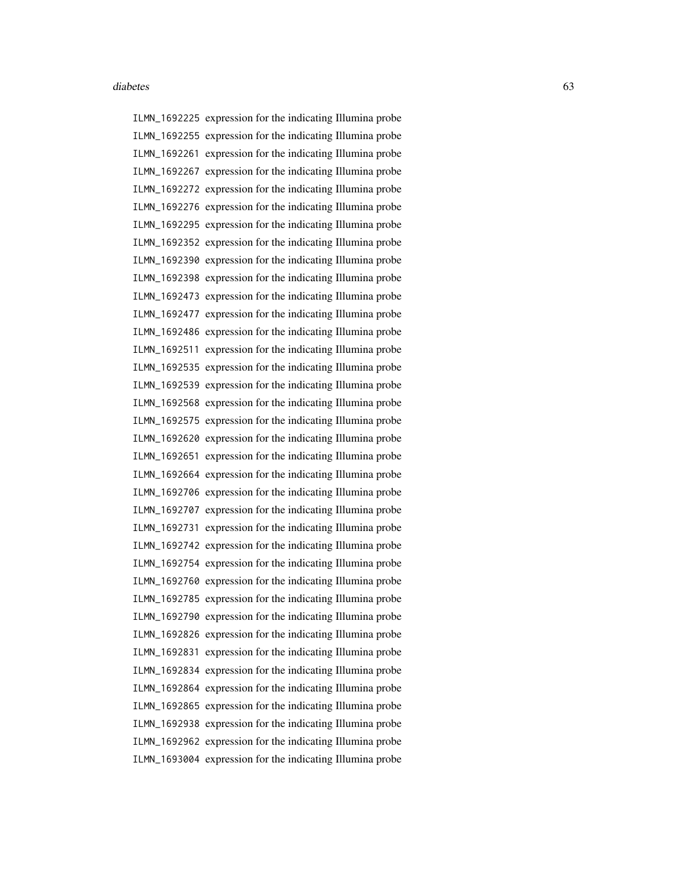ILMN\_1692225 expression for the indicating Illumina probe ILMN\_1692255 expression for the indicating Illumina probe ILMN\_1692261 expression for the indicating Illumina probe ILMN\_1692267 expression for the indicating Illumina probe ILMN\_1692272 expression for the indicating Illumina probe ILMN\_1692276 expression for the indicating Illumina probe ILMN\_1692295 expression for the indicating Illumina probe ILMN\_1692352 expression for the indicating Illumina probe ILMN\_1692390 expression for the indicating Illumina probe ILMN\_1692398 expression for the indicating Illumina probe ILMN\_1692473 expression for the indicating Illumina probe ILMN\_1692477 expression for the indicating Illumina probe ILMN\_1692486 expression for the indicating Illumina probe ILMN\_1692511 expression for the indicating Illumina probe ILMN\_1692535 expression for the indicating Illumina probe ILMN\_1692539 expression for the indicating Illumina probe ILMN\_1692568 expression for the indicating Illumina probe ILMN\_1692575 expression for the indicating Illumina probe ILMN\_1692620 expression for the indicating Illumina probe ILMN\_1692651 expression for the indicating Illumina probe ILMN\_1692664 expression for the indicating Illumina probe ILMN\_1692706 expression for the indicating Illumina probe ILMN\_1692707 expression for the indicating Illumina probe ILMN\_1692731 expression for the indicating Illumina probe ILMN\_1692742 expression for the indicating Illumina probe ILMN\_1692754 expression for the indicating Illumina probe ILMN\_1692760 expression for the indicating Illumina probe ILMN\_1692785 expression for the indicating Illumina probe ILMN\_1692790 expression for the indicating Illumina probe ILMN\_1692826 expression for the indicating Illumina probe ILMN\_1692831 expression for the indicating Illumina probe ILMN\_1692834 expression for the indicating Illumina probe ILMN\_1692864 expression for the indicating Illumina probe ILMN\_1692865 expression for the indicating Illumina probe ILMN\_1692938 expression for the indicating Illumina probe ILMN\_1692962 expression for the indicating Illumina probe ILMN\_1693004 expression for the indicating Illumina probe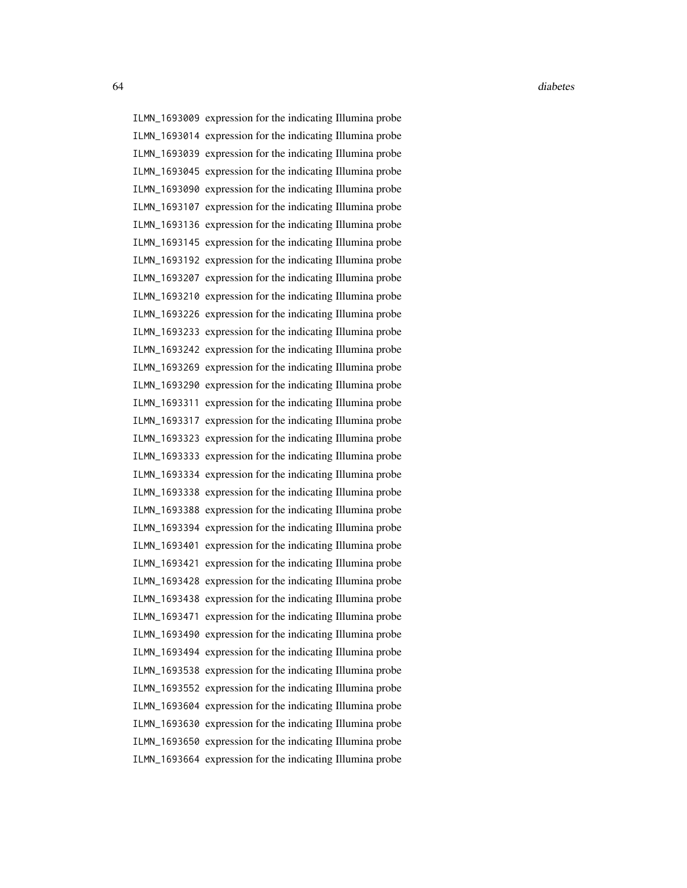ILMN\_1693009 expression for the indicating Illumina probe ILMN\_1693014 expression for the indicating Illumina probe ILMN\_1693039 expression for the indicating Illumina probe ILMN\_1693045 expression for the indicating Illumina probe ILMN\_1693090 expression for the indicating Illumina probe ILMN\_1693107 expression for the indicating Illumina probe ILMN\_1693136 expression for the indicating Illumina probe ILMN\_1693145 expression for the indicating Illumina probe ILMN\_1693192 expression for the indicating Illumina probe ILMN\_1693207 expression for the indicating Illumina probe ILMN\_1693210 expression for the indicating Illumina probe ILMN\_1693226 expression for the indicating Illumina probe ILMN\_1693233 expression for the indicating Illumina probe ILMN\_1693242 expression for the indicating Illumina probe ILMN\_1693269 expression for the indicating Illumina probe ILMN\_1693290 expression for the indicating Illumina probe ILMN\_1693311 expression for the indicating Illumina probe ILMN\_1693317 expression for the indicating Illumina probe ILMN\_1693323 expression for the indicating Illumina probe ILMN\_1693333 expression for the indicating Illumina probe ILMN\_1693334 expression for the indicating Illumina probe ILMN\_1693338 expression for the indicating Illumina probe ILMN\_1693388 expression for the indicating Illumina probe ILMN\_1693394 expression for the indicating Illumina probe ILMN\_1693401 expression for the indicating Illumina probe ILMN\_1693421 expression for the indicating Illumina probe ILMN\_1693428 expression for the indicating Illumina probe ILMN\_1693438 expression for the indicating Illumina probe ILMN\_1693471 expression for the indicating Illumina probe ILMN\_1693490 expression for the indicating Illumina probe ILMN\_1693494 expression for the indicating Illumina probe ILMN\_1693538 expression for the indicating Illumina probe ILMN\_1693552 expression for the indicating Illumina probe ILMN\_1693604 expression for the indicating Illumina probe ILMN\_1693630 expression for the indicating Illumina probe ILMN\_1693650 expression for the indicating Illumina probe ILMN\_1693664 expression for the indicating Illumina probe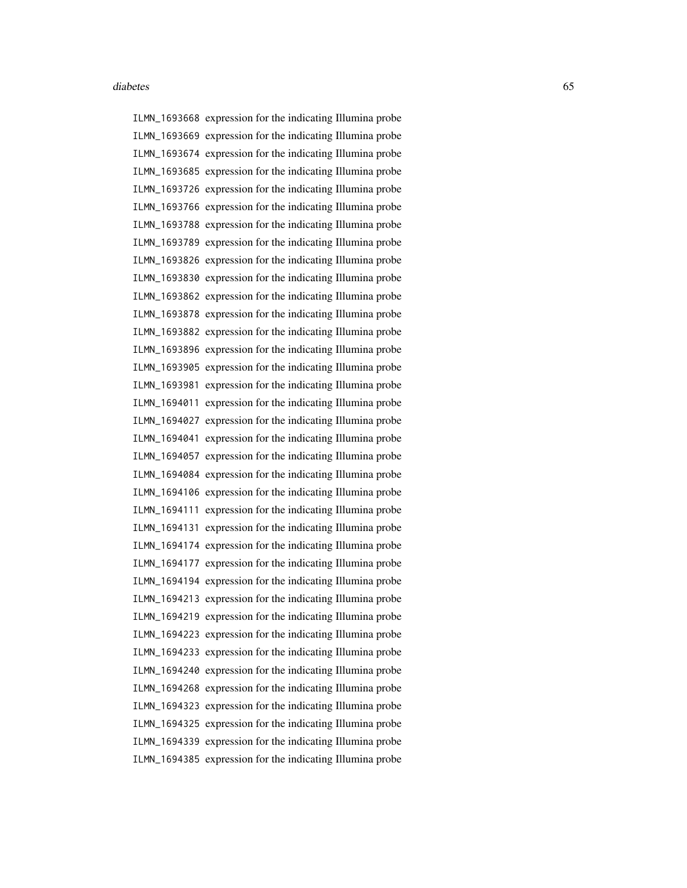ILMN\_1693668 expression for the indicating Illumina probe ILMN\_1693669 expression for the indicating Illumina probe ILMN\_1693674 expression for the indicating Illumina probe ILMN\_1693685 expression for the indicating Illumina probe ILMN\_1693726 expression for the indicating Illumina probe ILMN\_1693766 expression for the indicating Illumina probe ILMN\_1693788 expression for the indicating Illumina probe ILMN\_1693789 expression for the indicating Illumina probe ILMN\_1693826 expression for the indicating Illumina probe ILMN\_1693830 expression for the indicating Illumina probe ILMN\_1693862 expression for the indicating Illumina probe ILMN\_1693878 expression for the indicating Illumina probe ILMN\_1693882 expression for the indicating Illumina probe ILMN\_1693896 expression for the indicating Illumina probe ILMN\_1693905 expression for the indicating Illumina probe ILMN\_1693981 expression for the indicating Illumina probe ILMN\_1694011 expression for the indicating Illumina probe ILMN\_1694027 expression for the indicating Illumina probe ILMN\_1694041 expression for the indicating Illumina probe ILMN\_1694057 expression for the indicating Illumina probe ILMN\_1694084 expression for the indicating Illumina probe ILMN\_1694106 expression for the indicating Illumina probe ILMN\_1694111 expression for the indicating Illumina probe ILMN\_1694131 expression for the indicating Illumina probe ILMN\_1694174 expression for the indicating Illumina probe ILMN\_1694177 expression for the indicating Illumina probe ILMN\_1694194 expression for the indicating Illumina probe ILMN\_1694213 expression for the indicating Illumina probe ILMN\_1694219 expression for the indicating Illumina probe ILMN\_1694223 expression for the indicating Illumina probe ILMN\_1694233 expression for the indicating Illumina probe ILMN\_1694240 expression for the indicating Illumina probe ILMN\_1694268 expression for the indicating Illumina probe ILMN\_1694323 expression for the indicating Illumina probe ILMN\_1694325 expression for the indicating Illumina probe ILMN\_1694339 expression for the indicating Illumina probe ILMN\_1694385 expression for the indicating Illumina probe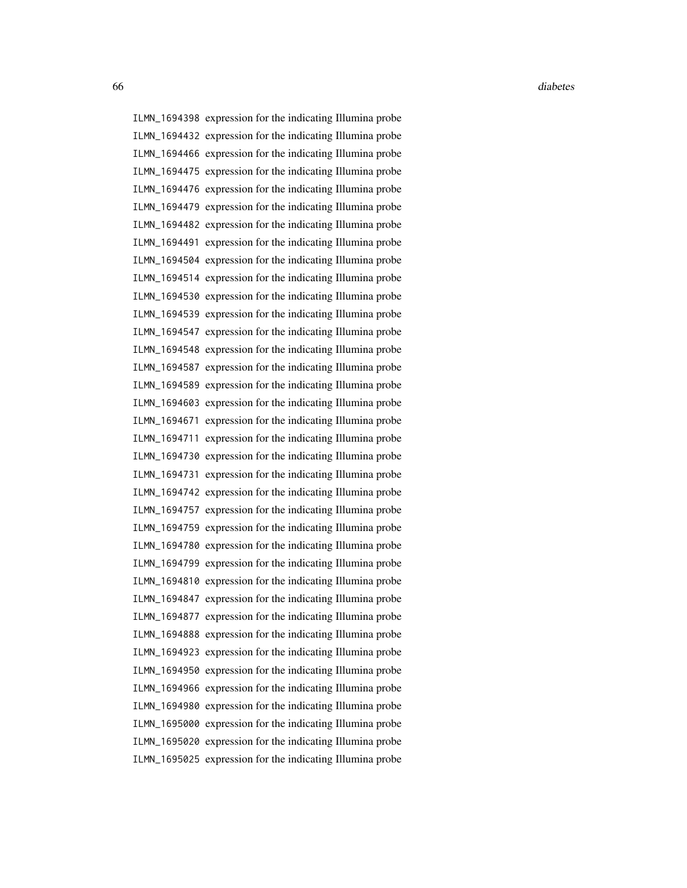ILMN\_1694398 expression for the indicating Illumina probe ILMN\_1694432 expression for the indicating Illumina probe ILMN\_1694466 expression for the indicating Illumina probe ILMN\_1694475 expression for the indicating Illumina probe ILMN\_1694476 expression for the indicating Illumina probe ILMN\_1694479 expression for the indicating Illumina probe ILMN\_1694482 expression for the indicating Illumina probe ILMN\_1694491 expression for the indicating Illumina probe ILMN\_1694504 expression for the indicating Illumina probe ILMN\_1694514 expression for the indicating Illumina probe ILMN\_1694530 expression for the indicating Illumina probe ILMN\_1694539 expression for the indicating Illumina probe ILMN\_1694547 expression for the indicating Illumina probe ILMN\_1694548 expression for the indicating Illumina probe ILMN\_1694587 expression for the indicating Illumina probe ILMN\_1694589 expression for the indicating Illumina probe ILMN\_1694603 expression for the indicating Illumina probe ILMN\_1694671 expression for the indicating Illumina probe ILMN\_1694711 expression for the indicating Illumina probe ILMN\_1694730 expression for the indicating Illumina probe ILMN\_1694731 expression for the indicating Illumina probe ILMN\_1694742 expression for the indicating Illumina probe ILMN\_1694757 expression for the indicating Illumina probe ILMN\_1694759 expression for the indicating Illumina probe ILMN\_1694780 expression for the indicating Illumina probe ILMN\_1694799 expression for the indicating Illumina probe ILMN\_1694810 expression for the indicating Illumina probe ILMN\_1694847 expression for the indicating Illumina probe ILMN\_1694877 expression for the indicating Illumina probe ILMN\_1694888 expression for the indicating Illumina probe ILMN\_1694923 expression for the indicating Illumina probe ILMN\_1694950 expression for the indicating Illumina probe ILMN\_1694966 expression for the indicating Illumina probe ILMN\_1694980 expression for the indicating Illumina probe ILMN\_1695000 expression for the indicating Illumina probe ILMN\_1695020 expression for the indicating Illumina probe ILMN\_1695025 expression for the indicating Illumina probe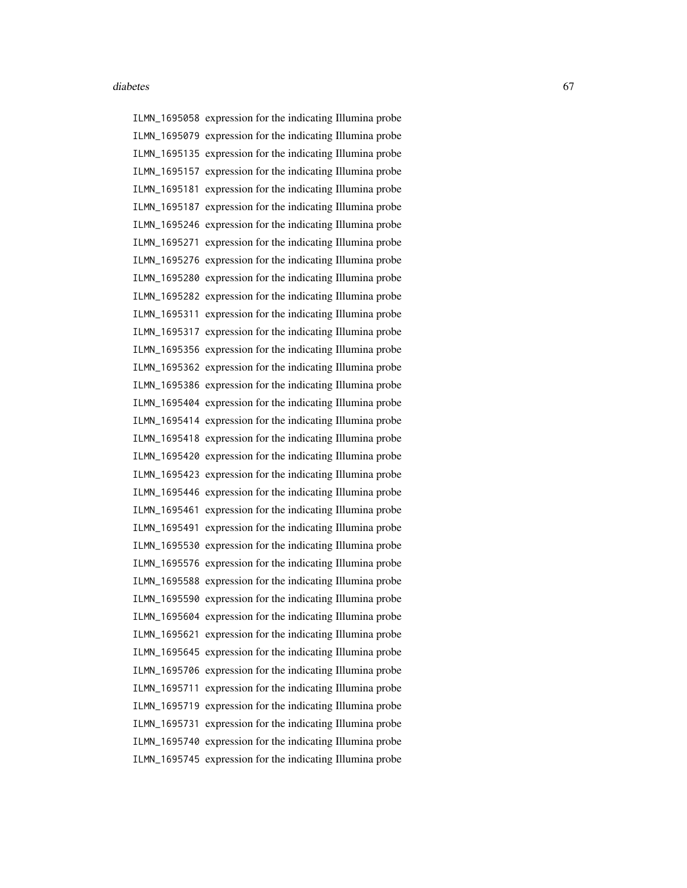ILMN\_1695058 expression for the indicating Illumina probe ILMN\_1695079 expression for the indicating Illumina probe ILMN\_1695135 expression for the indicating Illumina probe ILMN\_1695157 expression for the indicating Illumina probe ILMN\_1695181 expression for the indicating Illumina probe ILMN\_1695187 expression for the indicating Illumina probe ILMN\_1695246 expression for the indicating Illumina probe ILMN\_1695271 expression for the indicating Illumina probe ILMN\_1695276 expression for the indicating Illumina probe ILMN\_1695280 expression for the indicating Illumina probe ILMN\_1695282 expression for the indicating Illumina probe ILMN\_1695311 expression for the indicating Illumina probe ILMN\_1695317 expression for the indicating Illumina probe ILMN\_1695356 expression for the indicating Illumina probe ILMN\_1695362 expression for the indicating Illumina probe ILMN\_1695386 expression for the indicating Illumina probe ILMN\_1695404 expression for the indicating Illumina probe ILMN\_1695414 expression for the indicating Illumina probe ILMN\_1695418 expression for the indicating Illumina probe ILMN\_1695420 expression for the indicating Illumina probe ILMN\_1695423 expression for the indicating Illumina probe ILMN\_1695446 expression for the indicating Illumina probe ILMN\_1695461 expression for the indicating Illumina probe ILMN\_1695491 expression for the indicating Illumina probe ILMN\_1695530 expression for the indicating Illumina probe ILMN\_1695576 expression for the indicating Illumina probe ILMN\_1695588 expression for the indicating Illumina probe ILMN\_1695590 expression for the indicating Illumina probe ILMN\_1695604 expression for the indicating Illumina probe ILMN\_1695621 expression for the indicating Illumina probe ILMN\_1695645 expression for the indicating Illumina probe ILMN\_1695706 expression for the indicating Illumina probe ILMN\_1695711 expression for the indicating Illumina probe ILMN\_1695719 expression for the indicating Illumina probe ILMN\_1695731 expression for the indicating Illumina probe ILMN\_1695740 expression for the indicating Illumina probe ILMN\_1695745 expression for the indicating Illumina probe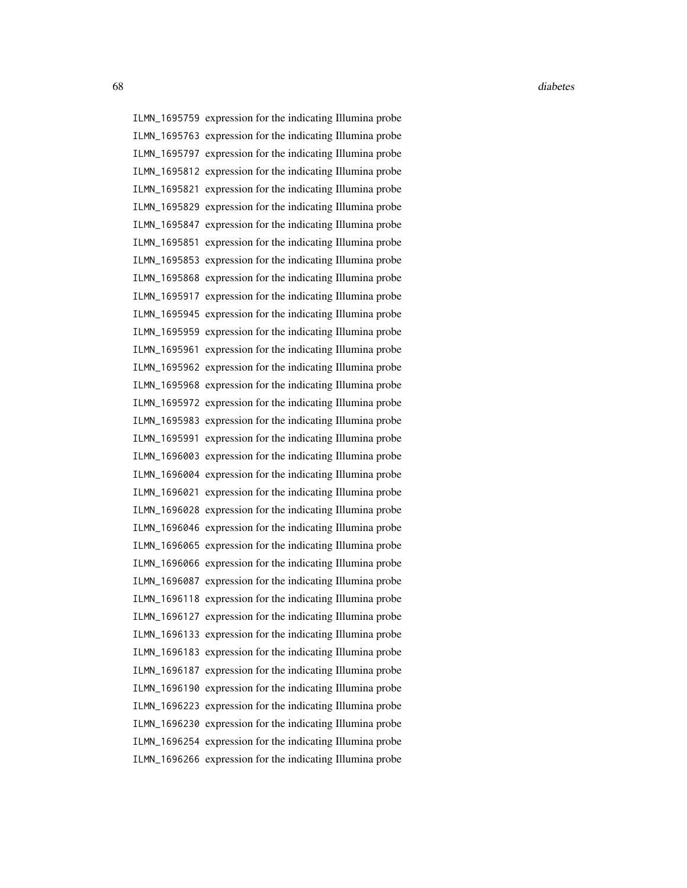ILMN\_1695759 expression for the indicating Illumina probe ILMN\_1695763 expression for the indicating Illumina probe ILMN\_1695797 expression for the indicating Illumina probe ILMN\_1695812 expression for the indicating Illumina probe ILMN\_1695821 expression for the indicating Illumina probe ILMN\_1695829 expression for the indicating Illumina probe ILMN\_1695847 expression for the indicating Illumina probe ILMN\_1695851 expression for the indicating Illumina probe ILMN\_1695853 expression for the indicating Illumina probe ILMN\_1695868 expression for the indicating Illumina probe ILMN\_1695917 expression for the indicating Illumina probe ILMN\_1695945 expression for the indicating Illumina probe ILMN\_1695959 expression for the indicating Illumina probe ILMN\_1695961 expression for the indicating Illumina probe ILMN\_1695962 expression for the indicating Illumina probe ILMN\_1695968 expression for the indicating Illumina probe ILMN\_1695972 expression for the indicating Illumina probe ILMN\_1695983 expression for the indicating Illumina probe ILMN\_1695991 expression for the indicating Illumina probe ILMN\_1696003 expression for the indicating Illumina probe ILMN\_1696004 expression for the indicating Illumina probe ILMN\_1696021 expression for the indicating Illumina probe ILMN\_1696028 expression for the indicating Illumina probe ILMN\_1696046 expression for the indicating Illumina probe ILMN\_1696065 expression for the indicating Illumina probe ILMN\_1696066 expression for the indicating Illumina probe ILMN\_1696087 expression for the indicating Illumina probe ILMN\_1696118 expression for the indicating Illumina probe ILMN\_1696127 expression for the indicating Illumina probe ILMN\_1696133 expression for the indicating Illumina probe ILMN\_1696183 expression for the indicating Illumina probe ILMN\_1696187 expression for the indicating Illumina probe ILMN\_1696190 expression for the indicating Illumina probe ILMN\_1696223 expression for the indicating Illumina probe ILMN\_1696230 expression for the indicating Illumina probe ILMN\_1696254 expression for the indicating Illumina probe ILMN\_1696266 expression for the indicating Illumina probe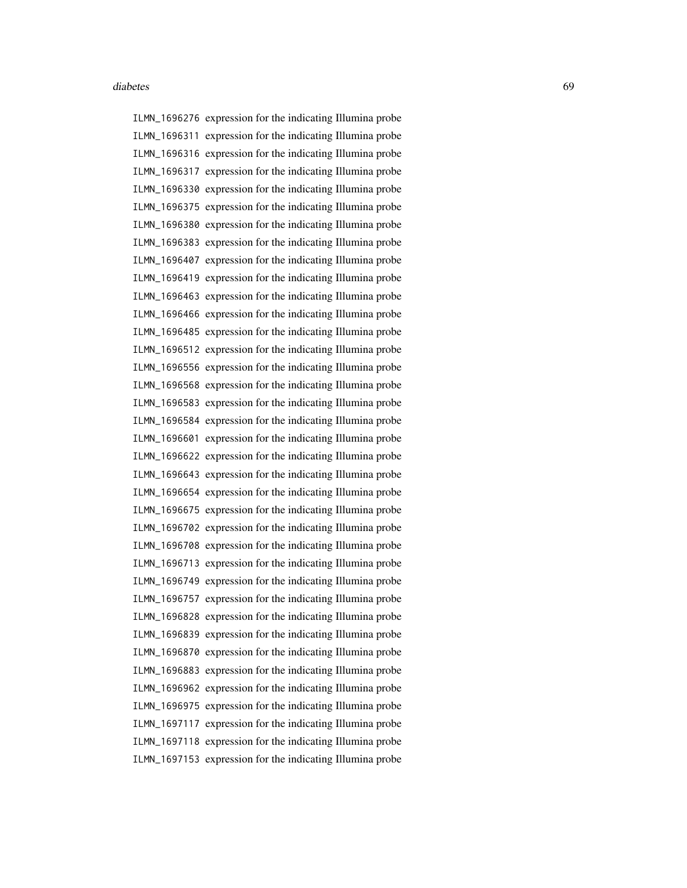ILMN\_1696276 expression for the indicating Illumina probe ILMN\_1696311 expression for the indicating Illumina probe ILMN\_1696316 expression for the indicating Illumina probe ILMN\_1696317 expression for the indicating Illumina probe ILMN\_1696330 expression for the indicating Illumina probe ILMN\_1696375 expression for the indicating Illumina probe ILMN\_1696380 expression for the indicating Illumina probe ILMN\_1696383 expression for the indicating Illumina probe ILMN\_1696407 expression for the indicating Illumina probe ILMN\_1696419 expression for the indicating Illumina probe ILMN\_1696463 expression for the indicating Illumina probe ILMN\_1696466 expression for the indicating Illumina probe ILMN\_1696485 expression for the indicating Illumina probe ILMN\_1696512 expression for the indicating Illumina probe ILMN\_1696556 expression for the indicating Illumina probe ILMN\_1696568 expression for the indicating Illumina probe ILMN\_1696583 expression for the indicating Illumina probe ILMN\_1696584 expression for the indicating Illumina probe ILMN\_1696601 expression for the indicating Illumina probe ILMN\_1696622 expression for the indicating Illumina probe ILMN\_1696643 expression for the indicating Illumina probe ILMN\_1696654 expression for the indicating Illumina probe ILMN\_1696675 expression for the indicating Illumina probe ILMN\_1696702 expression for the indicating Illumina probe ILMN\_1696708 expression for the indicating Illumina probe ILMN\_1696713 expression for the indicating Illumina probe ILMN\_1696749 expression for the indicating Illumina probe ILMN\_1696757 expression for the indicating Illumina probe ILMN\_1696828 expression for the indicating Illumina probe ILMN\_1696839 expression for the indicating Illumina probe ILMN\_1696870 expression for the indicating Illumina probe ILMN\_1696883 expression for the indicating Illumina probe ILMN\_1696962 expression for the indicating Illumina probe ILMN\_1696975 expression for the indicating Illumina probe ILMN\_1697117 expression for the indicating Illumina probe ILMN\_1697118 expression for the indicating Illumina probe ILMN\_1697153 expression for the indicating Illumina probe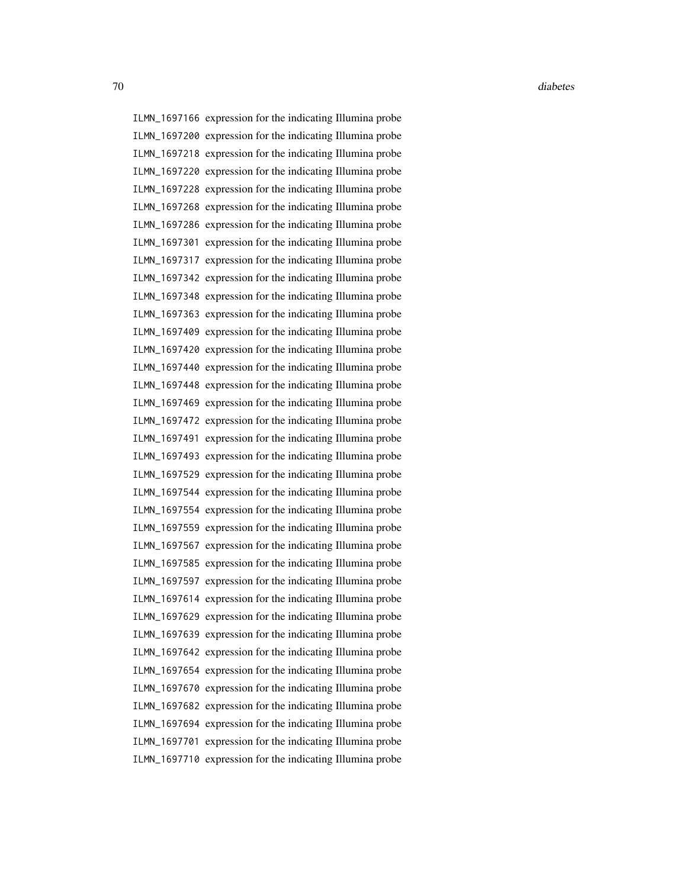ILMN\_1697166 expression for the indicating Illumina probe ILMN\_1697200 expression for the indicating Illumina probe ILMN\_1697218 expression for the indicating Illumina probe ILMN\_1697220 expression for the indicating Illumina probe ILMN\_1697228 expression for the indicating Illumina probe ILMN\_1697268 expression for the indicating Illumina probe ILMN\_1697286 expression for the indicating Illumina probe ILMN\_1697301 expression for the indicating Illumina probe ILMN\_1697317 expression for the indicating Illumina probe ILMN\_1697342 expression for the indicating Illumina probe ILMN\_1697348 expression for the indicating Illumina probe ILMN\_1697363 expression for the indicating Illumina probe ILMN\_1697409 expression for the indicating Illumina probe ILMN\_1697420 expression for the indicating Illumina probe ILMN\_1697440 expression for the indicating Illumina probe ILMN\_1697448 expression for the indicating Illumina probe ILMN\_1697469 expression for the indicating Illumina probe ILMN\_1697472 expression for the indicating Illumina probe ILMN\_1697491 expression for the indicating Illumina probe ILMN\_1697493 expression for the indicating Illumina probe ILMN\_1697529 expression for the indicating Illumina probe ILMN\_1697544 expression for the indicating Illumina probe ILMN\_1697554 expression for the indicating Illumina probe ILMN\_1697559 expression for the indicating Illumina probe ILMN\_1697567 expression for the indicating Illumina probe ILMN\_1697585 expression for the indicating Illumina probe ILMN\_1697597 expression for the indicating Illumina probe ILMN\_1697614 expression for the indicating Illumina probe ILMN\_1697629 expression for the indicating Illumina probe ILMN\_1697639 expression for the indicating Illumina probe ILMN\_1697642 expression for the indicating Illumina probe ILMN\_1697654 expression for the indicating Illumina probe ILMN\_1697670 expression for the indicating Illumina probe ILMN\_1697682 expression for the indicating Illumina probe ILMN\_1697694 expression for the indicating Illumina probe ILMN\_1697701 expression for the indicating Illumina probe ILMN\_1697710 expression for the indicating Illumina probe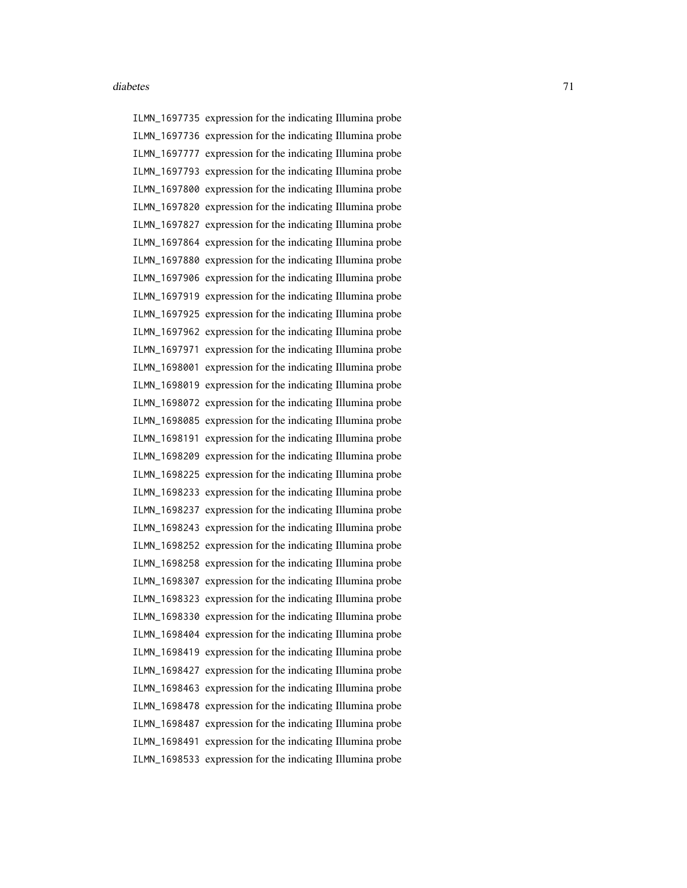ILMN\_1697735 expression for the indicating Illumina probe ILMN\_1697736 expression for the indicating Illumina probe ILMN\_1697777 expression for the indicating Illumina probe ILMN\_1697793 expression for the indicating Illumina probe ILMN\_1697800 expression for the indicating Illumina probe ILMN\_1697820 expression for the indicating Illumina probe ILMN\_1697827 expression for the indicating Illumina probe ILMN\_1697864 expression for the indicating Illumina probe ILMN\_1697880 expression for the indicating Illumina probe ILMN\_1697906 expression for the indicating Illumina probe ILMN\_1697919 expression for the indicating Illumina probe ILMN\_1697925 expression for the indicating Illumina probe ILMN\_1697962 expression for the indicating Illumina probe ILMN\_1697971 expression for the indicating Illumina probe ILMN\_1698001 expression for the indicating Illumina probe ILMN\_1698019 expression for the indicating Illumina probe ILMN\_1698072 expression for the indicating Illumina probe ILMN\_1698085 expression for the indicating Illumina probe ILMN\_1698191 expression for the indicating Illumina probe ILMN\_1698209 expression for the indicating Illumina probe ILMN\_1698225 expression for the indicating Illumina probe ILMN\_1698233 expression for the indicating Illumina probe ILMN\_1698237 expression for the indicating Illumina probe ILMN\_1698243 expression for the indicating Illumina probe ILMN\_1698252 expression for the indicating Illumina probe ILMN\_1698258 expression for the indicating Illumina probe ILMN\_1698307 expression for the indicating Illumina probe ILMN\_1698323 expression for the indicating Illumina probe ILMN\_1698330 expression for the indicating Illumina probe ILMN\_1698404 expression for the indicating Illumina probe ILMN\_1698419 expression for the indicating Illumina probe ILMN\_1698427 expression for the indicating Illumina probe ILMN\_1698463 expression for the indicating Illumina probe ILMN\_1698478 expression for the indicating Illumina probe ILMN\_1698487 expression for the indicating Illumina probe ILMN\_1698491 expression for the indicating Illumina probe ILMN\_1698533 expression for the indicating Illumina probe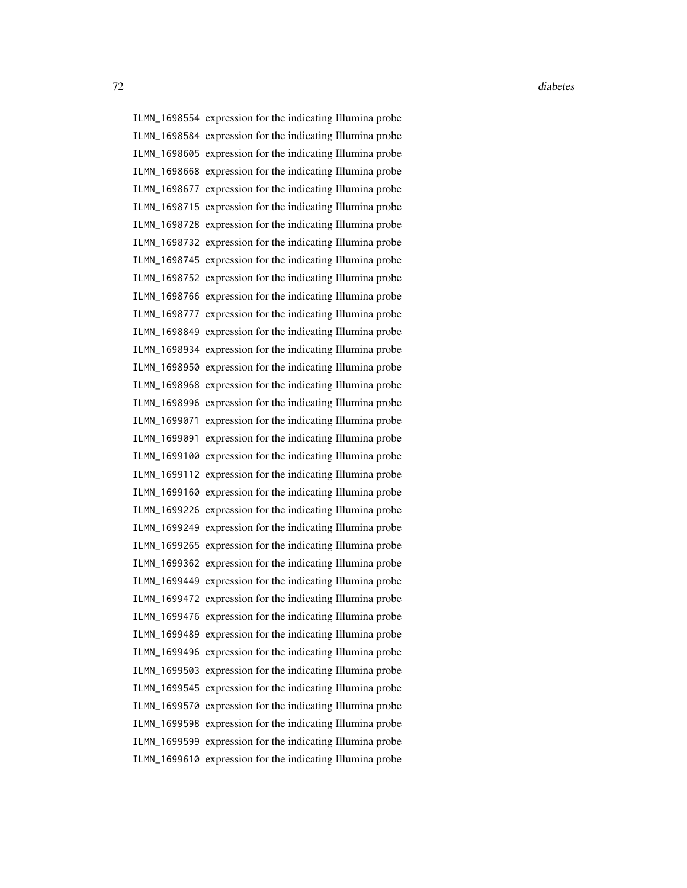ILMN\_1698554 expression for the indicating Illumina probe ILMN\_1698584 expression for the indicating Illumina probe ILMN\_1698605 expression for the indicating Illumina probe ILMN\_1698668 expression for the indicating Illumina probe ILMN\_1698677 expression for the indicating Illumina probe ILMN\_1698715 expression for the indicating Illumina probe ILMN\_1698728 expression for the indicating Illumina probe ILMN\_1698732 expression for the indicating Illumina probe ILMN\_1698745 expression for the indicating Illumina probe ILMN\_1698752 expression for the indicating Illumina probe ILMN\_1698766 expression for the indicating Illumina probe ILMN\_1698777 expression for the indicating Illumina probe ILMN\_1698849 expression for the indicating Illumina probe ILMN\_1698934 expression for the indicating Illumina probe ILMN\_1698950 expression for the indicating Illumina probe ILMN\_1698968 expression for the indicating Illumina probe ILMN\_1698996 expression for the indicating Illumina probe ILMN\_1699071 expression for the indicating Illumina probe ILMN\_1699091 expression for the indicating Illumina probe ILMN\_1699100 expression for the indicating Illumina probe ILMN\_1699112 expression for the indicating Illumina probe ILMN\_1699160 expression for the indicating Illumina probe ILMN\_1699226 expression for the indicating Illumina probe ILMN\_1699249 expression for the indicating Illumina probe ILMN\_1699265 expression for the indicating Illumina probe ILMN\_1699362 expression for the indicating Illumina probe ILMN\_1699449 expression for the indicating Illumina probe ILMN\_1699472 expression for the indicating Illumina probe ILMN\_1699476 expression for the indicating Illumina probe ILMN\_1699489 expression for the indicating Illumina probe ILMN\_1699496 expression for the indicating Illumina probe ILMN\_1699503 expression for the indicating Illumina probe ILMN\_1699545 expression for the indicating Illumina probe ILMN\_1699570 expression for the indicating Illumina probe ILMN\_1699598 expression for the indicating Illumina probe ILMN\_1699599 expression for the indicating Illumina probe ILMN\_1699610 expression for the indicating Illumina probe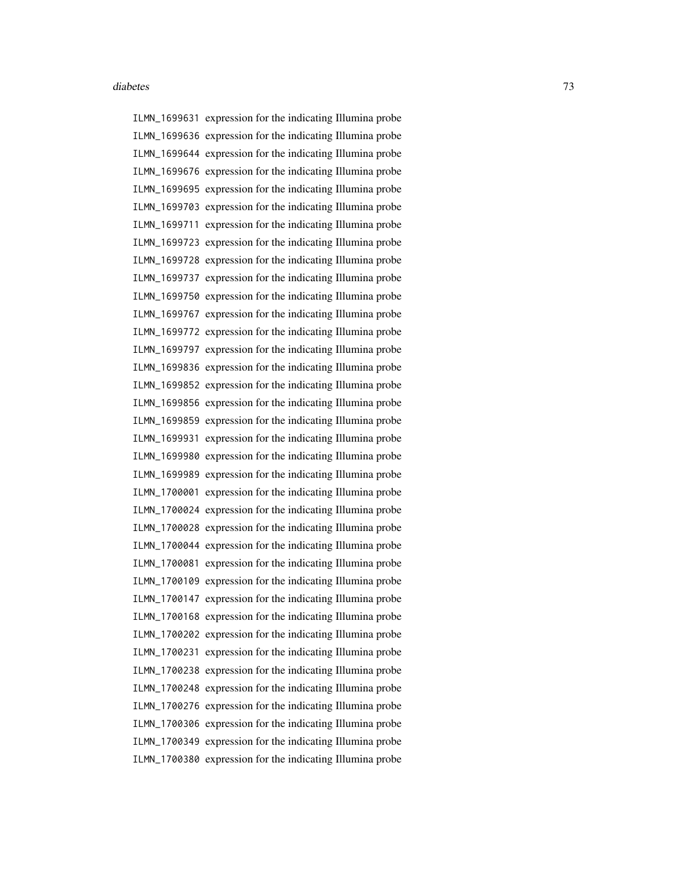ILMN\_1699631 expression for the indicating Illumina probe ILMN\_1699636 expression for the indicating Illumina probe ILMN\_1699644 expression for the indicating Illumina probe ILMN\_1699676 expression for the indicating Illumina probe ILMN\_1699695 expression for the indicating Illumina probe ILMN\_1699703 expression for the indicating Illumina probe ILMN\_1699711 expression for the indicating Illumina probe ILMN\_1699723 expression for the indicating Illumina probe ILMN\_1699728 expression for the indicating Illumina probe ILMN\_1699737 expression for the indicating Illumina probe ILMN\_1699750 expression for the indicating Illumina probe ILMN\_1699767 expression for the indicating Illumina probe ILMN\_1699772 expression for the indicating Illumina probe ILMN\_1699797 expression for the indicating Illumina probe ILMN\_1699836 expression for the indicating Illumina probe ILMN\_1699852 expression for the indicating Illumina probe ILMN\_1699856 expression for the indicating Illumina probe ILMN\_1699859 expression for the indicating Illumina probe ILMN\_1699931 expression for the indicating Illumina probe ILMN\_1699980 expression for the indicating Illumina probe ILMN\_1699989 expression for the indicating Illumina probe ILMN\_1700001 expression for the indicating Illumina probe ILMN\_1700024 expression for the indicating Illumina probe ILMN\_1700028 expression for the indicating Illumina probe ILMN\_1700044 expression for the indicating Illumina probe ILMN\_1700081 expression for the indicating Illumina probe ILMN\_1700109 expression for the indicating Illumina probe ILMN\_1700147 expression for the indicating Illumina probe ILMN\_1700168 expression for the indicating Illumina probe ILMN\_1700202 expression for the indicating Illumina probe ILMN\_1700231 expression for the indicating Illumina probe ILMN\_1700238 expression for the indicating Illumina probe ILMN\_1700248 expression for the indicating Illumina probe ILMN\_1700276 expression for the indicating Illumina probe ILMN\_1700306 expression for the indicating Illumina probe ILMN\_1700349 expression for the indicating Illumina probe ILMN\_1700380 expression for the indicating Illumina probe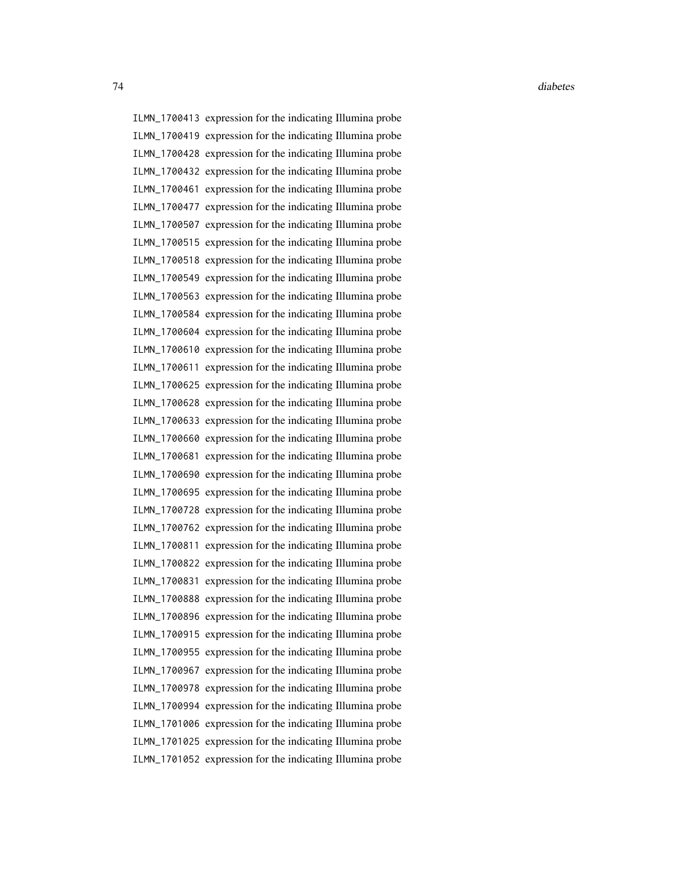ILMN\_1700413 expression for the indicating Illumina probe ILMN\_1700419 expression for the indicating Illumina probe ILMN\_1700428 expression for the indicating Illumina probe ILMN\_1700432 expression for the indicating Illumina probe ILMN\_1700461 expression for the indicating Illumina probe ILMN\_1700477 expression for the indicating Illumina probe ILMN\_1700507 expression for the indicating Illumina probe ILMN\_1700515 expression for the indicating Illumina probe ILMN\_1700518 expression for the indicating Illumina probe ILMN\_1700549 expression for the indicating Illumina probe ILMN\_1700563 expression for the indicating Illumina probe ILMN\_1700584 expression for the indicating Illumina probe ILMN\_1700604 expression for the indicating Illumina probe ILMN\_1700610 expression for the indicating Illumina probe ILMN\_1700611 expression for the indicating Illumina probe ILMN\_1700625 expression for the indicating Illumina probe ILMN\_1700628 expression for the indicating Illumina probe ILMN\_1700633 expression for the indicating Illumina probe ILMN\_1700660 expression for the indicating Illumina probe ILMN\_1700681 expression for the indicating Illumina probe ILMN\_1700690 expression for the indicating Illumina probe ILMN\_1700695 expression for the indicating Illumina probe ILMN\_1700728 expression for the indicating Illumina probe ILMN\_1700762 expression for the indicating Illumina probe ILMN\_1700811 expression for the indicating Illumina probe ILMN\_1700822 expression for the indicating Illumina probe ILMN\_1700831 expression for the indicating Illumina probe ILMN\_1700888 expression for the indicating Illumina probe ILMN\_1700896 expression for the indicating Illumina probe ILMN\_1700915 expression for the indicating Illumina probe ILMN\_1700955 expression for the indicating Illumina probe ILMN\_1700967 expression for the indicating Illumina probe ILMN\_1700978 expression for the indicating Illumina probe ILMN\_1700994 expression for the indicating Illumina probe ILMN\_1701006 expression for the indicating Illumina probe ILMN\_1701025 expression for the indicating Illumina probe ILMN\_1701052 expression for the indicating Illumina probe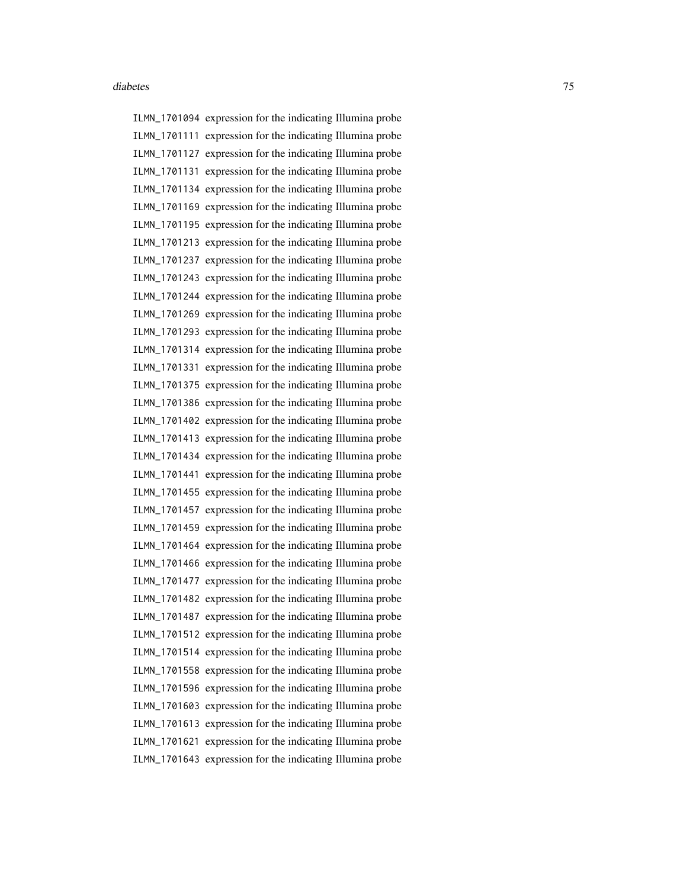ILMN\_1701094 expression for the indicating Illumina probe ILMN\_1701111 expression for the indicating Illumina probe ILMN\_1701127 expression for the indicating Illumina probe ILMN\_1701131 expression for the indicating Illumina probe ILMN\_1701134 expression for the indicating Illumina probe ILMN\_1701169 expression for the indicating Illumina probe ILMN\_1701195 expression for the indicating Illumina probe ILMN\_1701213 expression for the indicating Illumina probe ILMN\_1701237 expression for the indicating Illumina probe ILMN\_1701243 expression for the indicating Illumina probe ILMN\_1701244 expression for the indicating Illumina probe ILMN\_1701269 expression for the indicating Illumina probe ILMN\_1701293 expression for the indicating Illumina probe ILMN\_1701314 expression for the indicating Illumina probe ILMN\_1701331 expression for the indicating Illumina probe ILMN\_1701375 expression for the indicating Illumina probe ILMN\_1701386 expression for the indicating Illumina probe ILMN\_1701402 expression for the indicating Illumina probe ILMN\_1701413 expression for the indicating Illumina probe ILMN\_1701434 expression for the indicating Illumina probe ILMN\_1701441 expression for the indicating Illumina probe ILMN\_1701455 expression for the indicating Illumina probe ILMN\_1701457 expression for the indicating Illumina probe ILMN\_1701459 expression for the indicating Illumina probe ILMN\_1701464 expression for the indicating Illumina probe ILMN\_1701466 expression for the indicating Illumina probe ILMN\_1701477 expression for the indicating Illumina probe ILMN\_1701482 expression for the indicating Illumina probe ILMN\_1701487 expression for the indicating Illumina probe ILMN\_1701512 expression for the indicating Illumina probe ILMN\_1701514 expression for the indicating Illumina probe ILMN\_1701558 expression for the indicating Illumina probe ILMN\_1701596 expression for the indicating Illumina probe ILMN\_1701603 expression for the indicating Illumina probe ILMN\_1701613 expression for the indicating Illumina probe ILMN\_1701621 expression for the indicating Illumina probe ILMN\_1701643 expression for the indicating Illumina probe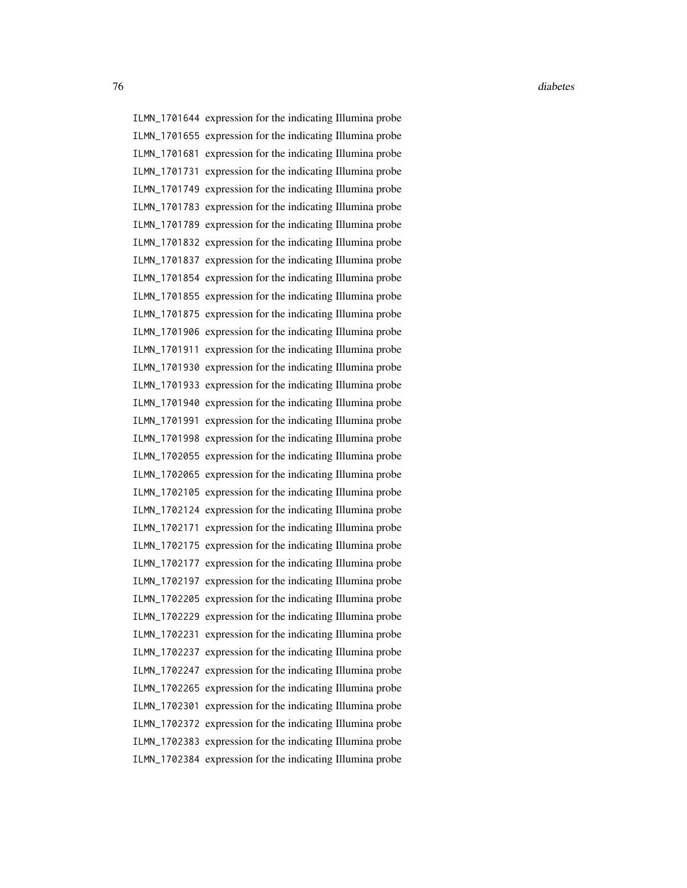ILMN\_1701644 expression for the indicating Illumina probe ILMN\_1701655 expression for the indicating Illumina probe ILMN\_1701681 expression for the indicating Illumina probe ILMN\_1701731 expression for the indicating Illumina probe ILMN\_1701749 expression for the indicating Illumina probe ILMN\_1701783 expression for the indicating Illumina probe ILMN\_1701789 expression for the indicating Illumina probe ILMN\_1701832 expression for the indicating Illumina probe ILMN\_1701837 expression for the indicating Illumina probe ILMN\_1701854 expression for the indicating Illumina probe ILMN\_1701855 expression for the indicating Illumina probe ILMN\_1701875 expression for the indicating Illumina probe ILMN\_1701906 expression for the indicating Illumina probe ILMN\_1701911 expression for the indicating Illumina probe ILMN\_1701930 expression for the indicating Illumina probe ILMN\_1701933 expression for the indicating Illumina probe ILMN\_1701940 expression for the indicating Illumina probe ILMN\_1701991 expression for the indicating Illumina probe ILMN\_1701998 expression for the indicating Illumina probe ILMN\_1702055 expression for the indicating Illumina probe ILMN\_1702065 expression for the indicating Illumina probe ILMN\_1702105 expression for the indicating Illumina probe ILMN\_1702124 expression for the indicating Illumina probe ILMN\_1702171 expression for the indicating Illumina probe ILMN\_1702175 expression for the indicating Illumina probe ILMN\_1702177 expression for the indicating Illumina probe ILMN\_1702197 expression for the indicating Illumina probe ILMN\_1702205 expression for the indicating Illumina probe ILMN\_1702229 expression for the indicating Illumina probe ILMN\_1702231 expression for the indicating Illumina probe ILMN\_1702237 expression for the indicating Illumina probe ILMN\_1702247 expression for the indicating Illumina probe ILMN\_1702265 expression for the indicating Illumina probe ILMN\_1702301 expression for the indicating Illumina probe ILMN\_1702372 expression for the indicating Illumina probe ILMN\_1702383 expression for the indicating Illumina probe ILMN\_1702384 expression for the indicating Illumina probe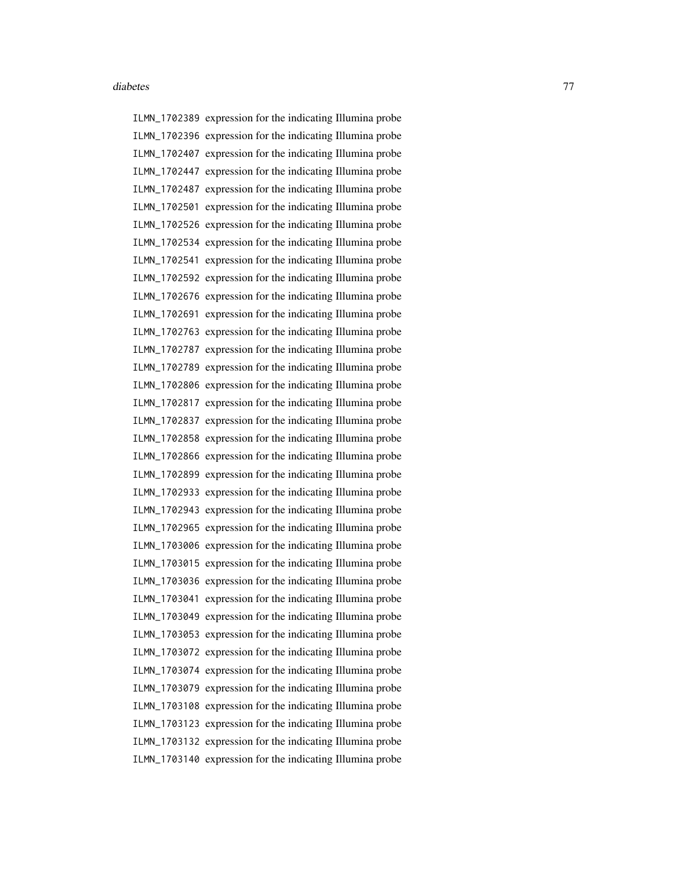ILMN\_1702389 expression for the indicating Illumina probe ILMN\_1702396 expression for the indicating Illumina probe ILMN\_1702407 expression for the indicating Illumina probe ILMN\_1702447 expression for the indicating Illumina probe ILMN\_1702487 expression for the indicating Illumina probe ILMN\_1702501 expression for the indicating Illumina probe ILMN\_1702526 expression for the indicating Illumina probe ILMN\_1702534 expression for the indicating Illumina probe ILMN\_1702541 expression for the indicating Illumina probe ILMN\_1702592 expression for the indicating Illumina probe ILMN\_1702676 expression for the indicating Illumina probe ILMN\_1702691 expression for the indicating Illumina probe ILMN\_1702763 expression for the indicating Illumina probe ILMN\_1702787 expression for the indicating Illumina probe ILMN\_1702789 expression for the indicating Illumina probe ILMN\_1702806 expression for the indicating Illumina probe ILMN\_1702817 expression for the indicating Illumina probe ILMN\_1702837 expression for the indicating Illumina probe ILMN\_1702858 expression for the indicating Illumina probe ILMN\_1702866 expression for the indicating Illumina probe ILMN\_1702899 expression for the indicating Illumina probe ILMN\_1702933 expression for the indicating Illumina probe ILMN\_1702943 expression for the indicating Illumina probe ILMN\_1702965 expression for the indicating Illumina probe ILMN\_1703006 expression for the indicating Illumina probe ILMN\_1703015 expression for the indicating Illumina probe ILMN\_1703036 expression for the indicating Illumina probe ILMN\_1703041 expression for the indicating Illumina probe ILMN\_1703049 expression for the indicating Illumina probe ILMN\_1703053 expression for the indicating Illumina probe ILMN\_1703072 expression for the indicating Illumina probe ILMN\_1703074 expression for the indicating Illumina probe ILMN\_1703079 expression for the indicating Illumina probe ILMN\_1703108 expression for the indicating Illumina probe ILMN\_1703123 expression for the indicating Illumina probe ILMN\_1703132 expression for the indicating Illumina probe ILMN\_1703140 expression for the indicating Illumina probe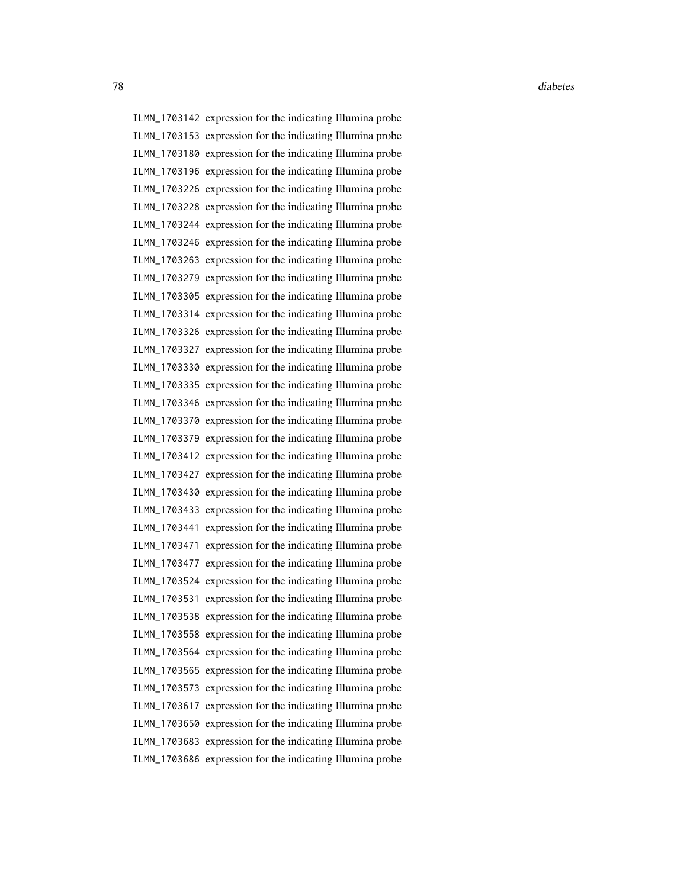ILMN\_1703142 expression for the indicating Illumina probe ILMN\_1703153 expression for the indicating Illumina probe ILMN\_1703180 expression for the indicating Illumina probe ILMN\_1703196 expression for the indicating Illumina probe ILMN\_1703226 expression for the indicating Illumina probe ILMN\_1703228 expression for the indicating Illumina probe ILMN\_1703244 expression for the indicating Illumina probe ILMN\_1703246 expression for the indicating Illumina probe ILMN\_1703263 expression for the indicating Illumina probe ILMN\_1703279 expression for the indicating Illumina probe ILMN\_1703305 expression for the indicating Illumina probe ILMN\_1703314 expression for the indicating Illumina probe ILMN\_1703326 expression for the indicating Illumina probe ILMN\_1703327 expression for the indicating Illumina probe ILMN\_1703330 expression for the indicating Illumina probe ILMN\_1703335 expression for the indicating Illumina probe ILMN\_1703346 expression for the indicating Illumina probe ILMN\_1703370 expression for the indicating Illumina probe ILMN\_1703379 expression for the indicating Illumina probe ILMN\_1703412 expression for the indicating Illumina probe ILMN\_1703427 expression for the indicating Illumina probe ILMN\_1703430 expression for the indicating Illumina probe ILMN\_1703433 expression for the indicating Illumina probe ILMN\_1703441 expression for the indicating Illumina probe ILMN\_1703471 expression for the indicating Illumina probe ILMN\_1703477 expression for the indicating Illumina probe ILMN\_1703524 expression for the indicating Illumina probe ILMN\_1703531 expression for the indicating Illumina probe ILMN\_1703538 expression for the indicating Illumina probe ILMN\_1703558 expression for the indicating Illumina probe ILMN\_1703564 expression for the indicating Illumina probe ILMN\_1703565 expression for the indicating Illumina probe ILMN\_1703573 expression for the indicating Illumina probe ILMN\_1703617 expression for the indicating Illumina probe ILMN\_1703650 expression for the indicating Illumina probe ILMN\_1703683 expression for the indicating Illumina probe ILMN\_1703686 expression for the indicating Illumina probe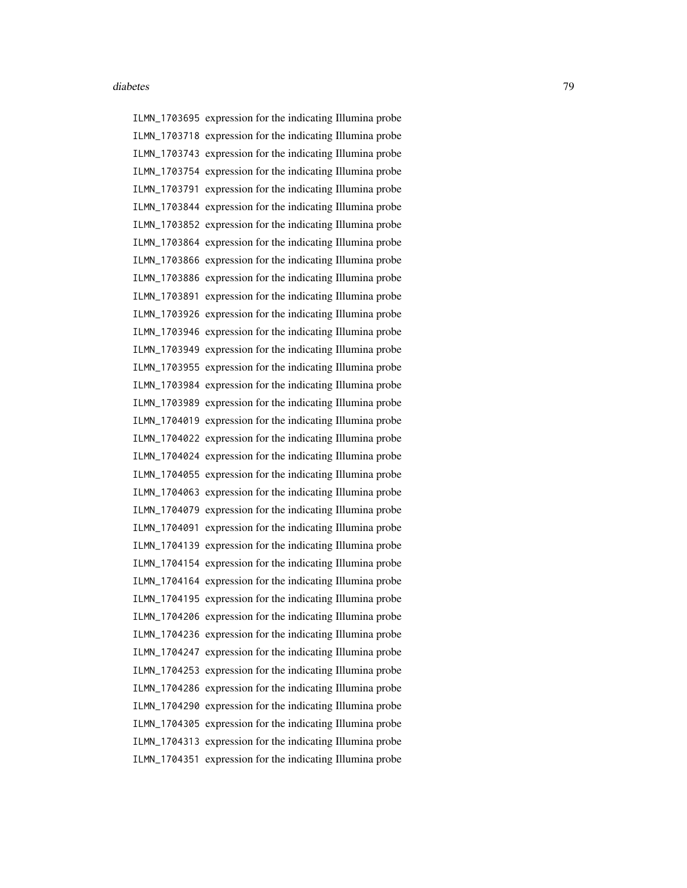ILMN\_1703695 expression for the indicating Illumina probe ILMN\_1703718 expression for the indicating Illumina probe ILMN\_1703743 expression for the indicating Illumina probe ILMN\_1703754 expression for the indicating Illumina probe ILMN\_1703791 expression for the indicating Illumina probe ILMN\_1703844 expression for the indicating Illumina probe ILMN\_1703852 expression for the indicating Illumina probe ILMN\_1703864 expression for the indicating Illumina probe ILMN\_1703866 expression for the indicating Illumina probe ILMN\_1703886 expression for the indicating Illumina probe ILMN\_1703891 expression for the indicating Illumina probe ILMN\_1703926 expression for the indicating Illumina probe ILMN\_1703946 expression for the indicating Illumina probe ILMN\_1703949 expression for the indicating Illumina probe ILMN\_1703955 expression for the indicating Illumina probe ILMN\_1703984 expression for the indicating Illumina probe ILMN\_1703989 expression for the indicating Illumina probe ILMN\_1704019 expression for the indicating Illumina probe ILMN\_1704022 expression for the indicating Illumina probe ILMN\_1704024 expression for the indicating Illumina probe ILMN\_1704055 expression for the indicating Illumina probe ILMN\_1704063 expression for the indicating Illumina probe ILMN\_1704079 expression for the indicating Illumina probe ILMN\_1704091 expression for the indicating Illumina probe ILMN\_1704139 expression for the indicating Illumina probe ILMN\_1704154 expression for the indicating Illumina probe ILMN\_1704164 expression for the indicating Illumina probe ILMN\_1704195 expression for the indicating Illumina probe ILMN\_1704206 expression for the indicating Illumina probe ILMN\_1704236 expression for the indicating Illumina probe ILMN\_1704247 expression for the indicating Illumina probe ILMN\_1704253 expression for the indicating Illumina probe ILMN\_1704286 expression for the indicating Illumina probe ILMN\_1704290 expression for the indicating Illumina probe ILMN\_1704305 expression for the indicating Illumina probe ILMN\_1704313 expression for the indicating Illumina probe ILMN\_1704351 expression for the indicating Illumina probe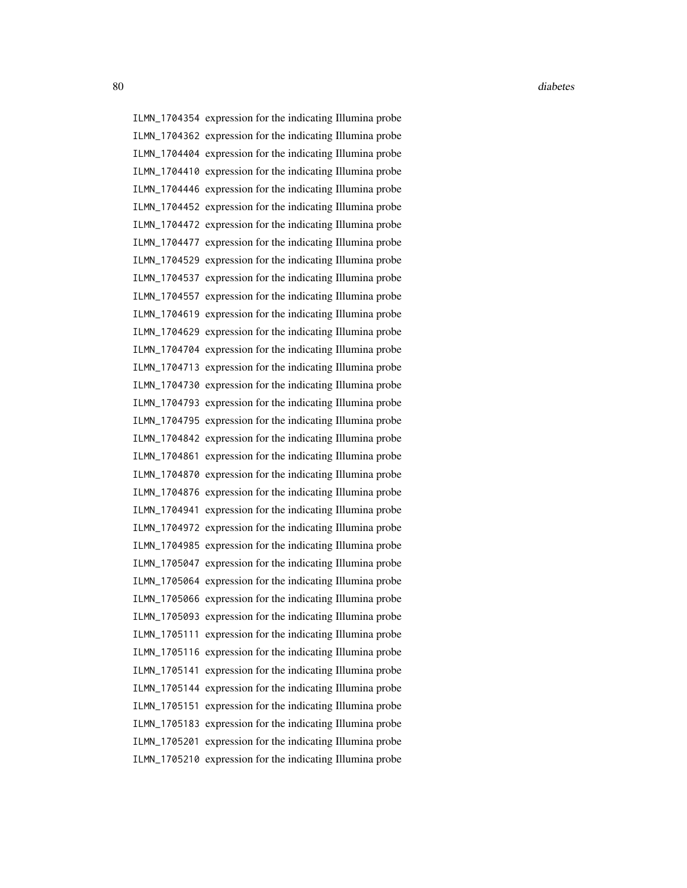ILMN\_1704354 expression for the indicating Illumina probe ILMN\_1704362 expression for the indicating Illumina probe ILMN\_1704404 expression for the indicating Illumina probe ILMN\_1704410 expression for the indicating Illumina probe ILMN\_1704446 expression for the indicating Illumina probe ILMN\_1704452 expression for the indicating Illumina probe ILMN\_1704472 expression for the indicating Illumina probe ILMN\_1704477 expression for the indicating Illumina probe ILMN\_1704529 expression for the indicating Illumina probe ILMN\_1704537 expression for the indicating Illumina probe ILMN\_1704557 expression for the indicating Illumina probe ILMN\_1704619 expression for the indicating Illumina probe ILMN\_1704629 expression for the indicating Illumina probe ILMN\_1704704 expression for the indicating Illumina probe ILMN\_1704713 expression for the indicating Illumina probe ILMN\_1704730 expression for the indicating Illumina probe ILMN\_1704793 expression for the indicating Illumina probe ILMN\_1704795 expression for the indicating Illumina probe ILMN\_1704842 expression for the indicating Illumina probe ILMN\_1704861 expression for the indicating Illumina probe ILMN\_1704870 expression for the indicating Illumina probe ILMN\_1704876 expression for the indicating Illumina probe ILMN\_1704941 expression for the indicating Illumina probe ILMN\_1704972 expression for the indicating Illumina probe ILMN\_1704985 expression for the indicating Illumina probe ILMN\_1705047 expression for the indicating Illumina probe ILMN\_1705064 expression for the indicating Illumina probe ILMN\_1705066 expression for the indicating Illumina probe ILMN\_1705093 expression for the indicating Illumina probe ILMN\_1705111 expression for the indicating Illumina probe ILMN\_1705116 expression for the indicating Illumina probe ILMN\_1705141 expression for the indicating Illumina probe ILMN\_1705144 expression for the indicating Illumina probe ILMN\_1705151 expression for the indicating Illumina probe ILMN\_1705183 expression for the indicating Illumina probe ILMN\_1705201 expression for the indicating Illumina probe ILMN\_1705210 expression for the indicating Illumina probe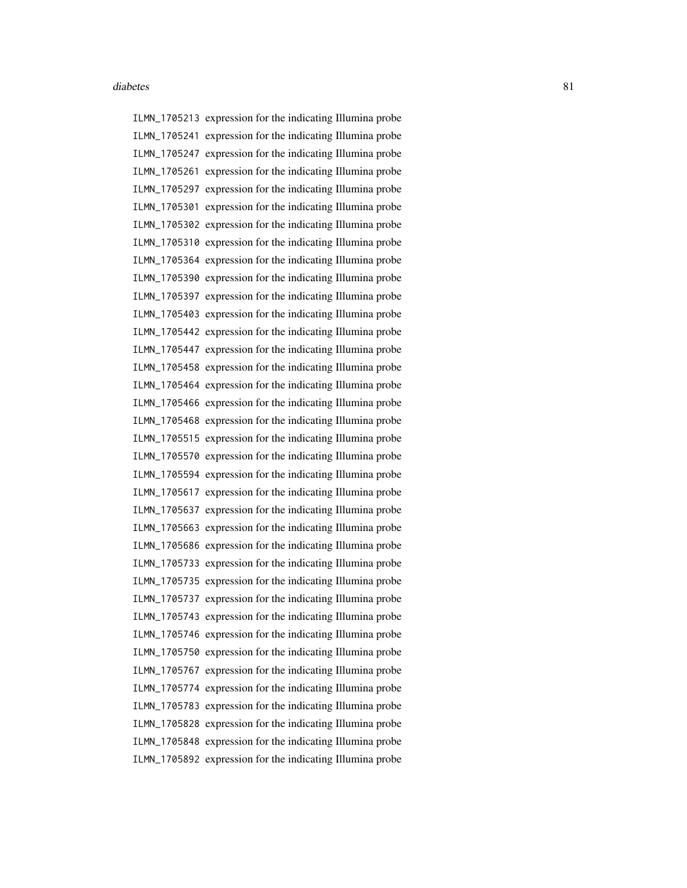ILMN\_1705213 expression for the indicating Illumina probe ILMN\_1705241 expression for the indicating Illumina probe ILMN\_1705247 expression for the indicating Illumina probe ILMN\_1705261 expression for the indicating Illumina probe ILMN\_1705297 expression for the indicating Illumina probe ILMN\_1705301 expression for the indicating Illumina probe ILMN\_1705302 expression for the indicating Illumina probe ILMN\_1705310 expression for the indicating Illumina probe ILMN\_1705364 expression for the indicating Illumina probe ILMN\_1705390 expression for the indicating Illumina probe ILMN\_1705397 expression for the indicating Illumina probe ILMN\_1705403 expression for the indicating Illumina probe ILMN\_1705442 expression for the indicating Illumina probe ILMN\_1705447 expression for the indicating Illumina probe ILMN\_1705458 expression for the indicating Illumina probe ILMN\_1705464 expression for the indicating Illumina probe ILMN\_1705466 expression for the indicating Illumina probe ILMN\_1705468 expression for the indicating Illumina probe ILMN\_1705515 expression for the indicating Illumina probe ILMN\_1705570 expression for the indicating Illumina probe ILMN\_1705594 expression for the indicating Illumina probe ILMN\_1705617 expression for the indicating Illumina probe ILMN\_1705637 expression for the indicating Illumina probe ILMN\_1705663 expression for the indicating Illumina probe ILMN\_1705686 expression for the indicating Illumina probe ILMN\_1705733 expression for the indicating Illumina probe ILMN\_1705735 expression for the indicating Illumina probe ILMN\_1705737 expression for the indicating Illumina probe ILMN\_1705743 expression for the indicating Illumina probe ILMN\_1705746 expression for the indicating Illumina probe ILMN\_1705750 expression for the indicating Illumina probe ILMN\_1705767 expression for the indicating Illumina probe ILMN\_1705774 expression for the indicating Illumina probe ILMN\_1705783 expression for the indicating Illumina probe ILMN\_1705828 expression for the indicating Illumina probe ILMN\_1705848 expression for the indicating Illumina probe ILMN\_1705892 expression for the indicating Illumina probe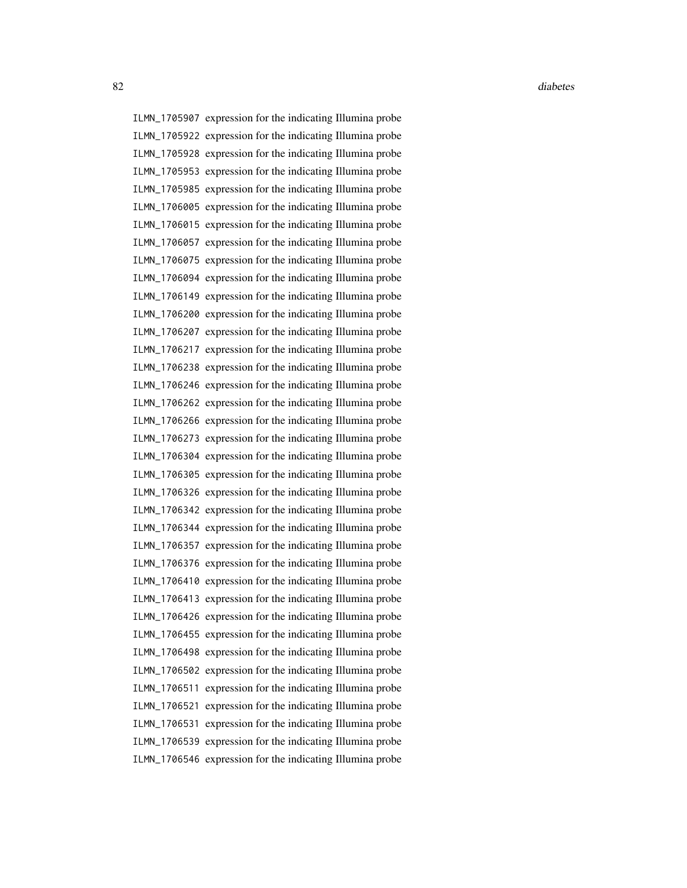ILMN\_1705907 expression for the indicating Illumina probe ILMN\_1705922 expression for the indicating Illumina probe ILMN\_1705928 expression for the indicating Illumina probe ILMN\_1705953 expression for the indicating Illumina probe ILMN\_1705985 expression for the indicating Illumina probe ILMN\_1706005 expression for the indicating Illumina probe ILMN\_1706015 expression for the indicating Illumina probe ILMN\_1706057 expression for the indicating Illumina probe ILMN\_1706075 expression for the indicating Illumina probe ILMN\_1706094 expression for the indicating Illumina probe ILMN\_1706149 expression for the indicating Illumina probe ILMN\_1706200 expression for the indicating Illumina probe ILMN\_1706207 expression for the indicating Illumina probe ILMN\_1706217 expression for the indicating Illumina probe ILMN\_1706238 expression for the indicating Illumina probe ILMN\_1706246 expression for the indicating Illumina probe ILMN\_1706262 expression for the indicating Illumina probe ILMN\_1706266 expression for the indicating Illumina probe ILMN\_1706273 expression for the indicating Illumina probe ILMN\_1706304 expression for the indicating Illumina probe ILMN\_1706305 expression for the indicating Illumina probe ILMN\_1706326 expression for the indicating Illumina probe ILMN\_1706342 expression for the indicating Illumina probe ILMN\_1706344 expression for the indicating Illumina probe ILMN\_1706357 expression for the indicating Illumina probe ILMN\_1706376 expression for the indicating Illumina probe ILMN\_1706410 expression for the indicating Illumina probe ILMN\_1706413 expression for the indicating Illumina probe ILMN\_1706426 expression for the indicating Illumina probe ILMN\_1706455 expression for the indicating Illumina probe ILMN\_1706498 expression for the indicating Illumina probe ILMN\_1706502 expression for the indicating Illumina probe ILMN\_1706511 expression for the indicating Illumina probe ILMN\_1706521 expression for the indicating Illumina probe ILMN\_1706531 expression for the indicating Illumina probe ILMN\_1706539 expression for the indicating Illumina probe ILMN\_1706546 expression for the indicating Illumina probe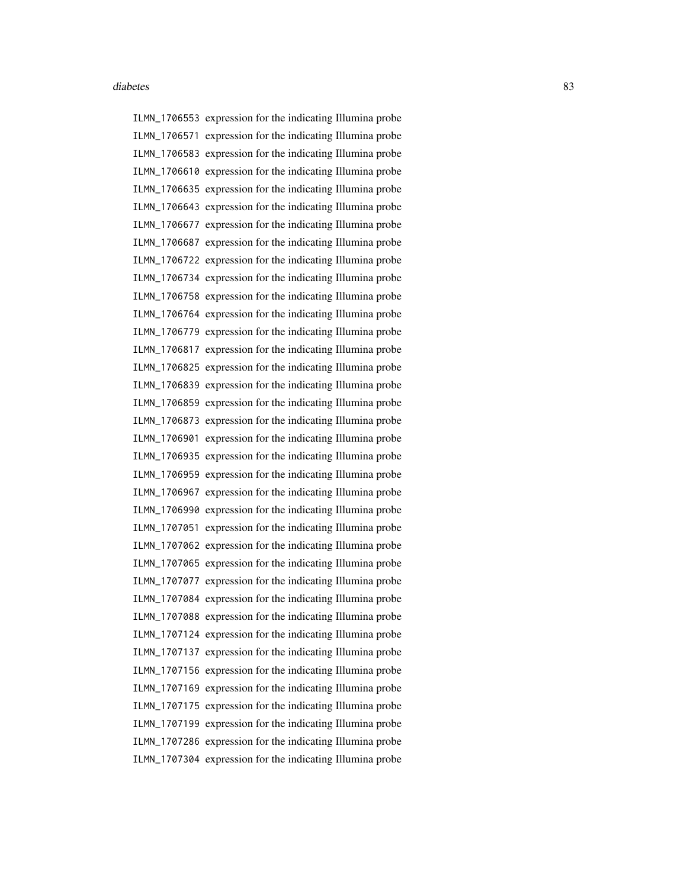ILMN\_1706553 expression for the indicating Illumina probe ILMN\_1706571 expression for the indicating Illumina probe ILMN\_1706583 expression for the indicating Illumina probe ILMN\_1706610 expression for the indicating Illumina probe ILMN\_1706635 expression for the indicating Illumina probe ILMN\_1706643 expression for the indicating Illumina probe ILMN\_1706677 expression for the indicating Illumina probe ILMN\_1706687 expression for the indicating Illumina probe ILMN\_1706722 expression for the indicating Illumina probe ILMN\_1706734 expression for the indicating Illumina probe ILMN\_1706758 expression for the indicating Illumina probe ILMN\_1706764 expression for the indicating Illumina probe ILMN\_1706779 expression for the indicating Illumina probe ILMN\_1706817 expression for the indicating Illumina probe ILMN\_1706825 expression for the indicating Illumina probe ILMN\_1706839 expression for the indicating Illumina probe ILMN\_1706859 expression for the indicating Illumina probe ILMN\_1706873 expression for the indicating Illumina probe ILMN\_1706901 expression for the indicating Illumina probe ILMN\_1706935 expression for the indicating Illumina probe ILMN\_1706959 expression for the indicating Illumina probe ILMN\_1706967 expression for the indicating Illumina probe ILMN\_1706990 expression for the indicating Illumina probe ILMN\_1707051 expression for the indicating Illumina probe ILMN\_1707062 expression for the indicating Illumina probe ILMN\_1707065 expression for the indicating Illumina probe ILMN\_1707077 expression for the indicating Illumina probe ILMN\_1707084 expression for the indicating Illumina probe ILMN\_1707088 expression for the indicating Illumina probe ILMN\_1707124 expression for the indicating Illumina probe ILMN\_1707137 expression for the indicating Illumina probe ILMN\_1707156 expression for the indicating Illumina probe ILMN\_1707169 expression for the indicating Illumina probe ILMN\_1707175 expression for the indicating Illumina probe ILMN\_1707199 expression for the indicating Illumina probe ILMN\_1707286 expression for the indicating Illumina probe ILMN\_1707304 expression for the indicating Illumina probe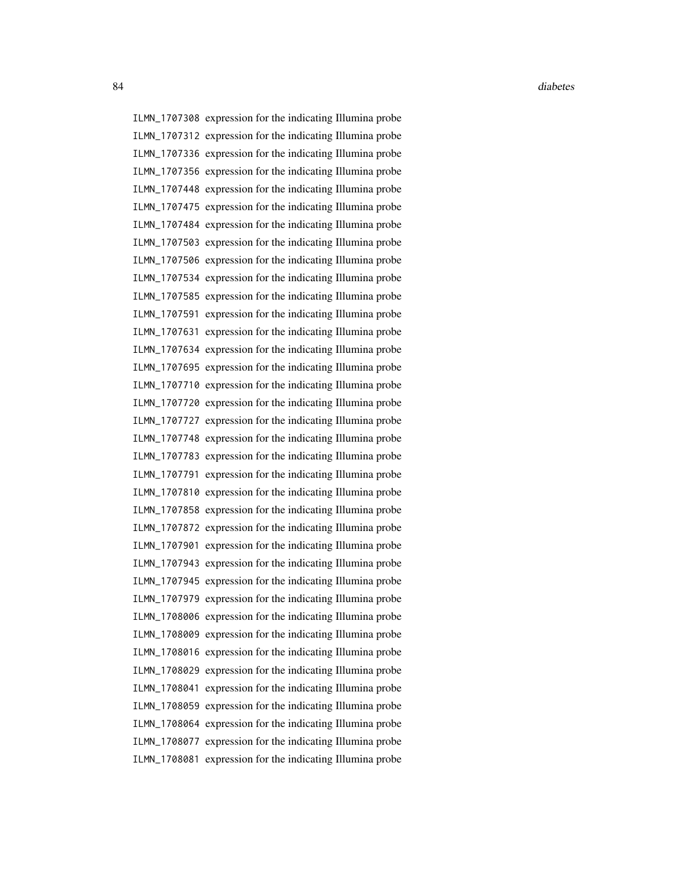ILMN\_1707308 expression for the indicating Illumina probe ILMN\_1707312 expression for the indicating Illumina probe ILMN\_1707336 expression for the indicating Illumina probe ILMN\_1707356 expression for the indicating Illumina probe ILMN\_1707448 expression for the indicating Illumina probe ILMN\_1707475 expression for the indicating Illumina probe ILMN\_1707484 expression for the indicating Illumina probe ILMN\_1707503 expression for the indicating Illumina probe ILMN\_1707506 expression for the indicating Illumina probe ILMN\_1707534 expression for the indicating Illumina probe ILMN\_1707585 expression for the indicating Illumina probe ILMN\_1707591 expression for the indicating Illumina probe ILMN\_1707631 expression for the indicating Illumina probe ILMN\_1707634 expression for the indicating Illumina probe ILMN\_1707695 expression for the indicating Illumina probe ILMN\_1707710 expression for the indicating Illumina probe ILMN\_1707720 expression for the indicating Illumina probe ILMN\_1707727 expression for the indicating Illumina probe ILMN\_1707748 expression for the indicating Illumina probe ILMN\_1707783 expression for the indicating Illumina probe ILMN\_1707791 expression for the indicating Illumina probe ILMN\_1707810 expression for the indicating Illumina probe ILMN\_1707858 expression for the indicating Illumina probe ILMN\_1707872 expression for the indicating Illumina probe ILMN\_1707901 expression for the indicating Illumina probe ILMN\_1707943 expression for the indicating Illumina probe ILMN\_1707945 expression for the indicating Illumina probe ILMN\_1707979 expression for the indicating Illumina probe ILMN\_1708006 expression for the indicating Illumina probe ILMN\_1708009 expression for the indicating Illumina probe ILMN\_1708016 expression for the indicating Illumina probe ILMN\_1708029 expression for the indicating Illumina probe ILMN\_1708041 expression for the indicating Illumina probe ILMN\_1708059 expression for the indicating Illumina probe ILMN\_1708064 expression for the indicating Illumina probe ILMN\_1708077 expression for the indicating Illumina probe ILMN\_1708081 expression for the indicating Illumina probe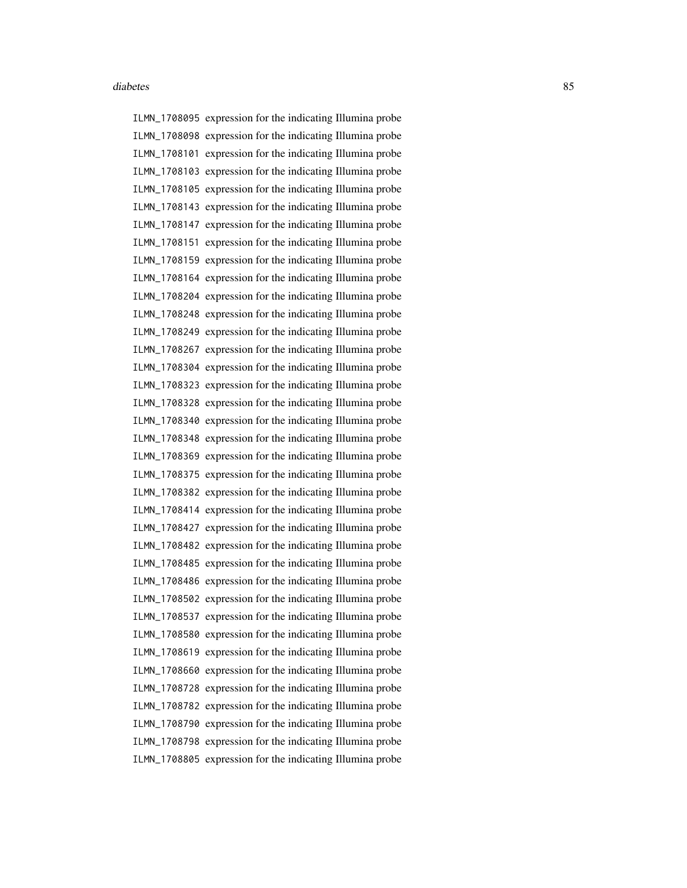ILMN\_1708095 expression for the indicating Illumina probe ILMN\_1708098 expression for the indicating Illumina probe ILMN\_1708101 expression for the indicating Illumina probe ILMN\_1708103 expression for the indicating Illumina probe ILMN\_1708105 expression for the indicating Illumina probe ILMN\_1708143 expression for the indicating Illumina probe ILMN\_1708147 expression for the indicating Illumina probe ILMN\_1708151 expression for the indicating Illumina probe ILMN\_1708159 expression for the indicating Illumina probe ILMN\_1708164 expression for the indicating Illumina probe ILMN\_1708204 expression for the indicating Illumina probe ILMN\_1708248 expression for the indicating Illumina probe ILMN\_1708249 expression for the indicating Illumina probe ILMN\_1708267 expression for the indicating Illumina probe ILMN\_1708304 expression for the indicating Illumina probe ILMN\_1708323 expression for the indicating Illumina probe ILMN\_1708328 expression for the indicating Illumina probe ILMN\_1708340 expression for the indicating Illumina probe ILMN\_1708348 expression for the indicating Illumina probe ILMN\_1708369 expression for the indicating Illumina probe ILMN\_1708375 expression for the indicating Illumina probe ILMN\_1708382 expression for the indicating Illumina probe ILMN\_1708414 expression for the indicating Illumina probe ILMN\_1708427 expression for the indicating Illumina probe ILMN\_1708482 expression for the indicating Illumina probe ILMN\_1708485 expression for the indicating Illumina probe ILMN\_1708486 expression for the indicating Illumina probe ILMN\_1708502 expression for the indicating Illumina probe ILMN\_1708537 expression for the indicating Illumina probe ILMN\_1708580 expression for the indicating Illumina probe ILMN\_1708619 expression for the indicating Illumina probe ILMN\_1708660 expression for the indicating Illumina probe ILMN\_1708728 expression for the indicating Illumina probe ILMN\_1708782 expression for the indicating Illumina probe ILMN\_1708790 expression for the indicating Illumina probe ILMN\_1708798 expression for the indicating Illumina probe ILMN\_1708805 expression for the indicating Illumina probe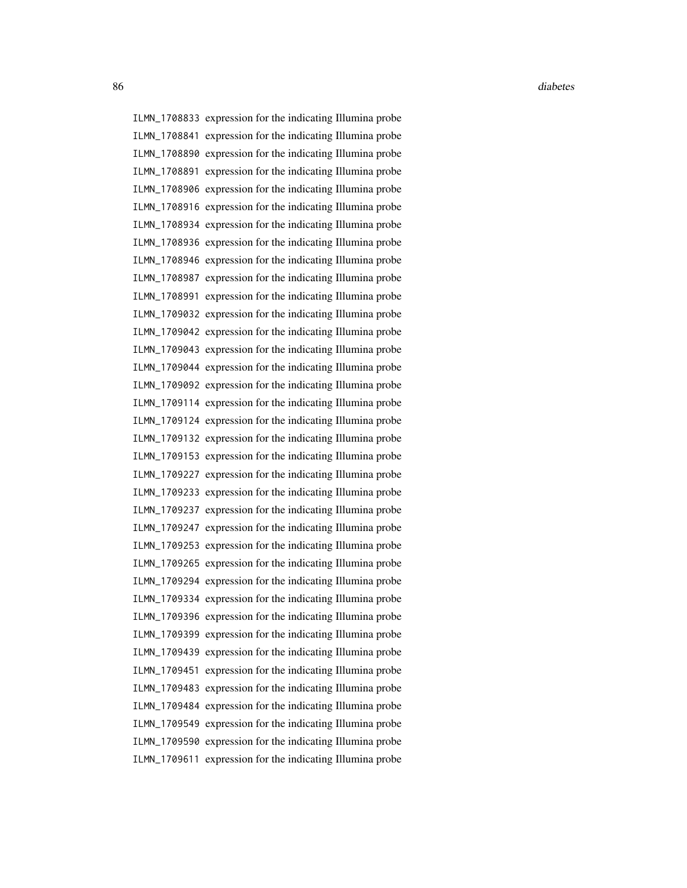86 diabetes and the contract of the contract of the contract of the contract of the contract of the contract of the contract of the contract of the contract of the contract of the contract of the contract of the contract o

ILMN\_1708833 expression for the indicating Illumina probe ILMN\_1708841 expression for the indicating Illumina probe ILMN\_1708890 expression for the indicating Illumina probe ILMN\_1708891 expression for the indicating Illumina probe ILMN\_1708906 expression for the indicating Illumina probe ILMN\_1708916 expression for the indicating Illumina probe ILMN\_1708934 expression for the indicating Illumina probe ILMN\_1708936 expression for the indicating Illumina probe ILMN\_1708946 expression for the indicating Illumina probe ILMN\_1708987 expression for the indicating Illumina probe ILMN\_1708991 expression for the indicating Illumina probe ILMN\_1709032 expression for the indicating Illumina probe ILMN\_1709042 expression for the indicating Illumina probe ILMN\_1709043 expression for the indicating Illumina probe ILMN\_1709044 expression for the indicating Illumina probe ILMN\_1709092 expression for the indicating Illumina probe ILMN\_1709114 expression for the indicating Illumina probe ILMN\_1709124 expression for the indicating Illumina probe ILMN\_1709132 expression for the indicating Illumina probe ILMN\_1709153 expression for the indicating Illumina probe ILMN\_1709227 expression for the indicating Illumina probe ILMN\_1709233 expression for the indicating Illumina probe ILMN\_1709237 expression for the indicating Illumina probe ILMN\_1709247 expression for the indicating Illumina probe ILMN\_1709253 expression for the indicating Illumina probe ILMN\_1709265 expression for the indicating Illumina probe ILMN\_1709294 expression for the indicating Illumina probe ILMN\_1709334 expression for the indicating Illumina probe ILMN\_1709396 expression for the indicating Illumina probe ILMN\_1709399 expression for the indicating Illumina probe ILMN\_1709439 expression for the indicating Illumina probe ILMN\_1709451 expression for the indicating Illumina probe ILMN\_1709483 expression for the indicating Illumina probe ILMN\_1709484 expression for the indicating Illumina probe ILMN\_1709549 expression for the indicating Illumina probe ILMN\_1709590 expression for the indicating Illumina probe ILMN\_1709611 expression for the indicating Illumina probe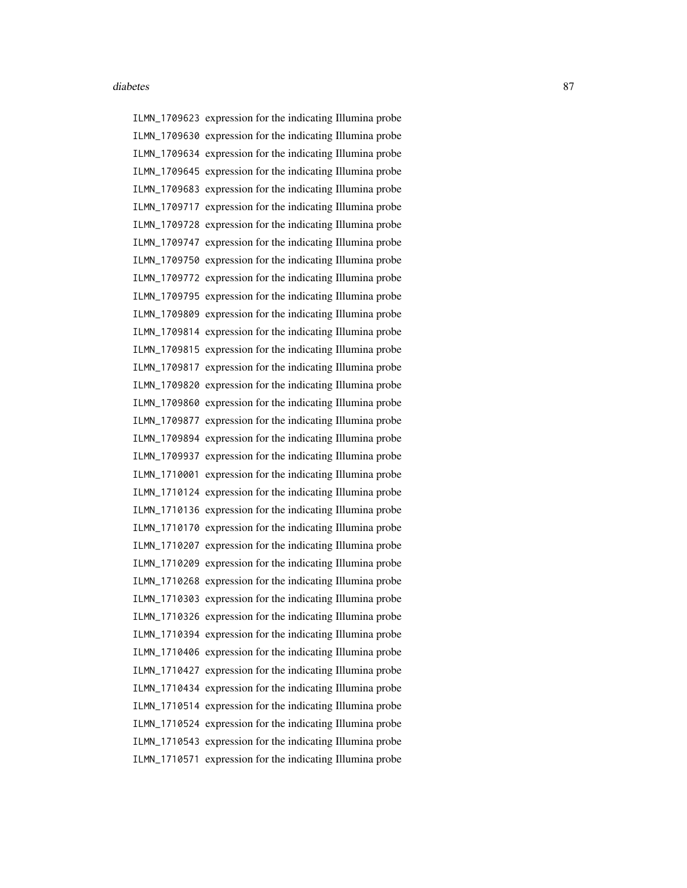ILMN\_1709623 expression for the indicating Illumina probe ILMN\_1709630 expression for the indicating Illumina probe ILMN\_1709634 expression for the indicating Illumina probe ILMN\_1709645 expression for the indicating Illumina probe ILMN\_1709683 expression for the indicating Illumina probe ILMN\_1709717 expression for the indicating Illumina probe ILMN\_1709728 expression for the indicating Illumina probe ILMN\_1709747 expression for the indicating Illumina probe ILMN\_1709750 expression for the indicating Illumina probe ILMN\_1709772 expression for the indicating Illumina probe ILMN\_1709795 expression for the indicating Illumina probe ILMN\_1709809 expression for the indicating Illumina probe ILMN\_1709814 expression for the indicating Illumina probe ILMN\_1709815 expression for the indicating Illumina probe ILMN\_1709817 expression for the indicating Illumina probe ILMN\_1709820 expression for the indicating Illumina probe ILMN\_1709860 expression for the indicating Illumina probe ILMN\_1709877 expression for the indicating Illumina probe ILMN\_1709894 expression for the indicating Illumina probe ILMN\_1709937 expression for the indicating Illumina probe ILMN\_1710001 expression for the indicating Illumina probe ILMN\_1710124 expression for the indicating Illumina probe ILMN\_1710136 expression for the indicating Illumina probe ILMN\_1710170 expression for the indicating Illumina probe ILMN\_1710207 expression for the indicating Illumina probe ILMN\_1710209 expression for the indicating Illumina probe ILMN\_1710268 expression for the indicating Illumina probe ILMN\_1710303 expression for the indicating Illumina probe ILMN\_1710326 expression for the indicating Illumina probe ILMN\_1710394 expression for the indicating Illumina probe ILMN\_1710406 expression for the indicating Illumina probe ILMN\_1710427 expression for the indicating Illumina probe ILMN\_1710434 expression for the indicating Illumina probe ILMN\_1710514 expression for the indicating Illumina probe ILMN\_1710524 expression for the indicating Illumina probe ILMN\_1710543 expression for the indicating Illumina probe ILMN\_1710571 expression for the indicating Illumina probe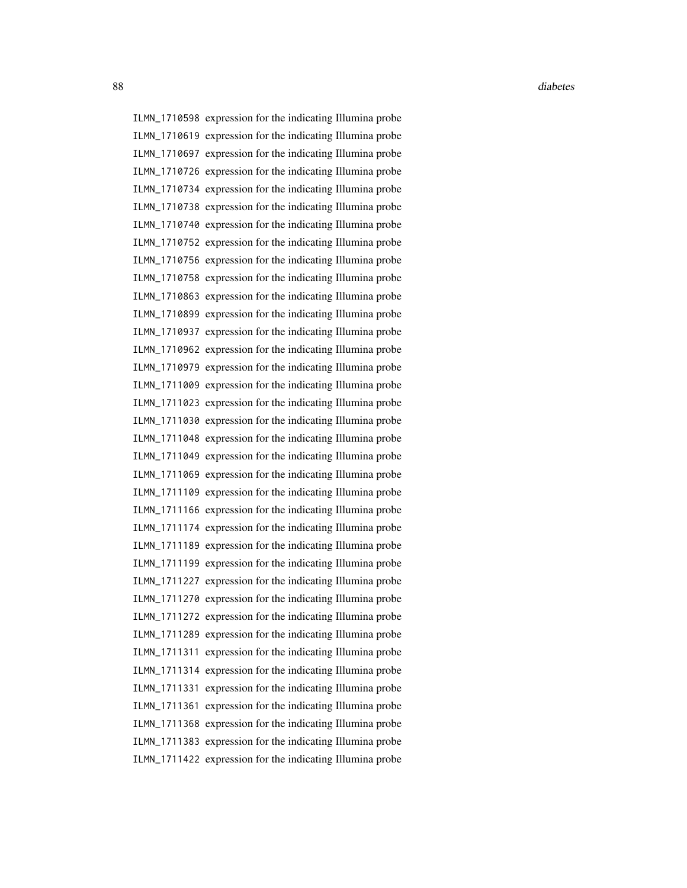88 diabetes and the contract of the contract of the contract of the contract of the contract of the contract of the contract of the contract of the contract of the contract of the contract of the contract of the contract o

ILMN\_1710598 expression for the indicating Illumina probe ILMN\_1710619 expression for the indicating Illumina probe ILMN\_1710697 expression for the indicating Illumina probe ILMN\_1710726 expression for the indicating Illumina probe ILMN\_1710734 expression for the indicating Illumina probe ILMN\_1710738 expression for the indicating Illumina probe ILMN\_1710740 expression for the indicating Illumina probe ILMN\_1710752 expression for the indicating Illumina probe ILMN\_1710756 expression for the indicating Illumina probe ILMN\_1710758 expression for the indicating Illumina probe ILMN\_1710863 expression for the indicating Illumina probe ILMN\_1710899 expression for the indicating Illumina probe ILMN\_1710937 expression for the indicating Illumina probe ILMN\_1710962 expression for the indicating Illumina probe ILMN\_1710979 expression for the indicating Illumina probe ILMN\_1711009 expression for the indicating Illumina probe ILMN\_1711023 expression for the indicating Illumina probe ILMN\_1711030 expression for the indicating Illumina probe ILMN\_1711048 expression for the indicating Illumina probe ILMN\_1711049 expression for the indicating Illumina probe ILMN\_1711069 expression for the indicating Illumina probe ILMN\_1711109 expression for the indicating Illumina probe ILMN\_1711166 expression for the indicating Illumina probe ILMN\_1711174 expression for the indicating Illumina probe ILMN\_1711189 expression for the indicating Illumina probe ILMN\_1711199 expression for the indicating Illumina probe ILMN\_1711227 expression for the indicating Illumina probe ILMN\_1711270 expression for the indicating Illumina probe ILMN\_1711272 expression for the indicating Illumina probe ILMN\_1711289 expression for the indicating Illumina probe ILMN\_1711311 expression for the indicating Illumina probe ILMN\_1711314 expression for the indicating Illumina probe ILMN\_1711331 expression for the indicating Illumina probe ILMN\_1711361 expression for the indicating Illumina probe ILMN\_1711368 expression for the indicating Illumina probe ILMN\_1711383 expression for the indicating Illumina probe ILMN\_1711422 expression for the indicating Illumina probe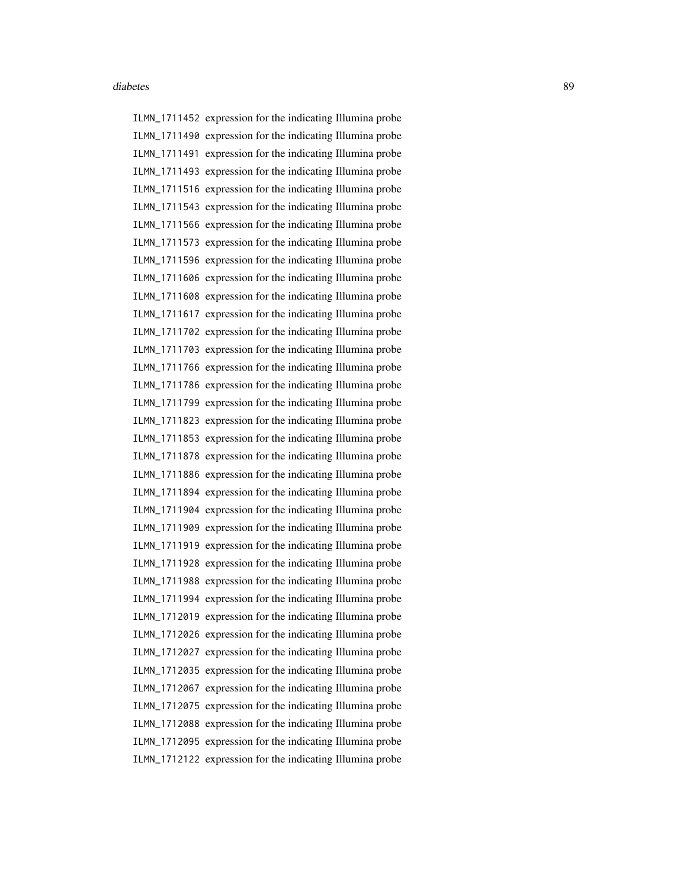ILMN\_1711452 expression for the indicating Illumina probe ILMN\_1711490 expression for the indicating Illumina probe ILMN\_1711491 expression for the indicating Illumina probe ILMN\_1711493 expression for the indicating Illumina probe ILMN\_1711516 expression for the indicating Illumina probe ILMN\_1711543 expression for the indicating Illumina probe ILMN\_1711566 expression for the indicating Illumina probe ILMN\_1711573 expression for the indicating Illumina probe ILMN\_1711596 expression for the indicating Illumina probe ILMN\_1711606 expression for the indicating Illumina probe ILMN\_1711608 expression for the indicating Illumina probe ILMN\_1711617 expression for the indicating Illumina probe ILMN\_1711702 expression for the indicating Illumina probe ILMN\_1711703 expression for the indicating Illumina probe ILMN\_1711766 expression for the indicating Illumina probe ILMN\_1711786 expression for the indicating Illumina probe ILMN\_1711799 expression for the indicating Illumina probe ILMN\_1711823 expression for the indicating Illumina probe ILMN\_1711853 expression for the indicating Illumina probe ILMN\_1711878 expression for the indicating Illumina probe ILMN\_1711886 expression for the indicating Illumina probe ILMN\_1711894 expression for the indicating Illumina probe ILMN\_1711904 expression for the indicating Illumina probe ILMN\_1711909 expression for the indicating Illumina probe ILMN\_1711919 expression for the indicating Illumina probe ILMN\_1711928 expression for the indicating Illumina probe ILMN\_1711988 expression for the indicating Illumina probe ILMN\_1711994 expression for the indicating Illumina probe ILMN\_1712019 expression for the indicating Illumina probe ILMN\_1712026 expression for the indicating Illumina probe ILMN\_1712027 expression for the indicating Illumina probe ILMN\_1712035 expression for the indicating Illumina probe ILMN\_1712067 expression for the indicating Illumina probe ILMN\_1712075 expression for the indicating Illumina probe ILMN\_1712088 expression for the indicating Illumina probe ILMN\_1712095 expression for the indicating Illumina probe ILMN\_1712122 expression for the indicating Illumina probe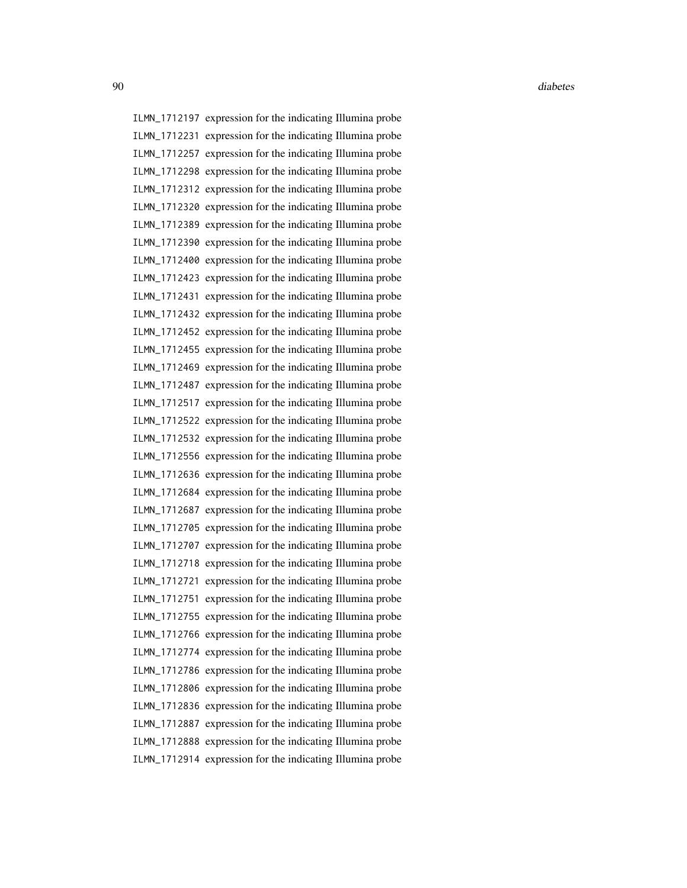ILMN\_1712197 expression for the indicating Illumina probe ILMN\_1712231 expression for the indicating Illumina probe ILMN\_1712257 expression for the indicating Illumina probe ILMN\_1712298 expression for the indicating Illumina probe ILMN\_1712312 expression for the indicating Illumina probe ILMN\_1712320 expression for the indicating Illumina probe ILMN\_1712389 expression for the indicating Illumina probe ILMN\_1712390 expression for the indicating Illumina probe ILMN\_1712400 expression for the indicating Illumina probe ILMN\_1712423 expression for the indicating Illumina probe ILMN\_1712431 expression for the indicating Illumina probe ILMN\_1712432 expression for the indicating Illumina probe ILMN\_1712452 expression for the indicating Illumina probe ILMN\_1712455 expression for the indicating Illumina probe ILMN\_1712469 expression for the indicating Illumina probe ILMN\_1712487 expression for the indicating Illumina probe ILMN\_1712517 expression for the indicating Illumina probe ILMN\_1712522 expression for the indicating Illumina probe ILMN\_1712532 expression for the indicating Illumina probe ILMN\_1712556 expression for the indicating Illumina probe ILMN\_1712636 expression for the indicating Illumina probe ILMN\_1712684 expression for the indicating Illumina probe ILMN\_1712687 expression for the indicating Illumina probe ILMN\_1712705 expression for the indicating Illumina probe ILMN\_1712707 expression for the indicating Illumina probe ILMN\_1712718 expression for the indicating Illumina probe ILMN\_1712721 expression for the indicating Illumina probe ILMN\_1712751 expression for the indicating Illumina probe ILMN\_1712755 expression for the indicating Illumina probe ILMN\_1712766 expression for the indicating Illumina probe ILMN\_1712774 expression for the indicating Illumina probe ILMN\_1712786 expression for the indicating Illumina probe ILMN\_1712806 expression for the indicating Illumina probe ILMN\_1712836 expression for the indicating Illumina probe ILMN\_1712887 expression for the indicating Illumina probe ILMN\_1712888 expression for the indicating Illumina probe ILMN\_1712914 expression for the indicating Illumina probe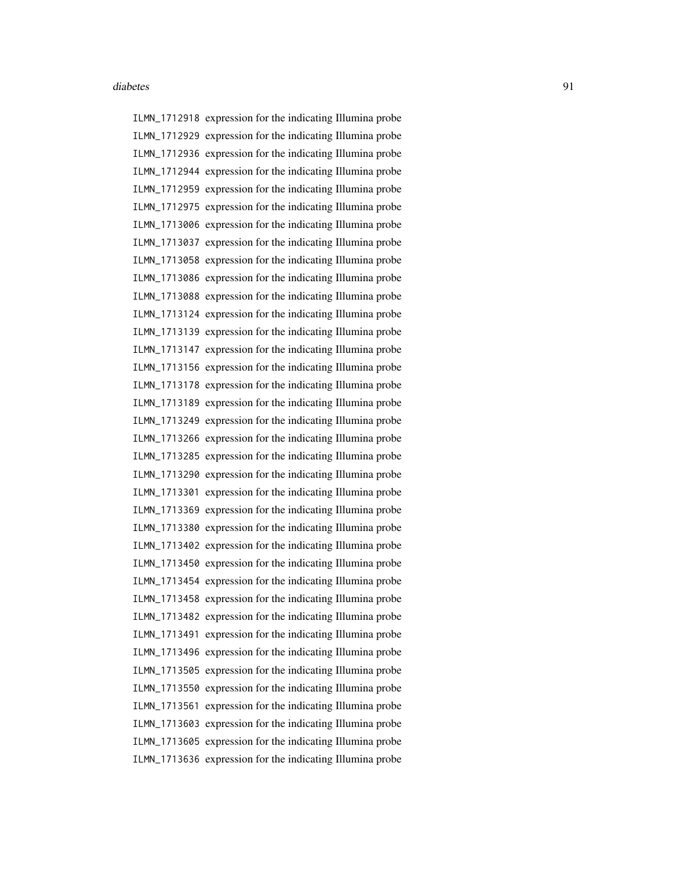ILMN\_1712918 expression for the indicating Illumina probe ILMN\_1712929 expression for the indicating Illumina probe ILMN\_1712936 expression for the indicating Illumina probe ILMN\_1712944 expression for the indicating Illumina probe ILMN\_1712959 expression for the indicating Illumina probe ILMN\_1712975 expression for the indicating Illumina probe ILMN\_1713006 expression for the indicating Illumina probe ILMN\_1713037 expression for the indicating Illumina probe ILMN\_1713058 expression for the indicating Illumina probe ILMN\_1713086 expression for the indicating Illumina probe ILMN\_1713088 expression for the indicating Illumina probe ILMN\_1713124 expression for the indicating Illumina probe ILMN\_1713139 expression for the indicating Illumina probe ILMN\_1713147 expression for the indicating Illumina probe ILMN\_1713156 expression for the indicating Illumina probe ILMN\_1713178 expression for the indicating Illumina probe ILMN\_1713189 expression for the indicating Illumina probe ILMN\_1713249 expression for the indicating Illumina probe ILMN\_1713266 expression for the indicating Illumina probe ILMN\_1713285 expression for the indicating Illumina probe ILMN\_1713290 expression for the indicating Illumina probe ILMN\_1713301 expression for the indicating Illumina probe ILMN\_1713369 expression for the indicating Illumina probe ILMN\_1713380 expression for the indicating Illumina probe ILMN\_1713402 expression for the indicating Illumina probe ILMN\_1713450 expression for the indicating Illumina probe ILMN\_1713454 expression for the indicating Illumina probe ILMN\_1713458 expression for the indicating Illumina probe ILMN\_1713482 expression for the indicating Illumina probe ILMN\_1713491 expression for the indicating Illumina probe ILMN\_1713496 expression for the indicating Illumina probe ILMN\_1713505 expression for the indicating Illumina probe ILMN\_1713550 expression for the indicating Illumina probe ILMN\_1713561 expression for the indicating Illumina probe ILMN\_1713603 expression for the indicating Illumina probe ILMN\_1713605 expression for the indicating Illumina probe ILMN\_1713636 expression for the indicating Illumina probe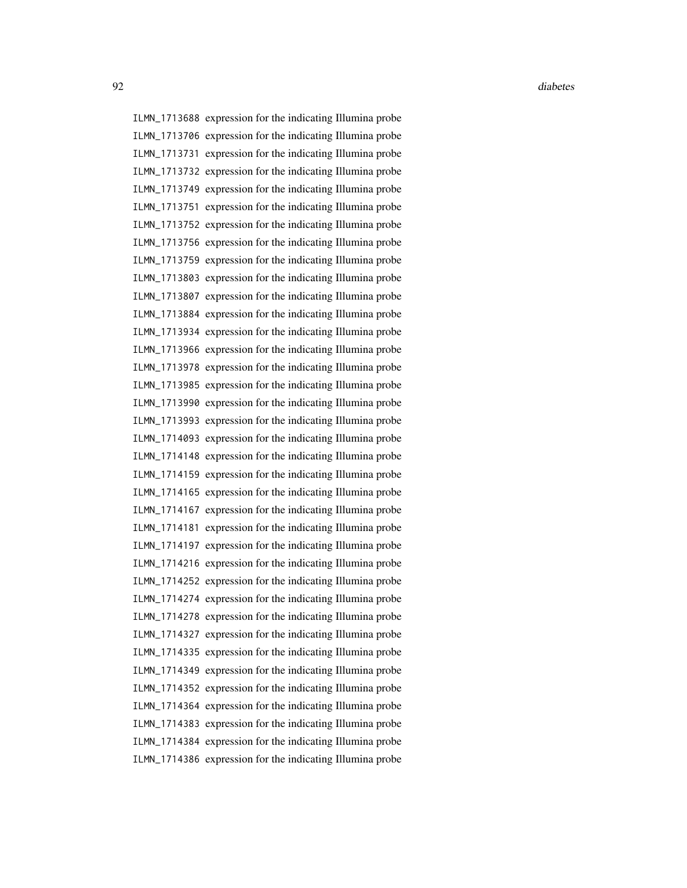ILMN\_1713688 expression for the indicating Illumina probe ILMN\_1713706 expression for the indicating Illumina probe ILMN\_1713731 expression for the indicating Illumina probe ILMN\_1713732 expression for the indicating Illumina probe ILMN\_1713749 expression for the indicating Illumina probe ILMN\_1713751 expression for the indicating Illumina probe ILMN\_1713752 expression for the indicating Illumina probe ILMN\_1713756 expression for the indicating Illumina probe ILMN\_1713759 expression for the indicating Illumina probe ILMN\_1713803 expression for the indicating Illumina probe ILMN\_1713807 expression for the indicating Illumina probe ILMN\_1713884 expression for the indicating Illumina probe ILMN\_1713934 expression for the indicating Illumina probe ILMN\_1713966 expression for the indicating Illumina probe ILMN\_1713978 expression for the indicating Illumina probe ILMN\_1713985 expression for the indicating Illumina probe ILMN\_1713990 expression for the indicating Illumina probe ILMN\_1713993 expression for the indicating Illumina probe ILMN\_1714093 expression for the indicating Illumina probe ILMN\_1714148 expression for the indicating Illumina probe ILMN\_1714159 expression for the indicating Illumina probe ILMN\_1714165 expression for the indicating Illumina probe ILMN\_1714167 expression for the indicating Illumina probe ILMN\_1714181 expression for the indicating Illumina probe ILMN\_1714197 expression for the indicating Illumina probe ILMN\_1714216 expression for the indicating Illumina probe ILMN\_1714252 expression for the indicating Illumina probe ILMN\_1714274 expression for the indicating Illumina probe ILMN\_1714278 expression for the indicating Illumina probe ILMN\_1714327 expression for the indicating Illumina probe ILMN\_1714335 expression for the indicating Illumina probe ILMN\_1714349 expression for the indicating Illumina probe ILMN\_1714352 expression for the indicating Illumina probe ILMN\_1714364 expression for the indicating Illumina probe ILMN\_1714383 expression for the indicating Illumina probe ILMN\_1714384 expression for the indicating Illumina probe ILMN\_1714386 expression for the indicating Illumina probe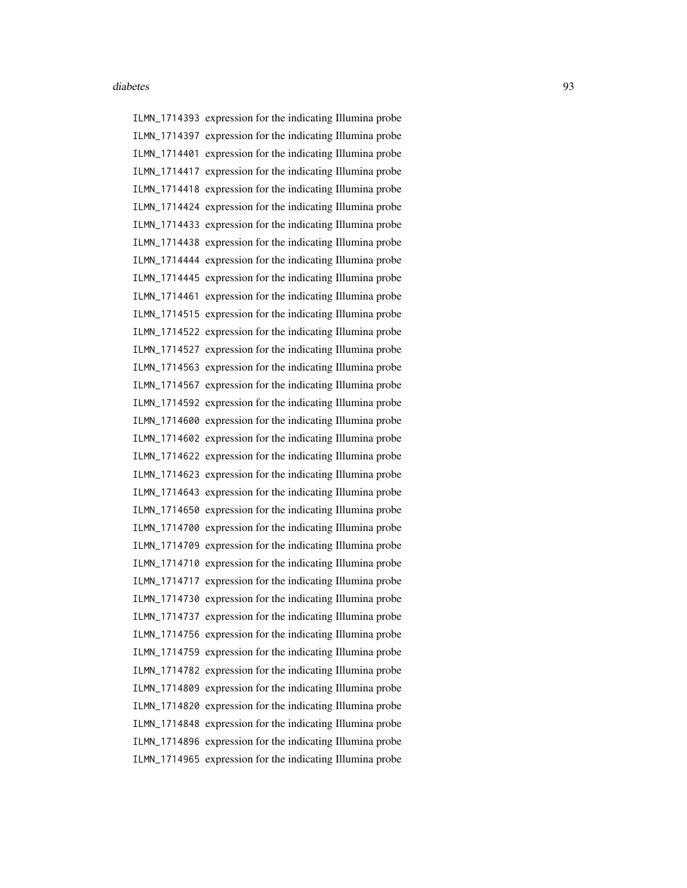ILMN\_1714393 expression for the indicating Illumina probe ILMN\_1714397 expression for the indicating Illumina probe ILMN\_1714401 expression for the indicating Illumina probe ILMN\_1714417 expression for the indicating Illumina probe ILMN\_1714418 expression for the indicating Illumina probe ILMN\_1714424 expression for the indicating Illumina probe ILMN\_1714433 expression for the indicating Illumina probe ILMN\_1714438 expression for the indicating Illumina probe ILMN\_1714444 expression for the indicating Illumina probe ILMN\_1714445 expression for the indicating Illumina probe ILMN\_1714461 expression for the indicating Illumina probe ILMN\_1714515 expression for the indicating Illumina probe ILMN\_1714522 expression for the indicating Illumina probe ILMN\_1714527 expression for the indicating Illumina probe ILMN\_1714563 expression for the indicating Illumina probe ILMN\_1714567 expression for the indicating Illumina probe ILMN\_1714592 expression for the indicating Illumina probe ILMN\_1714600 expression for the indicating Illumina probe ILMN\_1714602 expression for the indicating Illumina probe ILMN\_1714622 expression for the indicating Illumina probe ILMN\_1714623 expression for the indicating Illumina probe ILMN\_1714643 expression for the indicating Illumina probe ILMN\_1714650 expression for the indicating Illumina probe ILMN\_1714700 expression for the indicating Illumina probe ILMN\_1714709 expression for the indicating Illumina probe ILMN\_1714710 expression for the indicating Illumina probe ILMN\_1714717 expression for the indicating Illumina probe ILMN\_1714730 expression for the indicating Illumina probe ILMN\_1714737 expression for the indicating Illumina probe ILMN\_1714756 expression for the indicating Illumina probe ILMN\_1714759 expression for the indicating Illumina probe ILMN\_1714782 expression for the indicating Illumina probe ILMN\_1714809 expression for the indicating Illumina probe ILMN\_1714820 expression for the indicating Illumina probe ILMN\_1714848 expression for the indicating Illumina probe ILMN\_1714896 expression for the indicating Illumina probe ILMN\_1714965 expression for the indicating Illumina probe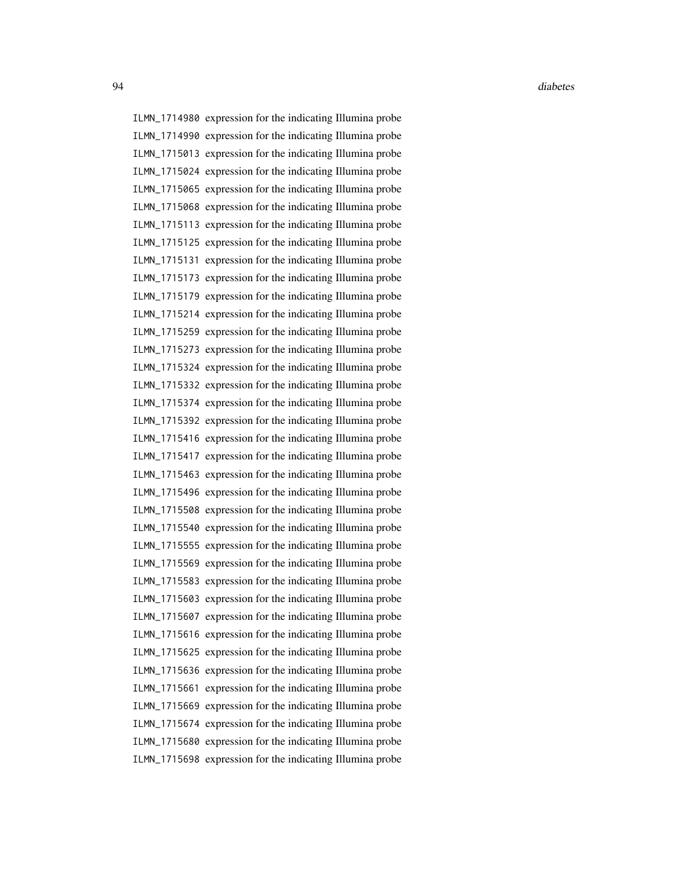ILMN\_1714980 expression for the indicating Illumina probe ILMN\_1714990 expression for the indicating Illumina probe ILMN\_1715013 expression for the indicating Illumina probe ILMN\_1715024 expression for the indicating Illumina probe ILMN\_1715065 expression for the indicating Illumina probe ILMN\_1715068 expression for the indicating Illumina probe ILMN\_1715113 expression for the indicating Illumina probe ILMN\_1715125 expression for the indicating Illumina probe ILMN\_1715131 expression for the indicating Illumina probe ILMN\_1715173 expression for the indicating Illumina probe ILMN\_1715179 expression for the indicating Illumina probe ILMN\_1715214 expression for the indicating Illumina probe ILMN\_1715259 expression for the indicating Illumina probe ILMN\_1715273 expression for the indicating Illumina probe ILMN\_1715324 expression for the indicating Illumina probe ILMN\_1715332 expression for the indicating Illumina probe ILMN\_1715374 expression for the indicating Illumina probe ILMN\_1715392 expression for the indicating Illumina probe ILMN\_1715416 expression for the indicating Illumina probe ILMN\_1715417 expression for the indicating Illumina probe ILMN\_1715463 expression for the indicating Illumina probe ILMN\_1715496 expression for the indicating Illumina probe ILMN\_1715508 expression for the indicating Illumina probe ILMN\_1715540 expression for the indicating Illumina probe ILMN\_1715555 expression for the indicating Illumina probe ILMN\_1715569 expression for the indicating Illumina probe ILMN\_1715583 expression for the indicating Illumina probe ILMN\_1715603 expression for the indicating Illumina probe ILMN\_1715607 expression for the indicating Illumina probe ILMN\_1715616 expression for the indicating Illumina probe ILMN\_1715625 expression for the indicating Illumina probe ILMN\_1715636 expression for the indicating Illumina probe ILMN\_1715661 expression for the indicating Illumina probe ILMN\_1715669 expression for the indicating Illumina probe ILMN\_1715674 expression for the indicating Illumina probe ILMN\_1715680 expression for the indicating Illumina probe ILMN\_1715698 expression for the indicating Illumina probe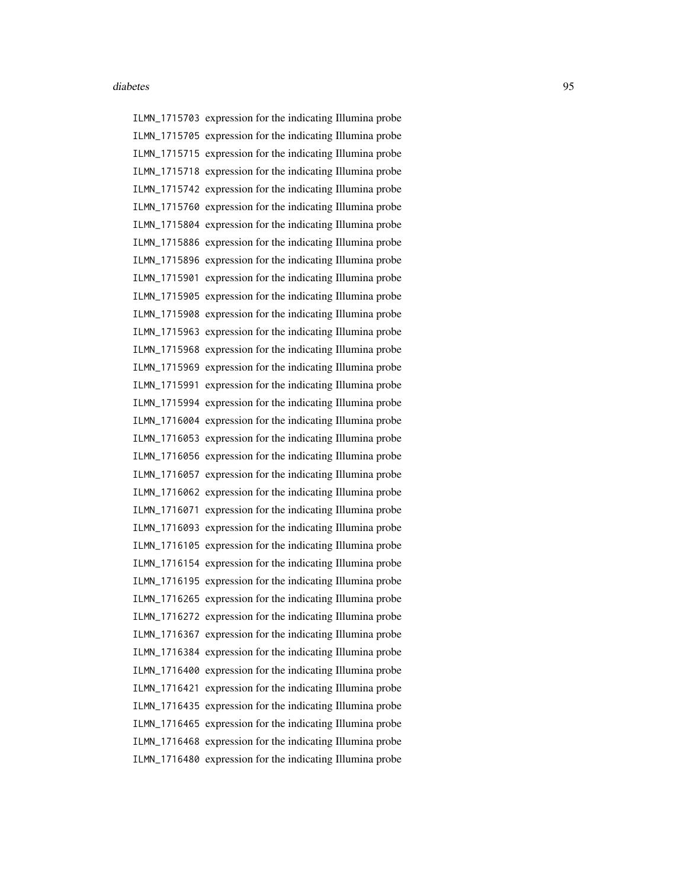ILMN\_1715703 expression for the indicating Illumina probe ILMN\_1715705 expression for the indicating Illumina probe ILMN\_1715715 expression for the indicating Illumina probe ILMN\_1715718 expression for the indicating Illumina probe ILMN\_1715742 expression for the indicating Illumina probe ILMN\_1715760 expression for the indicating Illumina probe ILMN\_1715804 expression for the indicating Illumina probe ILMN\_1715886 expression for the indicating Illumina probe ILMN\_1715896 expression for the indicating Illumina probe ILMN\_1715901 expression for the indicating Illumina probe ILMN\_1715905 expression for the indicating Illumina probe ILMN\_1715908 expression for the indicating Illumina probe ILMN\_1715963 expression for the indicating Illumina probe ILMN\_1715968 expression for the indicating Illumina probe ILMN\_1715969 expression for the indicating Illumina probe ILMN\_1715991 expression for the indicating Illumina probe ILMN\_1715994 expression for the indicating Illumina probe ILMN\_1716004 expression for the indicating Illumina probe ILMN\_1716053 expression for the indicating Illumina probe ILMN\_1716056 expression for the indicating Illumina probe ILMN\_1716057 expression for the indicating Illumina probe ILMN\_1716062 expression for the indicating Illumina probe ILMN\_1716071 expression for the indicating Illumina probe ILMN\_1716093 expression for the indicating Illumina probe ILMN\_1716105 expression for the indicating Illumina probe ILMN\_1716154 expression for the indicating Illumina probe ILMN\_1716195 expression for the indicating Illumina probe ILMN\_1716265 expression for the indicating Illumina probe ILMN\_1716272 expression for the indicating Illumina probe ILMN\_1716367 expression for the indicating Illumina probe ILMN\_1716384 expression for the indicating Illumina probe ILMN\_1716400 expression for the indicating Illumina probe ILMN\_1716421 expression for the indicating Illumina probe ILMN\_1716435 expression for the indicating Illumina probe ILMN\_1716465 expression for the indicating Illumina probe ILMN\_1716468 expression for the indicating Illumina probe ILMN\_1716480 expression for the indicating Illumina probe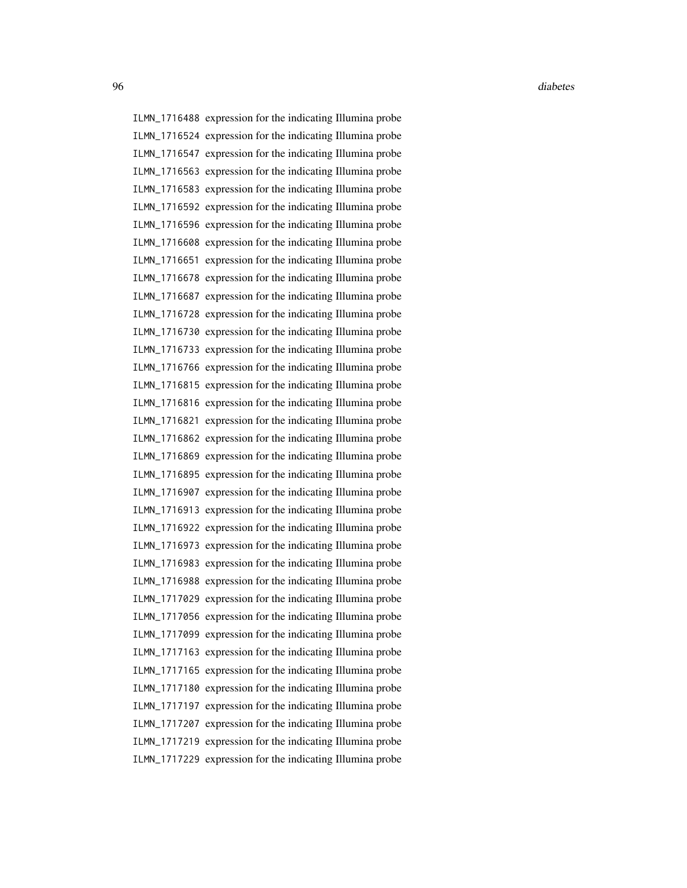ILMN\_1716488 expression for the indicating Illumina probe ILMN\_1716524 expression for the indicating Illumina probe ILMN\_1716547 expression for the indicating Illumina probe ILMN\_1716563 expression for the indicating Illumina probe ILMN\_1716583 expression for the indicating Illumina probe ILMN\_1716592 expression for the indicating Illumina probe ILMN\_1716596 expression for the indicating Illumina probe ILMN\_1716608 expression for the indicating Illumina probe ILMN\_1716651 expression for the indicating Illumina probe ILMN\_1716678 expression for the indicating Illumina probe ILMN\_1716687 expression for the indicating Illumina probe ILMN\_1716728 expression for the indicating Illumina probe ILMN\_1716730 expression for the indicating Illumina probe ILMN\_1716733 expression for the indicating Illumina probe ILMN\_1716766 expression for the indicating Illumina probe ILMN\_1716815 expression for the indicating Illumina probe ILMN\_1716816 expression for the indicating Illumina probe ILMN\_1716821 expression for the indicating Illumina probe ILMN\_1716862 expression for the indicating Illumina probe ILMN\_1716869 expression for the indicating Illumina probe ILMN\_1716895 expression for the indicating Illumina probe ILMN\_1716907 expression for the indicating Illumina probe ILMN\_1716913 expression for the indicating Illumina probe ILMN\_1716922 expression for the indicating Illumina probe ILMN\_1716973 expression for the indicating Illumina probe ILMN\_1716983 expression for the indicating Illumina probe ILMN\_1716988 expression for the indicating Illumina probe ILMN\_1717029 expression for the indicating Illumina probe ILMN\_1717056 expression for the indicating Illumina probe ILMN\_1717099 expression for the indicating Illumina probe ILMN\_1717163 expression for the indicating Illumina probe ILMN\_1717165 expression for the indicating Illumina probe ILMN\_1717180 expression for the indicating Illumina probe ILMN\_1717197 expression for the indicating Illumina probe ILMN\_1717207 expression for the indicating Illumina probe ILMN\_1717219 expression for the indicating Illumina probe ILMN\_1717229 expression for the indicating Illumina probe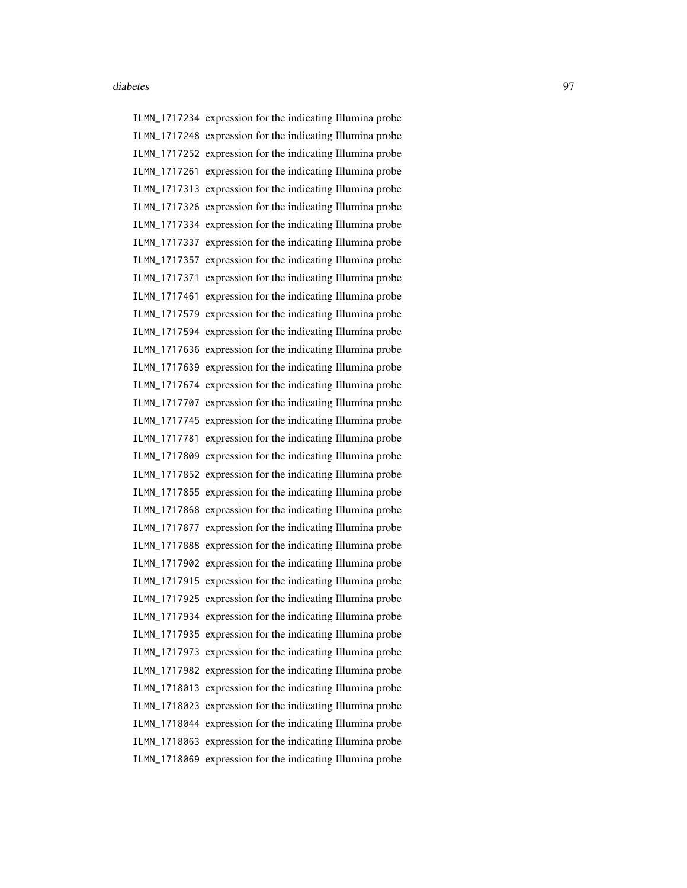ILMN\_1717234 expression for the indicating Illumina probe ILMN\_1717248 expression for the indicating Illumina probe ILMN\_1717252 expression for the indicating Illumina probe ILMN\_1717261 expression for the indicating Illumina probe ILMN\_1717313 expression for the indicating Illumina probe ILMN\_1717326 expression for the indicating Illumina probe ILMN\_1717334 expression for the indicating Illumina probe ILMN\_1717337 expression for the indicating Illumina probe ILMN\_1717357 expression for the indicating Illumina probe ILMN\_1717371 expression for the indicating Illumina probe ILMN\_1717461 expression for the indicating Illumina probe ILMN\_1717579 expression for the indicating Illumina probe ILMN\_1717594 expression for the indicating Illumina probe ILMN\_1717636 expression for the indicating Illumina probe ILMN\_1717639 expression for the indicating Illumina probe ILMN\_1717674 expression for the indicating Illumina probe ILMN\_1717707 expression for the indicating Illumina probe ILMN\_1717745 expression for the indicating Illumina probe ILMN\_1717781 expression for the indicating Illumina probe ILMN\_1717809 expression for the indicating Illumina probe ILMN\_1717852 expression for the indicating Illumina probe ILMN\_1717855 expression for the indicating Illumina probe ILMN\_1717868 expression for the indicating Illumina probe ILMN\_1717877 expression for the indicating Illumina probe ILMN\_1717888 expression for the indicating Illumina probe ILMN\_1717902 expression for the indicating Illumina probe ILMN\_1717915 expression for the indicating Illumina probe ILMN\_1717925 expression for the indicating Illumina probe ILMN\_1717934 expression for the indicating Illumina probe ILMN\_1717935 expression for the indicating Illumina probe ILMN\_1717973 expression for the indicating Illumina probe ILMN\_1717982 expression for the indicating Illumina probe ILMN\_1718013 expression for the indicating Illumina probe ILMN\_1718023 expression for the indicating Illumina probe ILMN\_1718044 expression for the indicating Illumina probe ILMN\_1718063 expression for the indicating Illumina probe ILMN\_1718069 expression for the indicating Illumina probe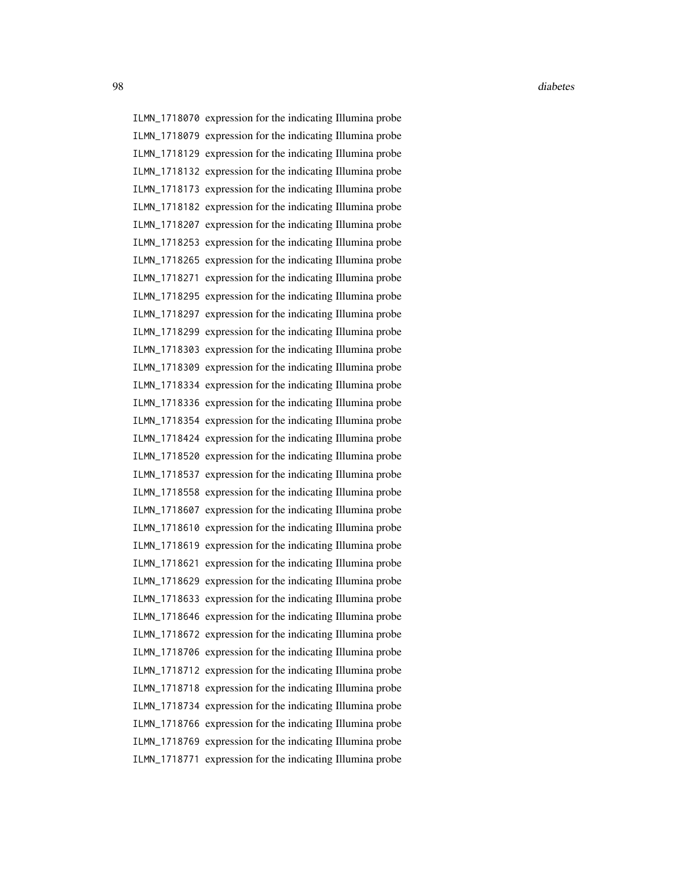ILMN\_1718070 expression for the indicating Illumina probe ILMN\_1718079 expression for the indicating Illumina probe ILMN\_1718129 expression for the indicating Illumina probe ILMN\_1718132 expression for the indicating Illumina probe ILMN\_1718173 expression for the indicating Illumina probe ILMN\_1718182 expression for the indicating Illumina probe ILMN\_1718207 expression for the indicating Illumina probe ILMN\_1718253 expression for the indicating Illumina probe ILMN\_1718265 expression for the indicating Illumina probe ILMN\_1718271 expression for the indicating Illumina probe ILMN\_1718295 expression for the indicating Illumina probe ILMN\_1718297 expression for the indicating Illumina probe ILMN\_1718299 expression for the indicating Illumina probe ILMN\_1718303 expression for the indicating Illumina probe ILMN\_1718309 expression for the indicating Illumina probe ILMN\_1718334 expression for the indicating Illumina probe ILMN\_1718336 expression for the indicating Illumina probe ILMN\_1718354 expression for the indicating Illumina probe ILMN\_1718424 expression for the indicating Illumina probe ILMN\_1718520 expression for the indicating Illumina probe ILMN\_1718537 expression for the indicating Illumina probe ILMN\_1718558 expression for the indicating Illumina probe ILMN\_1718607 expression for the indicating Illumina probe ILMN\_1718610 expression for the indicating Illumina probe ILMN\_1718619 expression for the indicating Illumina probe ILMN\_1718621 expression for the indicating Illumina probe ILMN\_1718629 expression for the indicating Illumina probe ILMN\_1718633 expression for the indicating Illumina probe ILMN\_1718646 expression for the indicating Illumina probe ILMN\_1718672 expression for the indicating Illumina probe ILMN\_1718706 expression for the indicating Illumina probe ILMN\_1718712 expression for the indicating Illumina probe ILMN\_1718718 expression for the indicating Illumina probe ILMN\_1718734 expression for the indicating Illumina probe ILMN\_1718766 expression for the indicating Illumina probe ILMN\_1718769 expression for the indicating Illumina probe ILMN\_1718771 expression for the indicating Illumina probe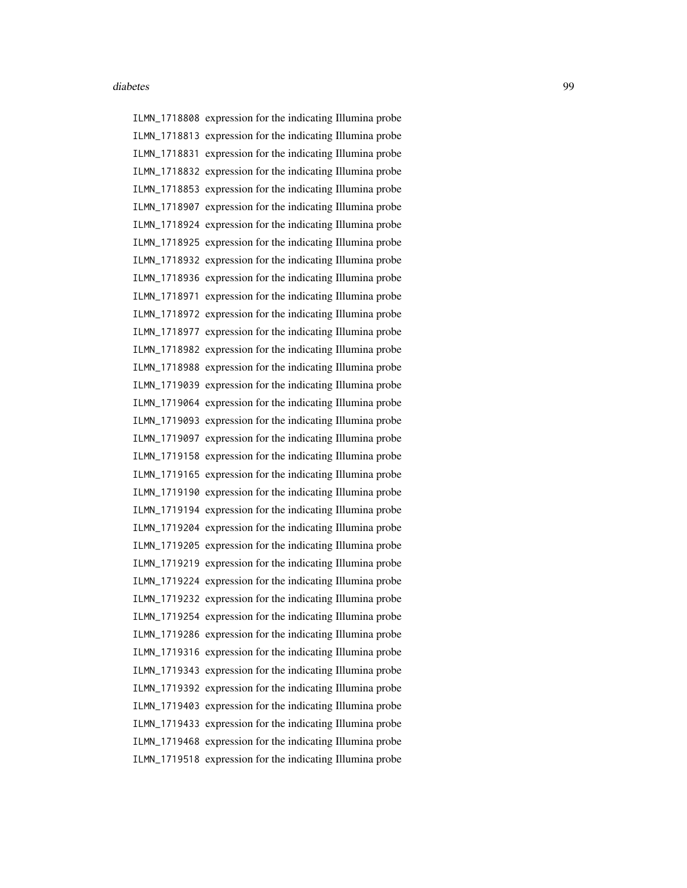ILMN\_1718808 expression for the indicating Illumina probe ILMN\_1718813 expression for the indicating Illumina probe ILMN\_1718831 expression for the indicating Illumina probe ILMN\_1718832 expression for the indicating Illumina probe ILMN\_1718853 expression for the indicating Illumina probe ILMN\_1718907 expression for the indicating Illumina probe ILMN\_1718924 expression for the indicating Illumina probe ILMN\_1718925 expression for the indicating Illumina probe ILMN\_1718932 expression for the indicating Illumina probe ILMN\_1718936 expression for the indicating Illumina probe ILMN\_1718971 expression for the indicating Illumina probe ILMN\_1718972 expression for the indicating Illumina probe ILMN\_1718977 expression for the indicating Illumina probe ILMN\_1718982 expression for the indicating Illumina probe ILMN\_1718988 expression for the indicating Illumina probe ILMN\_1719039 expression for the indicating Illumina probe ILMN\_1719064 expression for the indicating Illumina probe ILMN\_1719093 expression for the indicating Illumina probe ILMN\_1719097 expression for the indicating Illumina probe ILMN\_1719158 expression for the indicating Illumina probe ILMN\_1719165 expression for the indicating Illumina probe ILMN\_1719190 expression for the indicating Illumina probe ILMN\_1719194 expression for the indicating Illumina probe ILMN\_1719204 expression for the indicating Illumina probe ILMN\_1719205 expression for the indicating Illumina probe ILMN\_1719219 expression for the indicating Illumina probe ILMN\_1719224 expression for the indicating Illumina probe ILMN\_1719232 expression for the indicating Illumina probe ILMN\_1719254 expression for the indicating Illumina probe ILMN\_1719286 expression for the indicating Illumina probe ILMN\_1719316 expression for the indicating Illumina probe ILMN\_1719343 expression for the indicating Illumina probe ILMN\_1719392 expression for the indicating Illumina probe ILMN\_1719403 expression for the indicating Illumina probe ILMN\_1719433 expression for the indicating Illumina probe ILMN\_1719468 expression for the indicating Illumina probe ILMN\_1719518 expression for the indicating Illumina probe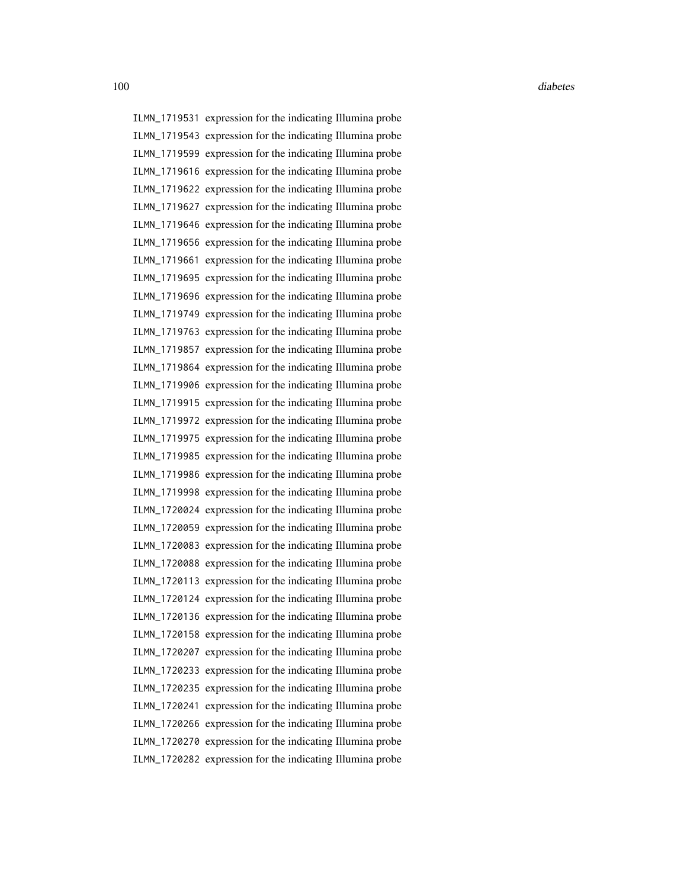ILMN\_1719531 expression for the indicating Illumina probe ILMN\_1719543 expression for the indicating Illumina probe ILMN\_1719599 expression for the indicating Illumina probe ILMN\_1719616 expression for the indicating Illumina probe ILMN\_1719622 expression for the indicating Illumina probe ILMN\_1719627 expression for the indicating Illumina probe ILMN\_1719646 expression for the indicating Illumina probe ILMN\_1719656 expression for the indicating Illumina probe ILMN\_1719661 expression for the indicating Illumina probe ILMN\_1719695 expression for the indicating Illumina probe ILMN\_1719696 expression for the indicating Illumina probe ILMN\_1719749 expression for the indicating Illumina probe ILMN\_1719763 expression for the indicating Illumina probe ILMN\_1719857 expression for the indicating Illumina probe ILMN\_1719864 expression for the indicating Illumina probe ILMN\_1719906 expression for the indicating Illumina probe ILMN\_1719915 expression for the indicating Illumina probe ILMN\_1719972 expression for the indicating Illumina probe ILMN\_1719975 expression for the indicating Illumina probe ILMN\_1719985 expression for the indicating Illumina probe ILMN\_1719986 expression for the indicating Illumina probe ILMN\_1719998 expression for the indicating Illumina probe ILMN\_1720024 expression for the indicating Illumina probe ILMN\_1720059 expression for the indicating Illumina probe ILMN\_1720083 expression for the indicating Illumina probe ILMN\_1720088 expression for the indicating Illumina probe ILMN\_1720113 expression for the indicating Illumina probe ILMN\_1720124 expression for the indicating Illumina probe ILMN\_1720136 expression for the indicating Illumina probe ILMN\_1720158 expression for the indicating Illumina probe ILMN\_1720207 expression for the indicating Illumina probe ILMN\_1720233 expression for the indicating Illumina probe ILMN\_1720235 expression for the indicating Illumina probe ILMN\_1720241 expression for the indicating Illumina probe ILMN\_1720266 expression for the indicating Illumina probe ILMN\_1720270 expression for the indicating Illumina probe ILMN\_1720282 expression for the indicating Illumina probe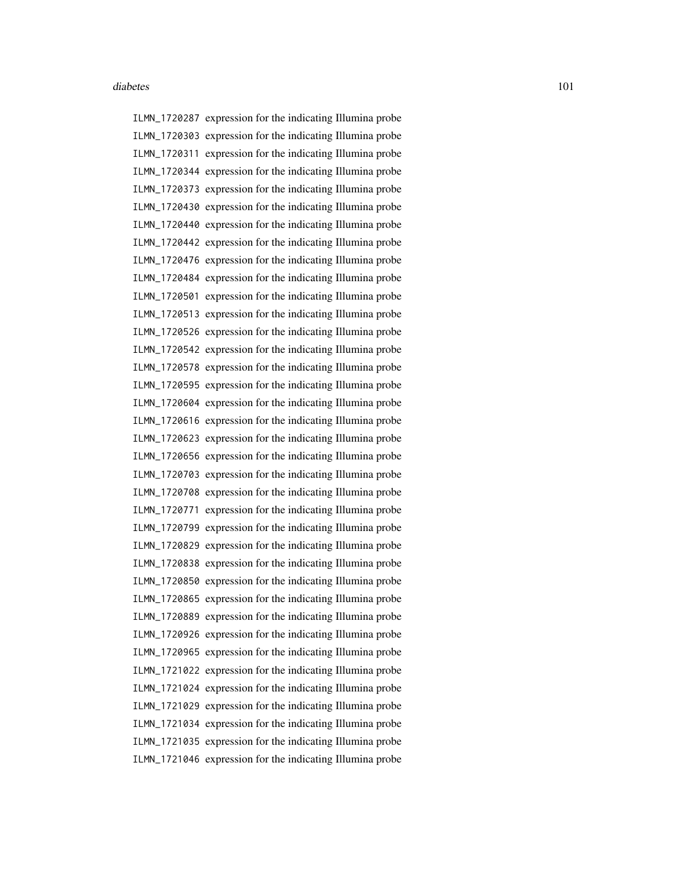ILMN\_1720287 expression for the indicating Illumina probe ILMN\_1720303 expression for the indicating Illumina probe ILMN\_1720311 expression for the indicating Illumina probe ILMN\_1720344 expression for the indicating Illumina probe ILMN\_1720373 expression for the indicating Illumina probe ILMN\_1720430 expression for the indicating Illumina probe ILMN\_1720440 expression for the indicating Illumina probe ILMN\_1720442 expression for the indicating Illumina probe ILMN\_1720476 expression for the indicating Illumina probe ILMN\_1720484 expression for the indicating Illumina probe ILMN\_1720501 expression for the indicating Illumina probe ILMN\_1720513 expression for the indicating Illumina probe ILMN\_1720526 expression for the indicating Illumina probe ILMN\_1720542 expression for the indicating Illumina probe ILMN\_1720578 expression for the indicating Illumina probe ILMN\_1720595 expression for the indicating Illumina probe ILMN\_1720604 expression for the indicating Illumina probe ILMN\_1720616 expression for the indicating Illumina probe ILMN\_1720623 expression for the indicating Illumina probe ILMN\_1720656 expression for the indicating Illumina probe ILMN\_1720703 expression for the indicating Illumina probe ILMN\_1720708 expression for the indicating Illumina probe ILMN\_1720771 expression for the indicating Illumina probe ILMN\_1720799 expression for the indicating Illumina probe ILMN\_1720829 expression for the indicating Illumina probe ILMN\_1720838 expression for the indicating Illumina probe ILMN\_1720850 expression for the indicating Illumina probe ILMN\_1720865 expression for the indicating Illumina probe ILMN\_1720889 expression for the indicating Illumina probe ILMN\_1720926 expression for the indicating Illumina probe ILMN\_1720965 expression for the indicating Illumina probe ILMN\_1721022 expression for the indicating Illumina probe ILMN\_1721024 expression for the indicating Illumina probe ILMN\_1721029 expression for the indicating Illumina probe ILMN\_1721034 expression for the indicating Illumina probe ILMN\_1721035 expression for the indicating Illumina probe ILMN\_1721046 expression for the indicating Illumina probe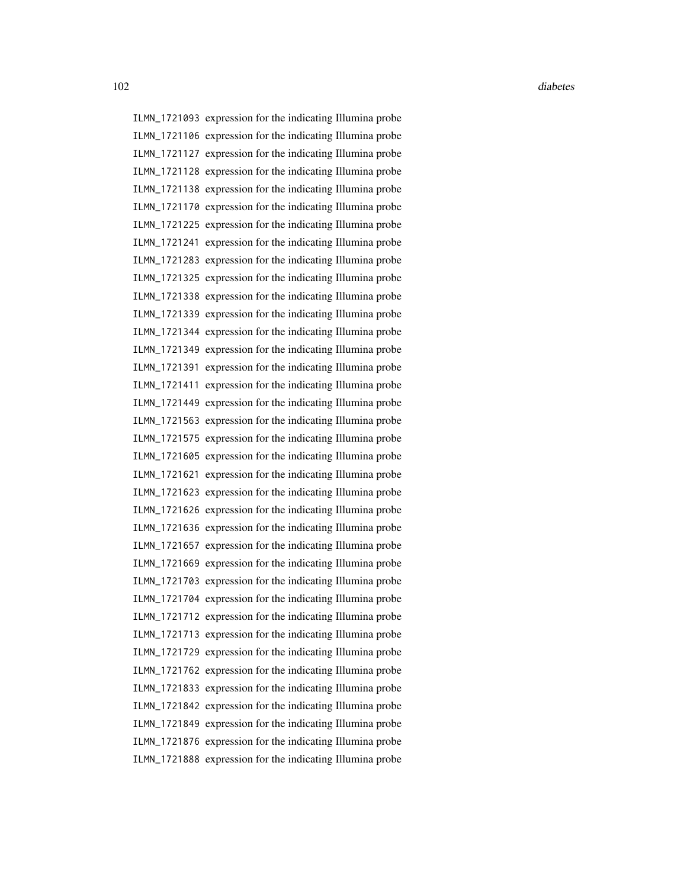ILMN\_1721093 expression for the indicating Illumina probe ILMN\_1721106 expression for the indicating Illumina probe ILMN\_1721127 expression for the indicating Illumina probe ILMN\_1721128 expression for the indicating Illumina probe ILMN\_1721138 expression for the indicating Illumina probe ILMN\_1721170 expression for the indicating Illumina probe ILMN\_1721225 expression for the indicating Illumina probe ILMN\_1721241 expression for the indicating Illumina probe ILMN\_1721283 expression for the indicating Illumina probe ILMN\_1721325 expression for the indicating Illumina probe ILMN\_1721338 expression for the indicating Illumina probe ILMN\_1721339 expression for the indicating Illumina probe ILMN\_1721344 expression for the indicating Illumina probe ILMN\_1721349 expression for the indicating Illumina probe ILMN\_1721391 expression for the indicating Illumina probe ILMN\_1721411 expression for the indicating Illumina probe ILMN\_1721449 expression for the indicating Illumina probe ILMN\_1721563 expression for the indicating Illumina probe ILMN\_1721575 expression for the indicating Illumina probe ILMN\_1721605 expression for the indicating Illumina probe ILMN\_1721621 expression for the indicating Illumina probe ILMN\_1721623 expression for the indicating Illumina probe ILMN\_1721626 expression for the indicating Illumina probe ILMN\_1721636 expression for the indicating Illumina probe ILMN\_1721657 expression for the indicating Illumina probe ILMN\_1721669 expression for the indicating Illumina probe ILMN\_1721703 expression for the indicating Illumina probe ILMN\_1721704 expression for the indicating Illumina probe ILMN\_1721712 expression for the indicating Illumina probe ILMN\_1721713 expression for the indicating Illumina probe ILMN\_1721729 expression for the indicating Illumina probe ILMN\_1721762 expression for the indicating Illumina probe ILMN\_1721833 expression for the indicating Illumina probe ILMN\_1721842 expression for the indicating Illumina probe ILMN\_1721849 expression for the indicating Illumina probe ILMN\_1721876 expression for the indicating Illumina probe ILMN\_1721888 expression for the indicating Illumina probe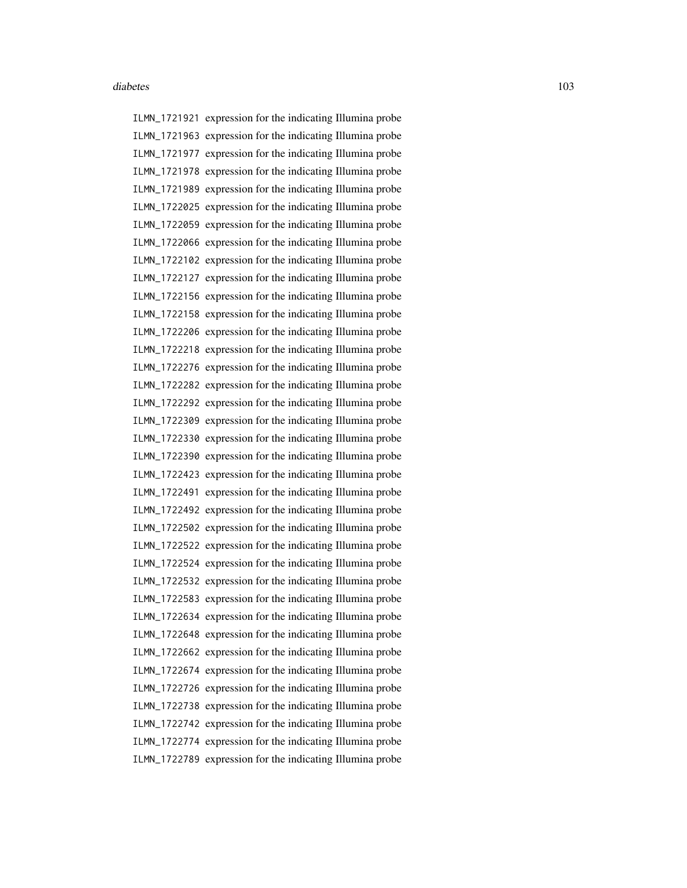ILMN\_1721921 expression for the indicating Illumina probe ILMN\_1721963 expression for the indicating Illumina probe ILMN\_1721977 expression for the indicating Illumina probe ILMN\_1721978 expression for the indicating Illumina probe ILMN\_1721989 expression for the indicating Illumina probe ILMN\_1722025 expression for the indicating Illumina probe ILMN\_1722059 expression for the indicating Illumina probe ILMN\_1722066 expression for the indicating Illumina probe ILMN\_1722102 expression for the indicating Illumina probe ILMN\_1722127 expression for the indicating Illumina probe ILMN\_1722156 expression for the indicating Illumina probe ILMN\_1722158 expression for the indicating Illumina probe ILMN\_1722206 expression for the indicating Illumina probe ILMN\_1722218 expression for the indicating Illumina probe ILMN\_1722276 expression for the indicating Illumina probe ILMN\_1722282 expression for the indicating Illumina probe ILMN\_1722292 expression for the indicating Illumina probe ILMN\_1722309 expression for the indicating Illumina probe ILMN\_1722330 expression for the indicating Illumina probe ILMN\_1722390 expression for the indicating Illumina probe ILMN\_1722423 expression for the indicating Illumina probe ILMN\_1722491 expression for the indicating Illumina probe ILMN\_1722492 expression for the indicating Illumina probe ILMN\_1722502 expression for the indicating Illumina probe ILMN\_1722522 expression for the indicating Illumina probe ILMN\_1722524 expression for the indicating Illumina probe ILMN\_1722532 expression for the indicating Illumina probe ILMN\_1722583 expression for the indicating Illumina probe ILMN\_1722634 expression for the indicating Illumina probe ILMN\_1722648 expression for the indicating Illumina probe ILMN\_1722662 expression for the indicating Illumina probe ILMN\_1722674 expression for the indicating Illumina probe ILMN\_1722726 expression for the indicating Illumina probe ILMN\_1722738 expression for the indicating Illumina probe ILMN\_1722742 expression for the indicating Illumina probe ILMN\_1722774 expression for the indicating Illumina probe ILMN\_1722789 expression for the indicating Illumina probe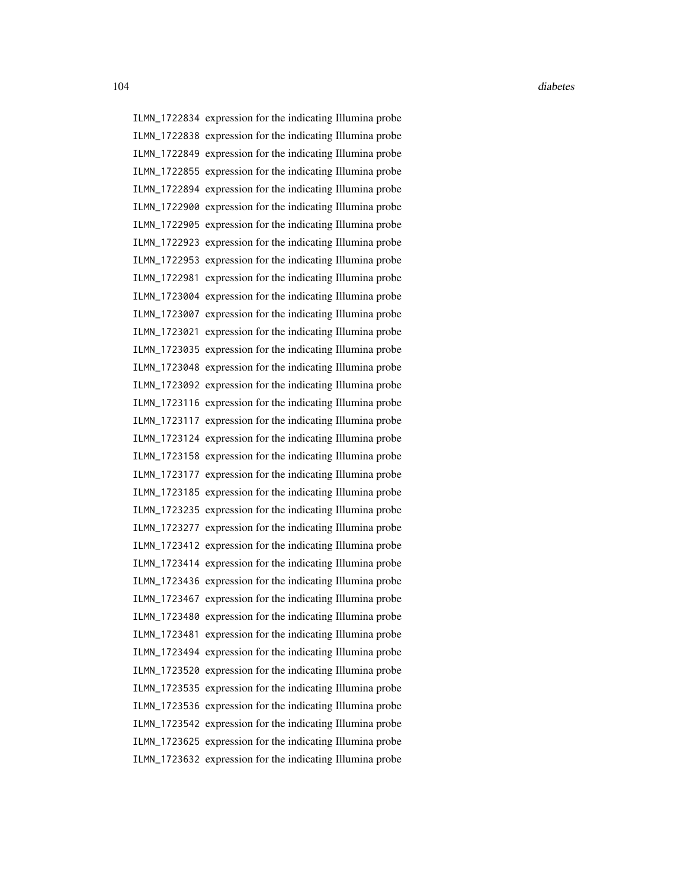ILMN\_1722834 expression for the indicating Illumina probe ILMN\_1722838 expression for the indicating Illumina probe ILMN\_1722849 expression for the indicating Illumina probe ILMN\_1722855 expression for the indicating Illumina probe ILMN\_1722894 expression for the indicating Illumina probe ILMN\_1722900 expression for the indicating Illumina probe ILMN\_1722905 expression for the indicating Illumina probe ILMN\_1722923 expression for the indicating Illumina probe ILMN\_1722953 expression for the indicating Illumina probe ILMN\_1722981 expression for the indicating Illumina probe ILMN\_1723004 expression for the indicating Illumina probe ILMN\_1723007 expression for the indicating Illumina probe ILMN\_1723021 expression for the indicating Illumina probe ILMN\_1723035 expression for the indicating Illumina probe ILMN\_1723048 expression for the indicating Illumina probe ILMN\_1723092 expression for the indicating Illumina probe ILMN\_1723116 expression for the indicating Illumina probe ILMN\_1723117 expression for the indicating Illumina probe ILMN\_1723124 expression for the indicating Illumina probe ILMN\_1723158 expression for the indicating Illumina probe ILMN\_1723177 expression for the indicating Illumina probe ILMN\_1723185 expression for the indicating Illumina probe ILMN\_1723235 expression for the indicating Illumina probe ILMN\_1723277 expression for the indicating Illumina probe ILMN\_1723412 expression for the indicating Illumina probe ILMN\_1723414 expression for the indicating Illumina probe ILMN\_1723436 expression for the indicating Illumina probe ILMN\_1723467 expression for the indicating Illumina probe ILMN\_1723480 expression for the indicating Illumina probe ILMN\_1723481 expression for the indicating Illumina probe ILMN\_1723494 expression for the indicating Illumina probe ILMN\_1723520 expression for the indicating Illumina probe ILMN\_1723535 expression for the indicating Illumina probe ILMN\_1723536 expression for the indicating Illumina probe ILMN\_1723542 expression for the indicating Illumina probe ILMN\_1723625 expression for the indicating Illumina probe ILMN\_1723632 expression for the indicating Illumina probe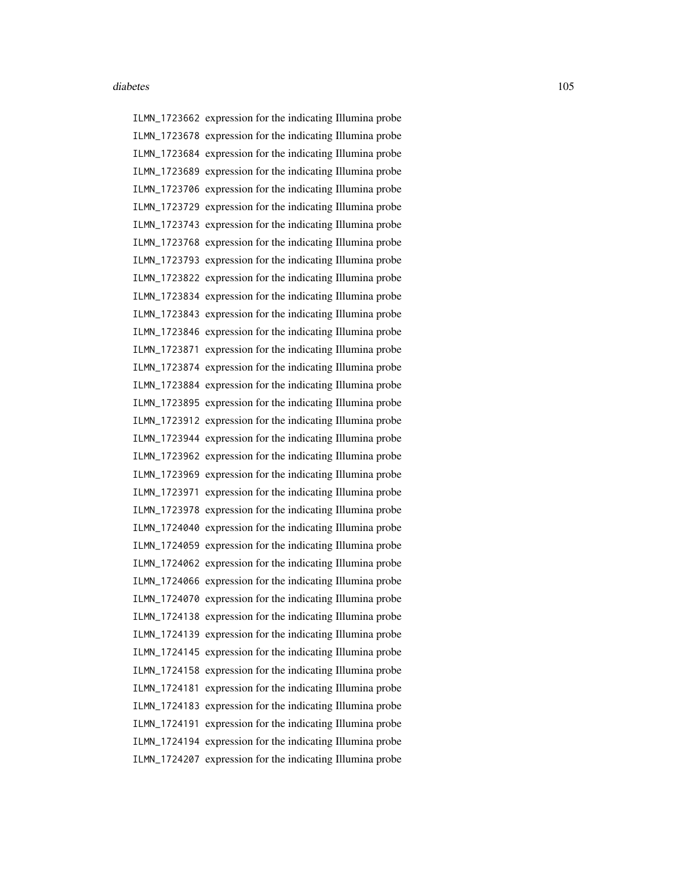ILMN\_1723662 expression for the indicating Illumina probe ILMN\_1723678 expression for the indicating Illumina probe ILMN\_1723684 expression for the indicating Illumina probe ILMN\_1723689 expression for the indicating Illumina probe ILMN\_1723706 expression for the indicating Illumina probe ILMN\_1723729 expression for the indicating Illumina probe ILMN\_1723743 expression for the indicating Illumina probe ILMN\_1723768 expression for the indicating Illumina probe ILMN\_1723793 expression for the indicating Illumina probe ILMN\_1723822 expression for the indicating Illumina probe ILMN\_1723834 expression for the indicating Illumina probe ILMN\_1723843 expression for the indicating Illumina probe ILMN\_1723846 expression for the indicating Illumina probe ILMN\_1723871 expression for the indicating Illumina probe ILMN\_1723874 expression for the indicating Illumina probe ILMN\_1723884 expression for the indicating Illumina probe ILMN\_1723895 expression for the indicating Illumina probe ILMN\_1723912 expression for the indicating Illumina probe ILMN\_1723944 expression for the indicating Illumina probe ILMN\_1723962 expression for the indicating Illumina probe ILMN\_1723969 expression for the indicating Illumina probe ILMN\_1723971 expression for the indicating Illumina probe ILMN\_1723978 expression for the indicating Illumina probe ILMN\_1724040 expression for the indicating Illumina probe ILMN\_1724059 expression for the indicating Illumina probe ILMN\_1724062 expression for the indicating Illumina probe ILMN\_1724066 expression for the indicating Illumina probe ILMN\_1724070 expression for the indicating Illumina probe ILMN\_1724138 expression for the indicating Illumina probe ILMN\_1724139 expression for the indicating Illumina probe ILMN\_1724145 expression for the indicating Illumina probe ILMN\_1724158 expression for the indicating Illumina probe ILMN\_1724181 expression for the indicating Illumina probe ILMN\_1724183 expression for the indicating Illumina probe ILMN\_1724191 expression for the indicating Illumina probe ILMN\_1724194 expression for the indicating Illumina probe ILMN\_1724207 expression for the indicating Illumina probe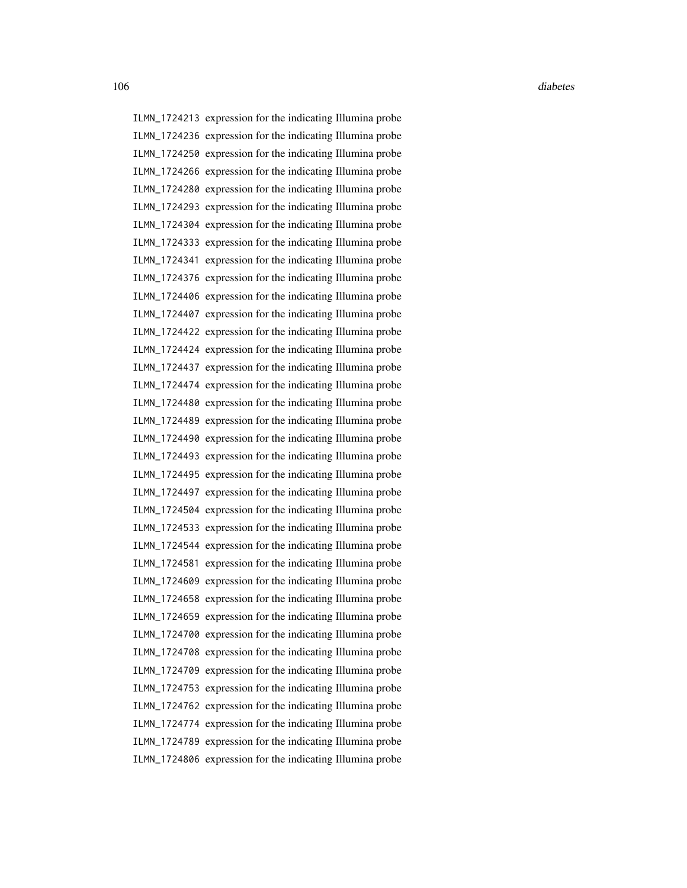ILMN\_1724213 expression for the indicating Illumina probe ILMN\_1724236 expression for the indicating Illumina probe ILMN\_1724250 expression for the indicating Illumina probe ILMN\_1724266 expression for the indicating Illumina probe ILMN\_1724280 expression for the indicating Illumina probe ILMN\_1724293 expression for the indicating Illumina probe ILMN\_1724304 expression for the indicating Illumina probe ILMN\_1724333 expression for the indicating Illumina probe ILMN\_1724341 expression for the indicating Illumina probe ILMN\_1724376 expression for the indicating Illumina probe ILMN\_1724406 expression for the indicating Illumina probe ILMN\_1724407 expression for the indicating Illumina probe ILMN\_1724422 expression for the indicating Illumina probe ILMN\_1724424 expression for the indicating Illumina probe ILMN\_1724437 expression for the indicating Illumina probe ILMN\_1724474 expression for the indicating Illumina probe ILMN\_1724480 expression for the indicating Illumina probe ILMN\_1724489 expression for the indicating Illumina probe ILMN\_1724490 expression for the indicating Illumina probe ILMN\_1724493 expression for the indicating Illumina probe ILMN\_1724495 expression for the indicating Illumina probe ILMN\_1724497 expression for the indicating Illumina probe ILMN\_1724504 expression for the indicating Illumina probe ILMN\_1724533 expression for the indicating Illumina probe ILMN\_1724544 expression for the indicating Illumina probe ILMN\_1724581 expression for the indicating Illumina probe ILMN\_1724609 expression for the indicating Illumina probe ILMN\_1724658 expression for the indicating Illumina probe ILMN\_1724659 expression for the indicating Illumina probe ILMN\_1724700 expression for the indicating Illumina probe ILMN\_1724708 expression for the indicating Illumina probe ILMN\_1724709 expression for the indicating Illumina probe ILMN\_1724753 expression for the indicating Illumina probe ILMN\_1724762 expression for the indicating Illumina probe ILMN\_1724774 expression for the indicating Illumina probe ILMN\_1724789 expression for the indicating Illumina probe ILMN\_1724806 expression for the indicating Illumina probe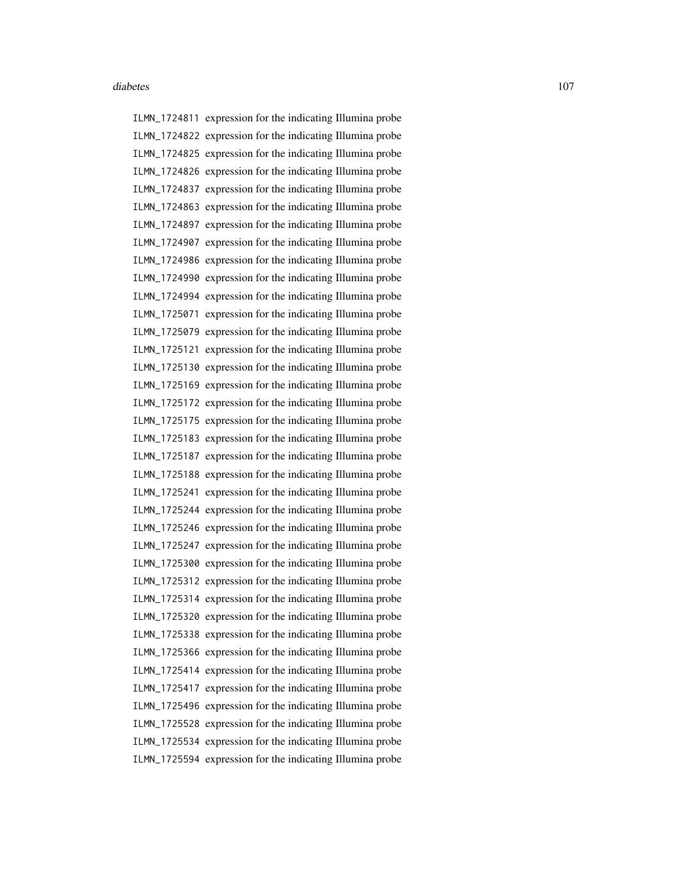ILMN\_1724811 expression for the indicating Illumina probe ILMN\_1724822 expression for the indicating Illumina probe ILMN\_1724825 expression for the indicating Illumina probe ILMN\_1724826 expression for the indicating Illumina probe ILMN\_1724837 expression for the indicating Illumina probe ILMN\_1724863 expression for the indicating Illumina probe ILMN\_1724897 expression for the indicating Illumina probe ILMN\_1724907 expression for the indicating Illumina probe ILMN\_1724986 expression for the indicating Illumina probe ILMN\_1724990 expression for the indicating Illumina probe ILMN\_1724994 expression for the indicating Illumina probe ILMN\_1725071 expression for the indicating Illumina probe ILMN\_1725079 expression for the indicating Illumina probe ILMN\_1725121 expression for the indicating Illumina probe ILMN\_1725130 expression for the indicating Illumina probe ILMN\_1725169 expression for the indicating Illumina probe ILMN\_1725172 expression for the indicating Illumina probe ILMN\_1725175 expression for the indicating Illumina probe ILMN\_1725183 expression for the indicating Illumina probe ILMN\_1725187 expression for the indicating Illumina probe ILMN\_1725188 expression for the indicating Illumina probe ILMN\_1725241 expression for the indicating Illumina probe ILMN\_1725244 expression for the indicating Illumina probe ILMN\_1725246 expression for the indicating Illumina probe ILMN\_1725247 expression for the indicating Illumina probe ILMN\_1725300 expression for the indicating Illumina probe ILMN\_1725312 expression for the indicating Illumina probe ILMN\_1725314 expression for the indicating Illumina probe ILMN\_1725320 expression for the indicating Illumina probe ILMN\_1725338 expression for the indicating Illumina probe ILMN\_1725366 expression for the indicating Illumina probe ILMN\_1725414 expression for the indicating Illumina probe ILMN\_1725417 expression for the indicating Illumina probe ILMN\_1725496 expression for the indicating Illumina probe ILMN\_1725528 expression for the indicating Illumina probe ILMN\_1725534 expression for the indicating Illumina probe ILMN\_1725594 expression for the indicating Illumina probe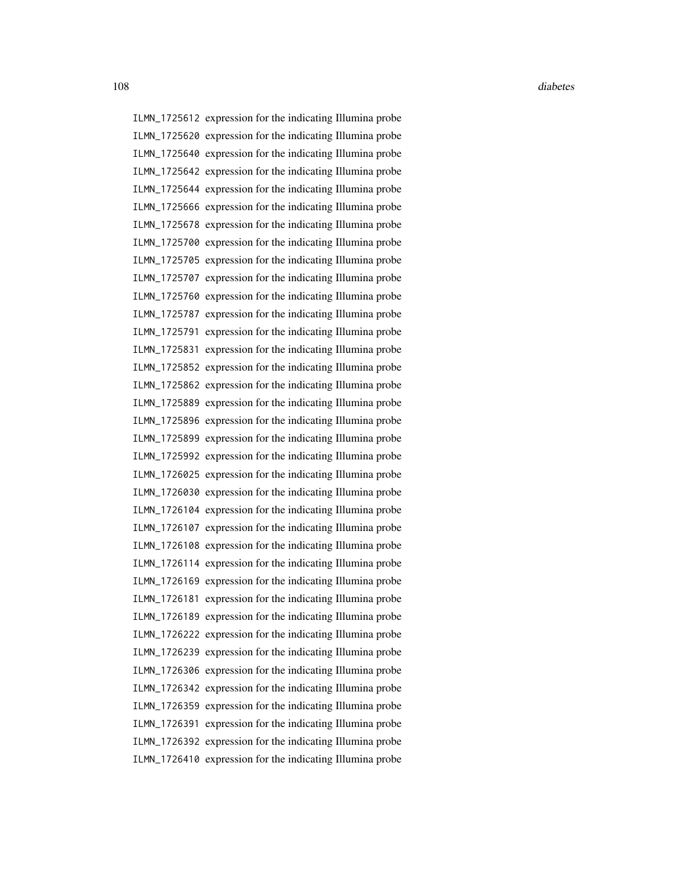ILMN\_1725612 expression for the indicating Illumina probe ILMN\_1725620 expression for the indicating Illumina probe ILMN\_1725640 expression for the indicating Illumina probe ILMN\_1725642 expression for the indicating Illumina probe ILMN\_1725644 expression for the indicating Illumina probe ILMN\_1725666 expression for the indicating Illumina probe ILMN\_1725678 expression for the indicating Illumina probe ILMN\_1725700 expression for the indicating Illumina probe ILMN\_1725705 expression for the indicating Illumina probe ILMN\_1725707 expression for the indicating Illumina probe ILMN\_1725760 expression for the indicating Illumina probe ILMN\_1725787 expression for the indicating Illumina probe ILMN\_1725791 expression for the indicating Illumina probe ILMN\_1725831 expression for the indicating Illumina probe ILMN\_1725852 expression for the indicating Illumina probe ILMN\_1725862 expression for the indicating Illumina probe ILMN\_1725889 expression for the indicating Illumina probe ILMN\_1725896 expression for the indicating Illumina probe ILMN\_1725899 expression for the indicating Illumina probe ILMN\_1725992 expression for the indicating Illumina probe ILMN\_1726025 expression for the indicating Illumina probe ILMN\_1726030 expression for the indicating Illumina probe ILMN\_1726104 expression for the indicating Illumina probe ILMN\_1726107 expression for the indicating Illumina probe ILMN\_1726108 expression for the indicating Illumina probe ILMN\_1726114 expression for the indicating Illumina probe ILMN\_1726169 expression for the indicating Illumina probe ILMN\_1726181 expression for the indicating Illumina probe ILMN\_1726189 expression for the indicating Illumina probe ILMN\_1726222 expression for the indicating Illumina probe ILMN\_1726239 expression for the indicating Illumina probe ILMN\_1726306 expression for the indicating Illumina probe ILMN\_1726342 expression for the indicating Illumina probe ILMN\_1726359 expression for the indicating Illumina probe ILMN\_1726391 expression for the indicating Illumina probe ILMN\_1726392 expression for the indicating Illumina probe ILMN\_1726410 expression for the indicating Illumina probe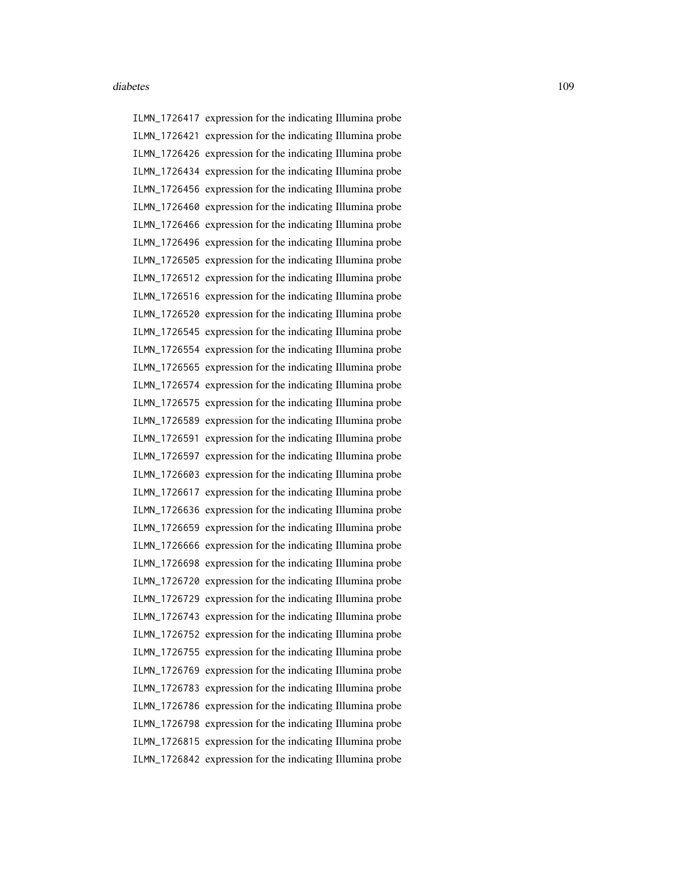ILMN\_1726417 expression for the indicating Illumina probe ILMN\_1726421 expression for the indicating Illumina probe ILMN\_1726426 expression for the indicating Illumina probe ILMN\_1726434 expression for the indicating Illumina probe ILMN\_1726456 expression for the indicating Illumina probe ILMN\_1726460 expression for the indicating Illumina probe ILMN\_1726466 expression for the indicating Illumina probe ILMN\_1726496 expression for the indicating Illumina probe ILMN\_1726505 expression for the indicating Illumina probe ILMN\_1726512 expression for the indicating Illumina probe ILMN\_1726516 expression for the indicating Illumina probe ILMN\_1726520 expression for the indicating Illumina probe ILMN\_1726545 expression for the indicating Illumina probe ILMN\_1726554 expression for the indicating Illumina probe ILMN\_1726565 expression for the indicating Illumina probe ILMN\_1726574 expression for the indicating Illumina probe ILMN\_1726575 expression for the indicating Illumina probe ILMN\_1726589 expression for the indicating Illumina probe ILMN\_1726591 expression for the indicating Illumina probe ILMN\_1726597 expression for the indicating Illumina probe ILMN\_1726603 expression for the indicating Illumina probe ILMN\_1726617 expression for the indicating Illumina probe ILMN\_1726636 expression for the indicating Illumina probe ILMN\_1726659 expression for the indicating Illumina probe ILMN\_1726666 expression for the indicating Illumina probe ILMN\_1726698 expression for the indicating Illumina probe ILMN\_1726720 expression for the indicating Illumina probe ILMN\_1726729 expression for the indicating Illumina probe ILMN\_1726743 expression for the indicating Illumina probe ILMN\_1726752 expression for the indicating Illumina probe ILMN\_1726755 expression for the indicating Illumina probe ILMN\_1726769 expression for the indicating Illumina probe ILMN\_1726783 expression for the indicating Illumina probe ILMN\_1726786 expression for the indicating Illumina probe ILMN\_1726798 expression for the indicating Illumina probe ILMN\_1726815 expression for the indicating Illumina probe ILMN\_1726842 expression for the indicating Illumina probe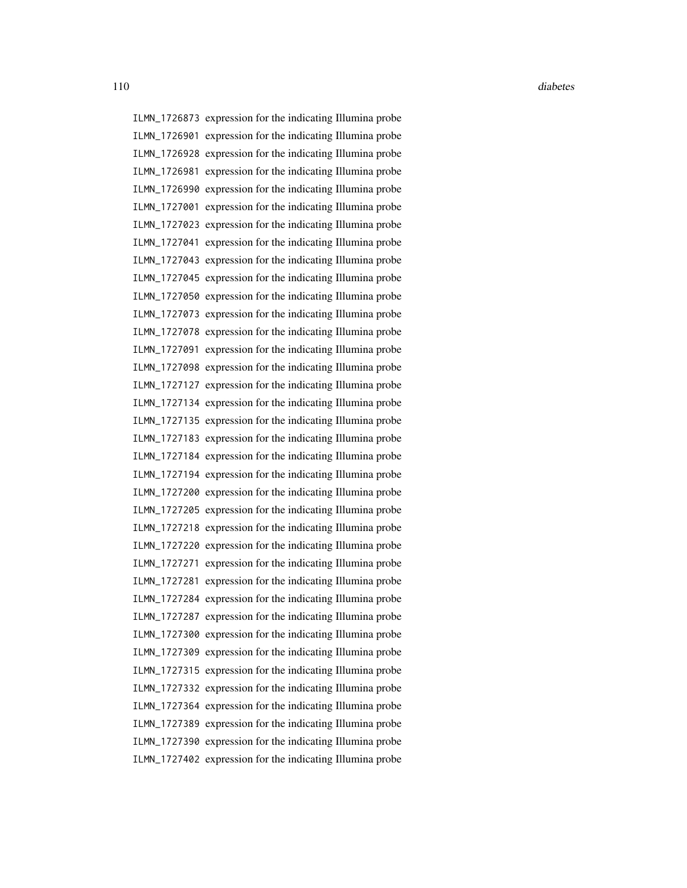110 diabetes diabetes diabetes diabetes diabetes diabetes diabetes diabetes diabetes diabetes diabetes diabetes diabetes diabetes diabetes diabetes diabetes diabetes diabetes diabetes diabetes diabetes diabetes diabetes di

ILMN\_1726873 expression for the indicating Illumina probe ILMN\_1726901 expression for the indicating Illumina probe ILMN\_1726928 expression for the indicating Illumina probe ILMN\_1726981 expression for the indicating Illumina probe ILMN\_1726990 expression for the indicating Illumina probe ILMN\_1727001 expression for the indicating Illumina probe ILMN\_1727023 expression for the indicating Illumina probe ILMN\_1727041 expression for the indicating Illumina probe ILMN\_1727043 expression for the indicating Illumina probe ILMN\_1727045 expression for the indicating Illumina probe ILMN\_1727050 expression for the indicating Illumina probe ILMN\_1727073 expression for the indicating Illumina probe ILMN\_1727078 expression for the indicating Illumina probe ILMN\_1727091 expression for the indicating Illumina probe ILMN\_1727098 expression for the indicating Illumina probe ILMN\_1727127 expression for the indicating Illumina probe ILMN\_1727134 expression for the indicating Illumina probe ILMN\_1727135 expression for the indicating Illumina probe ILMN\_1727183 expression for the indicating Illumina probe ILMN\_1727184 expression for the indicating Illumina probe ILMN\_1727194 expression for the indicating Illumina probe ILMN\_1727200 expression for the indicating Illumina probe ILMN\_1727205 expression for the indicating Illumina probe ILMN\_1727218 expression for the indicating Illumina probe ILMN\_1727220 expression for the indicating Illumina probe ILMN\_1727271 expression for the indicating Illumina probe ILMN\_1727281 expression for the indicating Illumina probe ILMN\_1727284 expression for the indicating Illumina probe ILMN\_1727287 expression for the indicating Illumina probe ILMN\_1727300 expression for the indicating Illumina probe ILMN\_1727309 expression for the indicating Illumina probe ILMN\_1727315 expression for the indicating Illumina probe ILMN\_1727332 expression for the indicating Illumina probe ILMN\_1727364 expression for the indicating Illumina probe ILMN\_1727389 expression for the indicating Illumina probe ILMN\_1727390 expression for the indicating Illumina probe ILMN\_1727402 expression for the indicating Illumina probe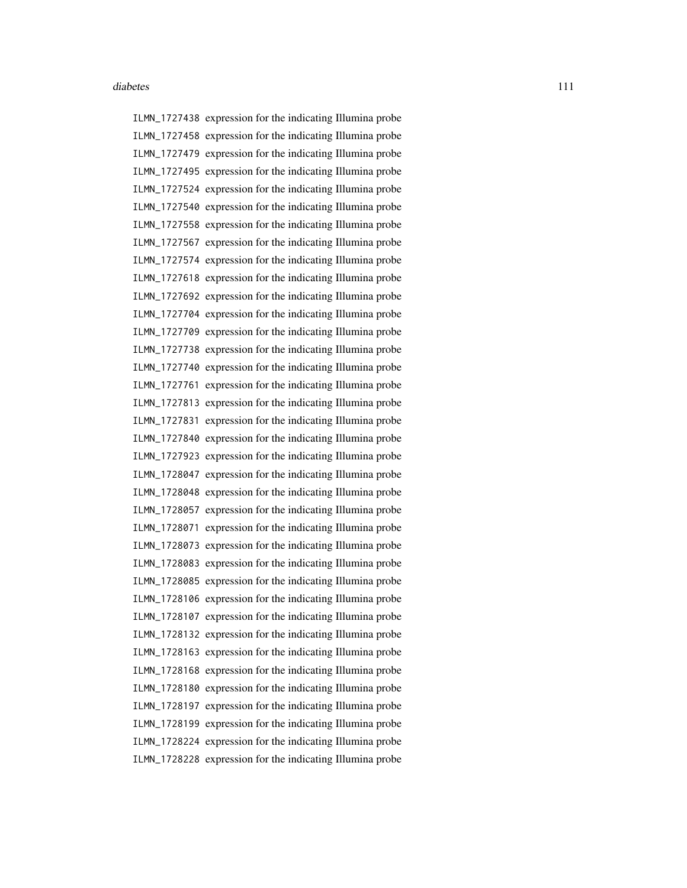ILMN\_1727438 expression for the indicating Illumina probe ILMN\_1727458 expression for the indicating Illumina probe ILMN\_1727479 expression for the indicating Illumina probe ILMN\_1727495 expression for the indicating Illumina probe ILMN\_1727524 expression for the indicating Illumina probe ILMN\_1727540 expression for the indicating Illumina probe ILMN\_1727558 expression for the indicating Illumina probe ILMN\_1727567 expression for the indicating Illumina probe ILMN\_1727574 expression for the indicating Illumina probe ILMN\_1727618 expression for the indicating Illumina probe ILMN\_1727692 expression for the indicating Illumina probe ILMN\_1727704 expression for the indicating Illumina probe ILMN\_1727709 expression for the indicating Illumina probe ILMN\_1727738 expression for the indicating Illumina probe ILMN\_1727740 expression for the indicating Illumina probe ILMN\_1727761 expression for the indicating Illumina probe ILMN\_1727813 expression for the indicating Illumina probe ILMN\_1727831 expression for the indicating Illumina probe ILMN\_1727840 expression for the indicating Illumina probe ILMN\_1727923 expression for the indicating Illumina probe ILMN\_1728047 expression for the indicating Illumina probe ILMN\_1728048 expression for the indicating Illumina probe ILMN\_1728057 expression for the indicating Illumina probe ILMN\_1728071 expression for the indicating Illumina probe ILMN\_1728073 expression for the indicating Illumina probe ILMN\_1728083 expression for the indicating Illumina probe ILMN\_1728085 expression for the indicating Illumina probe ILMN\_1728106 expression for the indicating Illumina probe ILMN\_1728107 expression for the indicating Illumina probe ILMN\_1728132 expression for the indicating Illumina probe ILMN\_1728163 expression for the indicating Illumina probe ILMN\_1728168 expression for the indicating Illumina probe ILMN\_1728180 expression for the indicating Illumina probe ILMN\_1728197 expression for the indicating Illumina probe ILMN\_1728199 expression for the indicating Illumina probe ILMN\_1728224 expression for the indicating Illumina probe ILMN\_1728228 expression for the indicating Illumina probe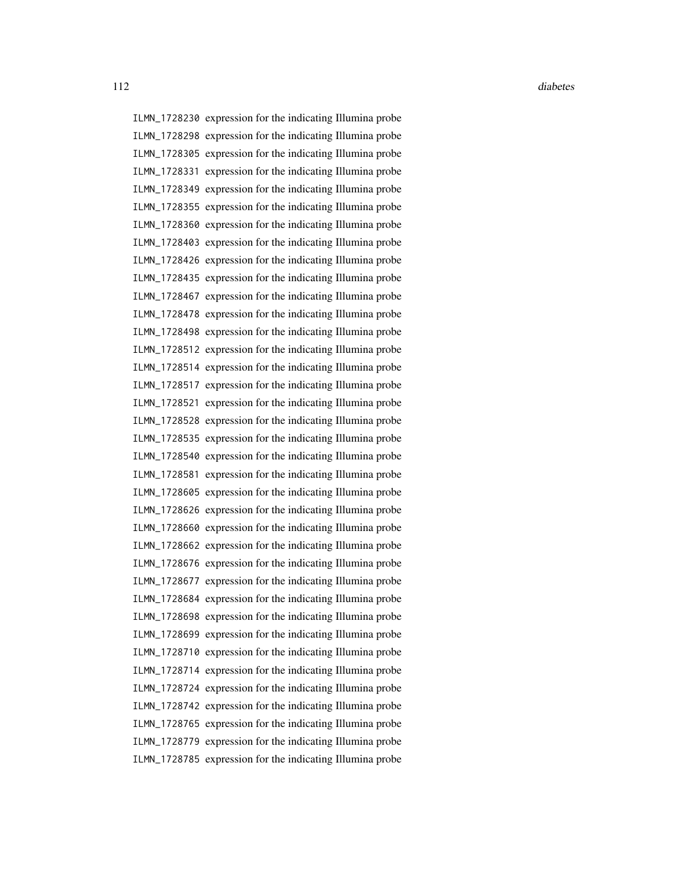ILMN\_1728230 expression for the indicating Illumina probe ILMN\_1728298 expression for the indicating Illumina probe ILMN\_1728305 expression for the indicating Illumina probe ILMN\_1728331 expression for the indicating Illumina probe ILMN\_1728349 expression for the indicating Illumina probe ILMN\_1728355 expression for the indicating Illumina probe ILMN\_1728360 expression for the indicating Illumina probe ILMN\_1728403 expression for the indicating Illumina probe ILMN\_1728426 expression for the indicating Illumina probe ILMN\_1728435 expression for the indicating Illumina probe ILMN\_1728467 expression for the indicating Illumina probe ILMN\_1728478 expression for the indicating Illumina probe ILMN\_1728498 expression for the indicating Illumina probe ILMN\_1728512 expression for the indicating Illumina probe ILMN\_1728514 expression for the indicating Illumina probe ILMN\_1728517 expression for the indicating Illumina probe ILMN\_1728521 expression for the indicating Illumina probe ILMN\_1728528 expression for the indicating Illumina probe ILMN\_1728535 expression for the indicating Illumina probe ILMN\_1728540 expression for the indicating Illumina probe ILMN\_1728581 expression for the indicating Illumina probe ILMN\_1728605 expression for the indicating Illumina probe ILMN\_1728626 expression for the indicating Illumina probe ILMN\_1728660 expression for the indicating Illumina probe ILMN\_1728662 expression for the indicating Illumina probe ILMN\_1728676 expression for the indicating Illumina probe ILMN\_1728677 expression for the indicating Illumina probe ILMN\_1728684 expression for the indicating Illumina probe ILMN\_1728698 expression for the indicating Illumina probe ILMN\_1728699 expression for the indicating Illumina probe ILMN\_1728710 expression for the indicating Illumina probe ILMN\_1728714 expression for the indicating Illumina probe ILMN\_1728724 expression for the indicating Illumina probe ILMN\_1728742 expression for the indicating Illumina probe ILMN\_1728765 expression for the indicating Illumina probe ILMN\_1728779 expression for the indicating Illumina probe ILMN\_1728785 expression for the indicating Illumina probe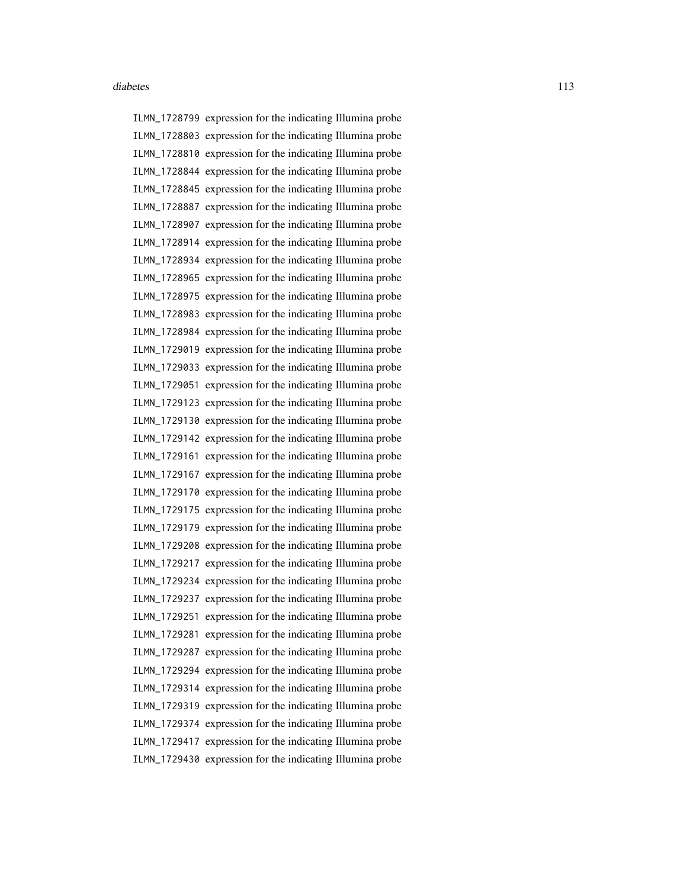ILMN\_1728799 expression for the indicating Illumina probe ILMN\_1728803 expression for the indicating Illumina probe ILMN\_1728810 expression for the indicating Illumina probe ILMN\_1728844 expression for the indicating Illumina probe ILMN\_1728845 expression for the indicating Illumina probe ILMN\_1728887 expression for the indicating Illumina probe ILMN\_1728907 expression for the indicating Illumina probe ILMN\_1728914 expression for the indicating Illumina probe ILMN\_1728934 expression for the indicating Illumina probe ILMN\_1728965 expression for the indicating Illumina probe ILMN\_1728975 expression for the indicating Illumina probe ILMN\_1728983 expression for the indicating Illumina probe ILMN\_1728984 expression for the indicating Illumina probe ILMN\_1729019 expression for the indicating Illumina probe ILMN\_1729033 expression for the indicating Illumina probe ILMN\_1729051 expression for the indicating Illumina probe ILMN\_1729123 expression for the indicating Illumina probe ILMN\_1729130 expression for the indicating Illumina probe ILMN\_1729142 expression for the indicating Illumina probe ILMN\_1729161 expression for the indicating Illumina probe ILMN\_1729167 expression for the indicating Illumina probe ILMN\_1729170 expression for the indicating Illumina probe ILMN\_1729175 expression for the indicating Illumina probe ILMN\_1729179 expression for the indicating Illumina probe ILMN\_1729208 expression for the indicating Illumina probe ILMN\_1729217 expression for the indicating Illumina probe ILMN\_1729234 expression for the indicating Illumina probe ILMN\_1729237 expression for the indicating Illumina probe ILMN\_1729251 expression for the indicating Illumina probe ILMN\_1729281 expression for the indicating Illumina probe ILMN\_1729287 expression for the indicating Illumina probe ILMN\_1729294 expression for the indicating Illumina probe ILMN\_1729314 expression for the indicating Illumina probe ILMN\_1729319 expression for the indicating Illumina probe ILMN\_1729374 expression for the indicating Illumina probe ILMN\_1729417 expression for the indicating Illumina probe ILMN\_1729430 expression for the indicating Illumina probe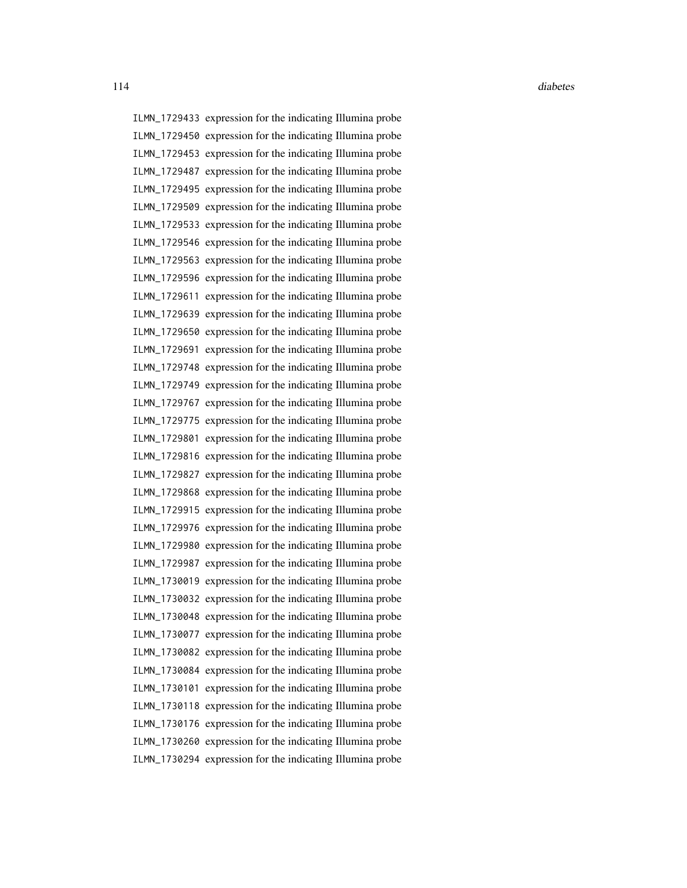ILMN\_1729433 expression for the indicating Illumina probe ILMN\_1729450 expression for the indicating Illumina probe ILMN\_1729453 expression for the indicating Illumina probe ILMN\_1729487 expression for the indicating Illumina probe ILMN\_1729495 expression for the indicating Illumina probe ILMN\_1729509 expression for the indicating Illumina probe ILMN\_1729533 expression for the indicating Illumina probe ILMN\_1729546 expression for the indicating Illumina probe ILMN\_1729563 expression for the indicating Illumina probe ILMN\_1729596 expression for the indicating Illumina probe ILMN\_1729611 expression for the indicating Illumina probe ILMN\_1729639 expression for the indicating Illumina probe ILMN\_1729650 expression for the indicating Illumina probe ILMN\_1729691 expression for the indicating Illumina probe ILMN\_1729748 expression for the indicating Illumina probe ILMN\_1729749 expression for the indicating Illumina probe ILMN\_1729767 expression for the indicating Illumina probe ILMN\_1729775 expression for the indicating Illumina probe ILMN\_1729801 expression for the indicating Illumina probe ILMN\_1729816 expression for the indicating Illumina probe ILMN\_1729827 expression for the indicating Illumina probe ILMN\_1729868 expression for the indicating Illumina probe ILMN\_1729915 expression for the indicating Illumina probe ILMN\_1729976 expression for the indicating Illumina probe ILMN\_1729980 expression for the indicating Illumina probe ILMN\_1729987 expression for the indicating Illumina probe ILMN\_1730019 expression for the indicating Illumina probe ILMN\_1730032 expression for the indicating Illumina probe ILMN\_1730048 expression for the indicating Illumina probe ILMN\_1730077 expression for the indicating Illumina probe ILMN\_1730082 expression for the indicating Illumina probe ILMN\_1730084 expression for the indicating Illumina probe ILMN\_1730101 expression for the indicating Illumina probe ILMN\_1730118 expression for the indicating Illumina probe ILMN\_1730176 expression for the indicating Illumina probe ILMN\_1730260 expression for the indicating Illumina probe ILMN\_1730294 expression for the indicating Illumina probe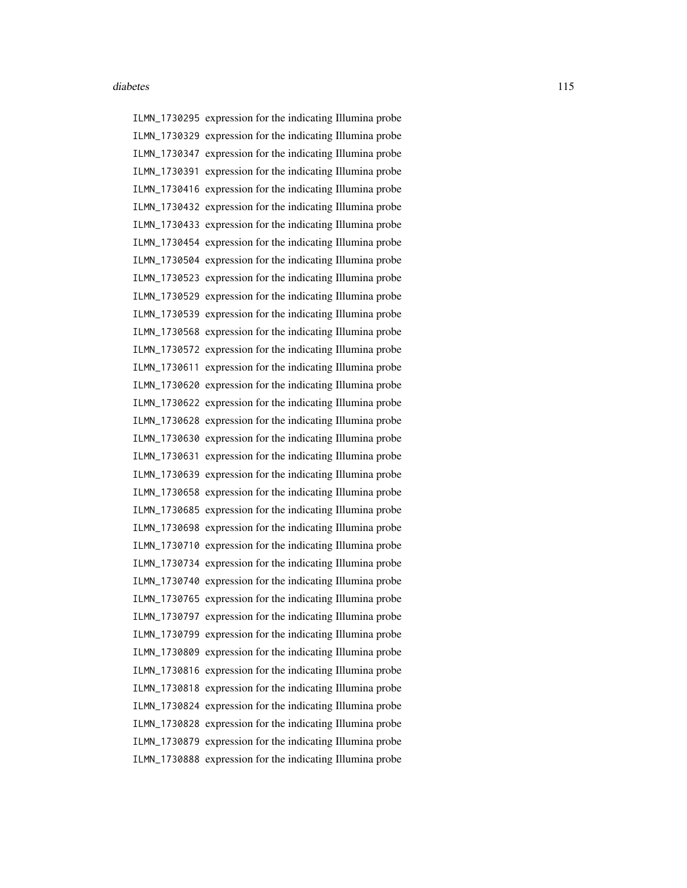ILMN\_1730295 expression for the indicating Illumina probe ILMN\_1730329 expression for the indicating Illumina probe ILMN\_1730347 expression for the indicating Illumina probe ILMN\_1730391 expression for the indicating Illumina probe ILMN\_1730416 expression for the indicating Illumina probe ILMN\_1730432 expression for the indicating Illumina probe ILMN\_1730433 expression for the indicating Illumina probe ILMN\_1730454 expression for the indicating Illumina probe ILMN\_1730504 expression for the indicating Illumina probe ILMN\_1730523 expression for the indicating Illumina probe ILMN\_1730529 expression for the indicating Illumina probe ILMN\_1730539 expression for the indicating Illumina probe ILMN\_1730568 expression for the indicating Illumina probe ILMN\_1730572 expression for the indicating Illumina probe ILMN\_1730611 expression for the indicating Illumina probe ILMN\_1730620 expression for the indicating Illumina probe ILMN\_1730622 expression for the indicating Illumina probe ILMN\_1730628 expression for the indicating Illumina probe ILMN\_1730630 expression for the indicating Illumina probe ILMN\_1730631 expression for the indicating Illumina probe ILMN\_1730639 expression for the indicating Illumina probe ILMN\_1730658 expression for the indicating Illumina probe ILMN\_1730685 expression for the indicating Illumina probe ILMN\_1730698 expression for the indicating Illumina probe ILMN\_1730710 expression for the indicating Illumina probe ILMN\_1730734 expression for the indicating Illumina probe ILMN\_1730740 expression for the indicating Illumina probe ILMN\_1730765 expression for the indicating Illumina probe ILMN\_1730797 expression for the indicating Illumina probe ILMN\_1730799 expression for the indicating Illumina probe ILMN\_1730809 expression for the indicating Illumina probe ILMN\_1730816 expression for the indicating Illumina probe ILMN\_1730818 expression for the indicating Illumina probe ILMN\_1730824 expression for the indicating Illumina probe ILMN\_1730828 expression for the indicating Illumina probe ILMN\_1730879 expression for the indicating Illumina probe ILMN\_1730888 expression for the indicating Illumina probe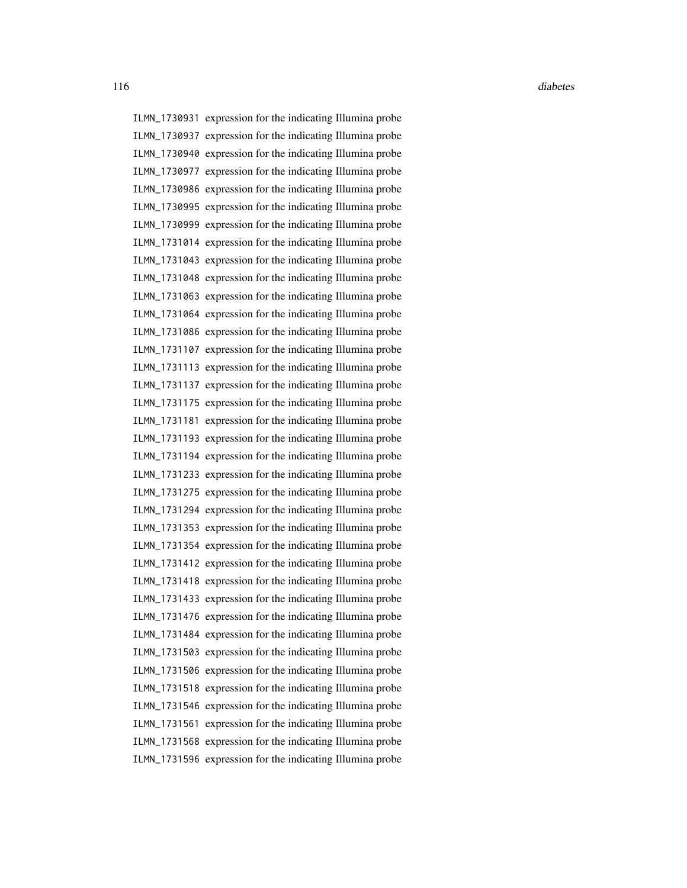116 diabetes diabetes diabetes diabetes diabetes diabetes diabetes diabetes diabetes diabetes diabetes diabetes diabetes diabetes diabetes diabetes diabetes diabetes diabetes diabetes diabetes diabetes diabetes diabetes di

ILMN\_1730931 expression for the indicating Illumina probe ILMN\_1730937 expression for the indicating Illumina probe ILMN\_1730940 expression for the indicating Illumina probe ILMN\_1730977 expression for the indicating Illumina probe ILMN\_1730986 expression for the indicating Illumina probe ILMN\_1730995 expression for the indicating Illumina probe ILMN\_1730999 expression for the indicating Illumina probe ILMN\_1731014 expression for the indicating Illumina probe ILMN\_1731043 expression for the indicating Illumina probe ILMN\_1731048 expression for the indicating Illumina probe ILMN\_1731063 expression for the indicating Illumina probe ILMN\_1731064 expression for the indicating Illumina probe ILMN\_1731086 expression for the indicating Illumina probe ILMN\_1731107 expression for the indicating Illumina probe ILMN\_1731113 expression for the indicating Illumina probe ILMN\_1731137 expression for the indicating Illumina probe ILMN\_1731175 expression for the indicating Illumina probe ILMN\_1731181 expression for the indicating Illumina probe ILMN\_1731193 expression for the indicating Illumina probe ILMN\_1731194 expression for the indicating Illumina probe ILMN\_1731233 expression for the indicating Illumina probe ILMN\_1731275 expression for the indicating Illumina probe ILMN\_1731294 expression for the indicating Illumina probe ILMN\_1731353 expression for the indicating Illumina probe ILMN\_1731354 expression for the indicating Illumina probe ILMN\_1731412 expression for the indicating Illumina probe ILMN\_1731418 expression for the indicating Illumina probe ILMN\_1731433 expression for the indicating Illumina probe ILMN\_1731476 expression for the indicating Illumina probe ILMN\_1731484 expression for the indicating Illumina probe ILMN\_1731503 expression for the indicating Illumina probe ILMN\_1731506 expression for the indicating Illumina probe ILMN\_1731518 expression for the indicating Illumina probe ILMN\_1731546 expression for the indicating Illumina probe ILMN\_1731561 expression for the indicating Illumina probe ILMN\_1731568 expression for the indicating Illumina probe ILMN\_1731596 expression for the indicating Illumina probe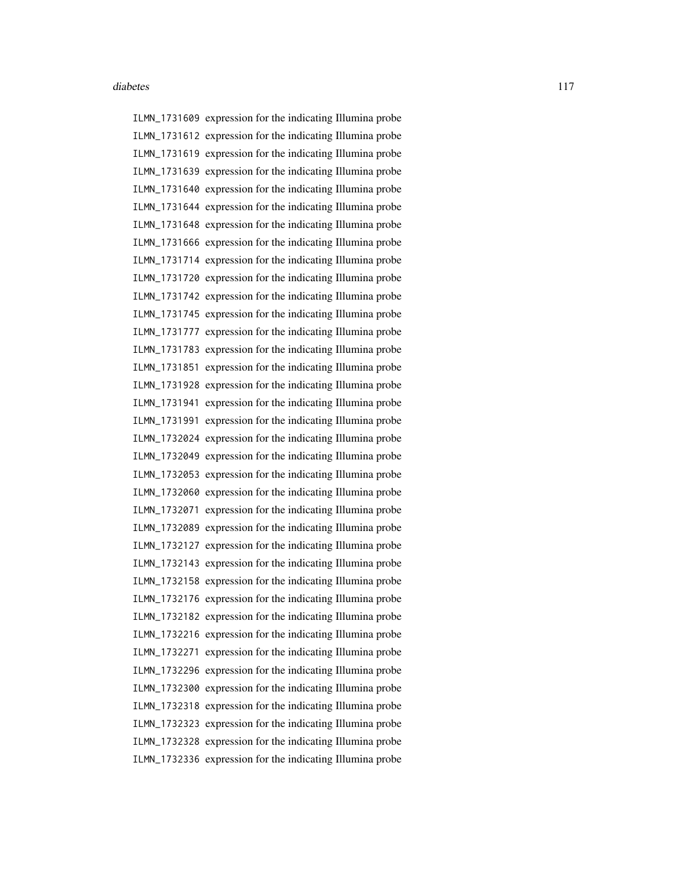ILMN\_1731609 expression for the indicating Illumina probe ILMN\_1731612 expression for the indicating Illumina probe ILMN\_1731619 expression for the indicating Illumina probe ILMN\_1731639 expression for the indicating Illumina probe ILMN\_1731640 expression for the indicating Illumina probe ILMN\_1731644 expression for the indicating Illumina probe ILMN\_1731648 expression for the indicating Illumina probe ILMN\_1731666 expression for the indicating Illumina probe ILMN\_1731714 expression for the indicating Illumina probe ILMN\_1731720 expression for the indicating Illumina probe ILMN\_1731742 expression for the indicating Illumina probe ILMN\_1731745 expression for the indicating Illumina probe ILMN\_1731777 expression for the indicating Illumina probe ILMN\_1731783 expression for the indicating Illumina probe ILMN\_1731851 expression for the indicating Illumina probe ILMN\_1731928 expression for the indicating Illumina probe ILMN\_1731941 expression for the indicating Illumina probe ILMN\_1731991 expression for the indicating Illumina probe ILMN\_1732024 expression for the indicating Illumina probe ILMN\_1732049 expression for the indicating Illumina probe ILMN\_1732053 expression for the indicating Illumina probe ILMN\_1732060 expression for the indicating Illumina probe ILMN\_1732071 expression for the indicating Illumina probe ILMN\_1732089 expression for the indicating Illumina probe ILMN\_1732127 expression for the indicating Illumina probe ILMN\_1732143 expression for the indicating Illumina probe ILMN\_1732158 expression for the indicating Illumina probe ILMN\_1732176 expression for the indicating Illumina probe ILMN\_1732182 expression for the indicating Illumina probe ILMN\_1732216 expression for the indicating Illumina probe ILMN\_1732271 expression for the indicating Illumina probe ILMN\_1732296 expression for the indicating Illumina probe ILMN\_1732300 expression for the indicating Illumina probe ILMN\_1732318 expression for the indicating Illumina probe ILMN\_1732323 expression for the indicating Illumina probe ILMN\_1732328 expression for the indicating Illumina probe ILMN\_1732336 expression for the indicating Illumina probe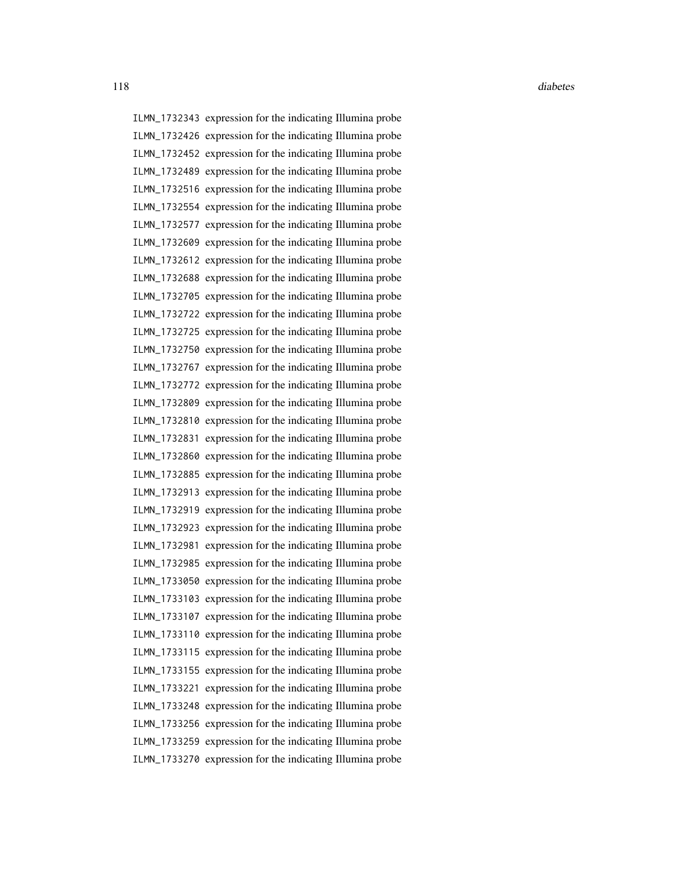ILMN\_1732343 expression for the indicating Illumina probe ILMN\_1732426 expression for the indicating Illumina probe ILMN\_1732452 expression for the indicating Illumina probe ILMN\_1732489 expression for the indicating Illumina probe ILMN\_1732516 expression for the indicating Illumina probe ILMN\_1732554 expression for the indicating Illumina probe ILMN\_1732577 expression for the indicating Illumina probe ILMN\_1732609 expression for the indicating Illumina probe ILMN\_1732612 expression for the indicating Illumina probe ILMN\_1732688 expression for the indicating Illumina probe ILMN\_1732705 expression for the indicating Illumina probe ILMN\_1732722 expression for the indicating Illumina probe ILMN\_1732725 expression for the indicating Illumina probe ILMN\_1732750 expression for the indicating Illumina probe ILMN\_1732767 expression for the indicating Illumina probe ILMN\_1732772 expression for the indicating Illumina probe ILMN\_1732809 expression for the indicating Illumina probe ILMN\_1732810 expression for the indicating Illumina probe ILMN\_1732831 expression for the indicating Illumina probe ILMN\_1732860 expression for the indicating Illumina probe ILMN\_1732885 expression for the indicating Illumina probe ILMN\_1732913 expression for the indicating Illumina probe ILMN\_1732919 expression for the indicating Illumina probe ILMN\_1732923 expression for the indicating Illumina probe ILMN\_1732981 expression for the indicating Illumina probe ILMN\_1732985 expression for the indicating Illumina probe ILMN\_1733050 expression for the indicating Illumina probe ILMN\_1733103 expression for the indicating Illumina probe ILMN\_1733107 expression for the indicating Illumina probe ILMN\_1733110 expression for the indicating Illumina probe ILMN\_1733115 expression for the indicating Illumina probe ILMN\_1733155 expression for the indicating Illumina probe ILMN\_1733221 expression for the indicating Illumina probe ILMN\_1733248 expression for the indicating Illumina probe ILMN\_1733256 expression for the indicating Illumina probe ILMN\_1733259 expression for the indicating Illumina probe ILMN\_1733270 expression for the indicating Illumina probe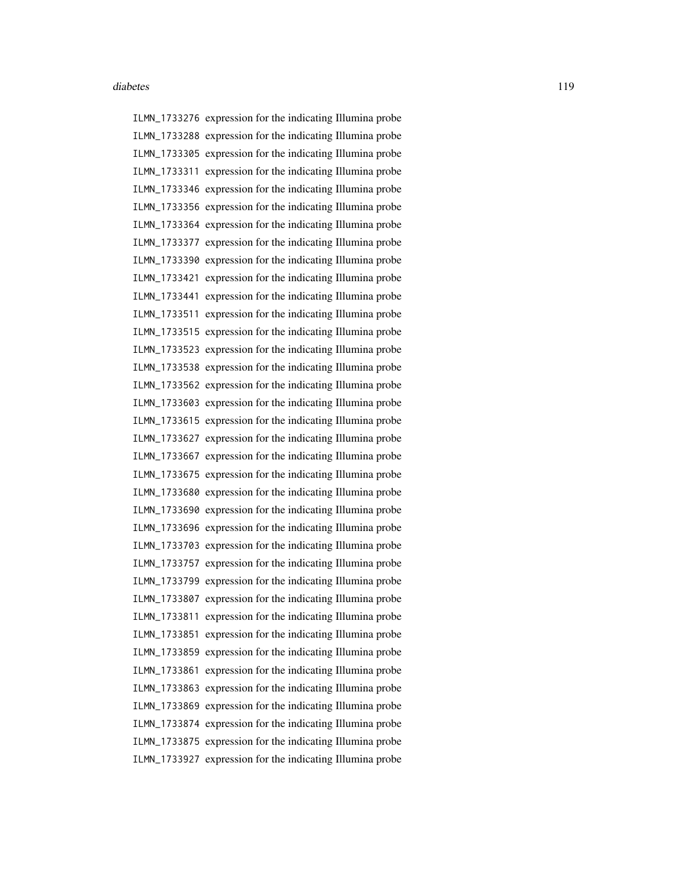ILMN\_1733276 expression for the indicating Illumina probe ILMN\_1733288 expression for the indicating Illumina probe ILMN\_1733305 expression for the indicating Illumina probe ILMN\_1733311 expression for the indicating Illumina probe ILMN\_1733346 expression for the indicating Illumina probe ILMN\_1733356 expression for the indicating Illumina probe ILMN\_1733364 expression for the indicating Illumina probe ILMN\_1733377 expression for the indicating Illumina probe ILMN\_1733390 expression for the indicating Illumina probe ILMN\_1733421 expression for the indicating Illumina probe ILMN\_1733441 expression for the indicating Illumina probe ILMN\_1733511 expression for the indicating Illumina probe ILMN\_1733515 expression for the indicating Illumina probe ILMN\_1733523 expression for the indicating Illumina probe ILMN\_1733538 expression for the indicating Illumina probe ILMN\_1733562 expression for the indicating Illumina probe ILMN\_1733603 expression for the indicating Illumina probe ILMN\_1733615 expression for the indicating Illumina probe ILMN\_1733627 expression for the indicating Illumina probe ILMN\_1733667 expression for the indicating Illumina probe ILMN\_1733675 expression for the indicating Illumina probe ILMN\_1733680 expression for the indicating Illumina probe ILMN\_1733690 expression for the indicating Illumina probe ILMN\_1733696 expression for the indicating Illumina probe ILMN\_1733703 expression for the indicating Illumina probe ILMN\_1733757 expression for the indicating Illumina probe ILMN\_1733799 expression for the indicating Illumina probe ILMN\_1733807 expression for the indicating Illumina probe ILMN\_1733811 expression for the indicating Illumina probe ILMN\_1733851 expression for the indicating Illumina probe ILMN\_1733859 expression for the indicating Illumina probe ILMN\_1733861 expression for the indicating Illumina probe ILMN\_1733863 expression for the indicating Illumina probe ILMN\_1733869 expression for the indicating Illumina probe ILMN\_1733874 expression for the indicating Illumina probe ILMN\_1733875 expression for the indicating Illumina probe ILMN\_1733927 expression for the indicating Illumina probe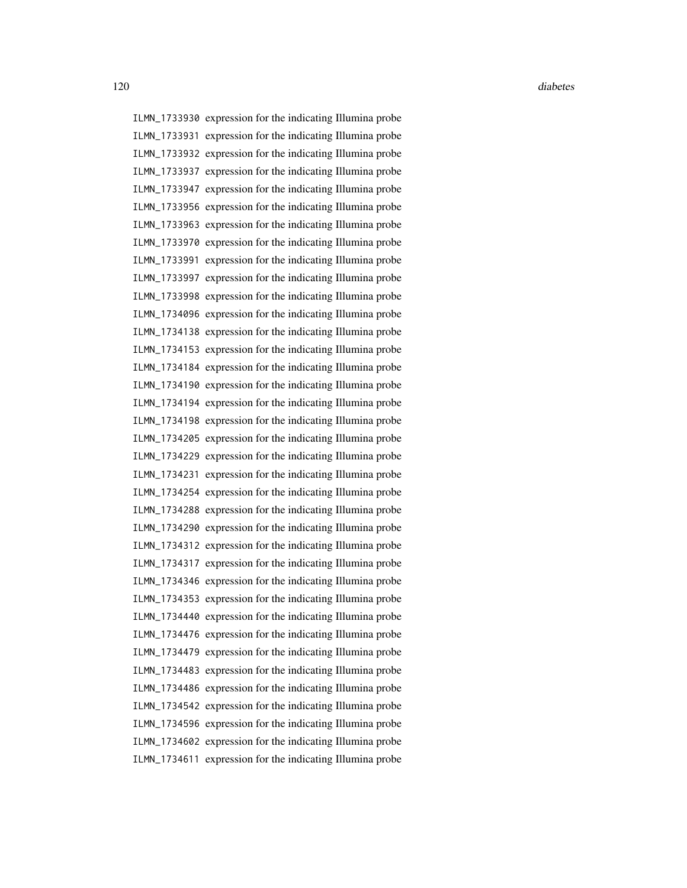ILMN\_1733930 expression for the indicating Illumina probe ILMN\_1733931 expression for the indicating Illumina probe ILMN\_1733932 expression for the indicating Illumina probe ILMN\_1733937 expression for the indicating Illumina probe ILMN\_1733947 expression for the indicating Illumina probe ILMN\_1733956 expression for the indicating Illumina probe ILMN\_1733963 expression for the indicating Illumina probe ILMN\_1733970 expression for the indicating Illumina probe ILMN\_1733991 expression for the indicating Illumina probe ILMN\_1733997 expression for the indicating Illumina probe ILMN\_1733998 expression for the indicating Illumina probe ILMN\_1734096 expression for the indicating Illumina probe ILMN\_1734138 expression for the indicating Illumina probe ILMN\_1734153 expression for the indicating Illumina probe ILMN\_1734184 expression for the indicating Illumina probe ILMN\_1734190 expression for the indicating Illumina probe ILMN\_1734194 expression for the indicating Illumina probe ILMN\_1734198 expression for the indicating Illumina probe ILMN\_1734205 expression for the indicating Illumina probe ILMN\_1734229 expression for the indicating Illumina probe ILMN\_1734231 expression for the indicating Illumina probe ILMN\_1734254 expression for the indicating Illumina probe ILMN\_1734288 expression for the indicating Illumina probe ILMN\_1734290 expression for the indicating Illumina probe ILMN\_1734312 expression for the indicating Illumina probe ILMN\_1734317 expression for the indicating Illumina probe ILMN\_1734346 expression for the indicating Illumina probe ILMN\_1734353 expression for the indicating Illumina probe ILMN\_1734440 expression for the indicating Illumina probe ILMN\_1734476 expression for the indicating Illumina probe ILMN\_1734479 expression for the indicating Illumina probe ILMN\_1734483 expression for the indicating Illumina probe ILMN\_1734486 expression for the indicating Illumina probe ILMN\_1734542 expression for the indicating Illumina probe ILMN\_1734596 expression for the indicating Illumina probe ILMN\_1734602 expression for the indicating Illumina probe ILMN\_1734611 expression for the indicating Illumina probe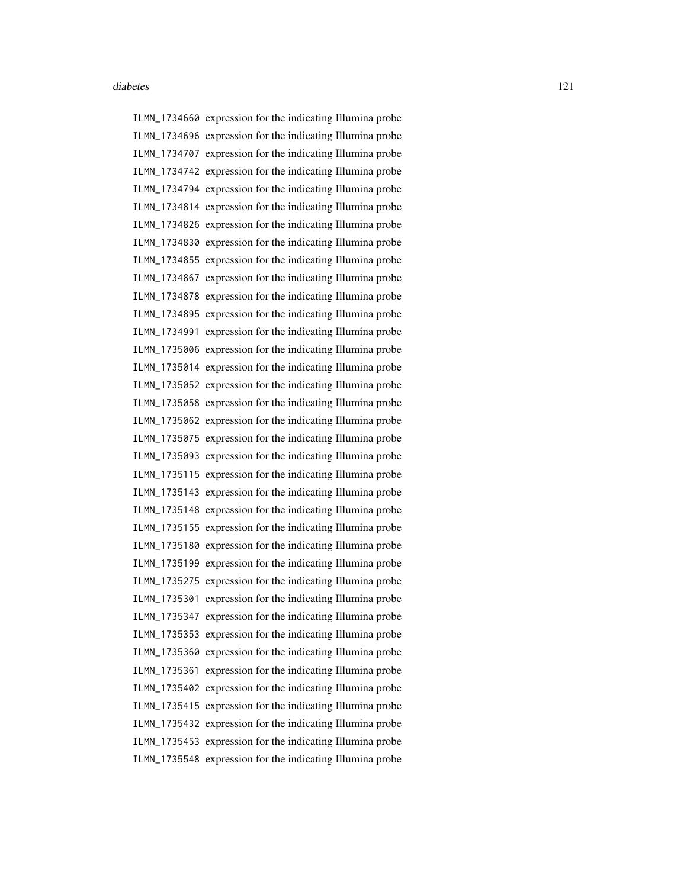ILMN\_1734660 expression for the indicating Illumina probe ILMN\_1734696 expression for the indicating Illumina probe ILMN\_1734707 expression for the indicating Illumina probe ILMN\_1734742 expression for the indicating Illumina probe ILMN\_1734794 expression for the indicating Illumina probe ILMN\_1734814 expression for the indicating Illumina probe ILMN\_1734826 expression for the indicating Illumina probe ILMN\_1734830 expression for the indicating Illumina probe ILMN\_1734855 expression for the indicating Illumina probe ILMN\_1734867 expression for the indicating Illumina probe ILMN\_1734878 expression for the indicating Illumina probe ILMN\_1734895 expression for the indicating Illumina probe ILMN\_1734991 expression for the indicating Illumina probe ILMN\_1735006 expression for the indicating Illumina probe ILMN\_1735014 expression for the indicating Illumina probe ILMN\_1735052 expression for the indicating Illumina probe ILMN\_1735058 expression for the indicating Illumina probe ILMN\_1735062 expression for the indicating Illumina probe ILMN\_1735075 expression for the indicating Illumina probe ILMN\_1735093 expression for the indicating Illumina probe ILMN\_1735115 expression for the indicating Illumina probe ILMN\_1735143 expression for the indicating Illumina probe ILMN\_1735148 expression for the indicating Illumina probe ILMN\_1735155 expression for the indicating Illumina probe ILMN\_1735180 expression for the indicating Illumina probe ILMN\_1735199 expression for the indicating Illumina probe ILMN\_1735275 expression for the indicating Illumina probe ILMN\_1735301 expression for the indicating Illumina probe ILMN\_1735347 expression for the indicating Illumina probe ILMN\_1735353 expression for the indicating Illumina probe ILMN\_1735360 expression for the indicating Illumina probe ILMN\_1735361 expression for the indicating Illumina probe ILMN\_1735402 expression for the indicating Illumina probe ILMN\_1735415 expression for the indicating Illumina probe ILMN\_1735432 expression for the indicating Illumina probe ILMN\_1735453 expression for the indicating Illumina probe ILMN\_1735548 expression for the indicating Illumina probe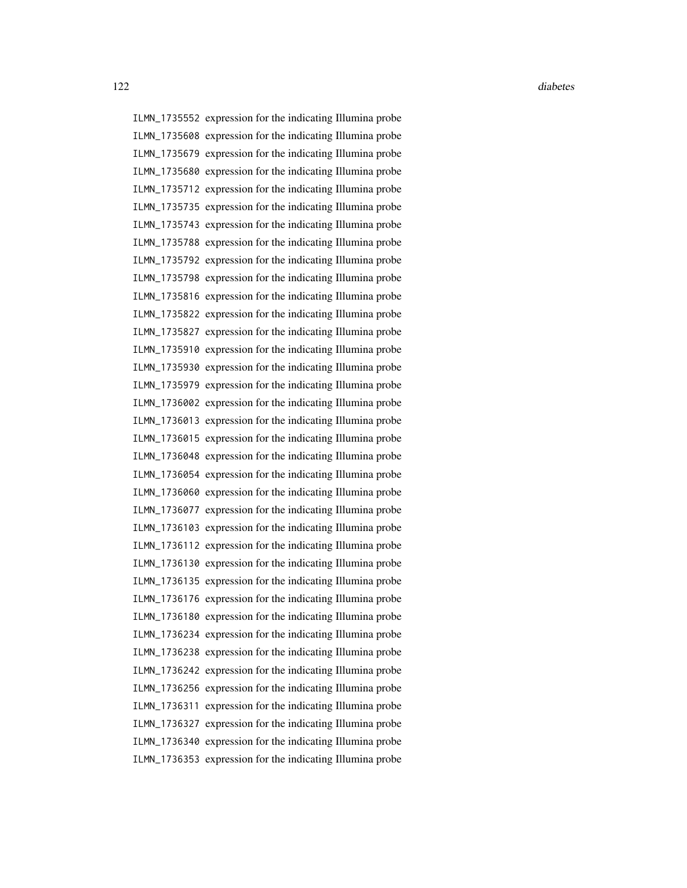ILMN\_1735552 expression for the indicating Illumina probe ILMN\_1735608 expression for the indicating Illumina probe ILMN\_1735679 expression for the indicating Illumina probe ILMN\_1735680 expression for the indicating Illumina probe ILMN\_1735712 expression for the indicating Illumina probe ILMN\_1735735 expression for the indicating Illumina probe ILMN\_1735743 expression for the indicating Illumina probe ILMN\_1735788 expression for the indicating Illumina probe ILMN\_1735792 expression for the indicating Illumina probe ILMN\_1735798 expression for the indicating Illumina probe ILMN\_1735816 expression for the indicating Illumina probe ILMN\_1735822 expression for the indicating Illumina probe ILMN\_1735827 expression for the indicating Illumina probe ILMN\_1735910 expression for the indicating Illumina probe ILMN\_1735930 expression for the indicating Illumina probe ILMN\_1735979 expression for the indicating Illumina probe ILMN\_1736002 expression for the indicating Illumina probe ILMN\_1736013 expression for the indicating Illumina probe ILMN\_1736015 expression for the indicating Illumina probe ILMN\_1736048 expression for the indicating Illumina probe ILMN\_1736054 expression for the indicating Illumina probe ILMN\_1736060 expression for the indicating Illumina probe ILMN\_1736077 expression for the indicating Illumina probe ILMN\_1736103 expression for the indicating Illumina probe ILMN\_1736112 expression for the indicating Illumina probe ILMN\_1736130 expression for the indicating Illumina probe ILMN\_1736135 expression for the indicating Illumina probe ILMN\_1736176 expression for the indicating Illumina probe ILMN\_1736180 expression for the indicating Illumina probe ILMN\_1736234 expression for the indicating Illumina probe ILMN\_1736238 expression for the indicating Illumina probe ILMN\_1736242 expression for the indicating Illumina probe ILMN\_1736256 expression for the indicating Illumina probe ILMN\_1736311 expression for the indicating Illumina probe ILMN\_1736327 expression for the indicating Illumina probe ILMN\_1736340 expression for the indicating Illumina probe ILMN\_1736353 expression for the indicating Illumina probe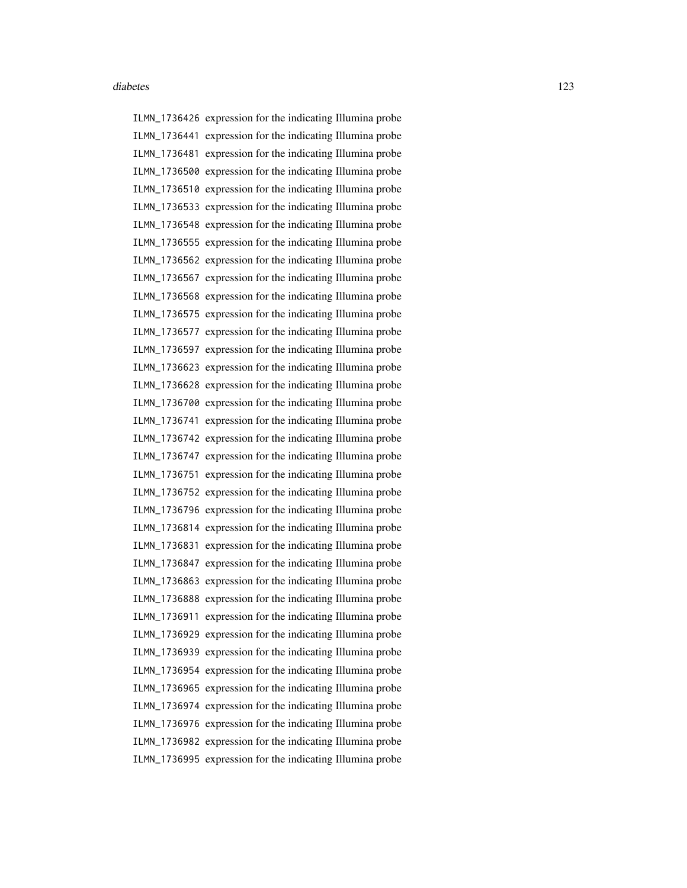ILMN\_1736426 expression for the indicating Illumina probe ILMN\_1736441 expression for the indicating Illumina probe ILMN\_1736481 expression for the indicating Illumina probe ILMN\_1736500 expression for the indicating Illumina probe ILMN\_1736510 expression for the indicating Illumina probe ILMN\_1736533 expression for the indicating Illumina probe ILMN\_1736548 expression for the indicating Illumina probe ILMN\_1736555 expression for the indicating Illumina probe ILMN\_1736562 expression for the indicating Illumina probe ILMN\_1736567 expression for the indicating Illumina probe ILMN\_1736568 expression for the indicating Illumina probe ILMN\_1736575 expression for the indicating Illumina probe ILMN\_1736577 expression for the indicating Illumina probe ILMN\_1736597 expression for the indicating Illumina probe ILMN\_1736623 expression for the indicating Illumina probe ILMN\_1736628 expression for the indicating Illumina probe ILMN\_1736700 expression for the indicating Illumina probe ILMN\_1736741 expression for the indicating Illumina probe ILMN\_1736742 expression for the indicating Illumina probe ILMN\_1736747 expression for the indicating Illumina probe ILMN\_1736751 expression for the indicating Illumina probe ILMN\_1736752 expression for the indicating Illumina probe ILMN\_1736796 expression for the indicating Illumina probe ILMN\_1736814 expression for the indicating Illumina probe ILMN\_1736831 expression for the indicating Illumina probe ILMN\_1736847 expression for the indicating Illumina probe ILMN\_1736863 expression for the indicating Illumina probe ILMN\_1736888 expression for the indicating Illumina probe ILMN\_1736911 expression for the indicating Illumina probe ILMN\_1736929 expression for the indicating Illumina probe ILMN\_1736939 expression for the indicating Illumina probe ILMN\_1736954 expression for the indicating Illumina probe ILMN\_1736965 expression for the indicating Illumina probe ILMN\_1736974 expression for the indicating Illumina probe ILMN\_1736976 expression for the indicating Illumina probe ILMN\_1736982 expression for the indicating Illumina probe ILMN\_1736995 expression for the indicating Illumina probe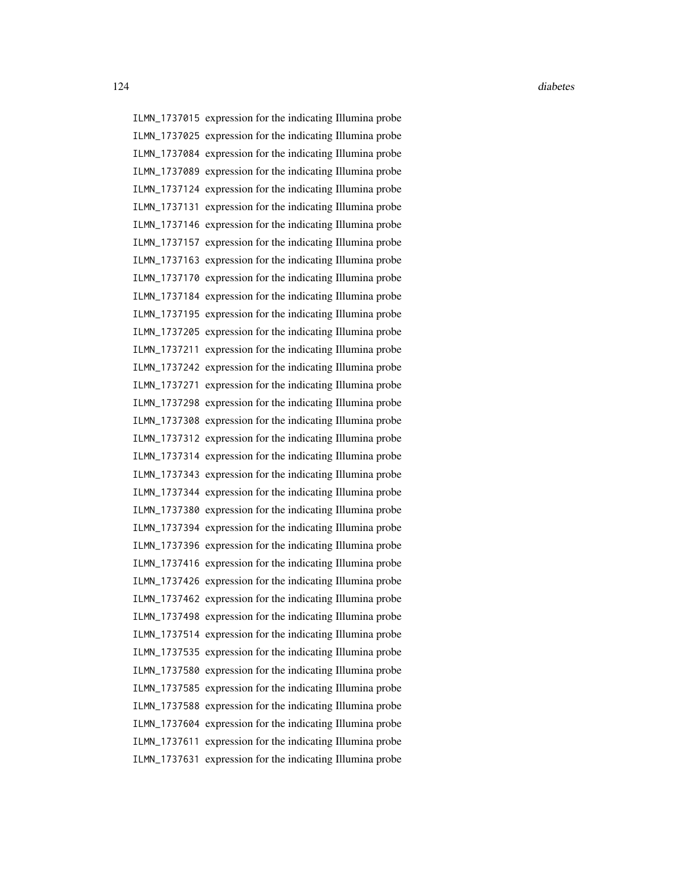ILMN\_1737015 expression for the indicating Illumina probe ILMN\_1737025 expression for the indicating Illumina probe ILMN\_1737084 expression for the indicating Illumina probe ILMN\_1737089 expression for the indicating Illumina probe ILMN\_1737124 expression for the indicating Illumina probe ILMN\_1737131 expression for the indicating Illumina probe ILMN\_1737146 expression for the indicating Illumina probe ILMN\_1737157 expression for the indicating Illumina probe ILMN\_1737163 expression for the indicating Illumina probe ILMN\_1737170 expression for the indicating Illumina probe ILMN\_1737184 expression for the indicating Illumina probe ILMN\_1737195 expression for the indicating Illumina probe ILMN\_1737205 expression for the indicating Illumina probe ILMN\_1737211 expression for the indicating Illumina probe ILMN\_1737242 expression for the indicating Illumina probe ILMN\_1737271 expression for the indicating Illumina probe ILMN\_1737298 expression for the indicating Illumina probe ILMN\_1737308 expression for the indicating Illumina probe ILMN\_1737312 expression for the indicating Illumina probe ILMN\_1737314 expression for the indicating Illumina probe ILMN\_1737343 expression for the indicating Illumina probe ILMN\_1737344 expression for the indicating Illumina probe ILMN\_1737380 expression for the indicating Illumina probe ILMN\_1737394 expression for the indicating Illumina probe ILMN\_1737396 expression for the indicating Illumina probe ILMN\_1737416 expression for the indicating Illumina probe ILMN\_1737426 expression for the indicating Illumina probe ILMN\_1737462 expression for the indicating Illumina probe ILMN\_1737498 expression for the indicating Illumina probe ILMN\_1737514 expression for the indicating Illumina probe ILMN\_1737535 expression for the indicating Illumina probe ILMN\_1737580 expression for the indicating Illumina probe ILMN\_1737585 expression for the indicating Illumina probe ILMN\_1737588 expression for the indicating Illumina probe ILMN\_1737604 expression for the indicating Illumina probe ILMN\_1737611 expression for the indicating Illumina probe ILMN\_1737631 expression for the indicating Illumina probe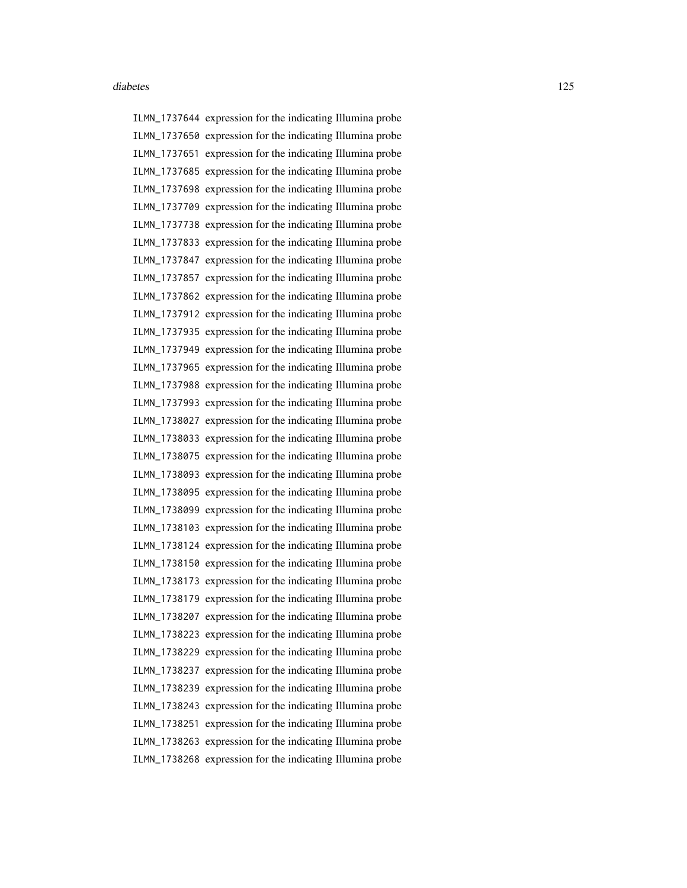ILMN\_1737644 expression for the indicating Illumina probe ILMN\_1737650 expression for the indicating Illumina probe ILMN\_1737651 expression for the indicating Illumina probe ILMN\_1737685 expression for the indicating Illumina probe ILMN\_1737698 expression for the indicating Illumina probe ILMN\_1737709 expression for the indicating Illumina probe ILMN\_1737738 expression for the indicating Illumina probe ILMN\_1737833 expression for the indicating Illumina probe ILMN\_1737847 expression for the indicating Illumina probe ILMN\_1737857 expression for the indicating Illumina probe ILMN\_1737862 expression for the indicating Illumina probe ILMN\_1737912 expression for the indicating Illumina probe ILMN\_1737935 expression for the indicating Illumina probe ILMN\_1737949 expression for the indicating Illumina probe ILMN\_1737965 expression for the indicating Illumina probe ILMN\_1737988 expression for the indicating Illumina probe ILMN\_1737993 expression for the indicating Illumina probe ILMN\_1738027 expression for the indicating Illumina probe ILMN\_1738033 expression for the indicating Illumina probe ILMN\_1738075 expression for the indicating Illumina probe ILMN\_1738093 expression for the indicating Illumina probe ILMN\_1738095 expression for the indicating Illumina probe ILMN\_1738099 expression for the indicating Illumina probe ILMN\_1738103 expression for the indicating Illumina probe ILMN\_1738124 expression for the indicating Illumina probe ILMN\_1738150 expression for the indicating Illumina probe ILMN\_1738173 expression for the indicating Illumina probe ILMN\_1738179 expression for the indicating Illumina probe ILMN\_1738207 expression for the indicating Illumina probe ILMN\_1738223 expression for the indicating Illumina probe ILMN\_1738229 expression for the indicating Illumina probe ILMN\_1738237 expression for the indicating Illumina probe ILMN\_1738239 expression for the indicating Illumina probe ILMN\_1738243 expression for the indicating Illumina probe ILMN\_1738251 expression for the indicating Illumina probe ILMN\_1738263 expression for the indicating Illumina probe ILMN\_1738268 expression for the indicating Illumina probe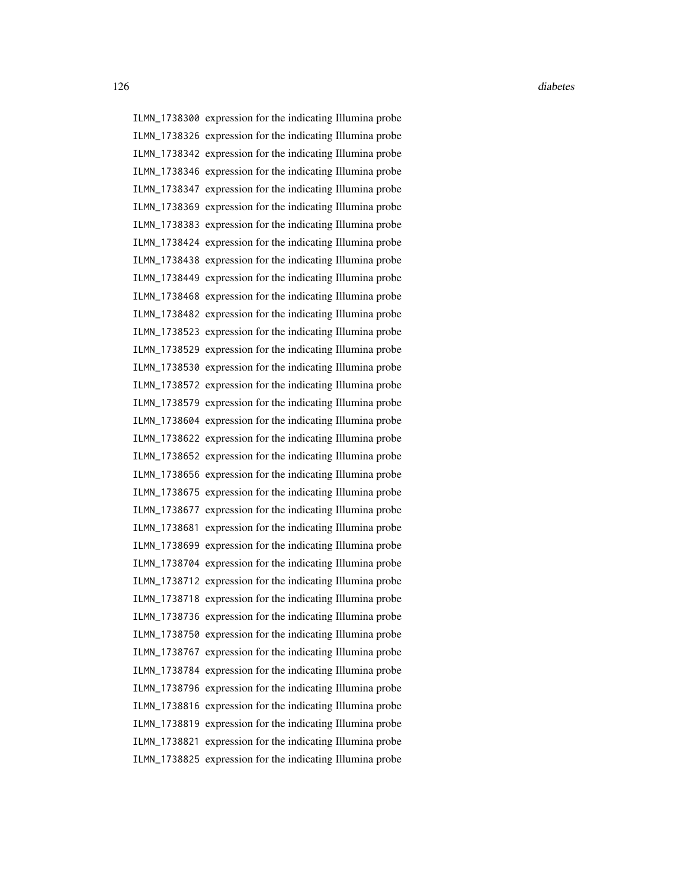ILMN\_1738300 expression for the indicating Illumina probe ILMN\_1738326 expression for the indicating Illumina probe ILMN\_1738342 expression for the indicating Illumina probe ILMN\_1738346 expression for the indicating Illumina probe ILMN\_1738347 expression for the indicating Illumina probe ILMN\_1738369 expression for the indicating Illumina probe ILMN\_1738383 expression for the indicating Illumina probe ILMN\_1738424 expression for the indicating Illumina probe ILMN\_1738438 expression for the indicating Illumina probe ILMN\_1738449 expression for the indicating Illumina probe ILMN\_1738468 expression for the indicating Illumina probe ILMN\_1738482 expression for the indicating Illumina probe ILMN\_1738523 expression for the indicating Illumina probe ILMN\_1738529 expression for the indicating Illumina probe ILMN\_1738530 expression for the indicating Illumina probe ILMN\_1738572 expression for the indicating Illumina probe ILMN\_1738579 expression for the indicating Illumina probe ILMN\_1738604 expression for the indicating Illumina probe ILMN\_1738622 expression for the indicating Illumina probe ILMN\_1738652 expression for the indicating Illumina probe ILMN\_1738656 expression for the indicating Illumina probe ILMN\_1738675 expression for the indicating Illumina probe ILMN\_1738677 expression for the indicating Illumina probe ILMN\_1738681 expression for the indicating Illumina probe ILMN\_1738699 expression for the indicating Illumina probe ILMN\_1738704 expression for the indicating Illumina probe ILMN\_1738712 expression for the indicating Illumina probe ILMN\_1738718 expression for the indicating Illumina probe ILMN\_1738736 expression for the indicating Illumina probe ILMN\_1738750 expression for the indicating Illumina probe ILMN\_1738767 expression for the indicating Illumina probe ILMN\_1738784 expression for the indicating Illumina probe ILMN\_1738796 expression for the indicating Illumina probe ILMN\_1738816 expression for the indicating Illumina probe ILMN\_1738819 expression for the indicating Illumina probe ILMN\_1738821 expression for the indicating Illumina probe ILMN\_1738825 expression for the indicating Illumina probe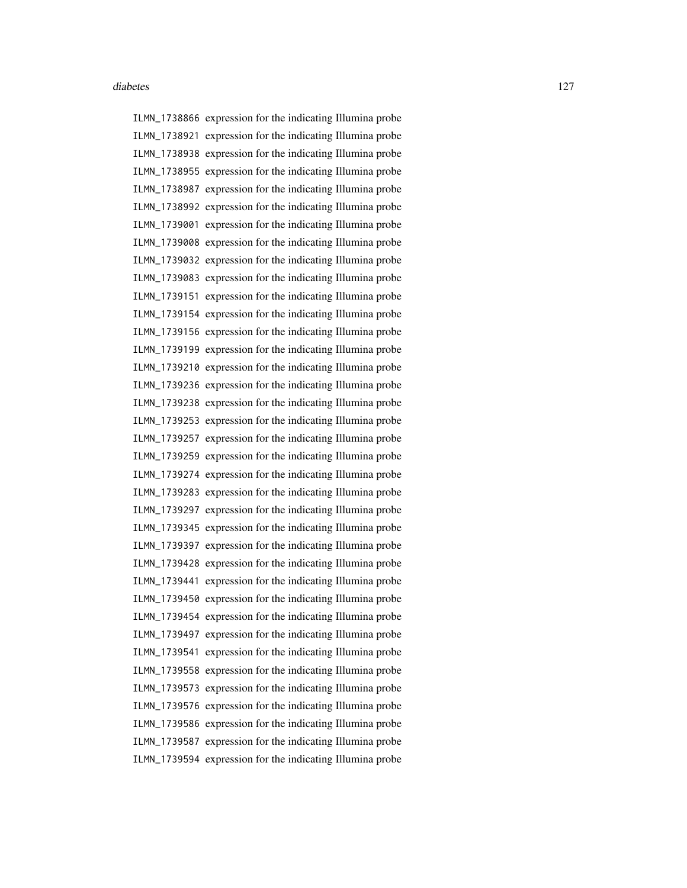ILMN\_1738866 expression for the indicating Illumina probe ILMN\_1738921 expression for the indicating Illumina probe ILMN\_1738938 expression for the indicating Illumina probe ILMN\_1738955 expression for the indicating Illumina probe ILMN\_1738987 expression for the indicating Illumina probe ILMN\_1738992 expression for the indicating Illumina probe ILMN\_1739001 expression for the indicating Illumina probe ILMN\_1739008 expression for the indicating Illumina probe ILMN\_1739032 expression for the indicating Illumina probe ILMN\_1739083 expression for the indicating Illumina probe ILMN\_1739151 expression for the indicating Illumina probe ILMN\_1739154 expression for the indicating Illumina probe ILMN\_1739156 expression for the indicating Illumina probe ILMN\_1739199 expression for the indicating Illumina probe ILMN\_1739210 expression for the indicating Illumina probe ILMN\_1739236 expression for the indicating Illumina probe ILMN\_1739238 expression for the indicating Illumina probe ILMN\_1739253 expression for the indicating Illumina probe ILMN\_1739257 expression for the indicating Illumina probe ILMN\_1739259 expression for the indicating Illumina probe ILMN\_1739274 expression for the indicating Illumina probe ILMN\_1739283 expression for the indicating Illumina probe ILMN\_1739297 expression for the indicating Illumina probe ILMN\_1739345 expression for the indicating Illumina probe ILMN\_1739397 expression for the indicating Illumina probe ILMN\_1739428 expression for the indicating Illumina probe ILMN\_1739441 expression for the indicating Illumina probe ILMN\_1739450 expression for the indicating Illumina probe ILMN\_1739454 expression for the indicating Illumina probe ILMN\_1739497 expression for the indicating Illumina probe ILMN\_1739541 expression for the indicating Illumina probe ILMN\_1739558 expression for the indicating Illumina probe ILMN\_1739573 expression for the indicating Illumina probe ILMN\_1739576 expression for the indicating Illumina probe ILMN\_1739586 expression for the indicating Illumina probe ILMN\_1739587 expression for the indicating Illumina probe ILMN\_1739594 expression for the indicating Illumina probe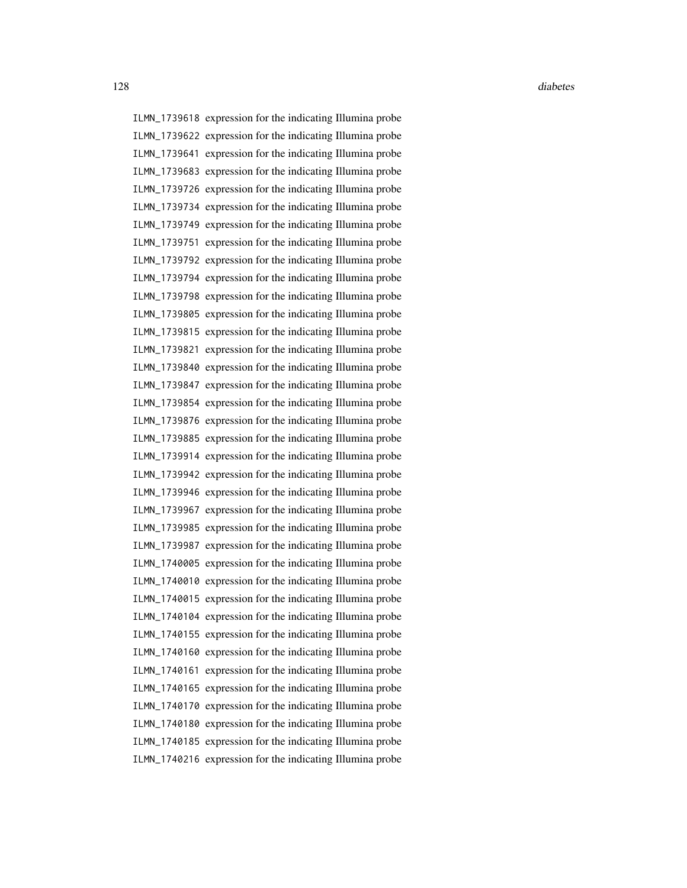ILMN\_1739618 expression for the indicating Illumina probe ILMN\_1739622 expression for the indicating Illumina probe ILMN\_1739641 expression for the indicating Illumina probe ILMN\_1739683 expression for the indicating Illumina probe ILMN\_1739726 expression for the indicating Illumina probe ILMN\_1739734 expression for the indicating Illumina probe ILMN\_1739749 expression for the indicating Illumina probe ILMN\_1739751 expression for the indicating Illumina probe ILMN\_1739792 expression for the indicating Illumina probe ILMN\_1739794 expression for the indicating Illumina probe ILMN\_1739798 expression for the indicating Illumina probe ILMN\_1739805 expression for the indicating Illumina probe ILMN\_1739815 expression for the indicating Illumina probe ILMN\_1739821 expression for the indicating Illumina probe ILMN\_1739840 expression for the indicating Illumina probe ILMN\_1739847 expression for the indicating Illumina probe ILMN\_1739854 expression for the indicating Illumina probe ILMN\_1739876 expression for the indicating Illumina probe ILMN\_1739885 expression for the indicating Illumina probe ILMN\_1739914 expression for the indicating Illumina probe ILMN\_1739942 expression for the indicating Illumina probe ILMN\_1739946 expression for the indicating Illumina probe ILMN\_1739967 expression for the indicating Illumina probe ILMN\_1739985 expression for the indicating Illumina probe ILMN\_1739987 expression for the indicating Illumina probe ILMN\_1740005 expression for the indicating Illumina probe ILMN\_1740010 expression for the indicating Illumina probe ILMN\_1740015 expression for the indicating Illumina probe ILMN\_1740104 expression for the indicating Illumina probe ILMN\_1740155 expression for the indicating Illumina probe ILMN\_1740160 expression for the indicating Illumina probe ILMN\_1740161 expression for the indicating Illumina probe ILMN\_1740165 expression for the indicating Illumina probe ILMN\_1740170 expression for the indicating Illumina probe ILMN\_1740180 expression for the indicating Illumina probe ILMN\_1740185 expression for the indicating Illumina probe ILMN\_1740216 expression for the indicating Illumina probe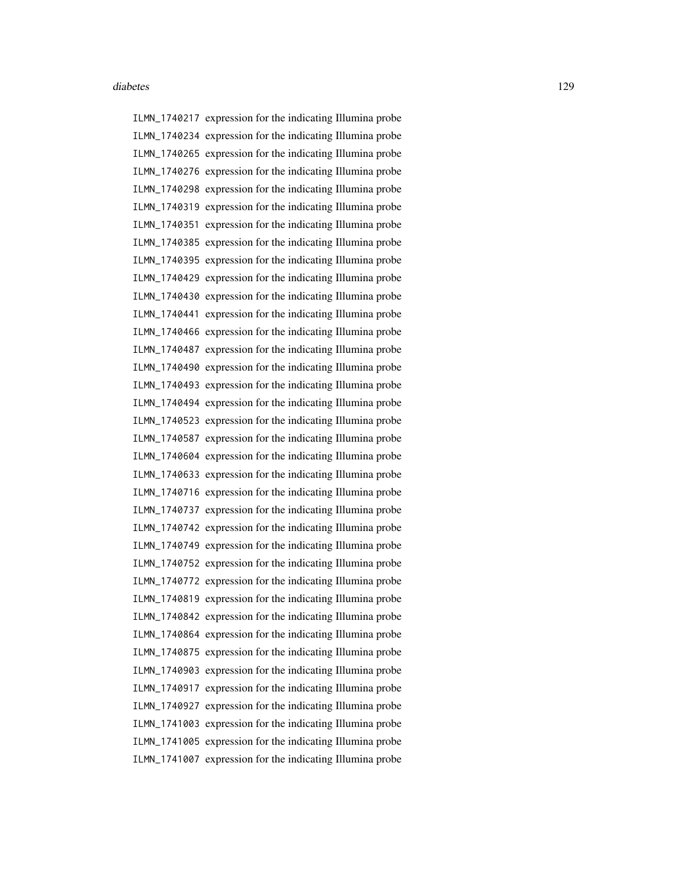ILMN\_1740217 expression for the indicating Illumina probe ILMN\_1740234 expression for the indicating Illumina probe ILMN\_1740265 expression for the indicating Illumina probe ILMN\_1740276 expression for the indicating Illumina probe ILMN\_1740298 expression for the indicating Illumina probe ILMN\_1740319 expression for the indicating Illumina probe ILMN\_1740351 expression for the indicating Illumina probe ILMN\_1740385 expression for the indicating Illumina probe ILMN\_1740395 expression for the indicating Illumina probe ILMN\_1740429 expression for the indicating Illumina probe ILMN\_1740430 expression for the indicating Illumina probe ILMN\_1740441 expression for the indicating Illumina probe ILMN\_1740466 expression for the indicating Illumina probe ILMN\_1740487 expression for the indicating Illumina probe ILMN\_1740490 expression for the indicating Illumina probe ILMN\_1740493 expression for the indicating Illumina probe ILMN\_1740494 expression for the indicating Illumina probe ILMN\_1740523 expression for the indicating Illumina probe ILMN\_1740587 expression for the indicating Illumina probe ILMN\_1740604 expression for the indicating Illumina probe ILMN\_1740633 expression for the indicating Illumina probe ILMN\_1740716 expression for the indicating Illumina probe ILMN\_1740737 expression for the indicating Illumina probe ILMN\_1740742 expression for the indicating Illumina probe ILMN\_1740749 expression for the indicating Illumina probe ILMN\_1740752 expression for the indicating Illumina probe ILMN\_1740772 expression for the indicating Illumina probe ILMN\_1740819 expression for the indicating Illumina probe ILMN\_1740842 expression for the indicating Illumina probe ILMN\_1740864 expression for the indicating Illumina probe ILMN\_1740875 expression for the indicating Illumina probe ILMN\_1740903 expression for the indicating Illumina probe ILMN\_1740917 expression for the indicating Illumina probe ILMN\_1740927 expression for the indicating Illumina probe ILMN\_1741003 expression for the indicating Illumina probe ILMN\_1741005 expression for the indicating Illumina probe ILMN\_1741007 expression for the indicating Illumina probe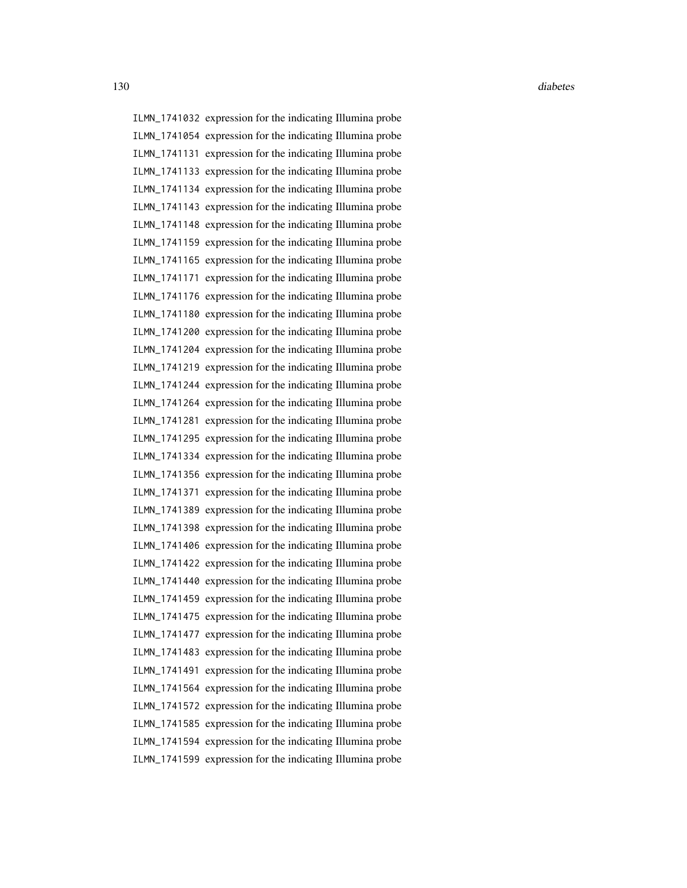ILMN\_1741032 expression for the indicating Illumina probe ILMN\_1741054 expression for the indicating Illumina probe ILMN\_1741131 expression for the indicating Illumina probe ILMN\_1741133 expression for the indicating Illumina probe ILMN\_1741134 expression for the indicating Illumina probe ILMN\_1741143 expression for the indicating Illumina probe ILMN\_1741148 expression for the indicating Illumina probe ILMN\_1741159 expression for the indicating Illumina probe ILMN\_1741165 expression for the indicating Illumina probe ILMN\_1741171 expression for the indicating Illumina probe ILMN\_1741176 expression for the indicating Illumina probe ILMN\_1741180 expression for the indicating Illumina probe ILMN\_1741200 expression for the indicating Illumina probe ILMN\_1741204 expression for the indicating Illumina probe ILMN\_1741219 expression for the indicating Illumina probe ILMN\_1741244 expression for the indicating Illumina probe ILMN\_1741264 expression for the indicating Illumina probe ILMN\_1741281 expression for the indicating Illumina probe ILMN\_1741295 expression for the indicating Illumina probe ILMN\_1741334 expression for the indicating Illumina probe ILMN\_1741356 expression for the indicating Illumina probe ILMN\_1741371 expression for the indicating Illumina probe ILMN\_1741389 expression for the indicating Illumina probe ILMN\_1741398 expression for the indicating Illumina probe ILMN\_1741406 expression for the indicating Illumina probe ILMN\_1741422 expression for the indicating Illumina probe ILMN\_1741440 expression for the indicating Illumina probe ILMN\_1741459 expression for the indicating Illumina probe ILMN\_1741475 expression for the indicating Illumina probe ILMN\_1741477 expression for the indicating Illumina probe ILMN\_1741483 expression for the indicating Illumina probe ILMN\_1741491 expression for the indicating Illumina probe ILMN\_1741564 expression for the indicating Illumina probe ILMN\_1741572 expression for the indicating Illumina probe ILMN\_1741585 expression for the indicating Illumina probe ILMN\_1741594 expression for the indicating Illumina probe ILMN\_1741599 expression for the indicating Illumina probe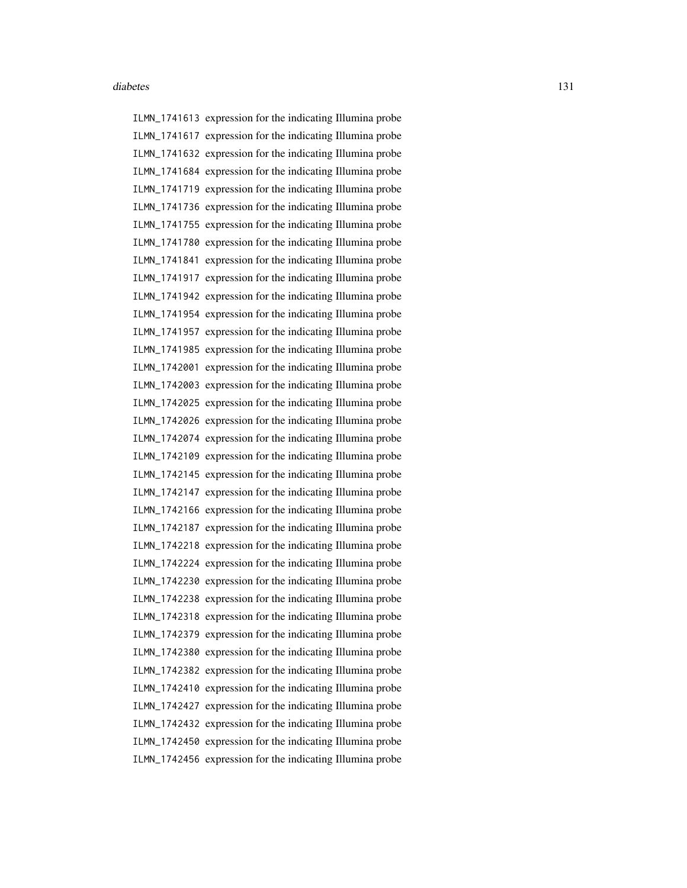ILMN\_1741613 expression for the indicating Illumina probe ILMN\_1741617 expression for the indicating Illumina probe ILMN\_1741632 expression for the indicating Illumina probe ILMN\_1741684 expression for the indicating Illumina probe ILMN\_1741719 expression for the indicating Illumina probe ILMN\_1741736 expression for the indicating Illumina probe ILMN\_1741755 expression for the indicating Illumina probe ILMN\_1741780 expression for the indicating Illumina probe ILMN\_1741841 expression for the indicating Illumina probe ILMN\_1741917 expression for the indicating Illumina probe ILMN\_1741942 expression for the indicating Illumina probe ILMN\_1741954 expression for the indicating Illumina probe ILMN\_1741957 expression for the indicating Illumina probe ILMN\_1741985 expression for the indicating Illumina probe ILMN\_1742001 expression for the indicating Illumina probe ILMN\_1742003 expression for the indicating Illumina probe ILMN\_1742025 expression for the indicating Illumina probe ILMN\_1742026 expression for the indicating Illumina probe ILMN\_1742074 expression for the indicating Illumina probe ILMN\_1742109 expression for the indicating Illumina probe ILMN\_1742145 expression for the indicating Illumina probe ILMN\_1742147 expression for the indicating Illumina probe ILMN\_1742166 expression for the indicating Illumina probe ILMN\_1742187 expression for the indicating Illumina probe ILMN\_1742218 expression for the indicating Illumina probe ILMN\_1742224 expression for the indicating Illumina probe ILMN\_1742230 expression for the indicating Illumina probe ILMN\_1742238 expression for the indicating Illumina probe ILMN\_1742318 expression for the indicating Illumina probe ILMN\_1742379 expression for the indicating Illumina probe ILMN\_1742380 expression for the indicating Illumina probe ILMN\_1742382 expression for the indicating Illumina probe ILMN\_1742410 expression for the indicating Illumina probe ILMN\_1742427 expression for the indicating Illumina probe ILMN\_1742432 expression for the indicating Illumina probe ILMN\_1742450 expression for the indicating Illumina probe ILMN\_1742456 expression for the indicating Illumina probe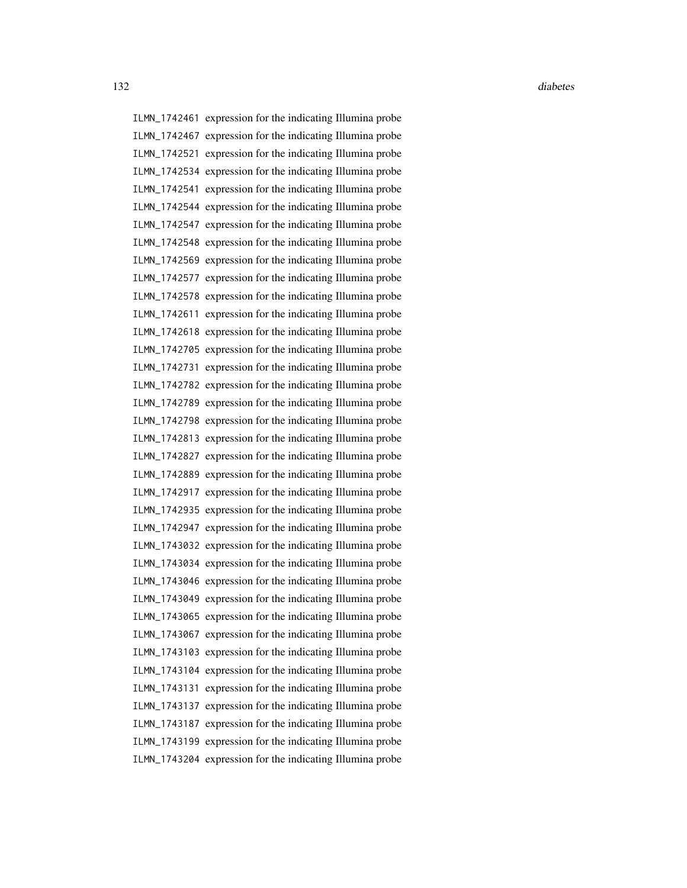ILMN\_1742461 expression for the indicating Illumina probe ILMN\_1742467 expression for the indicating Illumina probe ILMN\_1742521 expression for the indicating Illumina probe ILMN\_1742534 expression for the indicating Illumina probe ILMN\_1742541 expression for the indicating Illumina probe ILMN\_1742544 expression for the indicating Illumina probe ILMN\_1742547 expression for the indicating Illumina probe ILMN\_1742548 expression for the indicating Illumina probe ILMN\_1742569 expression for the indicating Illumina probe ILMN\_1742577 expression for the indicating Illumina probe ILMN\_1742578 expression for the indicating Illumina probe ILMN\_1742611 expression for the indicating Illumina probe ILMN\_1742618 expression for the indicating Illumina probe ILMN\_1742705 expression for the indicating Illumina probe ILMN\_1742731 expression for the indicating Illumina probe ILMN\_1742782 expression for the indicating Illumina probe ILMN\_1742789 expression for the indicating Illumina probe ILMN\_1742798 expression for the indicating Illumina probe ILMN\_1742813 expression for the indicating Illumina probe ILMN\_1742827 expression for the indicating Illumina probe ILMN\_1742889 expression for the indicating Illumina probe ILMN\_1742917 expression for the indicating Illumina probe ILMN\_1742935 expression for the indicating Illumina probe ILMN\_1742947 expression for the indicating Illumina probe ILMN\_1743032 expression for the indicating Illumina probe ILMN\_1743034 expression for the indicating Illumina probe ILMN\_1743046 expression for the indicating Illumina probe ILMN\_1743049 expression for the indicating Illumina probe ILMN\_1743065 expression for the indicating Illumina probe ILMN\_1743067 expression for the indicating Illumina probe ILMN\_1743103 expression for the indicating Illumina probe ILMN\_1743104 expression for the indicating Illumina probe ILMN\_1743131 expression for the indicating Illumina probe ILMN\_1743137 expression for the indicating Illumina probe ILMN\_1743187 expression for the indicating Illumina probe ILMN\_1743199 expression for the indicating Illumina probe ILMN\_1743204 expression for the indicating Illumina probe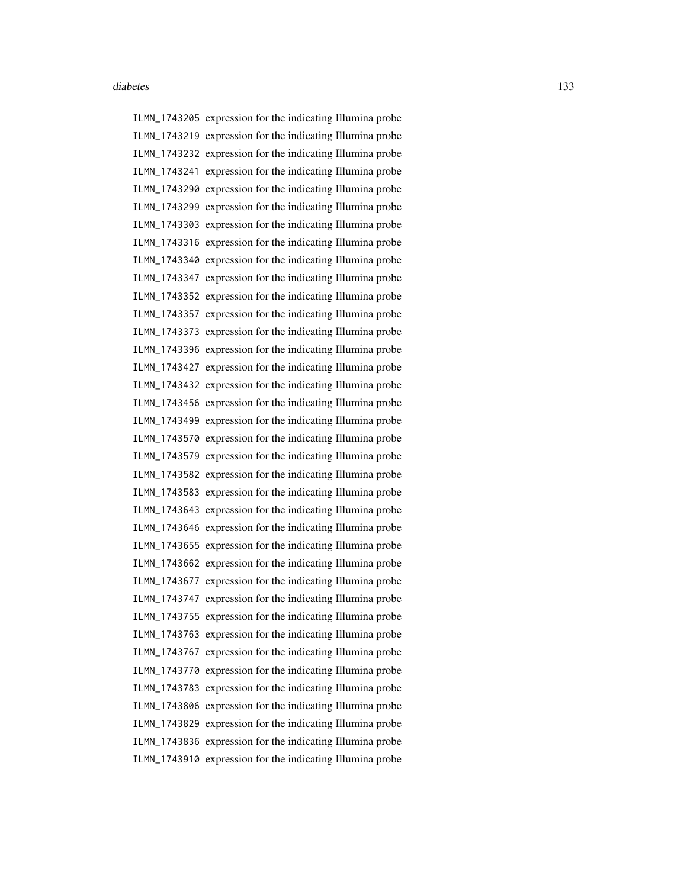ILMN\_1743205 expression for the indicating Illumina probe ILMN\_1743219 expression for the indicating Illumina probe ILMN\_1743232 expression for the indicating Illumina probe ILMN\_1743241 expression for the indicating Illumina probe ILMN\_1743290 expression for the indicating Illumina probe ILMN\_1743299 expression for the indicating Illumina probe ILMN\_1743303 expression for the indicating Illumina probe ILMN\_1743316 expression for the indicating Illumina probe ILMN\_1743340 expression for the indicating Illumina probe ILMN\_1743347 expression for the indicating Illumina probe ILMN\_1743352 expression for the indicating Illumina probe ILMN\_1743357 expression for the indicating Illumina probe ILMN\_1743373 expression for the indicating Illumina probe ILMN\_1743396 expression for the indicating Illumina probe ILMN\_1743427 expression for the indicating Illumina probe ILMN\_1743432 expression for the indicating Illumina probe ILMN\_1743456 expression for the indicating Illumina probe ILMN\_1743499 expression for the indicating Illumina probe ILMN\_1743570 expression for the indicating Illumina probe ILMN\_1743579 expression for the indicating Illumina probe ILMN\_1743582 expression for the indicating Illumina probe ILMN\_1743583 expression for the indicating Illumina probe ILMN\_1743643 expression for the indicating Illumina probe ILMN\_1743646 expression for the indicating Illumina probe ILMN\_1743655 expression for the indicating Illumina probe ILMN\_1743662 expression for the indicating Illumina probe ILMN\_1743677 expression for the indicating Illumina probe ILMN\_1743747 expression for the indicating Illumina probe ILMN\_1743755 expression for the indicating Illumina probe ILMN\_1743763 expression for the indicating Illumina probe ILMN\_1743767 expression for the indicating Illumina probe ILMN\_1743770 expression for the indicating Illumina probe ILMN\_1743783 expression for the indicating Illumina probe ILMN\_1743806 expression for the indicating Illumina probe ILMN\_1743829 expression for the indicating Illumina probe ILMN\_1743836 expression for the indicating Illumina probe ILMN\_1743910 expression for the indicating Illumina probe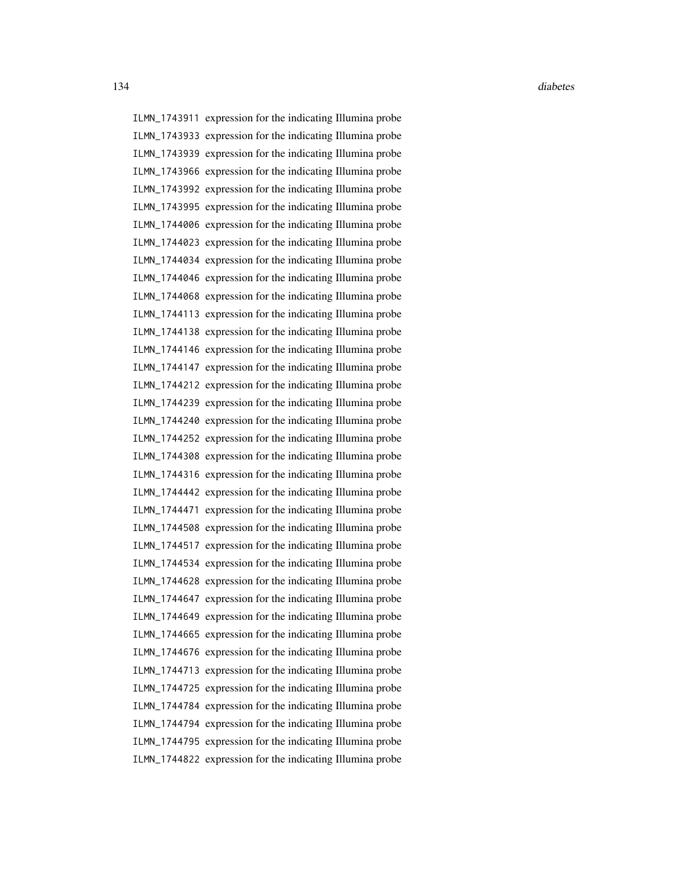ILMN\_1743911 expression for the indicating Illumina probe ILMN\_1743933 expression for the indicating Illumina probe ILMN\_1743939 expression for the indicating Illumina probe ILMN\_1743966 expression for the indicating Illumina probe ILMN\_1743992 expression for the indicating Illumina probe ILMN\_1743995 expression for the indicating Illumina probe ILMN\_1744006 expression for the indicating Illumina probe ILMN\_1744023 expression for the indicating Illumina probe ILMN\_1744034 expression for the indicating Illumina probe ILMN\_1744046 expression for the indicating Illumina probe ILMN\_1744068 expression for the indicating Illumina probe ILMN\_1744113 expression for the indicating Illumina probe ILMN\_1744138 expression for the indicating Illumina probe ILMN\_1744146 expression for the indicating Illumina probe ILMN\_1744147 expression for the indicating Illumina probe ILMN\_1744212 expression for the indicating Illumina probe ILMN\_1744239 expression for the indicating Illumina probe ILMN\_1744240 expression for the indicating Illumina probe ILMN\_1744252 expression for the indicating Illumina probe ILMN\_1744308 expression for the indicating Illumina probe ILMN\_1744316 expression for the indicating Illumina probe ILMN\_1744442 expression for the indicating Illumina probe ILMN\_1744471 expression for the indicating Illumina probe ILMN\_1744508 expression for the indicating Illumina probe ILMN\_1744517 expression for the indicating Illumina probe ILMN\_1744534 expression for the indicating Illumina probe ILMN\_1744628 expression for the indicating Illumina probe ILMN\_1744647 expression for the indicating Illumina probe ILMN\_1744649 expression for the indicating Illumina probe ILMN\_1744665 expression for the indicating Illumina probe ILMN\_1744676 expression for the indicating Illumina probe ILMN\_1744713 expression for the indicating Illumina probe ILMN\_1744725 expression for the indicating Illumina probe ILMN\_1744784 expression for the indicating Illumina probe ILMN\_1744794 expression for the indicating Illumina probe ILMN\_1744795 expression for the indicating Illumina probe ILMN\_1744822 expression for the indicating Illumina probe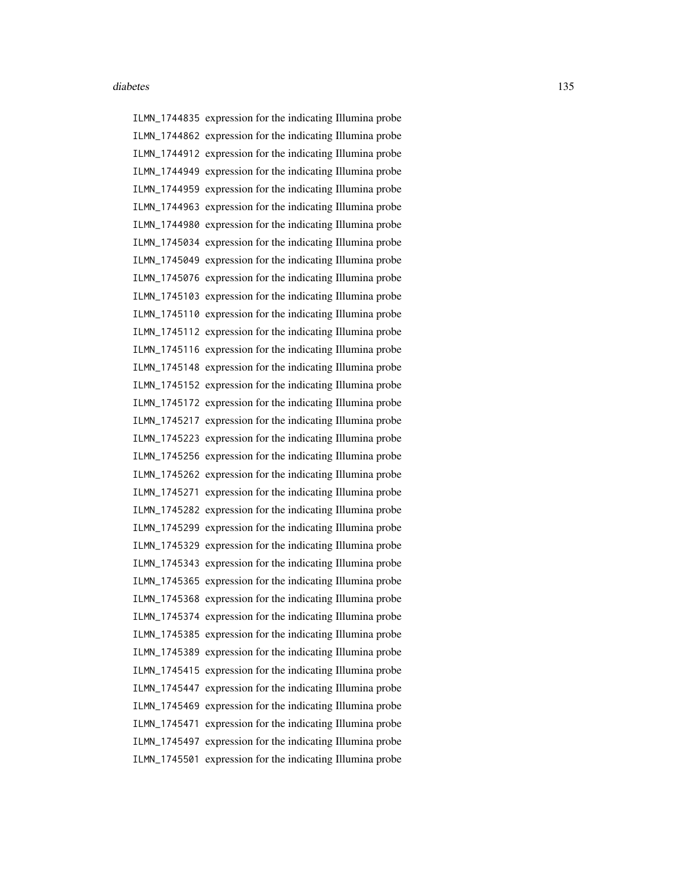ILMN\_1744835 expression for the indicating Illumina probe ILMN\_1744862 expression for the indicating Illumina probe ILMN\_1744912 expression for the indicating Illumina probe ILMN\_1744949 expression for the indicating Illumina probe ILMN\_1744959 expression for the indicating Illumina probe ILMN\_1744963 expression for the indicating Illumina probe ILMN\_1744980 expression for the indicating Illumina probe ILMN\_1745034 expression for the indicating Illumina probe ILMN\_1745049 expression for the indicating Illumina probe ILMN\_1745076 expression for the indicating Illumina probe ILMN\_1745103 expression for the indicating Illumina probe ILMN\_1745110 expression for the indicating Illumina probe ILMN\_1745112 expression for the indicating Illumina probe ILMN\_1745116 expression for the indicating Illumina probe ILMN\_1745148 expression for the indicating Illumina probe ILMN\_1745152 expression for the indicating Illumina probe ILMN\_1745172 expression for the indicating Illumina probe ILMN\_1745217 expression for the indicating Illumina probe ILMN\_1745223 expression for the indicating Illumina probe ILMN\_1745256 expression for the indicating Illumina probe ILMN\_1745262 expression for the indicating Illumina probe ILMN\_1745271 expression for the indicating Illumina probe ILMN\_1745282 expression for the indicating Illumina probe ILMN\_1745299 expression for the indicating Illumina probe ILMN\_1745329 expression for the indicating Illumina probe ILMN\_1745343 expression for the indicating Illumina probe ILMN\_1745365 expression for the indicating Illumina probe ILMN\_1745368 expression for the indicating Illumina probe ILMN\_1745374 expression for the indicating Illumina probe ILMN\_1745385 expression for the indicating Illumina probe ILMN\_1745389 expression for the indicating Illumina probe ILMN\_1745415 expression for the indicating Illumina probe ILMN\_1745447 expression for the indicating Illumina probe ILMN\_1745469 expression for the indicating Illumina probe ILMN\_1745471 expression for the indicating Illumina probe ILMN\_1745497 expression for the indicating Illumina probe ILMN\_1745501 expression for the indicating Illumina probe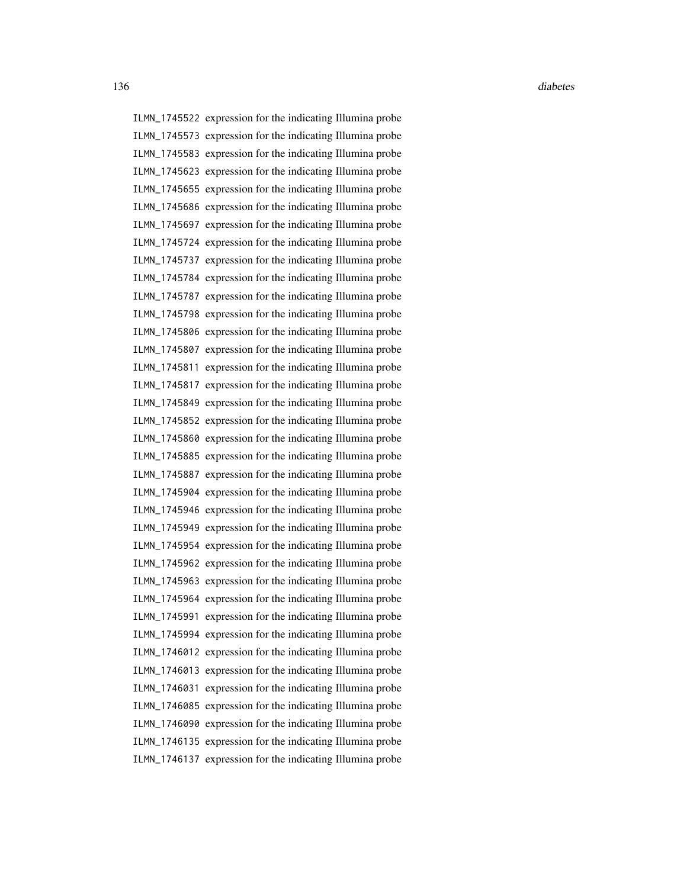ILMN\_1745522 expression for the indicating Illumina probe ILMN\_1745573 expression for the indicating Illumina probe ILMN\_1745583 expression for the indicating Illumina probe ILMN\_1745623 expression for the indicating Illumina probe ILMN\_1745655 expression for the indicating Illumina probe ILMN\_1745686 expression for the indicating Illumina probe ILMN\_1745697 expression for the indicating Illumina probe ILMN\_1745724 expression for the indicating Illumina probe ILMN\_1745737 expression for the indicating Illumina probe ILMN\_1745784 expression for the indicating Illumina probe ILMN\_1745787 expression for the indicating Illumina probe ILMN\_1745798 expression for the indicating Illumina probe ILMN\_1745806 expression for the indicating Illumina probe ILMN\_1745807 expression for the indicating Illumina probe ILMN\_1745811 expression for the indicating Illumina probe ILMN\_1745817 expression for the indicating Illumina probe ILMN\_1745849 expression for the indicating Illumina probe ILMN\_1745852 expression for the indicating Illumina probe ILMN\_1745860 expression for the indicating Illumina probe ILMN\_1745885 expression for the indicating Illumina probe ILMN\_1745887 expression for the indicating Illumina probe ILMN\_1745904 expression for the indicating Illumina probe ILMN\_1745946 expression for the indicating Illumina probe ILMN\_1745949 expression for the indicating Illumina probe ILMN\_1745954 expression for the indicating Illumina probe ILMN\_1745962 expression for the indicating Illumina probe ILMN\_1745963 expression for the indicating Illumina probe ILMN\_1745964 expression for the indicating Illumina probe ILMN\_1745991 expression for the indicating Illumina probe ILMN\_1745994 expression for the indicating Illumina probe ILMN\_1746012 expression for the indicating Illumina probe ILMN\_1746013 expression for the indicating Illumina probe ILMN\_1746031 expression for the indicating Illumina probe ILMN\_1746085 expression for the indicating Illumina probe ILMN\_1746090 expression for the indicating Illumina probe ILMN\_1746135 expression for the indicating Illumina probe ILMN\_1746137 expression for the indicating Illumina probe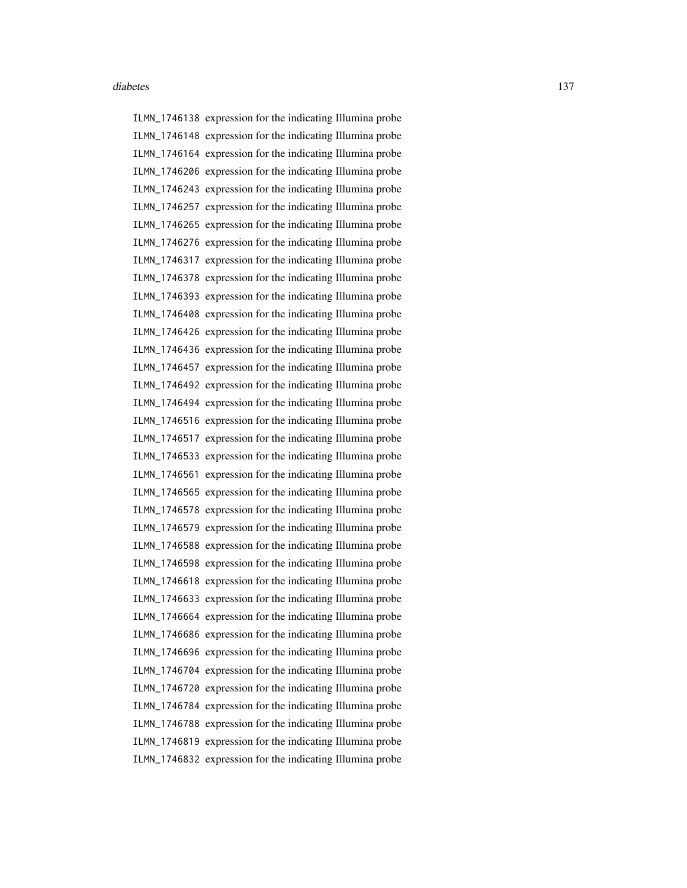ILMN\_1746138 expression for the indicating Illumina probe ILMN\_1746148 expression for the indicating Illumina probe ILMN\_1746164 expression for the indicating Illumina probe ILMN\_1746206 expression for the indicating Illumina probe ILMN\_1746243 expression for the indicating Illumina probe ILMN\_1746257 expression for the indicating Illumina probe ILMN\_1746265 expression for the indicating Illumina probe ILMN\_1746276 expression for the indicating Illumina probe ILMN\_1746317 expression for the indicating Illumina probe ILMN\_1746378 expression for the indicating Illumina probe ILMN\_1746393 expression for the indicating Illumina probe ILMN\_1746408 expression for the indicating Illumina probe ILMN\_1746426 expression for the indicating Illumina probe ILMN\_1746436 expression for the indicating Illumina probe ILMN\_1746457 expression for the indicating Illumina probe ILMN\_1746492 expression for the indicating Illumina probe ILMN\_1746494 expression for the indicating Illumina probe ILMN\_1746516 expression for the indicating Illumina probe ILMN\_1746517 expression for the indicating Illumina probe ILMN\_1746533 expression for the indicating Illumina probe ILMN\_1746561 expression for the indicating Illumina probe ILMN\_1746565 expression for the indicating Illumina probe ILMN\_1746578 expression for the indicating Illumina probe ILMN\_1746579 expression for the indicating Illumina probe ILMN\_1746588 expression for the indicating Illumina probe ILMN\_1746598 expression for the indicating Illumina probe ILMN\_1746618 expression for the indicating Illumina probe ILMN\_1746633 expression for the indicating Illumina probe ILMN\_1746664 expression for the indicating Illumina probe ILMN\_1746686 expression for the indicating Illumina probe ILMN\_1746696 expression for the indicating Illumina probe ILMN\_1746704 expression for the indicating Illumina probe ILMN\_1746720 expression for the indicating Illumina probe ILMN\_1746784 expression for the indicating Illumina probe ILMN\_1746788 expression for the indicating Illumina probe ILMN\_1746819 expression for the indicating Illumina probe ILMN\_1746832 expression for the indicating Illumina probe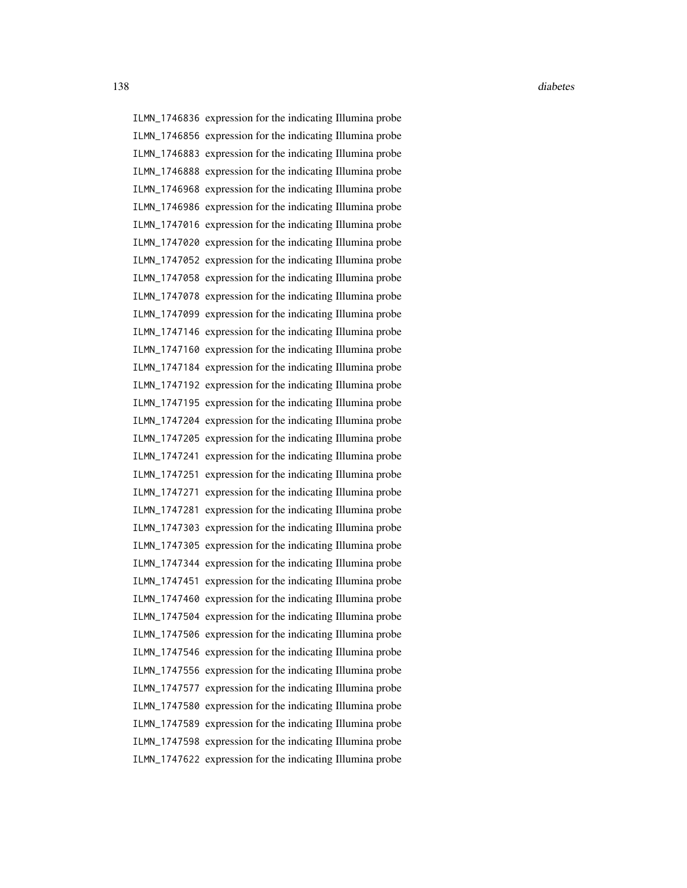ILMN\_1746836 expression for the indicating Illumina probe ILMN\_1746856 expression for the indicating Illumina probe ILMN\_1746883 expression for the indicating Illumina probe ILMN\_1746888 expression for the indicating Illumina probe ILMN\_1746968 expression for the indicating Illumina probe ILMN\_1746986 expression for the indicating Illumina probe ILMN\_1747016 expression for the indicating Illumina probe ILMN\_1747020 expression for the indicating Illumina probe ILMN\_1747052 expression for the indicating Illumina probe ILMN\_1747058 expression for the indicating Illumina probe ILMN\_1747078 expression for the indicating Illumina probe ILMN\_1747099 expression for the indicating Illumina probe ILMN\_1747146 expression for the indicating Illumina probe ILMN\_1747160 expression for the indicating Illumina probe ILMN\_1747184 expression for the indicating Illumina probe ILMN\_1747192 expression for the indicating Illumina probe ILMN\_1747195 expression for the indicating Illumina probe ILMN\_1747204 expression for the indicating Illumina probe ILMN\_1747205 expression for the indicating Illumina probe ILMN\_1747241 expression for the indicating Illumina probe ILMN\_1747251 expression for the indicating Illumina probe ILMN\_1747271 expression for the indicating Illumina probe ILMN\_1747281 expression for the indicating Illumina probe ILMN\_1747303 expression for the indicating Illumina probe ILMN\_1747305 expression for the indicating Illumina probe ILMN\_1747344 expression for the indicating Illumina probe ILMN\_1747451 expression for the indicating Illumina probe ILMN\_1747460 expression for the indicating Illumina probe ILMN\_1747504 expression for the indicating Illumina probe ILMN\_1747506 expression for the indicating Illumina probe ILMN\_1747546 expression for the indicating Illumina probe ILMN\_1747556 expression for the indicating Illumina probe ILMN\_1747577 expression for the indicating Illumina probe ILMN\_1747580 expression for the indicating Illumina probe ILMN\_1747589 expression for the indicating Illumina probe ILMN\_1747598 expression for the indicating Illumina probe ILMN\_1747622 expression for the indicating Illumina probe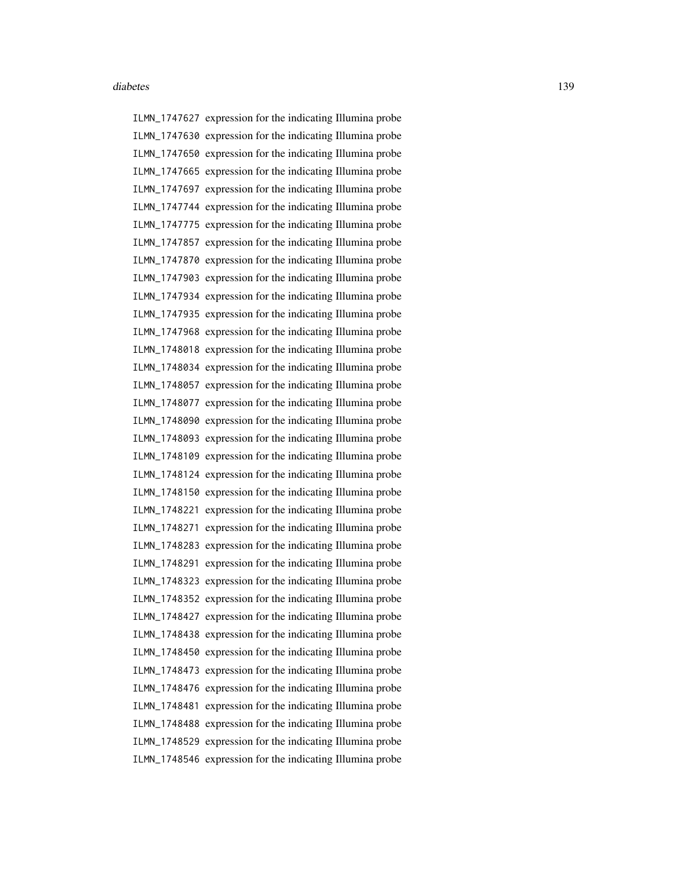ILMN\_1747627 expression for the indicating Illumina probe ILMN\_1747630 expression for the indicating Illumina probe ILMN\_1747650 expression for the indicating Illumina probe ILMN\_1747665 expression for the indicating Illumina probe ILMN\_1747697 expression for the indicating Illumina probe ILMN\_1747744 expression for the indicating Illumina probe ILMN\_1747775 expression for the indicating Illumina probe ILMN\_1747857 expression for the indicating Illumina probe ILMN\_1747870 expression for the indicating Illumina probe ILMN\_1747903 expression for the indicating Illumina probe ILMN\_1747934 expression for the indicating Illumina probe ILMN\_1747935 expression for the indicating Illumina probe ILMN\_1747968 expression for the indicating Illumina probe ILMN\_1748018 expression for the indicating Illumina probe ILMN\_1748034 expression for the indicating Illumina probe ILMN\_1748057 expression for the indicating Illumina probe ILMN\_1748077 expression for the indicating Illumina probe ILMN\_1748090 expression for the indicating Illumina probe ILMN\_1748093 expression for the indicating Illumina probe ILMN\_1748109 expression for the indicating Illumina probe ILMN\_1748124 expression for the indicating Illumina probe ILMN\_1748150 expression for the indicating Illumina probe ILMN\_1748221 expression for the indicating Illumina probe ILMN\_1748271 expression for the indicating Illumina probe ILMN\_1748283 expression for the indicating Illumina probe ILMN\_1748291 expression for the indicating Illumina probe ILMN\_1748323 expression for the indicating Illumina probe ILMN\_1748352 expression for the indicating Illumina probe ILMN\_1748427 expression for the indicating Illumina probe ILMN\_1748438 expression for the indicating Illumina probe ILMN\_1748450 expression for the indicating Illumina probe ILMN\_1748473 expression for the indicating Illumina probe ILMN\_1748476 expression for the indicating Illumina probe ILMN\_1748481 expression for the indicating Illumina probe ILMN\_1748488 expression for the indicating Illumina probe ILMN\_1748529 expression for the indicating Illumina probe ILMN\_1748546 expression for the indicating Illumina probe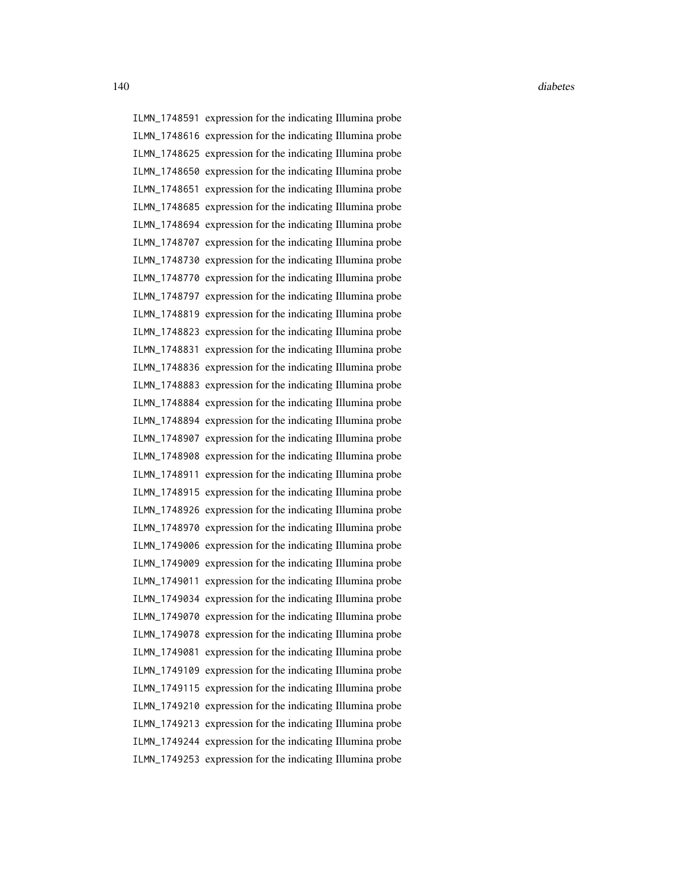ILMN\_1748591 expression for the indicating Illumina probe ILMN\_1748616 expression for the indicating Illumina probe ILMN\_1748625 expression for the indicating Illumina probe ILMN\_1748650 expression for the indicating Illumina probe ILMN\_1748651 expression for the indicating Illumina probe ILMN\_1748685 expression for the indicating Illumina probe ILMN\_1748694 expression for the indicating Illumina probe ILMN\_1748707 expression for the indicating Illumina probe ILMN\_1748730 expression for the indicating Illumina probe ILMN\_1748770 expression for the indicating Illumina probe ILMN\_1748797 expression for the indicating Illumina probe ILMN\_1748819 expression for the indicating Illumina probe ILMN\_1748823 expression for the indicating Illumina probe ILMN\_1748831 expression for the indicating Illumina probe ILMN\_1748836 expression for the indicating Illumina probe ILMN\_1748883 expression for the indicating Illumina probe ILMN\_1748884 expression for the indicating Illumina probe ILMN\_1748894 expression for the indicating Illumina probe ILMN\_1748907 expression for the indicating Illumina probe ILMN\_1748908 expression for the indicating Illumina probe ILMN\_1748911 expression for the indicating Illumina probe ILMN\_1748915 expression for the indicating Illumina probe ILMN\_1748926 expression for the indicating Illumina probe ILMN\_1748970 expression for the indicating Illumina probe ILMN\_1749006 expression for the indicating Illumina probe ILMN\_1749009 expression for the indicating Illumina probe ILMN\_1749011 expression for the indicating Illumina probe ILMN\_1749034 expression for the indicating Illumina probe ILMN\_1749070 expression for the indicating Illumina probe ILMN\_1749078 expression for the indicating Illumina probe ILMN\_1749081 expression for the indicating Illumina probe ILMN\_1749109 expression for the indicating Illumina probe ILMN\_1749115 expression for the indicating Illumina probe ILMN\_1749210 expression for the indicating Illumina probe ILMN\_1749213 expression for the indicating Illumina probe ILMN\_1749244 expression for the indicating Illumina probe ILMN\_1749253 expression for the indicating Illumina probe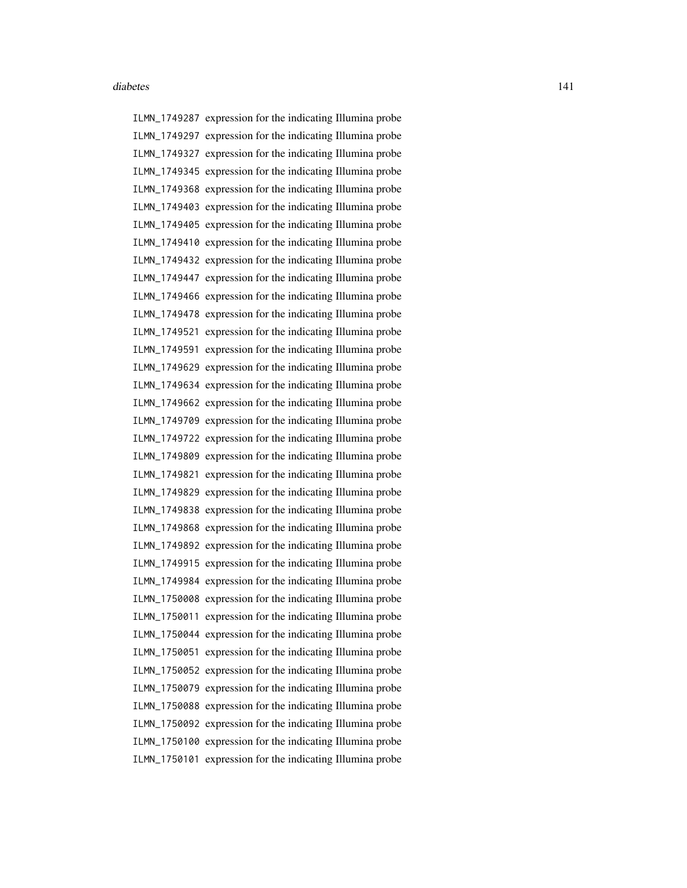ILMN\_1749287 expression for the indicating Illumina probe ILMN\_1749297 expression for the indicating Illumina probe ILMN\_1749327 expression for the indicating Illumina probe ILMN\_1749345 expression for the indicating Illumina probe ILMN\_1749368 expression for the indicating Illumina probe ILMN\_1749403 expression for the indicating Illumina probe ILMN\_1749405 expression for the indicating Illumina probe ILMN\_1749410 expression for the indicating Illumina probe ILMN\_1749432 expression for the indicating Illumina probe ILMN\_1749447 expression for the indicating Illumina probe ILMN\_1749466 expression for the indicating Illumina probe ILMN\_1749478 expression for the indicating Illumina probe ILMN\_1749521 expression for the indicating Illumina probe ILMN\_1749591 expression for the indicating Illumina probe ILMN\_1749629 expression for the indicating Illumina probe ILMN\_1749634 expression for the indicating Illumina probe ILMN\_1749662 expression for the indicating Illumina probe ILMN\_1749709 expression for the indicating Illumina probe ILMN\_1749722 expression for the indicating Illumina probe ILMN\_1749809 expression for the indicating Illumina probe ILMN\_1749821 expression for the indicating Illumina probe ILMN\_1749829 expression for the indicating Illumina probe ILMN\_1749838 expression for the indicating Illumina probe ILMN\_1749868 expression for the indicating Illumina probe ILMN\_1749892 expression for the indicating Illumina probe ILMN\_1749915 expression for the indicating Illumina probe ILMN\_1749984 expression for the indicating Illumina probe ILMN\_1750008 expression for the indicating Illumina probe ILMN\_1750011 expression for the indicating Illumina probe ILMN\_1750044 expression for the indicating Illumina probe ILMN\_1750051 expression for the indicating Illumina probe ILMN\_1750052 expression for the indicating Illumina probe ILMN\_1750079 expression for the indicating Illumina probe ILMN\_1750088 expression for the indicating Illumina probe ILMN\_1750092 expression for the indicating Illumina probe ILMN\_1750100 expression for the indicating Illumina probe ILMN\_1750101 expression for the indicating Illumina probe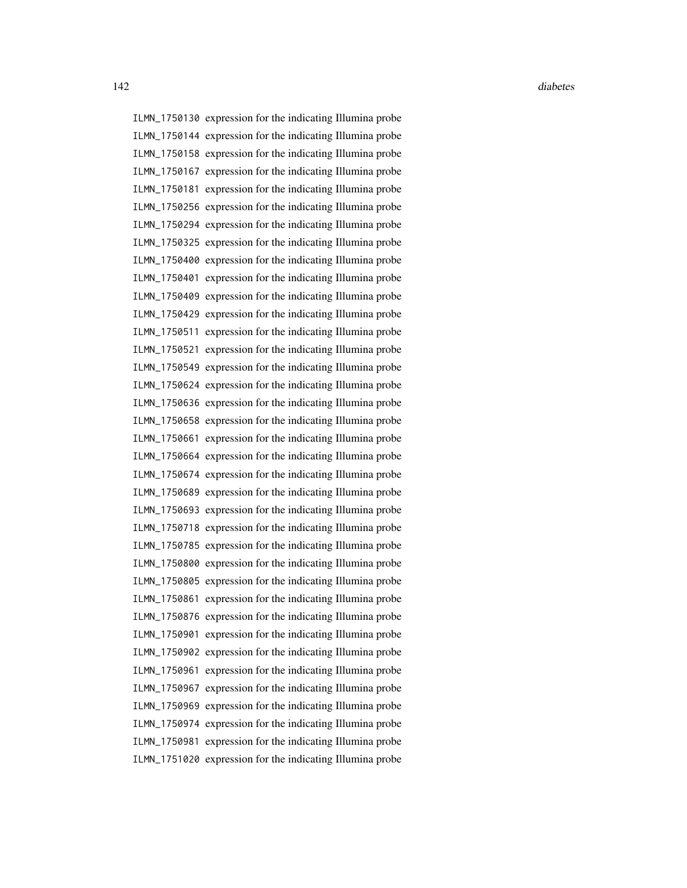ILMN\_1750130 expression for the indicating Illumina probe ILMN\_1750144 expression for the indicating Illumina probe ILMN\_1750158 expression for the indicating Illumina probe ILMN\_1750167 expression for the indicating Illumina probe ILMN\_1750181 expression for the indicating Illumina probe ILMN\_1750256 expression for the indicating Illumina probe ILMN\_1750294 expression for the indicating Illumina probe ILMN\_1750325 expression for the indicating Illumina probe ILMN\_1750400 expression for the indicating Illumina probe ILMN\_1750401 expression for the indicating Illumina probe ILMN\_1750409 expression for the indicating Illumina probe ILMN\_1750429 expression for the indicating Illumina probe ILMN\_1750511 expression for the indicating Illumina probe ILMN\_1750521 expression for the indicating Illumina probe ILMN\_1750549 expression for the indicating Illumina probe ILMN\_1750624 expression for the indicating Illumina probe ILMN\_1750636 expression for the indicating Illumina probe ILMN\_1750658 expression for the indicating Illumina probe ILMN\_1750661 expression for the indicating Illumina probe ILMN\_1750664 expression for the indicating Illumina probe ILMN\_1750674 expression for the indicating Illumina probe ILMN\_1750689 expression for the indicating Illumina probe ILMN\_1750693 expression for the indicating Illumina probe ILMN\_1750718 expression for the indicating Illumina probe ILMN\_1750785 expression for the indicating Illumina probe ILMN\_1750800 expression for the indicating Illumina probe ILMN\_1750805 expression for the indicating Illumina probe ILMN\_1750861 expression for the indicating Illumina probe ILMN\_1750876 expression for the indicating Illumina probe ILMN\_1750901 expression for the indicating Illumina probe ILMN\_1750902 expression for the indicating Illumina probe ILMN\_1750961 expression for the indicating Illumina probe ILMN\_1750967 expression for the indicating Illumina probe ILMN\_1750969 expression for the indicating Illumina probe ILMN\_1750974 expression for the indicating Illumina probe ILMN\_1750981 expression for the indicating Illumina probe ILMN\_1751020 expression for the indicating Illumina probe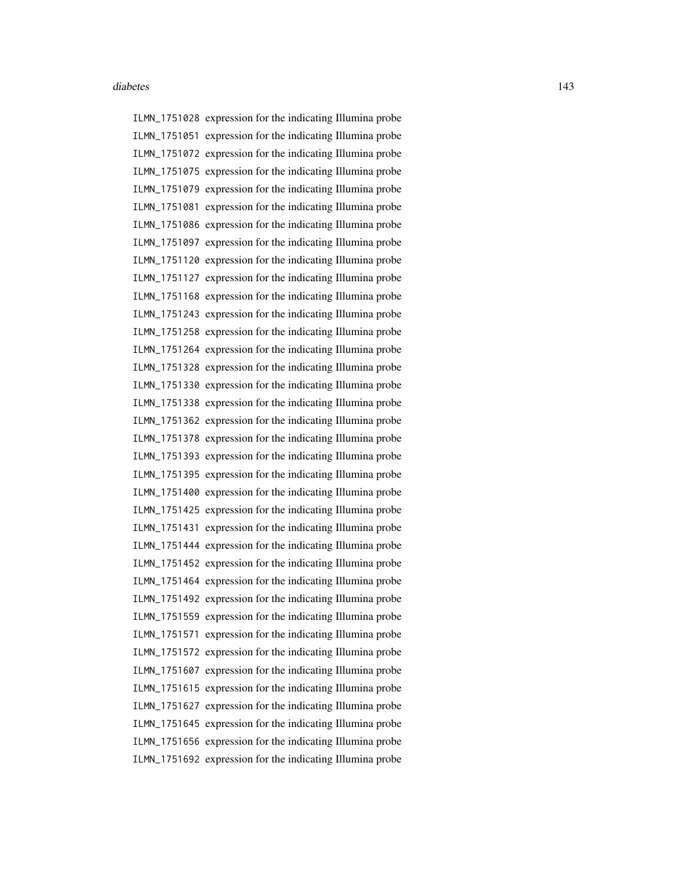ILMN\_1751028 expression for the indicating Illumina probe ILMN\_1751051 expression for the indicating Illumina probe ILMN\_1751072 expression for the indicating Illumina probe ILMN\_1751075 expression for the indicating Illumina probe ILMN\_1751079 expression for the indicating Illumina probe ILMN\_1751081 expression for the indicating Illumina probe ILMN\_1751086 expression for the indicating Illumina probe ILMN\_1751097 expression for the indicating Illumina probe ILMN\_1751120 expression for the indicating Illumina probe ILMN\_1751127 expression for the indicating Illumina probe ILMN\_1751168 expression for the indicating Illumina probe ILMN\_1751243 expression for the indicating Illumina probe ILMN\_1751258 expression for the indicating Illumina probe ILMN\_1751264 expression for the indicating Illumina probe ILMN\_1751328 expression for the indicating Illumina probe ILMN\_1751330 expression for the indicating Illumina probe ILMN\_1751338 expression for the indicating Illumina probe ILMN\_1751362 expression for the indicating Illumina probe ILMN\_1751378 expression for the indicating Illumina probe ILMN\_1751393 expression for the indicating Illumina probe ILMN\_1751395 expression for the indicating Illumina probe ILMN\_1751400 expression for the indicating Illumina probe ILMN\_1751425 expression for the indicating Illumina probe ILMN\_1751431 expression for the indicating Illumina probe ILMN\_1751444 expression for the indicating Illumina probe ILMN\_1751452 expression for the indicating Illumina probe ILMN\_1751464 expression for the indicating Illumina probe ILMN\_1751492 expression for the indicating Illumina probe ILMN\_1751559 expression for the indicating Illumina probe ILMN\_1751571 expression for the indicating Illumina probe ILMN\_1751572 expression for the indicating Illumina probe ILMN\_1751607 expression for the indicating Illumina probe ILMN\_1751615 expression for the indicating Illumina probe ILMN\_1751627 expression for the indicating Illumina probe ILMN\_1751645 expression for the indicating Illumina probe ILMN\_1751656 expression for the indicating Illumina probe ILMN\_1751692 expression for the indicating Illumina probe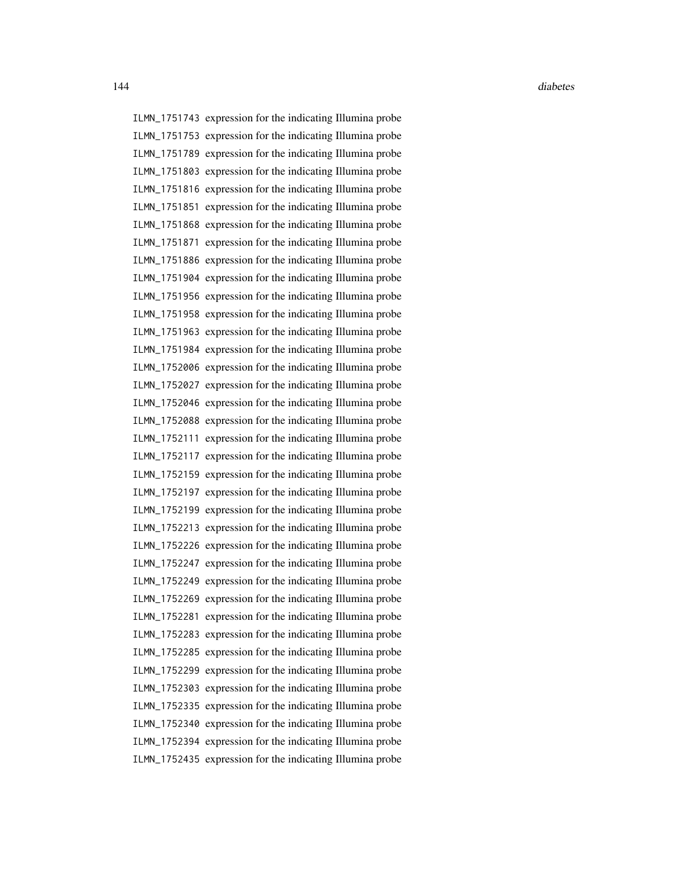ILMN\_1751743 expression for the indicating Illumina probe ILMN\_1751753 expression for the indicating Illumina probe ILMN\_1751789 expression for the indicating Illumina probe ILMN\_1751803 expression for the indicating Illumina probe ILMN\_1751816 expression for the indicating Illumina probe ILMN\_1751851 expression for the indicating Illumina probe ILMN\_1751868 expression for the indicating Illumina probe ILMN\_1751871 expression for the indicating Illumina probe ILMN\_1751886 expression for the indicating Illumina probe ILMN\_1751904 expression for the indicating Illumina probe ILMN\_1751956 expression for the indicating Illumina probe ILMN\_1751958 expression for the indicating Illumina probe ILMN\_1751963 expression for the indicating Illumina probe ILMN\_1751984 expression for the indicating Illumina probe ILMN\_1752006 expression for the indicating Illumina probe ILMN\_1752027 expression for the indicating Illumina probe ILMN\_1752046 expression for the indicating Illumina probe ILMN\_1752088 expression for the indicating Illumina probe ILMN\_1752111 expression for the indicating Illumina probe ILMN\_1752117 expression for the indicating Illumina probe ILMN\_1752159 expression for the indicating Illumina probe ILMN\_1752197 expression for the indicating Illumina probe ILMN\_1752199 expression for the indicating Illumina probe ILMN\_1752213 expression for the indicating Illumina probe ILMN\_1752226 expression for the indicating Illumina probe ILMN\_1752247 expression for the indicating Illumina probe ILMN\_1752249 expression for the indicating Illumina probe ILMN\_1752269 expression for the indicating Illumina probe ILMN\_1752281 expression for the indicating Illumina probe ILMN\_1752283 expression for the indicating Illumina probe ILMN\_1752285 expression for the indicating Illumina probe ILMN\_1752299 expression for the indicating Illumina probe ILMN\_1752303 expression for the indicating Illumina probe ILMN\_1752335 expression for the indicating Illumina probe ILMN\_1752340 expression for the indicating Illumina probe ILMN\_1752394 expression for the indicating Illumina probe ILMN\_1752435 expression for the indicating Illumina probe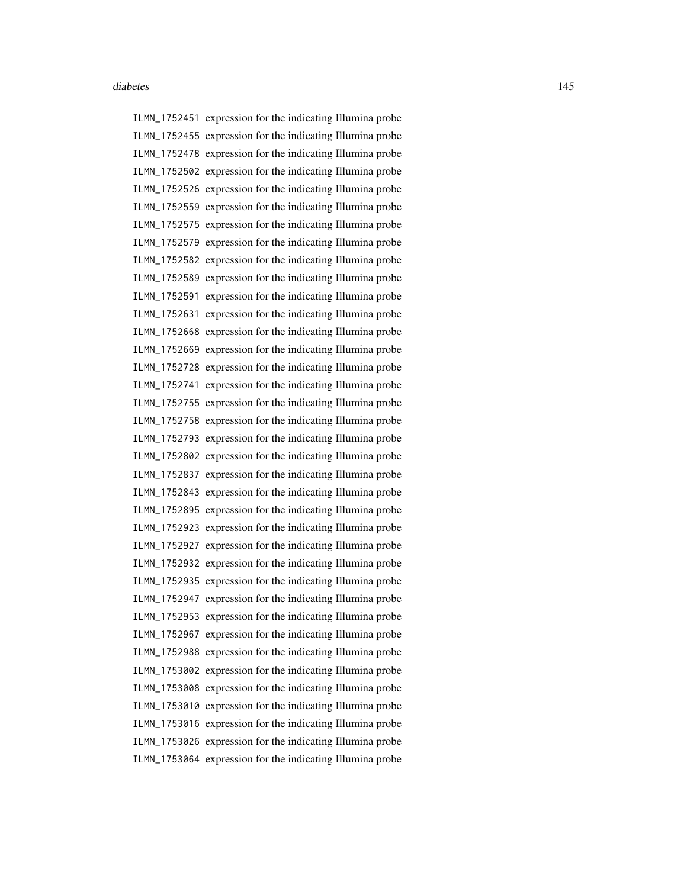ILMN\_1752451 expression for the indicating Illumina probe ILMN\_1752455 expression for the indicating Illumina probe ILMN\_1752478 expression for the indicating Illumina probe ILMN\_1752502 expression for the indicating Illumina probe ILMN\_1752526 expression for the indicating Illumina probe ILMN\_1752559 expression for the indicating Illumina probe ILMN\_1752575 expression for the indicating Illumina probe ILMN\_1752579 expression for the indicating Illumina probe ILMN\_1752582 expression for the indicating Illumina probe ILMN\_1752589 expression for the indicating Illumina probe ILMN\_1752591 expression for the indicating Illumina probe ILMN\_1752631 expression for the indicating Illumina probe ILMN\_1752668 expression for the indicating Illumina probe ILMN\_1752669 expression for the indicating Illumina probe ILMN\_1752728 expression for the indicating Illumina probe ILMN\_1752741 expression for the indicating Illumina probe ILMN\_1752755 expression for the indicating Illumina probe ILMN\_1752758 expression for the indicating Illumina probe ILMN\_1752793 expression for the indicating Illumina probe ILMN\_1752802 expression for the indicating Illumina probe ILMN\_1752837 expression for the indicating Illumina probe ILMN\_1752843 expression for the indicating Illumina probe ILMN\_1752895 expression for the indicating Illumina probe ILMN\_1752923 expression for the indicating Illumina probe ILMN\_1752927 expression for the indicating Illumina probe ILMN\_1752932 expression for the indicating Illumina probe ILMN\_1752935 expression for the indicating Illumina probe ILMN\_1752947 expression for the indicating Illumina probe ILMN\_1752953 expression for the indicating Illumina probe ILMN\_1752967 expression for the indicating Illumina probe ILMN\_1752988 expression for the indicating Illumina probe ILMN\_1753002 expression for the indicating Illumina probe ILMN\_1753008 expression for the indicating Illumina probe ILMN\_1753010 expression for the indicating Illumina probe ILMN\_1753016 expression for the indicating Illumina probe ILMN\_1753026 expression for the indicating Illumina probe ILMN\_1753064 expression for the indicating Illumina probe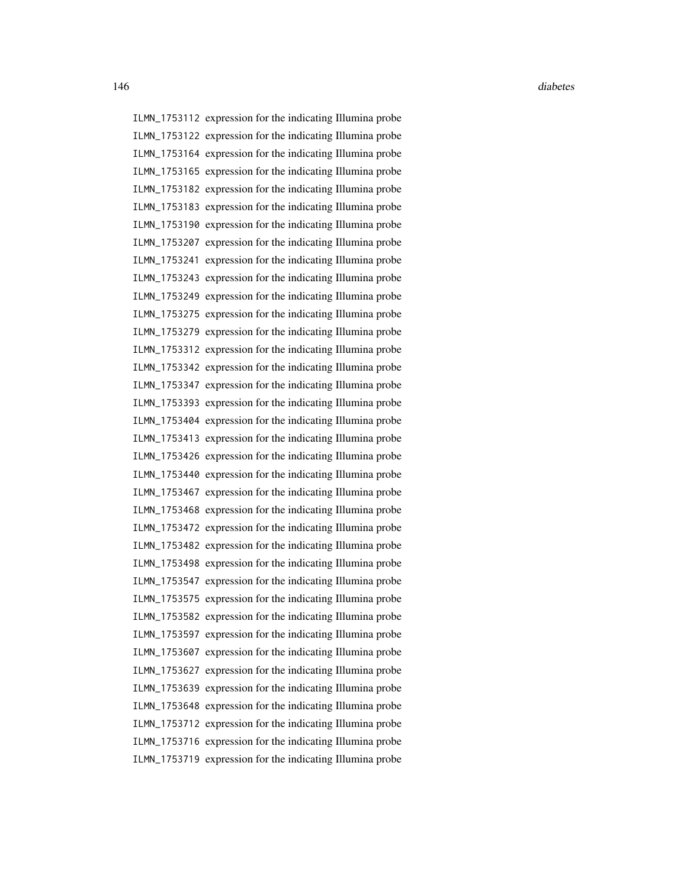ILMN\_1753112 expression for the indicating Illumina probe ILMN\_1753122 expression for the indicating Illumina probe ILMN\_1753164 expression for the indicating Illumina probe ILMN\_1753165 expression for the indicating Illumina probe ILMN\_1753182 expression for the indicating Illumina probe ILMN\_1753183 expression for the indicating Illumina probe ILMN\_1753190 expression for the indicating Illumina probe ILMN\_1753207 expression for the indicating Illumina probe ILMN\_1753241 expression for the indicating Illumina probe ILMN\_1753243 expression for the indicating Illumina probe ILMN\_1753249 expression for the indicating Illumina probe ILMN\_1753275 expression for the indicating Illumina probe ILMN\_1753279 expression for the indicating Illumina probe ILMN\_1753312 expression for the indicating Illumina probe ILMN\_1753342 expression for the indicating Illumina probe ILMN\_1753347 expression for the indicating Illumina probe ILMN\_1753393 expression for the indicating Illumina probe ILMN\_1753404 expression for the indicating Illumina probe ILMN\_1753413 expression for the indicating Illumina probe ILMN\_1753426 expression for the indicating Illumina probe ILMN\_1753440 expression for the indicating Illumina probe ILMN\_1753467 expression for the indicating Illumina probe ILMN\_1753468 expression for the indicating Illumina probe ILMN\_1753472 expression for the indicating Illumina probe ILMN\_1753482 expression for the indicating Illumina probe ILMN\_1753498 expression for the indicating Illumina probe ILMN\_1753547 expression for the indicating Illumina probe ILMN\_1753575 expression for the indicating Illumina probe ILMN\_1753582 expression for the indicating Illumina probe ILMN\_1753597 expression for the indicating Illumina probe ILMN\_1753607 expression for the indicating Illumina probe ILMN\_1753627 expression for the indicating Illumina probe ILMN\_1753639 expression for the indicating Illumina probe ILMN\_1753648 expression for the indicating Illumina probe ILMN\_1753712 expression for the indicating Illumina probe ILMN\_1753716 expression for the indicating Illumina probe ILMN\_1753719 expression for the indicating Illumina probe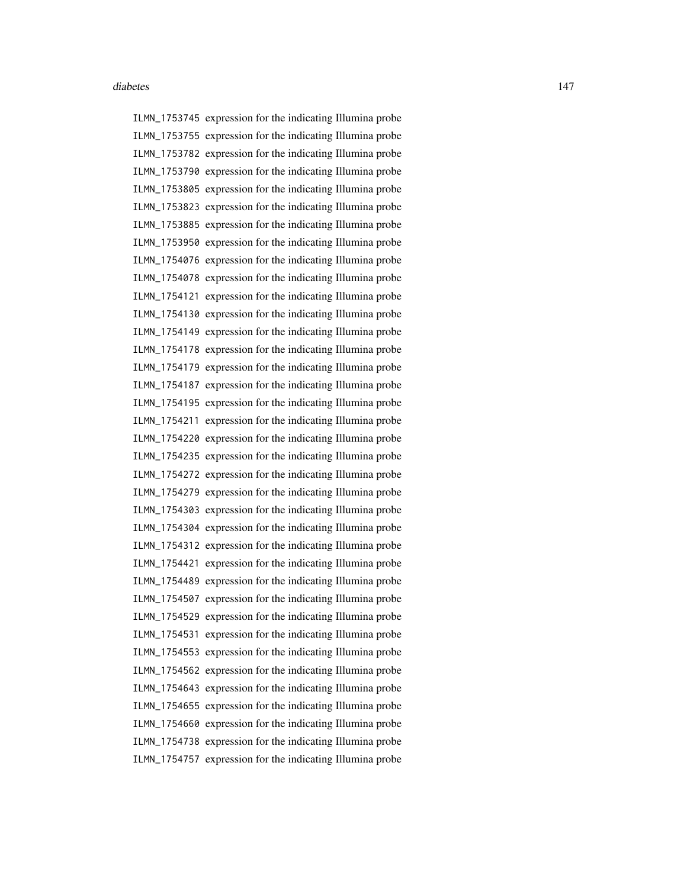ILMN\_1753745 expression for the indicating Illumina probe ILMN\_1753755 expression for the indicating Illumina probe ILMN\_1753782 expression for the indicating Illumina probe ILMN\_1753790 expression for the indicating Illumina probe ILMN\_1753805 expression for the indicating Illumina probe ILMN\_1753823 expression for the indicating Illumina probe ILMN\_1753885 expression for the indicating Illumina probe ILMN\_1753950 expression for the indicating Illumina probe ILMN\_1754076 expression for the indicating Illumina probe ILMN\_1754078 expression for the indicating Illumina probe ILMN\_1754121 expression for the indicating Illumina probe ILMN\_1754130 expression for the indicating Illumina probe ILMN\_1754149 expression for the indicating Illumina probe ILMN\_1754178 expression for the indicating Illumina probe ILMN\_1754179 expression for the indicating Illumina probe ILMN\_1754187 expression for the indicating Illumina probe ILMN\_1754195 expression for the indicating Illumina probe ILMN\_1754211 expression for the indicating Illumina probe ILMN\_1754220 expression for the indicating Illumina probe ILMN\_1754235 expression for the indicating Illumina probe ILMN\_1754272 expression for the indicating Illumina probe ILMN\_1754279 expression for the indicating Illumina probe ILMN\_1754303 expression for the indicating Illumina probe ILMN\_1754304 expression for the indicating Illumina probe ILMN\_1754312 expression for the indicating Illumina probe ILMN\_1754421 expression for the indicating Illumina probe ILMN\_1754489 expression for the indicating Illumina probe ILMN\_1754507 expression for the indicating Illumina probe ILMN\_1754529 expression for the indicating Illumina probe ILMN\_1754531 expression for the indicating Illumina probe ILMN\_1754553 expression for the indicating Illumina probe ILMN\_1754562 expression for the indicating Illumina probe ILMN\_1754643 expression for the indicating Illumina probe ILMN\_1754655 expression for the indicating Illumina probe ILMN\_1754660 expression for the indicating Illumina probe ILMN\_1754738 expression for the indicating Illumina probe ILMN\_1754757 expression for the indicating Illumina probe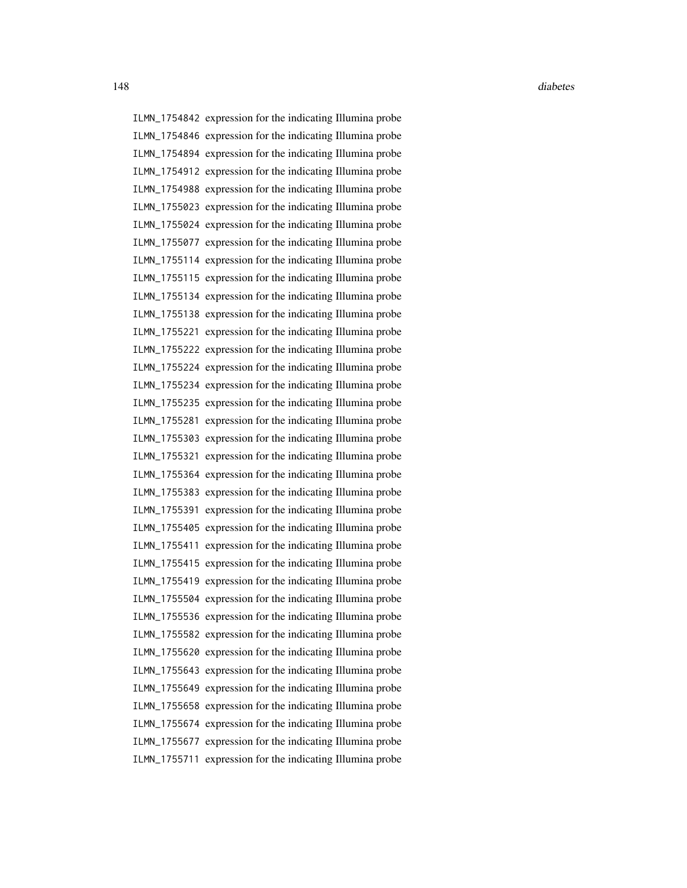ILMN\_1754842 expression for the indicating Illumina probe ILMN\_1754846 expression for the indicating Illumina probe ILMN\_1754894 expression for the indicating Illumina probe ILMN\_1754912 expression for the indicating Illumina probe ILMN\_1754988 expression for the indicating Illumina probe ILMN\_1755023 expression for the indicating Illumina probe ILMN\_1755024 expression for the indicating Illumina probe ILMN\_1755077 expression for the indicating Illumina probe ILMN\_1755114 expression for the indicating Illumina probe ILMN\_1755115 expression for the indicating Illumina probe ILMN\_1755134 expression for the indicating Illumina probe ILMN\_1755138 expression for the indicating Illumina probe ILMN\_1755221 expression for the indicating Illumina probe ILMN\_1755222 expression for the indicating Illumina probe ILMN\_1755224 expression for the indicating Illumina probe ILMN\_1755234 expression for the indicating Illumina probe ILMN\_1755235 expression for the indicating Illumina probe ILMN\_1755281 expression for the indicating Illumina probe ILMN\_1755303 expression for the indicating Illumina probe ILMN\_1755321 expression for the indicating Illumina probe ILMN\_1755364 expression for the indicating Illumina probe ILMN\_1755383 expression for the indicating Illumina probe ILMN\_1755391 expression for the indicating Illumina probe ILMN\_1755405 expression for the indicating Illumina probe ILMN\_1755411 expression for the indicating Illumina probe ILMN\_1755415 expression for the indicating Illumina probe ILMN\_1755419 expression for the indicating Illumina probe ILMN\_1755504 expression for the indicating Illumina probe ILMN\_1755536 expression for the indicating Illumina probe ILMN\_1755582 expression for the indicating Illumina probe ILMN\_1755620 expression for the indicating Illumina probe ILMN\_1755643 expression for the indicating Illumina probe ILMN\_1755649 expression for the indicating Illumina probe ILMN\_1755658 expression for the indicating Illumina probe ILMN\_1755674 expression for the indicating Illumina probe ILMN\_1755677 expression for the indicating Illumina probe ILMN\_1755711 expression for the indicating Illumina probe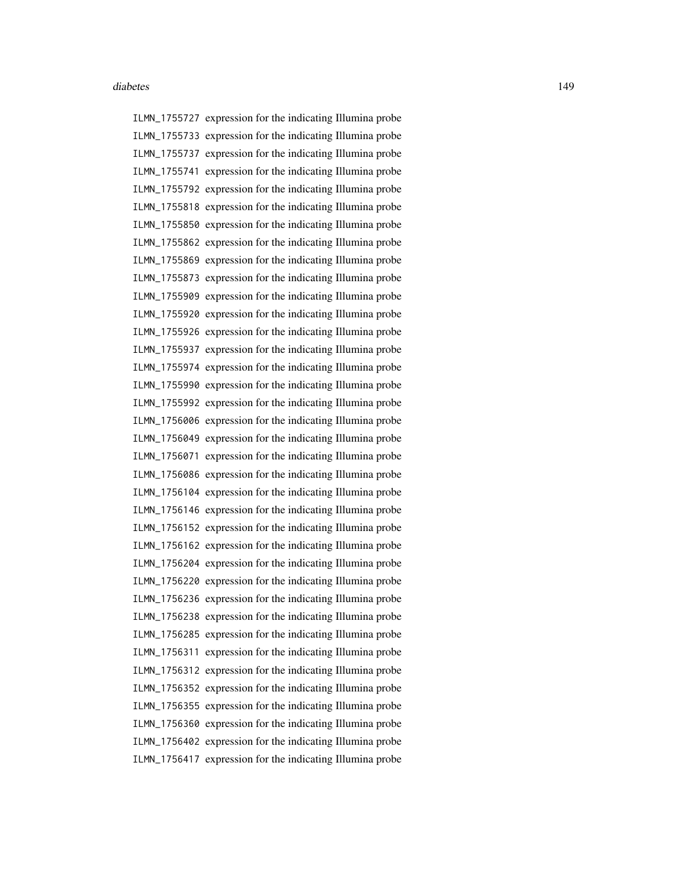ILMN\_1755727 expression for the indicating Illumina probe ILMN\_1755733 expression for the indicating Illumina probe ILMN\_1755737 expression for the indicating Illumina probe ILMN\_1755741 expression for the indicating Illumina probe ILMN\_1755792 expression for the indicating Illumina probe ILMN\_1755818 expression for the indicating Illumina probe ILMN\_1755850 expression for the indicating Illumina probe ILMN\_1755862 expression for the indicating Illumina probe ILMN\_1755869 expression for the indicating Illumina probe ILMN\_1755873 expression for the indicating Illumina probe ILMN\_1755909 expression for the indicating Illumina probe ILMN\_1755920 expression for the indicating Illumina probe ILMN\_1755926 expression for the indicating Illumina probe ILMN\_1755937 expression for the indicating Illumina probe ILMN\_1755974 expression for the indicating Illumina probe ILMN\_1755990 expression for the indicating Illumina probe ILMN\_1755992 expression for the indicating Illumina probe ILMN\_1756006 expression for the indicating Illumina probe ILMN\_1756049 expression for the indicating Illumina probe ILMN\_1756071 expression for the indicating Illumina probe ILMN\_1756086 expression for the indicating Illumina probe ILMN\_1756104 expression for the indicating Illumina probe ILMN\_1756146 expression for the indicating Illumina probe ILMN\_1756152 expression for the indicating Illumina probe ILMN\_1756162 expression for the indicating Illumina probe ILMN\_1756204 expression for the indicating Illumina probe ILMN\_1756220 expression for the indicating Illumina probe ILMN\_1756236 expression for the indicating Illumina probe ILMN\_1756238 expression for the indicating Illumina probe ILMN\_1756285 expression for the indicating Illumina probe ILMN\_1756311 expression for the indicating Illumina probe ILMN\_1756312 expression for the indicating Illumina probe ILMN\_1756352 expression for the indicating Illumina probe ILMN\_1756355 expression for the indicating Illumina probe ILMN\_1756360 expression for the indicating Illumina probe ILMN\_1756402 expression for the indicating Illumina probe ILMN\_1756417 expression for the indicating Illumina probe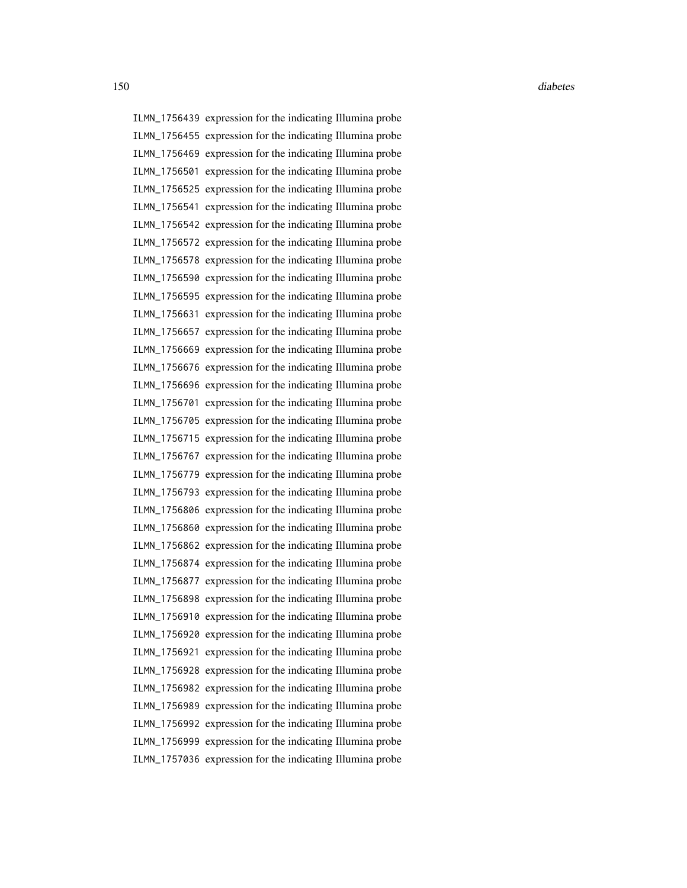ILMN\_1756439 expression for the indicating Illumina probe ILMN\_1756455 expression for the indicating Illumina probe ILMN\_1756469 expression for the indicating Illumina probe ILMN\_1756501 expression for the indicating Illumina probe ILMN\_1756525 expression for the indicating Illumina probe ILMN\_1756541 expression for the indicating Illumina probe ILMN\_1756542 expression for the indicating Illumina probe ILMN\_1756572 expression for the indicating Illumina probe ILMN\_1756578 expression for the indicating Illumina probe ILMN\_1756590 expression for the indicating Illumina probe ILMN\_1756595 expression for the indicating Illumina probe ILMN\_1756631 expression for the indicating Illumina probe ILMN\_1756657 expression for the indicating Illumina probe ILMN\_1756669 expression for the indicating Illumina probe ILMN\_1756676 expression for the indicating Illumina probe ILMN\_1756696 expression for the indicating Illumina probe ILMN\_1756701 expression for the indicating Illumina probe ILMN\_1756705 expression for the indicating Illumina probe ILMN\_1756715 expression for the indicating Illumina probe ILMN\_1756767 expression for the indicating Illumina probe ILMN\_1756779 expression for the indicating Illumina probe ILMN\_1756793 expression for the indicating Illumina probe ILMN\_1756806 expression for the indicating Illumina probe ILMN\_1756860 expression for the indicating Illumina probe ILMN\_1756862 expression for the indicating Illumina probe ILMN\_1756874 expression for the indicating Illumina probe ILMN\_1756877 expression for the indicating Illumina probe ILMN\_1756898 expression for the indicating Illumina probe ILMN\_1756910 expression for the indicating Illumina probe ILMN\_1756920 expression for the indicating Illumina probe ILMN\_1756921 expression for the indicating Illumina probe ILMN\_1756928 expression for the indicating Illumina probe ILMN\_1756982 expression for the indicating Illumina probe ILMN\_1756989 expression for the indicating Illumina probe ILMN\_1756992 expression for the indicating Illumina probe ILMN\_1756999 expression for the indicating Illumina probe ILMN\_1757036 expression for the indicating Illumina probe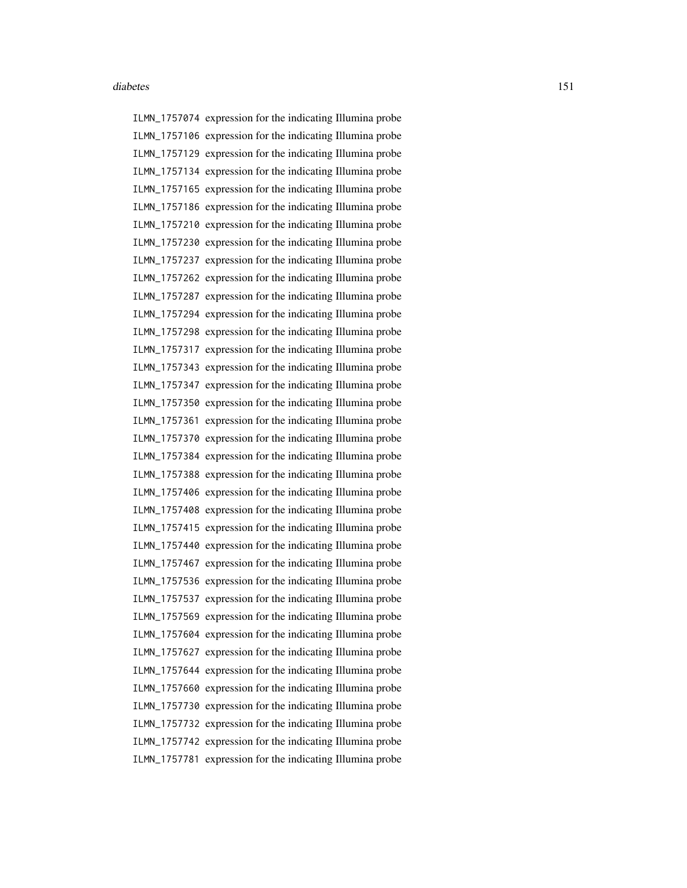ILMN\_1757074 expression for the indicating Illumina probe ILMN\_1757106 expression for the indicating Illumina probe ILMN\_1757129 expression for the indicating Illumina probe ILMN\_1757134 expression for the indicating Illumina probe ILMN\_1757165 expression for the indicating Illumina probe ILMN\_1757186 expression for the indicating Illumina probe ILMN\_1757210 expression for the indicating Illumina probe ILMN\_1757230 expression for the indicating Illumina probe ILMN\_1757237 expression for the indicating Illumina probe ILMN\_1757262 expression for the indicating Illumina probe ILMN\_1757287 expression for the indicating Illumina probe ILMN\_1757294 expression for the indicating Illumina probe ILMN\_1757298 expression for the indicating Illumina probe ILMN\_1757317 expression for the indicating Illumina probe ILMN\_1757343 expression for the indicating Illumina probe ILMN\_1757347 expression for the indicating Illumina probe ILMN\_1757350 expression for the indicating Illumina probe ILMN\_1757361 expression for the indicating Illumina probe ILMN\_1757370 expression for the indicating Illumina probe ILMN\_1757384 expression for the indicating Illumina probe ILMN\_1757388 expression for the indicating Illumina probe ILMN\_1757406 expression for the indicating Illumina probe ILMN\_1757408 expression for the indicating Illumina probe ILMN\_1757415 expression for the indicating Illumina probe ILMN\_1757440 expression for the indicating Illumina probe ILMN\_1757467 expression for the indicating Illumina probe ILMN\_1757536 expression for the indicating Illumina probe ILMN\_1757537 expression for the indicating Illumina probe ILMN\_1757569 expression for the indicating Illumina probe ILMN\_1757604 expression for the indicating Illumina probe ILMN\_1757627 expression for the indicating Illumina probe ILMN\_1757644 expression for the indicating Illumina probe ILMN\_1757660 expression for the indicating Illumina probe ILMN\_1757730 expression for the indicating Illumina probe ILMN\_1757732 expression for the indicating Illumina probe ILMN\_1757742 expression for the indicating Illumina probe ILMN\_1757781 expression for the indicating Illumina probe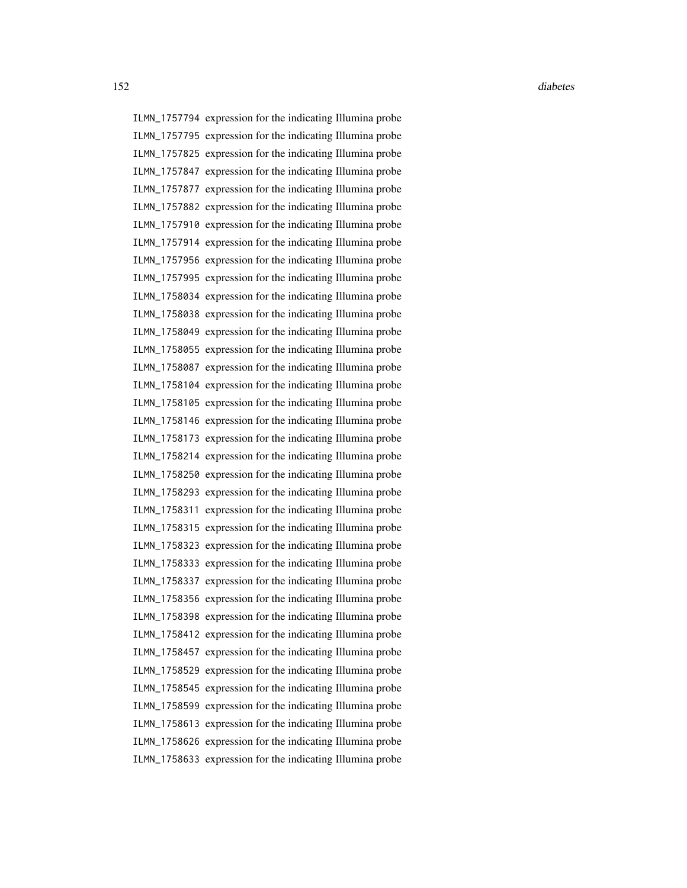ILMN\_1757794 expression for the indicating Illumina probe ILMN\_1757795 expression for the indicating Illumina probe ILMN\_1757825 expression for the indicating Illumina probe ILMN\_1757847 expression for the indicating Illumina probe ILMN\_1757877 expression for the indicating Illumina probe ILMN\_1757882 expression for the indicating Illumina probe ILMN\_1757910 expression for the indicating Illumina probe ILMN\_1757914 expression for the indicating Illumina probe ILMN\_1757956 expression for the indicating Illumina probe ILMN\_1757995 expression for the indicating Illumina probe ILMN\_1758034 expression for the indicating Illumina probe ILMN\_1758038 expression for the indicating Illumina probe ILMN\_1758049 expression for the indicating Illumina probe ILMN\_1758055 expression for the indicating Illumina probe ILMN\_1758087 expression for the indicating Illumina probe ILMN\_1758104 expression for the indicating Illumina probe ILMN\_1758105 expression for the indicating Illumina probe ILMN\_1758146 expression for the indicating Illumina probe ILMN\_1758173 expression for the indicating Illumina probe ILMN\_1758214 expression for the indicating Illumina probe ILMN\_1758250 expression for the indicating Illumina probe ILMN\_1758293 expression for the indicating Illumina probe ILMN\_1758311 expression for the indicating Illumina probe ILMN\_1758315 expression for the indicating Illumina probe ILMN\_1758323 expression for the indicating Illumina probe ILMN\_1758333 expression for the indicating Illumina probe ILMN\_1758337 expression for the indicating Illumina probe ILMN\_1758356 expression for the indicating Illumina probe ILMN\_1758398 expression for the indicating Illumina probe ILMN\_1758412 expression for the indicating Illumina probe ILMN\_1758457 expression for the indicating Illumina probe ILMN\_1758529 expression for the indicating Illumina probe ILMN\_1758545 expression for the indicating Illumina probe ILMN\_1758599 expression for the indicating Illumina probe ILMN\_1758613 expression for the indicating Illumina probe ILMN\_1758626 expression for the indicating Illumina probe ILMN\_1758633 expression for the indicating Illumina probe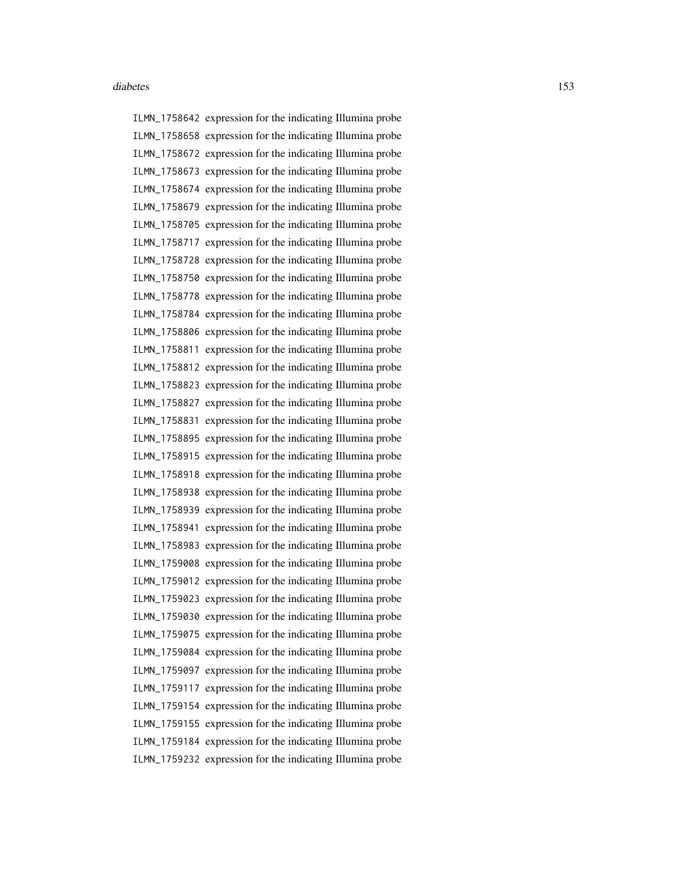ILMN\_1758642 expression for the indicating Illumina probe ILMN\_1758658 expression for the indicating Illumina probe ILMN\_1758672 expression for the indicating Illumina probe ILMN\_1758673 expression for the indicating Illumina probe ILMN\_1758674 expression for the indicating Illumina probe ILMN\_1758679 expression for the indicating Illumina probe ILMN\_1758705 expression for the indicating Illumina probe ILMN\_1758717 expression for the indicating Illumina probe ILMN\_1758728 expression for the indicating Illumina probe ILMN\_1758750 expression for the indicating Illumina probe ILMN\_1758778 expression for the indicating Illumina probe ILMN\_1758784 expression for the indicating Illumina probe ILMN\_1758806 expression for the indicating Illumina probe ILMN\_1758811 expression for the indicating Illumina probe ILMN\_1758812 expression for the indicating Illumina probe ILMN\_1758823 expression for the indicating Illumina probe ILMN\_1758827 expression for the indicating Illumina probe ILMN\_1758831 expression for the indicating Illumina probe ILMN\_1758895 expression for the indicating Illumina probe ILMN\_1758915 expression for the indicating Illumina probe ILMN\_1758918 expression for the indicating Illumina probe ILMN\_1758938 expression for the indicating Illumina probe ILMN\_1758939 expression for the indicating Illumina probe ILMN\_1758941 expression for the indicating Illumina probe ILMN\_1758983 expression for the indicating Illumina probe ILMN\_1759008 expression for the indicating Illumina probe ILMN\_1759012 expression for the indicating Illumina probe ILMN\_1759023 expression for the indicating Illumina probe ILMN\_1759030 expression for the indicating Illumina probe ILMN\_1759075 expression for the indicating Illumina probe ILMN\_1759084 expression for the indicating Illumina probe ILMN\_1759097 expression for the indicating Illumina probe ILMN\_1759117 expression for the indicating Illumina probe ILMN\_1759154 expression for the indicating Illumina probe ILMN\_1759155 expression for the indicating Illumina probe ILMN\_1759184 expression for the indicating Illumina probe ILMN\_1759232 expression for the indicating Illumina probe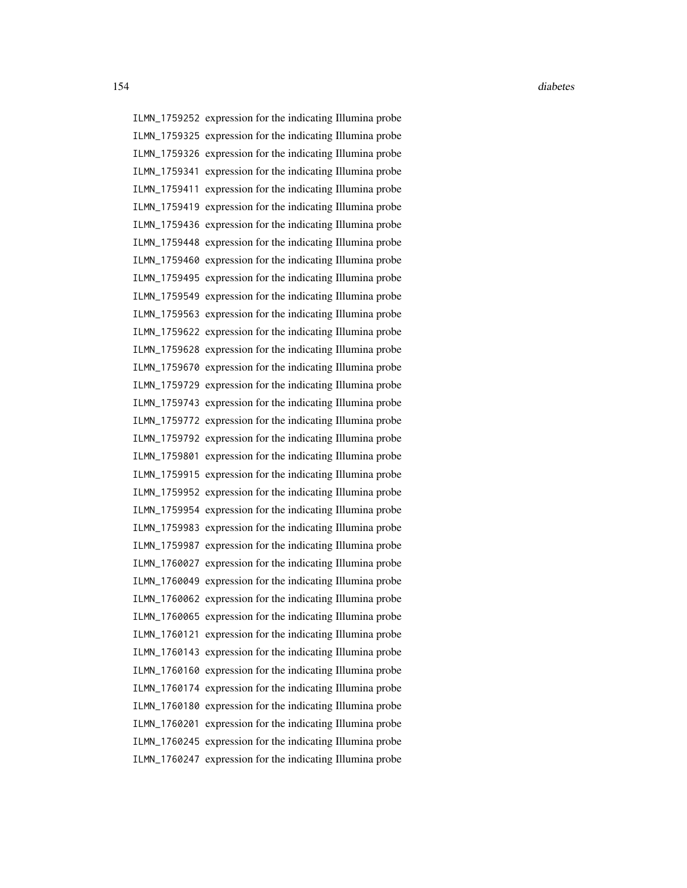ILMN\_1759252 expression for the indicating Illumina probe ILMN\_1759325 expression for the indicating Illumina probe ILMN\_1759326 expression for the indicating Illumina probe ILMN\_1759341 expression for the indicating Illumina probe ILMN\_1759411 expression for the indicating Illumina probe ILMN\_1759419 expression for the indicating Illumina probe ILMN\_1759436 expression for the indicating Illumina probe ILMN\_1759448 expression for the indicating Illumina probe ILMN\_1759460 expression for the indicating Illumina probe ILMN\_1759495 expression for the indicating Illumina probe ILMN\_1759549 expression for the indicating Illumina probe ILMN\_1759563 expression for the indicating Illumina probe ILMN\_1759622 expression for the indicating Illumina probe ILMN\_1759628 expression for the indicating Illumina probe ILMN\_1759670 expression for the indicating Illumina probe ILMN\_1759729 expression for the indicating Illumina probe ILMN\_1759743 expression for the indicating Illumina probe ILMN\_1759772 expression for the indicating Illumina probe ILMN\_1759792 expression for the indicating Illumina probe ILMN\_1759801 expression for the indicating Illumina probe ILMN\_1759915 expression for the indicating Illumina probe ILMN\_1759952 expression for the indicating Illumina probe ILMN\_1759954 expression for the indicating Illumina probe ILMN\_1759983 expression for the indicating Illumina probe ILMN\_1759987 expression for the indicating Illumina probe ILMN\_1760027 expression for the indicating Illumina probe ILMN\_1760049 expression for the indicating Illumina probe ILMN\_1760062 expression for the indicating Illumina probe ILMN\_1760065 expression for the indicating Illumina probe ILMN\_1760121 expression for the indicating Illumina probe ILMN\_1760143 expression for the indicating Illumina probe ILMN\_1760160 expression for the indicating Illumina probe ILMN\_1760174 expression for the indicating Illumina probe ILMN\_1760180 expression for the indicating Illumina probe ILMN\_1760201 expression for the indicating Illumina probe ILMN\_1760245 expression for the indicating Illumina probe ILMN\_1760247 expression for the indicating Illumina probe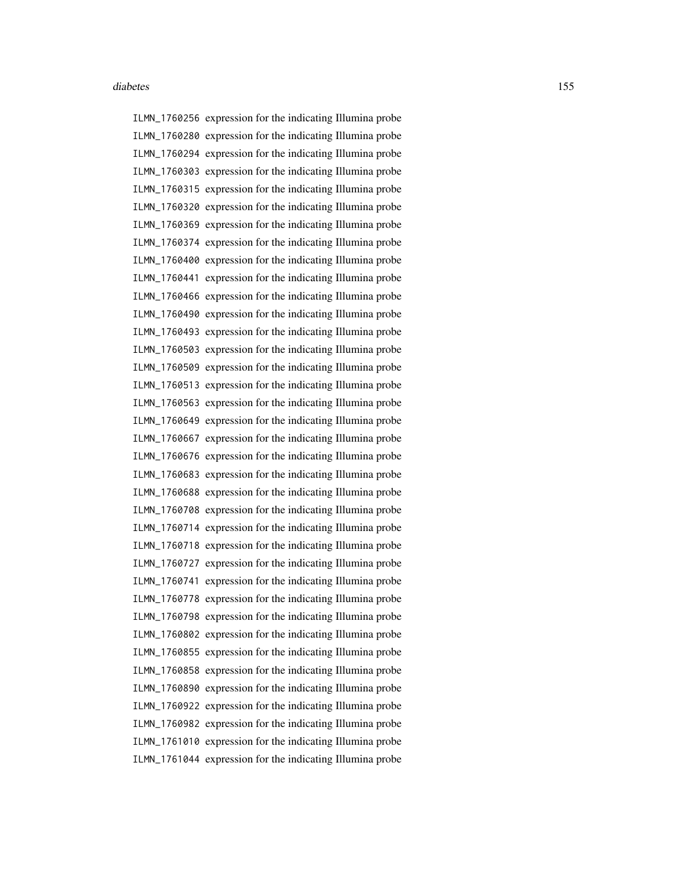ILMN\_1760256 expression for the indicating Illumina probe ILMN\_1760280 expression for the indicating Illumina probe ILMN\_1760294 expression for the indicating Illumina probe ILMN\_1760303 expression for the indicating Illumina probe ILMN\_1760315 expression for the indicating Illumina probe ILMN\_1760320 expression for the indicating Illumina probe ILMN\_1760369 expression for the indicating Illumina probe ILMN\_1760374 expression for the indicating Illumina probe ILMN\_1760400 expression for the indicating Illumina probe ILMN\_1760441 expression for the indicating Illumina probe ILMN\_1760466 expression for the indicating Illumina probe ILMN\_1760490 expression for the indicating Illumina probe ILMN\_1760493 expression for the indicating Illumina probe ILMN\_1760503 expression for the indicating Illumina probe ILMN\_1760509 expression for the indicating Illumina probe ILMN\_1760513 expression for the indicating Illumina probe ILMN\_1760563 expression for the indicating Illumina probe ILMN\_1760649 expression for the indicating Illumina probe ILMN\_1760667 expression for the indicating Illumina probe ILMN\_1760676 expression for the indicating Illumina probe ILMN\_1760683 expression for the indicating Illumina probe ILMN\_1760688 expression for the indicating Illumina probe ILMN\_1760708 expression for the indicating Illumina probe ILMN\_1760714 expression for the indicating Illumina probe ILMN\_1760718 expression for the indicating Illumina probe ILMN\_1760727 expression for the indicating Illumina probe ILMN\_1760741 expression for the indicating Illumina probe ILMN\_1760778 expression for the indicating Illumina probe ILMN\_1760798 expression for the indicating Illumina probe ILMN\_1760802 expression for the indicating Illumina probe ILMN\_1760855 expression for the indicating Illumina probe ILMN\_1760858 expression for the indicating Illumina probe ILMN\_1760890 expression for the indicating Illumina probe ILMN\_1760922 expression for the indicating Illumina probe ILMN\_1760982 expression for the indicating Illumina probe ILMN\_1761010 expression for the indicating Illumina probe ILMN\_1761044 expression for the indicating Illumina probe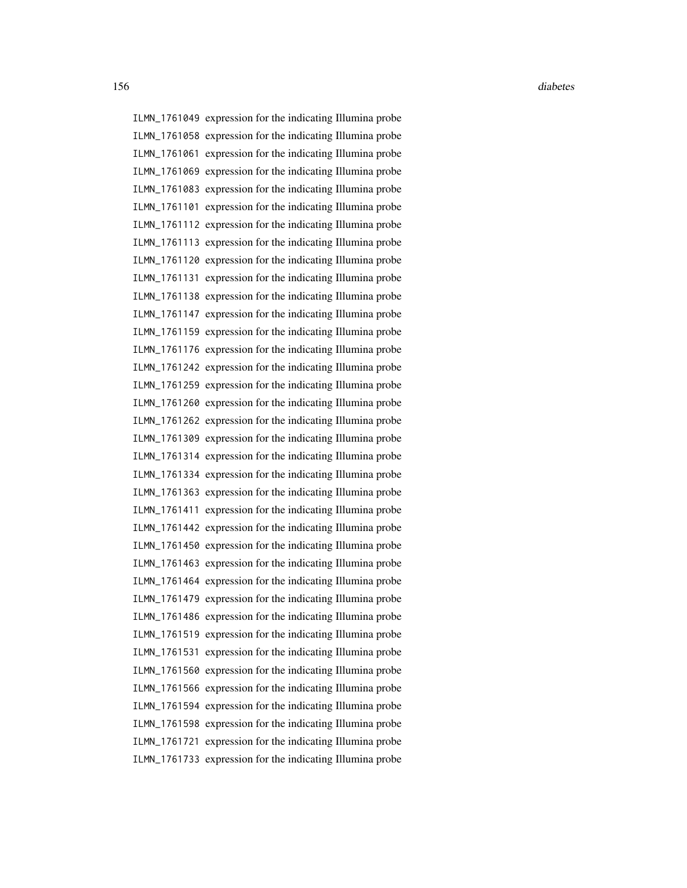ILMN\_1761049 expression for the indicating Illumina probe ILMN\_1761058 expression for the indicating Illumina probe ILMN\_1761061 expression for the indicating Illumina probe ILMN\_1761069 expression for the indicating Illumina probe ILMN\_1761083 expression for the indicating Illumina probe ILMN\_1761101 expression for the indicating Illumina probe ILMN\_1761112 expression for the indicating Illumina probe ILMN\_1761113 expression for the indicating Illumina probe ILMN\_1761120 expression for the indicating Illumina probe ILMN\_1761131 expression for the indicating Illumina probe ILMN\_1761138 expression for the indicating Illumina probe ILMN\_1761147 expression for the indicating Illumina probe ILMN\_1761159 expression for the indicating Illumina probe ILMN\_1761176 expression for the indicating Illumina probe ILMN\_1761242 expression for the indicating Illumina probe ILMN\_1761259 expression for the indicating Illumina probe ILMN\_1761260 expression for the indicating Illumina probe ILMN\_1761262 expression for the indicating Illumina probe ILMN\_1761309 expression for the indicating Illumina probe ILMN\_1761314 expression for the indicating Illumina probe ILMN\_1761334 expression for the indicating Illumina probe ILMN\_1761363 expression for the indicating Illumina probe ILMN\_1761411 expression for the indicating Illumina probe ILMN\_1761442 expression for the indicating Illumina probe ILMN\_1761450 expression for the indicating Illumina probe ILMN\_1761463 expression for the indicating Illumina probe ILMN\_1761464 expression for the indicating Illumina probe ILMN\_1761479 expression for the indicating Illumina probe ILMN\_1761486 expression for the indicating Illumina probe ILMN\_1761519 expression for the indicating Illumina probe ILMN\_1761531 expression for the indicating Illumina probe ILMN\_1761560 expression for the indicating Illumina probe ILMN\_1761566 expression for the indicating Illumina probe ILMN\_1761594 expression for the indicating Illumina probe ILMN\_1761598 expression for the indicating Illumina probe ILMN\_1761721 expression for the indicating Illumina probe ILMN\_1761733 expression for the indicating Illumina probe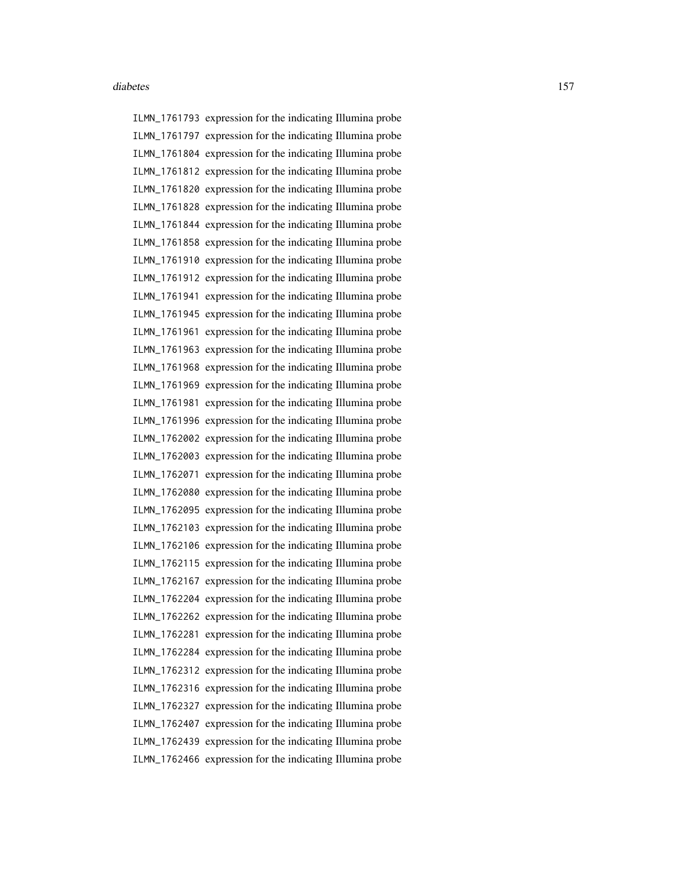ILMN\_1761793 expression for the indicating Illumina probe ILMN\_1761797 expression for the indicating Illumina probe ILMN\_1761804 expression for the indicating Illumina probe ILMN\_1761812 expression for the indicating Illumina probe ILMN\_1761820 expression for the indicating Illumina probe ILMN\_1761828 expression for the indicating Illumina probe ILMN\_1761844 expression for the indicating Illumina probe ILMN\_1761858 expression for the indicating Illumina probe ILMN\_1761910 expression for the indicating Illumina probe ILMN\_1761912 expression for the indicating Illumina probe ILMN\_1761941 expression for the indicating Illumina probe ILMN\_1761945 expression for the indicating Illumina probe ILMN\_1761961 expression for the indicating Illumina probe ILMN\_1761963 expression for the indicating Illumina probe ILMN\_1761968 expression for the indicating Illumina probe ILMN\_1761969 expression for the indicating Illumina probe ILMN\_1761981 expression for the indicating Illumina probe ILMN\_1761996 expression for the indicating Illumina probe ILMN\_1762002 expression for the indicating Illumina probe ILMN\_1762003 expression for the indicating Illumina probe ILMN\_1762071 expression for the indicating Illumina probe ILMN\_1762080 expression for the indicating Illumina probe ILMN\_1762095 expression for the indicating Illumina probe ILMN\_1762103 expression for the indicating Illumina probe ILMN\_1762106 expression for the indicating Illumina probe ILMN\_1762115 expression for the indicating Illumina probe ILMN\_1762167 expression for the indicating Illumina probe ILMN\_1762204 expression for the indicating Illumina probe ILMN\_1762262 expression for the indicating Illumina probe ILMN\_1762281 expression for the indicating Illumina probe ILMN\_1762284 expression for the indicating Illumina probe ILMN\_1762312 expression for the indicating Illumina probe ILMN\_1762316 expression for the indicating Illumina probe ILMN\_1762327 expression for the indicating Illumina probe ILMN\_1762407 expression for the indicating Illumina probe ILMN\_1762439 expression for the indicating Illumina probe ILMN\_1762466 expression for the indicating Illumina probe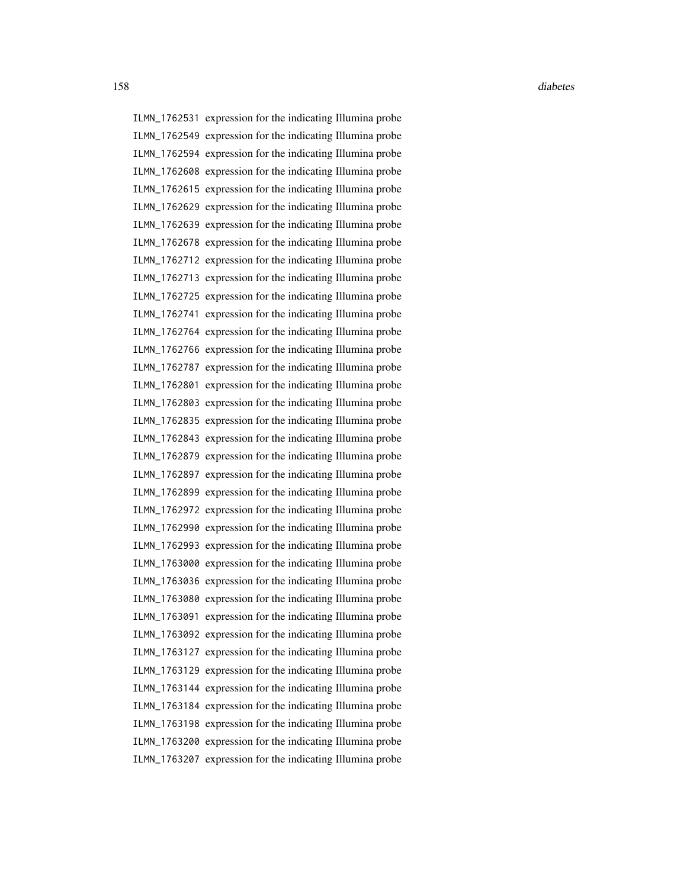ILMN\_1762531 expression for the indicating Illumina probe ILMN\_1762549 expression for the indicating Illumina probe ILMN\_1762594 expression for the indicating Illumina probe ILMN\_1762608 expression for the indicating Illumina probe ILMN\_1762615 expression for the indicating Illumina probe ILMN\_1762629 expression for the indicating Illumina probe ILMN\_1762639 expression for the indicating Illumina probe ILMN\_1762678 expression for the indicating Illumina probe ILMN\_1762712 expression for the indicating Illumina probe ILMN\_1762713 expression for the indicating Illumina probe ILMN\_1762725 expression for the indicating Illumina probe ILMN\_1762741 expression for the indicating Illumina probe ILMN\_1762764 expression for the indicating Illumina probe ILMN\_1762766 expression for the indicating Illumina probe ILMN\_1762787 expression for the indicating Illumina probe ILMN\_1762801 expression for the indicating Illumina probe ILMN\_1762803 expression for the indicating Illumina probe ILMN\_1762835 expression for the indicating Illumina probe ILMN\_1762843 expression for the indicating Illumina probe ILMN\_1762879 expression for the indicating Illumina probe ILMN\_1762897 expression for the indicating Illumina probe ILMN\_1762899 expression for the indicating Illumina probe ILMN\_1762972 expression for the indicating Illumina probe ILMN\_1762990 expression for the indicating Illumina probe ILMN\_1762993 expression for the indicating Illumina probe ILMN\_1763000 expression for the indicating Illumina probe ILMN\_1763036 expression for the indicating Illumina probe ILMN\_1763080 expression for the indicating Illumina probe ILMN\_1763091 expression for the indicating Illumina probe ILMN\_1763092 expression for the indicating Illumina probe ILMN\_1763127 expression for the indicating Illumina probe ILMN\_1763129 expression for the indicating Illumina probe ILMN\_1763144 expression for the indicating Illumina probe ILMN\_1763184 expression for the indicating Illumina probe ILMN\_1763198 expression for the indicating Illumina probe ILMN\_1763200 expression for the indicating Illumina probe ILMN\_1763207 expression for the indicating Illumina probe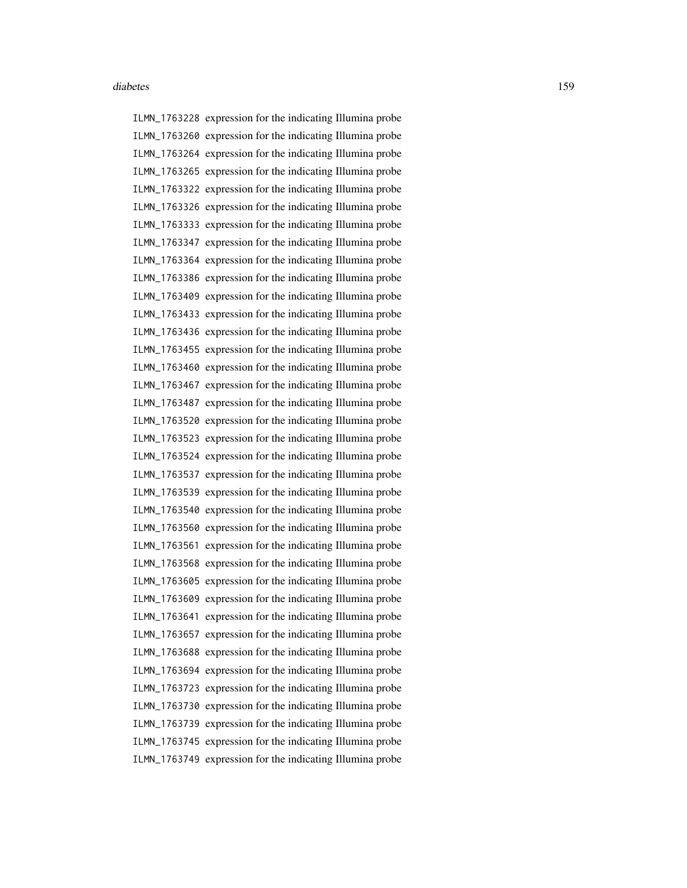ILMN\_1763228 expression for the indicating Illumina probe ILMN\_1763260 expression for the indicating Illumina probe ILMN\_1763264 expression for the indicating Illumina probe ILMN\_1763265 expression for the indicating Illumina probe ILMN\_1763322 expression for the indicating Illumina probe ILMN\_1763326 expression for the indicating Illumina probe ILMN\_1763333 expression for the indicating Illumina probe ILMN\_1763347 expression for the indicating Illumina probe ILMN\_1763364 expression for the indicating Illumina probe ILMN\_1763386 expression for the indicating Illumina probe ILMN\_1763409 expression for the indicating Illumina probe ILMN\_1763433 expression for the indicating Illumina probe ILMN\_1763436 expression for the indicating Illumina probe ILMN\_1763455 expression for the indicating Illumina probe ILMN\_1763460 expression for the indicating Illumina probe ILMN\_1763467 expression for the indicating Illumina probe ILMN\_1763487 expression for the indicating Illumina probe ILMN\_1763520 expression for the indicating Illumina probe ILMN\_1763523 expression for the indicating Illumina probe ILMN\_1763524 expression for the indicating Illumina probe ILMN\_1763537 expression for the indicating Illumina probe ILMN\_1763539 expression for the indicating Illumina probe ILMN\_1763540 expression for the indicating Illumina probe ILMN\_1763560 expression for the indicating Illumina probe ILMN\_1763561 expression for the indicating Illumina probe ILMN\_1763568 expression for the indicating Illumina probe ILMN\_1763605 expression for the indicating Illumina probe ILMN\_1763609 expression for the indicating Illumina probe ILMN\_1763641 expression for the indicating Illumina probe ILMN\_1763657 expression for the indicating Illumina probe ILMN\_1763688 expression for the indicating Illumina probe ILMN\_1763694 expression for the indicating Illumina probe ILMN\_1763723 expression for the indicating Illumina probe ILMN\_1763730 expression for the indicating Illumina probe ILMN\_1763739 expression for the indicating Illumina probe ILMN\_1763745 expression for the indicating Illumina probe ILMN\_1763749 expression for the indicating Illumina probe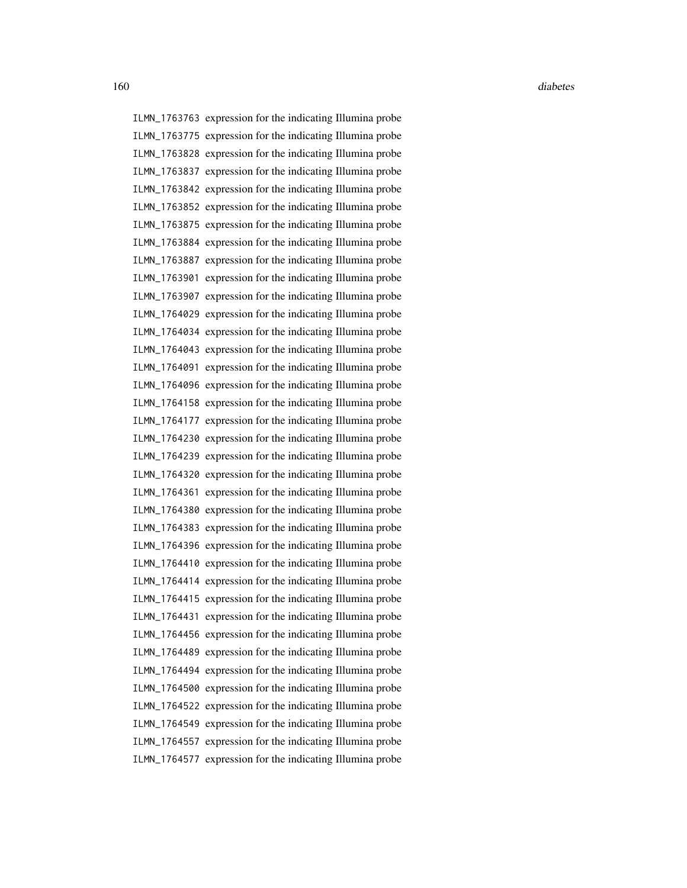ILMN\_1763763 expression for the indicating Illumina probe ILMN\_1763775 expression for the indicating Illumina probe ILMN\_1763828 expression for the indicating Illumina probe ILMN\_1763837 expression for the indicating Illumina probe ILMN\_1763842 expression for the indicating Illumina probe ILMN\_1763852 expression for the indicating Illumina probe ILMN\_1763875 expression for the indicating Illumina probe ILMN\_1763884 expression for the indicating Illumina probe ILMN\_1763887 expression for the indicating Illumina probe ILMN\_1763901 expression for the indicating Illumina probe ILMN\_1763907 expression for the indicating Illumina probe ILMN\_1764029 expression for the indicating Illumina probe ILMN\_1764034 expression for the indicating Illumina probe ILMN\_1764043 expression for the indicating Illumina probe ILMN\_1764091 expression for the indicating Illumina probe ILMN\_1764096 expression for the indicating Illumina probe ILMN\_1764158 expression for the indicating Illumina probe ILMN\_1764177 expression for the indicating Illumina probe ILMN\_1764230 expression for the indicating Illumina probe ILMN\_1764239 expression for the indicating Illumina probe ILMN\_1764320 expression for the indicating Illumina probe ILMN\_1764361 expression for the indicating Illumina probe ILMN\_1764380 expression for the indicating Illumina probe ILMN\_1764383 expression for the indicating Illumina probe ILMN\_1764396 expression for the indicating Illumina probe ILMN\_1764410 expression for the indicating Illumina probe ILMN\_1764414 expression for the indicating Illumina probe ILMN\_1764415 expression for the indicating Illumina probe ILMN\_1764431 expression for the indicating Illumina probe ILMN\_1764456 expression for the indicating Illumina probe ILMN\_1764489 expression for the indicating Illumina probe ILMN\_1764494 expression for the indicating Illumina probe ILMN\_1764500 expression for the indicating Illumina probe ILMN\_1764522 expression for the indicating Illumina probe ILMN\_1764549 expression for the indicating Illumina probe ILMN\_1764557 expression for the indicating Illumina probe ILMN\_1764577 expression for the indicating Illumina probe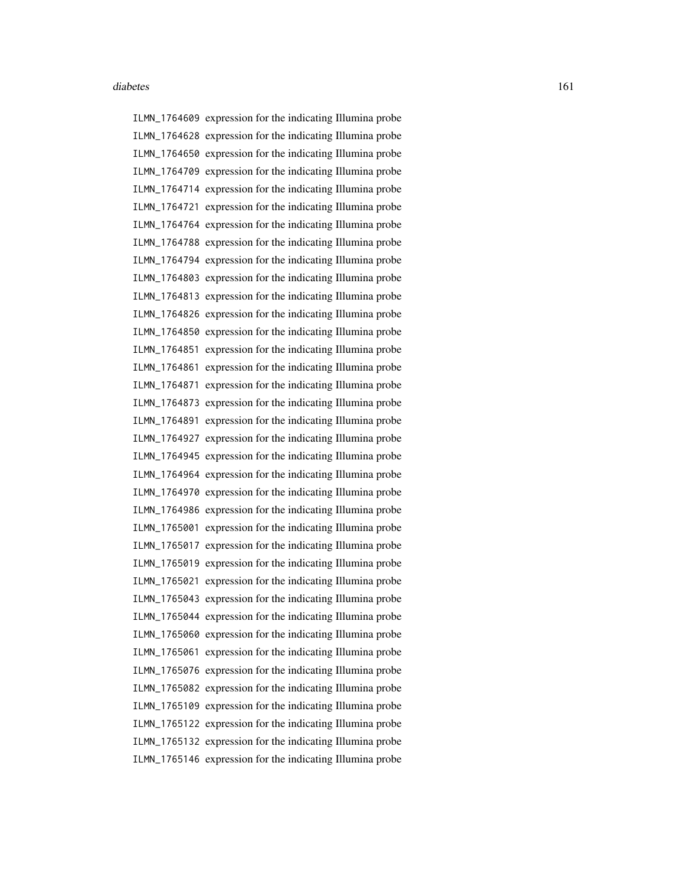ILMN\_1764609 expression for the indicating Illumina probe ILMN\_1764628 expression for the indicating Illumina probe ILMN\_1764650 expression for the indicating Illumina probe ILMN\_1764709 expression for the indicating Illumina probe ILMN\_1764714 expression for the indicating Illumina probe ILMN\_1764721 expression for the indicating Illumina probe ILMN\_1764764 expression for the indicating Illumina probe ILMN\_1764788 expression for the indicating Illumina probe ILMN\_1764794 expression for the indicating Illumina probe ILMN\_1764803 expression for the indicating Illumina probe ILMN\_1764813 expression for the indicating Illumina probe ILMN\_1764826 expression for the indicating Illumina probe ILMN\_1764850 expression for the indicating Illumina probe ILMN\_1764851 expression for the indicating Illumina probe ILMN\_1764861 expression for the indicating Illumina probe ILMN\_1764871 expression for the indicating Illumina probe ILMN\_1764873 expression for the indicating Illumina probe ILMN\_1764891 expression for the indicating Illumina probe ILMN\_1764927 expression for the indicating Illumina probe ILMN\_1764945 expression for the indicating Illumina probe ILMN\_1764964 expression for the indicating Illumina probe ILMN\_1764970 expression for the indicating Illumina probe ILMN\_1764986 expression for the indicating Illumina probe ILMN\_1765001 expression for the indicating Illumina probe ILMN\_1765017 expression for the indicating Illumina probe ILMN\_1765019 expression for the indicating Illumina probe ILMN\_1765021 expression for the indicating Illumina probe ILMN\_1765043 expression for the indicating Illumina probe ILMN\_1765044 expression for the indicating Illumina probe ILMN\_1765060 expression for the indicating Illumina probe ILMN\_1765061 expression for the indicating Illumina probe ILMN\_1765076 expression for the indicating Illumina probe ILMN\_1765082 expression for the indicating Illumina probe ILMN\_1765109 expression for the indicating Illumina probe ILMN\_1765122 expression for the indicating Illumina probe ILMN\_1765132 expression for the indicating Illumina probe ILMN\_1765146 expression for the indicating Illumina probe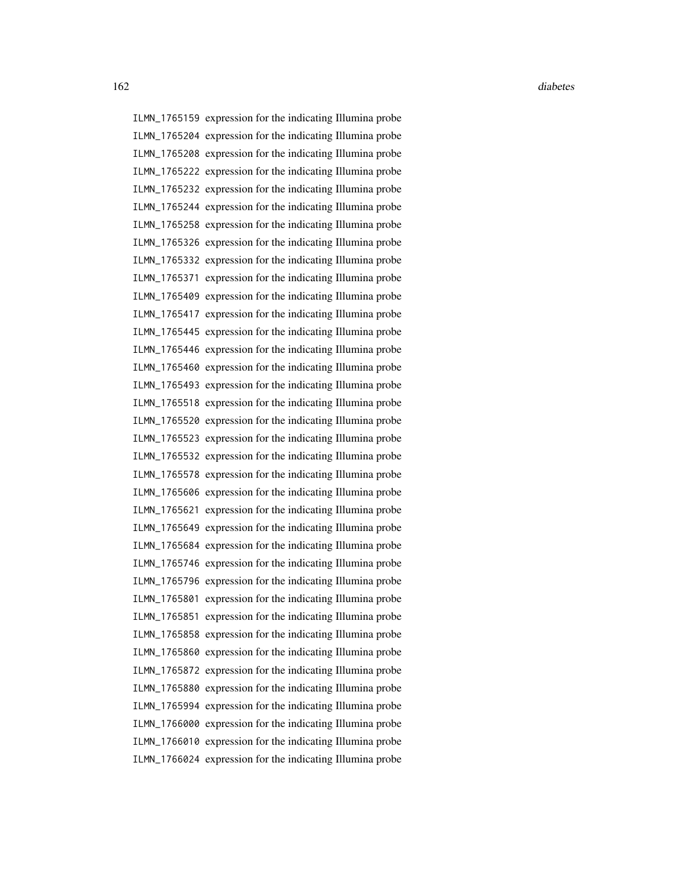ILMN\_1765159 expression for the indicating Illumina probe ILMN\_1765204 expression for the indicating Illumina probe ILMN\_1765208 expression for the indicating Illumina probe ILMN\_1765222 expression for the indicating Illumina probe ILMN\_1765232 expression for the indicating Illumina probe ILMN\_1765244 expression for the indicating Illumina probe ILMN\_1765258 expression for the indicating Illumina probe ILMN\_1765326 expression for the indicating Illumina probe ILMN\_1765332 expression for the indicating Illumina probe ILMN\_1765371 expression for the indicating Illumina probe ILMN\_1765409 expression for the indicating Illumina probe ILMN\_1765417 expression for the indicating Illumina probe ILMN\_1765445 expression for the indicating Illumina probe ILMN\_1765446 expression for the indicating Illumina probe ILMN\_1765460 expression for the indicating Illumina probe ILMN\_1765493 expression for the indicating Illumina probe ILMN\_1765518 expression for the indicating Illumina probe ILMN\_1765520 expression for the indicating Illumina probe ILMN\_1765523 expression for the indicating Illumina probe ILMN\_1765532 expression for the indicating Illumina probe ILMN\_1765578 expression for the indicating Illumina probe ILMN\_1765606 expression for the indicating Illumina probe ILMN\_1765621 expression for the indicating Illumina probe ILMN\_1765649 expression for the indicating Illumina probe ILMN\_1765684 expression for the indicating Illumina probe ILMN\_1765746 expression for the indicating Illumina probe ILMN\_1765796 expression for the indicating Illumina probe ILMN\_1765801 expression for the indicating Illumina probe ILMN\_1765851 expression for the indicating Illumina probe ILMN\_1765858 expression for the indicating Illumina probe ILMN\_1765860 expression for the indicating Illumina probe ILMN\_1765872 expression for the indicating Illumina probe ILMN\_1765880 expression for the indicating Illumina probe ILMN\_1765994 expression for the indicating Illumina probe ILMN\_1766000 expression for the indicating Illumina probe ILMN\_1766010 expression for the indicating Illumina probe ILMN\_1766024 expression for the indicating Illumina probe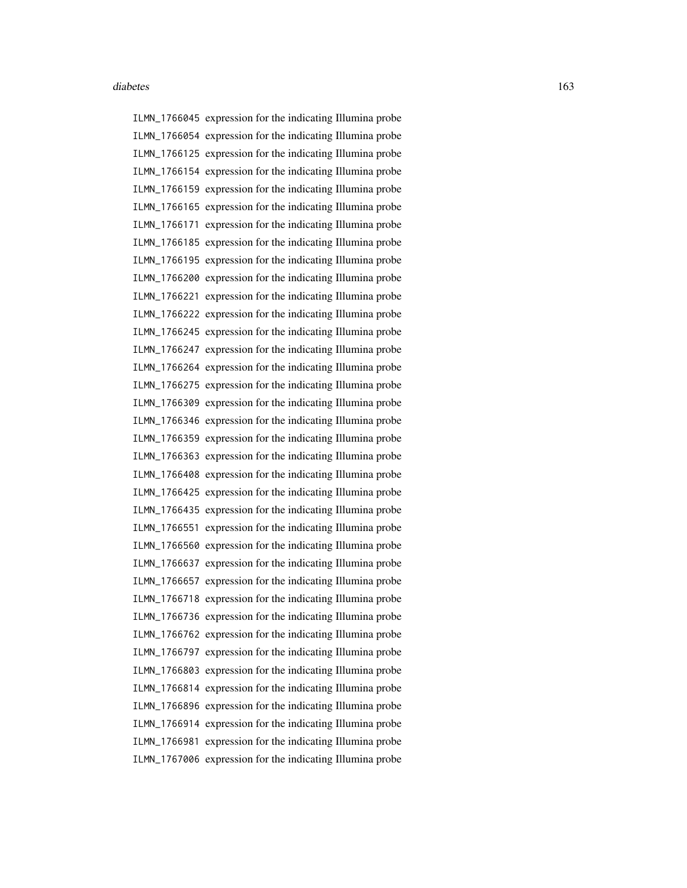ILMN\_1766045 expression for the indicating Illumina probe ILMN\_1766054 expression for the indicating Illumina probe ILMN\_1766125 expression for the indicating Illumina probe ILMN\_1766154 expression for the indicating Illumina probe ILMN\_1766159 expression for the indicating Illumina probe ILMN\_1766165 expression for the indicating Illumina probe ILMN\_1766171 expression for the indicating Illumina probe ILMN\_1766185 expression for the indicating Illumina probe ILMN\_1766195 expression for the indicating Illumina probe ILMN\_1766200 expression for the indicating Illumina probe ILMN\_1766221 expression for the indicating Illumina probe ILMN\_1766222 expression for the indicating Illumina probe ILMN\_1766245 expression for the indicating Illumina probe ILMN\_1766247 expression for the indicating Illumina probe ILMN\_1766264 expression for the indicating Illumina probe ILMN\_1766275 expression for the indicating Illumina probe ILMN\_1766309 expression for the indicating Illumina probe ILMN\_1766346 expression for the indicating Illumina probe ILMN\_1766359 expression for the indicating Illumina probe ILMN\_1766363 expression for the indicating Illumina probe ILMN\_1766408 expression for the indicating Illumina probe ILMN\_1766425 expression for the indicating Illumina probe ILMN\_1766435 expression for the indicating Illumina probe ILMN\_1766551 expression for the indicating Illumina probe ILMN\_1766560 expression for the indicating Illumina probe ILMN\_1766637 expression for the indicating Illumina probe ILMN\_1766657 expression for the indicating Illumina probe ILMN\_1766718 expression for the indicating Illumina probe ILMN\_1766736 expression for the indicating Illumina probe ILMN\_1766762 expression for the indicating Illumina probe ILMN\_1766797 expression for the indicating Illumina probe ILMN\_1766803 expression for the indicating Illumina probe ILMN\_1766814 expression for the indicating Illumina probe ILMN\_1766896 expression for the indicating Illumina probe ILMN\_1766914 expression for the indicating Illumina probe ILMN\_1766981 expression for the indicating Illumina probe ILMN\_1767006 expression for the indicating Illumina probe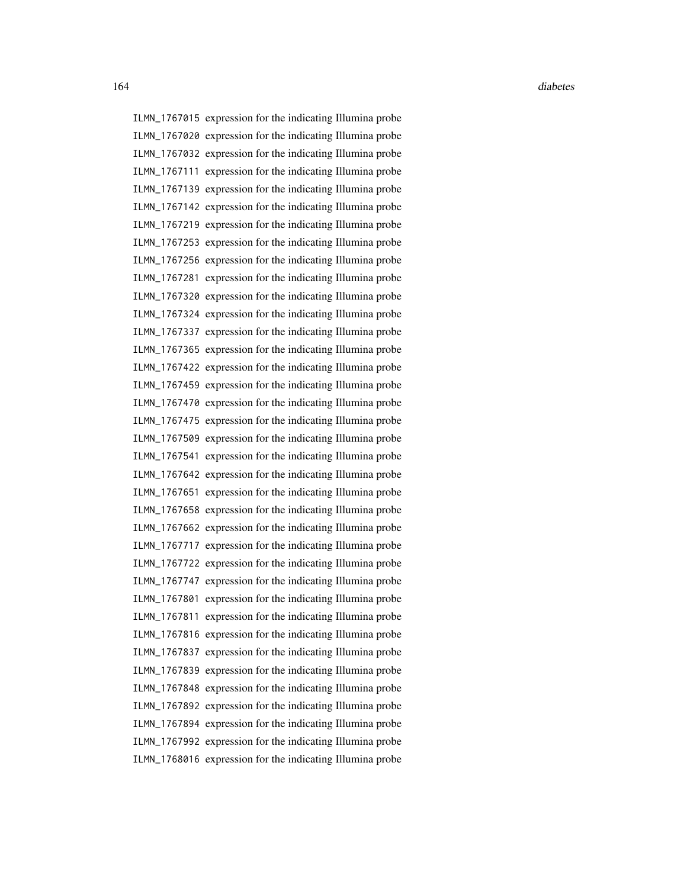ILMN\_1767015 expression for the indicating Illumina probe ILMN\_1767020 expression for the indicating Illumina probe ILMN\_1767032 expression for the indicating Illumina probe ILMN\_1767111 expression for the indicating Illumina probe ILMN\_1767139 expression for the indicating Illumina probe ILMN\_1767142 expression for the indicating Illumina probe ILMN\_1767219 expression for the indicating Illumina probe ILMN\_1767253 expression for the indicating Illumina probe ILMN\_1767256 expression for the indicating Illumina probe ILMN\_1767281 expression for the indicating Illumina probe ILMN\_1767320 expression for the indicating Illumina probe ILMN\_1767324 expression for the indicating Illumina probe ILMN\_1767337 expression for the indicating Illumina probe ILMN\_1767365 expression for the indicating Illumina probe ILMN\_1767422 expression for the indicating Illumina probe ILMN\_1767459 expression for the indicating Illumina probe ILMN\_1767470 expression for the indicating Illumina probe ILMN\_1767475 expression for the indicating Illumina probe ILMN\_1767509 expression for the indicating Illumina probe ILMN\_1767541 expression for the indicating Illumina probe ILMN\_1767642 expression for the indicating Illumina probe ILMN\_1767651 expression for the indicating Illumina probe ILMN\_1767658 expression for the indicating Illumina probe ILMN\_1767662 expression for the indicating Illumina probe ILMN\_1767717 expression for the indicating Illumina probe ILMN\_1767722 expression for the indicating Illumina probe ILMN\_1767747 expression for the indicating Illumina probe ILMN\_1767801 expression for the indicating Illumina probe ILMN\_1767811 expression for the indicating Illumina probe ILMN\_1767816 expression for the indicating Illumina probe ILMN\_1767837 expression for the indicating Illumina probe ILMN\_1767839 expression for the indicating Illumina probe ILMN\_1767848 expression for the indicating Illumina probe ILMN\_1767892 expression for the indicating Illumina probe ILMN\_1767894 expression for the indicating Illumina probe ILMN\_1767992 expression for the indicating Illumina probe ILMN\_1768016 expression for the indicating Illumina probe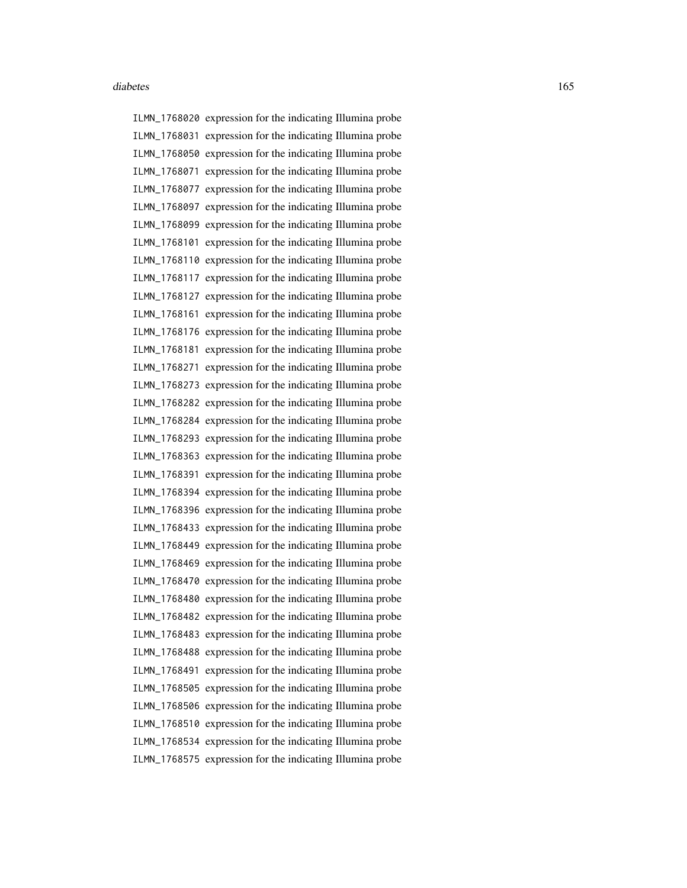ILMN\_1768020 expression for the indicating Illumina probe ILMN\_1768031 expression for the indicating Illumina probe ILMN\_1768050 expression for the indicating Illumina probe ILMN\_1768071 expression for the indicating Illumina probe ILMN\_1768077 expression for the indicating Illumina probe ILMN\_1768097 expression for the indicating Illumina probe ILMN\_1768099 expression for the indicating Illumina probe ILMN\_1768101 expression for the indicating Illumina probe ILMN\_1768110 expression for the indicating Illumina probe ILMN\_1768117 expression for the indicating Illumina probe ILMN\_1768127 expression for the indicating Illumina probe ILMN\_1768161 expression for the indicating Illumina probe ILMN\_1768176 expression for the indicating Illumina probe ILMN\_1768181 expression for the indicating Illumina probe ILMN\_1768271 expression for the indicating Illumina probe ILMN\_1768273 expression for the indicating Illumina probe ILMN\_1768282 expression for the indicating Illumina probe ILMN\_1768284 expression for the indicating Illumina probe ILMN\_1768293 expression for the indicating Illumina probe ILMN\_1768363 expression for the indicating Illumina probe ILMN\_1768391 expression for the indicating Illumina probe ILMN\_1768394 expression for the indicating Illumina probe ILMN\_1768396 expression for the indicating Illumina probe ILMN\_1768433 expression for the indicating Illumina probe ILMN\_1768449 expression for the indicating Illumina probe ILMN\_1768469 expression for the indicating Illumina probe ILMN\_1768470 expression for the indicating Illumina probe ILMN\_1768480 expression for the indicating Illumina probe ILMN\_1768482 expression for the indicating Illumina probe ILMN\_1768483 expression for the indicating Illumina probe ILMN\_1768488 expression for the indicating Illumina probe ILMN\_1768491 expression for the indicating Illumina probe ILMN\_1768505 expression for the indicating Illumina probe ILMN\_1768506 expression for the indicating Illumina probe ILMN\_1768510 expression for the indicating Illumina probe ILMN\_1768534 expression for the indicating Illumina probe ILMN\_1768575 expression for the indicating Illumina probe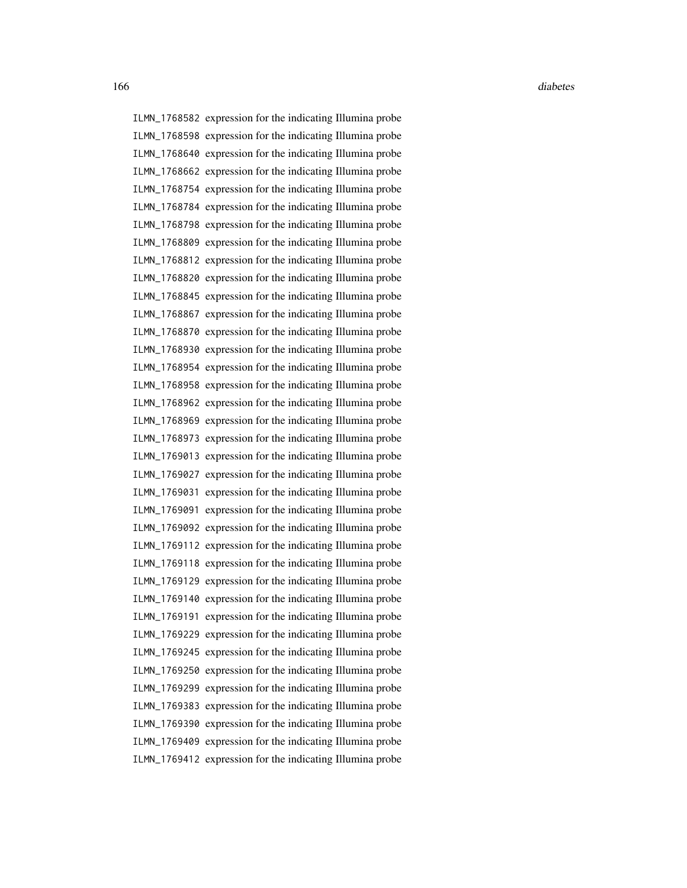ILMN\_1768582 expression for the indicating Illumina probe ILMN\_1768598 expression for the indicating Illumina probe ILMN\_1768640 expression for the indicating Illumina probe ILMN\_1768662 expression for the indicating Illumina probe ILMN\_1768754 expression for the indicating Illumina probe ILMN\_1768784 expression for the indicating Illumina probe ILMN\_1768798 expression for the indicating Illumina probe ILMN\_1768809 expression for the indicating Illumina probe ILMN\_1768812 expression for the indicating Illumina probe ILMN\_1768820 expression for the indicating Illumina probe ILMN\_1768845 expression for the indicating Illumina probe ILMN\_1768867 expression for the indicating Illumina probe ILMN\_1768870 expression for the indicating Illumina probe ILMN\_1768930 expression for the indicating Illumina probe ILMN\_1768954 expression for the indicating Illumina probe ILMN\_1768958 expression for the indicating Illumina probe ILMN\_1768962 expression for the indicating Illumina probe ILMN\_1768969 expression for the indicating Illumina probe ILMN\_1768973 expression for the indicating Illumina probe ILMN\_1769013 expression for the indicating Illumina probe ILMN\_1769027 expression for the indicating Illumina probe ILMN\_1769031 expression for the indicating Illumina probe ILMN\_1769091 expression for the indicating Illumina probe ILMN\_1769092 expression for the indicating Illumina probe ILMN\_1769112 expression for the indicating Illumina probe ILMN\_1769118 expression for the indicating Illumina probe ILMN\_1769129 expression for the indicating Illumina probe ILMN\_1769140 expression for the indicating Illumina probe ILMN\_1769191 expression for the indicating Illumina probe ILMN\_1769229 expression for the indicating Illumina probe ILMN\_1769245 expression for the indicating Illumina probe ILMN\_1769250 expression for the indicating Illumina probe ILMN\_1769299 expression for the indicating Illumina probe ILMN\_1769383 expression for the indicating Illumina probe ILMN\_1769390 expression for the indicating Illumina probe ILMN\_1769409 expression for the indicating Illumina probe ILMN\_1769412 expression for the indicating Illumina probe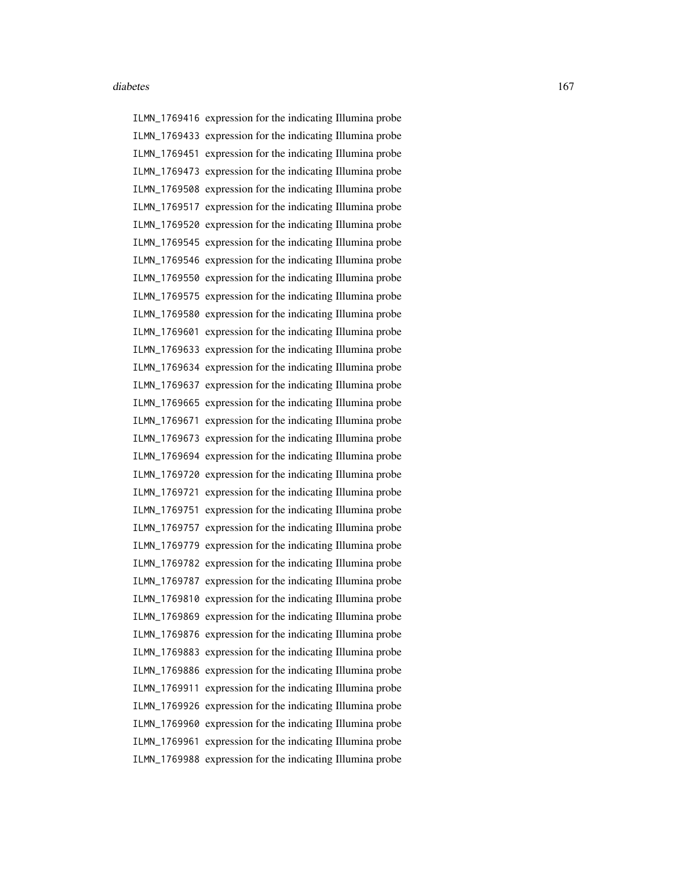ILMN\_1769416 expression for the indicating Illumina probe ILMN\_1769433 expression for the indicating Illumina probe ILMN\_1769451 expression for the indicating Illumina probe ILMN\_1769473 expression for the indicating Illumina probe ILMN\_1769508 expression for the indicating Illumina probe ILMN\_1769517 expression for the indicating Illumina probe ILMN\_1769520 expression for the indicating Illumina probe ILMN\_1769545 expression for the indicating Illumina probe ILMN\_1769546 expression for the indicating Illumina probe ILMN\_1769550 expression for the indicating Illumina probe ILMN\_1769575 expression for the indicating Illumina probe ILMN\_1769580 expression for the indicating Illumina probe ILMN\_1769601 expression for the indicating Illumina probe ILMN\_1769633 expression for the indicating Illumina probe ILMN\_1769634 expression for the indicating Illumina probe ILMN\_1769637 expression for the indicating Illumina probe ILMN\_1769665 expression for the indicating Illumina probe ILMN\_1769671 expression for the indicating Illumina probe ILMN\_1769673 expression for the indicating Illumina probe ILMN\_1769694 expression for the indicating Illumina probe ILMN\_1769720 expression for the indicating Illumina probe ILMN\_1769721 expression for the indicating Illumina probe ILMN\_1769751 expression for the indicating Illumina probe ILMN\_1769757 expression for the indicating Illumina probe ILMN\_1769779 expression for the indicating Illumina probe ILMN\_1769782 expression for the indicating Illumina probe ILMN\_1769787 expression for the indicating Illumina probe ILMN\_1769810 expression for the indicating Illumina probe ILMN\_1769869 expression for the indicating Illumina probe ILMN\_1769876 expression for the indicating Illumina probe ILMN\_1769883 expression for the indicating Illumina probe ILMN\_1769886 expression for the indicating Illumina probe ILMN\_1769911 expression for the indicating Illumina probe ILMN\_1769926 expression for the indicating Illumina probe ILMN\_1769960 expression for the indicating Illumina probe ILMN\_1769961 expression for the indicating Illumina probe ILMN\_1769988 expression for the indicating Illumina probe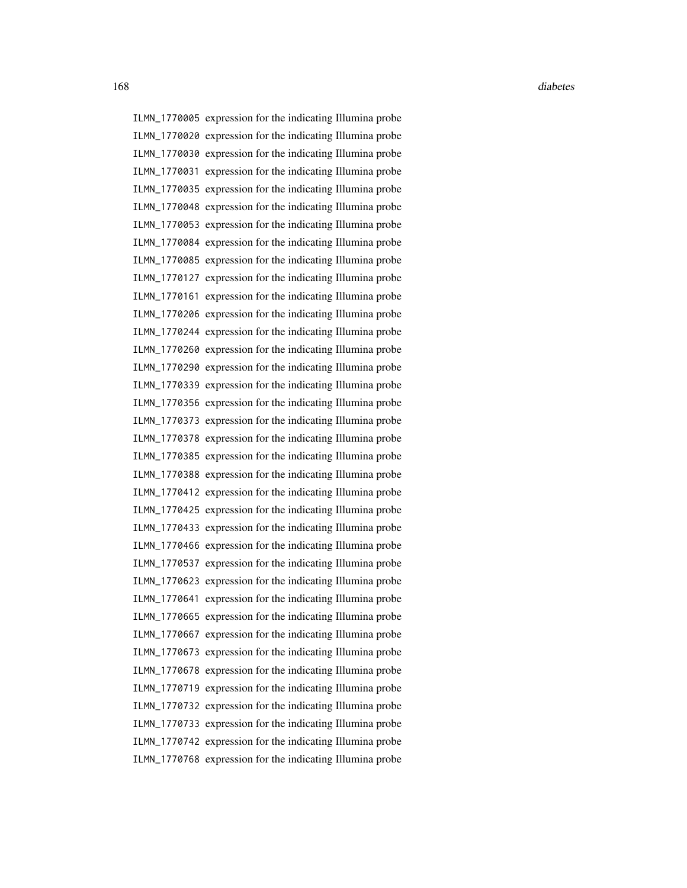ILMN\_1770005 expression for the indicating Illumina probe ILMN\_1770020 expression for the indicating Illumina probe ILMN\_1770030 expression for the indicating Illumina probe ILMN\_1770031 expression for the indicating Illumina probe ILMN\_1770035 expression for the indicating Illumina probe ILMN\_1770048 expression for the indicating Illumina probe ILMN\_1770053 expression for the indicating Illumina probe ILMN\_1770084 expression for the indicating Illumina probe ILMN\_1770085 expression for the indicating Illumina probe ILMN\_1770127 expression for the indicating Illumina probe ILMN\_1770161 expression for the indicating Illumina probe ILMN\_1770206 expression for the indicating Illumina probe ILMN\_1770244 expression for the indicating Illumina probe ILMN\_1770260 expression for the indicating Illumina probe ILMN\_1770290 expression for the indicating Illumina probe ILMN\_1770339 expression for the indicating Illumina probe ILMN\_1770356 expression for the indicating Illumina probe ILMN\_1770373 expression for the indicating Illumina probe ILMN\_1770378 expression for the indicating Illumina probe ILMN\_1770385 expression for the indicating Illumina probe ILMN\_1770388 expression for the indicating Illumina probe ILMN\_1770412 expression for the indicating Illumina probe ILMN\_1770425 expression for the indicating Illumina probe ILMN\_1770433 expression for the indicating Illumina probe ILMN\_1770466 expression for the indicating Illumina probe ILMN\_1770537 expression for the indicating Illumina probe ILMN\_1770623 expression for the indicating Illumina probe ILMN\_1770641 expression for the indicating Illumina probe ILMN\_1770665 expression for the indicating Illumina probe ILMN\_1770667 expression for the indicating Illumina probe ILMN\_1770673 expression for the indicating Illumina probe ILMN\_1770678 expression for the indicating Illumina probe ILMN\_1770719 expression for the indicating Illumina probe ILMN\_1770732 expression for the indicating Illumina probe ILMN\_1770733 expression for the indicating Illumina probe ILMN\_1770742 expression for the indicating Illumina probe ILMN\_1770768 expression for the indicating Illumina probe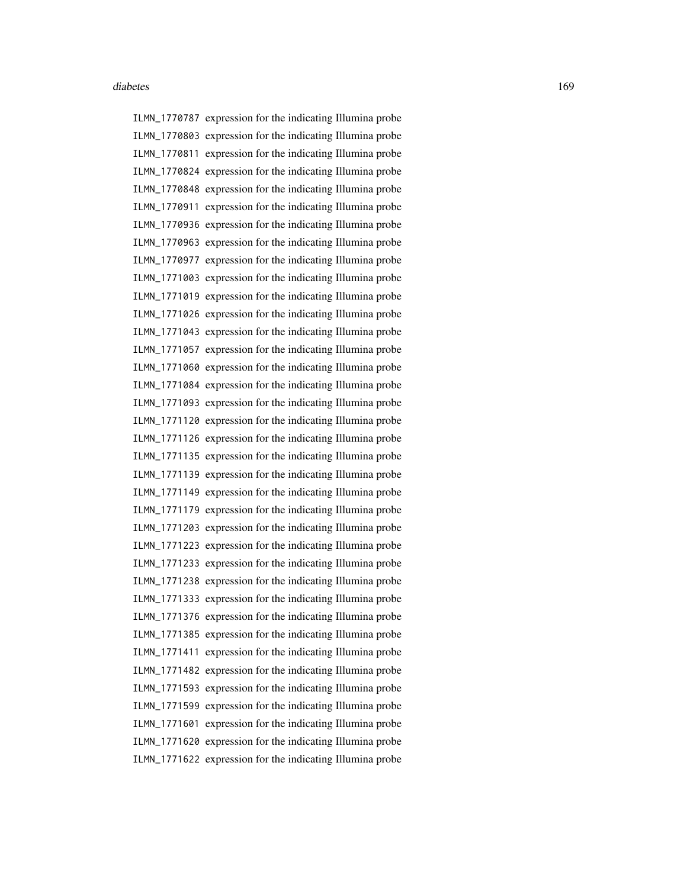ILMN\_1770787 expression for the indicating Illumina probe ILMN\_1770803 expression for the indicating Illumina probe ILMN\_1770811 expression for the indicating Illumina probe ILMN\_1770824 expression for the indicating Illumina probe ILMN\_1770848 expression for the indicating Illumina probe ILMN\_1770911 expression for the indicating Illumina probe ILMN\_1770936 expression for the indicating Illumina probe ILMN\_1770963 expression for the indicating Illumina probe ILMN\_1770977 expression for the indicating Illumina probe ILMN\_1771003 expression for the indicating Illumina probe ILMN\_1771019 expression for the indicating Illumina probe ILMN\_1771026 expression for the indicating Illumina probe ILMN\_1771043 expression for the indicating Illumina probe ILMN\_1771057 expression for the indicating Illumina probe ILMN\_1771060 expression for the indicating Illumina probe ILMN\_1771084 expression for the indicating Illumina probe ILMN\_1771093 expression for the indicating Illumina probe ILMN\_1771120 expression for the indicating Illumina probe ILMN\_1771126 expression for the indicating Illumina probe ILMN\_1771135 expression for the indicating Illumina probe ILMN\_1771139 expression for the indicating Illumina probe ILMN\_1771149 expression for the indicating Illumina probe ILMN\_1771179 expression for the indicating Illumina probe ILMN\_1771203 expression for the indicating Illumina probe ILMN\_1771223 expression for the indicating Illumina probe ILMN\_1771233 expression for the indicating Illumina probe ILMN\_1771238 expression for the indicating Illumina probe ILMN\_1771333 expression for the indicating Illumina probe ILMN\_1771376 expression for the indicating Illumina probe ILMN\_1771385 expression for the indicating Illumina probe ILMN\_1771411 expression for the indicating Illumina probe ILMN\_1771482 expression for the indicating Illumina probe ILMN\_1771593 expression for the indicating Illumina probe ILMN\_1771599 expression for the indicating Illumina probe ILMN\_1771601 expression for the indicating Illumina probe ILMN\_1771620 expression for the indicating Illumina probe ILMN\_1771622 expression for the indicating Illumina probe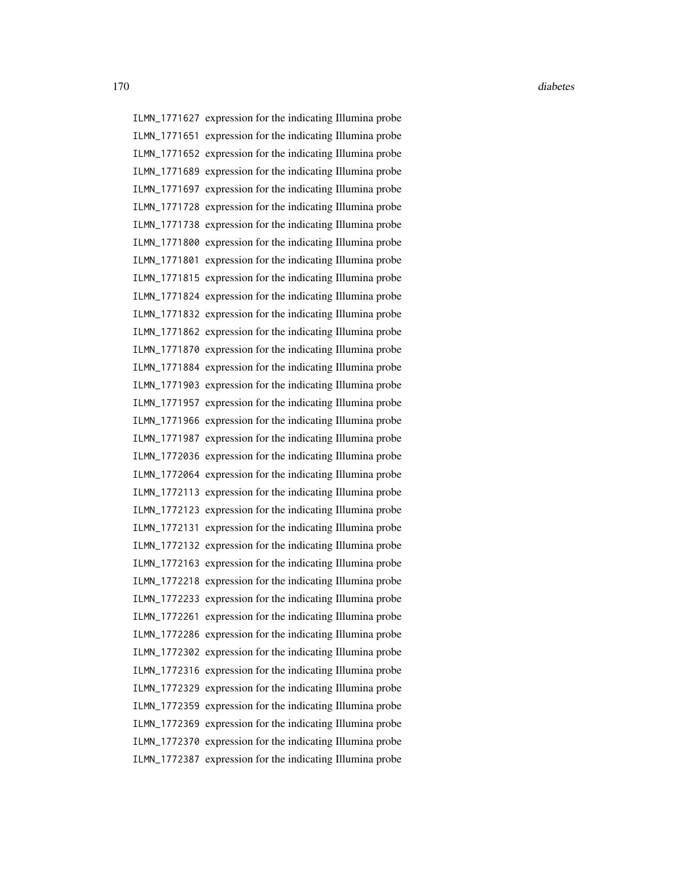ILMN\_1771627 expression for the indicating Illumina probe ILMN\_1771651 expression for the indicating Illumina probe ILMN\_1771652 expression for the indicating Illumina probe ILMN\_1771689 expression for the indicating Illumina probe ILMN\_1771697 expression for the indicating Illumina probe ILMN\_1771728 expression for the indicating Illumina probe ILMN\_1771738 expression for the indicating Illumina probe ILMN\_1771800 expression for the indicating Illumina probe ILMN\_1771801 expression for the indicating Illumina probe ILMN\_1771815 expression for the indicating Illumina probe ILMN\_1771824 expression for the indicating Illumina probe ILMN\_1771832 expression for the indicating Illumina probe ILMN\_1771862 expression for the indicating Illumina probe ILMN\_1771870 expression for the indicating Illumina probe ILMN\_1771884 expression for the indicating Illumina probe ILMN\_1771903 expression for the indicating Illumina probe ILMN\_1771957 expression for the indicating Illumina probe ILMN\_1771966 expression for the indicating Illumina probe ILMN\_1771987 expression for the indicating Illumina probe ILMN\_1772036 expression for the indicating Illumina probe ILMN\_1772064 expression for the indicating Illumina probe ILMN\_1772113 expression for the indicating Illumina probe ILMN\_1772123 expression for the indicating Illumina probe ILMN\_1772131 expression for the indicating Illumina probe ILMN\_1772132 expression for the indicating Illumina probe ILMN\_1772163 expression for the indicating Illumina probe ILMN\_1772218 expression for the indicating Illumina probe ILMN\_1772233 expression for the indicating Illumina probe ILMN\_1772261 expression for the indicating Illumina probe ILMN\_1772286 expression for the indicating Illumina probe ILMN\_1772302 expression for the indicating Illumina probe ILMN\_1772316 expression for the indicating Illumina probe ILMN\_1772329 expression for the indicating Illumina probe ILMN\_1772359 expression for the indicating Illumina probe ILMN\_1772369 expression for the indicating Illumina probe ILMN\_1772370 expression for the indicating Illumina probe ILMN\_1772387 expression for the indicating Illumina probe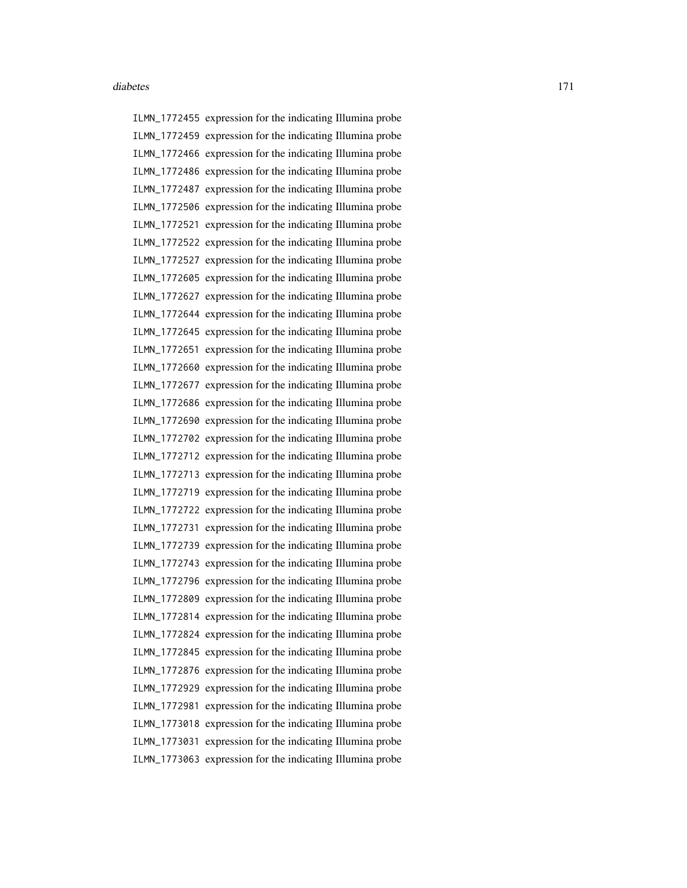ILMN\_1772455 expression for the indicating Illumina probe ILMN\_1772459 expression for the indicating Illumina probe ILMN\_1772466 expression for the indicating Illumina probe ILMN\_1772486 expression for the indicating Illumina probe ILMN\_1772487 expression for the indicating Illumina probe ILMN\_1772506 expression for the indicating Illumina probe ILMN\_1772521 expression for the indicating Illumina probe ILMN\_1772522 expression for the indicating Illumina probe ILMN\_1772527 expression for the indicating Illumina probe ILMN\_1772605 expression for the indicating Illumina probe ILMN\_1772627 expression for the indicating Illumina probe ILMN\_1772644 expression for the indicating Illumina probe ILMN\_1772645 expression for the indicating Illumina probe ILMN\_1772651 expression for the indicating Illumina probe ILMN\_1772660 expression for the indicating Illumina probe ILMN\_1772677 expression for the indicating Illumina probe ILMN\_1772686 expression for the indicating Illumina probe ILMN\_1772690 expression for the indicating Illumina probe ILMN\_1772702 expression for the indicating Illumina probe ILMN\_1772712 expression for the indicating Illumina probe ILMN\_1772713 expression for the indicating Illumina probe ILMN\_1772719 expression for the indicating Illumina probe ILMN\_1772722 expression for the indicating Illumina probe ILMN\_1772731 expression for the indicating Illumina probe ILMN\_1772739 expression for the indicating Illumina probe ILMN\_1772743 expression for the indicating Illumina probe ILMN\_1772796 expression for the indicating Illumina probe ILMN\_1772809 expression for the indicating Illumina probe ILMN\_1772814 expression for the indicating Illumina probe ILMN\_1772824 expression for the indicating Illumina probe ILMN\_1772845 expression for the indicating Illumina probe ILMN\_1772876 expression for the indicating Illumina probe ILMN\_1772929 expression for the indicating Illumina probe ILMN\_1772981 expression for the indicating Illumina probe ILMN\_1773018 expression for the indicating Illumina probe ILMN\_1773031 expression for the indicating Illumina probe ILMN\_1773063 expression for the indicating Illumina probe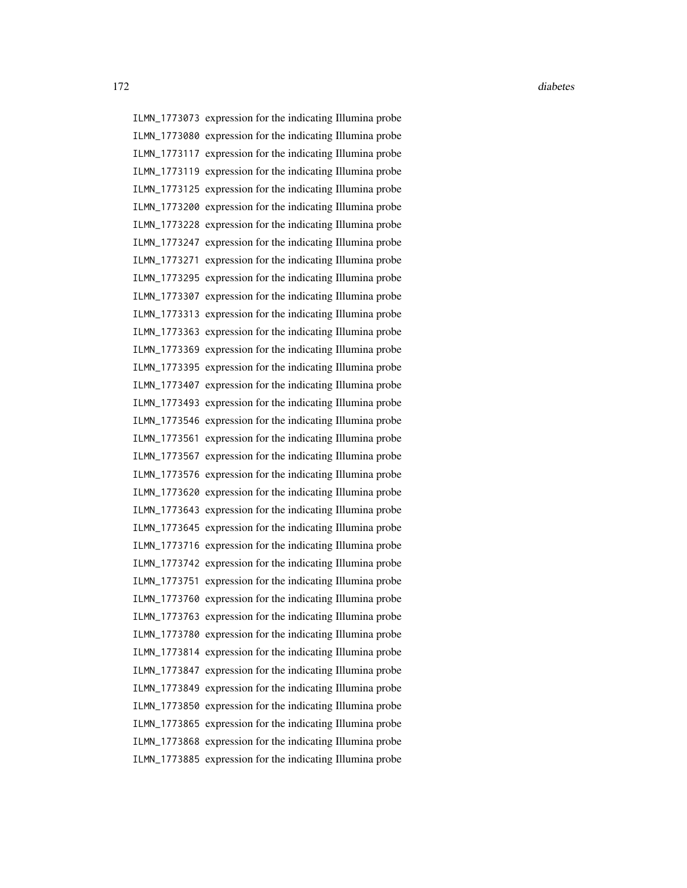ILMN\_1773073 expression for the indicating Illumina probe ILMN\_1773080 expression for the indicating Illumina probe ILMN\_1773117 expression for the indicating Illumina probe ILMN\_1773119 expression for the indicating Illumina probe ILMN\_1773125 expression for the indicating Illumina probe ILMN\_1773200 expression for the indicating Illumina probe ILMN\_1773228 expression for the indicating Illumina probe ILMN\_1773247 expression for the indicating Illumina probe ILMN\_1773271 expression for the indicating Illumina probe ILMN\_1773295 expression for the indicating Illumina probe ILMN\_1773307 expression for the indicating Illumina probe ILMN\_1773313 expression for the indicating Illumina probe ILMN\_1773363 expression for the indicating Illumina probe ILMN\_1773369 expression for the indicating Illumina probe ILMN\_1773395 expression for the indicating Illumina probe ILMN\_1773407 expression for the indicating Illumina probe ILMN\_1773493 expression for the indicating Illumina probe ILMN\_1773546 expression for the indicating Illumina probe ILMN\_1773561 expression for the indicating Illumina probe ILMN\_1773567 expression for the indicating Illumina probe ILMN\_1773576 expression for the indicating Illumina probe ILMN\_1773620 expression for the indicating Illumina probe ILMN\_1773643 expression for the indicating Illumina probe ILMN\_1773645 expression for the indicating Illumina probe ILMN\_1773716 expression for the indicating Illumina probe ILMN\_1773742 expression for the indicating Illumina probe ILMN\_1773751 expression for the indicating Illumina probe ILMN\_1773760 expression for the indicating Illumina probe ILMN\_1773763 expression for the indicating Illumina probe ILMN\_1773780 expression for the indicating Illumina probe ILMN\_1773814 expression for the indicating Illumina probe ILMN\_1773847 expression for the indicating Illumina probe ILMN\_1773849 expression for the indicating Illumina probe ILMN\_1773850 expression for the indicating Illumina probe ILMN\_1773865 expression for the indicating Illumina probe ILMN\_1773868 expression for the indicating Illumina probe ILMN\_1773885 expression for the indicating Illumina probe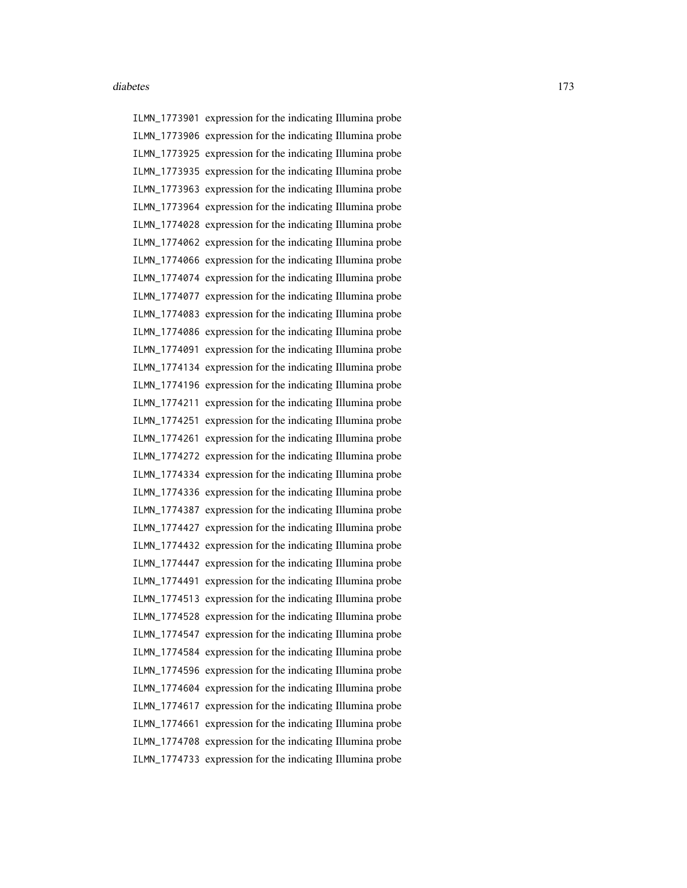ILMN\_1773901 expression for the indicating Illumina probe ILMN\_1773906 expression for the indicating Illumina probe ILMN\_1773925 expression for the indicating Illumina probe ILMN\_1773935 expression for the indicating Illumina probe ILMN\_1773963 expression for the indicating Illumina probe ILMN\_1773964 expression for the indicating Illumina probe ILMN\_1774028 expression for the indicating Illumina probe ILMN\_1774062 expression for the indicating Illumina probe ILMN\_1774066 expression for the indicating Illumina probe ILMN\_1774074 expression for the indicating Illumina probe ILMN\_1774077 expression for the indicating Illumina probe ILMN\_1774083 expression for the indicating Illumina probe ILMN\_1774086 expression for the indicating Illumina probe ILMN\_1774091 expression for the indicating Illumina probe ILMN\_1774134 expression for the indicating Illumina probe ILMN\_1774196 expression for the indicating Illumina probe ILMN\_1774211 expression for the indicating Illumina probe ILMN\_1774251 expression for the indicating Illumina probe ILMN\_1774261 expression for the indicating Illumina probe ILMN\_1774272 expression for the indicating Illumina probe ILMN\_1774334 expression for the indicating Illumina probe ILMN\_1774336 expression for the indicating Illumina probe ILMN\_1774387 expression for the indicating Illumina probe ILMN\_1774427 expression for the indicating Illumina probe ILMN\_1774432 expression for the indicating Illumina probe ILMN\_1774447 expression for the indicating Illumina probe ILMN\_1774491 expression for the indicating Illumina probe ILMN\_1774513 expression for the indicating Illumina probe ILMN\_1774528 expression for the indicating Illumina probe ILMN\_1774547 expression for the indicating Illumina probe ILMN\_1774584 expression for the indicating Illumina probe ILMN\_1774596 expression for the indicating Illumina probe ILMN\_1774604 expression for the indicating Illumina probe ILMN\_1774617 expression for the indicating Illumina probe ILMN\_1774661 expression for the indicating Illumina probe ILMN\_1774708 expression for the indicating Illumina probe ILMN\_1774733 expression for the indicating Illumina probe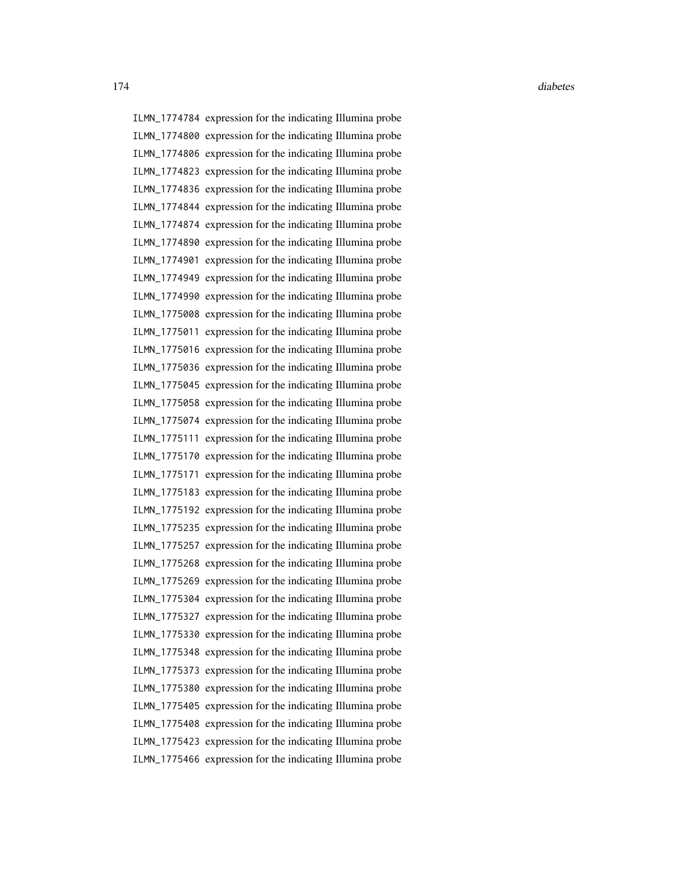ILMN\_1774784 expression for the indicating Illumina probe ILMN\_1774800 expression for the indicating Illumina probe ILMN\_1774806 expression for the indicating Illumina probe ILMN\_1774823 expression for the indicating Illumina probe ILMN\_1774836 expression for the indicating Illumina probe ILMN\_1774844 expression for the indicating Illumina probe ILMN\_1774874 expression for the indicating Illumina probe ILMN\_1774890 expression for the indicating Illumina probe ILMN\_1774901 expression for the indicating Illumina probe ILMN\_1774949 expression for the indicating Illumina probe ILMN\_1774990 expression for the indicating Illumina probe ILMN\_1775008 expression for the indicating Illumina probe ILMN\_1775011 expression for the indicating Illumina probe ILMN\_1775016 expression for the indicating Illumina probe ILMN\_1775036 expression for the indicating Illumina probe ILMN\_1775045 expression for the indicating Illumina probe ILMN\_1775058 expression for the indicating Illumina probe ILMN\_1775074 expression for the indicating Illumina probe ILMN\_1775111 expression for the indicating Illumina probe ILMN\_1775170 expression for the indicating Illumina probe ILMN\_1775171 expression for the indicating Illumina probe ILMN\_1775183 expression for the indicating Illumina probe ILMN\_1775192 expression for the indicating Illumina probe ILMN\_1775235 expression for the indicating Illumina probe ILMN\_1775257 expression for the indicating Illumina probe ILMN\_1775268 expression for the indicating Illumina probe ILMN\_1775269 expression for the indicating Illumina probe ILMN\_1775304 expression for the indicating Illumina probe ILMN\_1775327 expression for the indicating Illumina probe ILMN\_1775330 expression for the indicating Illumina probe ILMN\_1775348 expression for the indicating Illumina probe ILMN\_1775373 expression for the indicating Illumina probe ILMN\_1775380 expression for the indicating Illumina probe ILMN\_1775405 expression for the indicating Illumina probe ILMN\_1775408 expression for the indicating Illumina probe ILMN\_1775423 expression for the indicating Illumina probe ILMN\_1775466 expression for the indicating Illumina probe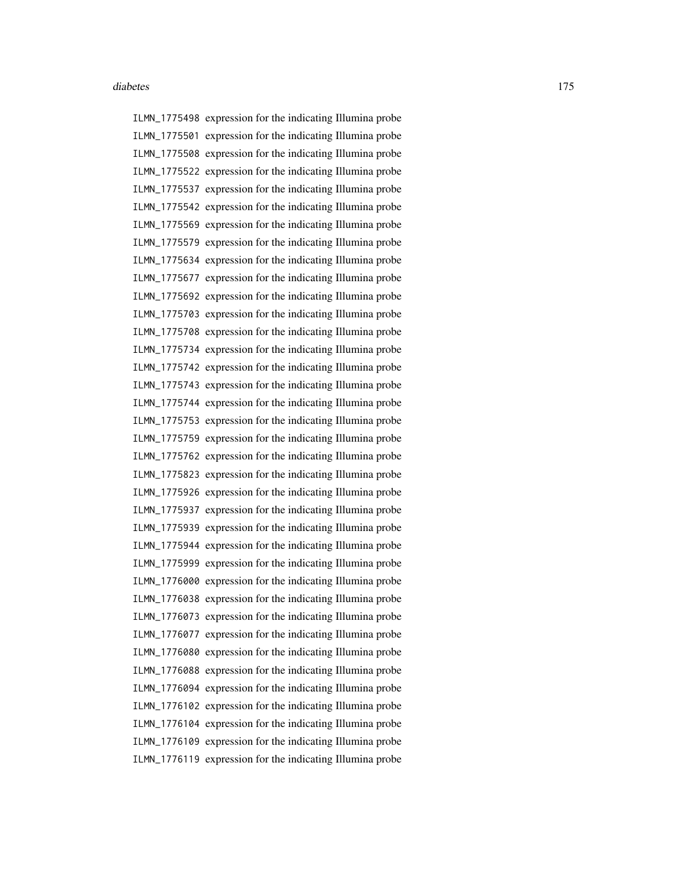ILMN\_1775498 expression for the indicating Illumina probe ILMN\_1775501 expression for the indicating Illumina probe ILMN\_1775508 expression for the indicating Illumina probe ILMN\_1775522 expression for the indicating Illumina probe ILMN\_1775537 expression for the indicating Illumina probe ILMN\_1775542 expression for the indicating Illumina probe ILMN\_1775569 expression for the indicating Illumina probe ILMN\_1775579 expression for the indicating Illumina probe ILMN\_1775634 expression for the indicating Illumina probe ILMN\_1775677 expression for the indicating Illumina probe ILMN\_1775692 expression for the indicating Illumina probe ILMN\_1775703 expression for the indicating Illumina probe ILMN\_1775708 expression for the indicating Illumina probe ILMN\_1775734 expression for the indicating Illumina probe ILMN\_1775742 expression for the indicating Illumina probe ILMN\_1775743 expression for the indicating Illumina probe ILMN\_1775744 expression for the indicating Illumina probe ILMN\_1775753 expression for the indicating Illumina probe ILMN\_1775759 expression for the indicating Illumina probe ILMN\_1775762 expression for the indicating Illumina probe ILMN\_1775823 expression for the indicating Illumina probe ILMN\_1775926 expression for the indicating Illumina probe ILMN\_1775937 expression for the indicating Illumina probe ILMN\_1775939 expression for the indicating Illumina probe ILMN\_1775944 expression for the indicating Illumina probe ILMN\_1775999 expression for the indicating Illumina probe ILMN\_1776000 expression for the indicating Illumina probe ILMN\_1776038 expression for the indicating Illumina probe ILMN\_1776073 expression for the indicating Illumina probe ILMN\_1776077 expression for the indicating Illumina probe ILMN\_1776080 expression for the indicating Illumina probe ILMN\_1776088 expression for the indicating Illumina probe ILMN\_1776094 expression for the indicating Illumina probe ILMN\_1776102 expression for the indicating Illumina probe ILMN\_1776104 expression for the indicating Illumina probe ILMN\_1776109 expression for the indicating Illumina probe ILMN\_1776119 expression for the indicating Illumina probe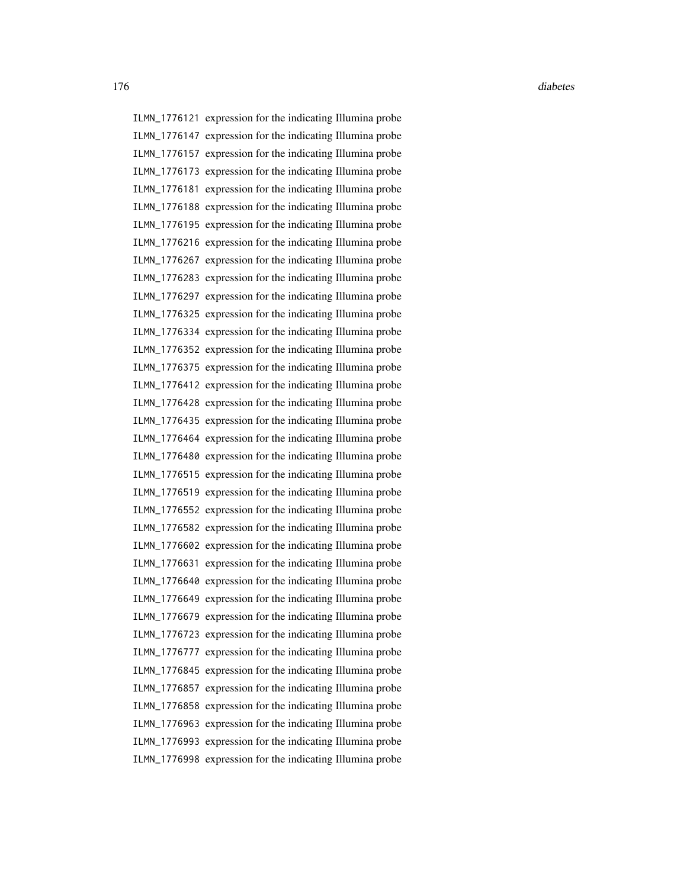176 diabetes diabetes diabetes diabetes diabetes diabetes diabetes diabetes diabetes diabetes diabetes diabetes diabetes diabetes diabetes diabetes diabetes diabetes diabetes diabetes diabetes diabetes diabetes diabetes di

ILMN\_1776121 expression for the indicating Illumina probe ILMN\_1776147 expression for the indicating Illumina probe ILMN\_1776157 expression for the indicating Illumina probe ILMN\_1776173 expression for the indicating Illumina probe ILMN\_1776181 expression for the indicating Illumina probe ILMN\_1776188 expression for the indicating Illumina probe ILMN\_1776195 expression for the indicating Illumina probe ILMN\_1776216 expression for the indicating Illumina probe ILMN\_1776267 expression for the indicating Illumina probe ILMN\_1776283 expression for the indicating Illumina probe ILMN\_1776297 expression for the indicating Illumina probe ILMN\_1776325 expression for the indicating Illumina probe ILMN\_1776334 expression for the indicating Illumina probe ILMN\_1776352 expression for the indicating Illumina probe ILMN\_1776375 expression for the indicating Illumina probe ILMN\_1776412 expression for the indicating Illumina probe ILMN\_1776428 expression for the indicating Illumina probe ILMN\_1776435 expression for the indicating Illumina probe ILMN\_1776464 expression for the indicating Illumina probe ILMN\_1776480 expression for the indicating Illumina probe ILMN\_1776515 expression for the indicating Illumina probe ILMN\_1776519 expression for the indicating Illumina probe ILMN\_1776552 expression for the indicating Illumina probe ILMN\_1776582 expression for the indicating Illumina probe ILMN\_1776602 expression for the indicating Illumina probe ILMN\_1776631 expression for the indicating Illumina probe ILMN\_1776640 expression for the indicating Illumina probe ILMN\_1776649 expression for the indicating Illumina probe ILMN\_1776679 expression for the indicating Illumina probe ILMN\_1776723 expression for the indicating Illumina probe ILMN\_1776777 expression for the indicating Illumina probe ILMN\_1776845 expression for the indicating Illumina probe ILMN\_1776857 expression for the indicating Illumina probe ILMN\_1776858 expression for the indicating Illumina probe ILMN\_1776963 expression for the indicating Illumina probe ILMN\_1776993 expression for the indicating Illumina probe ILMN\_1776998 expression for the indicating Illumina probe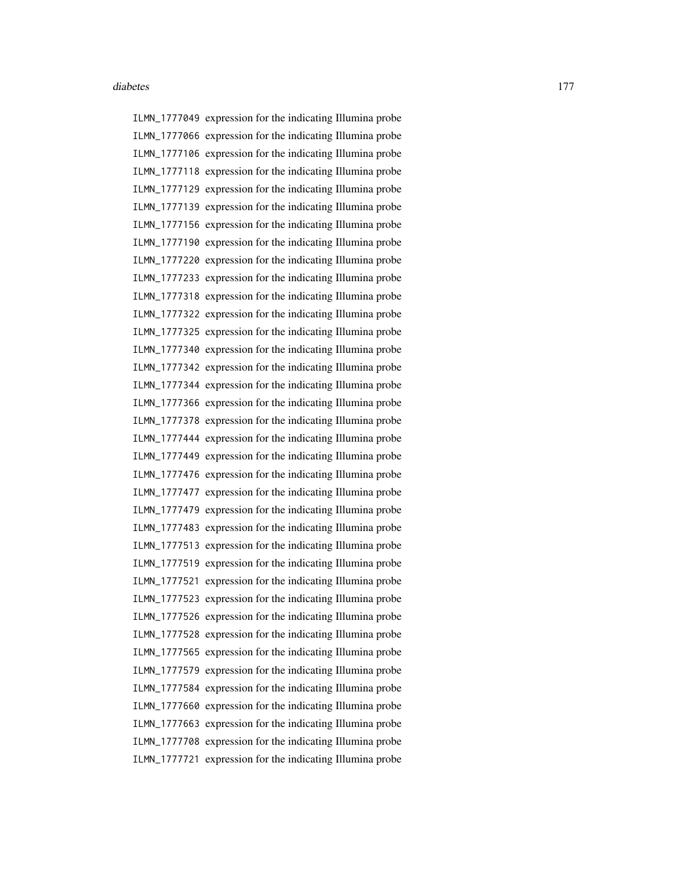ILMN\_1777049 expression for the indicating Illumina probe ILMN\_1777066 expression for the indicating Illumina probe ILMN\_1777106 expression for the indicating Illumina probe ILMN\_1777118 expression for the indicating Illumina probe ILMN\_1777129 expression for the indicating Illumina probe ILMN\_1777139 expression for the indicating Illumina probe ILMN\_1777156 expression for the indicating Illumina probe ILMN\_1777190 expression for the indicating Illumina probe ILMN\_1777220 expression for the indicating Illumina probe ILMN\_1777233 expression for the indicating Illumina probe ILMN\_1777318 expression for the indicating Illumina probe ILMN\_1777322 expression for the indicating Illumina probe ILMN\_1777325 expression for the indicating Illumina probe ILMN\_1777340 expression for the indicating Illumina probe ILMN\_1777342 expression for the indicating Illumina probe ILMN\_1777344 expression for the indicating Illumina probe ILMN\_1777366 expression for the indicating Illumina probe ILMN\_1777378 expression for the indicating Illumina probe ILMN\_1777444 expression for the indicating Illumina probe ILMN\_1777449 expression for the indicating Illumina probe ILMN\_1777476 expression for the indicating Illumina probe ILMN\_1777477 expression for the indicating Illumina probe ILMN\_1777479 expression for the indicating Illumina probe ILMN\_1777483 expression for the indicating Illumina probe ILMN\_1777513 expression for the indicating Illumina probe ILMN\_1777519 expression for the indicating Illumina probe ILMN\_1777521 expression for the indicating Illumina probe ILMN\_1777523 expression for the indicating Illumina probe ILMN\_1777526 expression for the indicating Illumina probe ILMN\_1777528 expression for the indicating Illumina probe ILMN\_1777565 expression for the indicating Illumina probe ILMN\_1777579 expression for the indicating Illumina probe ILMN\_1777584 expression for the indicating Illumina probe ILMN\_1777660 expression for the indicating Illumina probe ILMN\_1777663 expression for the indicating Illumina probe ILMN\_1777708 expression for the indicating Illumina probe ILMN\_1777721 expression for the indicating Illumina probe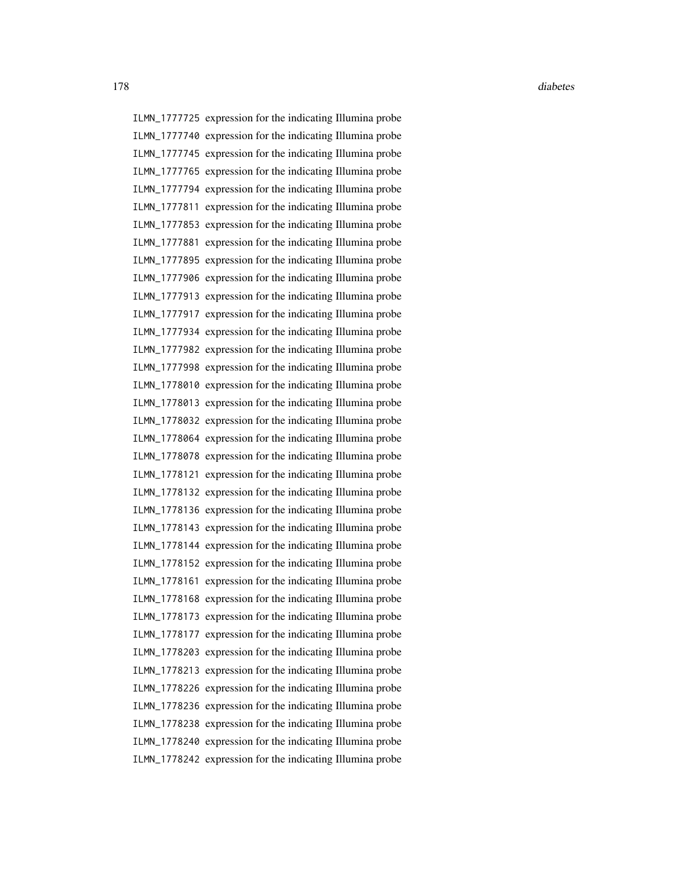ILMN\_1777725 expression for the indicating Illumina probe ILMN\_1777740 expression for the indicating Illumina probe ILMN\_1777745 expression for the indicating Illumina probe ILMN\_1777765 expression for the indicating Illumina probe ILMN\_1777794 expression for the indicating Illumina probe ILMN\_1777811 expression for the indicating Illumina probe ILMN\_1777853 expression for the indicating Illumina probe ILMN\_1777881 expression for the indicating Illumina probe ILMN\_1777895 expression for the indicating Illumina probe ILMN\_1777906 expression for the indicating Illumina probe ILMN\_1777913 expression for the indicating Illumina probe ILMN\_1777917 expression for the indicating Illumina probe ILMN\_1777934 expression for the indicating Illumina probe ILMN\_1777982 expression for the indicating Illumina probe ILMN\_1777998 expression for the indicating Illumina probe ILMN\_1778010 expression for the indicating Illumina probe ILMN\_1778013 expression for the indicating Illumina probe ILMN\_1778032 expression for the indicating Illumina probe ILMN\_1778064 expression for the indicating Illumina probe ILMN\_1778078 expression for the indicating Illumina probe ILMN\_1778121 expression for the indicating Illumina probe ILMN\_1778132 expression for the indicating Illumina probe ILMN\_1778136 expression for the indicating Illumina probe ILMN\_1778143 expression for the indicating Illumina probe ILMN\_1778144 expression for the indicating Illumina probe ILMN\_1778152 expression for the indicating Illumina probe ILMN\_1778161 expression for the indicating Illumina probe ILMN\_1778168 expression for the indicating Illumina probe ILMN\_1778173 expression for the indicating Illumina probe ILMN\_1778177 expression for the indicating Illumina probe ILMN\_1778203 expression for the indicating Illumina probe ILMN\_1778213 expression for the indicating Illumina probe ILMN\_1778226 expression for the indicating Illumina probe ILMN\_1778236 expression for the indicating Illumina probe ILMN\_1778238 expression for the indicating Illumina probe ILMN\_1778240 expression for the indicating Illumina probe ILMN\_1778242 expression for the indicating Illumina probe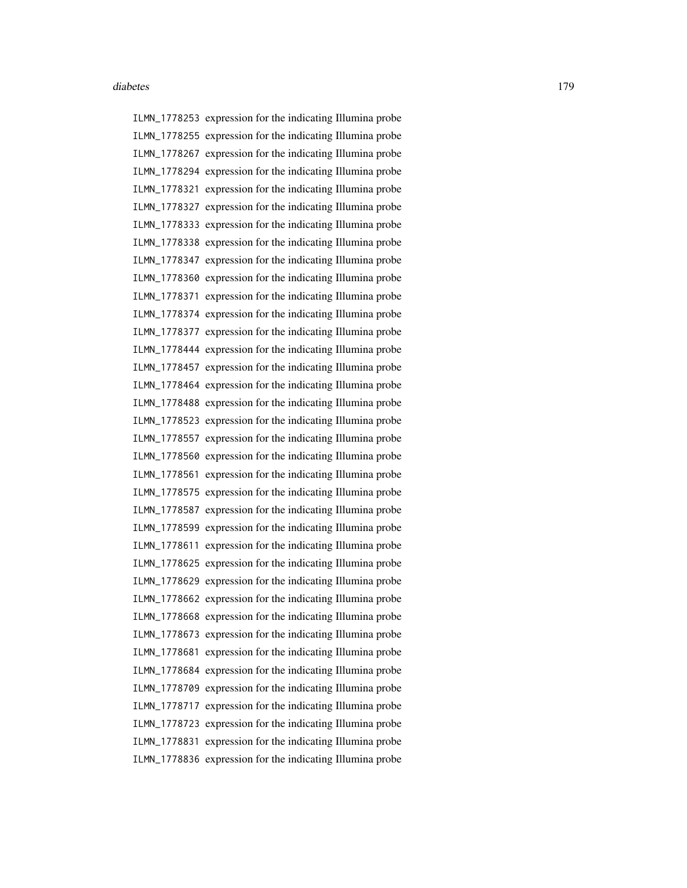ILMN\_1778253 expression for the indicating Illumina probe ILMN\_1778255 expression for the indicating Illumina probe ILMN\_1778267 expression for the indicating Illumina probe ILMN\_1778294 expression for the indicating Illumina probe ILMN\_1778321 expression for the indicating Illumina probe ILMN\_1778327 expression for the indicating Illumina probe ILMN\_1778333 expression for the indicating Illumina probe ILMN\_1778338 expression for the indicating Illumina probe ILMN\_1778347 expression for the indicating Illumina probe ILMN\_1778360 expression for the indicating Illumina probe ILMN\_1778371 expression for the indicating Illumina probe ILMN\_1778374 expression for the indicating Illumina probe ILMN\_1778377 expression for the indicating Illumina probe ILMN\_1778444 expression for the indicating Illumina probe ILMN\_1778457 expression for the indicating Illumina probe ILMN\_1778464 expression for the indicating Illumina probe ILMN\_1778488 expression for the indicating Illumina probe ILMN\_1778523 expression for the indicating Illumina probe ILMN\_1778557 expression for the indicating Illumina probe ILMN\_1778560 expression for the indicating Illumina probe ILMN\_1778561 expression for the indicating Illumina probe ILMN\_1778575 expression for the indicating Illumina probe ILMN\_1778587 expression for the indicating Illumina probe ILMN\_1778599 expression for the indicating Illumina probe ILMN\_1778611 expression for the indicating Illumina probe ILMN\_1778625 expression for the indicating Illumina probe ILMN\_1778629 expression for the indicating Illumina probe ILMN\_1778662 expression for the indicating Illumina probe ILMN\_1778668 expression for the indicating Illumina probe ILMN\_1778673 expression for the indicating Illumina probe ILMN\_1778681 expression for the indicating Illumina probe ILMN\_1778684 expression for the indicating Illumina probe ILMN\_1778709 expression for the indicating Illumina probe ILMN\_1778717 expression for the indicating Illumina probe ILMN\_1778723 expression for the indicating Illumina probe ILMN\_1778831 expression for the indicating Illumina probe ILMN\_1778836 expression for the indicating Illumina probe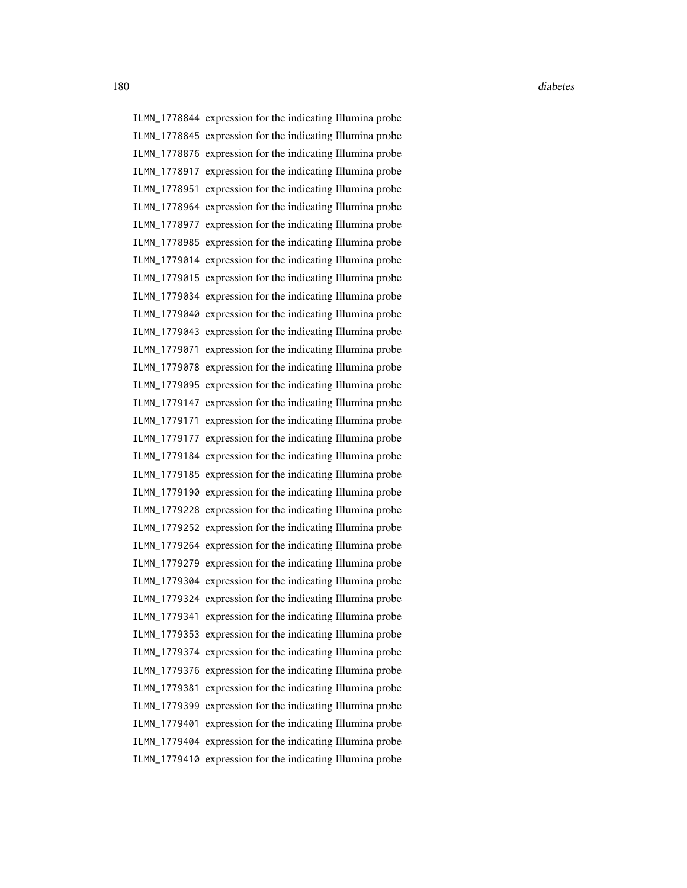ILMN\_1778844 expression for the indicating Illumina probe ILMN\_1778845 expression for the indicating Illumina probe ILMN\_1778876 expression for the indicating Illumina probe ILMN\_1778917 expression for the indicating Illumina probe ILMN\_1778951 expression for the indicating Illumina probe ILMN\_1778964 expression for the indicating Illumina probe ILMN\_1778977 expression for the indicating Illumina probe ILMN\_1778985 expression for the indicating Illumina probe ILMN\_1779014 expression for the indicating Illumina probe ILMN\_1779015 expression for the indicating Illumina probe ILMN\_1779034 expression for the indicating Illumina probe ILMN\_1779040 expression for the indicating Illumina probe ILMN\_1779043 expression for the indicating Illumina probe ILMN\_1779071 expression for the indicating Illumina probe ILMN\_1779078 expression for the indicating Illumina probe ILMN\_1779095 expression for the indicating Illumina probe ILMN\_1779147 expression for the indicating Illumina probe ILMN\_1779171 expression for the indicating Illumina probe ILMN\_1779177 expression for the indicating Illumina probe ILMN\_1779184 expression for the indicating Illumina probe ILMN\_1779185 expression for the indicating Illumina probe ILMN\_1779190 expression for the indicating Illumina probe ILMN\_1779228 expression for the indicating Illumina probe ILMN\_1779252 expression for the indicating Illumina probe ILMN\_1779264 expression for the indicating Illumina probe ILMN\_1779279 expression for the indicating Illumina probe ILMN\_1779304 expression for the indicating Illumina probe ILMN\_1779324 expression for the indicating Illumina probe ILMN\_1779341 expression for the indicating Illumina probe ILMN\_1779353 expression for the indicating Illumina probe ILMN\_1779374 expression for the indicating Illumina probe ILMN\_1779376 expression for the indicating Illumina probe ILMN\_1779381 expression for the indicating Illumina probe ILMN\_1779399 expression for the indicating Illumina probe ILMN\_1779401 expression for the indicating Illumina probe ILMN\_1779404 expression for the indicating Illumina probe ILMN\_1779410 expression for the indicating Illumina probe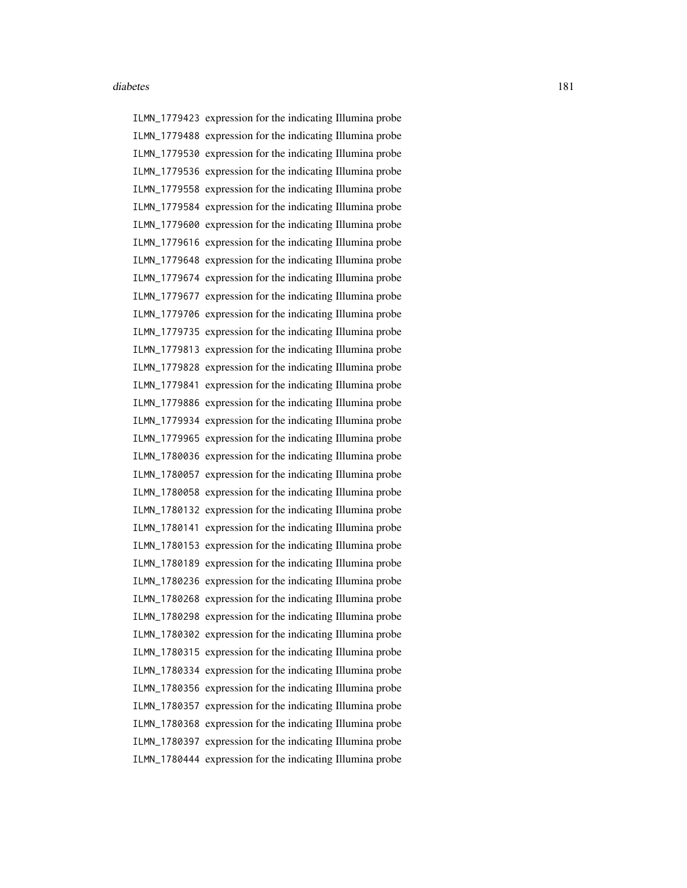ILMN\_1779423 expression for the indicating Illumina probe ILMN\_1779488 expression for the indicating Illumina probe ILMN\_1779530 expression for the indicating Illumina probe ILMN\_1779536 expression for the indicating Illumina probe ILMN\_1779558 expression for the indicating Illumina probe ILMN\_1779584 expression for the indicating Illumina probe ILMN\_1779600 expression for the indicating Illumina probe ILMN\_1779616 expression for the indicating Illumina probe ILMN\_1779648 expression for the indicating Illumina probe ILMN\_1779674 expression for the indicating Illumina probe ILMN\_1779677 expression for the indicating Illumina probe ILMN\_1779706 expression for the indicating Illumina probe ILMN\_1779735 expression for the indicating Illumina probe ILMN\_1779813 expression for the indicating Illumina probe ILMN\_1779828 expression for the indicating Illumina probe ILMN\_1779841 expression for the indicating Illumina probe ILMN\_1779886 expression for the indicating Illumina probe ILMN\_1779934 expression for the indicating Illumina probe ILMN\_1779965 expression for the indicating Illumina probe ILMN\_1780036 expression for the indicating Illumina probe ILMN\_1780057 expression for the indicating Illumina probe ILMN\_1780058 expression for the indicating Illumina probe ILMN\_1780132 expression for the indicating Illumina probe ILMN\_1780141 expression for the indicating Illumina probe ILMN\_1780153 expression for the indicating Illumina probe ILMN\_1780189 expression for the indicating Illumina probe ILMN\_1780236 expression for the indicating Illumina probe ILMN\_1780268 expression for the indicating Illumina probe ILMN\_1780298 expression for the indicating Illumina probe ILMN\_1780302 expression for the indicating Illumina probe ILMN\_1780315 expression for the indicating Illumina probe ILMN\_1780334 expression for the indicating Illumina probe ILMN\_1780356 expression for the indicating Illumina probe ILMN\_1780357 expression for the indicating Illumina probe ILMN\_1780368 expression for the indicating Illumina probe ILMN\_1780397 expression for the indicating Illumina probe ILMN\_1780444 expression for the indicating Illumina probe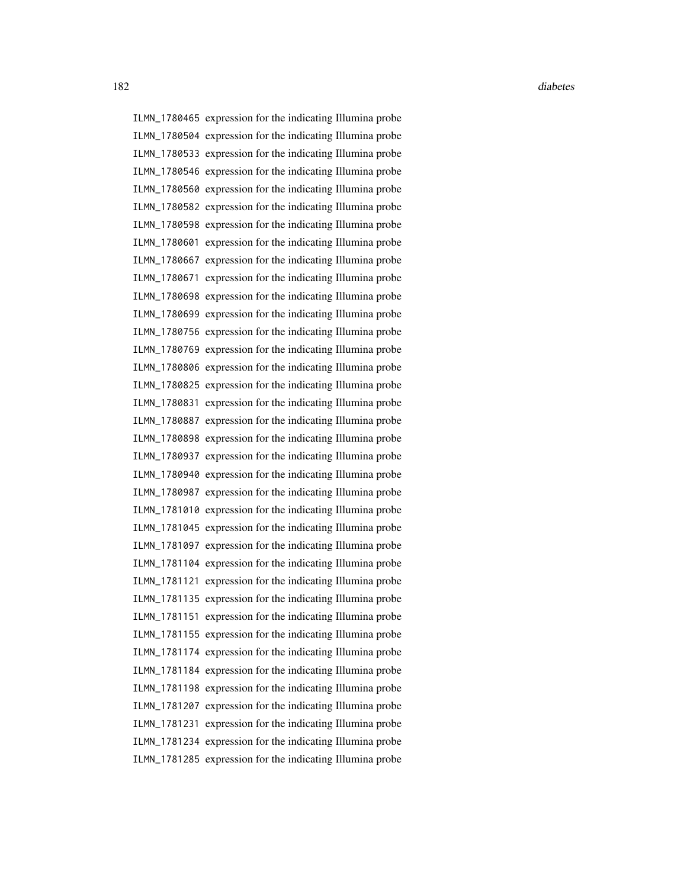ILMN\_1780465 expression for the indicating Illumina probe ILMN\_1780504 expression for the indicating Illumina probe ILMN\_1780533 expression for the indicating Illumina probe ILMN\_1780546 expression for the indicating Illumina probe ILMN\_1780560 expression for the indicating Illumina probe ILMN\_1780582 expression for the indicating Illumina probe ILMN\_1780598 expression for the indicating Illumina probe ILMN\_1780601 expression for the indicating Illumina probe ILMN\_1780667 expression for the indicating Illumina probe ILMN\_1780671 expression for the indicating Illumina probe ILMN\_1780698 expression for the indicating Illumina probe ILMN\_1780699 expression for the indicating Illumina probe ILMN\_1780756 expression for the indicating Illumina probe ILMN\_1780769 expression for the indicating Illumina probe ILMN\_1780806 expression for the indicating Illumina probe ILMN\_1780825 expression for the indicating Illumina probe ILMN\_1780831 expression for the indicating Illumina probe ILMN\_1780887 expression for the indicating Illumina probe ILMN\_1780898 expression for the indicating Illumina probe ILMN\_1780937 expression for the indicating Illumina probe ILMN\_1780940 expression for the indicating Illumina probe ILMN\_1780987 expression for the indicating Illumina probe ILMN\_1781010 expression for the indicating Illumina probe ILMN\_1781045 expression for the indicating Illumina probe ILMN\_1781097 expression for the indicating Illumina probe ILMN\_1781104 expression for the indicating Illumina probe ILMN\_1781121 expression for the indicating Illumina probe ILMN\_1781135 expression for the indicating Illumina probe ILMN\_1781151 expression for the indicating Illumina probe ILMN\_1781155 expression for the indicating Illumina probe ILMN\_1781174 expression for the indicating Illumina probe ILMN\_1781184 expression for the indicating Illumina probe ILMN\_1781198 expression for the indicating Illumina probe ILMN\_1781207 expression for the indicating Illumina probe ILMN\_1781231 expression for the indicating Illumina probe ILMN\_1781234 expression for the indicating Illumina probe ILMN\_1781285 expression for the indicating Illumina probe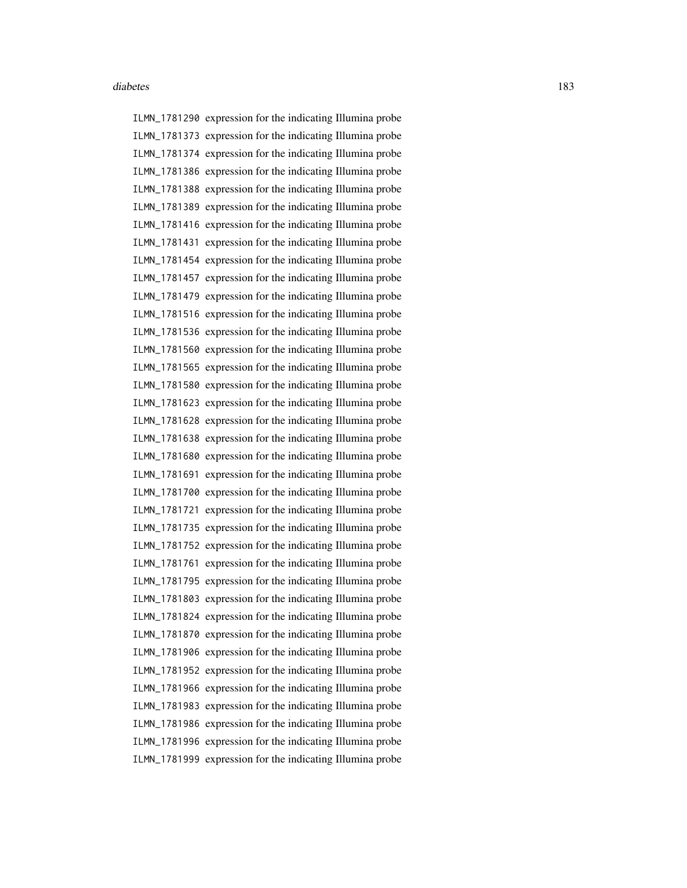ILMN\_1781290 expression for the indicating Illumina probe ILMN\_1781373 expression for the indicating Illumina probe ILMN\_1781374 expression for the indicating Illumina probe ILMN\_1781386 expression for the indicating Illumina probe ILMN\_1781388 expression for the indicating Illumina probe ILMN\_1781389 expression for the indicating Illumina probe ILMN\_1781416 expression for the indicating Illumina probe ILMN\_1781431 expression for the indicating Illumina probe ILMN\_1781454 expression for the indicating Illumina probe ILMN\_1781457 expression for the indicating Illumina probe ILMN\_1781479 expression for the indicating Illumina probe ILMN\_1781516 expression for the indicating Illumina probe ILMN\_1781536 expression for the indicating Illumina probe ILMN\_1781560 expression for the indicating Illumina probe ILMN\_1781565 expression for the indicating Illumina probe ILMN\_1781580 expression for the indicating Illumina probe ILMN\_1781623 expression for the indicating Illumina probe ILMN\_1781628 expression for the indicating Illumina probe ILMN\_1781638 expression for the indicating Illumina probe ILMN\_1781680 expression for the indicating Illumina probe ILMN\_1781691 expression for the indicating Illumina probe ILMN\_1781700 expression for the indicating Illumina probe ILMN\_1781721 expression for the indicating Illumina probe ILMN\_1781735 expression for the indicating Illumina probe ILMN\_1781752 expression for the indicating Illumina probe ILMN\_1781761 expression for the indicating Illumina probe ILMN\_1781795 expression for the indicating Illumina probe ILMN\_1781803 expression for the indicating Illumina probe ILMN\_1781824 expression for the indicating Illumina probe ILMN\_1781870 expression for the indicating Illumina probe ILMN\_1781906 expression for the indicating Illumina probe ILMN\_1781952 expression for the indicating Illumina probe ILMN\_1781966 expression for the indicating Illumina probe ILMN\_1781983 expression for the indicating Illumina probe ILMN\_1781986 expression for the indicating Illumina probe ILMN\_1781996 expression for the indicating Illumina probe ILMN\_1781999 expression for the indicating Illumina probe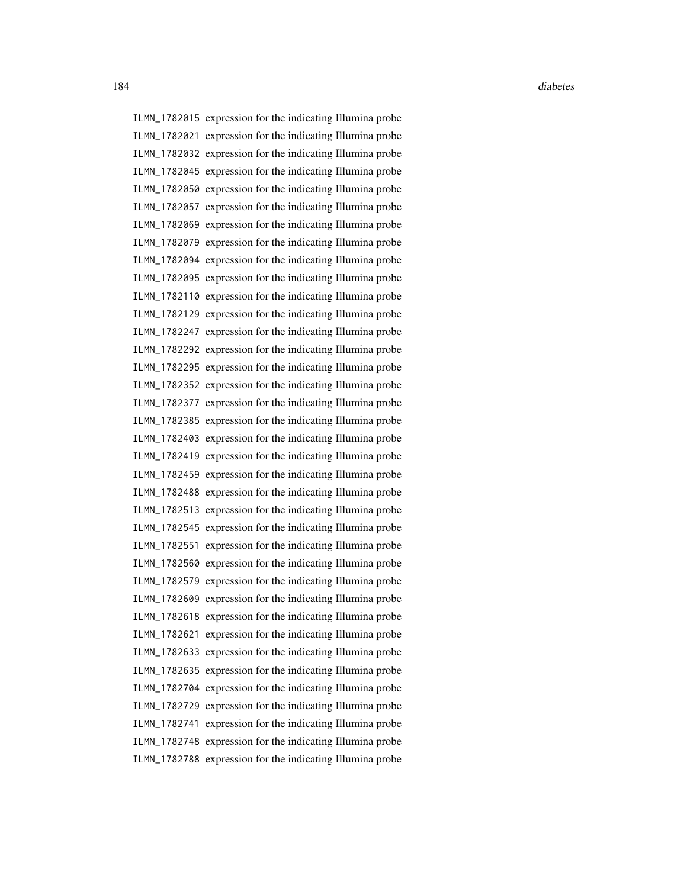ILMN\_1782015 expression for the indicating Illumina probe ILMN\_1782021 expression for the indicating Illumina probe ILMN\_1782032 expression for the indicating Illumina probe ILMN\_1782045 expression for the indicating Illumina probe ILMN\_1782050 expression for the indicating Illumina probe ILMN\_1782057 expression for the indicating Illumina probe ILMN\_1782069 expression for the indicating Illumina probe ILMN\_1782079 expression for the indicating Illumina probe ILMN\_1782094 expression for the indicating Illumina probe ILMN\_1782095 expression for the indicating Illumina probe ILMN\_1782110 expression for the indicating Illumina probe ILMN\_1782129 expression for the indicating Illumina probe ILMN\_1782247 expression for the indicating Illumina probe ILMN\_1782292 expression for the indicating Illumina probe ILMN\_1782295 expression for the indicating Illumina probe ILMN\_1782352 expression for the indicating Illumina probe ILMN\_1782377 expression for the indicating Illumina probe ILMN\_1782385 expression for the indicating Illumina probe ILMN\_1782403 expression for the indicating Illumina probe ILMN\_1782419 expression for the indicating Illumina probe ILMN\_1782459 expression for the indicating Illumina probe ILMN\_1782488 expression for the indicating Illumina probe ILMN\_1782513 expression for the indicating Illumina probe ILMN\_1782545 expression for the indicating Illumina probe ILMN\_1782551 expression for the indicating Illumina probe ILMN\_1782560 expression for the indicating Illumina probe ILMN\_1782579 expression for the indicating Illumina probe ILMN\_1782609 expression for the indicating Illumina probe ILMN\_1782618 expression for the indicating Illumina probe ILMN\_1782621 expression for the indicating Illumina probe ILMN\_1782633 expression for the indicating Illumina probe ILMN\_1782635 expression for the indicating Illumina probe ILMN\_1782704 expression for the indicating Illumina probe ILMN\_1782729 expression for the indicating Illumina probe ILMN\_1782741 expression for the indicating Illumina probe ILMN\_1782748 expression for the indicating Illumina probe ILMN\_1782788 expression for the indicating Illumina probe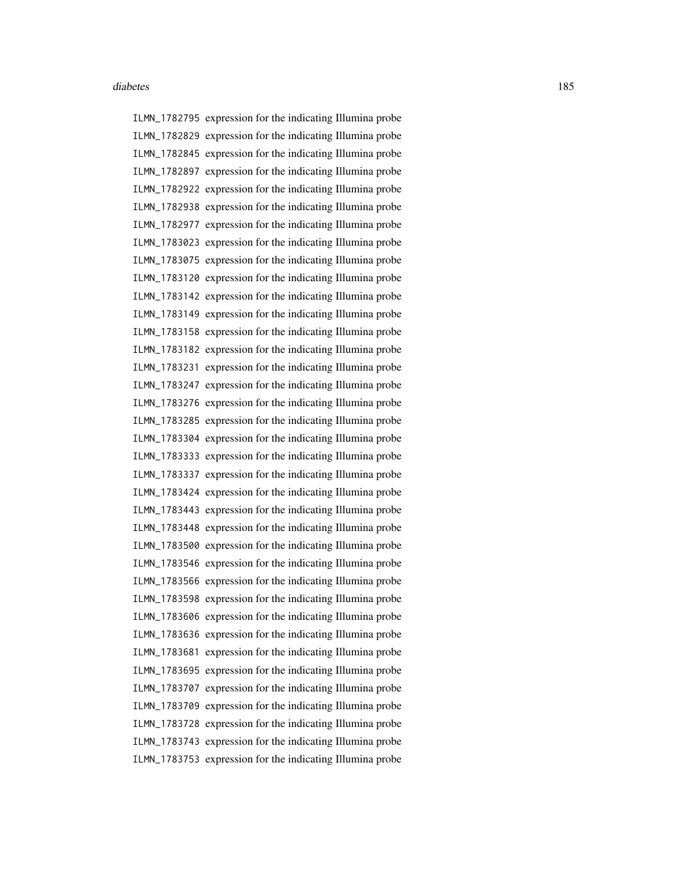ILMN\_1782795 expression for the indicating Illumina probe ILMN\_1782829 expression for the indicating Illumina probe ILMN\_1782845 expression for the indicating Illumina probe ILMN\_1782897 expression for the indicating Illumina probe ILMN\_1782922 expression for the indicating Illumina probe ILMN\_1782938 expression for the indicating Illumina probe ILMN\_1782977 expression for the indicating Illumina probe ILMN\_1783023 expression for the indicating Illumina probe ILMN\_1783075 expression for the indicating Illumina probe ILMN\_1783120 expression for the indicating Illumina probe ILMN\_1783142 expression for the indicating Illumina probe ILMN\_1783149 expression for the indicating Illumina probe ILMN\_1783158 expression for the indicating Illumina probe ILMN\_1783182 expression for the indicating Illumina probe ILMN\_1783231 expression for the indicating Illumina probe ILMN\_1783247 expression for the indicating Illumina probe ILMN\_1783276 expression for the indicating Illumina probe ILMN\_1783285 expression for the indicating Illumina probe ILMN\_1783304 expression for the indicating Illumina probe ILMN\_1783333 expression for the indicating Illumina probe ILMN\_1783337 expression for the indicating Illumina probe ILMN\_1783424 expression for the indicating Illumina probe ILMN\_1783443 expression for the indicating Illumina probe ILMN\_1783448 expression for the indicating Illumina probe ILMN\_1783500 expression for the indicating Illumina probe ILMN\_1783546 expression for the indicating Illumina probe ILMN\_1783566 expression for the indicating Illumina probe ILMN\_1783598 expression for the indicating Illumina probe ILMN\_1783606 expression for the indicating Illumina probe ILMN\_1783636 expression for the indicating Illumina probe ILMN\_1783681 expression for the indicating Illumina probe ILMN\_1783695 expression for the indicating Illumina probe ILMN\_1783707 expression for the indicating Illumina probe ILMN\_1783709 expression for the indicating Illumina probe ILMN\_1783728 expression for the indicating Illumina probe ILMN\_1783743 expression for the indicating Illumina probe ILMN\_1783753 expression for the indicating Illumina probe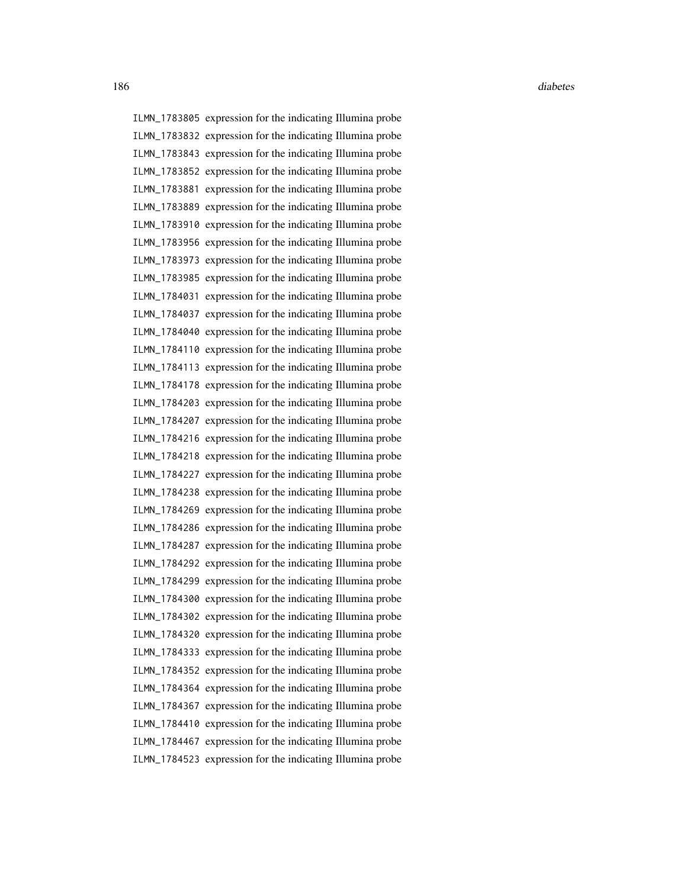ILMN\_1783805 expression for the indicating Illumina probe ILMN\_1783832 expression for the indicating Illumina probe ILMN\_1783843 expression for the indicating Illumina probe ILMN\_1783852 expression for the indicating Illumina probe ILMN\_1783881 expression for the indicating Illumina probe ILMN\_1783889 expression for the indicating Illumina probe ILMN\_1783910 expression for the indicating Illumina probe ILMN\_1783956 expression for the indicating Illumina probe ILMN\_1783973 expression for the indicating Illumina probe ILMN\_1783985 expression for the indicating Illumina probe ILMN\_1784031 expression for the indicating Illumina probe ILMN\_1784037 expression for the indicating Illumina probe ILMN\_1784040 expression for the indicating Illumina probe ILMN\_1784110 expression for the indicating Illumina probe ILMN\_1784113 expression for the indicating Illumina probe ILMN\_1784178 expression for the indicating Illumina probe ILMN\_1784203 expression for the indicating Illumina probe ILMN\_1784207 expression for the indicating Illumina probe ILMN\_1784216 expression for the indicating Illumina probe ILMN\_1784218 expression for the indicating Illumina probe ILMN\_1784227 expression for the indicating Illumina probe ILMN\_1784238 expression for the indicating Illumina probe ILMN\_1784269 expression for the indicating Illumina probe ILMN\_1784286 expression for the indicating Illumina probe ILMN\_1784287 expression for the indicating Illumina probe ILMN\_1784292 expression for the indicating Illumina probe ILMN\_1784299 expression for the indicating Illumina probe ILMN\_1784300 expression for the indicating Illumina probe ILMN\_1784302 expression for the indicating Illumina probe ILMN\_1784320 expression for the indicating Illumina probe ILMN\_1784333 expression for the indicating Illumina probe ILMN\_1784352 expression for the indicating Illumina probe ILMN\_1784364 expression for the indicating Illumina probe ILMN\_1784367 expression for the indicating Illumina probe ILMN\_1784410 expression for the indicating Illumina probe ILMN\_1784467 expression for the indicating Illumina probe ILMN\_1784523 expression for the indicating Illumina probe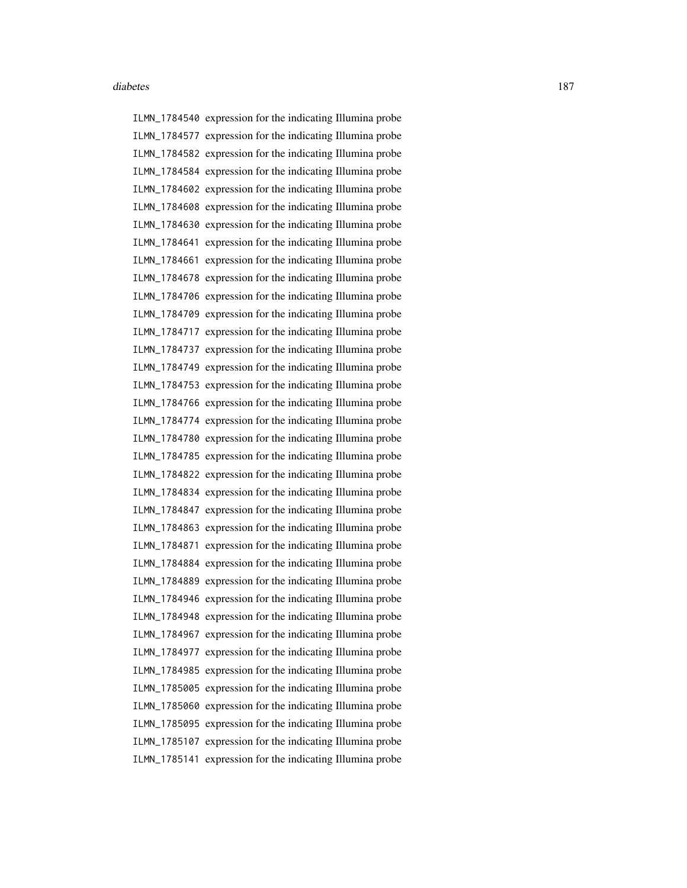ILMN\_1784540 expression for the indicating Illumina probe ILMN\_1784577 expression for the indicating Illumina probe ILMN\_1784582 expression for the indicating Illumina probe ILMN\_1784584 expression for the indicating Illumina probe ILMN\_1784602 expression for the indicating Illumina probe ILMN\_1784608 expression for the indicating Illumina probe ILMN\_1784630 expression for the indicating Illumina probe ILMN\_1784641 expression for the indicating Illumina probe ILMN\_1784661 expression for the indicating Illumina probe ILMN\_1784678 expression for the indicating Illumina probe ILMN\_1784706 expression for the indicating Illumina probe ILMN\_1784709 expression for the indicating Illumina probe ILMN\_1784717 expression for the indicating Illumina probe ILMN\_1784737 expression for the indicating Illumina probe ILMN\_1784749 expression for the indicating Illumina probe ILMN\_1784753 expression for the indicating Illumina probe ILMN\_1784766 expression for the indicating Illumina probe ILMN\_1784774 expression for the indicating Illumina probe ILMN\_1784780 expression for the indicating Illumina probe ILMN\_1784785 expression for the indicating Illumina probe ILMN\_1784822 expression for the indicating Illumina probe ILMN\_1784834 expression for the indicating Illumina probe ILMN\_1784847 expression for the indicating Illumina probe ILMN\_1784863 expression for the indicating Illumina probe ILMN\_1784871 expression for the indicating Illumina probe ILMN\_1784884 expression for the indicating Illumina probe ILMN\_1784889 expression for the indicating Illumina probe ILMN\_1784946 expression for the indicating Illumina probe ILMN\_1784948 expression for the indicating Illumina probe ILMN\_1784967 expression for the indicating Illumina probe ILMN\_1784977 expression for the indicating Illumina probe ILMN\_1784985 expression for the indicating Illumina probe ILMN\_1785005 expression for the indicating Illumina probe ILMN\_1785060 expression for the indicating Illumina probe ILMN\_1785095 expression for the indicating Illumina probe ILMN\_1785107 expression for the indicating Illumina probe ILMN\_1785141 expression for the indicating Illumina probe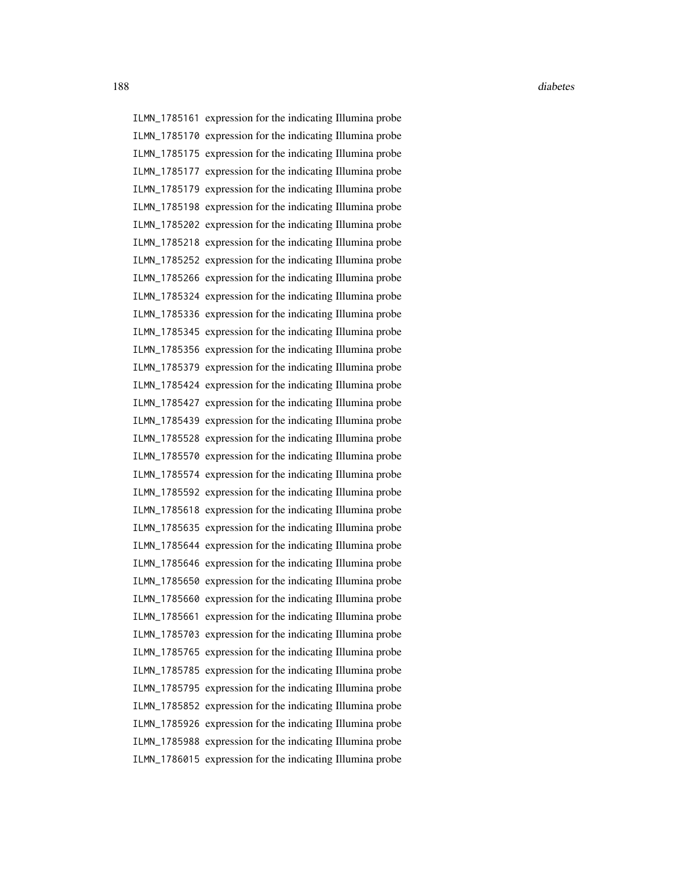ILMN\_1785161 expression for the indicating Illumina probe ILMN\_1785170 expression for the indicating Illumina probe ILMN\_1785175 expression for the indicating Illumina probe ILMN\_1785177 expression for the indicating Illumina probe ILMN\_1785179 expression for the indicating Illumina probe ILMN\_1785198 expression for the indicating Illumina probe ILMN\_1785202 expression for the indicating Illumina probe ILMN\_1785218 expression for the indicating Illumina probe ILMN\_1785252 expression for the indicating Illumina probe ILMN\_1785266 expression for the indicating Illumina probe ILMN\_1785324 expression for the indicating Illumina probe ILMN\_1785336 expression for the indicating Illumina probe ILMN\_1785345 expression for the indicating Illumina probe ILMN\_1785356 expression for the indicating Illumina probe ILMN\_1785379 expression for the indicating Illumina probe ILMN\_1785424 expression for the indicating Illumina probe ILMN\_1785427 expression for the indicating Illumina probe ILMN\_1785439 expression for the indicating Illumina probe ILMN\_1785528 expression for the indicating Illumina probe ILMN\_1785570 expression for the indicating Illumina probe ILMN\_1785574 expression for the indicating Illumina probe ILMN\_1785592 expression for the indicating Illumina probe ILMN\_1785618 expression for the indicating Illumina probe ILMN\_1785635 expression for the indicating Illumina probe ILMN\_1785644 expression for the indicating Illumina probe ILMN\_1785646 expression for the indicating Illumina probe ILMN\_1785650 expression for the indicating Illumina probe ILMN\_1785660 expression for the indicating Illumina probe ILMN\_1785661 expression for the indicating Illumina probe ILMN\_1785703 expression for the indicating Illumina probe ILMN\_1785765 expression for the indicating Illumina probe ILMN\_1785785 expression for the indicating Illumina probe ILMN\_1785795 expression for the indicating Illumina probe ILMN\_1785852 expression for the indicating Illumina probe ILMN\_1785926 expression for the indicating Illumina probe ILMN\_1785988 expression for the indicating Illumina probe ILMN\_1786015 expression for the indicating Illumina probe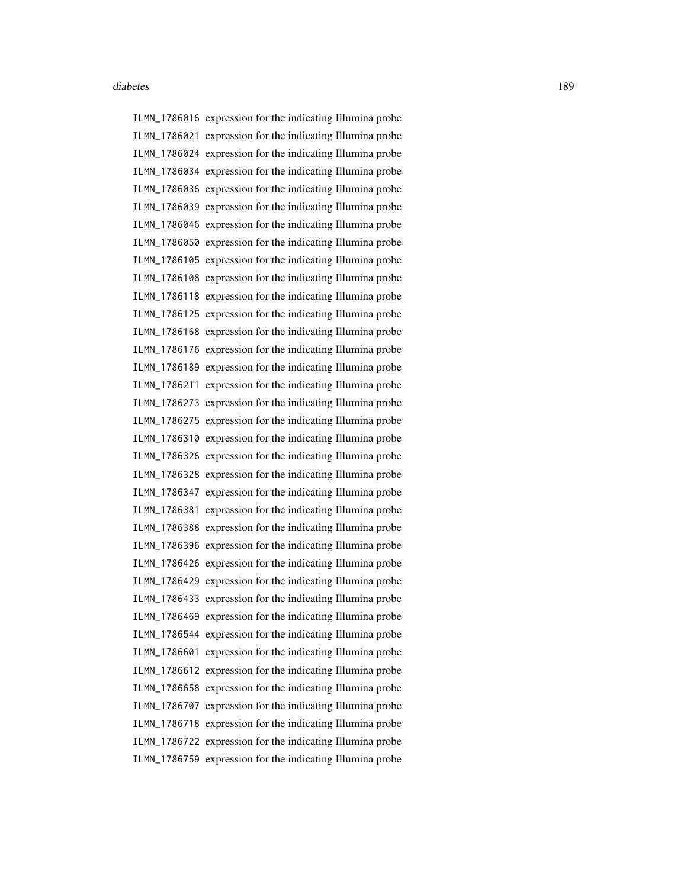ILMN\_1786016 expression for the indicating Illumina probe ILMN\_1786021 expression for the indicating Illumina probe ILMN\_1786024 expression for the indicating Illumina probe ILMN\_1786034 expression for the indicating Illumina probe ILMN\_1786036 expression for the indicating Illumina probe ILMN\_1786039 expression for the indicating Illumina probe ILMN\_1786046 expression for the indicating Illumina probe ILMN\_1786050 expression for the indicating Illumina probe ILMN\_1786105 expression for the indicating Illumina probe ILMN\_1786108 expression for the indicating Illumina probe ILMN\_1786118 expression for the indicating Illumina probe ILMN\_1786125 expression for the indicating Illumina probe ILMN\_1786168 expression for the indicating Illumina probe ILMN\_1786176 expression for the indicating Illumina probe ILMN\_1786189 expression for the indicating Illumina probe ILMN\_1786211 expression for the indicating Illumina probe ILMN\_1786273 expression for the indicating Illumina probe ILMN\_1786275 expression for the indicating Illumina probe ILMN\_1786310 expression for the indicating Illumina probe ILMN\_1786326 expression for the indicating Illumina probe ILMN\_1786328 expression for the indicating Illumina probe ILMN\_1786347 expression for the indicating Illumina probe ILMN\_1786381 expression for the indicating Illumina probe ILMN\_1786388 expression for the indicating Illumina probe ILMN\_1786396 expression for the indicating Illumina probe ILMN\_1786426 expression for the indicating Illumina probe ILMN\_1786429 expression for the indicating Illumina probe ILMN\_1786433 expression for the indicating Illumina probe ILMN\_1786469 expression for the indicating Illumina probe ILMN\_1786544 expression for the indicating Illumina probe ILMN\_1786601 expression for the indicating Illumina probe ILMN\_1786612 expression for the indicating Illumina probe ILMN\_1786658 expression for the indicating Illumina probe ILMN\_1786707 expression for the indicating Illumina probe ILMN\_1786718 expression for the indicating Illumina probe ILMN\_1786722 expression for the indicating Illumina probe ILMN\_1786759 expression for the indicating Illumina probe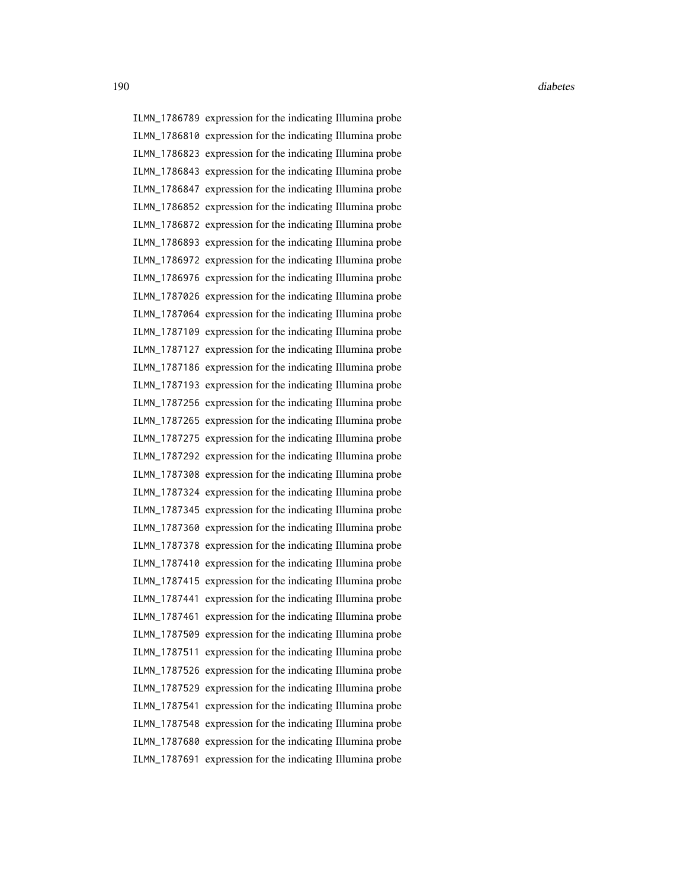ILMN\_1786789 expression for the indicating Illumina probe ILMN\_1786810 expression for the indicating Illumina probe ILMN\_1786823 expression for the indicating Illumina probe ILMN\_1786843 expression for the indicating Illumina probe ILMN\_1786847 expression for the indicating Illumina probe ILMN\_1786852 expression for the indicating Illumina probe ILMN\_1786872 expression for the indicating Illumina probe ILMN\_1786893 expression for the indicating Illumina probe ILMN\_1786972 expression for the indicating Illumina probe ILMN\_1786976 expression for the indicating Illumina probe ILMN\_1787026 expression for the indicating Illumina probe ILMN\_1787064 expression for the indicating Illumina probe ILMN\_1787109 expression for the indicating Illumina probe ILMN\_1787127 expression for the indicating Illumina probe ILMN\_1787186 expression for the indicating Illumina probe ILMN\_1787193 expression for the indicating Illumina probe ILMN\_1787256 expression for the indicating Illumina probe ILMN\_1787265 expression for the indicating Illumina probe ILMN\_1787275 expression for the indicating Illumina probe ILMN\_1787292 expression for the indicating Illumina probe ILMN\_1787308 expression for the indicating Illumina probe ILMN\_1787324 expression for the indicating Illumina probe ILMN\_1787345 expression for the indicating Illumina probe ILMN\_1787360 expression for the indicating Illumina probe ILMN\_1787378 expression for the indicating Illumina probe ILMN\_1787410 expression for the indicating Illumina probe ILMN\_1787415 expression for the indicating Illumina probe ILMN\_1787441 expression for the indicating Illumina probe ILMN\_1787461 expression for the indicating Illumina probe ILMN\_1787509 expression for the indicating Illumina probe ILMN\_1787511 expression for the indicating Illumina probe ILMN\_1787526 expression for the indicating Illumina probe ILMN\_1787529 expression for the indicating Illumina probe ILMN\_1787541 expression for the indicating Illumina probe ILMN\_1787548 expression for the indicating Illumina probe ILMN\_1787680 expression for the indicating Illumina probe ILMN\_1787691 expression for the indicating Illumina probe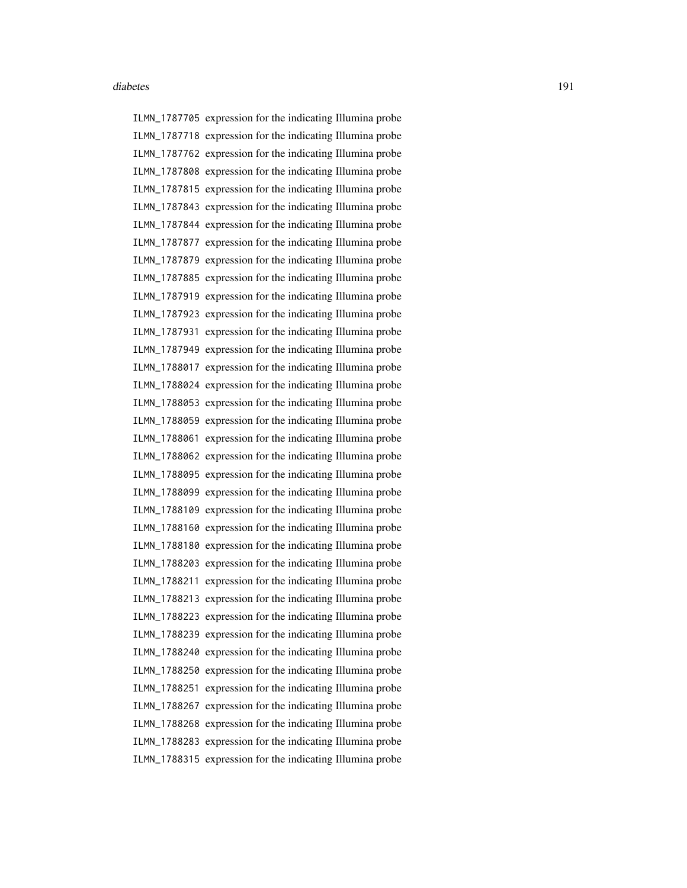ILMN\_1787705 expression for the indicating Illumina probe ILMN\_1787718 expression for the indicating Illumina probe ILMN\_1787762 expression for the indicating Illumina probe ILMN\_1787808 expression for the indicating Illumina probe ILMN\_1787815 expression for the indicating Illumina probe ILMN\_1787843 expression for the indicating Illumina probe ILMN\_1787844 expression for the indicating Illumina probe ILMN\_1787877 expression for the indicating Illumina probe ILMN\_1787879 expression for the indicating Illumina probe ILMN\_1787885 expression for the indicating Illumina probe ILMN\_1787919 expression for the indicating Illumina probe ILMN\_1787923 expression for the indicating Illumina probe ILMN\_1787931 expression for the indicating Illumina probe ILMN\_1787949 expression for the indicating Illumina probe ILMN\_1788017 expression for the indicating Illumina probe ILMN\_1788024 expression for the indicating Illumina probe ILMN\_1788053 expression for the indicating Illumina probe ILMN\_1788059 expression for the indicating Illumina probe ILMN\_1788061 expression for the indicating Illumina probe ILMN\_1788062 expression for the indicating Illumina probe ILMN\_1788095 expression for the indicating Illumina probe ILMN\_1788099 expression for the indicating Illumina probe ILMN\_1788109 expression for the indicating Illumina probe ILMN\_1788160 expression for the indicating Illumina probe ILMN\_1788180 expression for the indicating Illumina probe ILMN\_1788203 expression for the indicating Illumina probe ILMN\_1788211 expression for the indicating Illumina probe ILMN\_1788213 expression for the indicating Illumina probe ILMN\_1788223 expression for the indicating Illumina probe ILMN\_1788239 expression for the indicating Illumina probe ILMN\_1788240 expression for the indicating Illumina probe ILMN\_1788250 expression for the indicating Illumina probe ILMN\_1788251 expression for the indicating Illumina probe ILMN\_1788267 expression for the indicating Illumina probe ILMN\_1788268 expression for the indicating Illumina probe ILMN\_1788283 expression for the indicating Illumina probe ILMN\_1788315 expression for the indicating Illumina probe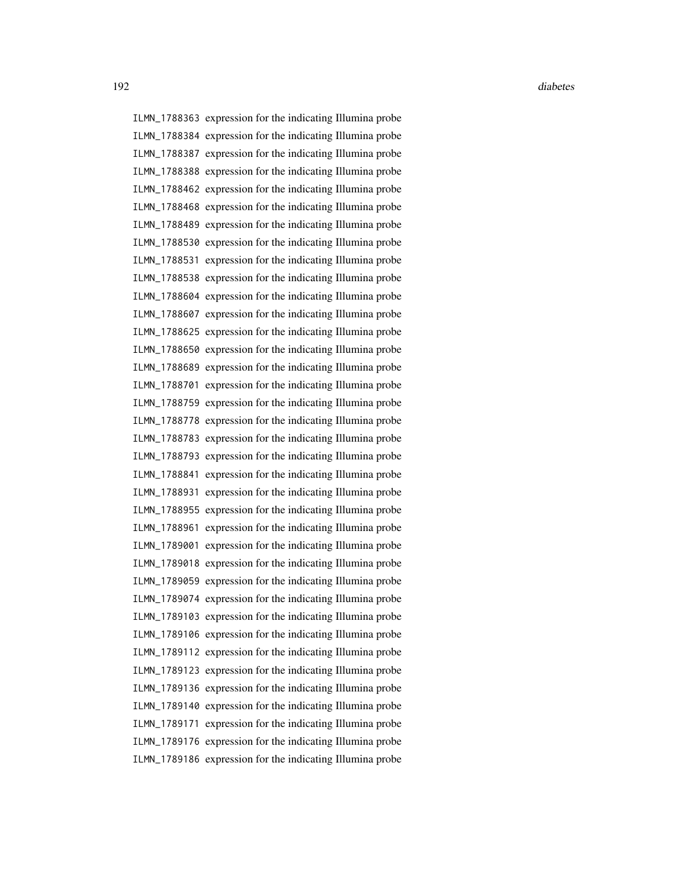ILMN\_1788363 expression for the indicating Illumina probe ILMN\_1788384 expression for the indicating Illumina probe ILMN\_1788387 expression for the indicating Illumina probe ILMN\_1788388 expression for the indicating Illumina probe ILMN\_1788462 expression for the indicating Illumina probe ILMN\_1788468 expression for the indicating Illumina probe ILMN\_1788489 expression for the indicating Illumina probe ILMN\_1788530 expression for the indicating Illumina probe ILMN\_1788531 expression for the indicating Illumina probe ILMN\_1788538 expression for the indicating Illumina probe ILMN\_1788604 expression for the indicating Illumina probe ILMN\_1788607 expression for the indicating Illumina probe ILMN\_1788625 expression for the indicating Illumina probe ILMN\_1788650 expression for the indicating Illumina probe ILMN\_1788689 expression for the indicating Illumina probe ILMN\_1788701 expression for the indicating Illumina probe ILMN\_1788759 expression for the indicating Illumina probe ILMN\_1788778 expression for the indicating Illumina probe ILMN\_1788783 expression for the indicating Illumina probe ILMN\_1788793 expression for the indicating Illumina probe ILMN\_1788841 expression for the indicating Illumina probe ILMN\_1788931 expression for the indicating Illumina probe ILMN\_1788955 expression for the indicating Illumina probe ILMN\_1788961 expression for the indicating Illumina probe ILMN\_1789001 expression for the indicating Illumina probe ILMN\_1789018 expression for the indicating Illumina probe ILMN\_1789059 expression for the indicating Illumina probe ILMN\_1789074 expression for the indicating Illumina probe ILMN\_1789103 expression for the indicating Illumina probe ILMN\_1789106 expression for the indicating Illumina probe ILMN\_1789112 expression for the indicating Illumina probe ILMN\_1789123 expression for the indicating Illumina probe ILMN\_1789136 expression for the indicating Illumina probe ILMN\_1789140 expression for the indicating Illumina probe ILMN\_1789171 expression for the indicating Illumina probe ILMN\_1789176 expression for the indicating Illumina probe ILMN\_1789186 expression for the indicating Illumina probe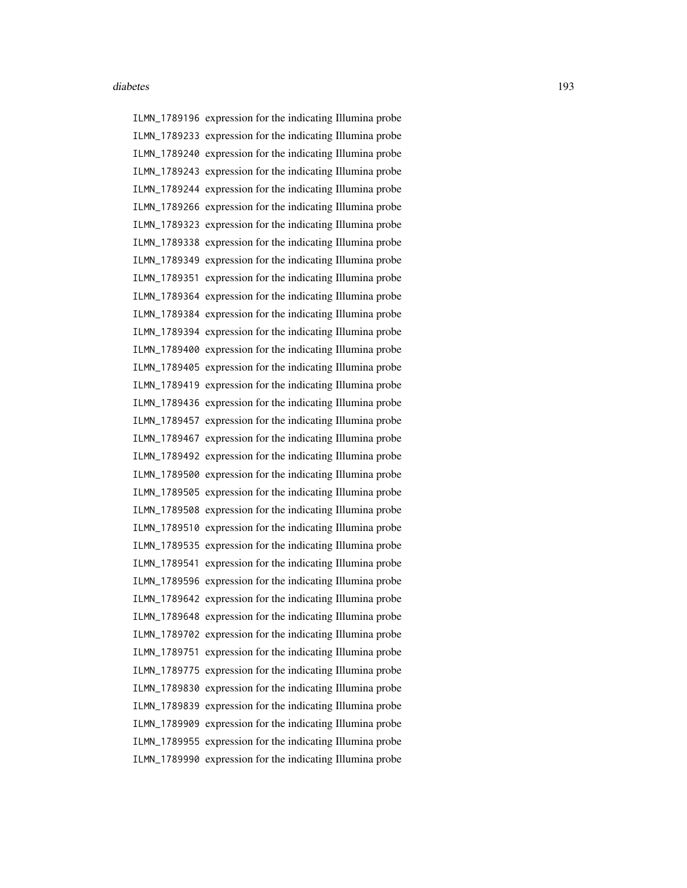ILMN\_1789196 expression for the indicating Illumina probe ILMN\_1789233 expression for the indicating Illumina probe ILMN\_1789240 expression for the indicating Illumina probe ILMN\_1789243 expression for the indicating Illumina probe ILMN\_1789244 expression for the indicating Illumina probe ILMN\_1789266 expression for the indicating Illumina probe ILMN\_1789323 expression for the indicating Illumina probe ILMN\_1789338 expression for the indicating Illumina probe ILMN\_1789349 expression for the indicating Illumina probe ILMN\_1789351 expression for the indicating Illumina probe ILMN\_1789364 expression for the indicating Illumina probe ILMN\_1789384 expression for the indicating Illumina probe ILMN\_1789394 expression for the indicating Illumina probe ILMN\_1789400 expression for the indicating Illumina probe ILMN\_1789405 expression for the indicating Illumina probe ILMN\_1789419 expression for the indicating Illumina probe ILMN\_1789436 expression for the indicating Illumina probe ILMN\_1789457 expression for the indicating Illumina probe ILMN\_1789467 expression for the indicating Illumina probe ILMN\_1789492 expression for the indicating Illumina probe ILMN\_1789500 expression for the indicating Illumina probe ILMN\_1789505 expression for the indicating Illumina probe ILMN\_1789508 expression for the indicating Illumina probe ILMN\_1789510 expression for the indicating Illumina probe ILMN\_1789535 expression for the indicating Illumina probe ILMN\_1789541 expression for the indicating Illumina probe ILMN\_1789596 expression for the indicating Illumina probe ILMN\_1789642 expression for the indicating Illumina probe ILMN\_1789648 expression for the indicating Illumina probe ILMN\_1789702 expression for the indicating Illumina probe ILMN\_1789751 expression for the indicating Illumina probe ILMN\_1789775 expression for the indicating Illumina probe ILMN\_1789830 expression for the indicating Illumina probe ILMN\_1789839 expression for the indicating Illumina probe ILMN\_1789909 expression for the indicating Illumina probe ILMN\_1789955 expression for the indicating Illumina probe ILMN\_1789990 expression for the indicating Illumina probe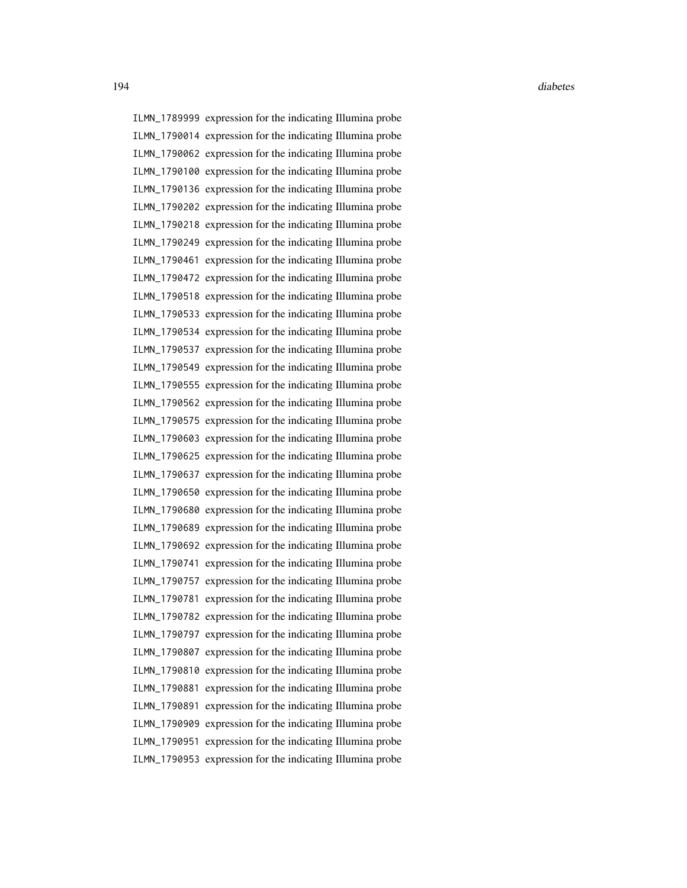ILMN\_1789999 expression for the indicating Illumina probe ILMN\_1790014 expression for the indicating Illumina probe ILMN\_1790062 expression for the indicating Illumina probe ILMN\_1790100 expression for the indicating Illumina probe ILMN\_1790136 expression for the indicating Illumina probe ILMN\_1790202 expression for the indicating Illumina probe ILMN\_1790218 expression for the indicating Illumina probe ILMN\_1790249 expression for the indicating Illumina probe ILMN\_1790461 expression for the indicating Illumina probe ILMN\_1790472 expression for the indicating Illumina probe ILMN\_1790518 expression for the indicating Illumina probe ILMN\_1790533 expression for the indicating Illumina probe ILMN\_1790534 expression for the indicating Illumina probe ILMN\_1790537 expression for the indicating Illumina probe ILMN\_1790549 expression for the indicating Illumina probe ILMN\_1790555 expression for the indicating Illumina probe ILMN\_1790562 expression for the indicating Illumina probe ILMN\_1790575 expression for the indicating Illumina probe ILMN\_1790603 expression for the indicating Illumina probe ILMN\_1790625 expression for the indicating Illumina probe ILMN\_1790637 expression for the indicating Illumina probe ILMN\_1790650 expression for the indicating Illumina probe ILMN\_1790680 expression for the indicating Illumina probe ILMN\_1790689 expression for the indicating Illumina probe ILMN\_1790692 expression for the indicating Illumina probe ILMN\_1790741 expression for the indicating Illumina probe ILMN\_1790757 expression for the indicating Illumina probe ILMN\_1790781 expression for the indicating Illumina probe ILMN\_1790782 expression for the indicating Illumina probe ILMN\_1790797 expression for the indicating Illumina probe ILMN\_1790807 expression for the indicating Illumina probe ILMN\_1790810 expression for the indicating Illumina probe ILMN\_1790881 expression for the indicating Illumina probe ILMN\_1790891 expression for the indicating Illumina probe ILMN\_1790909 expression for the indicating Illumina probe ILMN\_1790951 expression for the indicating Illumina probe ILMN\_1790953 expression for the indicating Illumina probe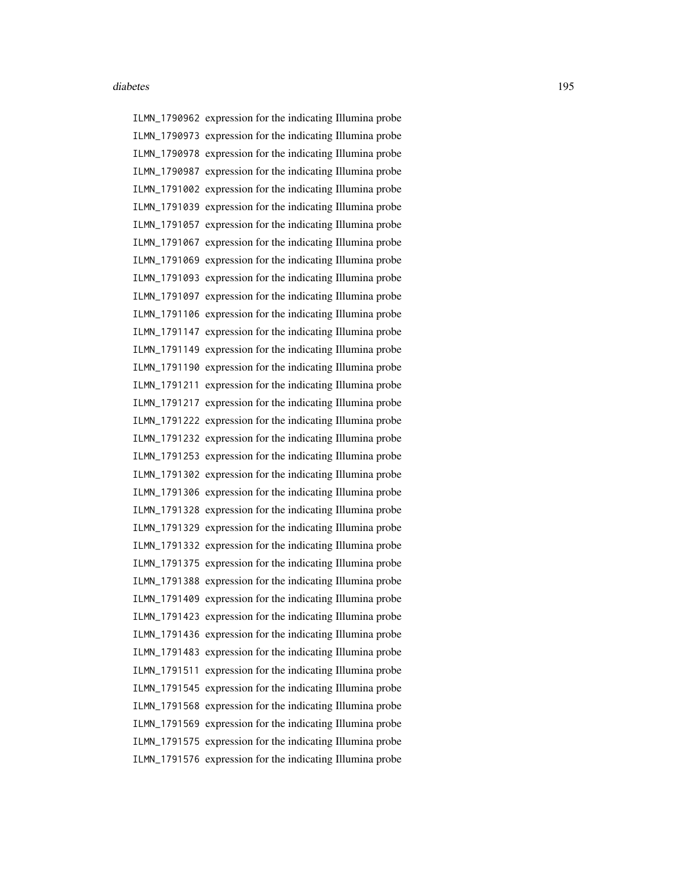ILMN\_1790962 expression for the indicating Illumina probe ILMN\_1790973 expression for the indicating Illumina probe ILMN\_1790978 expression for the indicating Illumina probe ILMN\_1790987 expression for the indicating Illumina probe ILMN\_1791002 expression for the indicating Illumina probe ILMN\_1791039 expression for the indicating Illumina probe ILMN\_1791057 expression for the indicating Illumina probe ILMN\_1791067 expression for the indicating Illumina probe ILMN\_1791069 expression for the indicating Illumina probe ILMN\_1791093 expression for the indicating Illumina probe ILMN\_1791097 expression for the indicating Illumina probe ILMN\_1791106 expression for the indicating Illumina probe ILMN\_1791147 expression for the indicating Illumina probe ILMN\_1791149 expression for the indicating Illumina probe ILMN\_1791190 expression for the indicating Illumina probe ILMN\_1791211 expression for the indicating Illumina probe ILMN\_1791217 expression for the indicating Illumina probe ILMN\_1791222 expression for the indicating Illumina probe ILMN\_1791232 expression for the indicating Illumina probe ILMN\_1791253 expression for the indicating Illumina probe ILMN\_1791302 expression for the indicating Illumina probe ILMN\_1791306 expression for the indicating Illumina probe ILMN\_1791328 expression for the indicating Illumina probe ILMN\_1791329 expression for the indicating Illumina probe ILMN\_1791332 expression for the indicating Illumina probe ILMN\_1791375 expression for the indicating Illumina probe ILMN\_1791388 expression for the indicating Illumina probe ILMN\_1791409 expression for the indicating Illumina probe ILMN\_1791423 expression for the indicating Illumina probe ILMN\_1791436 expression for the indicating Illumina probe ILMN\_1791483 expression for the indicating Illumina probe ILMN\_1791511 expression for the indicating Illumina probe ILMN\_1791545 expression for the indicating Illumina probe ILMN\_1791568 expression for the indicating Illumina probe ILMN\_1791569 expression for the indicating Illumina probe ILMN\_1791575 expression for the indicating Illumina probe ILMN\_1791576 expression for the indicating Illumina probe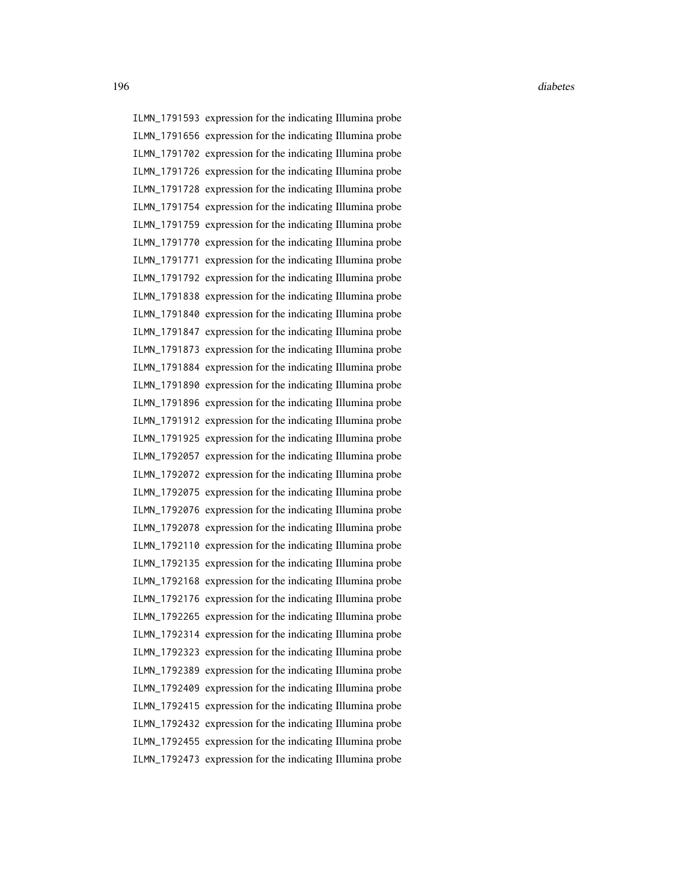ILMN\_1791593 expression for the indicating Illumina probe ILMN\_1791656 expression for the indicating Illumina probe ILMN\_1791702 expression for the indicating Illumina probe ILMN\_1791726 expression for the indicating Illumina probe ILMN\_1791728 expression for the indicating Illumina probe ILMN\_1791754 expression for the indicating Illumina probe ILMN\_1791759 expression for the indicating Illumina probe ILMN\_1791770 expression for the indicating Illumina probe ILMN\_1791771 expression for the indicating Illumina probe ILMN\_1791792 expression for the indicating Illumina probe ILMN\_1791838 expression for the indicating Illumina probe ILMN\_1791840 expression for the indicating Illumina probe ILMN\_1791847 expression for the indicating Illumina probe ILMN\_1791873 expression for the indicating Illumina probe ILMN\_1791884 expression for the indicating Illumina probe ILMN\_1791890 expression for the indicating Illumina probe ILMN\_1791896 expression for the indicating Illumina probe ILMN\_1791912 expression for the indicating Illumina probe ILMN\_1791925 expression for the indicating Illumina probe ILMN\_1792057 expression for the indicating Illumina probe ILMN\_1792072 expression for the indicating Illumina probe ILMN\_1792075 expression for the indicating Illumina probe ILMN\_1792076 expression for the indicating Illumina probe ILMN\_1792078 expression for the indicating Illumina probe ILMN\_1792110 expression for the indicating Illumina probe ILMN\_1792135 expression for the indicating Illumina probe ILMN\_1792168 expression for the indicating Illumina probe ILMN\_1792176 expression for the indicating Illumina probe ILMN\_1792265 expression for the indicating Illumina probe ILMN\_1792314 expression for the indicating Illumina probe ILMN\_1792323 expression for the indicating Illumina probe ILMN\_1792389 expression for the indicating Illumina probe ILMN\_1792409 expression for the indicating Illumina probe ILMN\_1792415 expression for the indicating Illumina probe ILMN\_1792432 expression for the indicating Illumina probe ILMN\_1792455 expression for the indicating Illumina probe ILMN\_1792473 expression for the indicating Illumina probe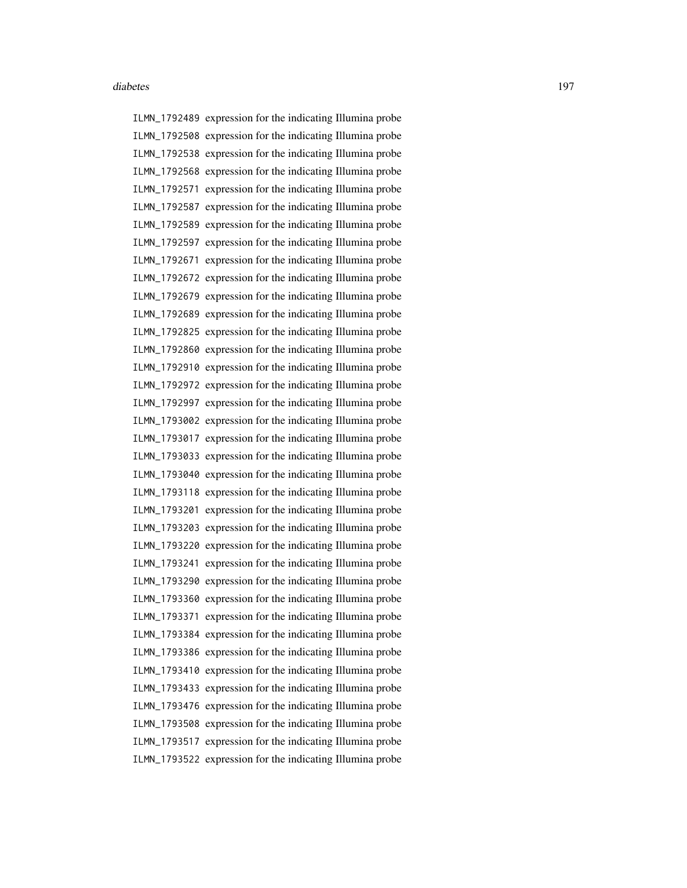ILMN\_1792489 expression for the indicating Illumina probe ILMN\_1792508 expression for the indicating Illumina probe ILMN\_1792538 expression for the indicating Illumina probe ILMN\_1792568 expression for the indicating Illumina probe ILMN\_1792571 expression for the indicating Illumina probe ILMN\_1792587 expression for the indicating Illumina probe ILMN\_1792589 expression for the indicating Illumina probe ILMN\_1792597 expression for the indicating Illumina probe ILMN\_1792671 expression for the indicating Illumina probe ILMN\_1792672 expression for the indicating Illumina probe ILMN\_1792679 expression for the indicating Illumina probe ILMN\_1792689 expression for the indicating Illumina probe ILMN\_1792825 expression for the indicating Illumina probe ILMN\_1792860 expression for the indicating Illumina probe ILMN\_1792910 expression for the indicating Illumina probe ILMN\_1792972 expression for the indicating Illumina probe ILMN\_1792997 expression for the indicating Illumina probe ILMN\_1793002 expression for the indicating Illumina probe ILMN\_1793017 expression for the indicating Illumina probe ILMN\_1793033 expression for the indicating Illumina probe ILMN\_1793040 expression for the indicating Illumina probe ILMN\_1793118 expression for the indicating Illumina probe ILMN\_1793201 expression for the indicating Illumina probe ILMN\_1793203 expression for the indicating Illumina probe ILMN\_1793220 expression for the indicating Illumina probe ILMN\_1793241 expression for the indicating Illumina probe ILMN\_1793290 expression for the indicating Illumina probe ILMN\_1793360 expression for the indicating Illumina probe ILMN\_1793371 expression for the indicating Illumina probe ILMN\_1793384 expression for the indicating Illumina probe ILMN\_1793386 expression for the indicating Illumina probe ILMN\_1793410 expression for the indicating Illumina probe ILMN\_1793433 expression for the indicating Illumina probe ILMN\_1793476 expression for the indicating Illumina probe ILMN\_1793508 expression for the indicating Illumina probe ILMN\_1793517 expression for the indicating Illumina probe ILMN\_1793522 expression for the indicating Illumina probe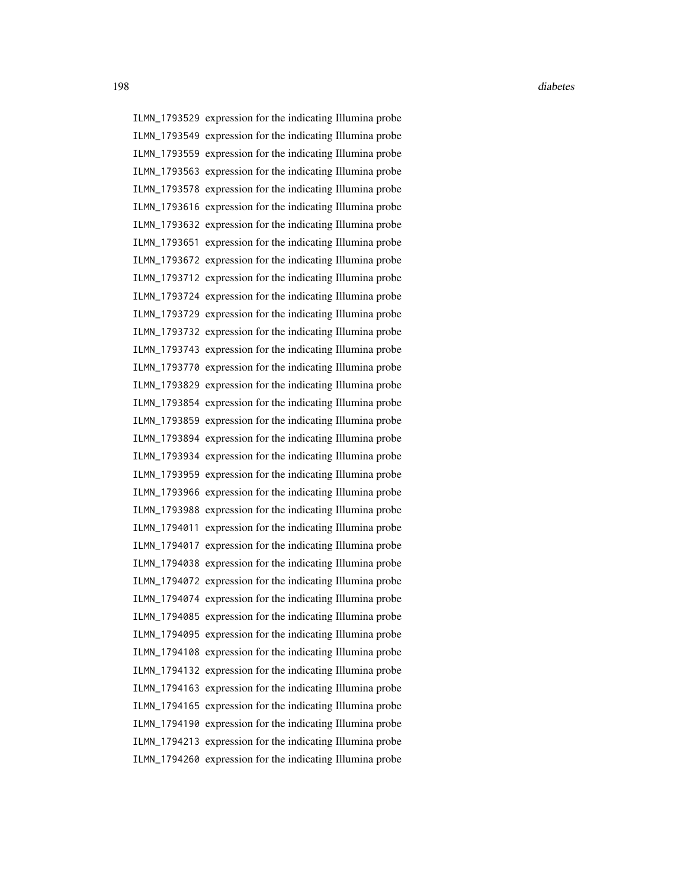ILMN\_1793529 expression for the indicating Illumina probe ILMN\_1793549 expression for the indicating Illumina probe ILMN\_1793559 expression for the indicating Illumina probe ILMN\_1793563 expression for the indicating Illumina probe ILMN\_1793578 expression for the indicating Illumina probe ILMN\_1793616 expression for the indicating Illumina probe ILMN\_1793632 expression for the indicating Illumina probe ILMN\_1793651 expression for the indicating Illumina probe ILMN\_1793672 expression for the indicating Illumina probe ILMN\_1793712 expression for the indicating Illumina probe ILMN\_1793724 expression for the indicating Illumina probe ILMN\_1793729 expression for the indicating Illumina probe ILMN\_1793732 expression for the indicating Illumina probe ILMN\_1793743 expression for the indicating Illumina probe ILMN\_1793770 expression for the indicating Illumina probe ILMN\_1793829 expression for the indicating Illumina probe ILMN\_1793854 expression for the indicating Illumina probe ILMN\_1793859 expression for the indicating Illumina probe ILMN\_1793894 expression for the indicating Illumina probe ILMN\_1793934 expression for the indicating Illumina probe ILMN\_1793959 expression for the indicating Illumina probe ILMN\_1793966 expression for the indicating Illumina probe ILMN\_1793988 expression for the indicating Illumina probe ILMN\_1794011 expression for the indicating Illumina probe ILMN\_1794017 expression for the indicating Illumina probe ILMN\_1794038 expression for the indicating Illumina probe ILMN\_1794072 expression for the indicating Illumina probe ILMN\_1794074 expression for the indicating Illumina probe ILMN\_1794085 expression for the indicating Illumina probe ILMN\_1794095 expression for the indicating Illumina probe ILMN\_1794108 expression for the indicating Illumina probe ILMN\_1794132 expression for the indicating Illumina probe ILMN\_1794163 expression for the indicating Illumina probe ILMN\_1794165 expression for the indicating Illumina probe ILMN\_1794190 expression for the indicating Illumina probe ILMN\_1794213 expression for the indicating Illumina probe ILMN\_1794260 expression for the indicating Illumina probe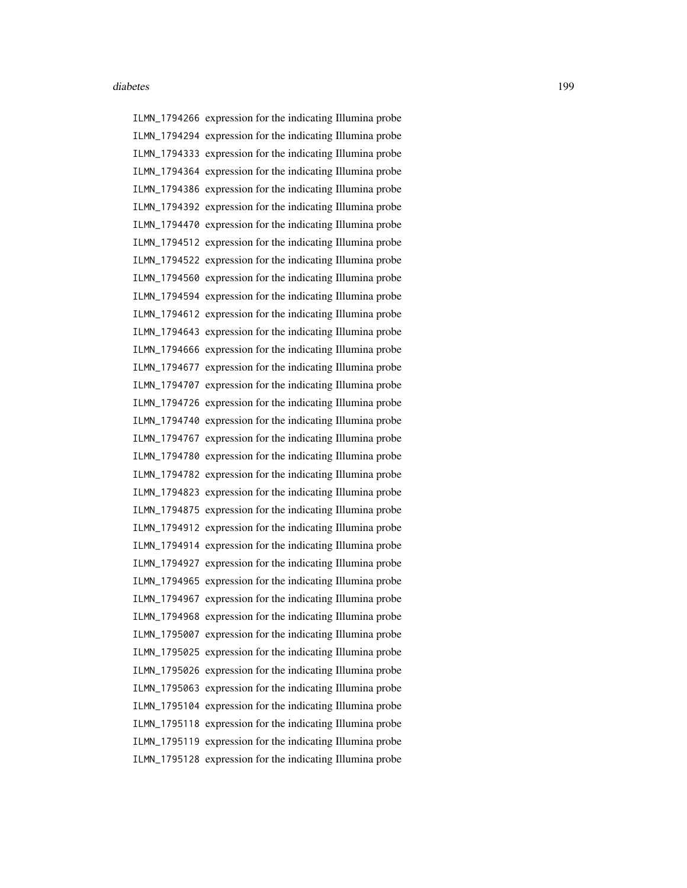ILMN\_1794266 expression for the indicating Illumina probe ILMN\_1794294 expression for the indicating Illumina probe ILMN\_1794333 expression for the indicating Illumina probe ILMN\_1794364 expression for the indicating Illumina probe ILMN\_1794386 expression for the indicating Illumina probe ILMN\_1794392 expression for the indicating Illumina probe ILMN\_1794470 expression for the indicating Illumina probe ILMN\_1794512 expression for the indicating Illumina probe ILMN\_1794522 expression for the indicating Illumina probe ILMN\_1794560 expression for the indicating Illumina probe ILMN\_1794594 expression for the indicating Illumina probe ILMN\_1794612 expression for the indicating Illumina probe ILMN\_1794643 expression for the indicating Illumina probe ILMN\_1794666 expression for the indicating Illumina probe ILMN\_1794677 expression for the indicating Illumina probe ILMN\_1794707 expression for the indicating Illumina probe ILMN\_1794726 expression for the indicating Illumina probe ILMN\_1794740 expression for the indicating Illumina probe ILMN\_1794767 expression for the indicating Illumina probe ILMN\_1794780 expression for the indicating Illumina probe ILMN\_1794782 expression for the indicating Illumina probe ILMN\_1794823 expression for the indicating Illumina probe ILMN\_1794875 expression for the indicating Illumina probe ILMN\_1794912 expression for the indicating Illumina probe ILMN\_1794914 expression for the indicating Illumina probe ILMN\_1794927 expression for the indicating Illumina probe ILMN\_1794965 expression for the indicating Illumina probe ILMN\_1794967 expression for the indicating Illumina probe ILMN\_1794968 expression for the indicating Illumina probe ILMN\_1795007 expression for the indicating Illumina probe ILMN\_1795025 expression for the indicating Illumina probe ILMN\_1795026 expression for the indicating Illumina probe ILMN\_1795063 expression for the indicating Illumina probe ILMN\_1795104 expression for the indicating Illumina probe ILMN\_1795118 expression for the indicating Illumina probe ILMN\_1795119 expression for the indicating Illumina probe ILMN\_1795128 expression for the indicating Illumina probe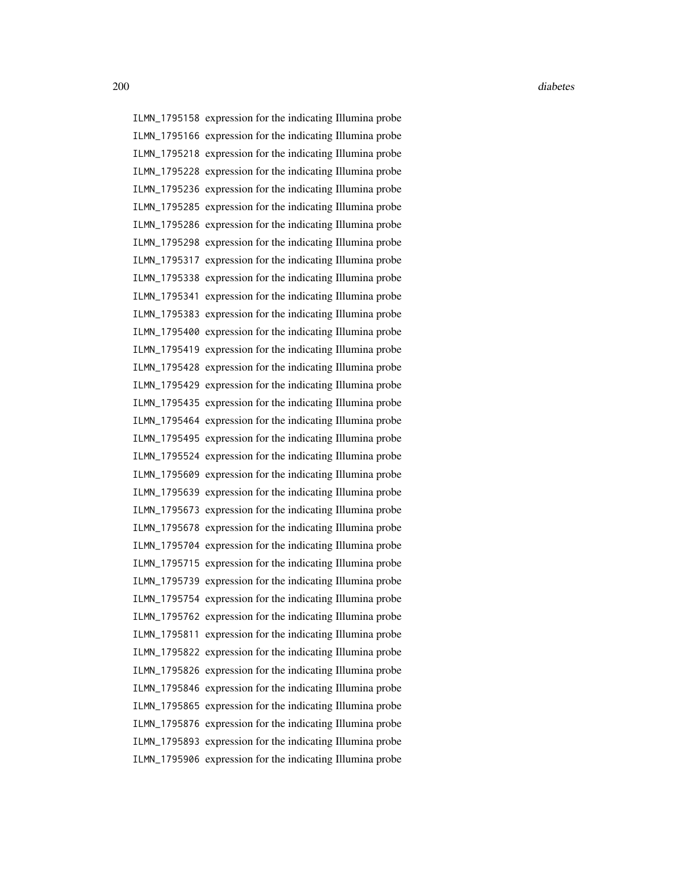ILMN\_1795158 expression for the indicating Illumina probe ILMN\_1795166 expression for the indicating Illumina probe ILMN\_1795218 expression for the indicating Illumina probe ILMN\_1795228 expression for the indicating Illumina probe ILMN\_1795236 expression for the indicating Illumina probe ILMN\_1795285 expression for the indicating Illumina probe ILMN\_1795286 expression for the indicating Illumina probe ILMN\_1795298 expression for the indicating Illumina probe ILMN\_1795317 expression for the indicating Illumina probe ILMN\_1795338 expression for the indicating Illumina probe ILMN\_1795341 expression for the indicating Illumina probe ILMN\_1795383 expression for the indicating Illumina probe ILMN\_1795400 expression for the indicating Illumina probe ILMN\_1795419 expression for the indicating Illumina probe ILMN\_1795428 expression for the indicating Illumina probe ILMN\_1795429 expression for the indicating Illumina probe ILMN\_1795435 expression for the indicating Illumina probe ILMN\_1795464 expression for the indicating Illumina probe ILMN\_1795495 expression for the indicating Illumina probe ILMN\_1795524 expression for the indicating Illumina probe ILMN\_1795609 expression for the indicating Illumina probe ILMN\_1795639 expression for the indicating Illumina probe ILMN\_1795673 expression for the indicating Illumina probe ILMN\_1795678 expression for the indicating Illumina probe ILMN\_1795704 expression for the indicating Illumina probe ILMN\_1795715 expression for the indicating Illumina probe ILMN\_1795739 expression for the indicating Illumina probe ILMN\_1795754 expression for the indicating Illumina probe ILMN\_1795762 expression for the indicating Illumina probe ILMN\_1795811 expression for the indicating Illumina probe ILMN\_1795822 expression for the indicating Illumina probe ILMN\_1795826 expression for the indicating Illumina probe ILMN\_1795846 expression for the indicating Illumina probe ILMN\_1795865 expression for the indicating Illumina probe ILMN\_1795876 expression for the indicating Illumina probe ILMN\_1795893 expression for the indicating Illumina probe ILMN\_1795906 expression for the indicating Illumina probe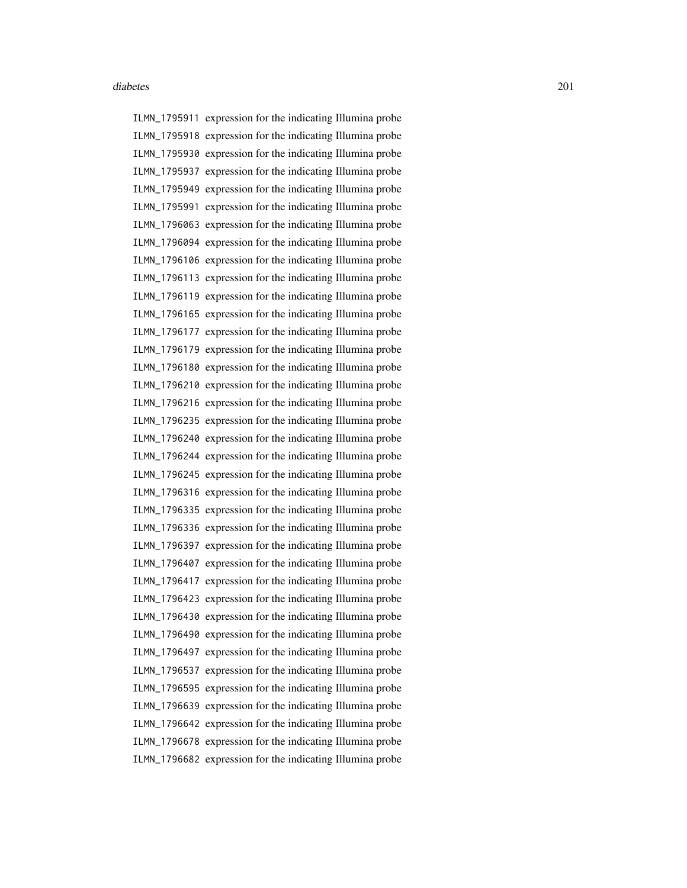ILMN\_1795911 expression for the indicating Illumina probe ILMN\_1795918 expression for the indicating Illumina probe ILMN\_1795930 expression for the indicating Illumina probe ILMN\_1795937 expression for the indicating Illumina probe ILMN\_1795949 expression for the indicating Illumina probe ILMN\_1795991 expression for the indicating Illumina probe ILMN\_1796063 expression for the indicating Illumina probe ILMN\_1796094 expression for the indicating Illumina probe ILMN\_1796106 expression for the indicating Illumina probe ILMN\_1796113 expression for the indicating Illumina probe ILMN\_1796119 expression for the indicating Illumina probe ILMN\_1796165 expression for the indicating Illumina probe ILMN\_1796177 expression for the indicating Illumina probe ILMN\_1796179 expression for the indicating Illumina probe ILMN\_1796180 expression for the indicating Illumina probe ILMN\_1796210 expression for the indicating Illumina probe ILMN\_1796216 expression for the indicating Illumina probe ILMN\_1796235 expression for the indicating Illumina probe ILMN\_1796240 expression for the indicating Illumina probe ILMN\_1796244 expression for the indicating Illumina probe ILMN\_1796245 expression for the indicating Illumina probe ILMN\_1796316 expression for the indicating Illumina probe ILMN\_1796335 expression for the indicating Illumina probe ILMN\_1796336 expression for the indicating Illumina probe ILMN\_1796397 expression for the indicating Illumina probe ILMN\_1796407 expression for the indicating Illumina probe ILMN\_1796417 expression for the indicating Illumina probe ILMN\_1796423 expression for the indicating Illumina probe ILMN\_1796430 expression for the indicating Illumina probe ILMN\_1796490 expression for the indicating Illumina probe ILMN\_1796497 expression for the indicating Illumina probe ILMN\_1796537 expression for the indicating Illumina probe ILMN\_1796595 expression for the indicating Illumina probe ILMN\_1796639 expression for the indicating Illumina probe ILMN\_1796642 expression for the indicating Illumina probe ILMN\_1796678 expression for the indicating Illumina probe ILMN\_1796682 expression for the indicating Illumina probe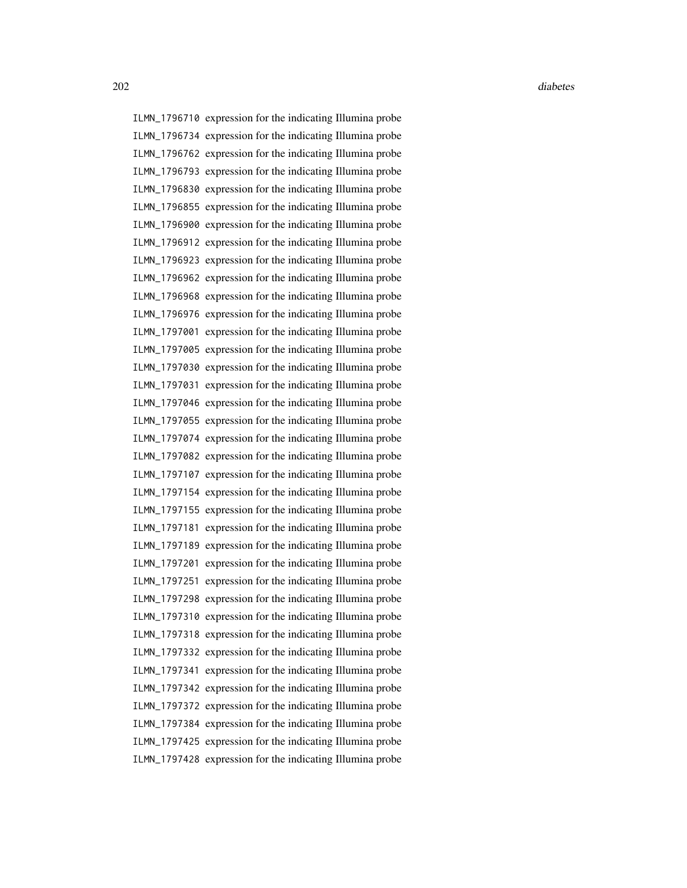ILMN\_1796710 expression for the indicating Illumina probe ILMN\_1796734 expression for the indicating Illumina probe ILMN\_1796762 expression for the indicating Illumina probe ILMN\_1796793 expression for the indicating Illumina probe ILMN\_1796830 expression for the indicating Illumina probe ILMN\_1796855 expression for the indicating Illumina probe ILMN\_1796900 expression for the indicating Illumina probe ILMN\_1796912 expression for the indicating Illumina probe ILMN\_1796923 expression for the indicating Illumina probe ILMN\_1796962 expression for the indicating Illumina probe ILMN\_1796968 expression for the indicating Illumina probe ILMN\_1796976 expression for the indicating Illumina probe ILMN\_1797001 expression for the indicating Illumina probe ILMN\_1797005 expression for the indicating Illumina probe ILMN\_1797030 expression for the indicating Illumina probe ILMN\_1797031 expression for the indicating Illumina probe ILMN\_1797046 expression for the indicating Illumina probe ILMN\_1797055 expression for the indicating Illumina probe ILMN\_1797074 expression for the indicating Illumina probe ILMN\_1797082 expression for the indicating Illumina probe ILMN\_1797107 expression for the indicating Illumina probe ILMN\_1797154 expression for the indicating Illumina probe ILMN\_1797155 expression for the indicating Illumina probe ILMN\_1797181 expression for the indicating Illumina probe ILMN\_1797189 expression for the indicating Illumina probe ILMN\_1797201 expression for the indicating Illumina probe ILMN\_1797251 expression for the indicating Illumina probe ILMN\_1797298 expression for the indicating Illumina probe ILMN\_1797310 expression for the indicating Illumina probe ILMN\_1797318 expression for the indicating Illumina probe ILMN\_1797332 expression for the indicating Illumina probe ILMN\_1797341 expression for the indicating Illumina probe ILMN\_1797342 expression for the indicating Illumina probe ILMN\_1797372 expression for the indicating Illumina probe ILMN\_1797384 expression for the indicating Illumina probe ILMN\_1797425 expression for the indicating Illumina probe ILMN\_1797428 expression for the indicating Illumina probe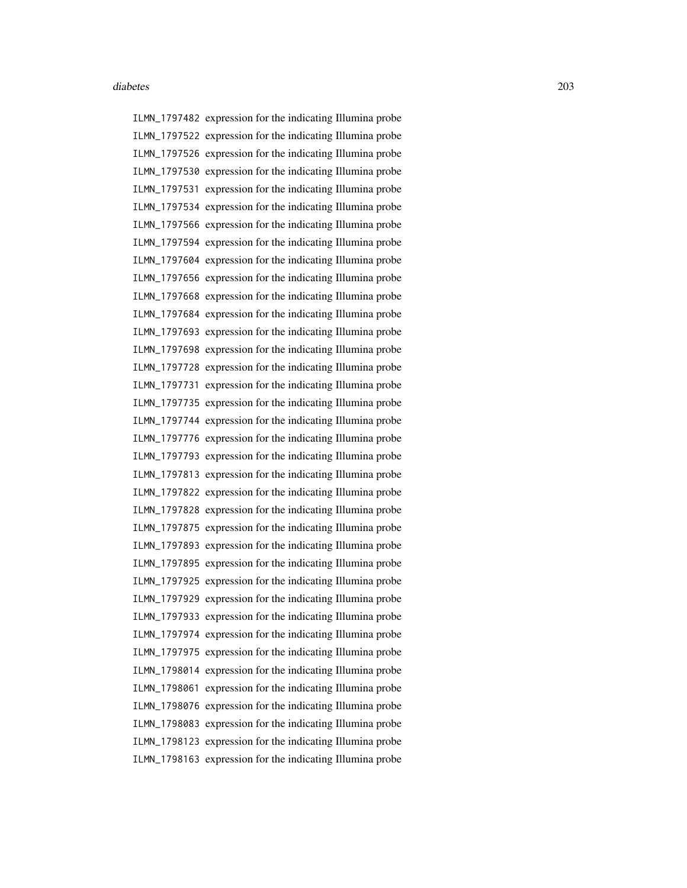ILMN\_1797482 expression for the indicating Illumina probe ILMN\_1797522 expression for the indicating Illumina probe ILMN\_1797526 expression for the indicating Illumina probe ILMN\_1797530 expression for the indicating Illumina probe ILMN\_1797531 expression for the indicating Illumina probe ILMN\_1797534 expression for the indicating Illumina probe ILMN\_1797566 expression for the indicating Illumina probe ILMN\_1797594 expression for the indicating Illumina probe ILMN\_1797604 expression for the indicating Illumina probe ILMN\_1797656 expression for the indicating Illumina probe ILMN\_1797668 expression for the indicating Illumina probe ILMN\_1797684 expression for the indicating Illumina probe ILMN\_1797693 expression for the indicating Illumina probe ILMN\_1797698 expression for the indicating Illumina probe ILMN\_1797728 expression for the indicating Illumina probe ILMN\_1797731 expression for the indicating Illumina probe ILMN\_1797735 expression for the indicating Illumina probe ILMN\_1797744 expression for the indicating Illumina probe ILMN\_1797776 expression for the indicating Illumina probe ILMN\_1797793 expression for the indicating Illumina probe ILMN\_1797813 expression for the indicating Illumina probe ILMN\_1797822 expression for the indicating Illumina probe ILMN\_1797828 expression for the indicating Illumina probe ILMN\_1797875 expression for the indicating Illumina probe ILMN\_1797893 expression for the indicating Illumina probe ILMN\_1797895 expression for the indicating Illumina probe ILMN\_1797925 expression for the indicating Illumina probe ILMN\_1797929 expression for the indicating Illumina probe ILMN\_1797933 expression for the indicating Illumina probe ILMN\_1797974 expression for the indicating Illumina probe ILMN\_1797975 expression for the indicating Illumina probe ILMN\_1798014 expression for the indicating Illumina probe ILMN\_1798061 expression for the indicating Illumina probe ILMN\_1798076 expression for the indicating Illumina probe ILMN\_1798083 expression for the indicating Illumina probe ILMN\_1798123 expression for the indicating Illumina probe ILMN\_1798163 expression for the indicating Illumina probe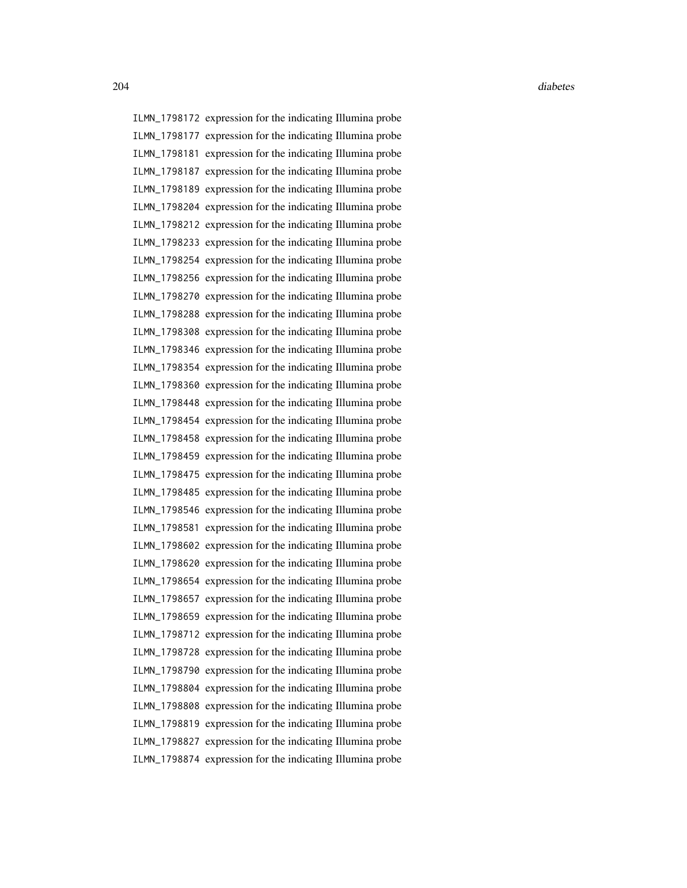ILMN\_1798172 expression for the indicating Illumina probe ILMN\_1798177 expression for the indicating Illumina probe ILMN\_1798181 expression for the indicating Illumina probe ILMN\_1798187 expression for the indicating Illumina probe ILMN\_1798189 expression for the indicating Illumina probe ILMN\_1798204 expression for the indicating Illumina probe ILMN\_1798212 expression for the indicating Illumina probe ILMN\_1798233 expression for the indicating Illumina probe ILMN\_1798254 expression for the indicating Illumina probe ILMN\_1798256 expression for the indicating Illumina probe ILMN\_1798270 expression for the indicating Illumina probe ILMN\_1798288 expression for the indicating Illumina probe ILMN\_1798308 expression for the indicating Illumina probe ILMN\_1798346 expression for the indicating Illumina probe ILMN\_1798354 expression for the indicating Illumina probe ILMN\_1798360 expression for the indicating Illumina probe ILMN\_1798448 expression for the indicating Illumina probe ILMN\_1798454 expression for the indicating Illumina probe ILMN\_1798458 expression for the indicating Illumina probe ILMN\_1798459 expression for the indicating Illumina probe ILMN\_1798475 expression for the indicating Illumina probe ILMN\_1798485 expression for the indicating Illumina probe ILMN\_1798546 expression for the indicating Illumina probe ILMN\_1798581 expression for the indicating Illumina probe ILMN\_1798602 expression for the indicating Illumina probe ILMN\_1798620 expression for the indicating Illumina probe ILMN\_1798654 expression for the indicating Illumina probe ILMN\_1798657 expression for the indicating Illumina probe ILMN\_1798659 expression for the indicating Illumina probe ILMN\_1798712 expression for the indicating Illumina probe ILMN\_1798728 expression for the indicating Illumina probe ILMN\_1798790 expression for the indicating Illumina probe ILMN\_1798804 expression for the indicating Illumina probe ILMN\_1798808 expression for the indicating Illumina probe ILMN\_1798819 expression for the indicating Illumina probe ILMN\_1798827 expression for the indicating Illumina probe ILMN\_1798874 expression for the indicating Illumina probe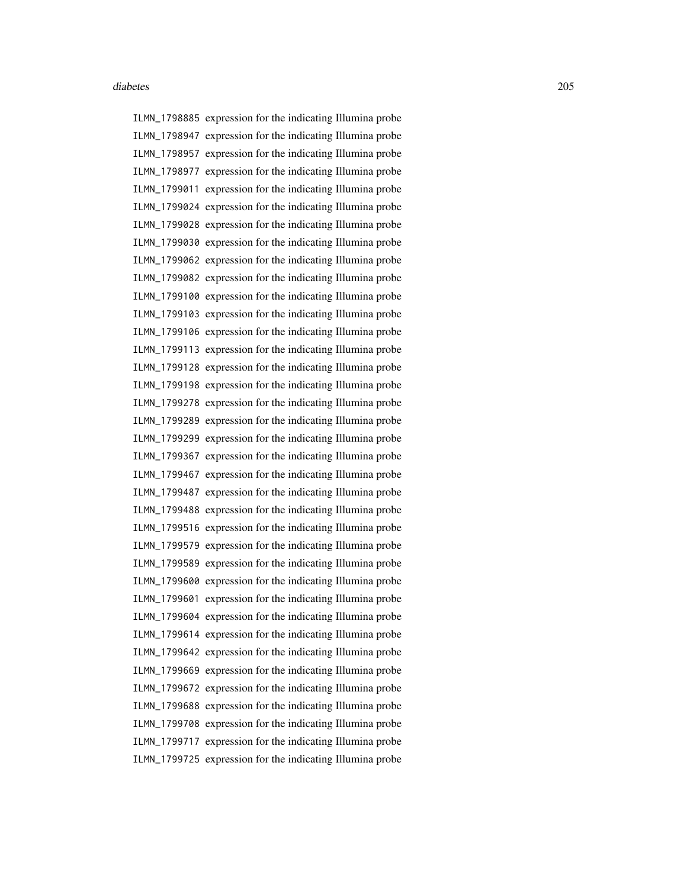ILMN\_1798885 expression for the indicating Illumina probe ILMN\_1798947 expression for the indicating Illumina probe ILMN\_1798957 expression for the indicating Illumina probe ILMN\_1798977 expression for the indicating Illumina probe ILMN\_1799011 expression for the indicating Illumina probe ILMN\_1799024 expression for the indicating Illumina probe ILMN\_1799028 expression for the indicating Illumina probe ILMN\_1799030 expression for the indicating Illumina probe ILMN\_1799062 expression for the indicating Illumina probe ILMN\_1799082 expression for the indicating Illumina probe ILMN\_1799100 expression for the indicating Illumina probe ILMN\_1799103 expression for the indicating Illumina probe ILMN\_1799106 expression for the indicating Illumina probe ILMN\_1799113 expression for the indicating Illumina probe ILMN\_1799128 expression for the indicating Illumina probe ILMN\_1799198 expression for the indicating Illumina probe ILMN\_1799278 expression for the indicating Illumina probe ILMN\_1799289 expression for the indicating Illumina probe ILMN\_1799299 expression for the indicating Illumina probe ILMN\_1799367 expression for the indicating Illumina probe ILMN\_1799467 expression for the indicating Illumina probe ILMN\_1799487 expression for the indicating Illumina probe ILMN\_1799488 expression for the indicating Illumina probe ILMN\_1799516 expression for the indicating Illumina probe ILMN\_1799579 expression for the indicating Illumina probe ILMN\_1799589 expression for the indicating Illumina probe ILMN\_1799600 expression for the indicating Illumina probe ILMN\_1799601 expression for the indicating Illumina probe ILMN\_1799604 expression for the indicating Illumina probe ILMN\_1799614 expression for the indicating Illumina probe ILMN\_1799642 expression for the indicating Illumina probe ILMN\_1799669 expression for the indicating Illumina probe ILMN\_1799672 expression for the indicating Illumina probe ILMN\_1799688 expression for the indicating Illumina probe ILMN\_1799708 expression for the indicating Illumina probe ILMN\_1799717 expression for the indicating Illumina probe ILMN\_1799725 expression for the indicating Illumina probe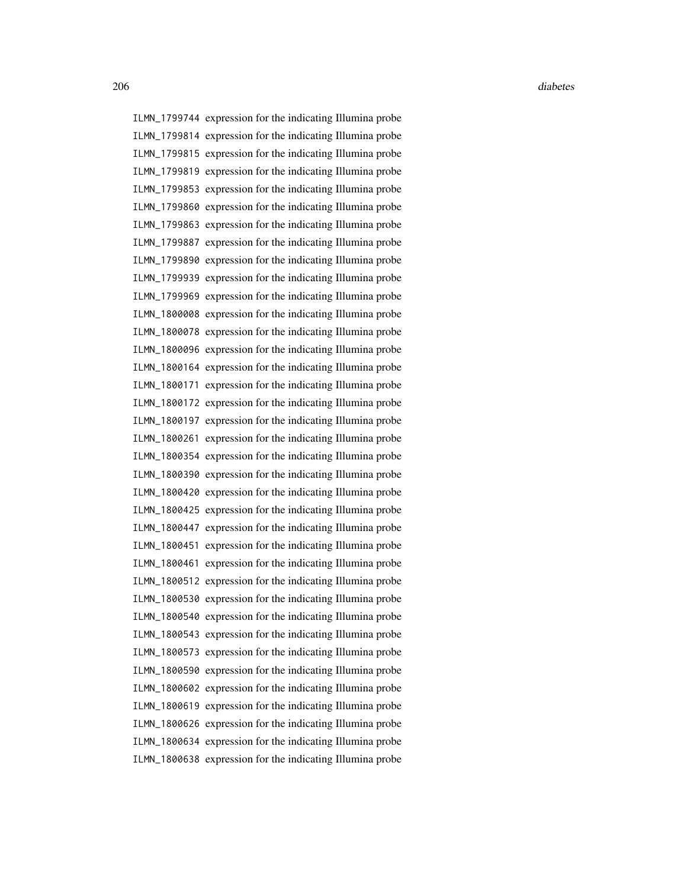ILMN\_1799744 expression for the indicating Illumina probe ILMN\_1799814 expression for the indicating Illumina probe ILMN\_1799815 expression for the indicating Illumina probe ILMN\_1799819 expression for the indicating Illumina probe ILMN\_1799853 expression for the indicating Illumina probe ILMN\_1799860 expression for the indicating Illumina probe ILMN\_1799863 expression for the indicating Illumina probe ILMN\_1799887 expression for the indicating Illumina probe ILMN\_1799890 expression for the indicating Illumina probe ILMN\_1799939 expression for the indicating Illumina probe ILMN\_1799969 expression for the indicating Illumina probe ILMN\_1800008 expression for the indicating Illumina probe ILMN\_1800078 expression for the indicating Illumina probe ILMN\_1800096 expression for the indicating Illumina probe ILMN\_1800164 expression for the indicating Illumina probe ILMN\_1800171 expression for the indicating Illumina probe ILMN\_1800172 expression for the indicating Illumina probe ILMN\_1800197 expression for the indicating Illumina probe ILMN\_1800261 expression for the indicating Illumina probe ILMN\_1800354 expression for the indicating Illumina probe ILMN\_1800390 expression for the indicating Illumina probe ILMN\_1800420 expression for the indicating Illumina probe ILMN\_1800425 expression for the indicating Illumina probe ILMN\_1800447 expression for the indicating Illumina probe ILMN\_1800451 expression for the indicating Illumina probe ILMN\_1800461 expression for the indicating Illumina probe ILMN\_1800512 expression for the indicating Illumina probe ILMN\_1800530 expression for the indicating Illumina probe ILMN\_1800540 expression for the indicating Illumina probe ILMN\_1800543 expression for the indicating Illumina probe ILMN\_1800573 expression for the indicating Illumina probe ILMN\_1800590 expression for the indicating Illumina probe ILMN\_1800602 expression for the indicating Illumina probe ILMN\_1800619 expression for the indicating Illumina probe ILMN\_1800626 expression for the indicating Illumina probe ILMN\_1800634 expression for the indicating Illumina probe ILMN\_1800638 expression for the indicating Illumina probe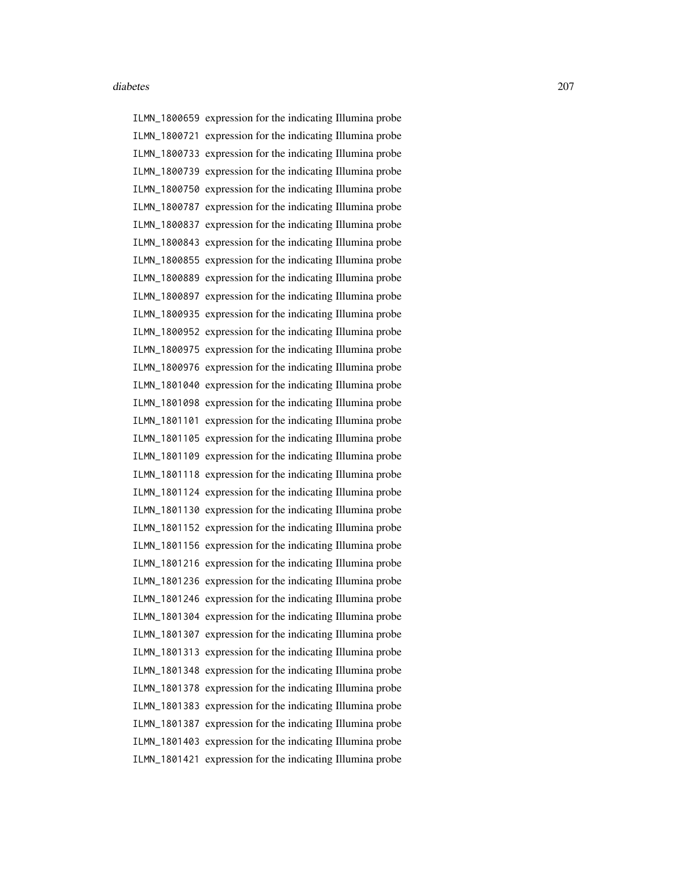ILMN\_1800659 expression for the indicating Illumina probe ILMN\_1800721 expression for the indicating Illumina probe ILMN\_1800733 expression for the indicating Illumina probe ILMN\_1800739 expression for the indicating Illumina probe ILMN\_1800750 expression for the indicating Illumina probe ILMN\_1800787 expression for the indicating Illumina probe ILMN\_1800837 expression for the indicating Illumina probe ILMN\_1800843 expression for the indicating Illumina probe ILMN\_1800855 expression for the indicating Illumina probe ILMN\_1800889 expression for the indicating Illumina probe ILMN\_1800897 expression for the indicating Illumina probe ILMN\_1800935 expression for the indicating Illumina probe ILMN\_1800952 expression for the indicating Illumina probe ILMN\_1800975 expression for the indicating Illumina probe ILMN\_1800976 expression for the indicating Illumina probe ILMN\_1801040 expression for the indicating Illumina probe ILMN\_1801098 expression for the indicating Illumina probe ILMN\_1801101 expression for the indicating Illumina probe ILMN\_1801105 expression for the indicating Illumina probe ILMN\_1801109 expression for the indicating Illumina probe ILMN\_1801118 expression for the indicating Illumina probe ILMN\_1801124 expression for the indicating Illumina probe ILMN\_1801130 expression for the indicating Illumina probe ILMN\_1801152 expression for the indicating Illumina probe ILMN\_1801156 expression for the indicating Illumina probe ILMN\_1801216 expression for the indicating Illumina probe ILMN\_1801236 expression for the indicating Illumina probe ILMN\_1801246 expression for the indicating Illumina probe ILMN\_1801304 expression for the indicating Illumina probe ILMN\_1801307 expression for the indicating Illumina probe ILMN\_1801313 expression for the indicating Illumina probe ILMN\_1801348 expression for the indicating Illumina probe ILMN\_1801378 expression for the indicating Illumina probe ILMN\_1801383 expression for the indicating Illumina probe ILMN\_1801387 expression for the indicating Illumina probe ILMN\_1801403 expression for the indicating Illumina probe ILMN\_1801421 expression for the indicating Illumina probe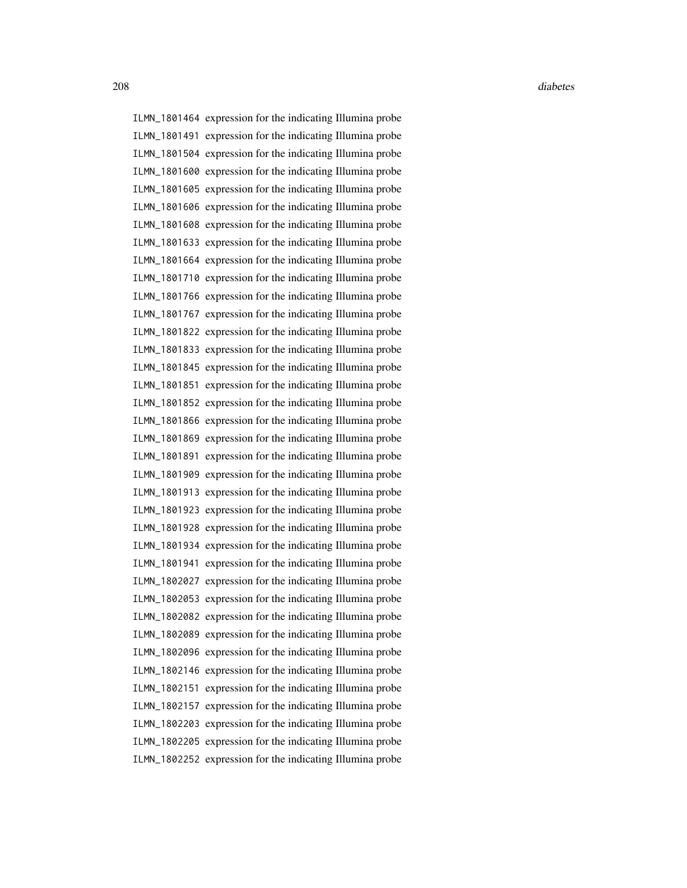ILMN\_1801464 expression for the indicating Illumina probe ILMN\_1801491 expression for the indicating Illumina probe ILMN\_1801504 expression for the indicating Illumina probe ILMN\_1801600 expression for the indicating Illumina probe ILMN\_1801605 expression for the indicating Illumina probe ILMN\_1801606 expression for the indicating Illumina probe ILMN\_1801608 expression for the indicating Illumina probe ILMN\_1801633 expression for the indicating Illumina probe ILMN\_1801664 expression for the indicating Illumina probe ILMN\_1801710 expression for the indicating Illumina probe ILMN\_1801766 expression for the indicating Illumina probe ILMN\_1801767 expression for the indicating Illumina probe ILMN\_1801822 expression for the indicating Illumina probe ILMN\_1801833 expression for the indicating Illumina probe ILMN\_1801845 expression for the indicating Illumina probe ILMN\_1801851 expression for the indicating Illumina probe ILMN\_1801852 expression for the indicating Illumina probe ILMN\_1801866 expression for the indicating Illumina probe ILMN\_1801869 expression for the indicating Illumina probe ILMN\_1801891 expression for the indicating Illumina probe ILMN\_1801909 expression for the indicating Illumina probe ILMN\_1801913 expression for the indicating Illumina probe ILMN\_1801923 expression for the indicating Illumina probe ILMN\_1801928 expression for the indicating Illumina probe ILMN\_1801934 expression for the indicating Illumina probe ILMN\_1801941 expression for the indicating Illumina probe ILMN\_1802027 expression for the indicating Illumina probe ILMN\_1802053 expression for the indicating Illumina probe ILMN\_1802082 expression for the indicating Illumina probe ILMN\_1802089 expression for the indicating Illumina probe ILMN\_1802096 expression for the indicating Illumina probe ILMN\_1802146 expression for the indicating Illumina probe ILMN\_1802151 expression for the indicating Illumina probe ILMN\_1802157 expression for the indicating Illumina probe ILMN\_1802203 expression for the indicating Illumina probe ILMN\_1802205 expression for the indicating Illumina probe ILMN\_1802252 expression for the indicating Illumina probe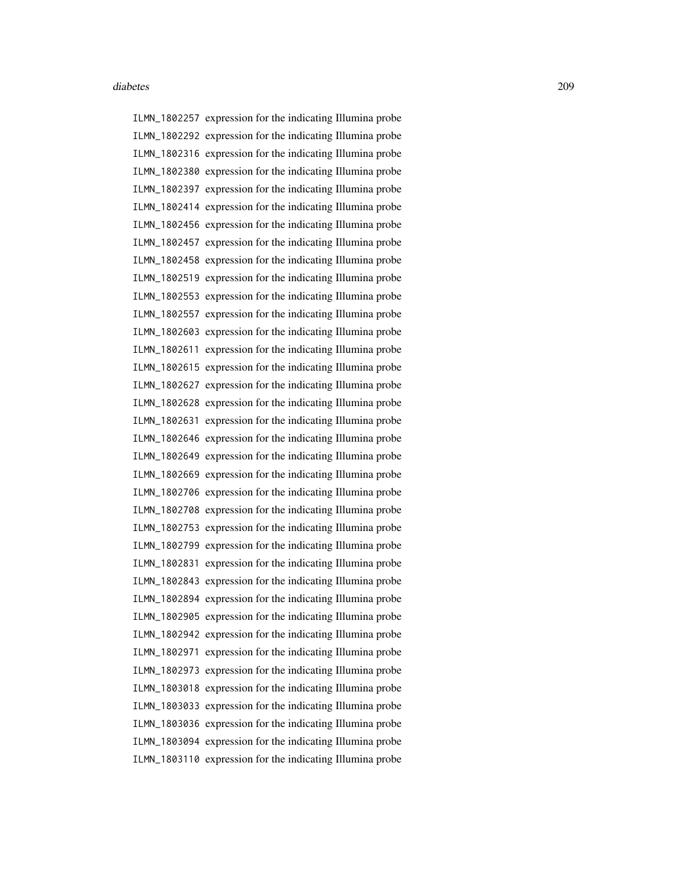ILMN\_1802257 expression for the indicating Illumina probe ILMN\_1802292 expression for the indicating Illumina probe ILMN\_1802316 expression for the indicating Illumina probe ILMN\_1802380 expression for the indicating Illumina probe ILMN\_1802397 expression for the indicating Illumina probe ILMN\_1802414 expression for the indicating Illumina probe ILMN\_1802456 expression for the indicating Illumina probe ILMN\_1802457 expression for the indicating Illumina probe ILMN\_1802458 expression for the indicating Illumina probe ILMN\_1802519 expression for the indicating Illumina probe ILMN\_1802553 expression for the indicating Illumina probe ILMN\_1802557 expression for the indicating Illumina probe ILMN\_1802603 expression for the indicating Illumina probe ILMN\_1802611 expression for the indicating Illumina probe ILMN\_1802615 expression for the indicating Illumina probe ILMN\_1802627 expression for the indicating Illumina probe ILMN\_1802628 expression for the indicating Illumina probe ILMN\_1802631 expression for the indicating Illumina probe ILMN\_1802646 expression for the indicating Illumina probe ILMN\_1802649 expression for the indicating Illumina probe ILMN\_1802669 expression for the indicating Illumina probe ILMN\_1802706 expression for the indicating Illumina probe ILMN\_1802708 expression for the indicating Illumina probe ILMN\_1802753 expression for the indicating Illumina probe ILMN\_1802799 expression for the indicating Illumina probe ILMN\_1802831 expression for the indicating Illumina probe ILMN\_1802843 expression for the indicating Illumina probe ILMN\_1802894 expression for the indicating Illumina probe ILMN\_1802905 expression for the indicating Illumina probe ILMN\_1802942 expression for the indicating Illumina probe ILMN\_1802971 expression for the indicating Illumina probe ILMN\_1802973 expression for the indicating Illumina probe ILMN\_1803018 expression for the indicating Illumina probe ILMN\_1803033 expression for the indicating Illumina probe ILMN\_1803036 expression for the indicating Illumina probe ILMN\_1803094 expression for the indicating Illumina probe ILMN\_1803110 expression for the indicating Illumina probe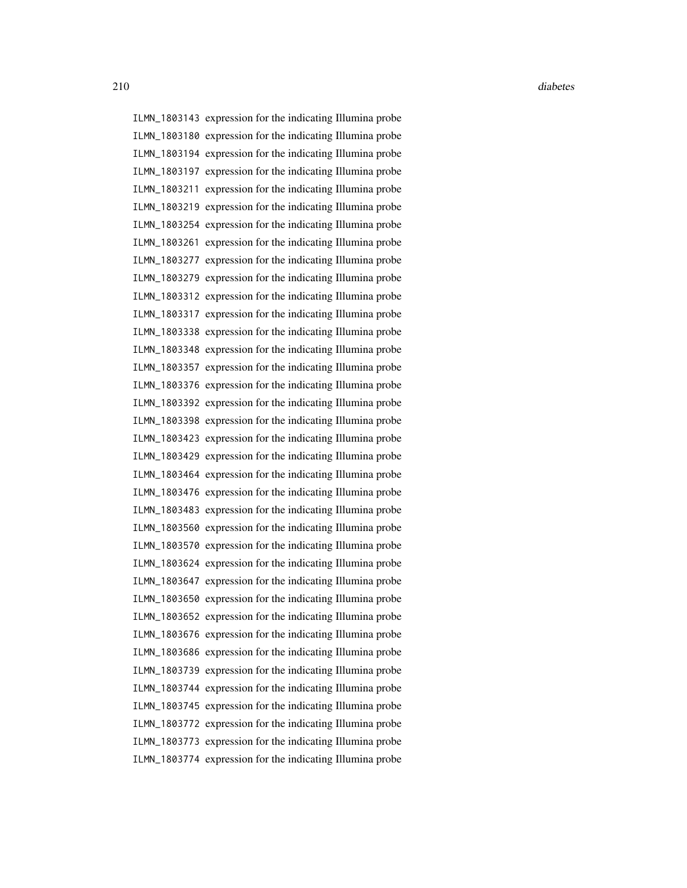ILMN\_1803143 expression for the indicating Illumina probe ILMN\_1803180 expression for the indicating Illumina probe ILMN\_1803194 expression for the indicating Illumina probe ILMN\_1803197 expression for the indicating Illumina probe ILMN\_1803211 expression for the indicating Illumina probe ILMN\_1803219 expression for the indicating Illumina probe ILMN\_1803254 expression for the indicating Illumina probe ILMN\_1803261 expression for the indicating Illumina probe ILMN\_1803277 expression for the indicating Illumina probe ILMN\_1803279 expression for the indicating Illumina probe ILMN\_1803312 expression for the indicating Illumina probe ILMN\_1803317 expression for the indicating Illumina probe ILMN\_1803338 expression for the indicating Illumina probe ILMN\_1803348 expression for the indicating Illumina probe ILMN\_1803357 expression for the indicating Illumina probe ILMN\_1803376 expression for the indicating Illumina probe ILMN\_1803392 expression for the indicating Illumina probe ILMN\_1803398 expression for the indicating Illumina probe ILMN\_1803423 expression for the indicating Illumina probe ILMN\_1803429 expression for the indicating Illumina probe ILMN\_1803464 expression for the indicating Illumina probe ILMN\_1803476 expression for the indicating Illumina probe ILMN\_1803483 expression for the indicating Illumina probe ILMN\_1803560 expression for the indicating Illumina probe ILMN\_1803570 expression for the indicating Illumina probe ILMN\_1803624 expression for the indicating Illumina probe ILMN\_1803647 expression for the indicating Illumina probe ILMN\_1803650 expression for the indicating Illumina probe ILMN\_1803652 expression for the indicating Illumina probe ILMN\_1803676 expression for the indicating Illumina probe ILMN\_1803686 expression for the indicating Illumina probe ILMN\_1803739 expression for the indicating Illumina probe ILMN\_1803744 expression for the indicating Illumina probe ILMN\_1803745 expression for the indicating Illumina probe ILMN\_1803772 expression for the indicating Illumina probe ILMN\_1803773 expression for the indicating Illumina probe ILMN\_1803774 expression for the indicating Illumina probe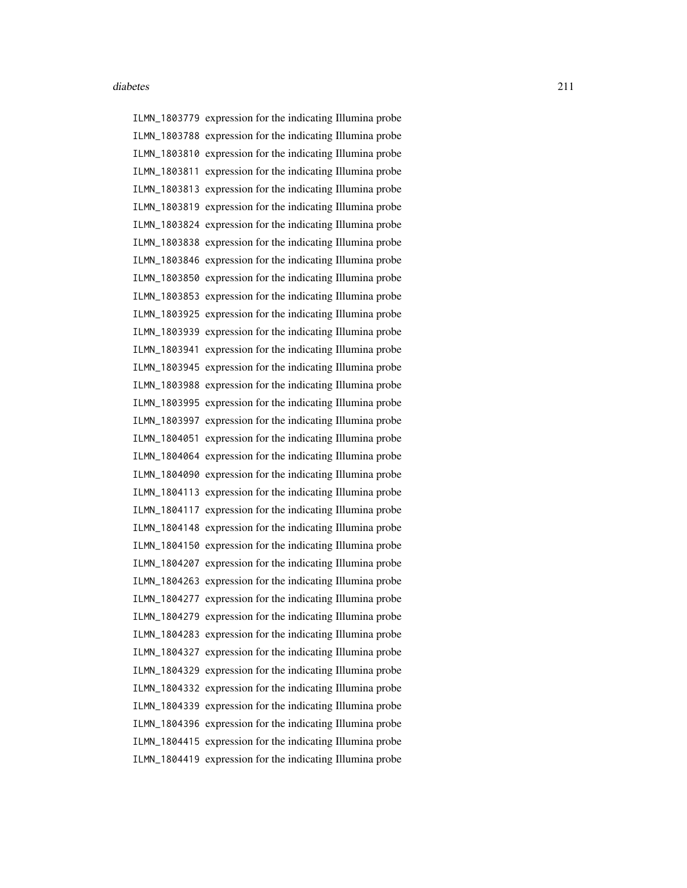ILMN\_1803779 expression for the indicating Illumina probe ILMN\_1803788 expression for the indicating Illumina probe ILMN\_1803810 expression for the indicating Illumina probe ILMN\_1803811 expression for the indicating Illumina probe ILMN\_1803813 expression for the indicating Illumina probe ILMN\_1803819 expression for the indicating Illumina probe ILMN\_1803824 expression for the indicating Illumina probe ILMN\_1803838 expression for the indicating Illumina probe ILMN\_1803846 expression for the indicating Illumina probe ILMN\_1803850 expression for the indicating Illumina probe ILMN\_1803853 expression for the indicating Illumina probe ILMN\_1803925 expression for the indicating Illumina probe ILMN\_1803939 expression for the indicating Illumina probe ILMN\_1803941 expression for the indicating Illumina probe ILMN\_1803945 expression for the indicating Illumina probe ILMN\_1803988 expression for the indicating Illumina probe ILMN\_1803995 expression for the indicating Illumina probe ILMN\_1803997 expression for the indicating Illumina probe ILMN\_1804051 expression for the indicating Illumina probe ILMN\_1804064 expression for the indicating Illumina probe ILMN\_1804090 expression for the indicating Illumina probe ILMN\_1804113 expression for the indicating Illumina probe ILMN\_1804117 expression for the indicating Illumina probe ILMN\_1804148 expression for the indicating Illumina probe ILMN\_1804150 expression for the indicating Illumina probe ILMN\_1804207 expression for the indicating Illumina probe ILMN\_1804263 expression for the indicating Illumina probe ILMN\_1804277 expression for the indicating Illumina probe ILMN\_1804279 expression for the indicating Illumina probe ILMN\_1804283 expression for the indicating Illumina probe ILMN\_1804327 expression for the indicating Illumina probe ILMN\_1804329 expression for the indicating Illumina probe ILMN\_1804332 expression for the indicating Illumina probe ILMN\_1804339 expression for the indicating Illumina probe ILMN\_1804396 expression for the indicating Illumina probe ILMN\_1804415 expression for the indicating Illumina probe ILMN\_1804419 expression for the indicating Illumina probe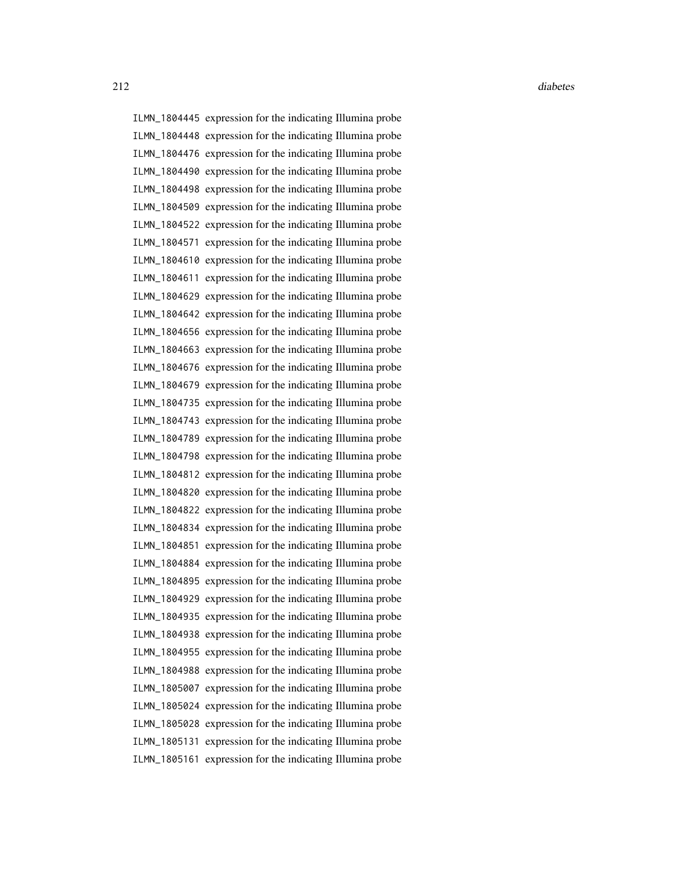ILMN\_1804445 expression for the indicating Illumina probe ILMN\_1804448 expression for the indicating Illumina probe ILMN\_1804476 expression for the indicating Illumina probe ILMN\_1804490 expression for the indicating Illumina probe ILMN\_1804498 expression for the indicating Illumina probe ILMN\_1804509 expression for the indicating Illumina probe ILMN\_1804522 expression for the indicating Illumina probe ILMN\_1804571 expression for the indicating Illumina probe ILMN\_1804610 expression for the indicating Illumina probe ILMN\_1804611 expression for the indicating Illumina probe ILMN\_1804629 expression for the indicating Illumina probe ILMN\_1804642 expression for the indicating Illumina probe ILMN\_1804656 expression for the indicating Illumina probe ILMN\_1804663 expression for the indicating Illumina probe ILMN\_1804676 expression for the indicating Illumina probe ILMN\_1804679 expression for the indicating Illumina probe ILMN\_1804735 expression for the indicating Illumina probe ILMN\_1804743 expression for the indicating Illumina probe ILMN\_1804789 expression for the indicating Illumina probe ILMN\_1804798 expression for the indicating Illumina probe ILMN\_1804812 expression for the indicating Illumina probe ILMN\_1804820 expression for the indicating Illumina probe ILMN\_1804822 expression for the indicating Illumina probe ILMN\_1804834 expression for the indicating Illumina probe ILMN\_1804851 expression for the indicating Illumina probe ILMN\_1804884 expression for the indicating Illumina probe ILMN\_1804895 expression for the indicating Illumina probe ILMN\_1804929 expression for the indicating Illumina probe ILMN\_1804935 expression for the indicating Illumina probe ILMN\_1804938 expression for the indicating Illumina probe ILMN\_1804955 expression for the indicating Illumina probe ILMN\_1804988 expression for the indicating Illumina probe ILMN\_1805007 expression for the indicating Illumina probe ILMN\_1805024 expression for the indicating Illumina probe ILMN\_1805028 expression for the indicating Illumina probe ILMN\_1805131 expression for the indicating Illumina probe ILMN\_1805161 expression for the indicating Illumina probe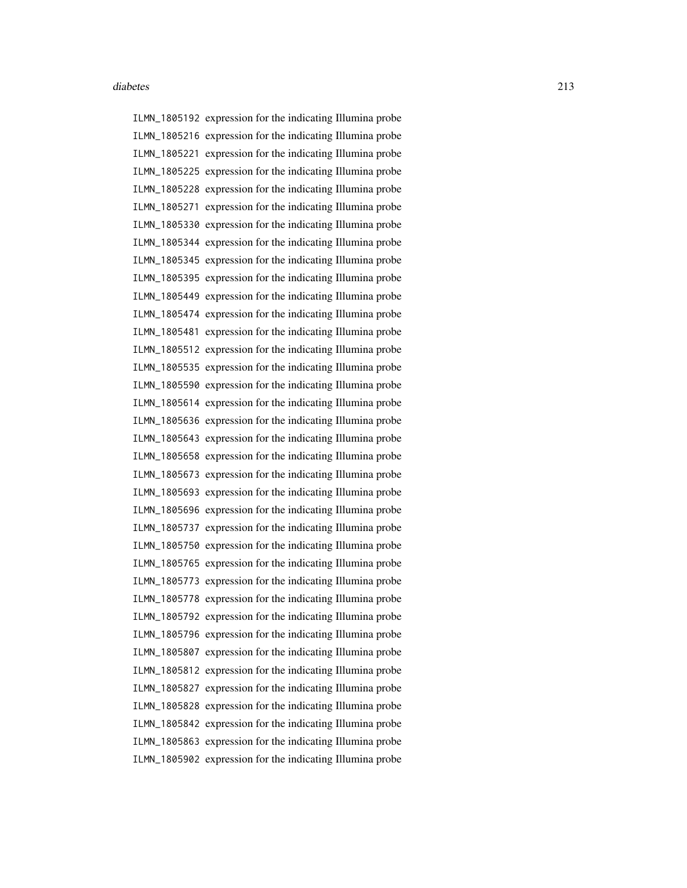ILMN\_1805192 expression for the indicating Illumina probe ILMN\_1805216 expression for the indicating Illumina probe ILMN\_1805221 expression for the indicating Illumina probe ILMN\_1805225 expression for the indicating Illumina probe ILMN\_1805228 expression for the indicating Illumina probe ILMN\_1805271 expression for the indicating Illumina probe ILMN\_1805330 expression for the indicating Illumina probe ILMN\_1805344 expression for the indicating Illumina probe ILMN\_1805345 expression for the indicating Illumina probe ILMN\_1805395 expression for the indicating Illumina probe ILMN\_1805449 expression for the indicating Illumina probe ILMN\_1805474 expression for the indicating Illumina probe ILMN\_1805481 expression for the indicating Illumina probe ILMN\_1805512 expression for the indicating Illumina probe ILMN\_1805535 expression for the indicating Illumina probe ILMN\_1805590 expression for the indicating Illumina probe ILMN\_1805614 expression for the indicating Illumina probe ILMN\_1805636 expression for the indicating Illumina probe ILMN\_1805643 expression for the indicating Illumina probe ILMN\_1805658 expression for the indicating Illumina probe ILMN\_1805673 expression for the indicating Illumina probe ILMN\_1805693 expression for the indicating Illumina probe ILMN\_1805696 expression for the indicating Illumina probe ILMN\_1805737 expression for the indicating Illumina probe ILMN\_1805750 expression for the indicating Illumina probe ILMN\_1805765 expression for the indicating Illumina probe ILMN\_1805773 expression for the indicating Illumina probe ILMN\_1805778 expression for the indicating Illumina probe ILMN\_1805792 expression for the indicating Illumina probe ILMN\_1805796 expression for the indicating Illumina probe ILMN\_1805807 expression for the indicating Illumina probe ILMN\_1805812 expression for the indicating Illumina probe ILMN\_1805827 expression for the indicating Illumina probe ILMN\_1805828 expression for the indicating Illumina probe ILMN\_1805842 expression for the indicating Illumina probe ILMN\_1805863 expression for the indicating Illumina probe ILMN\_1805902 expression for the indicating Illumina probe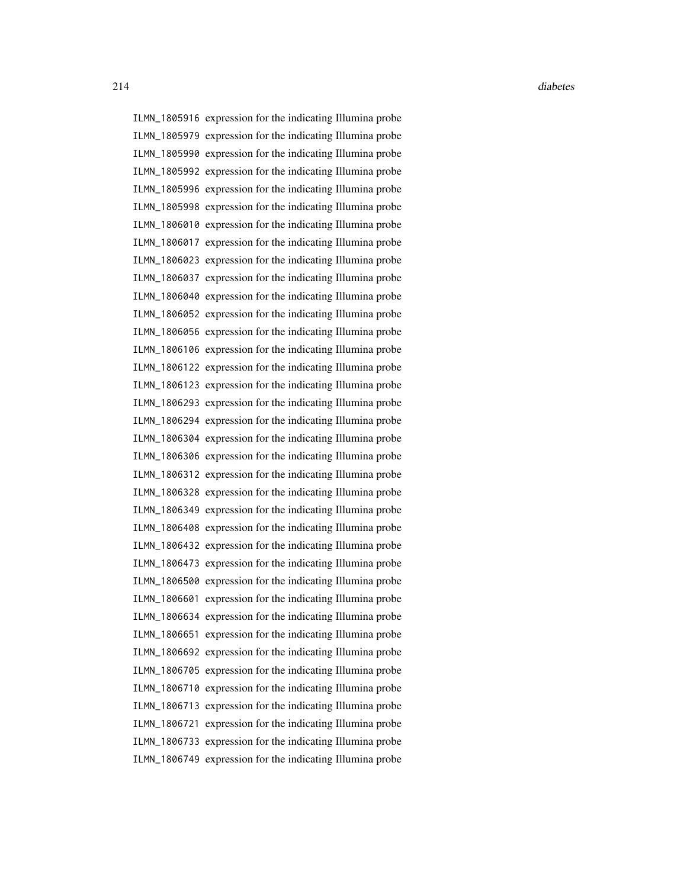ILMN\_1805916 expression for the indicating Illumina probe ILMN\_1805979 expression for the indicating Illumina probe ILMN\_1805990 expression for the indicating Illumina probe ILMN\_1805992 expression for the indicating Illumina probe ILMN\_1805996 expression for the indicating Illumina probe ILMN\_1805998 expression for the indicating Illumina probe ILMN\_1806010 expression for the indicating Illumina probe ILMN\_1806017 expression for the indicating Illumina probe ILMN\_1806023 expression for the indicating Illumina probe ILMN\_1806037 expression for the indicating Illumina probe ILMN\_1806040 expression for the indicating Illumina probe ILMN\_1806052 expression for the indicating Illumina probe ILMN\_1806056 expression for the indicating Illumina probe ILMN\_1806106 expression for the indicating Illumina probe ILMN\_1806122 expression for the indicating Illumina probe ILMN\_1806123 expression for the indicating Illumina probe ILMN\_1806293 expression for the indicating Illumina probe ILMN\_1806294 expression for the indicating Illumina probe ILMN\_1806304 expression for the indicating Illumina probe ILMN\_1806306 expression for the indicating Illumina probe ILMN\_1806312 expression for the indicating Illumina probe ILMN\_1806328 expression for the indicating Illumina probe ILMN\_1806349 expression for the indicating Illumina probe ILMN\_1806408 expression for the indicating Illumina probe ILMN\_1806432 expression for the indicating Illumina probe ILMN\_1806473 expression for the indicating Illumina probe ILMN\_1806500 expression for the indicating Illumina probe ILMN\_1806601 expression for the indicating Illumina probe ILMN\_1806634 expression for the indicating Illumina probe ILMN\_1806651 expression for the indicating Illumina probe ILMN\_1806692 expression for the indicating Illumina probe ILMN\_1806705 expression for the indicating Illumina probe ILMN\_1806710 expression for the indicating Illumina probe ILMN\_1806713 expression for the indicating Illumina probe ILMN\_1806721 expression for the indicating Illumina probe ILMN\_1806733 expression for the indicating Illumina probe ILMN\_1806749 expression for the indicating Illumina probe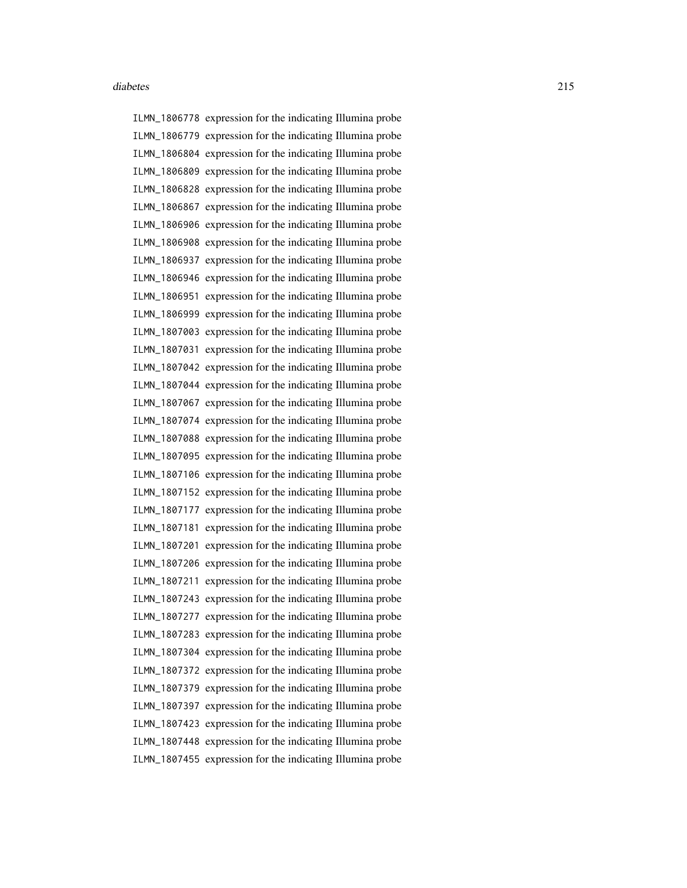ILMN\_1806778 expression for the indicating Illumina probe ILMN\_1806779 expression for the indicating Illumina probe ILMN\_1806804 expression for the indicating Illumina probe ILMN\_1806809 expression for the indicating Illumina probe ILMN\_1806828 expression for the indicating Illumina probe ILMN\_1806867 expression for the indicating Illumina probe ILMN\_1806906 expression for the indicating Illumina probe ILMN\_1806908 expression for the indicating Illumina probe ILMN\_1806937 expression for the indicating Illumina probe ILMN\_1806946 expression for the indicating Illumina probe ILMN\_1806951 expression for the indicating Illumina probe ILMN\_1806999 expression for the indicating Illumina probe ILMN\_1807003 expression for the indicating Illumina probe ILMN\_1807031 expression for the indicating Illumina probe ILMN\_1807042 expression for the indicating Illumina probe ILMN\_1807044 expression for the indicating Illumina probe ILMN\_1807067 expression for the indicating Illumina probe ILMN\_1807074 expression for the indicating Illumina probe ILMN\_1807088 expression for the indicating Illumina probe ILMN\_1807095 expression for the indicating Illumina probe ILMN\_1807106 expression for the indicating Illumina probe ILMN\_1807152 expression for the indicating Illumina probe ILMN\_1807177 expression for the indicating Illumina probe ILMN\_1807181 expression for the indicating Illumina probe ILMN\_1807201 expression for the indicating Illumina probe ILMN\_1807206 expression for the indicating Illumina probe ILMN\_1807211 expression for the indicating Illumina probe ILMN\_1807243 expression for the indicating Illumina probe ILMN\_1807277 expression for the indicating Illumina probe ILMN\_1807283 expression for the indicating Illumina probe ILMN\_1807304 expression for the indicating Illumina probe ILMN\_1807372 expression for the indicating Illumina probe ILMN\_1807379 expression for the indicating Illumina probe ILMN\_1807397 expression for the indicating Illumina probe ILMN\_1807423 expression for the indicating Illumina probe ILMN\_1807448 expression for the indicating Illumina probe ILMN\_1807455 expression for the indicating Illumina probe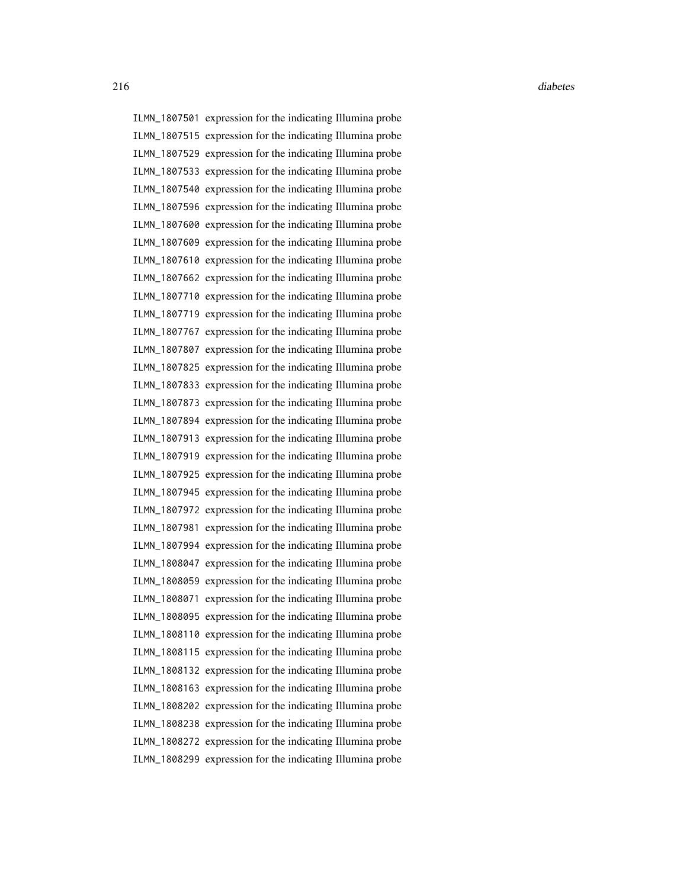ILMN\_1807501 expression for the indicating Illumina probe ILMN\_1807515 expression for the indicating Illumina probe ILMN\_1807529 expression for the indicating Illumina probe ILMN\_1807533 expression for the indicating Illumina probe ILMN\_1807540 expression for the indicating Illumina probe ILMN\_1807596 expression for the indicating Illumina probe ILMN\_1807600 expression for the indicating Illumina probe ILMN\_1807609 expression for the indicating Illumina probe ILMN\_1807610 expression for the indicating Illumina probe ILMN\_1807662 expression for the indicating Illumina probe ILMN\_1807710 expression for the indicating Illumina probe ILMN\_1807719 expression for the indicating Illumina probe ILMN\_1807767 expression for the indicating Illumina probe ILMN\_1807807 expression for the indicating Illumina probe ILMN\_1807825 expression for the indicating Illumina probe ILMN\_1807833 expression for the indicating Illumina probe ILMN\_1807873 expression for the indicating Illumina probe ILMN\_1807894 expression for the indicating Illumina probe ILMN\_1807913 expression for the indicating Illumina probe ILMN\_1807919 expression for the indicating Illumina probe ILMN\_1807925 expression for the indicating Illumina probe ILMN\_1807945 expression for the indicating Illumina probe ILMN\_1807972 expression for the indicating Illumina probe ILMN\_1807981 expression for the indicating Illumina probe ILMN\_1807994 expression for the indicating Illumina probe ILMN\_1808047 expression for the indicating Illumina probe ILMN\_1808059 expression for the indicating Illumina probe ILMN\_1808071 expression for the indicating Illumina probe ILMN\_1808095 expression for the indicating Illumina probe ILMN\_1808110 expression for the indicating Illumina probe ILMN\_1808115 expression for the indicating Illumina probe ILMN\_1808132 expression for the indicating Illumina probe ILMN\_1808163 expression for the indicating Illumina probe ILMN\_1808202 expression for the indicating Illumina probe ILMN\_1808238 expression for the indicating Illumina probe ILMN\_1808272 expression for the indicating Illumina probe ILMN\_1808299 expression for the indicating Illumina probe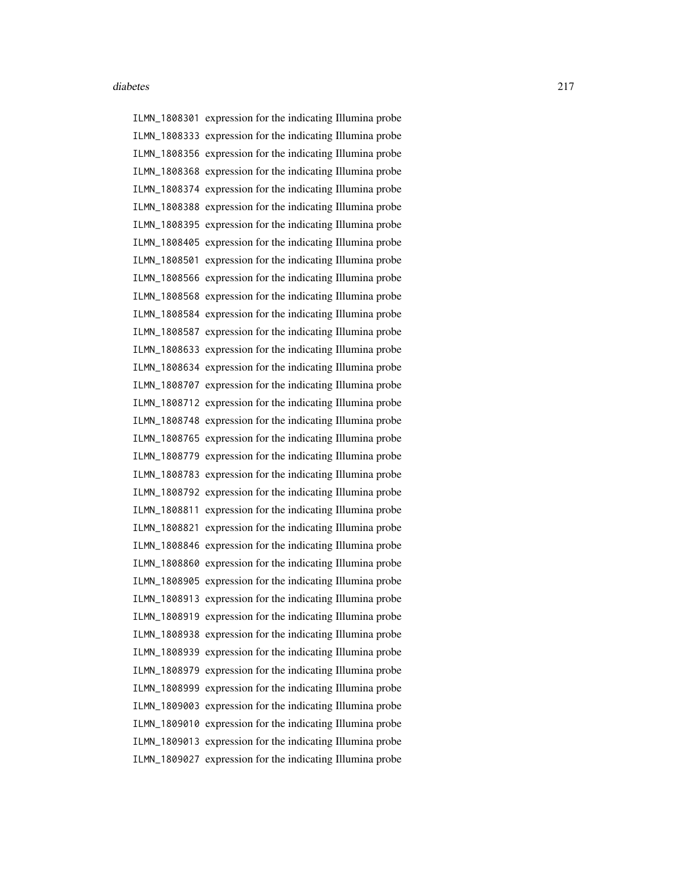ILMN\_1808301 expression for the indicating Illumina probe ILMN\_1808333 expression for the indicating Illumina probe ILMN\_1808356 expression for the indicating Illumina probe ILMN\_1808368 expression for the indicating Illumina probe ILMN\_1808374 expression for the indicating Illumina probe ILMN\_1808388 expression for the indicating Illumina probe ILMN\_1808395 expression for the indicating Illumina probe ILMN\_1808405 expression for the indicating Illumina probe ILMN\_1808501 expression for the indicating Illumina probe ILMN\_1808566 expression for the indicating Illumina probe ILMN\_1808568 expression for the indicating Illumina probe ILMN\_1808584 expression for the indicating Illumina probe ILMN\_1808587 expression for the indicating Illumina probe ILMN\_1808633 expression for the indicating Illumina probe ILMN\_1808634 expression for the indicating Illumina probe ILMN\_1808707 expression for the indicating Illumina probe ILMN\_1808712 expression for the indicating Illumina probe ILMN\_1808748 expression for the indicating Illumina probe ILMN\_1808765 expression for the indicating Illumina probe ILMN\_1808779 expression for the indicating Illumina probe ILMN\_1808783 expression for the indicating Illumina probe ILMN\_1808792 expression for the indicating Illumina probe ILMN\_1808811 expression for the indicating Illumina probe ILMN\_1808821 expression for the indicating Illumina probe ILMN\_1808846 expression for the indicating Illumina probe ILMN\_1808860 expression for the indicating Illumina probe ILMN\_1808905 expression for the indicating Illumina probe ILMN\_1808913 expression for the indicating Illumina probe ILMN\_1808919 expression for the indicating Illumina probe ILMN\_1808938 expression for the indicating Illumina probe ILMN\_1808939 expression for the indicating Illumina probe ILMN\_1808979 expression for the indicating Illumina probe ILMN\_1808999 expression for the indicating Illumina probe ILMN\_1809003 expression for the indicating Illumina probe ILMN\_1809010 expression for the indicating Illumina probe ILMN\_1809013 expression for the indicating Illumina probe ILMN\_1809027 expression for the indicating Illumina probe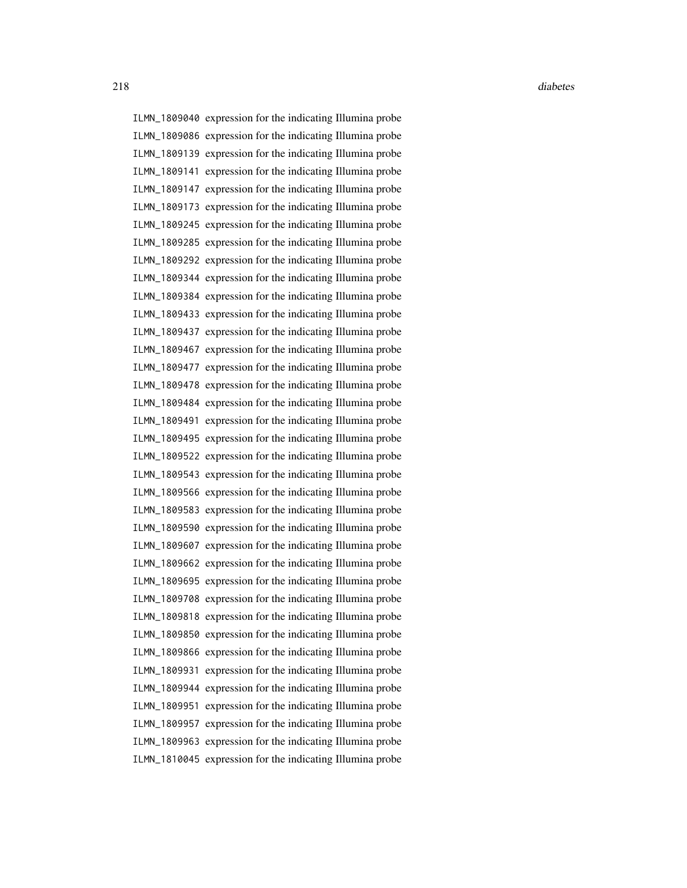ILMN\_1809040 expression for the indicating Illumina probe ILMN\_1809086 expression for the indicating Illumina probe ILMN\_1809139 expression for the indicating Illumina probe ILMN\_1809141 expression for the indicating Illumina probe ILMN\_1809147 expression for the indicating Illumina probe ILMN\_1809173 expression for the indicating Illumina probe ILMN\_1809245 expression for the indicating Illumina probe ILMN\_1809285 expression for the indicating Illumina probe ILMN\_1809292 expression for the indicating Illumina probe ILMN\_1809344 expression for the indicating Illumina probe ILMN\_1809384 expression for the indicating Illumina probe ILMN\_1809433 expression for the indicating Illumina probe ILMN\_1809437 expression for the indicating Illumina probe ILMN\_1809467 expression for the indicating Illumina probe ILMN\_1809477 expression for the indicating Illumina probe ILMN\_1809478 expression for the indicating Illumina probe ILMN\_1809484 expression for the indicating Illumina probe ILMN\_1809491 expression for the indicating Illumina probe ILMN\_1809495 expression for the indicating Illumina probe ILMN\_1809522 expression for the indicating Illumina probe ILMN\_1809543 expression for the indicating Illumina probe ILMN\_1809566 expression for the indicating Illumina probe ILMN\_1809583 expression for the indicating Illumina probe ILMN\_1809590 expression for the indicating Illumina probe ILMN\_1809607 expression for the indicating Illumina probe ILMN\_1809662 expression for the indicating Illumina probe ILMN\_1809695 expression for the indicating Illumina probe ILMN\_1809708 expression for the indicating Illumina probe ILMN\_1809818 expression for the indicating Illumina probe ILMN\_1809850 expression for the indicating Illumina probe ILMN\_1809866 expression for the indicating Illumina probe ILMN\_1809931 expression for the indicating Illumina probe ILMN\_1809944 expression for the indicating Illumina probe ILMN\_1809951 expression for the indicating Illumina probe ILMN\_1809957 expression for the indicating Illumina probe ILMN\_1809963 expression for the indicating Illumina probe ILMN\_1810045 expression for the indicating Illumina probe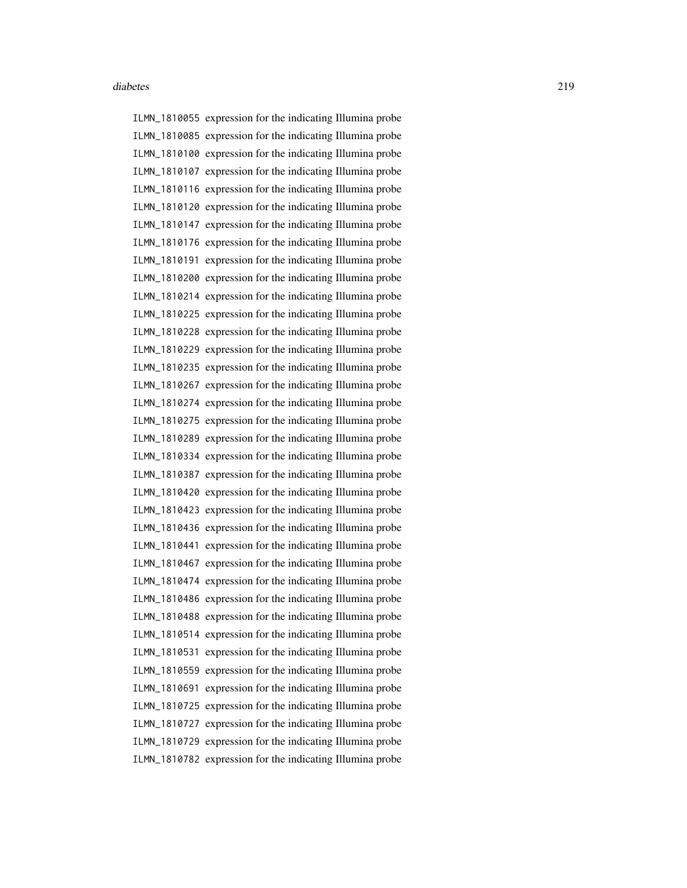ILMN\_1810055 expression for the indicating Illumina probe ILMN\_1810085 expression for the indicating Illumina probe ILMN\_1810100 expression for the indicating Illumina probe ILMN\_1810107 expression for the indicating Illumina probe ILMN\_1810116 expression for the indicating Illumina probe ILMN\_1810120 expression for the indicating Illumina probe ILMN\_1810147 expression for the indicating Illumina probe ILMN\_1810176 expression for the indicating Illumina probe ILMN\_1810191 expression for the indicating Illumina probe ILMN\_1810200 expression for the indicating Illumina probe ILMN\_1810214 expression for the indicating Illumina probe ILMN\_1810225 expression for the indicating Illumina probe ILMN\_1810228 expression for the indicating Illumina probe ILMN\_1810229 expression for the indicating Illumina probe ILMN\_1810235 expression for the indicating Illumina probe ILMN\_1810267 expression for the indicating Illumina probe ILMN\_1810274 expression for the indicating Illumina probe ILMN\_1810275 expression for the indicating Illumina probe ILMN\_1810289 expression for the indicating Illumina probe ILMN\_1810334 expression for the indicating Illumina probe ILMN\_1810387 expression for the indicating Illumina probe ILMN\_1810420 expression for the indicating Illumina probe ILMN\_1810423 expression for the indicating Illumina probe ILMN\_1810436 expression for the indicating Illumina probe ILMN\_1810441 expression for the indicating Illumina probe ILMN\_1810467 expression for the indicating Illumina probe ILMN\_1810474 expression for the indicating Illumina probe ILMN\_1810486 expression for the indicating Illumina probe ILMN\_1810488 expression for the indicating Illumina probe ILMN\_1810514 expression for the indicating Illumina probe ILMN\_1810531 expression for the indicating Illumina probe ILMN\_1810559 expression for the indicating Illumina probe ILMN\_1810691 expression for the indicating Illumina probe ILMN\_1810725 expression for the indicating Illumina probe ILMN\_1810727 expression for the indicating Illumina probe ILMN\_1810729 expression for the indicating Illumina probe ILMN\_1810782 expression for the indicating Illumina probe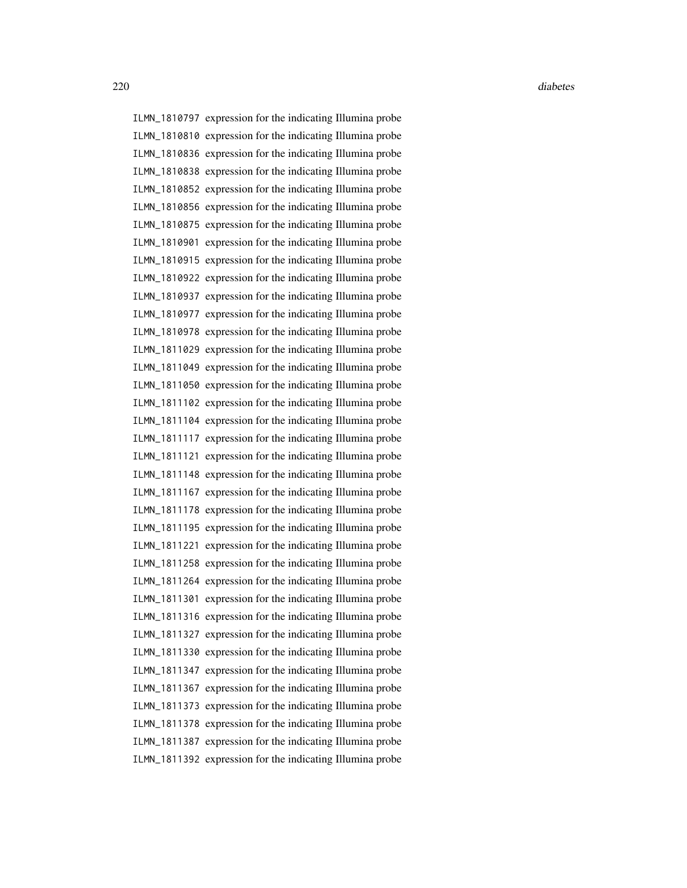ILMN\_1810797 expression for the indicating Illumina probe ILMN\_1810810 expression for the indicating Illumina probe ILMN\_1810836 expression for the indicating Illumina probe ILMN\_1810838 expression for the indicating Illumina probe ILMN\_1810852 expression for the indicating Illumina probe ILMN\_1810856 expression for the indicating Illumina probe ILMN\_1810875 expression for the indicating Illumina probe ILMN\_1810901 expression for the indicating Illumina probe ILMN\_1810915 expression for the indicating Illumina probe ILMN\_1810922 expression for the indicating Illumina probe ILMN\_1810937 expression for the indicating Illumina probe ILMN\_1810977 expression for the indicating Illumina probe ILMN\_1810978 expression for the indicating Illumina probe ILMN\_1811029 expression for the indicating Illumina probe ILMN\_1811049 expression for the indicating Illumina probe ILMN\_1811050 expression for the indicating Illumina probe ILMN\_1811102 expression for the indicating Illumina probe ILMN\_1811104 expression for the indicating Illumina probe ILMN\_1811117 expression for the indicating Illumina probe ILMN\_1811121 expression for the indicating Illumina probe ILMN\_1811148 expression for the indicating Illumina probe ILMN\_1811167 expression for the indicating Illumina probe ILMN\_1811178 expression for the indicating Illumina probe ILMN\_1811195 expression for the indicating Illumina probe ILMN\_1811221 expression for the indicating Illumina probe ILMN\_1811258 expression for the indicating Illumina probe ILMN\_1811264 expression for the indicating Illumina probe ILMN\_1811301 expression for the indicating Illumina probe ILMN\_1811316 expression for the indicating Illumina probe ILMN\_1811327 expression for the indicating Illumina probe ILMN\_1811330 expression for the indicating Illumina probe ILMN\_1811347 expression for the indicating Illumina probe ILMN\_1811367 expression for the indicating Illumina probe ILMN\_1811373 expression for the indicating Illumina probe ILMN\_1811378 expression for the indicating Illumina probe ILMN\_1811387 expression for the indicating Illumina probe ILMN\_1811392 expression for the indicating Illumina probe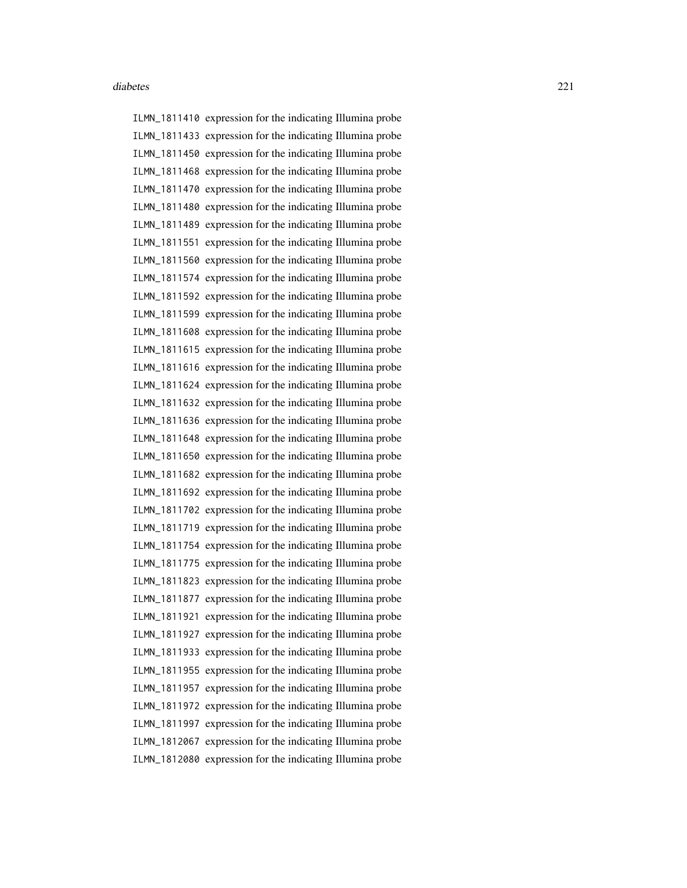ILMN\_1811410 expression for the indicating Illumina probe ILMN\_1811433 expression for the indicating Illumina probe ILMN\_1811450 expression for the indicating Illumina probe ILMN\_1811468 expression for the indicating Illumina probe ILMN\_1811470 expression for the indicating Illumina probe ILMN\_1811480 expression for the indicating Illumina probe ILMN\_1811489 expression for the indicating Illumina probe ILMN\_1811551 expression for the indicating Illumina probe ILMN\_1811560 expression for the indicating Illumina probe ILMN\_1811574 expression for the indicating Illumina probe ILMN\_1811592 expression for the indicating Illumina probe ILMN\_1811599 expression for the indicating Illumina probe ILMN\_1811608 expression for the indicating Illumina probe ILMN\_1811615 expression for the indicating Illumina probe ILMN\_1811616 expression for the indicating Illumina probe ILMN\_1811624 expression for the indicating Illumina probe ILMN\_1811632 expression for the indicating Illumina probe ILMN\_1811636 expression for the indicating Illumina probe ILMN\_1811648 expression for the indicating Illumina probe ILMN\_1811650 expression for the indicating Illumina probe ILMN\_1811682 expression for the indicating Illumina probe ILMN\_1811692 expression for the indicating Illumina probe ILMN\_1811702 expression for the indicating Illumina probe ILMN\_1811719 expression for the indicating Illumina probe ILMN\_1811754 expression for the indicating Illumina probe ILMN\_1811775 expression for the indicating Illumina probe ILMN\_1811823 expression for the indicating Illumina probe ILMN\_1811877 expression for the indicating Illumina probe ILMN\_1811921 expression for the indicating Illumina probe ILMN\_1811927 expression for the indicating Illumina probe ILMN\_1811933 expression for the indicating Illumina probe ILMN\_1811955 expression for the indicating Illumina probe ILMN\_1811957 expression for the indicating Illumina probe ILMN\_1811972 expression for the indicating Illumina probe ILMN\_1811997 expression for the indicating Illumina probe ILMN\_1812067 expression for the indicating Illumina probe ILMN\_1812080 expression for the indicating Illumina probe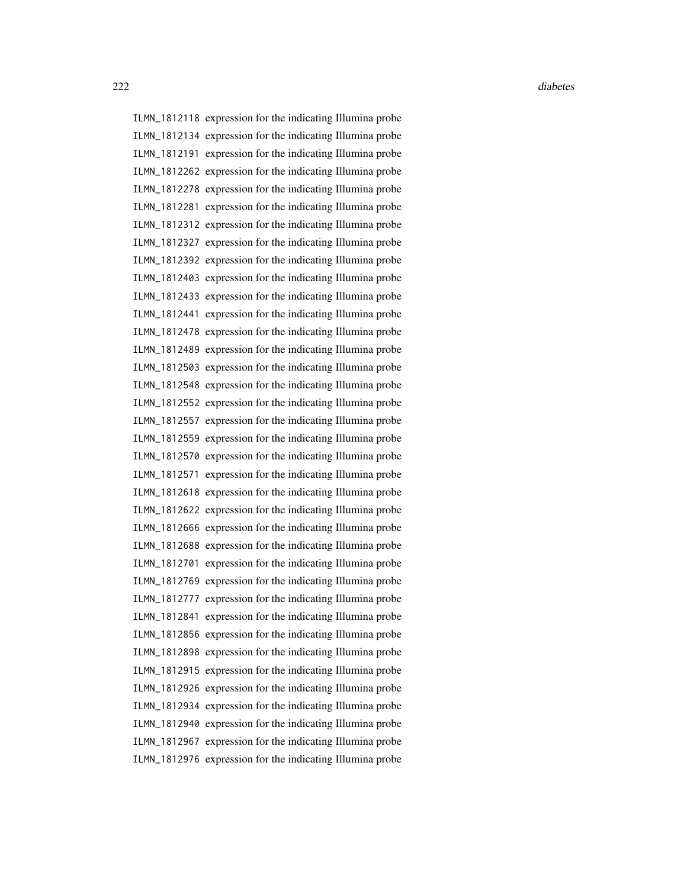222 diabetes and the contract of the contract of the contract of the contract of the contract of the contract of the contract of the contract of the contract of the contract of the contract of the contract of the contract

ILMN\_1812118 expression for the indicating Illumina probe ILMN\_1812134 expression for the indicating Illumina probe ILMN\_1812191 expression for the indicating Illumina probe ILMN\_1812262 expression for the indicating Illumina probe ILMN\_1812278 expression for the indicating Illumina probe ILMN\_1812281 expression for the indicating Illumina probe ILMN\_1812312 expression for the indicating Illumina probe ILMN\_1812327 expression for the indicating Illumina probe ILMN\_1812392 expression for the indicating Illumina probe ILMN\_1812403 expression for the indicating Illumina probe ILMN\_1812433 expression for the indicating Illumina probe ILMN\_1812441 expression for the indicating Illumina probe ILMN\_1812478 expression for the indicating Illumina probe ILMN\_1812489 expression for the indicating Illumina probe ILMN\_1812503 expression for the indicating Illumina probe ILMN\_1812548 expression for the indicating Illumina probe ILMN\_1812552 expression for the indicating Illumina probe ILMN\_1812557 expression for the indicating Illumina probe ILMN\_1812559 expression for the indicating Illumina probe ILMN\_1812570 expression for the indicating Illumina probe ILMN\_1812571 expression for the indicating Illumina probe ILMN\_1812618 expression for the indicating Illumina probe ILMN\_1812622 expression for the indicating Illumina probe ILMN\_1812666 expression for the indicating Illumina probe ILMN\_1812688 expression for the indicating Illumina probe ILMN\_1812701 expression for the indicating Illumina probe ILMN\_1812769 expression for the indicating Illumina probe ILMN\_1812777 expression for the indicating Illumina probe ILMN\_1812841 expression for the indicating Illumina probe ILMN\_1812856 expression for the indicating Illumina probe ILMN\_1812898 expression for the indicating Illumina probe ILMN\_1812915 expression for the indicating Illumina probe ILMN\_1812926 expression for the indicating Illumina probe ILMN\_1812934 expression for the indicating Illumina probe ILMN\_1812940 expression for the indicating Illumina probe ILMN\_1812967 expression for the indicating Illumina probe ILMN\_1812976 expression for the indicating Illumina probe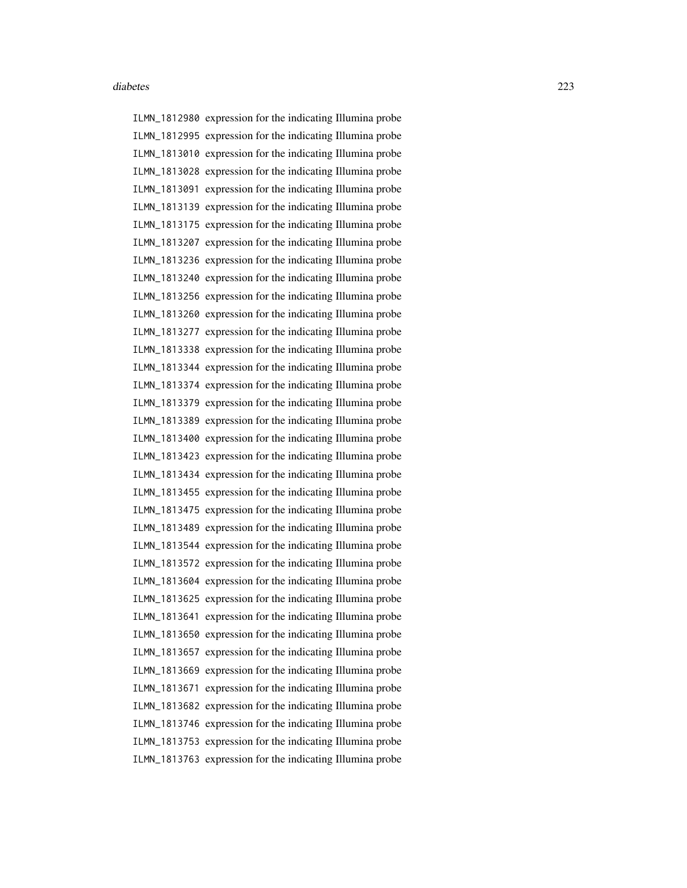ILMN\_1812980 expression for the indicating Illumina probe ILMN\_1812995 expression for the indicating Illumina probe ILMN\_1813010 expression for the indicating Illumina probe ILMN\_1813028 expression for the indicating Illumina probe ILMN\_1813091 expression for the indicating Illumina probe ILMN\_1813139 expression for the indicating Illumina probe ILMN\_1813175 expression for the indicating Illumina probe ILMN\_1813207 expression for the indicating Illumina probe ILMN\_1813236 expression for the indicating Illumina probe ILMN\_1813240 expression for the indicating Illumina probe ILMN\_1813256 expression for the indicating Illumina probe ILMN\_1813260 expression for the indicating Illumina probe ILMN\_1813277 expression for the indicating Illumina probe ILMN\_1813338 expression for the indicating Illumina probe ILMN\_1813344 expression for the indicating Illumina probe ILMN\_1813374 expression for the indicating Illumina probe ILMN\_1813379 expression for the indicating Illumina probe ILMN\_1813389 expression for the indicating Illumina probe ILMN\_1813400 expression for the indicating Illumina probe ILMN\_1813423 expression for the indicating Illumina probe ILMN\_1813434 expression for the indicating Illumina probe ILMN\_1813455 expression for the indicating Illumina probe ILMN\_1813475 expression for the indicating Illumina probe ILMN\_1813489 expression for the indicating Illumina probe ILMN\_1813544 expression for the indicating Illumina probe ILMN\_1813572 expression for the indicating Illumina probe ILMN\_1813604 expression for the indicating Illumina probe ILMN\_1813625 expression for the indicating Illumina probe ILMN\_1813641 expression for the indicating Illumina probe ILMN\_1813650 expression for the indicating Illumina probe ILMN\_1813657 expression for the indicating Illumina probe ILMN\_1813669 expression for the indicating Illumina probe ILMN\_1813671 expression for the indicating Illumina probe ILMN\_1813682 expression for the indicating Illumina probe ILMN\_1813746 expression for the indicating Illumina probe ILMN\_1813753 expression for the indicating Illumina probe ILMN\_1813763 expression for the indicating Illumina probe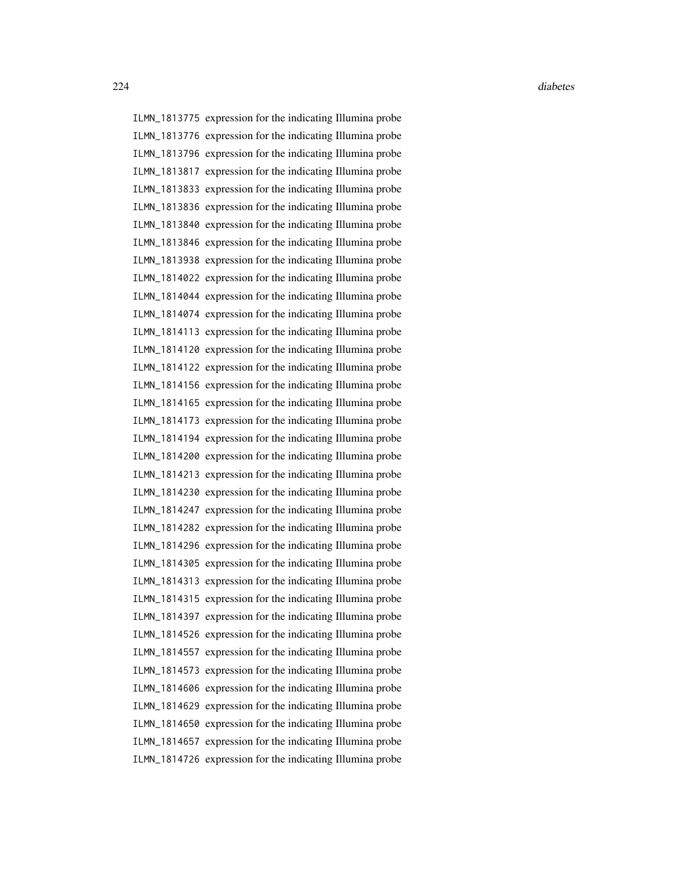ILMN\_1813775 expression for the indicating Illumina probe ILMN\_1813776 expression for the indicating Illumina probe ILMN\_1813796 expression for the indicating Illumina probe ILMN\_1813817 expression for the indicating Illumina probe ILMN\_1813833 expression for the indicating Illumina probe ILMN\_1813836 expression for the indicating Illumina probe ILMN\_1813840 expression for the indicating Illumina probe ILMN\_1813846 expression for the indicating Illumina probe ILMN\_1813938 expression for the indicating Illumina probe ILMN\_1814022 expression for the indicating Illumina probe ILMN\_1814044 expression for the indicating Illumina probe ILMN\_1814074 expression for the indicating Illumina probe ILMN\_1814113 expression for the indicating Illumina probe ILMN\_1814120 expression for the indicating Illumina probe ILMN\_1814122 expression for the indicating Illumina probe ILMN\_1814156 expression for the indicating Illumina probe ILMN\_1814165 expression for the indicating Illumina probe ILMN\_1814173 expression for the indicating Illumina probe ILMN\_1814194 expression for the indicating Illumina probe ILMN\_1814200 expression for the indicating Illumina probe ILMN\_1814213 expression for the indicating Illumina probe ILMN\_1814230 expression for the indicating Illumina probe ILMN\_1814247 expression for the indicating Illumina probe ILMN\_1814282 expression for the indicating Illumina probe ILMN\_1814296 expression for the indicating Illumina probe ILMN\_1814305 expression for the indicating Illumina probe ILMN\_1814313 expression for the indicating Illumina probe ILMN\_1814315 expression for the indicating Illumina probe ILMN\_1814397 expression for the indicating Illumina probe ILMN\_1814526 expression for the indicating Illumina probe ILMN\_1814557 expression for the indicating Illumina probe ILMN\_1814573 expression for the indicating Illumina probe ILMN\_1814606 expression for the indicating Illumina probe ILMN\_1814629 expression for the indicating Illumina probe ILMN\_1814650 expression for the indicating Illumina probe ILMN\_1814657 expression for the indicating Illumina probe ILMN\_1814726 expression for the indicating Illumina probe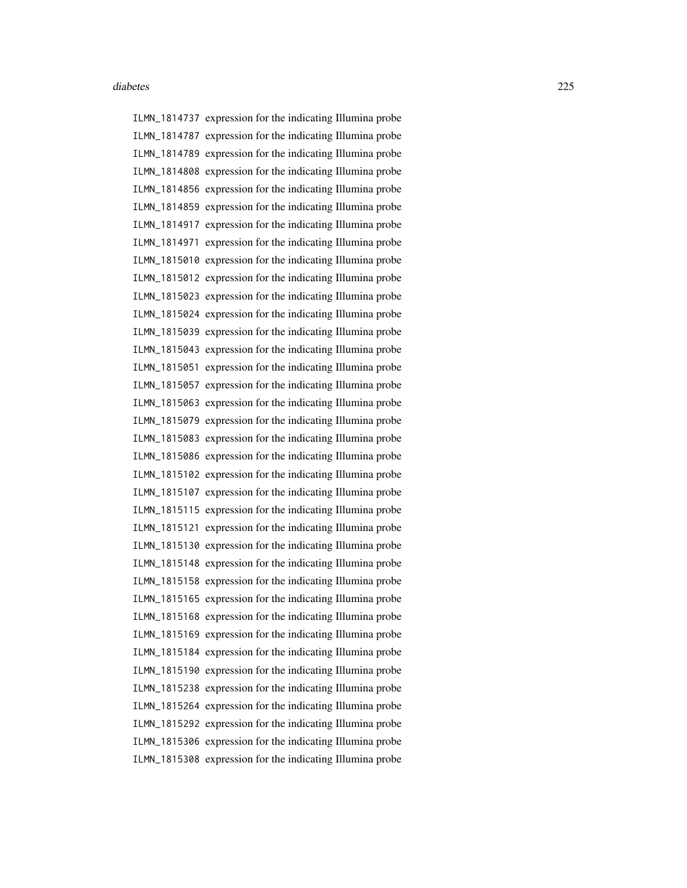ILMN\_1814737 expression for the indicating Illumina probe ILMN\_1814787 expression for the indicating Illumina probe ILMN\_1814789 expression for the indicating Illumina probe ILMN\_1814808 expression for the indicating Illumina probe ILMN\_1814856 expression for the indicating Illumina probe ILMN\_1814859 expression for the indicating Illumina probe ILMN\_1814917 expression for the indicating Illumina probe ILMN\_1814971 expression for the indicating Illumina probe ILMN\_1815010 expression for the indicating Illumina probe ILMN\_1815012 expression for the indicating Illumina probe ILMN\_1815023 expression for the indicating Illumina probe ILMN\_1815024 expression for the indicating Illumina probe ILMN\_1815039 expression for the indicating Illumina probe ILMN\_1815043 expression for the indicating Illumina probe ILMN\_1815051 expression for the indicating Illumina probe ILMN\_1815057 expression for the indicating Illumina probe ILMN\_1815063 expression for the indicating Illumina probe ILMN\_1815079 expression for the indicating Illumina probe ILMN\_1815083 expression for the indicating Illumina probe ILMN\_1815086 expression for the indicating Illumina probe ILMN\_1815102 expression for the indicating Illumina probe ILMN\_1815107 expression for the indicating Illumina probe ILMN\_1815115 expression for the indicating Illumina probe ILMN\_1815121 expression for the indicating Illumina probe ILMN\_1815130 expression for the indicating Illumina probe ILMN\_1815148 expression for the indicating Illumina probe ILMN\_1815158 expression for the indicating Illumina probe ILMN\_1815165 expression for the indicating Illumina probe ILMN\_1815168 expression for the indicating Illumina probe ILMN\_1815169 expression for the indicating Illumina probe ILMN\_1815184 expression for the indicating Illumina probe ILMN\_1815190 expression for the indicating Illumina probe ILMN\_1815238 expression for the indicating Illumina probe ILMN\_1815264 expression for the indicating Illumina probe ILMN\_1815292 expression for the indicating Illumina probe ILMN\_1815306 expression for the indicating Illumina probe ILMN\_1815308 expression for the indicating Illumina probe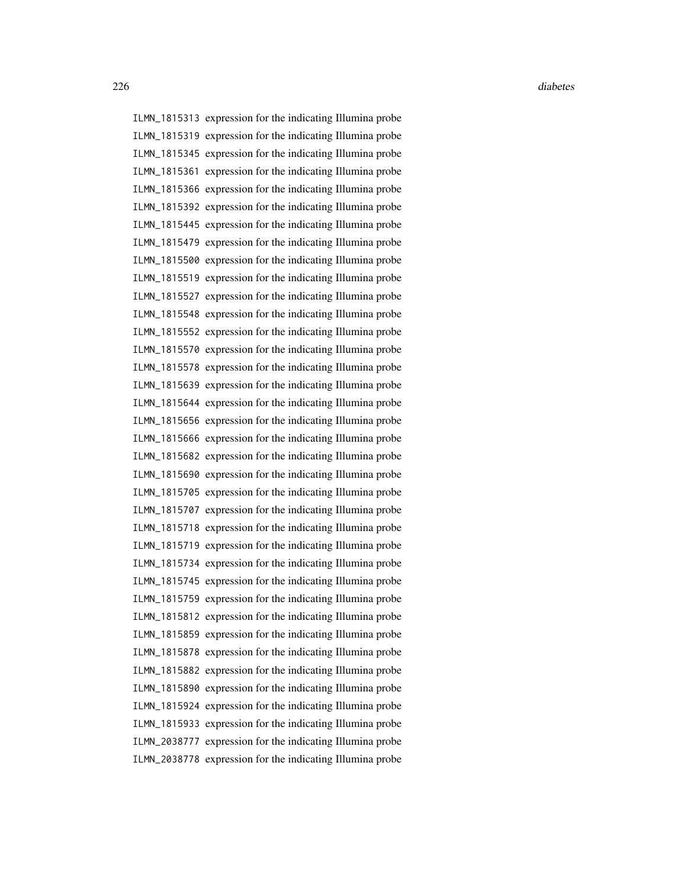ILMN\_1815313 expression for the indicating Illumina probe ILMN\_1815319 expression for the indicating Illumina probe ILMN\_1815345 expression for the indicating Illumina probe ILMN\_1815361 expression for the indicating Illumina probe ILMN\_1815366 expression for the indicating Illumina probe ILMN\_1815392 expression for the indicating Illumina probe ILMN\_1815445 expression for the indicating Illumina probe ILMN\_1815479 expression for the indicating Illumina probe ILMN\_1815500 expression for the indicating Illumina probe ILMN\_1815519 expression for the indicating Illumina probe ILMN\_1815527 expression for the indicating Illumina probe ILMN\_1815548 expression for the indicating Illumina probe ILMN\_1815552 expression for the indicating Illumina probe ILMN\_1815570 expression for the indicating Illumina probe ILMN\_1815578 expression for the indicating Illumina probe ILMN\_1815639 expression for the indicating Illumina probe ILMN\_1815644 expression for the indicating Illumina probe ILMN\_1815656 expression for the indicating Illumina probe ILMN\_1815666 expression for the indicating Illumina probe ILMN\_1815682 expression for the indicating Illumina probe ILMN\_1815690 expression for the indicating Illumina probe ILMN\_1815705 expression for the indicating Illumina probe ILMN\_1815707 expression for the indicating Illumina probe ILMN\_1815718 expression for the indicating Illumina probe ILMN\_1815719 expression for the indicating Illumina probe ILMN\_1815734 expression for the indicating Illumina probe ILMN\_1815745 expression for the indicating Illumina probe ILMN\_1815759 expression for the indicating Illumina probe ILMN\_1815812 expression for the indicating Illumina probe ILMN\_1815859 expression for the indicating Illumina probe ILMN\_1815878 expression for the indicating Illumina probe ILMN\_1815882 expression for the indicating Illumina probe ILMN\_1815890 expression for the indicating Illumina probe ILMN\_1815924 expression for the indicating Illumina probe ILMN\_1815933 expression for the indicating Illumina probe ILMN\_2038777 expression for the indicating Illumina probe ILMN\_2038778 expression for the indicating Illumina probe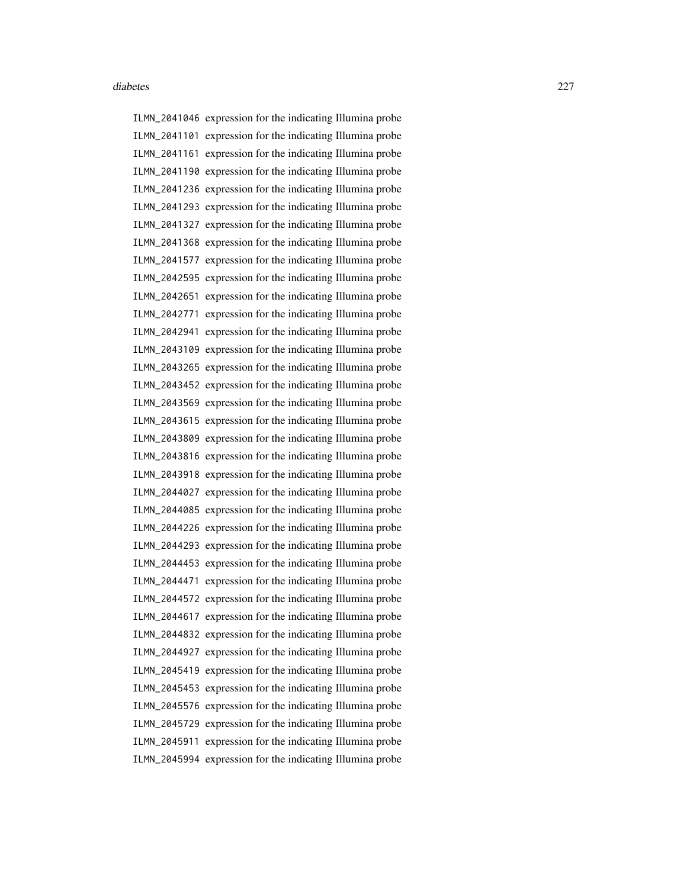ILMN\_2041046 expression for the indicating Illumina probe ILMN\_2041101 expression for the indicating Illumina probe ILMN\_2041161 expression for the indicating Illumina probe ILMN\_2041190 expression for the indicating Illumina probe ILMN\_2041236 expression for the indicating Illumina probe ILMN\_2041293 expression for the indicating Illumina probe ILMN\_2041327 expression for the indicating Illumina probe ILMN\_2041368 expression for the indicating Illumina probe ILMN\_2041577 expression for the indicating Illumina probe ILMN\_2042595 expression for the indicating Illumina probe ILMN\_2042651 expression for the indicating Illumina probe ILMN\_2042771 expression for the indicating Illumina probe ILMN\_2042941 expression for the indicating Illumina probe ILMN\_2043109 expression for the indicating Illumina probe ILMN\_2043265 expression for the indicating Illumina probe ILMN\_2043452 expression for the indicating Illumina probe ILMN\_2043569 expression for the indicating Illumina probe ILMN\_2043615 expression for the indicating Illumina probe ILMN\_2043809 expression for the indicating Illumina probe ILMN\_2043816 expression for the indicating Illumina probe ILMN\_2043918 expression for the indicating Illumina probe ILMN\_2044027 expression for the indicating Illumina probe ILMN\_2044085 expression for the indicating Illumina probe ILMN\_2044226 expression for the indicating Illumina probe ILMN\_2044293 expression for the indicating Illumina probe ILMN\_2044453 expression for the indicating Illumina probe ILMN\_2044471 expression for the indicating Illumina probe ILMN\_2044572 expression for the indicating Illumina probe ILMN\_2044617 expression for the indicating Illumina probe ILMN\_2044832 expression for the indicating Illumina probe ILMN\_2044927 expression for the indicating Illumina probe ILMN\_2045419 expression for the indicating Illumina probe ILMN\_2045453 expression for the indicating Illumina probe ILMN\_2045576 expression for the indicating Illumina probe ILMN\_2045729 expression for the indicating Illumina probe ILMN\_2045911 expression for the indicating Illumina probe ILMN\_2045994 expression for the indicating Illumina probe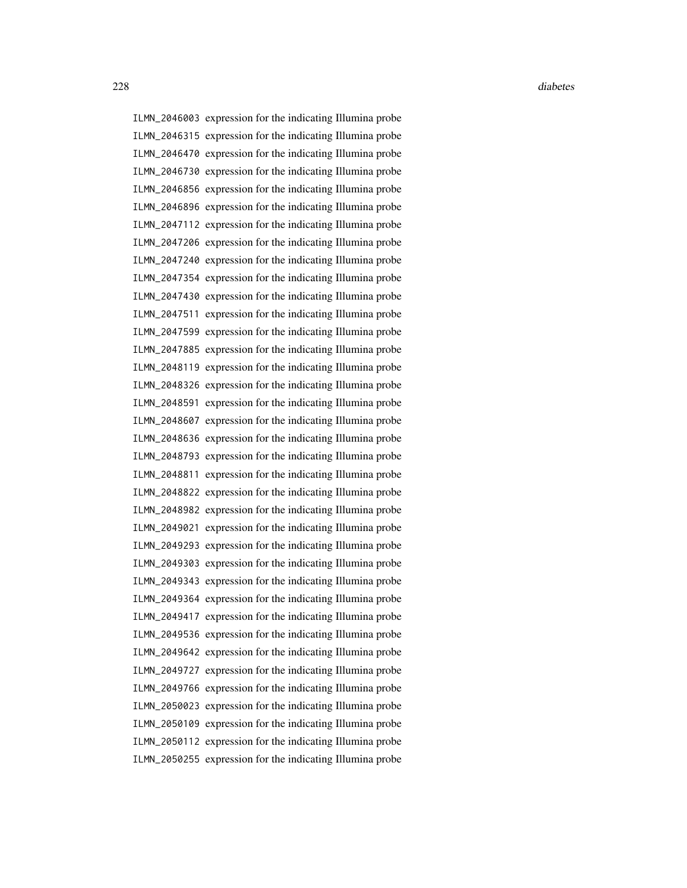ILMN\_2046003 expression for the indicating Illumina probe ILMN\_2046315 expression for the indicating Illumina probe ILMN\_2046470 expression for the indicating Illumina probe ILMN\_2046730 expression for the indicating Illumina probe ILMN\_2046856 expression for the indicating Illumina probe ILMN\_2046896 expression for the indicating Illumina probe ILMN\_2047112 expression for the indicating Illumina probe ILMN\_2047206 expression for the indicating Illumina probe ILMN\_2047240 expression for the indicating Illumina probe ILMN\_2047354 expression for the indicating Illumina probe ILMN\_2047430 expression for the indicating Illumina probe ILMN\_2047511 expression for the indicating Illumina probe ILMN\_2047599 expression for the indicating Illumina probe ILMN\_2047885 expression for the indicating Illumina probe ILMN\_2048119 expression for the indicating Illumina probe ILMN\_2048326 expression for the indicating Illumina probe ILMN\_2048591 expression for the indicating Illumina probe ILMN\_2048607 expression for the indicating Illumina probe ILMN\_2048636 expression for the indicating Illumina probe ILMN\_2048793 expression for the indicating Illumina probe ILMN\_2048811 expression for the indicating Illumina probe ILMN\_2048822 expression for the indicating Illumina probe ILMN\_2048982 expression for the indicating Illumina probe ILMN\_2049021 expression for the indicating Illumina probe ILMN\_2049293 expression for the indicating Illumina probe ILMN\_2049303 expression for the indicating Illumina probe ILMN\_2049343 expression for the indicating Illumina probe ILMN\_2049364 expression for the indicating Illumina probe ILMN\_2049417 expression for the indicating Illumina probe ILMN\_2049536 expression for the indicating Illumina probe ILMN\_2049642 expression for the indicating Illumina probe ILMN\_2049727 expression for the indicating Illumina probe ILMN\_2049766 expression for the indicating Illumina probe ILMN\_2050023 expression for the indicating Illumina probe ILMN\_2050109 expression for the indicating Illumina probe ILMN\_2050112 expression for the indicating Illumina probe ILMN\_2050255 expression for the indicating Illumina probe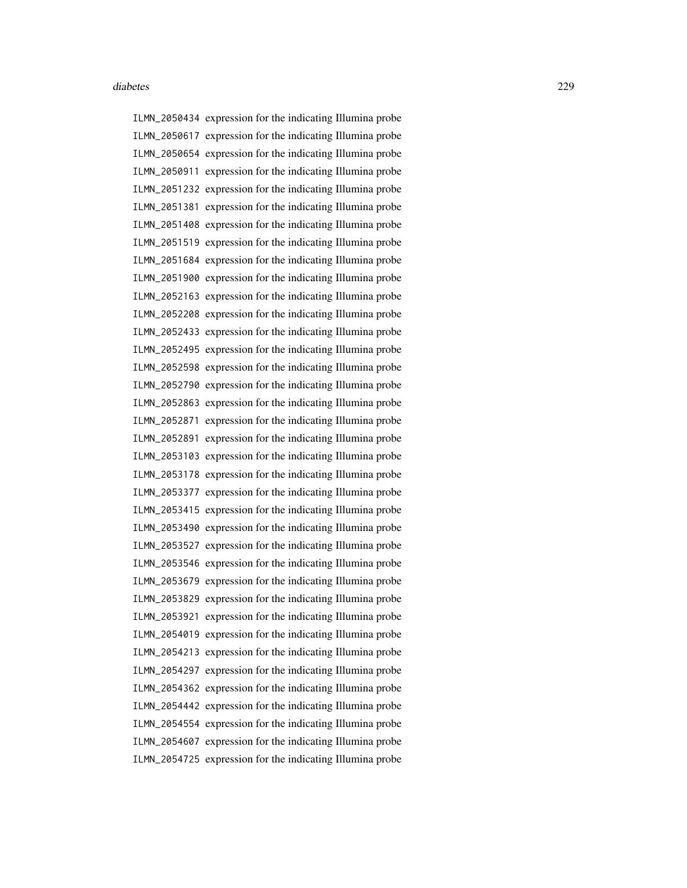ILMN\_2050434 expression for the indicating Illumina probe ILMN\_2050617 expression for the indicating Illumina probe ILMN\_2050654 expression for the indicating Illumina probe ILMN\_2050911 expression for the indicating Illumina probe ILMN\_2051232 expression for the indicating Illumina probe ILMN\_2051381 expression for the indicating Illumina probe ILMN\_2051408 expression for the indicating Illumina probe ILMN\_2051519 expression for the indicating Illumina probe ILMN\_2051684 expression for the indicating Illumina probe ILMN\_2051900 expression for the indicating Illumina probe ILMN\_2052163 expression for the indicating Illumina probe ILMN\_2052208 expression for the indicating Illumina probe ILMN\_2052433 expression for the indicating Illumina probe ILMN\_2052495 expression for the indicating Illumina probe ILMN\_2052598 expression for the indicating Illumina probe ILMN\_2052790 expression for the indicating Illumina probe ILMN\_2052863 expression for the indicating Illumina probe ILMN\_2052871 expression for the indicating Illumina probe ILMN\_2052891 expression for the indicating Illumina probe ILMN\_2053103 expression for the indicating Illumina probe ILMN\_2053178 expression for the indicating Illumina probe ILMN\_2053377 expression for the indicating Illumina probe ILMN\_2053415 expression for the indicating Illumina probe ILMN\_2053490 expression for the indicating Illumina probe ILMN\_2053527 expression for the indicating Illumina probe ILMN\_2053546 expression for the indicating Illumina probe ILMN\_2053679 expression for the indicating Illumina probe ILMN\_2053829 expression for the indicating Illumina probe ILMN\_2053921 expression for the indicating Illumina probe ILMN\_2054019 expression for the indicating Illumina probe ILMN\_2054213 expression for the indicating Illumina probe ILMN\_2054297 expression for the indicating Illumina probe ILMN\_2054362 expression for the indicating Illumina probe ILMN\_2054442 expression for the indicating Illumina probe ILMN\_2054554 expression for the indicating Illumina probe ILMN\_2054607 expression for the indicating Illumina probe ILMN\_2054725 expression for the indicating Illumina probe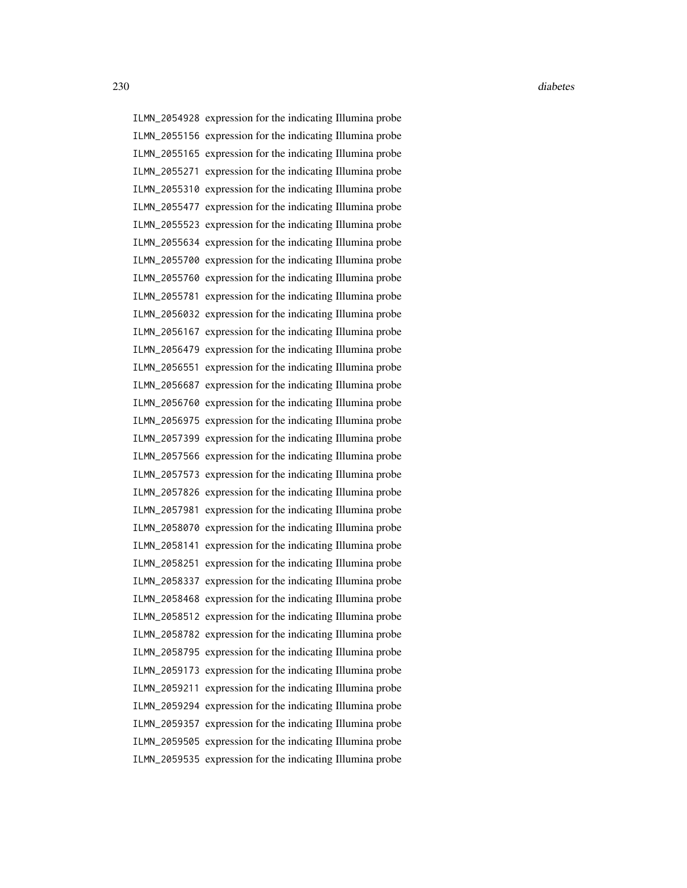ILMN\_2054928 expression for the indicating Illumina probe ILMN\_2055156 expression for the indicating Illumina probe ILMN\_2055165 expression for the indicating Illumina probe ILMN\_2055271 expression for the indicating Illumina probe ILMN\_2055310 expression for the indicating Illumina probe ILMN\_2055477 expression for the indicating Illumina probe ILMN\_2055523 expression for the indicating Illumina probe ILMN\_2055634 expression for the indicating Illumina probe ILMN\_2055700 expression for the indicating Illumina probe ILMN\_2055760 expression for the indicating Illumina probe ILMN\_2055781 expression for the indicating Illumina probe ILMN\_2056032 expression for the indicating Illumina probe ILMN\_2056167 expression for the indicating Illumina probe ILMN\_2056479 expression for the indicating Illumina probe ILMN\_2056551 expression for the indicating Illumina probe ILMN\_2056687 expression for the indicating Illumina probe ILMN\_2056760 expression for the indicating Illumina probe ILMN\_2056975 expression for the indicating Illumina probe ILMN\_2057399 expression for the indicating Illumina probe ILMN\_2057566 expression for the indicating Illumina probe ILMN\_2057573 expression for the indicating Illumina probe ILMN\_2057826 expression for the indicating Illumina probe ILMN\_2057981 expression for the indicating Illumina probe ILMN\_2058070 expression for the indicating Illumina probe ILMN\_2058141 expression for the indicating Illumina probe ILMN\_2058251 expression for the indicating Illumina probe ILMN\_2058337 expression for the indicating Illumina probe ILMN\_2058468 expression for the indicating Illumina probe ILMN\_2058512 expression for the indicating Illumina probe ILMN\_2058782 expression for the indicating Illumina probe ILMN\_2058795 expression for the indicating Illumina probe ILMN\_2059173 expression for the indicating Illumina probe ILMN\_2059211 expression for the indicating Illumina probe ILMN\_2059294 expression for the indicating Illumina probe ILMN\_2059357 expression for the indicating Illumina probe ILMN\_2059505 expression for the indicating Illumina probe ILMN\_2059535 expression for the indicating Illumina probe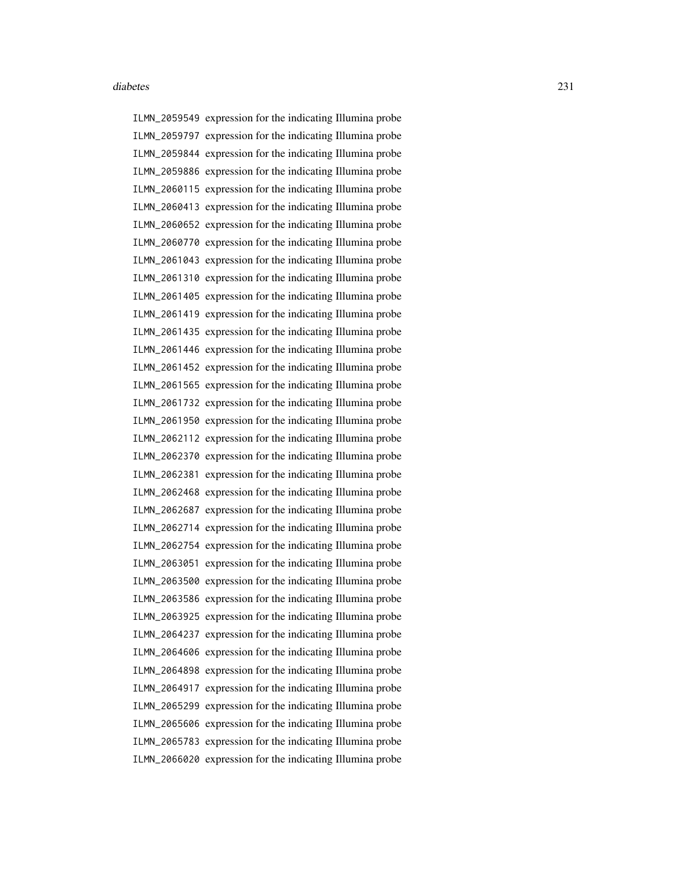ILMN\_2059549 expression for the indicating Illumina probe ILMN\_2059797 expression for the indicating Illumina probe ILMN\_2059844 expression for the indicating Illumina probe ILMN\_2059886 expression for the indicating Illumina probe ILMN\_2060115 expression for the indicating Illumina probe ILMN\_2060413 expression for the indicating Illumina probe ILMN\_2060652 expression for the indicating Illumina probe ILMN\_2060770 expression for the indicating Illumina probe ILMN\_2061043 expression for the indicating Illumina probe ILMN\_2061310 expression for the indicating Illumina probe ILMN\_2061405 expression for the indicating Illumina probe ILMN\_2061419 expression for the indicating Illumina probe ILMN\_2061435 expression for the indicating Illumina probe ILMN\_2061446 expression for the indicating Illumina probe ILMN\_2061452 expression for the indicating Illumina probe ILMN\_2061565 expression for the indicating Illumina probe ILMN\_2061732 expression for the indicating Illumina probe ILMN\_2061950 expression for the indicating Illumina probe ILMN\_2062112 expression for the indicating Illumina probe ILMN\_2062370 expression for the indicating Illumina probe ILMN\_2062381 expression for the indicating Illumina probe ILMN\_2062468 expression for the indicating Illumina probe ILMN\_2062687 expression for the indicating Illumina probe ILMN\_2062714 expression for the indicating Illumina probe ILMN\_2062754 expression for the indicating Illumina probe ILMN\_2063051 expression for the indicating Illumina probe ILMN\_2063500 expression for the indicating Illumina probe ILMN\_2063586 expression for the indicating Illumina probe ILMN\_2063925 expression for the indicating Illumina probe ILMN\_2064237 expression for the indicating Illumina probe ILMN\_2064606 expression for the indicating Illumina probe ILMN\_2064898 expression for the indicating Illumina probe ILMN\_2064917 expression for the indicating Illumina probe ILMN\_2065299 expression for the indicating Illumina probe ILMN\_2065606 expression for the indicating Illumina probe ILMN\_2065783 expression for the indicating Illumina probe ILMN\_2066020 expression for the indicating Illumina probe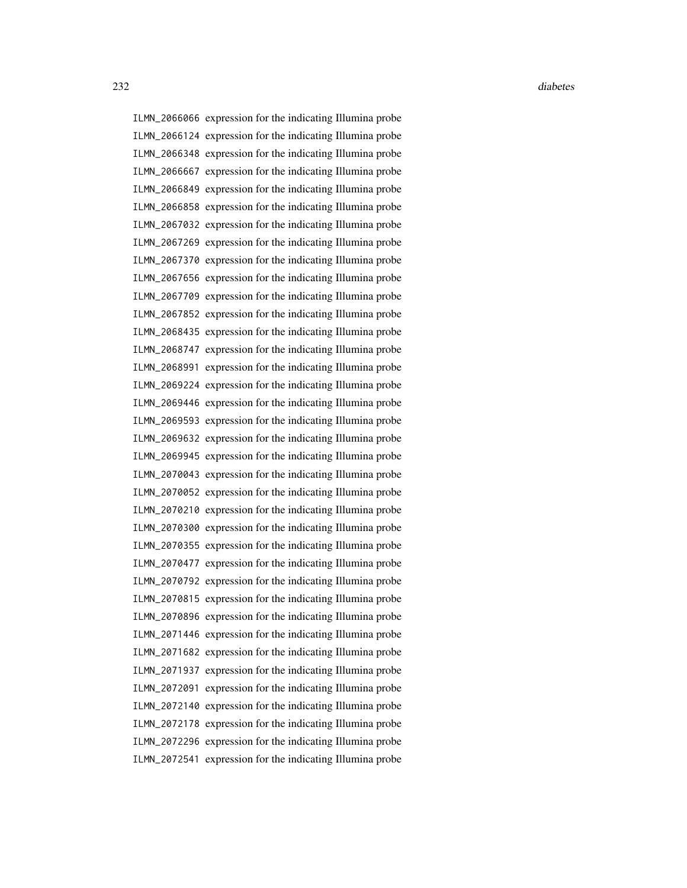ILMN\_2066066 expression for the indicating Illumina probe ILMN\_2066124 expression for the indicating Illumina probe ILMN\_2066348 expression for the indicating Illumina probe ILMN\_2066667 expression for the indicating Illumina probe ILMN\_2066849 expression for the indicating Illumina probe ILMN\_2066858 expression for the indicating Illumina probe ILMN\_2067032 expression for the indicating Illumina probe ILMN\_2067269 expression for the indicating Illumina probe ILMN\_2067370 expression for the indicating Illumina probe ILMN\_2067656 expression for the indicating Illumina probe ILMN\_2067709 expression for the indicating Illumina probe ILMN\_2067852 expression for the indicating Illumina probe ILMN\_2068435 expression for the indicating Illumina probe ILMN\_2068747 expression for the indicating Illumina probe ILMN\_2068991 expression for the indicating Illumina probe ILMN\_2069224 expression for the indicating Illumina probe ILMN\_2069446 expression for the indicating Illumina probe ILMN\_2069593 expression for the indicating Illumina probe ILMN\_2069632 expression for the indicating Illumina probe ILMN\_2069945 expression for the indicating Illumina probe ILMN\_2070043 expression for the indicating Illumina probe ILMN\_2070052 expression for the indicating Illumina probe ILMN\_2070210 expression for the indicating Illumina probe ILMN\_2070300 expression for the indicating Illumina probe ILMN\_2070355 expression for the indicating Illumina probe ILMN\_2070477 expression for the indicating Illumina probe ILMN\_2070792 expression for the indicating Illumina probe ILMN\_2070815 expression for the indicating Illumina probe ILMN\_2070896 expression for the indicating Illumina probe ILMN\_2071446 expression for the indicating Illumina probe ILMN\_2071682 expression for the indicating Illumina probe ILMN\_2071937 expression for the indicating Illumina probe ILMN\_2072091 expression for the indicating Illumina probe ILMN\_2072140 expression for the indicating Illumina probe ILMN\_2072178 expression for the indicating Illumina probe ILMN\_2072296 expression for the indicating Illumina probe ILMN\_2072541 expression for the indicating Illumina probe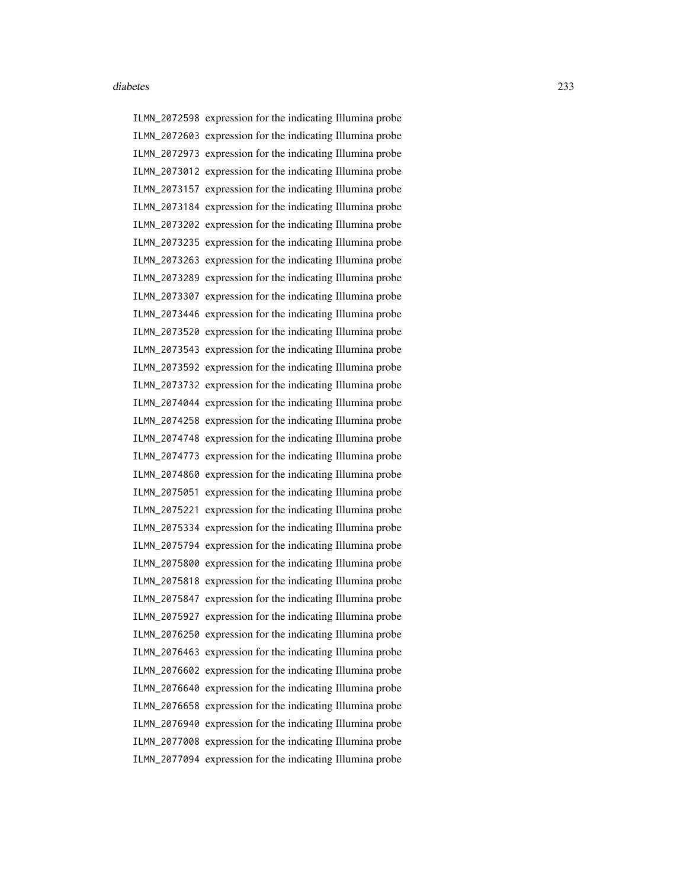ILMN\_2072598 expression for the indicating Illumina probe ILMN\_2072603 expression for the indicating Illumina probe ILMN\_2072973 expression for the indicating Illumina probe ILMN\_2073012 expression for the indicating Illumina probe ILMN\_2073157 expression for the indicating Illumina probe ILMN\_2073184 expression for the indicating Illumina probe ILMN\_2073202 expression for the indicating Illumina probe ILMN\_2073235 expression for the indicating Illumina probe ILMN\_2073263 expression for the indicating Illumina probe ILMN\_2073289 expression for the indicating Illumina probe ILMN\_2073307 expression for the indicating Illumina probe ILMN\_2073446 expression for the indicating Illumina probe ILMN\_2073520 expression for the indicating Illumina probe ILMN\_2073543 expression for the indicating Illumina probe ILMN\_2073592 expression for the indicating Illumina probe ILMN\_2073732 expression for the indicating Illumina probe ILMN\_2074044 expression for the indicating Illumina probe ILMN\_2074258 expression for the indicating Illumina probe ILMN\_2074748 expression for the indicating Illumina probe ILMN\_2074773 expression for the indicating Illumina probe ILMN\_2074860 expression for the indicating Illumina probe ILMN\_2075051 expression for the indicating Illumina probe ILMN\_2075221 expression for the indicating Illumina probe ILMN\_2075334 expression for the indicating Illumina probe ILMN\_2075794 expression for the indicating Illumina probe ILMN\_2075800 expression for the indicating Illumina probe ILMN\_2075818 expression for the indicating Illumina probe ILMN\_2075847 expression for the indicating Illumina probe ILMN\_2075927 expression for the indicating Illumina probe ILMN\_2076250 expression for the indicating Illumina probe ILMN\_2076463 expression for the indicating Illumina probe ILMN\_2076602 expression for the indicating Illumina probe ILMN\_2076640 expression for the indicating Illumina probe ILMN\_2076658 expression for the indicating Illumina probe ILMN\_2076940 expression for the indicating Illumina probe ILMN\_2077008 expression for the indicating Illumina probe ILMN\_2077094 expression for the indicating Illumina probe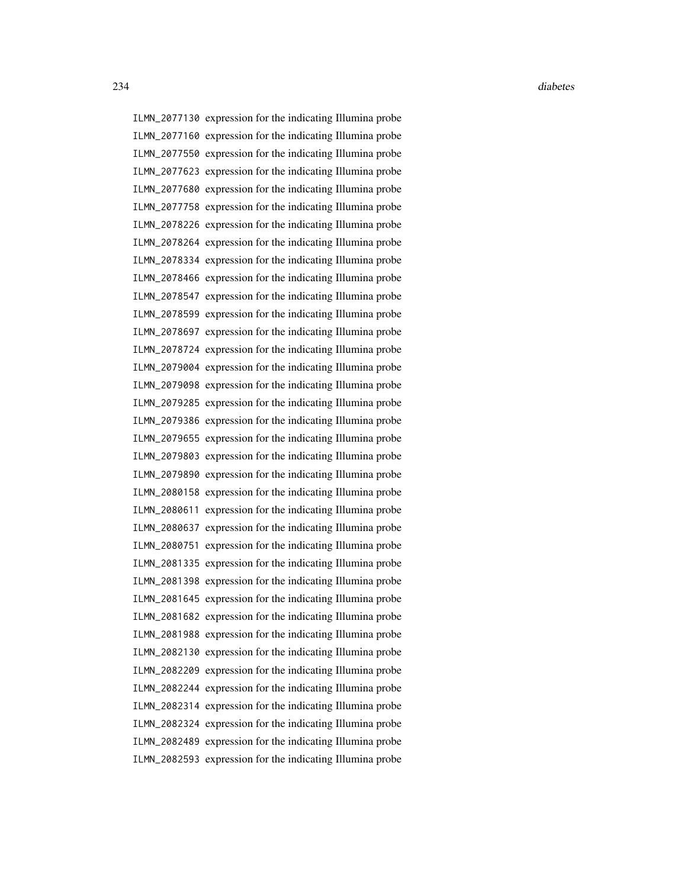ILMN\_2077130 expression for the indicating Illumina probe ILMN\_2077160 expression for the indicating Illumina probe ILMN\_2077550 expression for the indicating Illumina probe ILMN\_2077623 expression for the indicating Illumina probe ILMN\_2077680 expression for the indicating Illumina probe ILMN\_2077758 expression for the indicating Illumina probe ILMN\_2078226 expression for the indicating Illumina probe ILMN\_2078264 expression for the indicating Illumina probe ILMN\_2078334 expression for the indicating Illumina probe ILMN\_2078466 expression for the indicating Illumina probe ILMN\_2078547 expression for the indicating Illumina probe ILMN\_2078599 expression for the indicating Illumina probe ILMN\_2078697 expression for the indicating Illumina probe ILMN\_2078724 expression for the indicating Illumina probe ILMN\_2079004 expression for the indicating Illumina probe ILMN\_2079098 expression for the indicating Illumina probe ILMN\_2079285 expression for the indicating Illumina probe ILMN\_2079386 expression for the indicating Illumina probe ILMN\_2079655 expression for the indicating Illumina probe ILMN\_2079803 expression for the indicating Illumina probe ILMN\_2079890 expression for the indicating Illumina probe ILMN\_2080158 expression for the indicating Illumina probe ILMN\_2080611 expression for the indicating Illumina probe ILMN\_2080637 expression for the indicating Illumina probe ILMN\_2080751 expression for the indicating Illumina probe ILMN\_2081335 expression for the indicating Illumina probe ILMN\_2081398 expression for the indicating Illumina probe ILMN\_2081645 expression for the indicating Illumina probe ILMN\_2081682 expression for the indicating Illumina probe ILMN\_2081988 expression for the indicating Illumina probe ILMN\_2082130 expression for the indicating Illumina probe ILMN\_2082209 expression for the indicating Illumina probe ILMN\_2082244 expression for the indicating Illumina probe ILMN\_2082314 expression for the indicating Illumina probe ILMN\_2082324 expression for the indicating Illumina probe ILMN\_2082489 expression for the indicating Illumina probe ILMN\_2082593 expression for the indicating Illumina probe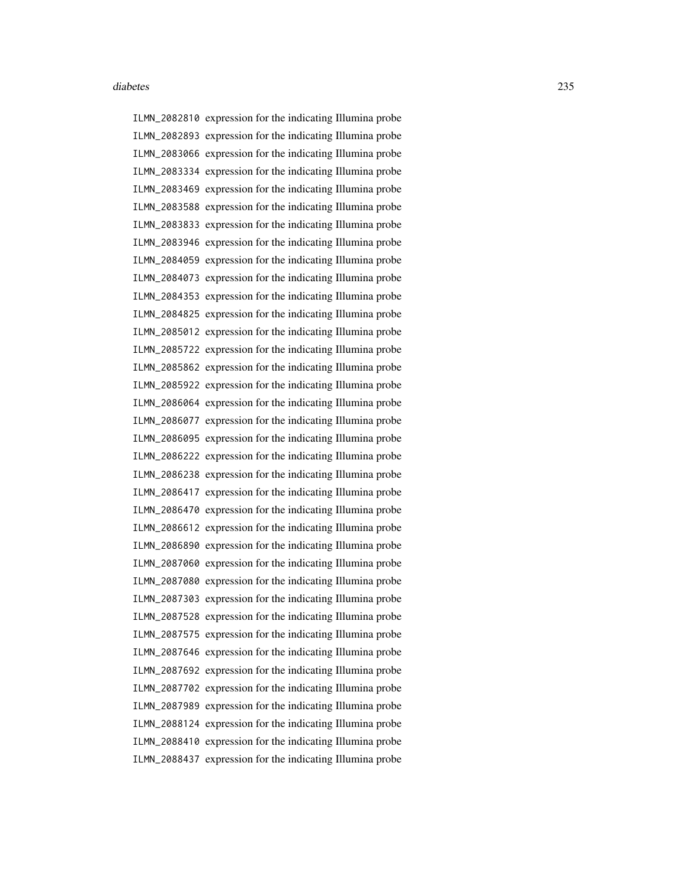ILMN\_2082810 expression for the indicating Illumina probe ILMN\_2082893 expression for the indicating Illumina probe ILMN\_2083066 expression for the indicating Illumina probe ILMN\_2083334 expression for the indicating Illumina probe ILMN\_2083469 expression for the indicating Illumina probe ILMN\_2083588 expression for the indicating Illumina probe ILMN\_2083833 expression for the indicating Illumina probe ILMN\_2083946 expression for the indicating Illumina probe ILMN\_2084059 expression for the indicating Illumina probe ILMN\_2084073 expression for the indicating Illumina probe ILMN\_2084353 expression for the indicating Illumina probe ILMN\_2084825 expression for the indicating Illumina probe ILMN\_2085012 expression for the indicating Illumina probe ILMN\_2085722 expression for the indicating Illumina probe ILMN\_2085862 expression for the indicating Illumina probe ILMN\_2085922 expression for the indicating Illumina probe ILMN\_2086064 expression for the indicating Illumina probe ILMN\_2086077 expression for the indicating Illumina probe ILMN\_2086095 expression for the indicating Illumina probe ILMN\_2086222 expression for the indicating Illumina probe ILMN\_2086238 expression for the indicating Illumina probe ILMN\_2086417 expression for the indicating Illumina probe ILMN\_2086470 expression for the indicating Illumina probe ILMN\_2086612 expression for the indicating Illumina probe ILMN\_2086890 expression for the indicating Illumina probe ILMN\_2087060 expression for the indicating Illumina probe ILMN\_2087080 expression for the indicating Illumina probe ILMN\_2087303 expression for the indicating Illumina probe ILMN\_2087528 expression for the indicating Illumina probe ILMN\_2087575 expression for the indicating Illumina probe ILMN\_2087646 expression for the indicating Illumina probe ILMN\_2087692 expression for the indicating Illumina probe ILMN\_2087702 expression for the indicating Illumina probe ILMN\_2087989 expression for the indicating Illumina probe ILMN\_2088124 expression for the indicating Illumina probe ILMN\_2088410 expression for the indicating Illumina probe ILMN\_2088437 expression for the indicating Illumina probe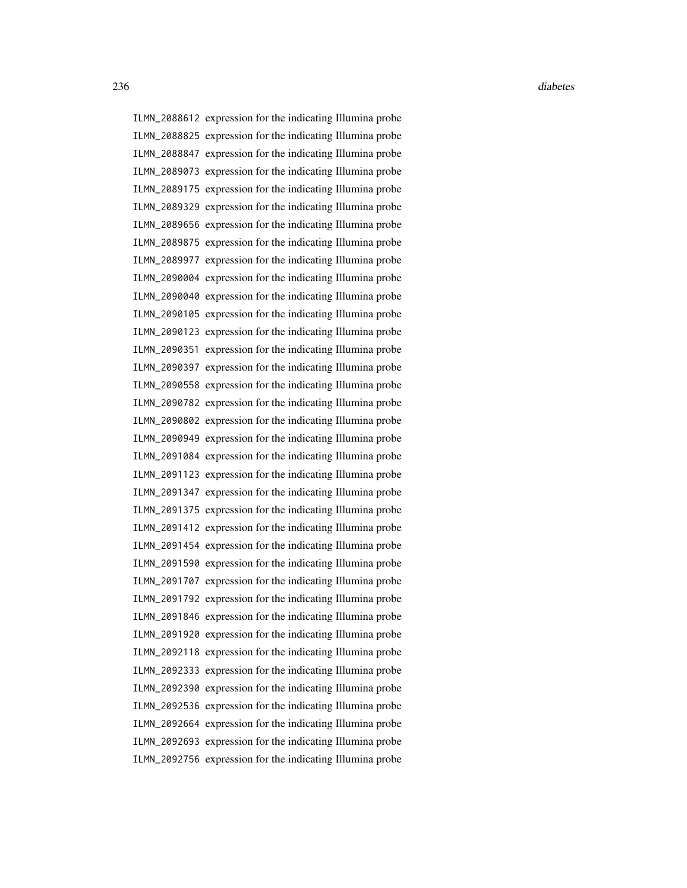ILMN\_2088612 expression for the indicating Illumina probe ILMN\_2088825 expression for the indicating Illumina probe ILMN\_2088847 expression for the indicating Illumina probe ILMN\_2089073 expression for the indicating Illumina probe ILMN\_2089175 expression for the indicating Illumina probe ILMN\_2089329 expression for the indicating Illumina probe ILMN\_2089656 expression for the indicating Illumina probe ILMN\_2089875 expression for the indicating Illumina probe ILMN\_2089977 expression for the indicating Illumina probe ILMN\_2090004 expression for the indicating Illumina probe ILMN\_2090040 expression for the indicating Illumina probe ILMN\_2090105 expression for the indicating Illumina probe ILMN\_2090123 expression for the indicating Illumina probe ILMN\_2090351 expression for the indicating Illumina probe ILMN\_2090397 expression for the indicating Illumina probe ILMN\_2090558 expression for the indicating Illumina probe ILMN\_2090782 expression for the indicating Illumina probe ILMN\_2090802 expression for the indicating Illumina probe ILMN\_2090949 expression for the indicating Illumina probe ILMN\_2091084 expression for the indicating Illumina probe ILMN\_2091123 expression for the indicating Illumina probe ILMN\_2091347 expression for the indicating Illumina probe ILMN\_2091375 expression for the indicating Illumina probe ILMN\_2091412 expression for the indicating Illumina probe ILMN\_2091454 expression for the indicating Illumina probe ILMN\_2091590 expression for the indicating Illumina probe ILMN\_2091707 expression for the indicating Illumina probe ILMN\_2091792 expression for the indicating Illumina probe ILMN\_2091846 expression for the indicating Illumina probe ILMN\_2091920 expression for the indicating Illumina probe ILMN\_2092118 expression for the indicating Illumina probe ILMN\_2092333 expression for the indicating Illumina probe ILMN\_2092390 expression for the indicating Illumina probe ILMN\_2092536 expression for the indicating Illumina probe ILMN\_2092664 expression for the indicating Illumina probe ILMN\_2092693 expression for the indicating Illumina probe ILMN\_2092756 expression for the indicating Illumina probe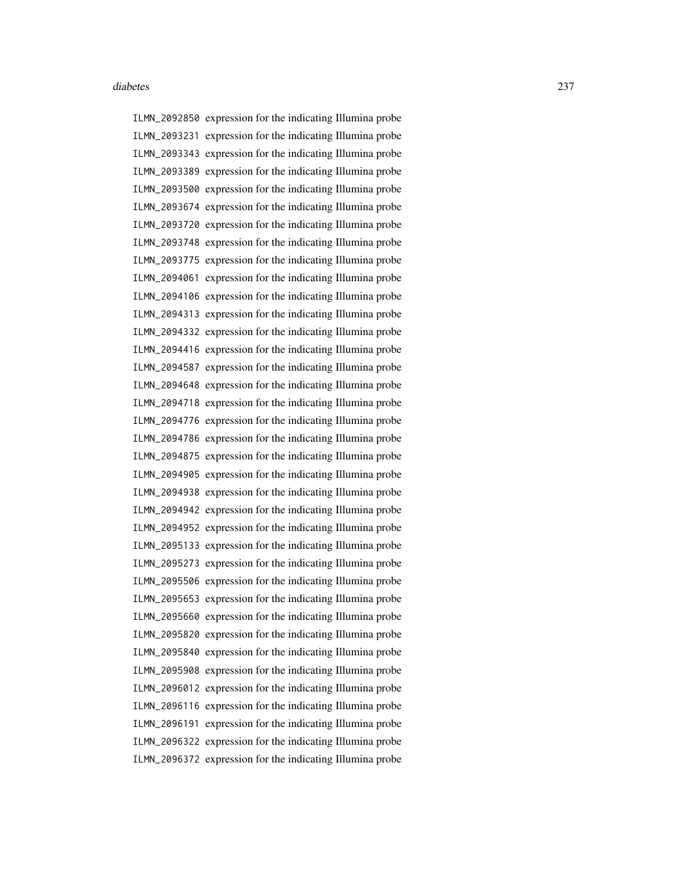ILMN\_2092850 expression for the indicating Illumina probe ILMN\_2093231 expression for the indicating Illumina probe ILMN\_2093343 expression for the indicating Illumina probe ILMN\_2093389 expression for the indicating Illumina probe ILMN\_2093500 expression for the indicating Illumina probe ILMN\_2093674 expression for the indicating Illumina probe ILMN\_2093720 expression for the indicating Illumina probe ILMN\_2093748 expression for the indicating Illumina probe ILMN\_2093775 expression for the indicating Illumina probe ILMN\_2094061 expression for the indicating Illumina probe ILMN\_2094106 expression for the indicating Illumina probe ILMN\_2094313 expression for the indicating Illumina probe ILMN\_2094332 expression for the indicating Illumina probe ILMN\_2094416 expression for the indicating Illumina probe ILMN\_2094587 expression for the indicating Illumina probe ILMN\_2094648 expression for the indicating Illumina probe ILMN\_2094718 expression for the indicating Illumina probe ILMN\_2094776 expression for the indicating Illumina probe ILMN\_2094786 expression for the indicating Illumina probe ILMN\_2094875 expression for the indicating Illumina probe ILMN\_2094905 expression for the indicating Illumina probe ILMN\_2094938 expression for the indicating Illumina probe ILMN\_2094942 expression for the indicating Illumina probe ILMN\_2094952 expression for the indicating Illumina probe ILMN\_2095133 expression for the indicating Illumina probe ILMN\_2095273 expression for the indicating Illumina probe ILMN\_2095506 expression for the indicating Illumina probe ILMN\_2095653 expression for the indicating Illumina probe ILMN\_2095660 expression for the indicating Illumina probe ILMN\_2095820 expression for the indicating Illumina probe ILMN\_2095840 expression for the indicating Illumina probe ILMN\_2095908 expression for the indicating Illumina probe ILMN\_2096012 expression for the indicating Illumina probe ILMN\_2096116 expression for the indicating Illumina probe ILMN\_2096191 expression for the indicating Illumina probe ILMN\_2096322 expression for the indicating Illumina probe ILMN\_2096372 expression for the indicating Illumina probe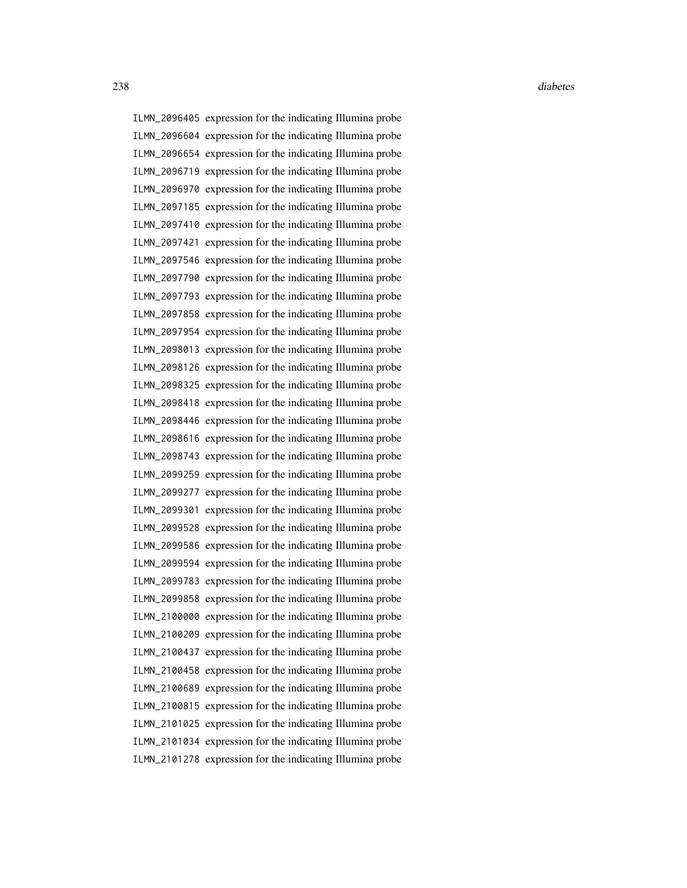ILMN\_2096405 expression for the indicating Illumina probe ILMN\_2096604 expression for the indicating Illumina probe ILMN\_2096654 expression for the indicating Illumina probe ILMN\_2096719 expression for the indicating Illumina probe ILMN\_2096970 expression for the indicating Illumina probe ILMN\_2097185 expression for the indicating Illumina probe ILMN\_2097410 expression for the indicating Illumina probe ILMN\_2097421 expression for the indicating Illumina probe ILMN\_2097546 expression for the indicating Illumina probe ILMN\_2097790 expression for the indicating Illumina probe ILMN\_2097793 expression for the indicating Illumina probe ILMN\_2097858 expression for the indicating Illumina probe ILMN\_2097954 expression for the indicating Illumina probe ILMN\_2098013 expression for the indicating Illumina probe ILMN\_2098126 expression for the indicating Illumina probe ILMN\_2098325 expression for the indicating Illumina probe ILMN\_2098418 expression for the indicating Illumina probe ILMN\_2098446 expression for the indicating Illumina probe ILMN\_2098616 expression for the indicating Illumina probe ILMN\_2098743 expression for the indicating Illumina probe ILMN\_2099259 expression for the indicating Illumina probe ILMN\_2099277 expression for the indicating Illumina probe ILMN\_2099301 expression for the indicating Illumina probe ILMN\_2099528 expression for the indicating Illumina probe ILMN\_2099586 expression for the indicating Illumina probe ILMN\_2099594 expression for the indicating Illumina probe ILMN\_2099783 expression for the indicating Illumina probe ILMN\_2099858 expression for the indicating Illumina probe ILMN\_2100000 expression for the indicating Illumina probe ILMN\_2100209 expression for the indicating Illumina probe ILMN\_2100437 expression for the indicating Illumina probe ILMN\_2100458 expression for the indicating Illumina probe ILMN\_2100689 expression for the indicating Illumina probe

ILMN\_2100815 expression for the indicating Illumina probe ILMN\_2101025 expression for the indicating Illumina probe ILMN\_2101034 expression for the indicating Illumina probe ILMN\_2101278 expression for the indicating Illumina probe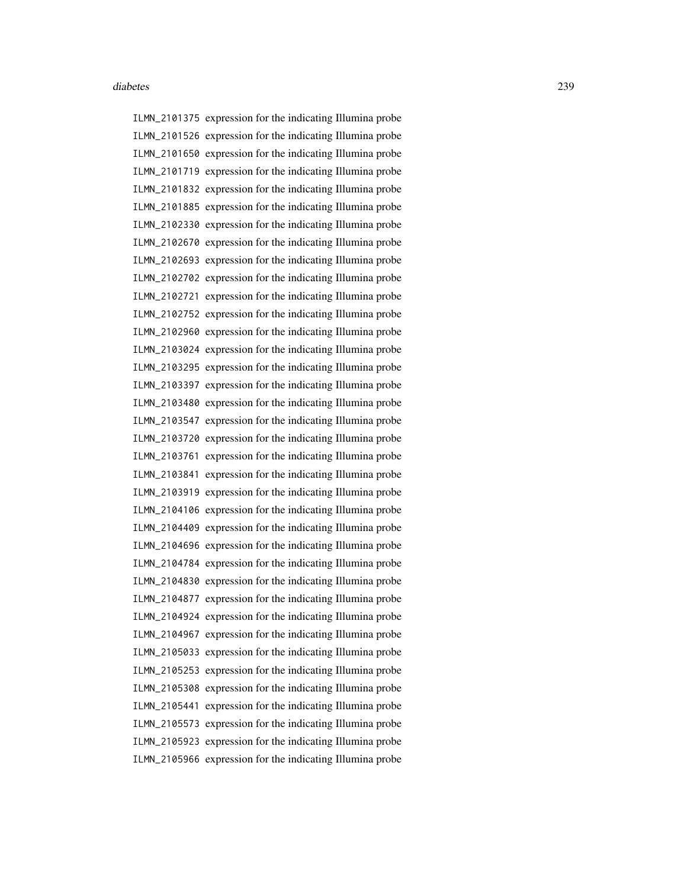ILMN\_2101375 expression for the indicating Illumina probe ILMN\_2101526 expression for the indicating Illumina probe ILMN\_2101650 expression for the indicating Illumina probe ILMN\_2101719 expression for the indicating Illumina probe ILMN\_2101832 expression for the indicating Illumina probe ILMN\_2101885 expression for the indicating Illumina probe ILMN\_2102330 expression for the indicating Illumina probe ILMN\_2102670 expression for the indicating Illumina probe ILMN\_2102693 expression for the indicating Illumina probe ILMN\_2102702 expression for the indicating Illumina probe ILMN\_2102721 expression for the indicating Illumina probe ILMN\_2102752 expression for the indicating Illumina probe ILMN\_2102960 expression for the indicating Illumina probe ILMN\_2103024 expression for the indicating Illumina probe ILMN\_2103295 expression for the indicating Illumina probe ILMN\_2103397 expression for the indicating Illumina probe ILMN\_2103480 expression for the indicating Illumina probe ILMN\_2103547 expression for the indicating Illumina probe ILMN\_2103720 expression for the indicating Illumina probe ILMN\_2103761 expression for the indicating Illumina probe ILMN\_2103841 expression for the indicating Illumina probe ILMN\_2103919 expression for the indicating Illumina probe ILMN\_2104106 expression for the indicating Illumina probe ILMN\_2104409 expression for the indicating Illumina probe ILMN\_2104696 expression for the indicating Illumina probe ILMN\_2104784 expression for the indicating Illumina probe ILMN\_2104830 expression for the indicating Illumina probe ILMN\_2104877 expression for the indicating Illumina probe ILMN\_2104924 expression for the indicating Illumina probe ILMN\_2104967 expression for the indicating Illumina probe ILMN\_2105033 expression for the indicating Illumina probe ILMN\_2105253 expression for the indicating Illumina probe ILMN\_2105308 expression for the indicating Illumina probe ILMN\_2105441 expression for the indicating Illumina probe ILMN\_2105573 expression for the indicating Illumina probe ILMN\_2105923 expression for the indicating Illumina probe ILMN\_2105966 expression for the indicating Illumina probe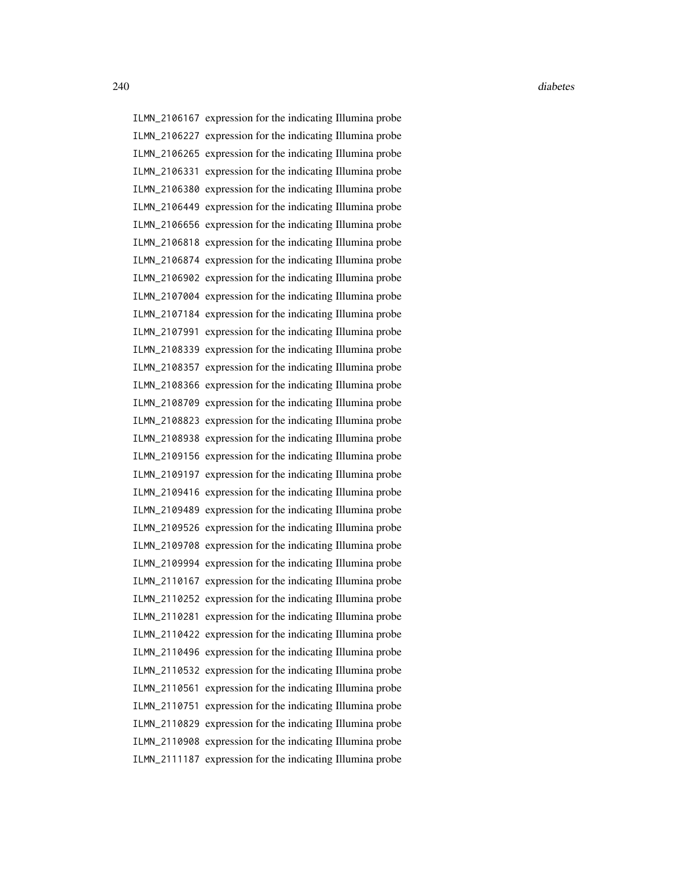ILMN\_2106167 expression for the indicating Illumina probe ILMN\_2106227 expression for the indicating Illumina probe ILMN\_2106265 expression for the indicating Illumina probe ILMN\_2106331 expression for the indicating Illumina probe ILMN\_2106380 expression for the indicating Illumina probe ILMN\_2106449 expression for the indicating Illumina probe ILMN\_2106656 expression for the indicating Illumina probe ILMN\_2106818 expression for the indicating Illumina probe ILMN\_2106874 expression for the indicating Illumina probe ILMN\_2106902 expression for the indicating Illumina probe ILMN\_2107004 expression for the indicating Illumina probe ILMN\_2107184 expression for the indicating Illumina probe ILMN\_2107991 expression for the indicating Illumina probe ILMN\_2108339 expression for the indicating Illumina probe ILMN\_2108357 expression for the indicating Illumina probe ILMN\_2108366 expression for the indicating Illumina probe ILMN\_2108709 expression for the indicating Illumina probe ILMN\_2108823 expression for the indicating Illumina probe ILMN\_2108938 expression for the indicating Illumina probe ILMN\_2109156 expression for the indicating Illumina probe ILMN\_2109197 expression for the indicating Illumina probe ILMN\_2109416 expression for the indicating Illumina probe ILMN\_2109489 expression for the indicating Illumina probe ILMN\_2109526 expression for the indicating Illumina probe ILMN\_2109708 expression for the indicating Illumina probe ILMN\_2109994 expression for the indicating Illumina probe ILMN\_2110167 expression for the indicating Illumina probe ILMN\_2110252 expression for the indicating Illumina probe ILMN\_2110281 expression for the indicating Illumina probe ILMN\_2110422 expression for the indicating Illumina probe ILMN\_2110496 expression for the indicating Illumina probe ILMN\_2110532 expression for the indicating Illumina probe ILMN\_2110561 expression for the indicating Illumina probe ILMN\_2110751 expression for the indicating Illumina probe ILMN\_2110829 expression for the indicating Illumina probe ILMN\_2110908 expression for the indicating Illumina probe ILMN\_2111187 expression for the indicating Illumina probe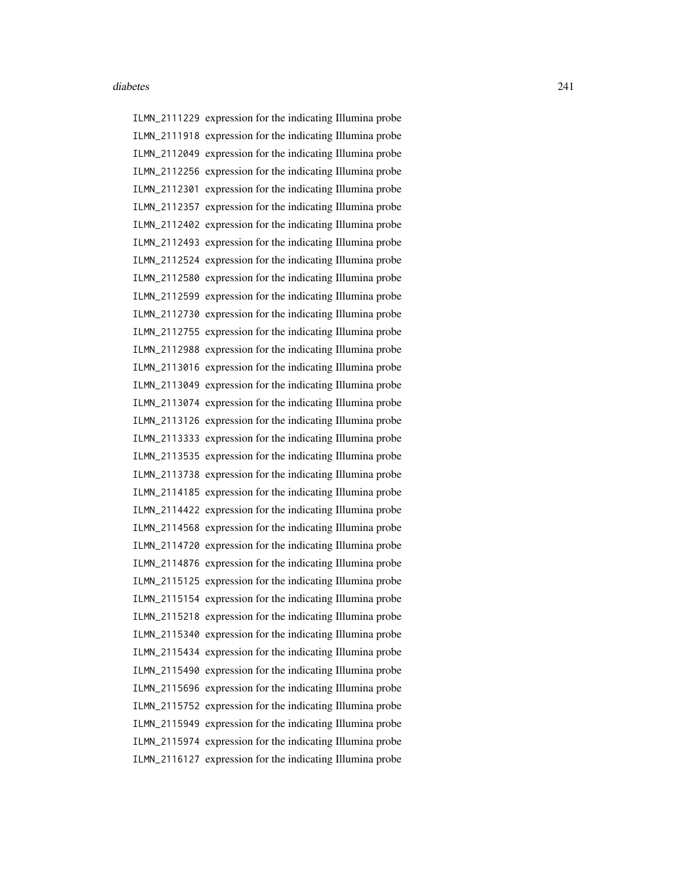ILMN\_2111229 expression for the indicating Illumina probe ILMN\_2111918 expression for the indicating Illumina probe ILMN\_2112049 expression for the indicating Illumina probe ILMN\_2112256 expression for the indicating Illumina probe ILMN\_2112301 expression for the indicating Illumina probe ILMN\_2112357 expression for the indicating Illumina probe ILMN\_2112402 expression for the indicating Illumina probe ILMN\_2112493 expression for the indicating Illumina probe ILMN\_2112524 expression for the indicating Illumina probe ILMN\_2112580 expression for the indicating Illumina probe ILMN\_2112599 expression for the indicating Illumina probe ILMN\_2112730 expression for the indicating Illumina probe ILMN\_2112755 expression for the indicating Illumina probe ILMN\_2112988 expression for the indicating Illumina probe ILMN\_2113016 expression for the indicating Illumina probe ILMN\_2113049 expression for the indicating Illumina probe ILMN\_2113074 expression for the indicating Illumina probe ILMN\_2113126 expression for the indicating Illumina probe ILMN\_2113333 expression for the indicating Illumina probe ILMN\_2113535 expression for the indicating Illumina probe ILMN\_2113738 expression for the indicating Illumina probe ILMN\_2114185 expression for the indicating Illumina probe ILMN\_2114422 expression for the indicating Illumina probe ILMN\_2114568 expression for the indicating Illumina probe ILMN\_2114720 expression for the indicating Illumina probe ILMN\_2114876 expression for the indicating Illumina probe ILMN\_2115125 expression for the indicating Illumina probe ILMN\_2115154 expression for the indicating Illumina probe ILMN\_2115218 expression for the indicating Illumina probe ILMN\_2115340 expression for the indicating Illumina probe ILMN\_2115434 expression for the indicating Illumina probe ILMN\_2115490 expression for the indicating Illumina probe ILMN\_2115696 expression for the indicating Illumina probe ILMN\_2115752 expression for the indicating Illumina probe ILMN\_2115949 expression for the indicating Illumina probe ILMN\_2115974 expression for the indicating Illumina probe ILMN\_2116127 expression for the indicating Illumina probe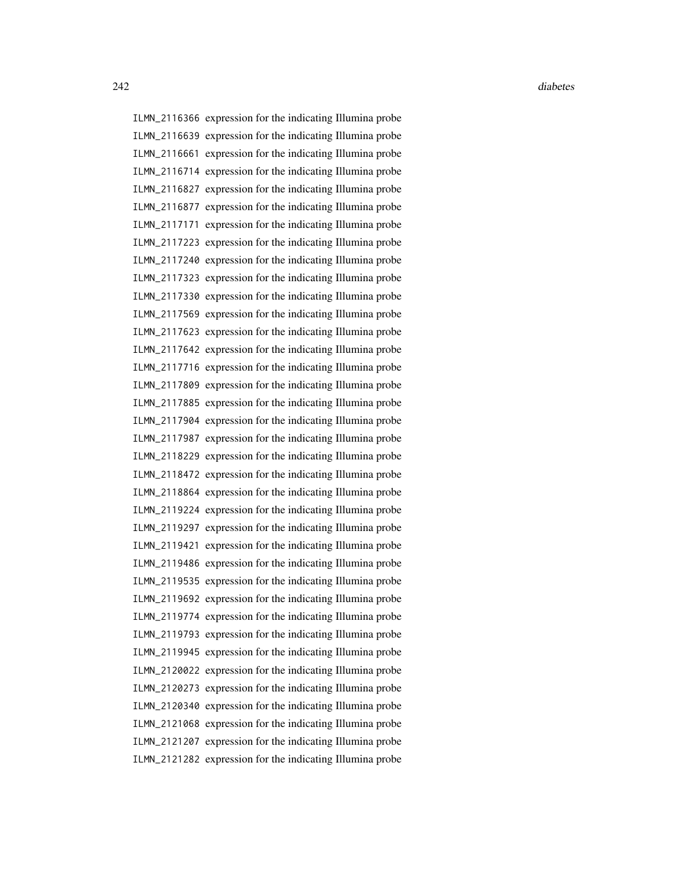ILMN\_2116366 expression for the indicating Illumina probe ILMN\_2116639 expression for the indicating Illumina probe ILMN\_2116661 expression for the indicating Illumina probe ILMN\_2116714 expression for the indicating Illumina probe ILMN\_2116827 expression for the indicating Illumina probe ILMN\_2116877 expression for the indicating Illumina probe ILMN\_2117171 expression for the indicating Illumina probe ILMN\_2117223 expression for the indicating Illumina probe ILMN\_2117240 expression for the indicating Illumina probe ILMN\_2117323 expression for the indicating Illumina probe ILMN\_2117330 expression for the indicating Illumina probe ILMN\_2117569 expression for the indicating Illumina probe ILMN\_2117623 expression for the indicating Illumina probe ILMN\_2117642 expression for the indicating Illumina probe ILMN\_2117716 expression for the indicating Illumina probe ILMN\_2117809 expression for the indicating Illumina probe ILMN\_2117885 expression for the indicating Illumina probe ILMN\_2117904 expression for the indicating Illumina probe ILMN\_2117987 expression for the indicating Illumina probe ILMN\_2118229 expression for the indicating Illumina probe ILMN\_2118472 expression for the indicating Illumina probe ILMN\_2118864 expression for the indicating Illumina probe ILMN\_2119224 expression for the indicating Illumina probe ILMN\_2119297 expression for the indicating Illumina probe ILMN\_2119421 expression for the indicating Illumina probe ILMN\_2119486 expression for the indicating Illumina probe ILMN\_2119535 expression for the indicating Illumina probe ILMN\_2119692 expression for the indicating Illumina probe ILMN\_2119774 expression for the indicating Illumina probe ILMN\_2119793 expression for the indicating Illumina probe ILMN\_2119945 expression for the indicating Illumina probe ILMN\_2120022 expression for the indicating Illumina probe ILMN\_2120273 expression for the indicating Illumina probe ILMN\_2120340 expression for the indicating Illumina probe ILMN\_2121068 expression for the indicating Illumina probe ILMN\_2121207 expression for the indicating Illumina probe ILMN\_2121282 expression for the indicating Illumina probe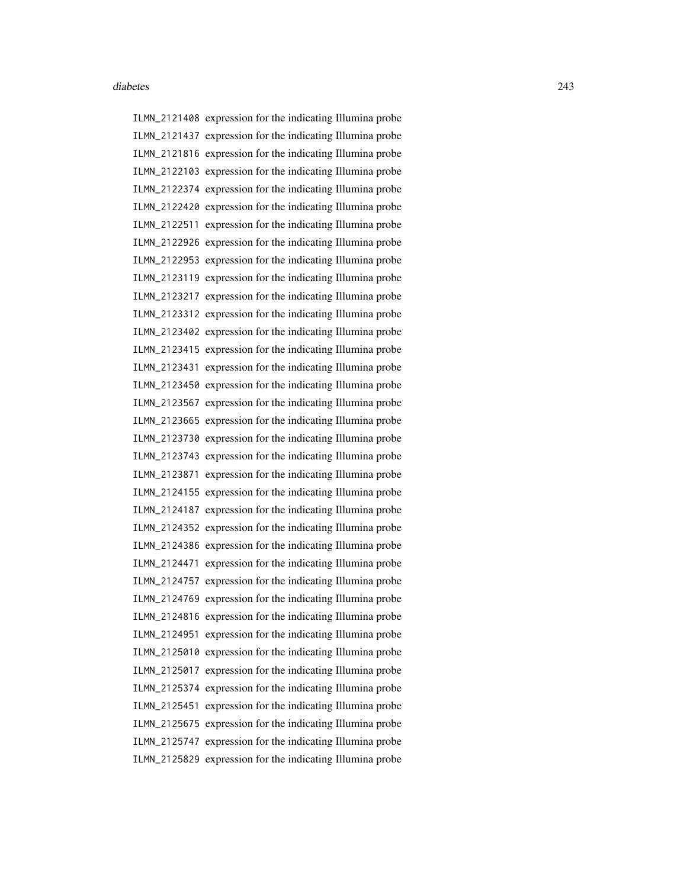ILMN\_2121408 expression for the indicating Illumina probe ILMN\_2121437 expression for the indicating Illumina probe ILMN\_2121816 expression for the indicating Illumina probe ILMN\_2122103 expression for the indicating Illumina probe ILMN\_2122374 expression for the indicating Illumina probe ILMN\_2122420 expression for the indicating Illumina probe ILMN\_2122511 expression for the indicating Illumina probe ILMN\_2122926 expression for the indicating Illumina probe ILMN\_2122953 expression for the indicating Illumina probe ILMN\_2123119 expression for the indicating Illumina probe ILMN\_2123217 expression for the indicating Illumina probe ILMN\_2123312 expression for the indicating Illumina probe ILMN\_2123402 expression for the indicating Illumina probe ILMN\_2123415 expression for the indicating Illumina probe ILMN\_2123431 expression for the indicating Illumina probe ILMN\_2123450 expression for the indicating Illumina probe ILMN\_2123567 expression for the indicating Illumina probe ILMN\_2123665 expression for the indicating Illumina probe ILMN\_2123730 expression for the indicating Illumina probe ILMN\_2123743 expression for the indicating Illumina probe ILMN\_2123871 expression for the indicating Illumina probe ILMN\_2124155 expression for the indicating Illumina probe ILMN\_2124187 expression for the indicating Illumina probe ILMN\_2124352 expression for the indicating Illumina probe ILMN\_2124386 expression for the indicating Illumina probe ILMN\_2124471 expression for the indicating Illumina probe ILMN\_2124757 expression for the indicating Illumina probe ILMN\_2124769 expression for the indicating Illumina probe ILMN\_2124816 expression for the indicating Illumina probe ILMN\_2124951 expression for the indicating Illumina probe ILMN\_2125010 expression for the indicating Illumina probe ILMN\_2125017 expression for the indicating Illumina probe ILMN\_2125374 expression for the indicating Illumina probe ILMN\_2125451 expression for the indicating Illumina probe ILMN\_2125675 expression for the indicating Illumina probe ILMN\_2125747 expression for the indicating Illumina probe ILMN\_2125829 expression for the indicating Illumina probe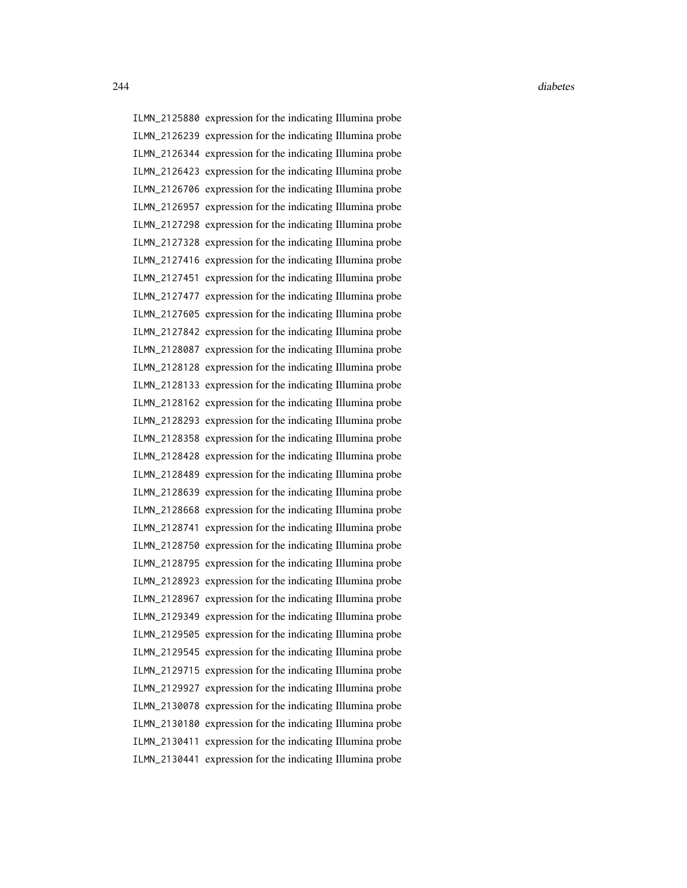ILMN\_2125880 expression for the indicating Illumina probe ILMN\_2126239 expression for the indicating Illumina probe ILMN\_2126344 expression for the indicating Illumina probe ILMN\_2126423 expression for the indicating Illumina probe ILMN\_2126706 expression for the indicating Illumina probe ILMN\_2126957 expression for the indicating Illumina probe ILMN\_2127298 expression for the indicating Illumina probe ILMN\_2127328 expression for the indicating Illumina probe ILMN\_2127416 expression for the indicating Illumina probe ILMN\_2127451 expression for the indicating Illumina probe ILMN\_2127477 expression for the indicating Illumina probe ILMN\_2127605 expression for the indicating Illumina probe ILMN\_2127842 expression for the indicating Illumina probe ILMN\_2128087 expression for the indicating Illumina probe ILMN\_2128128 expression for the indicating Illumina probe ILMN\_2128133 expression for the indicating Illumina probe ILMN\_2128162 expression for the indicating Illumina probe ILMN\_2128293 expression for the indicating Illumina probe ILMN\_2128358 expression for the indicating Illumina probe ILMN\_2128428 expression for the indicating Illumina probe ILMN\_2128489 expression for the indicating Illumina probe ILMN\_2128639 expression for the indicating Illumina probe ILMN\_2128668 expression for the indicating Illumina probe ILMN\_2128741 expression for the indicating Illumina probe ILMN\_2128750 expression for the indicating Illumina probe ILMN\_2128795 expression for the indicating Illumina probe ILMN\_2128923 expression for the indicating Illumina probe ILMN\_2128967 expression for the indicating Illumina probe ILMN\_2129349 expression for the indicating Illumina probe ILMN\_2129505 expression for the indicating Illumina probe ILMN\_2129545 expression for the indicating Illumina probe ILMN\_2129715 expression for the indicating Illumina probe ILMN\_2129927 expression for the indicating Illumina probe ILMN\_2130078 expression for the indicating Illumina probe ILMN\_2130180 expression for the indicating Illumina probe ILMN\_2130411 expression for the indicating Illumina probe ILMN\_2130441 expression for the indicating Illumina probe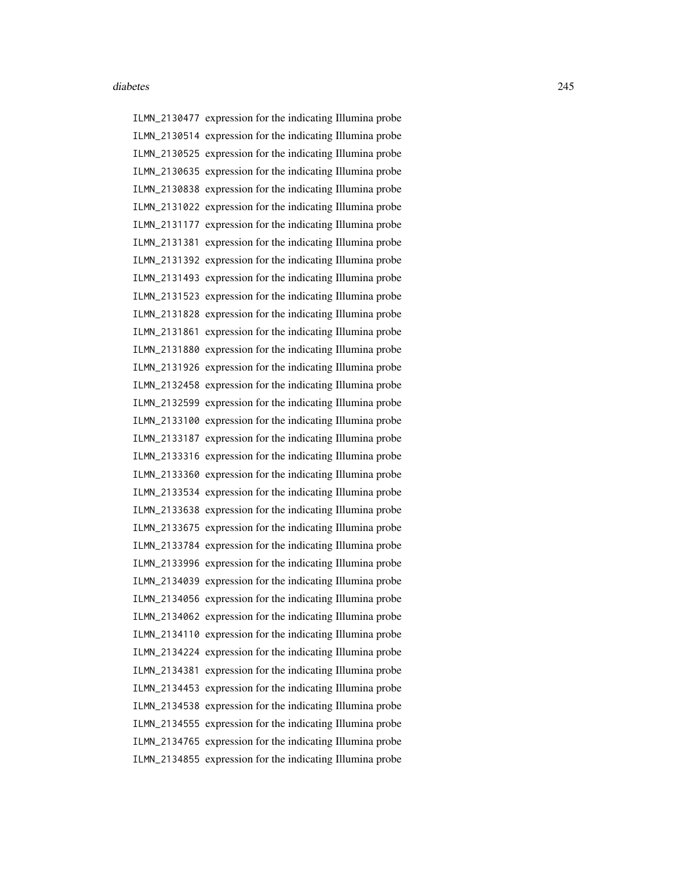ILMN\_2130477 expression for the indicating Illumina probe ILMN\_2130514 expression for the indicating Illumina probe ILMN\_2130525 expression for the indicating Illumina probe ILMN\_2130635 expression for the indicating Illumina probe ILMN\_2130838 expression for the indicating Illumina probe ILMN\_2131022 expression for the indicating Illumina probe ILMN\_2131177 expression for the indicating Illumina probe ILMN\_2131381 expression for the indicating Illumina probe ILMN\_2131392 expression for the indicating Illumina probe ILMN\_2131493 expression for the indicating Illumina probe ILMN\_2131523 expression for the indicating Illumina probe ILMN\_2131828 expression for the indicating Illumina probe ILMN\_2131861 expression for the indicating Illumina probe ILMN\_2131880 expression for the indicating Illumina probe ILMN\_2131926 expression for the indicating Illumina probe ILMN\_2132458 expression for the indicating Illumina probe ILMN\_2132599 expression for the indicating Illumina probe ILMN\_2133100 expression for the indicating Illumina probe ILMN\_2133187 expression for the indicating Illumina probe ILMN\_2133316 expression for the indicating Illumina probe ILMN\_2133360 expression for the indicating Illumina probe ILMN\_2133534 expression for the indicating Illumina probe ILMN\_2133638 expression for the indicating Illumina probe ILMN\_2133675 expression for the indicating Illumina probe ILMN\_2133784 expression for the indicating Illumina probe ILMN\_2133996 expression for the indicating Illumina probe ILMN\_2134039 expression for the indicating Illumina probe ILMN\_2134056 expression for the indicating Illumina probe ILMN\_2134062 expression for the indicating Illumina probe ILMN\_2134110 expression for the indicating Illumina probe ILMN\_2134224 expression for the indicating Illumina probe ILMN\_2134381 expression for the indicating Illumina probe ILMN\_2134453 expression for the indicating Illumina probe ILMN\_2134538 expression for the indicating Illumina probe ILMN\_2134555 expression for the indicating Illumina probe ILMN\_2134765 expression for the indicating Illumina probe ILMN\_2134855 expression for the indicating Illumina probe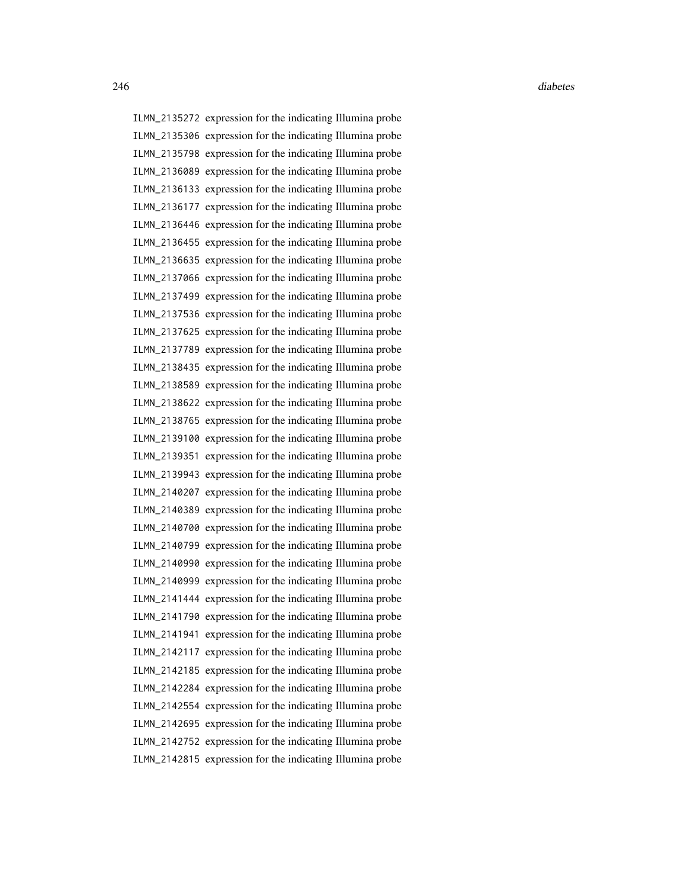ILMN\_2135272 expression for the indicating Illumina probe ILMN\_2135306 expression for the indicating Illumina probe ILMN\_2135798 expression for the indicating Illumina probe ILMN\_2136089 expression for the indicating Illumina probe ILMN\_2136133 expression for the indicating Illumina probe ILMN\_2136177 expression for the indicating Illumina probe ILMN\_2136446 expression for the indicating Illumina probe ILMN\_2136455 expression for the indicating Illumina probe ILMN\_2136635 expression for the indicating Illumina probe ILMN\_2137066 expression for the indicating Illumina probe ILMN\_2137499 expression for the indicating Illumina probe ILMN\_2137536 expression for the indicating Illumina probe ILMN\_2137625 expression for the indicating Illumina probe ILMN\_2137789 expression for the indicating Illumina probe ILMN\_2138435 expression for the indicating Illumina probe ILMN\_2138589 expression for the indicating Illumina probe ILMN\_2138622 expression for the indicating Illumina probe ILMN\_2138765 expression for the indicating Illumina probe ILMN\_2139100 expression for the indicating Illumina probe ILMN\_2139351 expression for the indicating Illumina probe ILMN\_2139943 expression for the indicating Illumina probe ILMN\_2140207 expression for the indicating Illumina probe ILMN\_2140389 expression for the indicating Illumina probe ILMN\_2140700 expression for the indicating Illumina probe ILMN\_2140799 expression for the indicating Illumina probe ILMN\_2140990 expression for the indicating Illumina probe ILMN\_2140999 expression for the indicating Illumina probe ILMN\_2141444 expression for the indicating Illumina probe ILMN\_2141790 expression for the indicating Illumina probe ILMN\_2141941 expression for the indicating Illumina probe ILMN\_2142117 expression for the indicating Illumina probe ILMN\_2142185 expression for the indicating Illumina probe ILMN\_2142284 expression for the indicating Illumina probe ILMN\_2142554 expression for the indicating Illumina probe ILMN\_2142695 expression for the indicating Illumina probe ILMN\_2142752 expression for the indicating Illumina probe ILMN\_2142815 expression for the indicating Illumina probe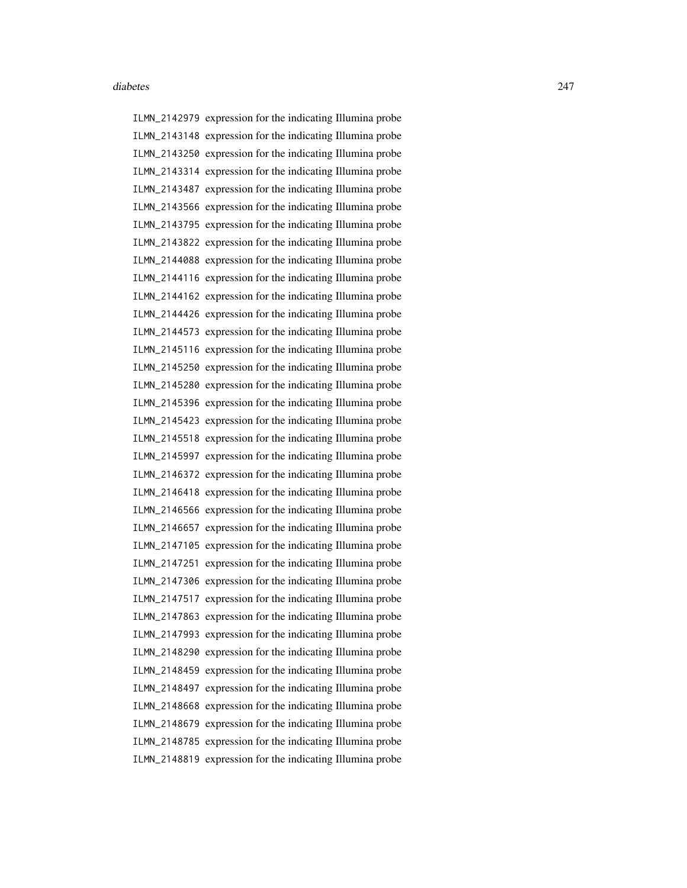ILMN\_2142979 expression for the indicating Illumina probe ILMN\_2143148 expression for the indicating Illumina probe ILMN\_2143250 expression for the indicating Illumina probe ILMN\_2143314 expression for the indicating Illumina probe ILMN\_2143487 expression for the indicating Illumina probe ILMN\_2143566 expression for the indicating Illumina probe ILMN\_2143795 expression for the indicating Illumina probe ILMN\_2143822 expression for the indicating Illumina probe ILMN\_2144088 expression for the indicating Illumina probe ILMN\_2144116 expression for the indicating Illumina probe ILMN\_2144162 expression for the indicating Illumina probe ILMN\_2144426 expression for the indicating Illumina probe ILMN\_2144573 expression for the indicating Illumina probe ILMN\_2145116 expression for the indicating Illumina probe ILMN\_2145250 expression for the indicating Illumina probe ILMN\_2145280 expression for the indicating Illumina probe ILMN\_2145396 expression for the indicating Illumina probe ILMN\_2145423 expression for the indicating Illumina probe ILMN\_2145518 expression for the indicating Illumina probe ILMN\_2145997 expression for the indicating Illumina probe ILMN\_2146372 expression for the indicating Illumina probe ILMN\_2146418 expression for the indicating Illumina probe ILMN\_2146566 expression for the indicating Illumina probe ILMN\_2146657 expression for the indicating Illumina probe ILMN\_2147105 expression for the indicating Illumina probe ILMN\_2147251 expression for the indicating Illumina probe ILMN\_2147306 expression for the indicating Illumina probe ILMN\_2147517 expression for the indicating Illumina probe ILMN\_2147863 expression for the indicating Illumina probe ILMN\_2147993 expression for the indicating Illumina probe ILMN\_2148290 expression for the indicating Illumina probe ILMN\_2148459 expression for the indicating Illumina probe ILMN\_2148497 expression for the indicating Illumina probe ILMN\_2148668 expression for the indicating Illumina probe ILMN\_2148679 expression for the indicating Illumina probe ILMN\_2148785 expression for the indicating Illumina probe ILMN\_2148819 expression for the indicating Illumina probe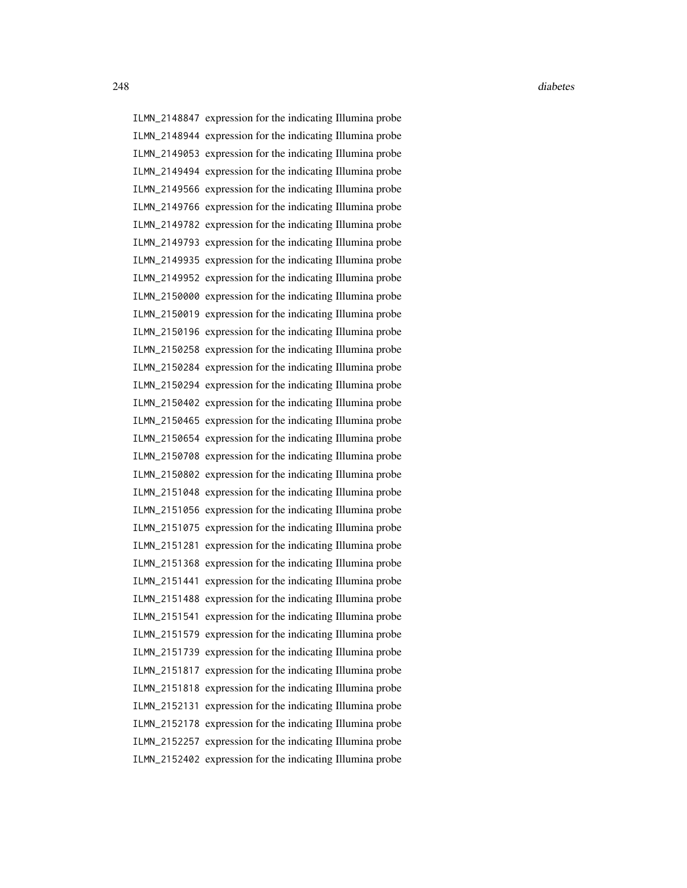ILMN\_2148847 expression for the indicating Illumina probe ILMN\_2148944 expression for the indicating Illumina probe ILMN\_2149053 expression for the indicating Illumina probe ILMN\_2149494 expression for the indicating Illumina probe ILMN\_2149566 expression for the indicating Illumina probe ILMN\_2149766 expression for the indicating Illumina probe ILMN\_2149782 expression for the indicating Illumina probe ILMN\_2149793 expression for the indicating Illumina probe ILMN\_2149935 expression for the indicating Illumina probe ILMN\_2149952 expression for the indicating Illumina probe ILMN\_2150000 expression for the indicating Illumina probe ILMN\_2150019 expression for the indicating Illumina probe ILMN\_2150196 expression for the indicating Illumina probe ILMN\_2150258 expression for the indicating Illumina probe ILMN\_2150284 expression for the indicating Illumina probe ILMN\_2150294 expression for the indicating Illumina probe ILMN\_2150402 expression for the indicating Illumina probe ILMN\_2150465 expression for the indicating Illumina probe ILMN\_2150654 expression for the indicating Illumina probe ILMN\_2150708 expression for the indicating Illumina probe ILMN\_2150802 expression for the indicating Illumina probe ILMN\_2151048 expression for the indicating Illumina probe ILMN\_2151056 expression for the indicating Illumina probe ILMN\_2151075 expression for the indicating Illumina probe ILMN\_2151281 expression for the indicating Illumina probe ILMN\_2151368 expression for the indicating Illumina probe ILMN\_2151441 expression for the indicating Illumina probe ILMN\_2151488 expression for the indicating Illumina probe ILMN\_2151541 expression for the indicating Illumina probe ILMN\_2151579 expression for the indicating Illumina probe ILMN\_2151739 expression for the indicating Illumina probe ILMN\_2151817 expression for the indicating Illumina probe ILMN\_2151818 expression for the indicating Illumina probe ILMN\_2152131 expression for the indicating Illumina probe ILMN\_2152178 expression for the indicating Illumina probe ILMN\_2152257 expression for the indicating Illumina probe ILMN\_2152402 expression for the indicating Illumina probe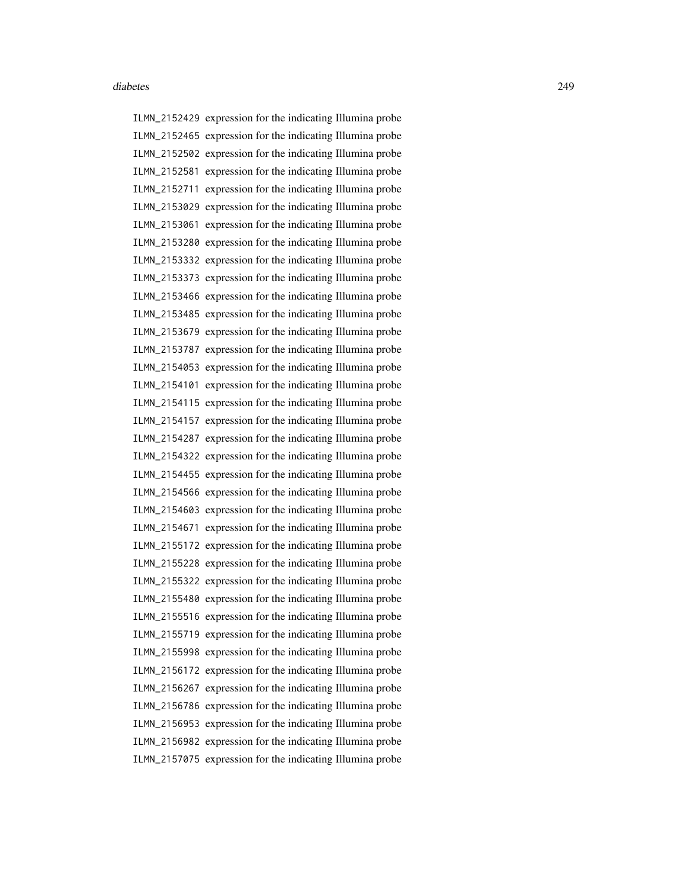ILMN\_2152429 expression for the indicating Illumina probe ILMN\_2152465 expression for the indicating Illumina probe ILMN\_2152502 expression for the indicating Illumina probe ILMN\_2152581 expression for the indicating Illumina probe ILMN\_2152711 expression for the indicating Illumina probe ILMN\_2153029 expression for the indicating Illumina probe ILMN\_2153061 expression for the indicating Illumina probe ILMN\_2153280 expression for the indicating Illumina probe ILMN\_2153332 expression for the indicating Illumina probe ILMN\_2153373 expression for the indicating Illumina probe ILMN\_2153466 expression for the indicating Illumina probe ILMN\_2153485 expression for the indicating Illumina probe ILMN\_2153679 expression for the indicating Illumina probe ILMN\_2153787 expression for the indicating Illumina probe ILMN\_2154053 expression for the indicating Illumina probe ILMN\_2154101 expression for the indicating Illumina probe ILMN\_2154115 expression for the indicating Illumina probe ILMN\_2154157 expression for the indicating Illumina probe ILMN\_2154287 expression for the indicating Illumina probe ILMN\_2154322 expression for the indicating Illumina probe ILMN\_2154455 expression for the indicating Illumina probe ILMN\_2154566 expression for the indicating Illumina probe ILMN\_2154603 expression for the indicating Illumina probe ILMN\_2154671 expression for the indicating Illumina probe ILMN\_2155172 expression for the indicating Illumina probe ILMN\_2155228 expression for the indicating Illumina probe ILMN\_2155322 expression for the indicating Illumina probe ILMN\_2155480 expression for the indicating Illumina probe ILMN\_2155516 expression for the indicating Illumina probe ILMN\_2155719 expression for the indicating Illumina probe ILMN\_2155998 expression for the indicating Illumina probe ILMN\_2156172 expression for the indicating Illumina probe ILMN\_2156267 expression for the indicating Illumina probe ILMN\_2156786 expression for the indicating Illumina probe ILMN\_2156953 expression for the indicating Illumina probe ILMN\_2156982 expression for the indicating Illumina probe ILMN\_2157075 expression for the indicating Illumina probe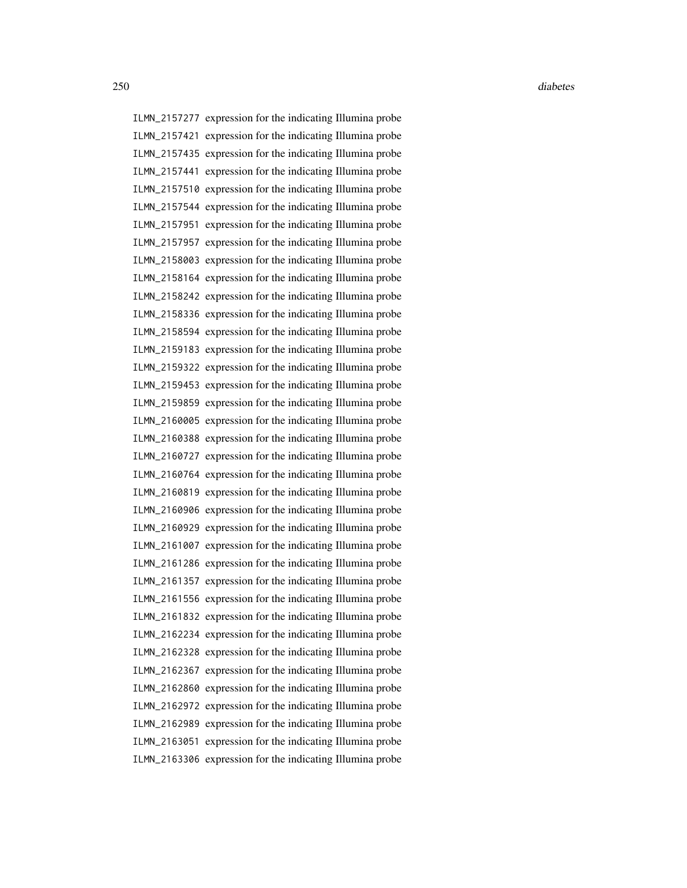ILMN\_2157277 expression for the indicating Illumina probe ILMN\_2157421 expression for the indicating Illumina probe ILMN\_2157435 expression for the indicating Illumina probe ILMN\_2157441 expression for the indicating Illumina probe ILMN\_2157510 expression for the indicating Illumina probe ILMN\_2157544 expression for the indicating Illumina probe ILMN\_2157951 expression for the indicating Illumina probe ILMN\_2157957 expression for the indicating Illumina probe ILMN\_2158003 expression for the indicating Illumina probe ILMN\_2158164 expression for the indicating Illumina probe ILMN\_2158242 expression for the indicating Illumina probe ILMN\_2158336 expression for the indicating Illumina probe ILMN\_2158594 expression for the indicating Illumina probe ILMN\_2159183 expression for the indicating Illumina probe ILMN\_2159322 expression for the indicating Illumina probe ILMN\_2159453 expression for the indicating Illumina probe ILMN\_2159859 expression for the indicating Illumina probe ILMN\_2160005 expression for the indicating Illumina probe ILMN\_2160388 expression for the indicating Illumina probe ILMN\_2160727 expression for the indicating Illumina probe ILMN\_2160764 expression for the indicating Illumina probe ILMN\_2160819 expression for the indicating Illumina probe ILMN\_2160906 expression for the indicating Illumina probe ILMN\_2160929 expression for the indicating Illumina probe ILMN\_2161007 expression for the indicating Illumina probe ILMN\_2161286 expression for the indicating Illumina probe ILMN\_2161357 expression for the indicating Illumina probe ILMN\_2161556 expression for the indicating Illumina probe ILMN\_2161832 expression for the indicating Illumina probe ILMN\_2162234 expression for the indicating Illumina probe ILMN\_2162328 expression for the indicating Illumina probe ILMN\_2162367 expression for the indicating Illumina probe ILMN\_2162860 expression for the indicating Illumina probe ILMN\_2162972 expression for the indicating Illumina probe ILMN\_2162989 expression for the indicating Illumina probe ILMN\_2163051 expression for the indicating Illumina probe ILMN\_2163306 expression for the indicating Illumina probe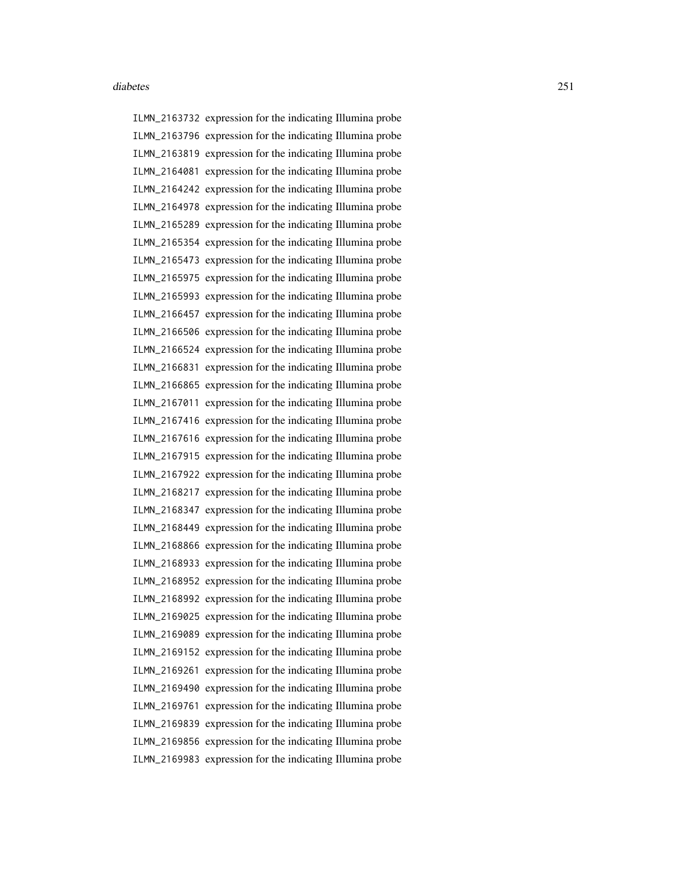ILMN\_2163732 expression for the indicating Illumina probe ILMN\_2163796 expression for the indicating Illumina probe ILMN\_2163819 expression for the indicating Illumina probe ILMN\_2164081 expression for the indicating Illumina probe ILMN\_2164242 expression for the indicating Illumina probe ILMN\_2164978 expression for the indicating Illumina probe ILMN\_2165289 expression for the indicating Illumina probe ILMN\_2165354 expression for the indicating Illumina probe ILMN\_2165473 expression for the indicating Illumina probe ILMN\_2165975 expression for the indicating Illumina probe ILMN\_2165993 expression for the indicating Illumina probe ILMN\_2166457 expression for the indicating Illumina probe ILMN\_2166506 expression for the indicating Illumina probe ILMN\_2166524 expression for the indicating Illumina probe ILMN\_2166831 expression for the indicating Illumina probe ILMN\_2166865 expression for the indicating Illumina probe ILMN\_2167011 expression for the indicating Illumina probe ILMN\_2167416 expression for the indicating Illumina probe ILMN\_2167616 expression for the indicating Illumina probe ILMN\_2167915 expression for the indicating Illumina probe ILMN\_2167922 expression for the indicating Illumina probe ILMN\_2168217 expression for the indicating Illumina probe ILMN\_2168347 expression for the indicating Illumina probe ILMN\_2168449 expression for the indicating Illumina probe ILMN\_2168866 expression for the indicating Illumina probe ILMN\_2168933 expression for the indicating Illumina probe ILMN\_2168952 expression for the indicating Illumina probe ILMN\_2168992 expression for the indicating Illumina probe ILMN\_2169025 expression for the indicating Illumina probe ILMN\_2169089 expression for the indicating Illumina probe ILMN\_2169152 expression for the indicating Illumina probe ILMN\_2169261 expression for the indicating Illumina probe ILMN\_2169490 expression for the indicating Illumina probe ILMN\_2169761 expression for the indicating Illumina probe ILMN\_2169839 expression for the indicating Illumina probe ILMN\_2169856 expression for the indicating Illumina probe ILMN\_2169983 expression for the indicating Illumina probe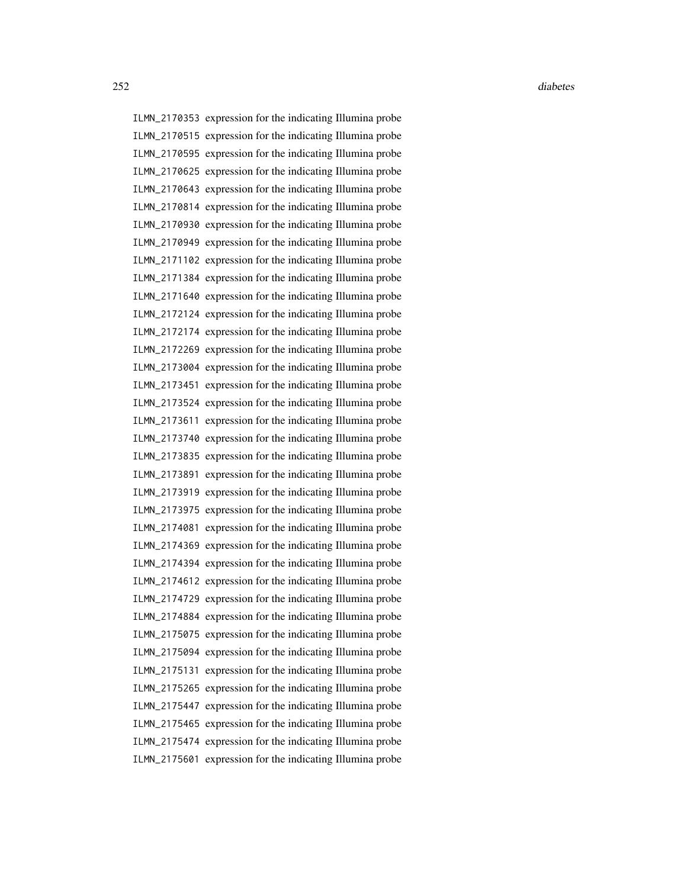ILMN\_2170353 expression for the indicating Illumina probe ILMN\_2170515 expression for the indicating Illumina probe ILMN\_2170595 expression for the indicating Illumina probe ILMN\_2170625 expression for the indicating Illumina probe ILMN\_2170643 expression for the indicating Illumina probe ILMN\_2170814 expression for the indicating Illumina probe ILMN\_2170930 expression for the indicating Illumina probe ILMN\_2170949 expression for the indicating Illumina probe ILMN\_2171102 expression for the indicating Illumina probe ILMN\_2171384 expression for the indicating Illumina probe ILMN\_2171640 expression for the indicating Illumina probe ILMN\_2172124 expression for the indicating Illumina probe ILMN\_2172174 expression for the indicating Illumina probe ILMN\_2172269 expression for the indicating Illumina probe ILMN\_2173004 expression for the indicating Illumina probe ILMN\_2173451 expression for the indicating Illumina probe ILMN\_2173524 expression for the indicating Illumina probe ILMN\_2173611 expression for the indicating Illumina probe ILMN\_2173740 expression for the indicating Illumina probe ILMN\_2173835 expression for the indicating Illumina probe ILMN\_2173891 expression for the indicating Illumina probe ILMN\_2173919 expression for the indicating Illumina probe ILMN\_2173975 expression for the indicating Illumina probe ILMN\_2174081 expression for the indicating Illumina probe ILMN\_2174369 expression for the indicating Illumina probe ILMN\_2174394 expression for the indicating Illumina probe ILMN\_2174612 expression for the indicating Illumina probe ILMN\_2174729 expression for the indicating Illumina probe ILMN\_2174884 expression for the indicating Illumina probe ILMN\_2175075 expression for the indicating Illumina probe ILMN\_2175094 expression for the indicating Illumina probe ILMN\_2175131 expression for the indicating Illumina probe ILMN\_2175265 expression for the indicating Illumina probe ILMN\_2175447 expression for the indicating Illumina probe ILMN\_2175465 expression for the indicating Illumina probe ILMN\_2175474 expression for the indicating Illumina probe ILMN\_2175601 expression for the indicating Illumina probe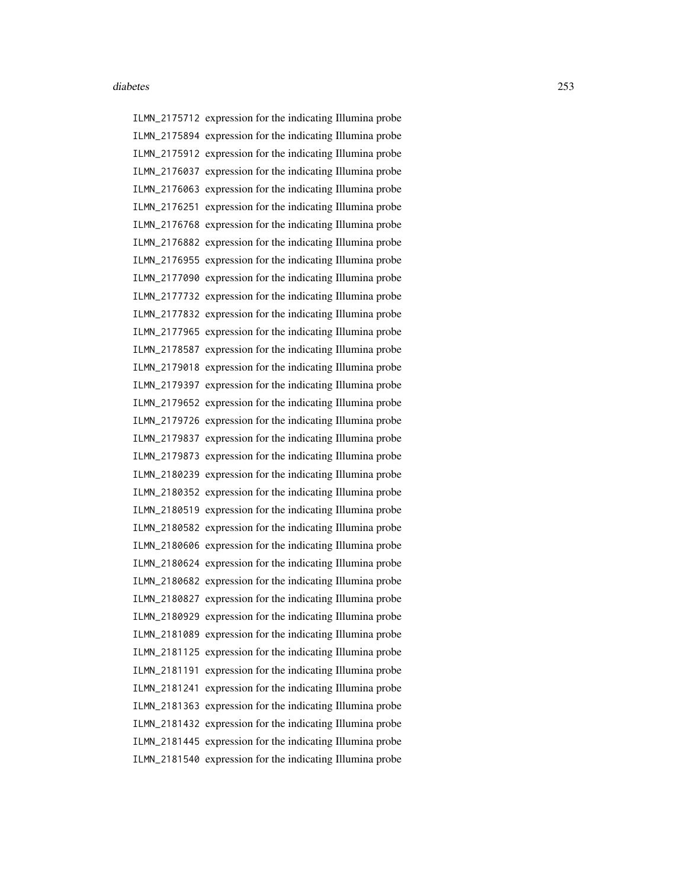ILMN\_2175712 expression for the indicating Illumina probe ILMN\_2175894 expression for the indicating Illumina probe ILMN\_2175912 expression for the indicating Illumina probe ILMN\_2176037 expression for the indicating Illumina probe ILMN\_2176063 expression for the indicating Illumina probe ILMN\_2176251 expression for the indicating Illumina probe ILMN\_2176768 expression for the indicating Illumina probe ILMN\_2176882 expression for the indicating Illumina probe ILMN\_2176955 expression for the indicating Illumina probe ILMN\_2177090 expression for the indicating Illumina probe ILMN\_2177732 expression for the indicating Illumina probe ILMN\_2177832 expression for the indicating Illumina probe ILMN\_2177965 expression for the indicating Illumina probe ILMN\_2178587 expression for the indicating Illumina probe ILMN\_2179018 expression for the indicating Illumina probe ILMN\_2179397 expression for the indicating Illumina probe ILMN\_2179652 expression for the indicating Illumina probe ILMN\_2179726 expression for the indicating Illumina probe ILMN\_2179837 expression for the indicating Illumina probe ILMN\_2179873 expression for the indicating Illumina probe ILMN\_2180239 expression for the indicating Illumina probe ILMN\_2180352 expression for the indicating Illumina probe ILMN\_2180519 expression for the indicating Illumina probe ILMN\_2180582 expression for the indicating Illumina probe ILMN\_2180606 expression for the indicating Illumina probe ILMN\_2180624 expression for the indicating Illumina probe ILMN\_2180682 expression for the indicating Illumina probe ILMN\_2180827 expression for the indicating Illumina probe ILMN\_2180929 expression for the indicating Illumina probe ILMN\_2181089 expression for the indicating Illumina probe ILMN\_2181125 expression for the indicating Illumina probe ILMN\_2181191 expression for the indicating Illumina probe ILMN\_2181241 expression for the indicating Illumina probe ILMN\_2181363 expression for the indicating Illumina probe ILMN\_2181432 expression for the indicating Illumina probe ILMN\_2181445 expression for the indicating Illumina probe ILMN\_2181540 expression for the indicating Illumina probe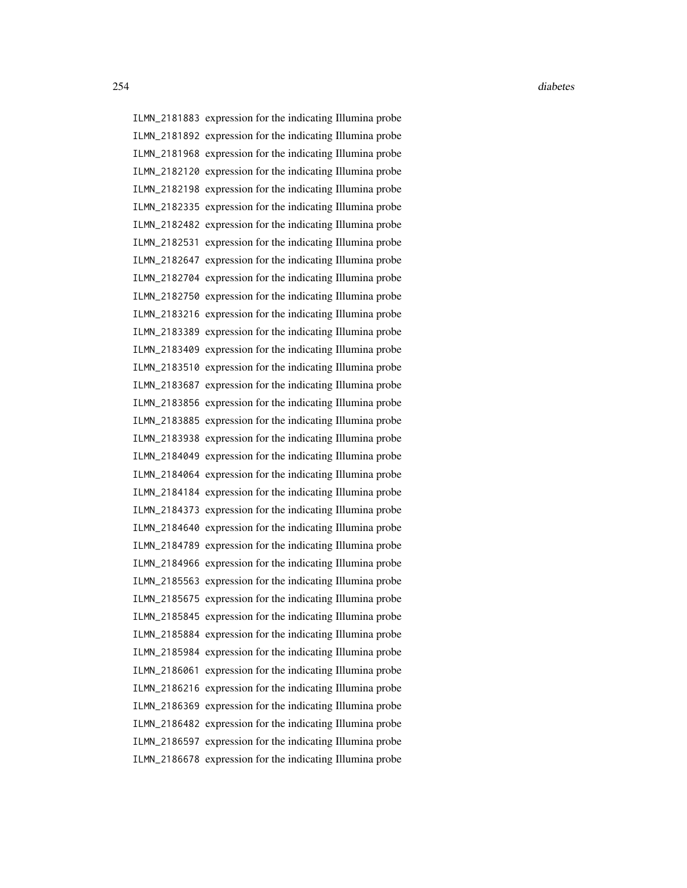ILMN\_2181883 expression for the indicating Illumina probe ILMN\_2181892 expression for the indicating Illumina probe ILMN\_2181968 expression for the indicating Illumina probe ILMN\_2182120 expression for the indicating Illumina probe ILMN\_2182198 expression for the indicating Illumina probe ILMN\_2182335 expression for the indicating Illumina probe ILMN\_2182482 expression for the indicating Illumina probe ILMN\_2182531 expression for the indicating Illumina probe ILMN\_2182647 expression for the indicating Illumina probe ILMN\_2182704 expression for the indicating Illumina probe ILMN\_2182750 expression for the indicating Illumina probe ILMN\_2183216 expression for the indicating Illumina probe ILMN\_2183389 expression for the indicating Illumina probe ILMN\_2183409 expression for the indicating Illumina probe ILMN\_2183510 expression for the indicating Illumina probe ILMN\_2183687 expression for the indicating Illumina probe ILMN\_2183856 expression for the indicating Illumina probe ILMN\_2183885 expression for the indicating Illumina probe ILMN\_2183938 expression for the indicating Illumina probe ILMN\_2184049 expression for the indicating Illumina probe ILMN\_2184064 expression for the indicating Illumina probe ILMN\_2184184 expression for the indicating Illumina probe ILMN\_2184373 expression for the indicating Illumina probe ILMN\_2184640 expression for the indicating Illumina probe ILMN\_2184789 expression for the indicating Illumina probe ILMN\_2184966 expression for the indicating Illumina probe ILMN\_2185563 expression for the indicating Illumina probe ILMN\_2185675 expression for the indicating Illumina probe ILMN\_2185845 expression for the indicating Illumina probe ILMN\_2185884 expression for the indicating Illumina probe ILMN\_2185984 expression for the indicating Illumina probe ILMN\_2186061 expression for the indicating Illumina probe ILMN\_2186216 expression for the indicating Illumina probe ILMN\_2186369 expression for the indicating Illumina probe ILMN\_2186482 expression for the indicating Illumina probe ILMN\_2186597 expression for the indicating Illumina probe ILMN\_2186678 expression for the indicating Illumina probe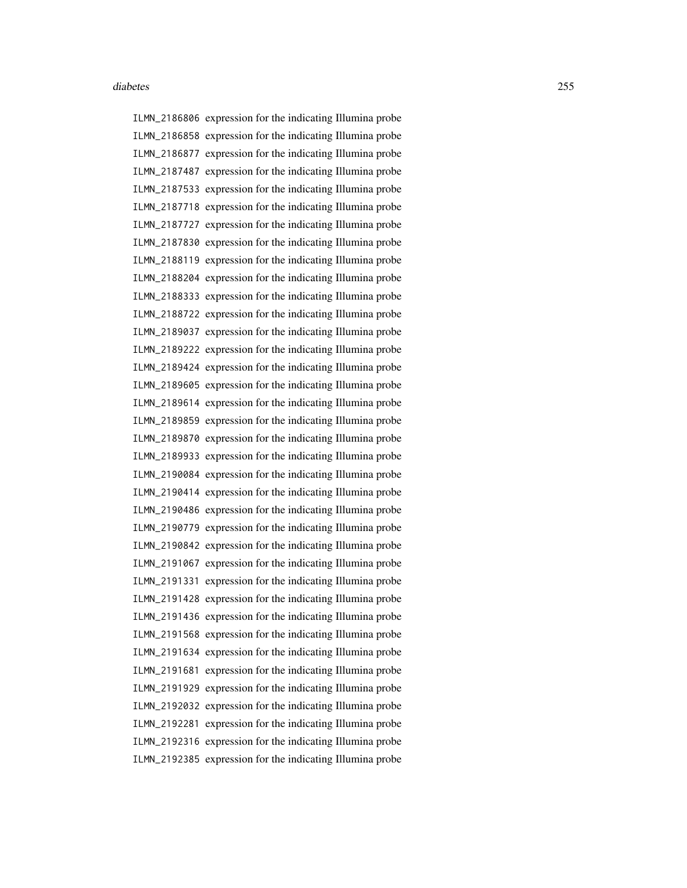ILMN\_2186806 expression for the indicating Illumina probe ILMN\_2186858 expression for the indicating Illumina probe ILMN\_2186877 expression for the indicating Illumina probe ILMN\_2187487 expression for the indicating Illumina probe ILMN\_2187533 expression for the indicating Illumina probe ILMN\_2187718 expression for the indicating Illumina probe ILMN\_2187727 expression for the indicating Illumina probe ILMN\_2187830 expression for the indicating Illumina probe ILMN\_2188119 expression for the indicating Illumina probe ILMN\_2188204 expression for the indicating Illumina probe ILMN\_2188333 expression for the indicating Illumina probe ILMN\_2188722 expression for the indicating Illumina probe ILMN\_2189037 expression for the indicating Illumina probe ILMN\_2189222 expression for the indicating Illumina probe ILMN\_2189424 expression for the indicating Illumina probe ILMN\_2189605 expression for the indicating Illumina probe ILMN\_2189614 expression for the indicating Illumina probe ILMN\_2189859 expression for the indicating Illumina probe ILMN\_2189870 expression for the indicating Illumina probe ILMN\_2189933 expression for the indicating Illumina probe ILMN\_2190084 expression for the indicating Illumina probe ILMN\_2190414 expression for the indicating Illumina probe ILMN\_2190486 expression for the indicating Illumina probe ILMN\_2190779 expression for the indicating Illumina probe ILMN\_2190842 expression for the indicating Illumina probe ILMN\_2191067 expression for the indicating Illumina probe ILMN\_2191331 expression for the indicating Illumina probe ILMN\_2191428 expression for the indicating Illumina probe ILMN\_2191436 expression for the indicating Illumina probe ILMN\_2191568 expression for the indicating Illumina probe ILMN\_2191634 expression for the indicating Illumina probe ILMN\_2191681 expression for the indicating Illumina probe ILMN\_2191929 expression for the indicating Illumina probe ILMN\_2192032 expression for the indicating Illumina probe ILMN\_2192281 expression for the indicating Illumina probe ILMN\_2192316 expression for the indicating Illumina probe ILMN\_2192385 expression for the indicating Illumina probe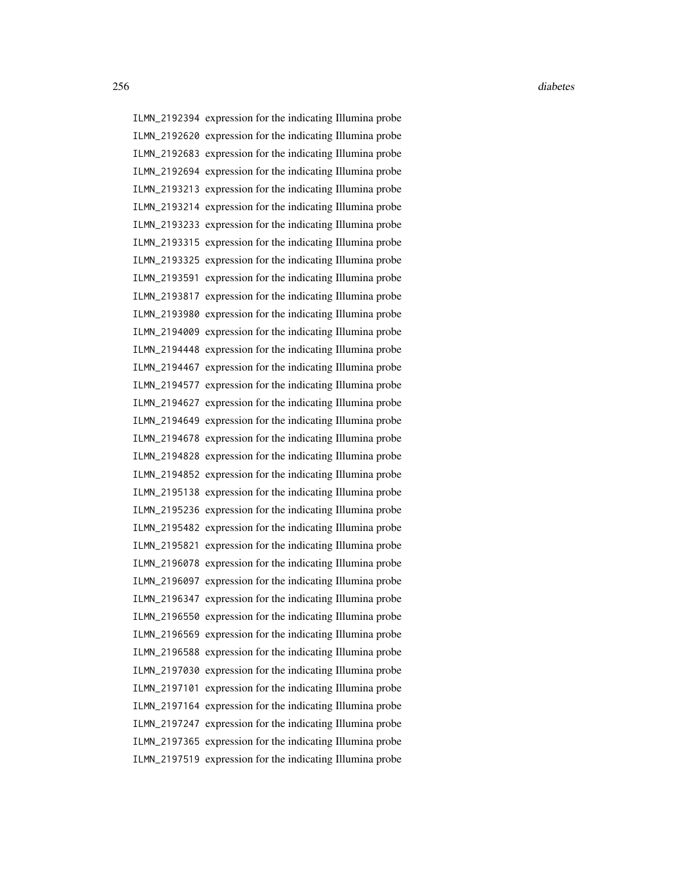ILMN\_2192394 expression for the indicating Illumina probe ILMN\_2192620 expression for the indicating Illumina probe ILMN\_2192683 expression for the indicating Illumina probe ILMN\_2192694 expression for the indicating Illumina probe ILMN\_2193213 expression for the indicating Illumina probe ILMN\_2193214 expression for the indicating Illumina probe ILMN\_2193233 expression for the indicating Illumina probe ILMN\_2193315 expression for the indicating Illumina probe ILMN\_2193325 expression for the indicating Illumina probe ILMN\_2193591 expression for the indicating Illumina probe ILMN\_2193817 expression for the indicating Illumina probe ILMN\_2193980 expression for the indicating Illumina probe ILMN\_2194009 expression for the indicating Illumina probe ILMN\_2194448 expression for the indicating Illumina probe ILMN\_2194467 expression for the indicating Illumina probe ILMN\_2194577 expression for the indicating Illumina probe ILMN\_2194627 expression for the indicating Illumina probe ILMN\_2194649 expression for the indicating Illumina probe ILMN\_2194678 expression for the indicating Illumina probe ILMN\_2194828 expression for the indicating Illumina probe ILMN\_2194852 expression for the indicating Illumina probe ILMN\_2195138 expression for the indicating Illumina probe ILMN\_2195236 expression for the indicating Illumina probe ILMN\_2195482 expression for the indicating Illumina probe ILMN\_2195821 expression for the indicating Illumina probe ILMN\_2196078 expression for the indicating Illumina probe ILMN\_2196097 expression for the indicating Illumina probe ILMN\_2196347 expression for the indicating Illumina probe ILMN\_2196550 expression for the indicating Illumina probe ILMN\_2196569 expression for the indicating Illumina probe ILMN\_2196588 expression for the indicating Illumina probe ILMN\_2197030 expression for the indicating Illumina probe ILMN\_2197101 expression for the indicating Illumina probe ILMN\_2197164 expression for the indicating Illumina probe ILMN\_2197247 expression for the indicating Illumina probe ILMN\_2197365 expression for the indicating Illumina probe ILMN\_2197519 expression for the indicating Illumina probe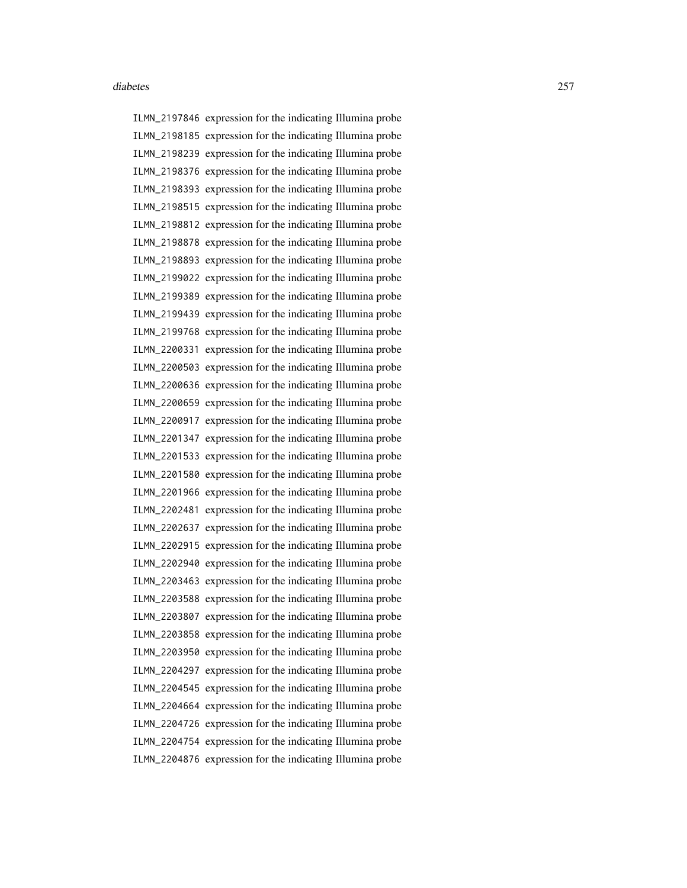ILMN\_2197846 expression for the indicating Illumina probe ILMN\_2198185 expression for the indicating Illumina probe ILMN\_2198239 expression for the indicating Illumina probe ILMN\_2198376 expression for the indicating Illumina probe ILMN\_2198393 expression for the indicating Illumina probe ILMN\_2198515 expression for the indicating Illumina probe ILMN\_2198812 expression for the indicating Illumina probe ILMN\_2198878 expression for the indicating Illumina probe ILMN\_2198893 expression for the indicating Illumina probe ILMN\_2199022 expression for the indicating Illumina probe ILMN\_2199389 expression for the indicating Illumina probe ILMN\_2199439 expression for the indicating Illumina probe ILMN\_2199768 expression for the indicating Illumina probe ILMN\_2200331 expression for the indicating Illumina probe ILMN\_2200503 expression for the indicating Illumina probe ILMN\_2200636 expression for the indicating Illumina probe ILMN\_2200659 expression for the indicating Illumina probe ILMN\_2200917 expression for the indicating Illumina probe ILMN\_2201347 expression for the indicating Illumina probe ILMN\_2201533 expression for the indicating Illumina probe ILMN\_2201580 expression for the indicating Illumina probe ILMN\_2201966 expression for the indicating Illumina probe ILMN\_2202481 expression for the indicating Illumina probe ILMN\_2202637 expression for the indicating Illumina probe ILMN\_2202915 expression for the indicating Illumina probe ILMN\_2202940 expression for the indicating Illumina probe ILMN\_2203463 expression for the indicating Illumina probe ILMN\_2203588 expression for the indicating Illumina probe ILMN\_2203807 expression for the indicating Illumina probe ILMN\_2203858 expression for the indicating Illumina probe ILMN\_2203950 expression for the indicating Illumina probe ILMN\_2204297 expression for the indicating Illumina probe ILMN\_2204545 expression for the indicating Illumina probe ILMN\_2204664 expression for the indicating Illumina probe ILMN\_2204726 expression for the indicating Illumina probe ILMN\_2204754 expression for the indicating Illumina probe ILMN\_2204876 expression for the indicating Illumina probe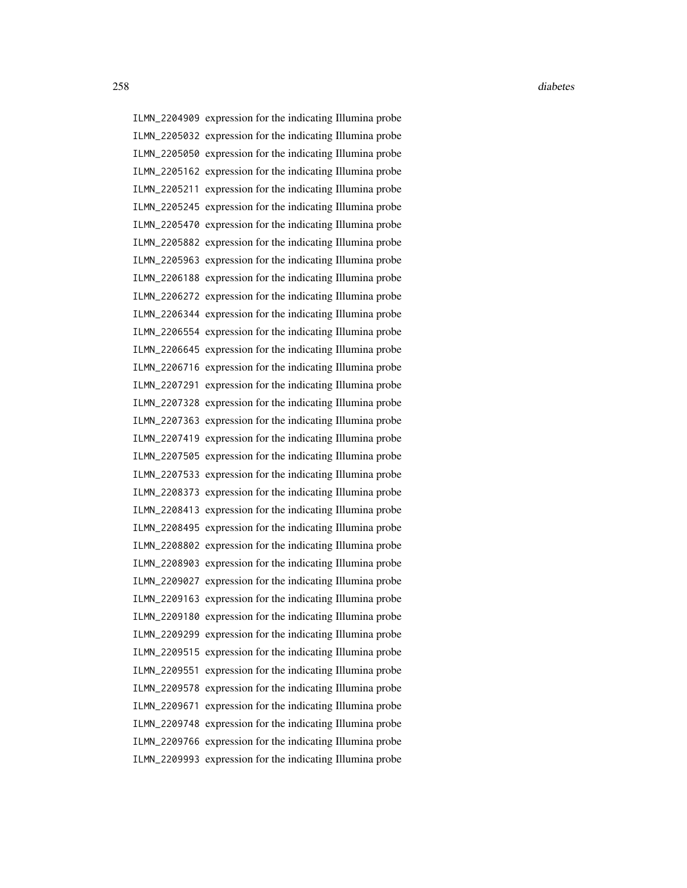ILMN\_2204909 expression for the indicating Illumina probe ILMN\_2205032 expression for the indicating Illumina probe ILMN\_2205050 expression for the indicating Illumina probe ILMN\_2205162 expression for the indicating Illumina probe ILMN\_2205211 expression for the indicating Illumina probe ILMN\_2205245 expression for the indicating Illumina probe ILMN\_2205470 expression for the indicating Illumina probe ILMN\_2205882 expression for the indicating Illumina probe ILMN\_2205963 expression for the indicating Illumina probe ILMN\_2206188 expression for the indicating Illumina probe ILMN\_2206272 expression for the indicating Illumina probe ILMN\_2206344 expression for the indicating Illumina probe ILMN\_2206554 expression for the indicating Illumina probe ILMN\_2206645 expression for the indicating Illumina probe ILMN\_2206716 expression for the indicating Illumina probe ILMN\_2207291 expression for the indicating Illumina probe ILMN\_2207328 expression for the indicating Illumina probe ILMN\_2207363 expression for the indicating Illumina probe ILMN\_2207419 expression for the indicating Illumina probe ILMN\_2207505 expression for the indicating Illumina probe ILMN\_2207533 expression for the indicating Illumina probe ILMN\_2208373 expression for the indicating Illumina probe ILMN\_2208413 expression for the indicating Illumina probe ILMN\_2208495 expression for the indicating Illumina probe ILMN\_2208802 expression for the indicating Illumina probe ILMN\_2208903 expression for the indicating Illumina probe ILMN\_2209027 expression for the indicating Illumina probe ILMN\_2209163 expression for the indicating Illumina probe ILMN\_2209180 expression for the indicating Illumina probe ILMN\_2209299 expression for the indicating Illumina probe ILMN\_2209515 expression for the indicating Illumina probe ILMN\_2209551 expression for the indicating Illumina probe ILMN\_2209578 expression for the indicating Illumina probe ILMN\_2209671 expression for the indicating Illumina probe ILMN\_2209748 expression for the indicating Illumina probe ILMN\_2209766 expression for the indicating Illumina probe ILMN\_2209993 expression for the indicating Illumina probe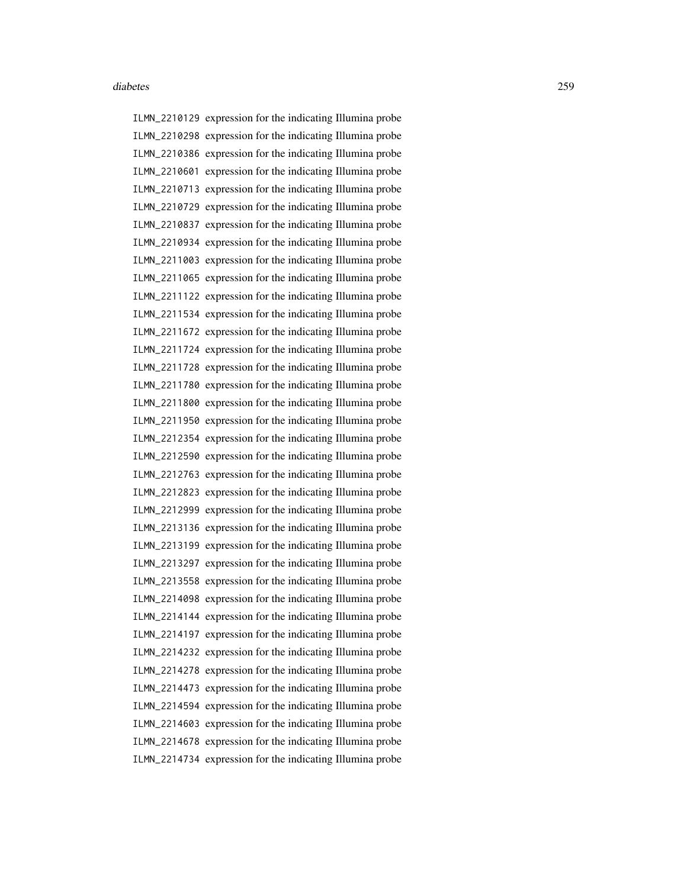ILMN\_2210129 expression for the indicating Illumina probe ILMN\_2210298 expression for the indicating Illumina probe ILMN\_2210386 expression for the indicating Illumina probe ILMN\_2210601 expression for the indicating Illumina probe ILMN\_2210713 expression for the indicating Illumina probe ILMN\_2210729 expression for the indicating Illumina probe ILMN\_2210837 expression for the indicating Illumina probe ILMN\_2210934 expression for the indicating Illumina probe ILMN\_2211003 expression for the indicating Illumina probe ILMN\_2211065 expression for the indicating Illumina probe ILMN\_2211122 expression for the indicating Illumina probe ILMN\_2211534 expression for the indicating Illumina probe ILMN\_2211672 expression for the indicating Illumina probe ILMN\_2211724 expression for the indicating Illumina probe ILMN\_2211728 expression for the indicating Illumina probe ILMN\_2211780 expression for the indicating Illumina probe ILMN\_2211800 expression for the indicating Illumina probe ILMN\_2211950 expression for the indicating Illumina probe ILMN\_2212354 expression for the indicating Illumina probe ILMN\_2212590 expression for the indicating Illumina probe ILMN\_2212763 expression for the indicating Illumina probe ILMN\_2212823 expression for the indicating Illumina probe ILMN\_2212999 expression for the indicating Illumina probe ILMN\_2213136 expression for the indicating Illumina probe ILMN\_2213199 expression for the indicating Illumina probe ILMN\_2213297 expression for the indicating Illumina probe ILMN\_2213558 expression for the indicating Illumina probe ILMN\_2214098 expression for the indicating Illumina probe ILMN\_2214144 expression for the indicating Illumina probe ILMN\_2214197 expression for the indicating Illumina probe ILMN\_2214232 expression for the indicating Illumina probe ILMN\_2214278 expression for the indicating Illumina probe ILMN\_2214473 expression for the indicating Illumina probe ILMN\_2214594 expression for the indicating Illumina probe ILMN\_2214603 expression for the indicating Illumina probe ILMN\_2214678 expression for the indicating Illumina probe ILMN\_2214734 expression for the indicating Illumina probe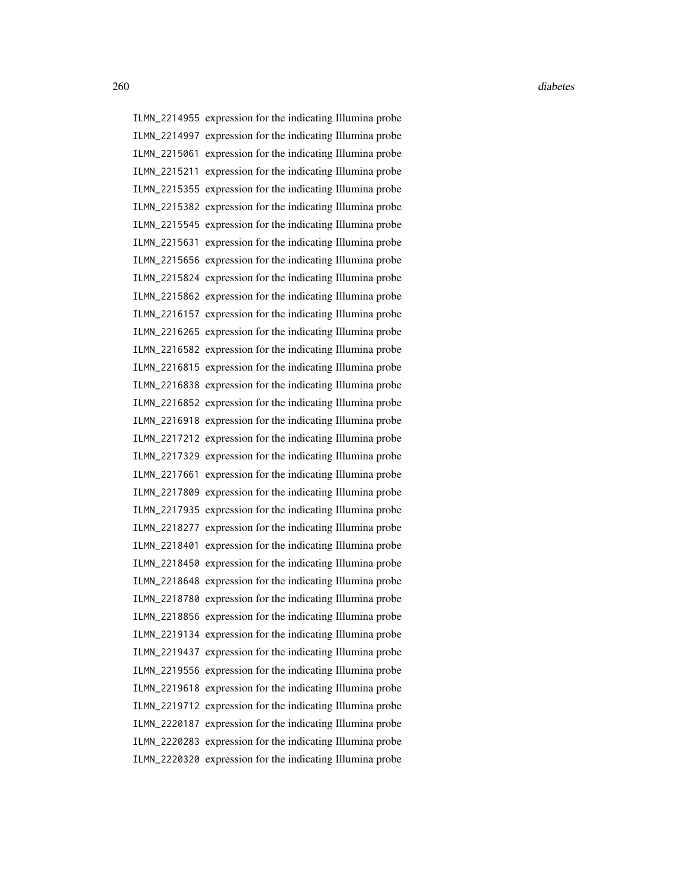ILMN\_2214955 expression for the indicating Illumina probe ILMN\_2214997 expression for the indicating Illumina probe ILMN\_2215061 expression for the indicating Illumina probe ILMN\_2215211 expression for the indicating Illumina probe ILMN\_2215355 expression for the indicating Illumina probe ILMN\_2215382 expression for the indicating Illumina probe ILMN\_2215545 expression for the indicating Illumina probe ILMN\_2215631 expression for the indicating Illumina probe ILMN\_2215656 expression for the indicating Illumina probe ILMN\_2215824 expression for the indicating Illumina probe ILMN\_2215862 expression for the indicating Illumina probe ILMN\_2216157 expression for the indicating Illumina probe ILMN\_2216265 expression for the indicating Illumina probe ILMN\_2216582 expression for the indicating Illumina probe ILMN\_2216815 expression for the indicating Illumina probe ILMN\_2216838 expression for the indicating Illumina probe ILMN\_2216852 expression for the indicating Illumina probe ILMN\_2216918 expression for the indicating Illumina probe ILMN\_2217212 expression for the indicating Illumina probe ILMN\_2217329 expression for the indicating Illumina probe ILMN\_2217661 expression for the indicating Illumina probe ILMN\_2217809 expression for the indicating Illumina probe ILMN\_2217935 expression for the indicating Illumina probe ILMN\_2218277 expression for the indicating Illumina probe ILMN\_2218401 expression for the indicating Illumina probe ILMN\_2218450 expression for the indicating Illumina probe ILMN\_2218648 expression for the indicating Illumina probe ILMN\_2218780 expression for the indicating Illumina probe ILMN\_2218856 expression for the indicating Illumina probe ILMN\_2219134 expression for the indicating Illumina probe ILMN\_2219437 expression for the indicating Illumina probe ILMN\_2219556 expression for the indicating Illumina probe ILMN\_2219618 expression for the indicating Illumina probe ILMN\_2219712 expression for the indicating Illumina probe ILMN\_2220187 expression for the indicating Illumina probe ILMN\_2220283 expression for the indicating Illumina probe ILMN\_2220320 expression for the indicating Illumina probe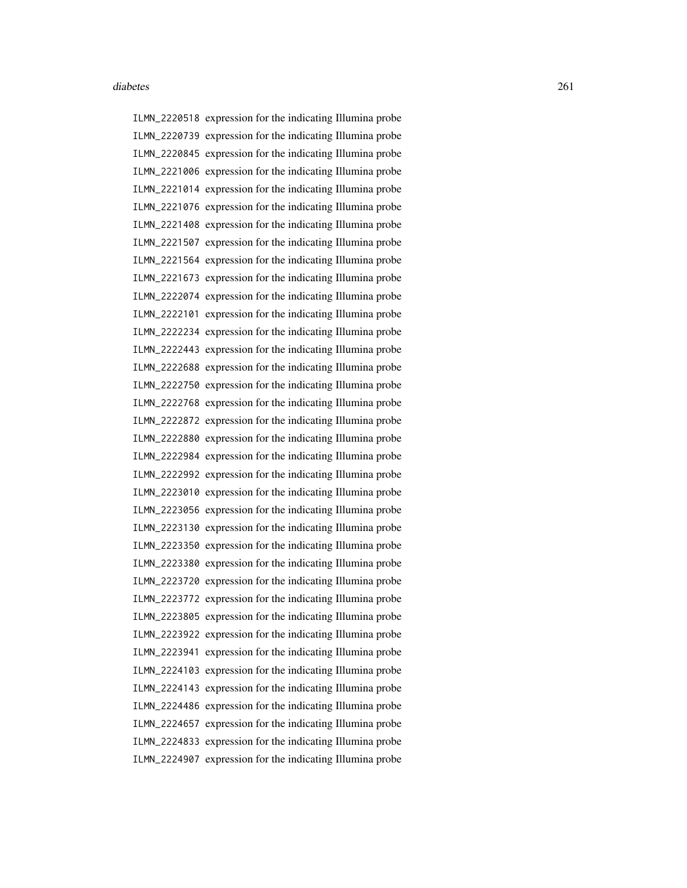ILMN\_2220518 expression for the indicating Illumina probe ILMN\_2220739 expression for the indicating Illumina probe ILMN\_2220845 expression for the indicating Illumina probe ILMN\_2221006 expression for the indicating Illumina probe ILMN\_2221014 expression for the indicating Illumina probe ILMN\_2221076 expression for the indicating Illumina probe ILMN\_2221408 expression for the indicating Illumina probe ILMN\_2221507 expression for the indicating Illumina probe ILMN\_2221564 expression for the indicating Illumina probe ILMN\_2221673 expression for the indicating Illumina probe ILMN\_2222074 expression for the indicating Illumina probe ILMN\_2222101 expression for the indicating Illumina probe ILMN\_2222234 expression for the indicating Illumina probe ILMN\_2222443 expression for the indicating Illumina probe ILMN\_2222688 expression for the indicating Illumina probe ILMN\_2222750 expression for the indicating Illumina probe ILMN\_2222768 expression for the indicating Illumina probe ILMN\_2222872 expression for the indicating Illumina probe ILMN\_2222880 expression for the indicating Illumina probe ILMN\_2222984 expression for the indicating Illumina probe ILMN\_2222992 expression for the indicating Illumina probe ILMN\_2223010 expression for the indicating Illumina probe ILMN\_2223056 expression for the indicating Illumina probe ILMN\_2223130 expression for the indicating Illumina probe ILMN\_2223350 expression for the indicating Illumina probe ILMN\_2223380 expression for the indicating Illumina probe ILMN\_2223720 expression for the indicating Illumina probe ILMN\_2223772 expression for the indicating Illumina probe ILMN\_2223805 expression for the indicating Illumina probe ILMN\_2223922 expression for the indicating Illumina probe ILMN\_2223941 expression for the indicating Illumina probe ILMN\_2224103 expression for the indicating Illumina probe ILMN\_2224143 expression for the indicating Illumina probe ILMN\_2224486 expression for the indicating Illumina probe ILMN\_2224657 expression for the indicating Illumina probe ILMN\_2224833 expression for the indicating Illumina probe ILMN\_2224907 expression for the indicating Illumina probe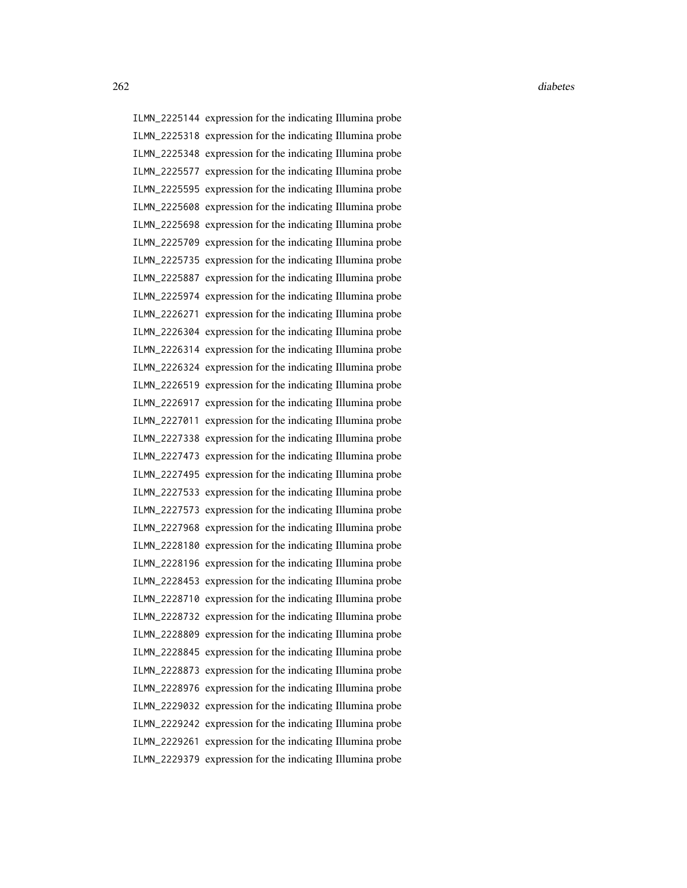ILMN\_2225144 expression for the indicating Illumina probe ILMN\_2225318 expression for the indicating Illumina probe ILMN\_2225348 expression for the indicating Illumina probe ILMN\_2225577 expression for the indicating Illumina probe ILMN\_2225595 expression for the indicating Illumina probe ILMN\_2225608 expression for the indicating Illumina probe ILMN\_2225698 expression for the indicating Illumina probe ILMN\_2225709 expression for the indicating Illumina probe ILMN\_2225735 expression for the indicating Illumina probe ILMN\_2225887 expression for the indicating Illumina probe ILMN\_2225974 expression for the indicating Illumina probe ILMN\_2226271 expression for the indicating Illumina probe ILMN\_2226304 expression for the indicating Illumina probe ILMN\_2226314 expression for the indicating Illumina probe ILMN\_2226324 expression for the indicating Illumina probe ILMN\_2226519 expression for the indicating Illumina probe ILMN\_2226917 expression for the indicating Illumina probe ILMN\_2227011 expression for the indicating Illumina probe ILMN\_2227338 expression for the indicating Illumina probe ILMN\_2227473 expression for the indicating Illumina probe ILMN\_2227495 expression for the indicating Illumina probe ILMN\_2227533 expression for the indicating Illumina probe ILMN\_2227573 expression for the indicating Illumina probe ILMN\_2227968 expression for the indicating Illumina probe ILMN\_2228180 expression for the indicating Illumina probe ILMN\_2228196 expression for the indicating Illumina probe ILMN\_2228453 expression for the indicating Illumina probe ILMN\_2228710 expression for the indicating Illumina probe ILMN\_2228732 expression for the indicating Illumina probe ILMN\_2228809 expression for the indicating Illumina probe ILMN\_2228845 expression for the indicating Illumina probe ILMN\_2228873 expression for the indicating Illumina probe ILMN\_2228976 expression for the indicating Illumina probe ILMN\_2229032 expression for the indicating Illumina probe ILMN\_2229242 expression for the indicating Illumina probe ILMN\_2229261 expression for the indicating Illumina probe ILMN\_2229379 expression for the indicating Illumina probe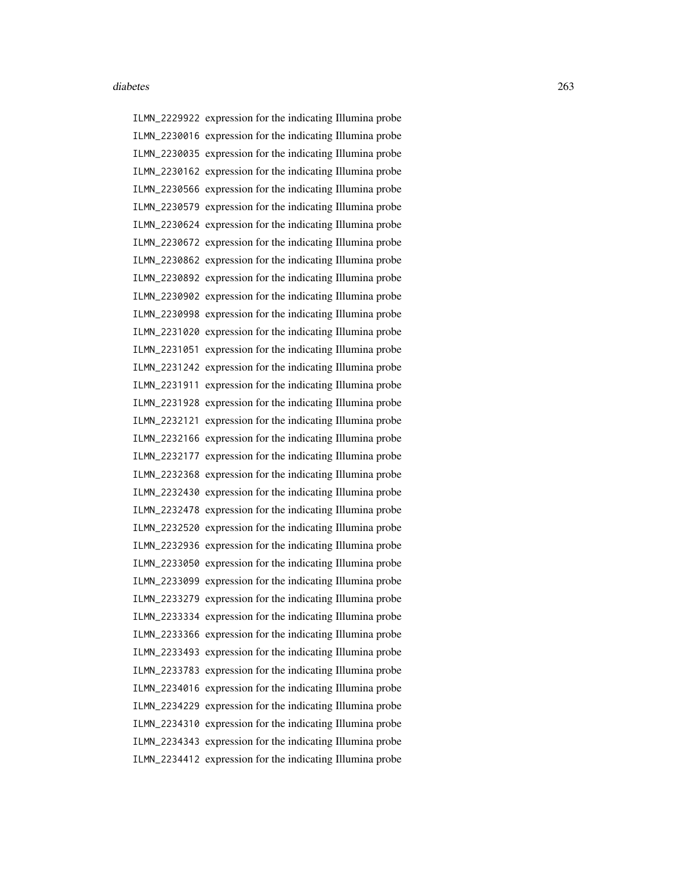ILMN\_2229922 expression for the indicating Illumina probe ILMN\_2230016 expression for the indicating Illumina probe ILMN\_2230035 expression for the indicating Illumina probe ILMN\_2230162 expression for the indicating Illumina probe ILMN\_2230566 expression for the indicating Illumina probe ILMN\_2230579 expression for the indicating Illumina probe ILMN\_2230624 expression for the indicating Illumina probe ILMN\_2230672 expression for the indicating Illumina probe ILMN\_2230862 expression for the indicating Illumina probe ILMN\_2230892 expression for the indicating Illumina probe ILMN\_2230902 expression for the indicating Illumina probe ILMN\_2230998 expression for the indicating Illumina probe ILMN\_2231020 expression for the indicating Illumina probe ILMN\_2231051 expression for the indicating Illumina probe ILMN\_2231242 expression for the indicating Illumina probe ILMN\_2231911 expression for the indicating Illumina probe ILMN\_2231928 expression for the indicating Illumina probe ILMN\_2232121 expression for the indicating Illumina probe ILMN\_2232166 expression for the indicating Illumina probe ILMN\_2232177 expression for the indicating Illumina probe ILMN\_2232368 expression for the indicating Illumina probe ILMN\_2232430 expression for the indicating Illumina probe ILMN\_2232478 expression for the indicating Illumina probe ILMN\_2232520 expression for the indicating Illumina probe ILMN\_2232936 expression for the indicating Illumina probe ILMN\_2233050 expression for the indicating Illumina probe ILMN\_2233099 expression for the indicating Illumina probe ILMN\_2233279 expression for the indicating Illumina probe ILMN\_2233334 expression for the indicating Illumina probe ILMN\_2233366 expression for the indicating Illumina probe ILMN\_2233493 expression for the indicating Illumina probe ILMN\_2233783 expression for the indicating Illumina probe ILMN\_2234016 expression for the indicating Illumina probe ILMN\_2234229 expression for the indicating Illumina probe ILMN\_2234310 expression for the indicating Illumina probe ILMN\_2234343 expression for the indicating Illumina probe ILMN\_2234412 expression for the indicating Illumina probe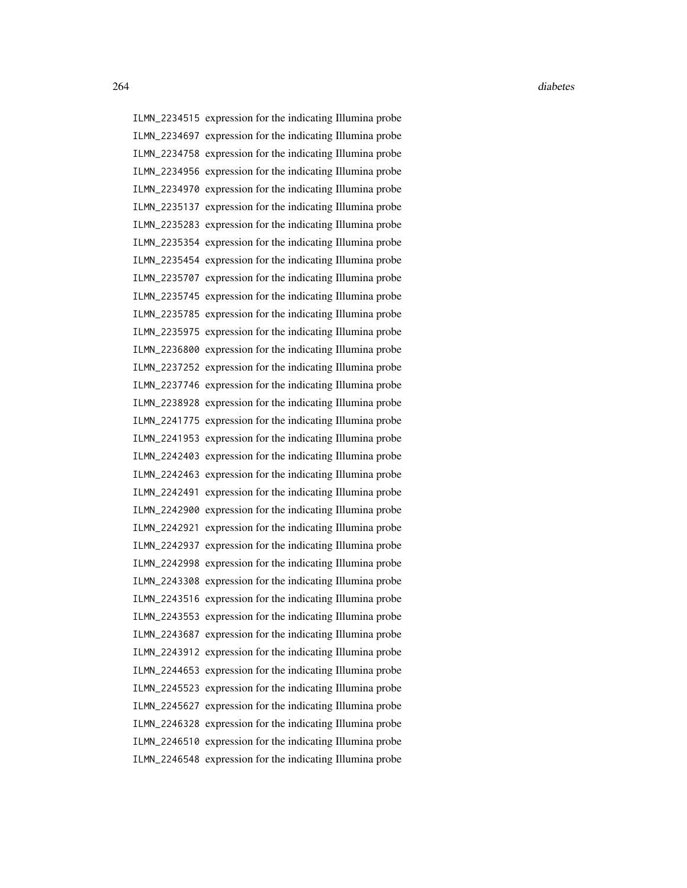ILMN\_2234515 expression for the indicating Illumina probe ILMN\_2234697 expression for the indicating Illumina probe ILMN\_2234758 expression for the indicating Illumina probe ILMN\_2234956 expression for the indicating Illumina probe ILMN\_2234970 expression for the indicating Illumina probe ILMN\_2235137 expression for the indicating Illumina probe ILMN\_2235283 expression for the indicating Illumina probe ILMN\_2235354 expression for the indicating Illumina probe ILMN\_2235454 expression for the indicating Illumina probe ILMN\_2235707 expression for the indicating Illumina probe ILMN\_2235745 expression for the indicating Illumina probe ILMN\_2235785 expression for the indicating Illumina probe ILMN\_2235975 expression for the indicating Illumina probe ILMN\_2236800 expression for the indicating Illumina probe ILMN\_2237252 expression for the indicating Illumina probe ILMN\_2237746 expression for the indicating Illumina probe ILMN\_2238928 expression for the indicating Illumina probe ILMN\_2241775 expression for the indicating Illumina probe ILMN\_2241953 expression for the indicating Illumina probe ILMN\_2242403 expression for the indicating Illumina probe ILMN\_2242463 expression for the indicating Illumina probe ILMN\_2242491 expression for the indicating Illumina probe ILMN\_2242900 expression for the indicating Illumina probe ILMN\_2242921 expression for the indicating Illumina probe ILMN\_2242937 expression for the indicating Illumina probe ILMN\_2242998 expression for the indicating Illumina probe ILMN\_2243308 expression for the indicating Illumina probe ILMN\_2243516 expression for the indicating Illumina probe ILMN\_2243553 expression for the indicating Illumina probe ILMN\_2243687 expression for the indicating Illumina probe ILMN\_2243912 expression for the indicating Illumina probe ILMN\_2244653 expression for the indicating Illumina probe ILMN\_2245523 expression for the indicating Illumina probe ILMN\_2245627 expression for the indicating Illumina probe ILMN\_2246328 expression for the indicating Illumina probe ILMN\_2246510 expression for the indicating Illumina probe ILMN\_2246548 expression for the indicating Illumina probe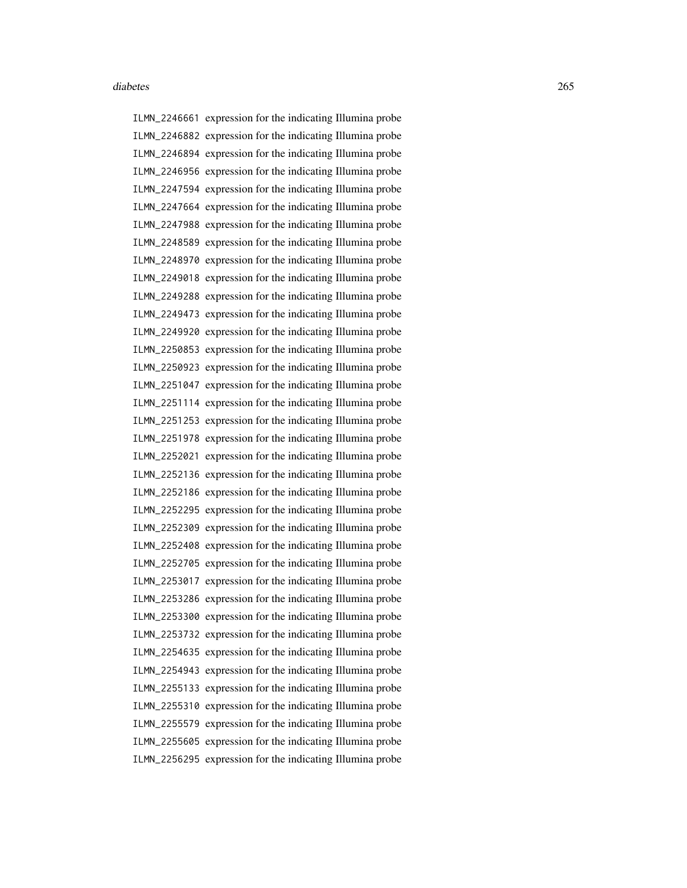ILMN\_2246661 expression for the indicating Illumina probe ILMN\_2246882 expression for the indicating Illumina probe ILMN\_2246894 expression for the indicating Illumina probe ILMN\_2246956 expression for the indicating Illumina probe ILMN\_2247594 expression for the indicating Illumina probe ILMN\_2247664 expression for the indicating Illumina probe ILMN\_2247988 expression for the indicating Illumina probe ILMN\_2248589 expression for the indicating Illumina probe ILMN\_2248970 expression for the indicating Illumina probe ILMN\_2249018 expression for the indicating Illumina probe ILMN\_2249288 expression for the indicating Illumina probe ILMN\_2249473 expression for the indicating Illumina probe ILMN\_2249920 expression for the indicating Illumina probe ILMN\_2250853 expression for the indicating Illumina probe ILMN\_2250923 expression for the indicating Illumina probe ILMN\_2251047 expression for the indicating Illumina probe ILMN\_2251114 expression for the indicating Illumina probe ILMN\_2251253 expression for the indicating Illumina probe ILMN\_2251978 expression for the indicating Illumina probe ILMN\_2252021 expression for the indicating Illumina probe ILMN\_2252136 expression for the indicating Illumina probe ILMN\_2252186 expression for the indicating Illumina probe ILMN\_2252295 expression for the indicating Illumina probe ILMN\_2252309 expression for the indicating Illumina probe ILMN\_2252408 expression for the indicating Illumina probe ILMN\_2252705 expression for the indicating Illumina probe ILMN\_2253017 expression for the indicating Illumina probe ILMN\_2253286 expression for the indicating Illumina probe ILMN\_2253300 expression for the indicating Illumina probe ILMN\_2253732 expression for the indicating Illumina probe ILMN\_2254635 expression for the indicating Illumina probe ILMN\_2254943 expression for the indicating Illumina probe ILMN\_2255133 expression for the indicating Illumina probe ILMN\_2255310 expression for the indicating Illumina probe ILMN\_2255579 expression for the indicating Illumina probe ILMN\_2255605 expression for the indicating Illumina probe ILMN\_2256295 expression for the indicating Illumina probe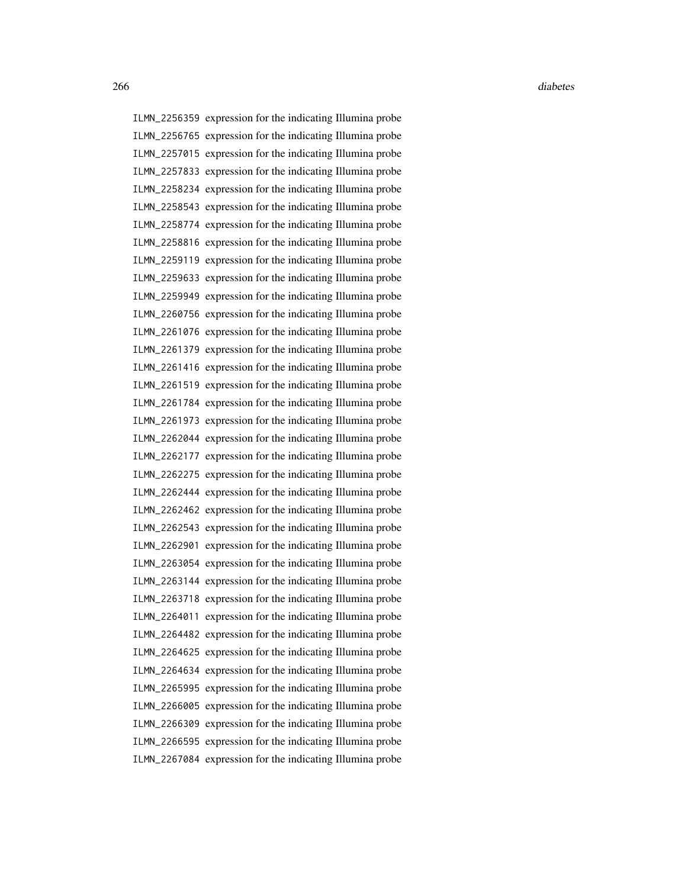ILMN\_2256359 expression for the indicating Illumina probe ILMN\_2256765 expression for the indicating Illumina probe ILMN\_2257015 expression for the indicating Illumina probe ILMN\_2257833 expression for the indicating Illumina probe ILMN\_2258234 expression for the indicating Illumina probe ILMN\_2258543 expression for the indicating Illumina probe ILMN\_2258774 expression for the indicating Illumina probe ILMN\_2258816 expression for the indicating Illumina probe ILMN\_2259119 expression for the indicating Illumina probe ILMN\_2259633 expression for the indicating Illumina probe ILMN\_2259949 expression for the indicating Illumina probe ILMN\_2260756 expression for the indicating Illumina probe ILMN\_2261076 expression for the indicating Illumina probe ILMN\_2261379 expression for the indicating Illumina probe ILMN\_2261416 expression for the indicating Illumina probe ILMN\_2261519 expression for the indicating Illumina probe ILMN\_2261784 expression for the indicating Illumina probe ILMN\_2261973 expression for the indicating Illumina probe ILMN\_2262044 expression for the indicating Illumina probe ILMN\_2262177 expression for the indicating Illumina probe ILMN\_2262275 expression for the indicating Illumina probe ILMN\_2262444 expression for the indicating Illumina probe ILMN\_2262462 expression for the indicating Illumina probe ILMN\_2262543 expression for the indicating Illumina probe ILMN\_2262901 expression for the indicating Illumina probe ILMN\_2263054 expression for the indicating Illumina probe ILMN\_2263144 expression for the indicating Illumina probe ILMN\_2263718 expression for the indicating Illumina probe ILMN\_2264011 expression for the indicating Illumina probe ILMN\_2264482 expression for the indicating Illumina probe ILMN\_2264625 expression for the indicating Illumina probe ILMN\_2264634 expression for the indicating Illumina probe ILMN\_2265995 expression for the indicating Illumina probe ILMN\_2266005 expression for the indicating Illumina probe ILMN\_2266309 expression for the indicating Illumina probe ILMN\_2266595 expression for the indicating Illumina probe ILMN\_2267084 expression for the indicating Illumina probe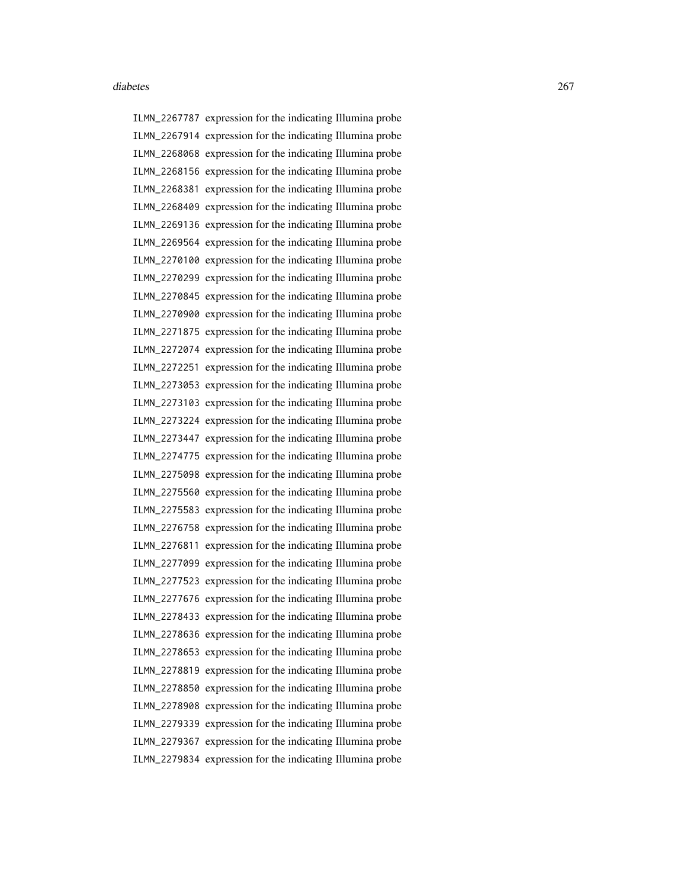ILMN\_2267787 expression for the indicating Illumina probe ILMN\_2267914 expression for the indicating Illumina probe ILMN\_2268068 expression for the indicating Illumina probe ILMN\_2268156 expression for the indicating Illumina probe ILMN\_2268381 expression for the indicating Illumina probe ILMN\_2268409 expression for the indicating Illumina probe ILMN\_2269136 expression for the indicating Illumina probe ILMN\_2269564 expression for the indicating Illumina probe ILMN\_2270100 expression for the indicating Illumina probe ILMN\_2270299 expression for the indicating Illumina probe ILMN\_2270845 expression for the indicating Illumina probe ILMN\_2270900 expression for the indicating Illumina probe ILMN\_2271875 expression for the indicating Illumina probe ILMN\_2272074 expression for the indicating Illumina probe ILMN\_2272251 expression for the indicating Illumina probe ILMN\_2273053 expression for the indicating Illumina probe ILMN\_2273103 expression for the indicating Illumina probe ILMN\_2273224 expression for the indicating Illumina probe ILMN\_2273447 expression for the indicating Illumina probe ILMN\_2274775 expression for the indicating Illumina probe ILMN\_2275098 expression for the indicating Illumina probe ILMN\_2275560 expression for the indicating Illumina probe ILMN\_2275583 expression for the indicating Illumina probe ILMN\_2276758 expression for the indicating Illumina probe ILMN\_2276811 expression for the indicating Illumina probe ILMN\_2277099 expression for the indicating Illumina probe ILMN\_2277523 expression for the indicating Illumina probe ILMN\_2277676 expression for the indicating Illumina probe ILMN\_2278433 expression for the indicating Illumina probe ILMN\_2278636 expression for the indicating Illumina probe ILMN\_2278653 expression for the indicating Illumina probe ILMN\_2278819 expression for the indicating Illumina probe ILMN\_2278850 expression for the indicating Illumina probe ILMN\_2278908 expression for the indicating Illumina probe ILMN\_2279339 expression for the indicating Illumina probe ILMN\_2279367 expression for the indicating Illumina probe ILMN\_2279834 expression for the indicating Illumina probe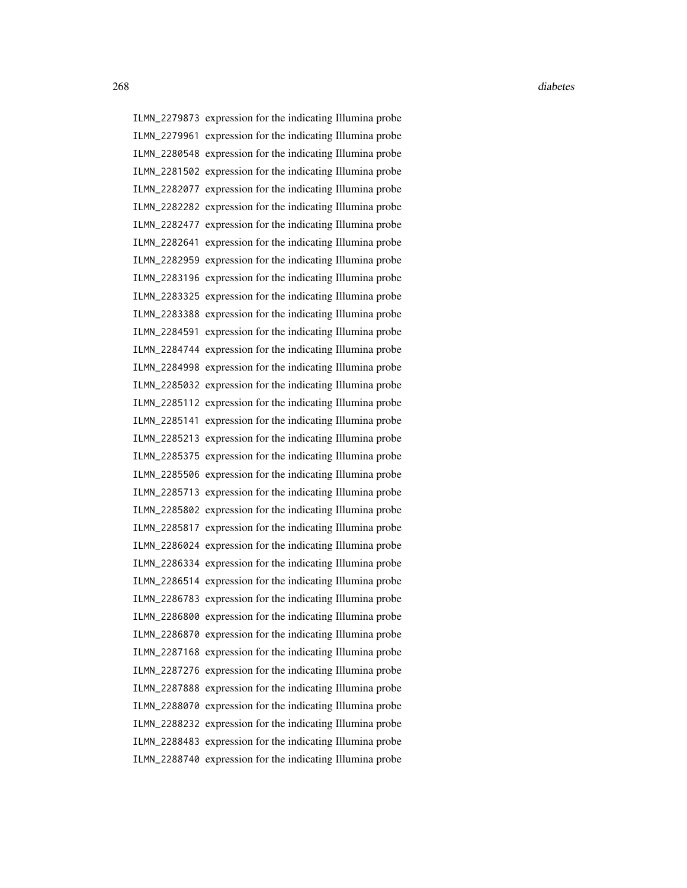ILMN\_2279873 expression for the indicating Illumina probe ILMN\_2279961 expression for the indicating Illumina probe ILMN\_2280548 expression for the indicating Illumina probe ILMN\_2281502 expression for the indicating Illumina probe ILMN\_2282077 expression for the indicating Illumina probe ILMN\_2282282 expression for the indicating Illumina probe ILMN\_2282477 expression for the indicating Illumina probe ILMN\_2282641 expression for the indicating Illumina probe ILMN\_2282959 expression for the indicating Illumina probe ILMN\_2283196 expression for the indicating Illumina probe ILMN\_2283325 expression for the indicating Illumina probe ILMN\_2283388 expression for the indicating Illumina probe ILMN\_2284591 expression for the indicating Illumina probe ILMN\_2284744 expression for the indicating Illumina probe ILMN\_2284998 expression for the indicating Illumina probe ILMN\_2285032 expression for the indicating Illumina probe ILMN\_2285112 expression for the indicating Illumina probe ILMN\_2285141 expression for the indicating Illumina probe ILMN\_2285213 expression for the indicating Illumina probe ILMN\_2285375 expression for the indicating Illumina probe ILMN\_2285506 expression for the indicating Illumina probe ILMN\_2285713 expression for the indicating Illumina probe ILMN\_2285802 expression for the indicating Illumina probe ILMN\_2285817 expression for the indicating Illumina probe ILMN\_2286024 expression for the indicating Illumina probe ILMN\_2286334 expression for the indicating Illumina probe ILMN\_2286514 expression for the indicating Illumina probe ILMN\_2286783 expression for the indicating Illumina probe ILMN\_2286800 expression for the indicating Illumina probe ILMN\_2286870 expression for the indicating Illumina probe ILMN\_2287168 expression for the indicating Illumina probe ILMN\_2287276 expression for the indicating Illumina probe ILMN\_2287888 expression for the indicating Illumina probe ILMN\_2288070 expression for the indicating Illumina probe ILMN\_2288232 expression for the indicating Illumina probe ILMN\_2288483 expression for the indicating Illumina probe ILMN\_2288740 expression for the indicating Illumina probe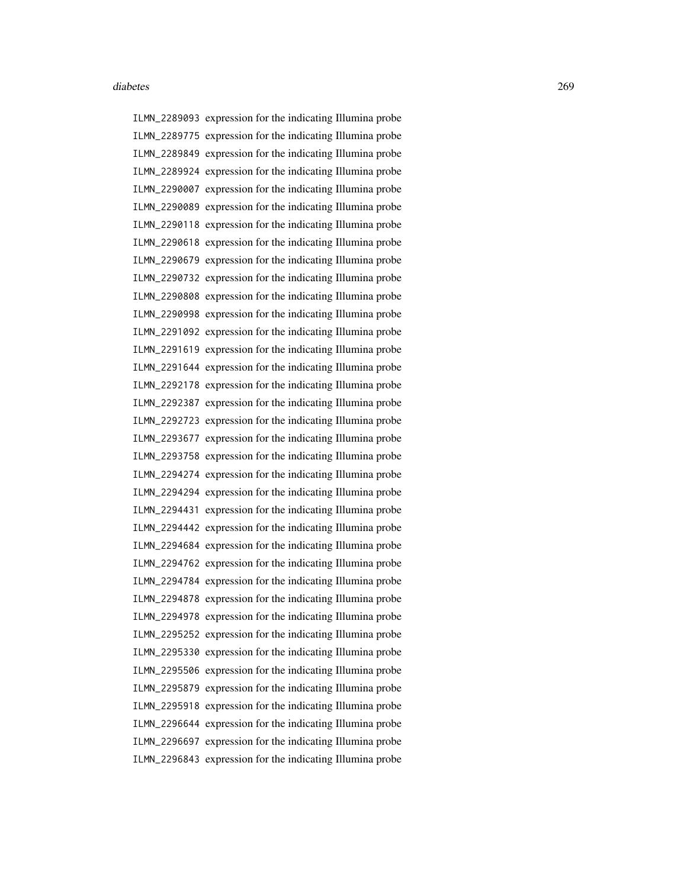ILMN\_2289093 expression for the indicating Illumina probe ILMN\_2289775 expression for the indicating Illumina probe ILMN\_2289849 expression for the indicating Illumina probe ILMN\_2289924 expression for the indicating Illumina probe ILMN\_2290007 expression for the indicating Illumina probe ILMN\_2290089 expression for the indicating Illumina probe ILMN\_2290118 expression for the indicating Illumina probe ILMN\_2290618 expression for the indicating Illumina probe ILMN\_2290679 expression for the indicating Illumina probe ILMN\_2290732 expression for the indicating Illumina probe ILMN\_2290808 expression for the indicating Illumina probe ILMN\_2290998 expression for the indicating Illumina probe ILMN\_2291092 expression for the indicating Illumina probe ILMN\_2291619 expression for the indicating Illumina probe ILMN\_2291644 expression for the indicating Illumina probe ILMN\_2292178 expression for the indicating Illumina probe ILMN\_2292387 expression for the indicating Illumina probe ILMN\_2292723 expression for the indicating Illumina probe ILMN\_2293677 expression for the indicating Illumina probe ILMN\_2293758 expression for the indicating Illumina probe ILMN\_2294274 expression for the indicating Illumina probe ILMN\_2294294 expression for the indicating Illumina probe ILMN\_2294431 expression for the indicating Illumina probe ILMN\_2294442 expression for the indicating Illumina probe ILMN\_2294684 expression for the indicating Illumina probe ILMN\_2294762 expression for the indicating Illumina probe ILMN\_2294784 expression for the indicating Illumina probe ILMN\_2294878 expression for the indicating Illumina probe ILMN\_2294978 expression for the indicating Illumina probe ILMN\_2295252 expression for the indicating Illumina probe ILMN\_2295330 expression for the indicating Illumina probe ILMN\_2295506 expression for the indicating Illumina probe ILMN\_2295879 expression for the indicating Illumina probe ILMN\_2295918 expression for the indicating Illumina probe ILMN\_2296644 expression for the indicating Illumina probe ILMN\_2296697 expression for the indicating Illumina probe ILMN\_2296843 expression for the indicating Illumina probe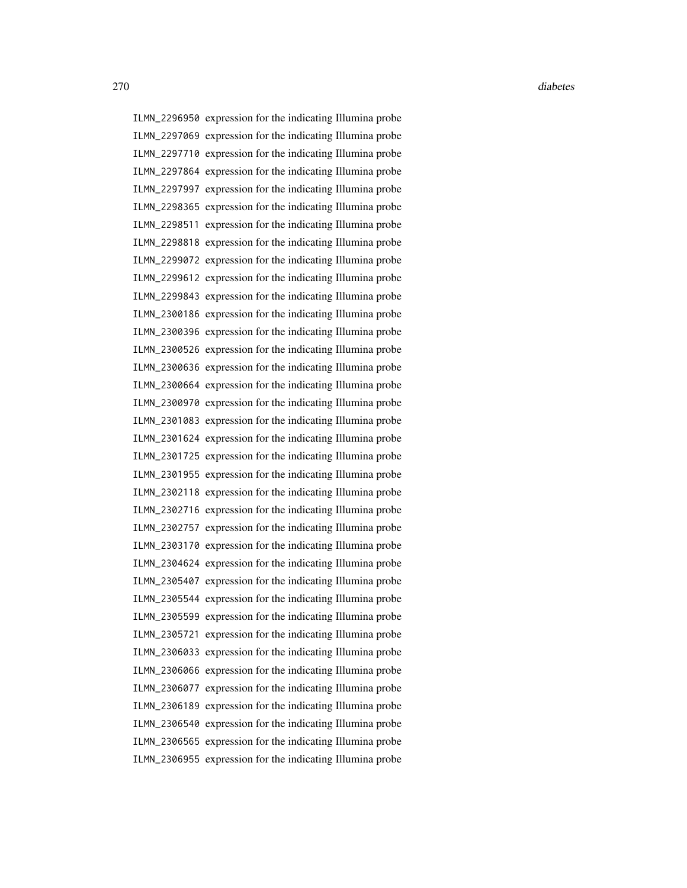ILMN\_2296950 expression for the indicating Illumina probe ILMN\_2297069 expression for the indicating Illumina probe ILMN\_2297710 expression for the indicating Illumina probe ILMN\_2297864 expression for the indicating Illumina probe ILMN\_2297997 expression for the indicating Illumina probe ILMN\_2298365 expression for the indicating Illumina probe ILMN\_2298511 expression for the indicating Illumina probe ILMN\_2298818 expression for the indicating Illumina probe ILMN\_2299072 expression for the indicating Illumina probe ILMN\_2299612 expression for the indicating Illumina probe ILMN\_2299843 expression for the indicating Illumina probe ILMN\_2300186 expression for the indicating Illumina probe ILMN\_2300396 expression for the indicating Illumina probe ILMN\_2300526 expression for the indicating Illumina probe ILMN\_2300636 expression for the indicating Illumina probe ILMN\_2300664 expression for the indicating Illumina probe ILMN\_2300970 expression for the indicating Illumina probe ILMN\_2301083 expression for the indicating Illumina probe ILMN\_2301624 expression for the indicating Illumina probe ILMN\_2301725 expression for the indicating Illumina probe ILMN\_2301955 expression for the indicating Illumina probe ILMN\_2302118 expression for the indicating Illumina probe ILMN\_2302716 expression for the indicating Illumina probe ILMN\_2302757 expression for the indicating Illumina probe ILMN\_2303170 expression for the indicating Illumina probe ILMN\_2304624 expression for the indicating Illumina probe ILMN\_2305407 expression for the indicating Illumina probe ILMN\_2305544 expression for the indicating Illumina probe ILMN\_2305599 expression for the indicating Illumina probe ILMN\_2305721 expression for the indicating Illumina probe ILMN\_2306033 expression for the indicating Illumina probe ILMN\_2306066 expression for the indicating Illumina probe ILMN\_2306077 expression for the indicating Illumina probe ILMN\_2306189 expression for the indicating Illumina probe ILMN\_2306540 expression for the indicating Illumina probe ILMN\_2306565 expression for the indicating Illumina probe ILMN\_2306955 expression for the indicating Illumina probe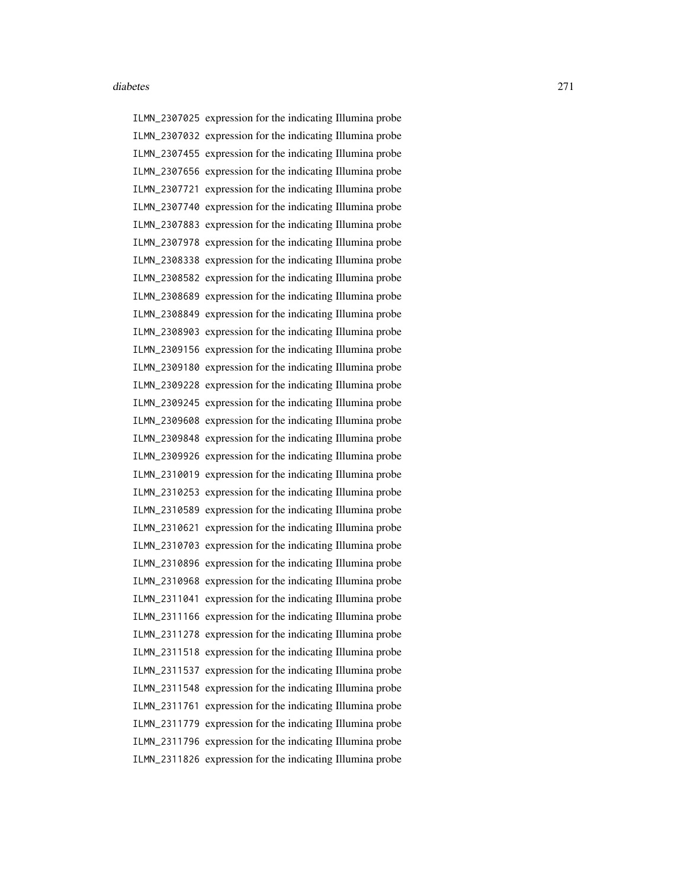ILMN\_2307025 expression for the indicating Illumina probe ILMN\_2307032 expression for the indicating Illumina probe ILMN\_2307455 expression for the indicating Illumina probe ILMN\_2307656 expression for the indicating Illumina probe ILMN\_2307721 expression for the indicating Illumina probe ILMN\_2307740 expression for the indicating Illumina probe ILMN\_2307883 expression for the indicating Illumina probe ILMN\_2307978 expression for the indicating Illumina probe ILMN\_2308338 expression for the indicating Illumina probe ILMN\_2308582 expression for the indicating Illumina probe ILMN\_2308689 expression for the indicating Illumina probe ILMN\_2308849 expression for the indicating Illumina probe ILMN\_2308903 expression for the indicating Illumina probe ILMN\_2309156 expression for the indicating Illumina probe ILMN\_2309180 expression for the indicating Illumina probe ILMN\_2309228 expression for the indicating Illumina probe ILMN\_2309245 expression for the indicating Illumina probe ILMN\_2309608 expression for the indicating Illumina probe ILMN\_2309848 expression for the indicating Illumina probe ILMN\_2309926 expression for the indicating Illumina probe ILMN\_2310019 expression for the indicating Illumina probe ILMN\_2310253 expression for the indicating Illumina probe ILMN\_2310589 expression for the indicating Illumina probe ILMN\_2310621 expression for the indicating Illumina probe ILMN\_2310703 expression for the indicating Illumina probe ILMN\_2310896 expression for the indicating Illumina probe ILMN\_2310968 expression for the indicating Illumina probe ILMN\_2311041 expression for the indicating Illumina probe ILMN\_2311166 expression for the indicating Illumina probe ILMN\_2311278 expression for the indicating Illumina probe ILMN\_2311518 expression for the indicating Illumina probe ILMN\_2311537 expression for the indicating Illumina probe ILMN\_2311548 expression for the indicating Illumina probe ILMN\_2311761 expression for the indicating Illumina probe ILMN\_2311779 expression for the indicating Illumina probe ILMN\_2311796 expression for the indicating Illumina probe ILMN\_2311826 expression for the indicating Illumina probe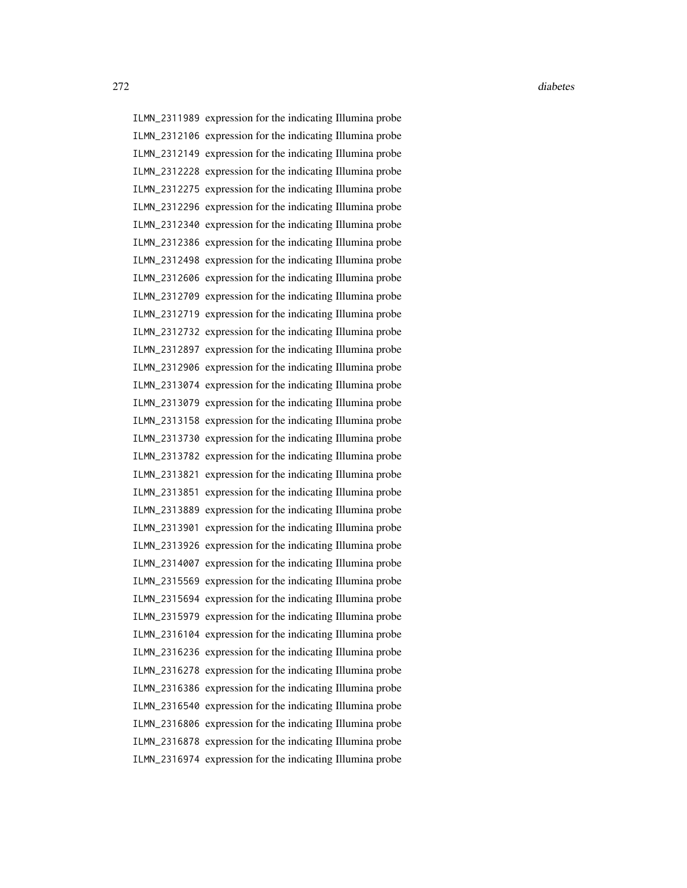ILMN\_2311989 expression for the indicating Illumina probe ILMN\_2312106 expression for the indicating Illumina probe ILMN\_2312149 expression for the indicating Illumina probe ILMN\_2312228 expression for the indicating Illumina probe ILMN\_2312275 expression for the indicating Illumina probe ILMN\_2312296 expression for the indicating Illumina probe ILMN\_2312340 expression for the indicating Illumina probe ILMN\_2312386 expression for the indicating Illumina probe ILMN\_2312498 expression for the indicating Illumina probe ILMN\_2312606 expression for the indicating Illumina probe ILMN\_2312709 expression for the indicating Illumina probe ILMN\_2312719 expression for the indicating Illumina probe ILMN\_2312732 expression for the indicating Illumina probe ILMN\_2312897 expression for the indicating Illumina probe ILMN\_2312906 expression for the indicating Illumina probe ILMN\_2313074 expression for the indicating Illumina probe ILMN\_2313079 expression for the indicating Illumina probe ILMN\_2313158 expression for the indicating Illumina probe ILMN\_2313730 expression for the indicating Illumina probe ILMN\_2313782 expression for the indicating Illumina probe ILMN\_2313821 expression for the indicating Illumina probe ILMN\_2313851 expression for the indicating Illumina probe ILMN\_2313889 expression for the indicating Illumina probe ILMN\_2313901 expression for the indicating Illumina probe ILMN\_2313926 expression for the indicating Illumina probe ILMN\_2314007 expression for the indicating Illumina probe ILMN\_2315569 expression for the indicating Illumina probe ILMN\_2315694 expression for the indicating Illumina probe ILMN\_2315979 expression for the indicating Illumina probe ILMN\_2316104 expression for the indicating Illumina probe ILMN\_2316236 expression for the indicating Illumina probe ILMN\_2316278 expression for the indicating Illumina probe ILMN\_2316386 expression for the indicating Illumina probe ILMN\_2316540 expression for the indicating Illumina probe ILMN\_2316806 expression for the indicating Illumina probe ILMN\_2316878 expression for the indicating Illumina probe ILMN\_2316974 expression for the indicating Illumina probe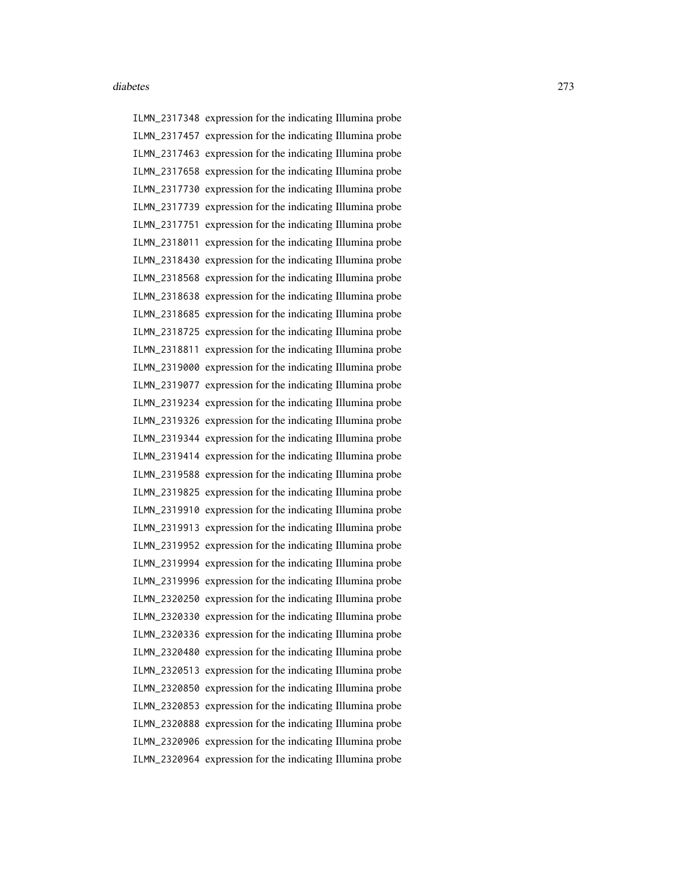ILMN\_2317348 expression for the indicating Illumina probe ILMN\_2317457 expression for the indicating Illumina probe ILMN\_2317463 expression for the indicating Illumina probe ILMN\_2317658 expression for the indicating Illumina probe ILMN\_2317730 expression for the indicating Illumina probe ILMN\_2317739 expression for the indicating Illumina probe ILMN\_2317751 expression for the indicating Illumina probe ILMN\_2318011 expression for the indicating Illumina probe ILMN\_2318430 expression for the indicating Illumina probe ILMN\_2318568 expression for the indicating Illumina probe ILMN\_2318638 expression for the indicating Illumina probe ILMN\_2318685 expression for the indicating Illumina probe ILMN\_2318725 expression for the indicating Illumina probe ILMN\_2318811 expression for the indicating Illumina probe ILMN\_2319000 expression for the indicating Illumina probe ILMN\_2319077 expression for the indicating Illumina probe ILMN\_2319234 expression for the indicating Illumina probe ILMN\_2319326 expression for the indicating Illumina probe ILMN\_2319344 expression for the indicating Illumina probe ILMN\_2319414 expression for the indicating Illumina probe ILMN\_2319588 expression for the indicating Illumina probe ILMN\_2319825 expression for the indicating Illumina probe ILMN\_2319910 expression for the indicating Illumina probe ILMN\_2319913 expression for the indicating Illumina probe ILMN\_2319952 expression for the indicating Illumina probe ILMN\_2319994 expression for the indicating Illumina probe ILMN\_2319996 expression for the indicating Illumina probe ILMN\_2320250 expression for the indicating Illumina probe ILMN\_2320330 expression for the indicating Illumina probe ILMN\_2320336 expression for the indicating Illumina probe ILMN\_2320480 expression for the indicating Illumina probe ILMN\_2320513 expression for the indicating Illumina probe ILMN\_2320850 expression for the indicating Illumina probe ILMN\_2320853 expression for the indicating Illumina probe ILMN\_2320888 expression for the indicating Illumina probe ILMN\_2320906 expression for the indicating Illumina probe ILMN\_2320964 expression for the indicating Illumina probe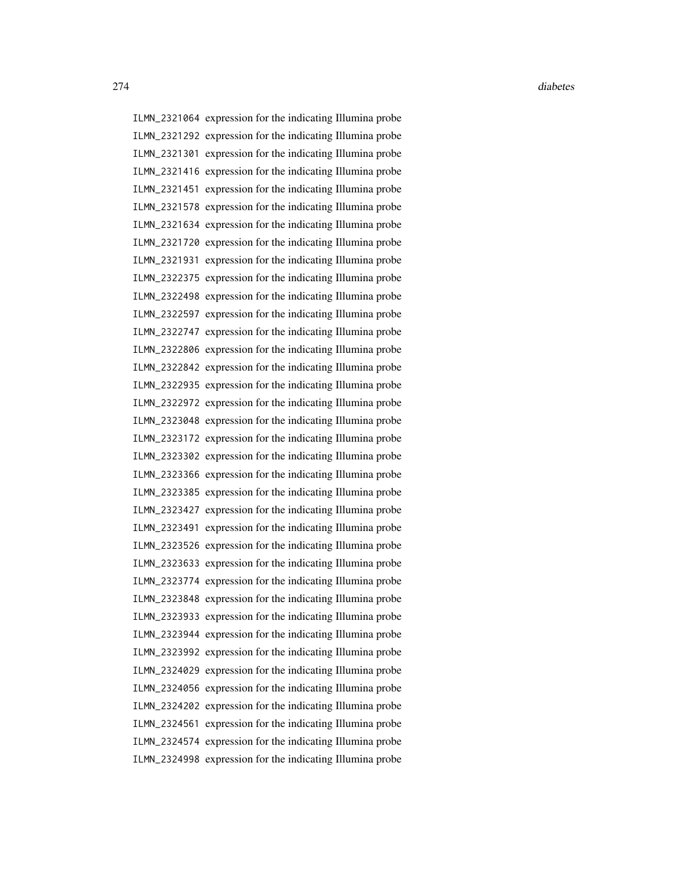ILMN\_2321064 expression for the indicating Illumina probe ILMN\_2321292 expression for the indicating Illumina probe ILMN\_2321301 expression for the indicating Illumina probe ILMN\_2321416 expression for the indicating Illumina probe ILMN\_2321451 expression for the indicating Illumina probe ILMN\_2321578 expression for the indicating Illumina probe ILMN\_2321634 expression for the indicating Illumina probe ILMN\_2321720 expression for the indicating Illumina probe ILMN\_2321931 expression for the indicating Illumina probe ILMN\_2322375 expression for the indicating Illumina probe ILMN\_2322498 expression for the indicating Illumina probe ILMN\_2322597 expression for the indicating Illumina probe ILMN\_2322747 expression for the indicating Illumina probe ILMN\_2322806 expression for the indicating Illumina probe ILMN\_2322842 expression for the indicating Illumina probe ILMN\_2322935 expression for the indicating Illumina probe ILMN\_2322972 expression for the indicating Illumina probe ILMN\_2323048 expression for the indicating Illumina probe ILMN\_2323172 expression for the indicating Illumina probe ILMN\_2323302 expression for the indicating Illumina probe ILMN\_2323366 expression for the indicating Illumina probe ILMN\_2323385 expression for the indicating Illumina probe ILMN\_2323427 expression for the indicating Illumina probe ILMN\_2323491 expression for the indicating Illumina probe ILMN\_2323526 expression for the indicating Illumina probe ILMN\_2323633 expression for the indicating Illumina probe ILMN\_2323774 expression for the indicating Illumina probe ILMN\_2323848 expression for the indicating Illumina probe ILMN\_2323933 expression for the indicating Illumina probe ILMN\_2323944 expression for the indicating Illumina probe ILMN\_2323992 expression for the indicating Illumina probe ILMN\_2324029 expression for the indicating Illumina probe ILMN\_2324056 expression for the indicating Illumina probe ILMN\_2324202 expression for the indicating Illumina probe ILMN\_2324561 expression for the indicating Illumina probe ILMN\_2324574 expression for the indicating Illumina probe ILMN\_2324998 expression for the indicating Illumina probe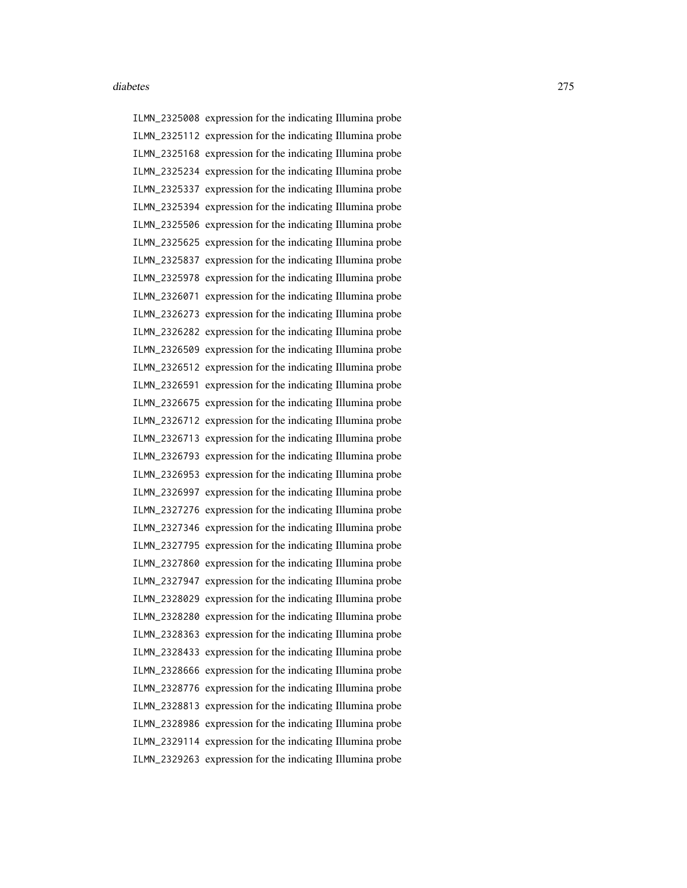ILMN\_2325008 expression for the indicating Illumina probe ILMN\_2325112 expression for the indicating Illumina probe ILMN\_2325168 expression for the indicating Illumina probe ILMN\_2325234 expression for the indicating Illumina probe ILMN\_2325337 expression for the indicating Illumina probe ILMN\_2325394 expression for the indicating Illumina probe ILMN\_2325506 expression for the indicating Illumina probe ILMN\_2325625 expression for the indicating Illumina probe ILMN\_2325837 expression for the indicating Illumina probe ILMN\_2325978 expression for the indicating Illumina probe ILMN\_2326071 expression for the indicating Illumina probe ILMN\_2326273 expression for the indicating Illumina probe ILMN\_2326282 expression for the indicating Illumina probe ILMN\_2326509 expression for the indicating Illumina probe ILMN\_2326512 expression for the indicating Illumina probe ILMN\_2326591 expression for the indicating Illumina probe ILMN\_2326675 expression for the indicating Illumina probe ILMN\_2326712 expression for the indicating Illumina probe ILMN\_2326713 expression for the indicating Illumina probe ILMN\_2326793 expression for the indicating Illumina probe ILMN\_2326953 expression for the indicating Illumina probe ILMN\_2326997 expression for the indicating Illumina probe ILMN\_2327276 expression for the indicating Illumina probe ILMN\_2327346 expression for the indicating Illumina probe ILMN\_2327795 expression for the indicating Illumina probe ILMN\_2327860 expression for the indicating Illumina probe ILMN\_2327947 expression for the indicating Illumina probe ILMN\_2328029 expression for the indicating Illumina probe ILMN\_2328280 expression for the indicating Illumina probe ILMN\_2328363 expression for the indicating Illumina probe ILMN\_2328433 expression for the indicating Illumina probe ILMN\_2328666 expression for the indicating Illumina probe ILMN\_2328776 expression for the indicating Illumina probe ILMN\_2328813 expression for the indicating Illumina probe ILMN\_2328986 expression for the indicating Illumina probe ILMN\_2329114 expression for the indicating Illumina probe ILMN\_2329263 expression for the indicating Illumina probe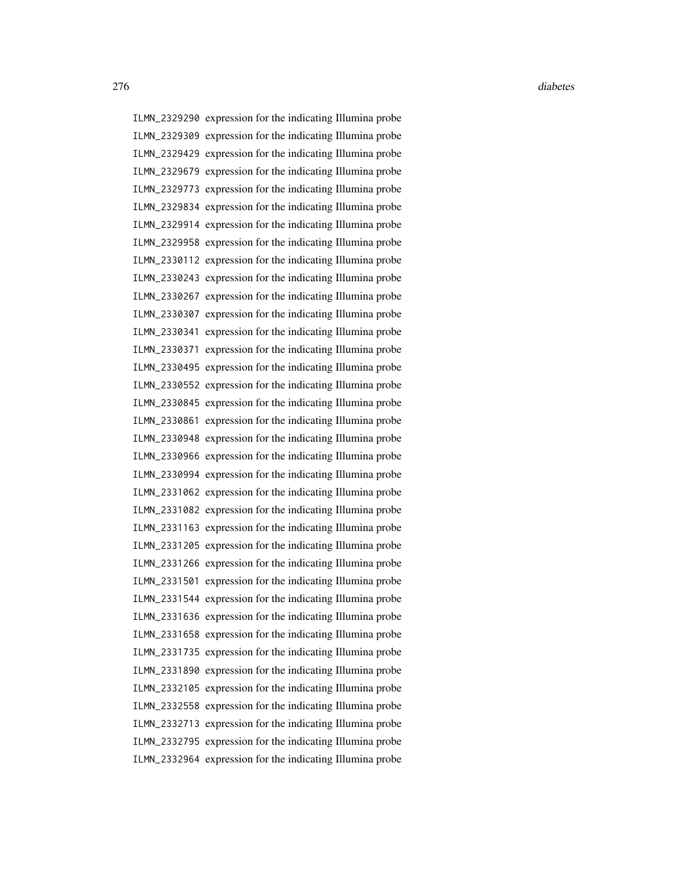ILMN\_2329290 expression for the indicating Illumina probe ILMN\_2329309 expression for the indicating Illumina probe ILMN\_2329429 expression for the indicating Illumina probe ILMN\_2329679 expression for the indicating Illumina probe ILMN\_2329773 expression for the indicating Illumina probe ILMN\_2329834 expression for the indicating Illumina probe ILMN\_2329914 expression for the indicating Illumina probe ILMN\_2329958 expression for the indicating Illumina probe ILMN\_2330112 expression for the indicating Illumina probe ILMN\_2330243 expression for the indicating Illumina probe ILMN\_2330267 expression for the indicating Illumina probe ILMN\_2330307 expression for the indicating Illumina probe ILMN\_2330341 expression for the indicating Illumina probe ILMN\_2330371 expression for the indicating Illumina probe ILMN\_2330495 expression for the indicating Illumina probe ILMN\_2330552 expression for the indicating Illumina probe ILMN\_2330845 expression for the indicating Illumina probe ILMN\_2330861 expression for the indicating Illumina probe ILMN\_2330948 expression for the indicating Illumina probe ILMN\_2330966 expression for the indicating Illumina probe ILMN\_2330994 expression for the indicating Illumina probe ILMN\_2331062 expression for the indicating Illumina probe ILMN\_2331082 expression for the indicating Illumina probe ILMN\_2331163 expression for the indicating Illumina probe ILMN\_2331205 expression for the indicating Illumina probe ILMN\_2331266 expression for the indicating Illumina probe ILMN\_2331501 expression for the indicating Illumina probe ILMN\_2331544 expression for the indicating Illumina probe ILMN\_2331636 expression for the indicating Illumina probe ILMN\_2331658 expression for the indicating Illumina probe ILMN\_2331735 expression for the indicating Illumina probe ILMN\_2331890 expression for the indicating Illumina probe ILMN\_2332105 expression for the indicating Illumina probe ILMN\_2332558 expression for the indicating Illumina probe ILMN\_2332713 expression for the indicating Illumina probe ILMN\_2332795 expression for the indicating Illumina probe ILMN\_2332964 expression for the indicating Illumina probe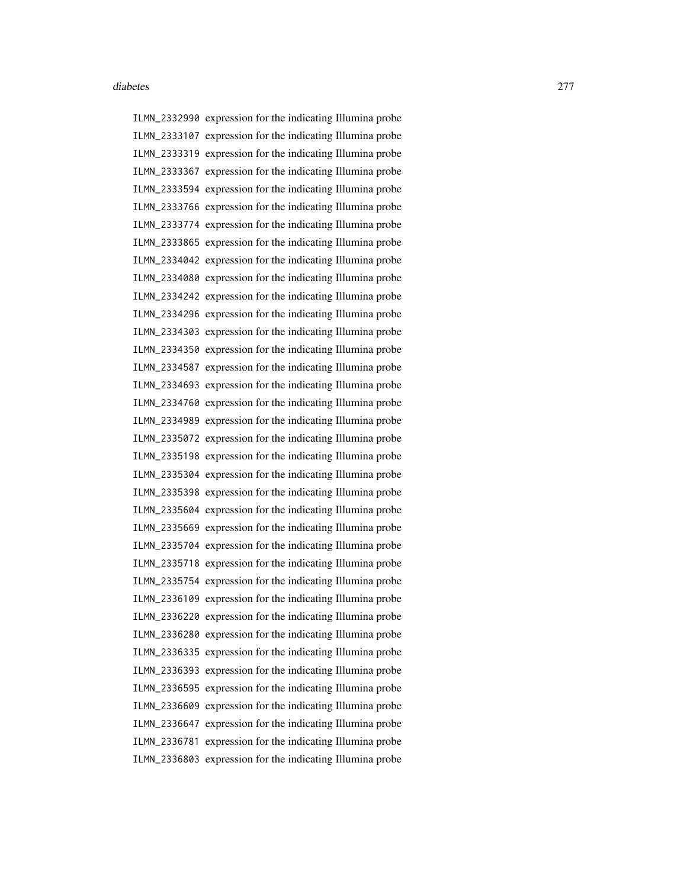ILMN\_2332990 expression for the indicating Illumina probe ILMN\_2333107 expression for the indicating Illumina probe ILMN\_2333319 expression for the indicating Illumina probe ILMN\_2333367 expression for the indicating Illumina probe ILMN\_2333594 expression for the indicating Illumina probe ILMN\_2333766 expression for the indicating Illumina probe ILMN\_2333774 expression for the indicating Illumina probe ILMN\_2333865 expression for the indicating Illumina probe ILMN\_2334042 expression for the indicating Illumina probe ILMN\_2334080 expression for the indicating Illumina probe ILMN\_2334242 expression for the indicating Illumina probe ILMN\_2334296 expression for the indicating Illumina probe ILMN\_2334303 expression for the indicating Illumina probe ILMN\_2334350 expression for the indicating Illumina probe ILMN\_2334587 expression for the indicating Illumina probe ILMN\_2334693 expression for the indicating Illumina probe ILMN\_2334760 expression for the indicating Illumina probe ILMN\_2334989 expression for the indicating Illumina probe ILMN\_2335072 expression for the indicating Illumina probe ILMN\_2335198 expression for the indicating Illumina probe ILMN\_2335304 expression for the indicating Illumina probe ILMN\_2335398 expression for the indicating Illumina probe ILMN\_2335604 expression for the indicating Illumina probe ILMN\_2335669 expression for the indicating Illumina probe ILMN\_2335704 expression for the indicating Illumina probe ILMN\_2335718 expression for the indicating Illumina probe ILMN\_2335754 expression for the indicating Illumina probe ILMN\_2336109 expression for the indicating Illumina probe ILMN\_2336220 expression for the indicating Illumina probe ILMN\_2336280 expression for the indicating Illumina probe ILMN\_2336335 expression for the indicating Illumina probe ILMN\_2336393 expression for the indicating Illumina probe ILMN\_2336595 expression for the indicating Illumina probe ILMN\_2336609 expression for the indicating Illumina probe ILMN\_2336647 expression for the indicating Illumina probe ILMN\_2336781 expression for the indicating Illumina probe ILMN\_2336803 expression for the indicating Illumina probe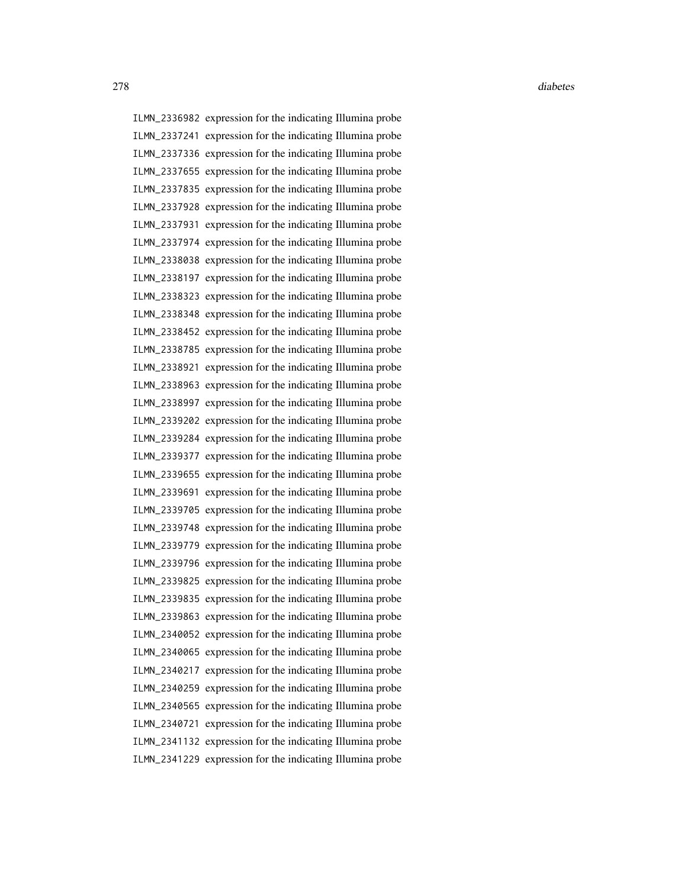ILMN\_2336982 expression for the indicating Illumina probe ILMN\_2337241 expression for the indicating Illumina probe ILMN\_2337336 expression for the indicating Illumina probe ILMN\_2337655 expression for the indicating Illumina probe ILMN\_2337835 expression for the indicating Illumina probe ILMN\_2337928 expression for the indicating Illumina probe ILMN\_2337931 expression for the indicating Illumina probe ILMN\_2337974 expression for the indicating Illumina probe ILMN\_2338038 expression for the indicating Illumina probe ILMN\_2338197 expression for the indicating Illumina probe ILMN\_2338323 expression for the indicating Illumina probe ILMN\_2338348 expression for the indicating Illumina probe ILMN\_2338452 expression for the indicating Illumina probe ILMN\_2338785 expression for the indicating Illumina probe ILMN\_2338921 expression for the indicating Illumina probe ILMN\_2338963 expression for the indicating Illumina probe ILMN\_2338997 expression for the indicating Illumina probe ILMN\_2339202 expression for the indicating Illumina probe ILMN\_2339284 expression for the indicating Illumina probe ILMN\_2339377 expression for the indicating Illumina probe ILMN\_2339655 expression for the indicating Illumina probe ILMN\_2339691 expression for the indicating Illumina probe ILMN\_2339705 expression for the indicating Illumina probe ILMN\_2339748 expression for the indicating Illumina probe ILMN\_2339779 expression for the indicating Illumina probe ILMN\_2339796 expression for the indicating Illumina probe ILMN\_2339825 expression for the indicating Illumina probe ILMN\_2339835 expression for the indicating Illumina probe ILMN\_2339863 expression for the indicating Illumina probe ILMN\_2340052 expression for the indicating Illumina probe ILMN\_2340065 expression for the indicating Illumina probe ILMN\_2340217 expression for the indicating Illumina probe ILMN\_2340259 expression for the indicating Illumina probe ILMN\_2340565 expression for the indicating Illumina probe ILMN\_2340721 expression for the indicating Illumina probe ILMN\_2341132 expression for the indicating Illumina probe ILMN\_2341229 expression for the indicating Illumina probe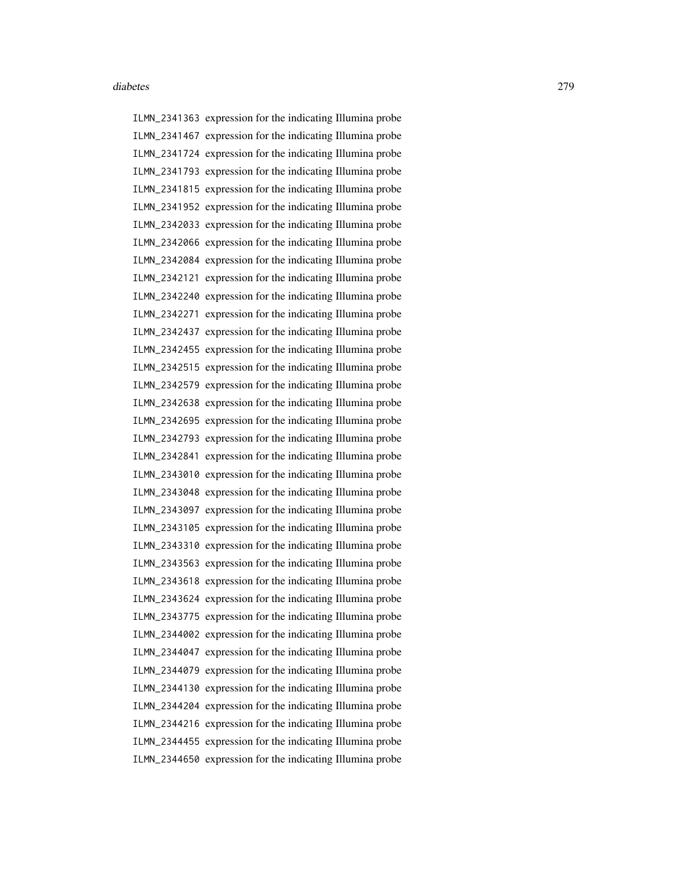ILMN\_2341363 expression for the indicating Illumina probe ILMN\_2341467 expression for the indicating Illumina probe ILMN\_2341724 expression for the indicating Illumina probe ILMN\_2341793 expression for the indicating Illumina probe ILMN\_2341815 expression for the indicating Illumina probe ILMN\_2341952 expression for the indicating Illumina probe ILMN\_2342033 expression for the indicating Illumina probe ILMN\_2342066 expression for the indicating Illumina probe ILMN\_2342084 expression for the indicating Illumina probe ILMN\_2342121 expression for the indicating Illumina probe ILMN\_2342240 expression for the indicating Illumina probe ILMN\_2342271 expression for the indicating Illumina probe ILMN\_2342437 expression for the indicating Illumina probe ILMN\_2342455 expression for the indicating Illumina probe ILMN\_2342515 expression for the indicating Illumina probe ILMN\_2342579 expression for the indicating Illumina probe ILMN\_2342638 expression for the indicating Illumina probe ILMN\_2342695 expression for the indicating Illumina probe ILMN\_2342793 expression for the indicating Illumina probe ILMN\_2342841 expression for the indicating Illumina probe ILMN\_2343010 expression for the indicating Illumina probe ILMN\_2343048 expression for the indicating Illumina probe ILMN\_2343097 expression for the indicating Illumina probe ILMN\_2343105 expression for the indicating Illumina probe ILMN\_2343310 expression for the indicating Illumina probe ILMN\_2343563 expression for the indicating Illumina probe ILMN\_2343618 expression for the indicating Illumina probe ILMN\_2343624 expression for the indicating Illumina probe ILMN\_2343775 expression for the indicating Illumina probe ILMN\_2344002 expression for the indicating Illumina probe ILMN\_2344047 expression for the indicating Illumina probe ILMN\_2344079 expression for the indicating Illumina probe ILMN\_2344130 expression for the indicating Illumina probe ILMN\_2344204 expression for the indicating Illumina probe ILMN\_2344216 expression for the indicating Illumina probe ILMN\_2344455 expression for the indicating Illumina probe ILMN\_2344650 expression for the indicating Illumina probe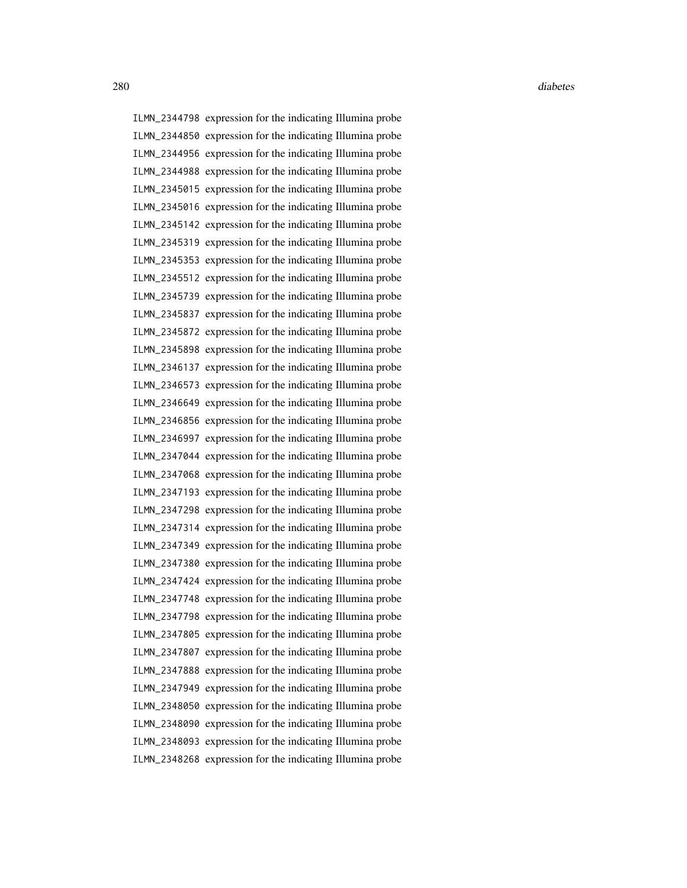ILMN\_2344798 expression for the indicating Illumina probe ILMN\_2344850 expression for the indicating Illumina probe ILMN\_2344956 expression for the indicating Illumina probe ILMN\_2344988 expression for the indicating Illumina probe ILMN\_2345015 expression for the indicating Illumina probe ILMN\_2345016 expression for the indicating Illumina probe ILMN\_2345142 expression for the indicating Illumina probe ILMN\_2345319 expression for the indicating Illumina probe ILMN\_2345353 expression for the indicating Illumina probe ILMN\_2345512 expression for the indicating Illumina probe ILMN\_2345739 expression for the indicating Illumina probe ILMN\_2345837 expression for the indicating Illumina probe ILMN\_2345872 expression for the indicating Illumina probe ILMN\_2345898 expression for the indicating Illumina probe ILMN\_2346137 expression for the indicating Illumina probe ILMN\_2346573 expression for the indicating Illumina probe ILMN\_2346649 expression for the indicating Illumina probe ILMN\_2346856 expression for the indicating Illumina probe ILMN\_2346997 expression for the indicating Illumina probe ILMN\_2347044 expression for the indicating Illumina probe ILMN\_2347068 expression for the indicating Illumina probe ILMN\_2347193 expression for the indicating Illumina probe ILMN\_2347298 expression for the indicating Illumina probe ILMN\_2347314 expression for the indicating Illumina probe ILMN\_2347349 expression for the indicating Illumina probe ILMN\_2347380 expression for the indicating Illumina probe ILMN\_2347424 expression for the indicating Illumina probe ILMN\_2347748 expression for the indicating Illumina probe ILMN\_2347798 expression for the indicating Illumina probe ILMN\_2347805 expression for the indicating Illumina probe ILMN\_2347807 expression for the indicating Illumina probe ILMN\_2347888 expression for the indicating Illumina probe ILMN\_2347949 expression for the indicating Illumina probe ILMN\_2348050 expression for the indicating Illumina probe ILMN\_2348090 expression for the indicating Illumina probe ILMN\_2348093 expression for the indicating Illumina probe ILMN\_2348268 expression for the indicating Illumina probe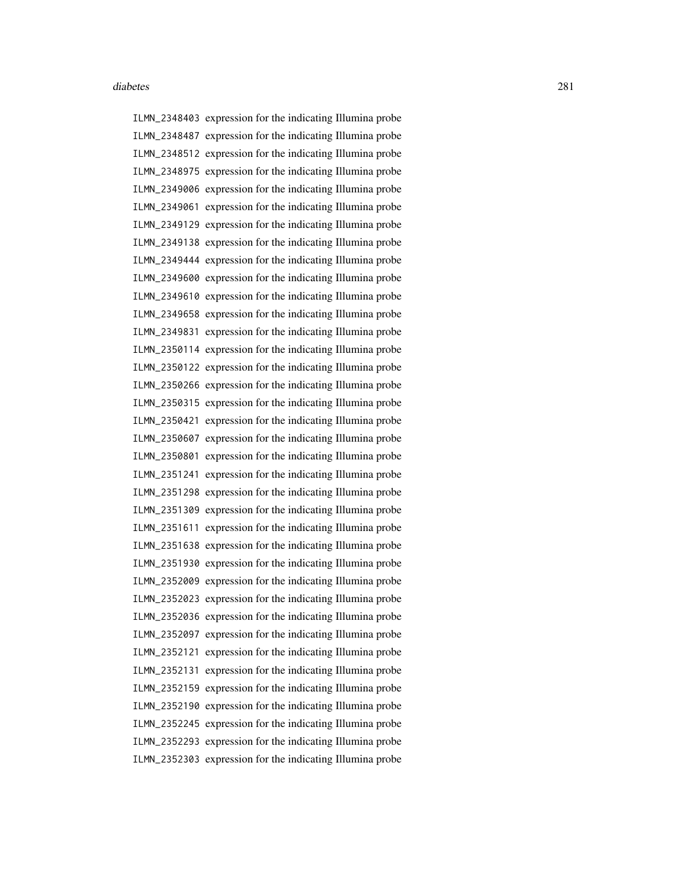ILMN\_2348403 expression for the indicating Illumina probe ILMN\_2348487 expression for the indicating Illumina probe ILMN\_2348512 expression for the indicating Illumina probe ILMN\_2348975 expression for the indicating Illumina probe ILMN\_2349006 expression for the indicating Illumina probe ILMN\_2349061 expression for the indicating Illumina probe ILMN\_2349129 expression for the indicating Illumina probe ILMN\_2349138 expression for the indicating Illumina probe ILMN\_2349444 expression for the indicating Illumina probe ILMN\_2349600 expression for the indicating Illumina probe ILMN\_2349610 expression for the indicating Illumina probe ILMN\_2349658 expression for the indicating Illumina probe ILMN\_2349831 expression for the indicating Illumina probe ILMN\_2350114 expression for the indicating Illumina probe ILMN\_2350122 expression for the indicating Illumina probe ILMN\_2350266 expression for the indicating Illumina probe ILMN\_2350315 expression for the indicating Illumina probe ILMN\_2350421 expression for the indicating Illumina probe ILMN\_2350607 expression for the indicating Illumina probe ILMN\_2350801 expression for the indicating Illumina probe ILMN\_2351241 expression for the indicating Illumina probe ILMN\_2351298 expression for the indicating Illumina probe ILMN\_2351309 expression for the indicating Illumina probe ILMN\_2351611 expression for the indicating Illumina probe ILMN\_2351638 expression for the indicating Illumina probe ILMN\_2351930 expression for the indicating Illumina probe ILMN\_2352009 expression for the indicating Illumina probe ILMN\_2352023 expression for the indicating Illumina probe ILMN\_2352036 expression for the indicating Illumina probe ILMN\_2352097 expression for the indicating Illumina probe ILMN\_2352121 expression for the indicating Illumina probe ILMN\_2352131 expression for the indicating Illumina probe ILMN\_2352159 expression for the indicating Illumina probe ILMN\_2352190 expression for the indicating Illumina probe ILMN\_2352245 expression for the indicating Illumina probe ILMN\_2352293 expression for the indicating Illumina probe ILMN\_2352303 expression for the indicating Illumina probe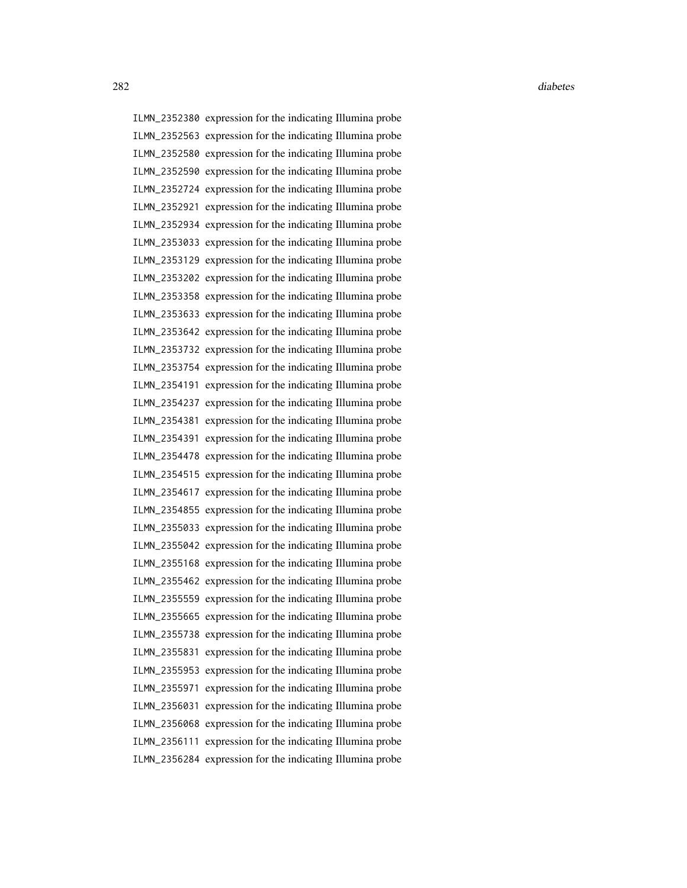ILMN\_2352380 expression for the indicating Illumina probe ILMN\_2352563 expression for the indicating Illumina probe ILMN\_2352580 expression for the indicating Illumina probe ILMN\_2352590 expression for the indicating Illumina probe ILMN\_2352724 expression for the indicating Illumina probe ILMN\_2352921 expression for the indicating Illumina probe ILMN\_2352934 expression for the indicating Illumina probe ILMN\_2353033 expression for the indicating Illumina probe ILMN\_2353129 expression for the indicating Illumina probe ILMN\_2353202 expression for the indicating Illumina probe ILMN\_2353358 expression for the indicating Illumina probe ILMN\_2353633 expression for the indicating Illumina probe ILMN\_2353642 expression for the indicating Illumina probe ILMN\_2353732 expression for the indicating Illumina probe ILMN\_2353754 expression for the indicating Illumina probe ILMN\_2354191 expression for the indicating Illumina probe ILMN\_2354237 expression for the indicating Illumina probe ILMN\_2354381 expression for the indicating Illumina probe ILMN\_2354391 expression for the indicating Illumina probe ILMN\_2354478 expression for the indicating Illumina probe ILMN\_2354515 expression for the indicating Illumina probe ILMN\_2354617 expression for the indicating Illumina probe ILMN\_2354855 expression for the indicating Illumina probe ILMN\_2355033 expression for the indicating Illumina probe ILMN\_2355042 expression for the indicating Illumina probe ILMN\_2355168 expression for the indicating Illumina probe ILMN\_2355462 expression for the indicating Illumina probe ILMN\_2355559 expression for the indicating Illumina probe ILMN\_2355665 expression for the indicating Illumina probe ILMN\_2355738 expression for the indicating Illumina probe ILMN\_2355831 expression for the indicating Illumina probe ILMN\_2355953 expression for the indicating Illumina probe ILMN\_2355971 expression for the indicating Illumina probe ILMN\_2356031 expression for the indicating Illumina probe ILMN\_2356068 expression for the indicating Illumina probe ILMN\_2356111 expression for the indicating Illumina probe ILMN\_2356284 expression for the indicating Illumina probe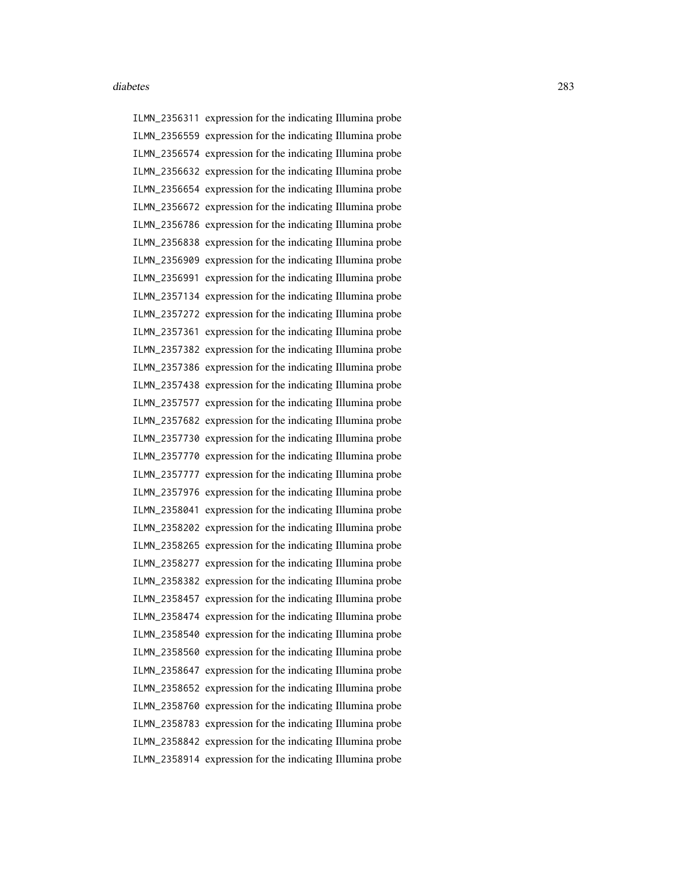ILMN\_2356311 expression for the indicating Illumina probe ILMN\_2356559 expression for the indicating Illumina probe ILMN\_2356574 expression for the indicating Illumina probe ILMN\_2356632 expression for the indicating Illumina probe ILMN\_2356654 expression for the indicating Illumina probe ILMN\_2356672 expression for the indicating Illumina probe ILMN\_2356786 expression for the indicating Illumina probe ILMN\_2356838 expression for the indicating Illumina probe ILMN\_2356909 expression for the indicating Illumina probe ILMN\_2356991 expression for the indicating Illumina probe ILMN\_2357134 expression for the indicating Illumina probe ILMN\_2357272 expression for the indicating Illumina probe ILMN\_2357361 expression for the indicating Illumina probe ILMN\_2357382 expression for the indicating Illumina probe ILMN\_2357386 expression for the indicating Illumina probe ILMN\_2357438 expression for the indicating Illumina probe ILMN\_2357577 expression for the indicating Illumina probe ILMN\_2357682 expression for the indicating Illumina probe ILMN\_2357730 expression for the indicating Illumina probe ILMN\_2357770 expression for the indicating Illumina probe ILMN\_2357777 expression for the indicating Illumina probe ILMN\_2357976 expression for the indicating Illumina probe ILMN\_2358041 expression for the indicating Illumina probe ILMN\_2358202 expression for the indicating Illumina probe ILMN\_2358265 expression for the indicating Illumina probe ILMN\_2358277 expression for the indicating Illumina probe ILMN\_2358382 expression for the indicating Illumina probe ILMN\_2358457 expression for the indicating Illumina probe ILMN\_2358474 expression for the indicating Illumina probe ILMN\_2358540 expression for the indicating Illumina probe ILMN\_2358560 expression for the indicating Illumina probe ILMN\_2358647 expression for the indicating Illumina probe ILMN\_2358652 expression for the indicating Illumina probe ILMN\_2358760 expression for the indicating Illumina probe ILMN\_2358783 expression for the indicating Illumina probe ILMN\_2358842 expression for the indicating Illumina probe ILMN\_2358914 expression for the indicating Illumina probe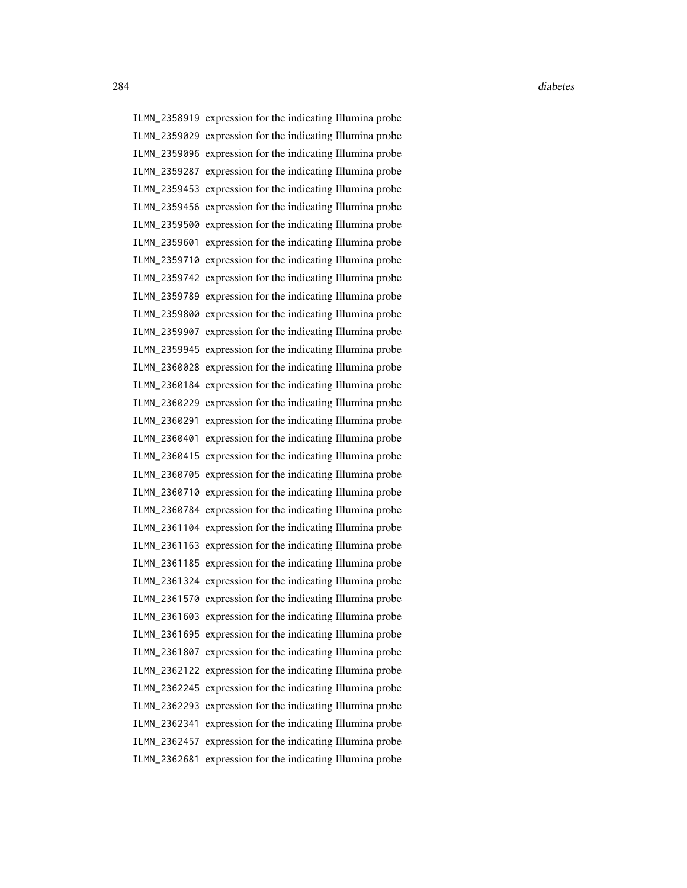ILMN\_2358919 expression for the indicating Illumina probe ILMN\_2359029 expression for the indicating Illumina probe ILMN\_2359096 expression for the indicating Illumina probe ILMN\_2359287 expression for the indicating Illumina probe ILMN\_2359453 expression for the indicating Illumina probe ILMN\_2359456 expression for the indicating Illumina probe ILMN\_2359500 expression for the indicating Illumina probe ILMN\_2359601 expression for the indicating Illumina probe ILMN\_2359710 expression for the indicating Illumina probe ILMN\_2359742 expression for the indicating Illumina probe ILMN\_2359789 expression for the indicating Illumina probe ILMN\_2359800 expression for the indicating Illumina probe ILMN\_2359907 expression for the indicating Illumina probe ILMN\_2359945 expression for the indicating Illumina probe ILMN\_2360028 expression for the indicating Illumina probe ILMN\_2360184 expression for the indicating Illumina probe ILMN\_2360229 expression for the indicating Illumina probe ILMN\_2360291 expression for the indicating Illumina probe ILMN\_2360401 expression for the indicating Illumina probe ILMN\_2360415 expression for the indicating Illumina probe ILMN\_2360705 expression for the indicating Illumina probe ILMN\_2360710 expression for the indicating Illumina probe ILMN\_2360784 expression for the indicating Illumina probe ILMN\_2361104 expression for the indicating Illumina probe ILMN\_2361163 expression for the indicating Illumina probe ILMN\_2361185 expression for the indicating Illumina probe ILMN\_2361324 expression for the indicating Illumina probe ILMN\_2361570 expression for the indicating Illumina probe ILMN\_2361603 expression for the indicating Illumina probe ILMN\_2361695 expression for the indicating Illumina probe ILMN\_2361807 expression for the indicating Illumina probe ILMN\_2362122 expression for the indicating Illumina probe ILMN\_2362245 expression for the indicating Illumina probe ILMN\_2362293 expression for the indicating Illumina probe ILMN\_2362341 expression for the indicating Illumina probe ILMN\_2362457 expression for the indicating Illumina probe ILMN\_2362681 expression for the indicating Illumina probe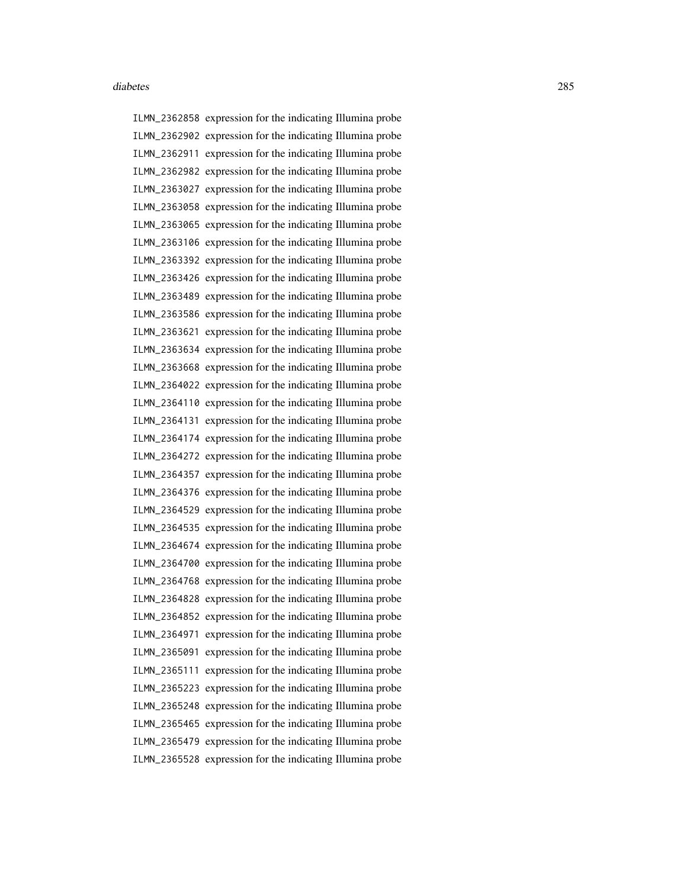ILMN\_2362858 expression for the indicating Illumina probe ILMN\_2362902 expression for the indicating Illumina probe ILMN\_2362911 expression for the indicating Illumina probe ILMN\_2362982 expression for the indicating Illumina probe ILMN\_2363027 expression for the indicating Illumina probe ILMN\_2363058 expression for the indicating Illumina probe ILMN\_2363065 expression for the indicating Illumina probe ILMN\_2363106 expression for the indicating Illumina probe ILMN\_2363392 expression for the indicating Illumina probe ILMN\_2363426 expression for the indicating Illumina probe ILMN\_2363489 expression for the indicating Illumina probe ILMN\_2363586 expression for the indicating Illumina probe ILMN\_2363621 expression for the indicating Illumina probe ILMN\_2363634 expression for the indicating Illumina probe ILMN\_2363668 expression for the indicating Illumina probe ILMN\_2364022 expression for the indicating Illumina probe ILMN\_2364110 expression for the indicating Illumina probe ILMN\_2364131 expression for the indicating Illumina probe ILMN\_2364174 expression for the indicating Illumina probe ILMN\_2364272 expression for the indicating Illumina probe ILMN\_2364357 expression for the indicating Illumina probe ILMN\_2364376 expression for the indicating Illumina probe ILMN\_2364529 expression for the indicating Illumina probe ILMN\_2364535 expression for the indicating Illumina probe ILMN\_2364674 expression for the indicating Illumina probe ILMN\_2364700 expression for the indicating Illumina probe ILMN\_2364768 expression for the indicating Illumina probe ILMN\_2364828 expression for the indicating Illumina probe ILMN\_2364852 expression for the indicating Illumina probe ILMN\_2364971 expression for the indicating Illumina probe ILMN\_2365091 expression for the indicating Illumina probe ILMN\_2365111 expression for the indicating Illumina probe ILMN\_2365223 expression for the indicating Illumina probe ILMN\_2365248 expression for the indicating Illumina probe ILMN\_2365465 expression for the indicating Illumina probe ILMN\_2365479 expression for the indicating Illumina probe ILMN\_2365528 expression for the indicating Illumina probe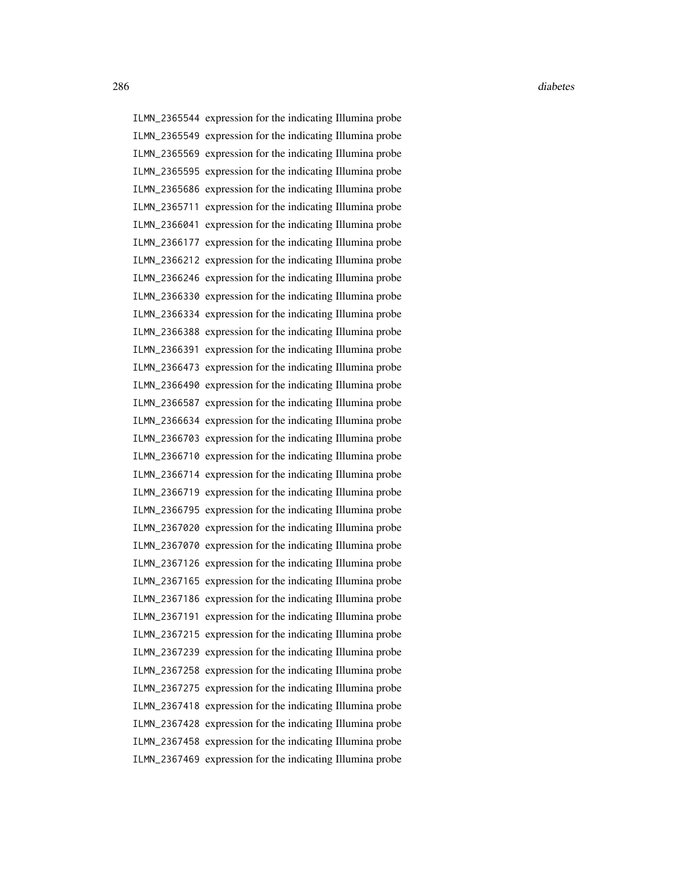ILMN\_2365544 expression for the indicating Illumina probe ILMN\_2365549 expression for the indicating Illumina probe ILMN\_2365569 expression for the indicating Illumina probe ILMN\_2365595 expression for the indicating Illumina probe ILMN\_2365686 expression for the indicating Illumina probe ILMN\_2365711 expression for the indicating Illumina probe ILMN\_2366041 expression for the indicating Illumina probe ILMN\_2366177 expression for the indicating Illumina probe ILMN\_2366212 expression for the indicating Illumina probe ILMN\_2366246 expression for the indicating Illumina probe ILMN\_2366330 expression for the indicating Illumina probe ILMN\_2366334 expression for the indicating Illumina probe ILMN\_2366388 expression for the indicating Illumina probe ILMN\_2366391 expression for the indicating Illumina probe ILMN\_2366473 expression for the indicating Illumina probe ILMN\_2366490 expression for the indicating Illumina probe ILMN\_2366587 expression for the indicating Illumina probe ILMN\_2366634 expression for the indicating Illumina probe ILMN\_2366703 expression for the indicating Illumina probe ILMN\_2366710 expression for the indicating Illumina probe ILMN\_2366714 expression for the indicating Illumina probe ILMN\_2366719 expression for the indicating Illumina probe ILMN\_2366795 expression for the indicating Illumina probe ILMN\_2367020 expression for the indicating Illumina probe ILMN\_2367070 expression for the indicating Illumina probe ILMN\_2367126 expression for the indicating Illumina probe ILMN\_2367165 expression for the indicating Illumina probe ILMN\_2367186 expression for the indicating Illumina probe ILMN\_2367191 expression for the indicating Illumina probe ILMN\_2367215 expression for the indicating Illumina probe ILMN\_2367239 expression for the indicating Illumina probe ILMN\_2367258 expression for the indicating Illumina probe ILMN\_2367275 expression for the indicating Illumina probe ILMN\_2367418 expression for the indicating Illumina probe ILMN\_2367428 expression for the indicating Illumina probe ILMN\_2367458 expression for the indicating Illumina probe ILMN\_2367469 expression for the indicating Illumina probe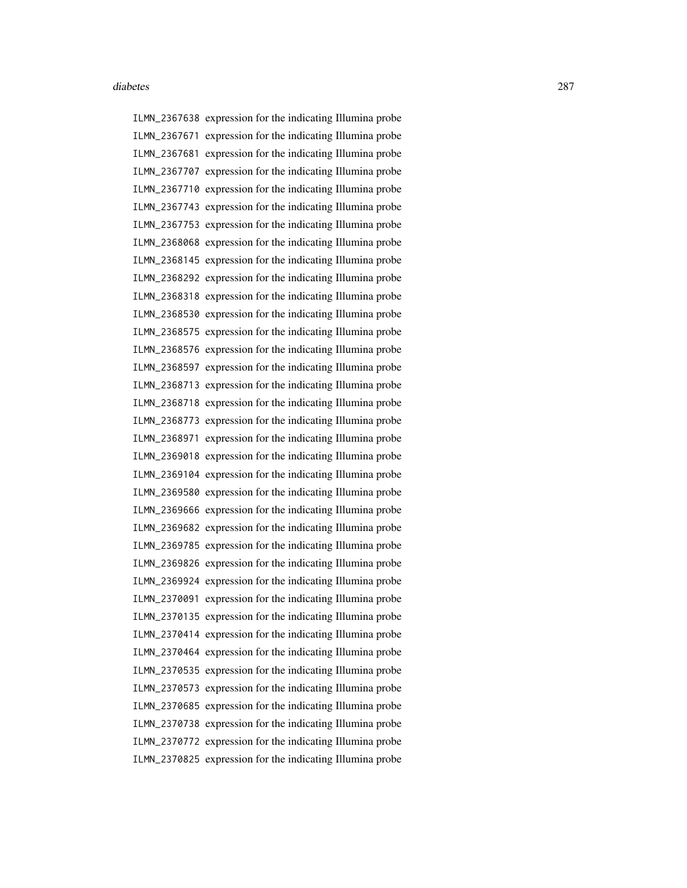ILMN\_2367638 expression for the indicating Illumina probe ILMN\_2367671 expression for the indicating Illumina probe ILMN\_2367681 expression for the indicating Illumina probe ILMN\_2367707 expression for the indicating Illumina probe ILMN\_2367710 expression for the indicating Illumina probe ILMN\_2367743 expression for the indicating Illumina probe ILMN\_2367753 expression for the indicating Illumina probe ILMN\_2368068 expression for the indicating Illumina probe ILMN\_2368145 expression for the indicating Illumina probe ILMN\_2368292 expression for the indicating Illumina probe ILMN\_2368318 expression for the indicating Illumina probe ILMN\_2368530 expression for the indicating Illumina probe ILMN\_2368575 expression for the indicating Illumina probe ILMN\_2368576 expression for the indicating Illumina probe ILMN\_2368597 expression for the indicating Illumina probe ILMN\_2368713 expression for the indicating Illumina probe ILMN\_2368718 expression for the indicating Illumina probe ILMN\_2368773 expression for the indicating Illumina probe ILMN\_2368971 expression for the indicating Illumina probe ILMN\_2369018 expression for the indicating Illumina probe ILMN\_2369104 expression for the indicating Illumina probe ILMN\_2369580 expression for the indicating Illumina probe ILMN\_2369666 expression for the indicating Illumina probe ILMN\_2369682 expression for the indicating Illumina probe ILMN\_2369785 expression for the indicating Illumina probe ILMN\_2369826 expression for the indicating Illumina probe ILMN\_2369924 expression for the indicating Illumina probe ILMN\_2370091 expression for the indicating Illumina probe ILMN\_2370135 expression for the indicating Illumina probe ILMN\_2370414 expression for the indicating Illumina probe ILMN\_2370464 expression for the indicating Illumina probe ILMN\_2370535 expression for the indicating Illumina probe ILMN\_2370573 expression for the indicating Illumina probe ILMN\_2370685 expression for the indicating Illumina probe ILMN\_2370738 expression for the indicating Illumina probe ILMN\_2370772 expression for the indicating Illumina probe ILMN\_2370825 expression for the indicating Illumina probe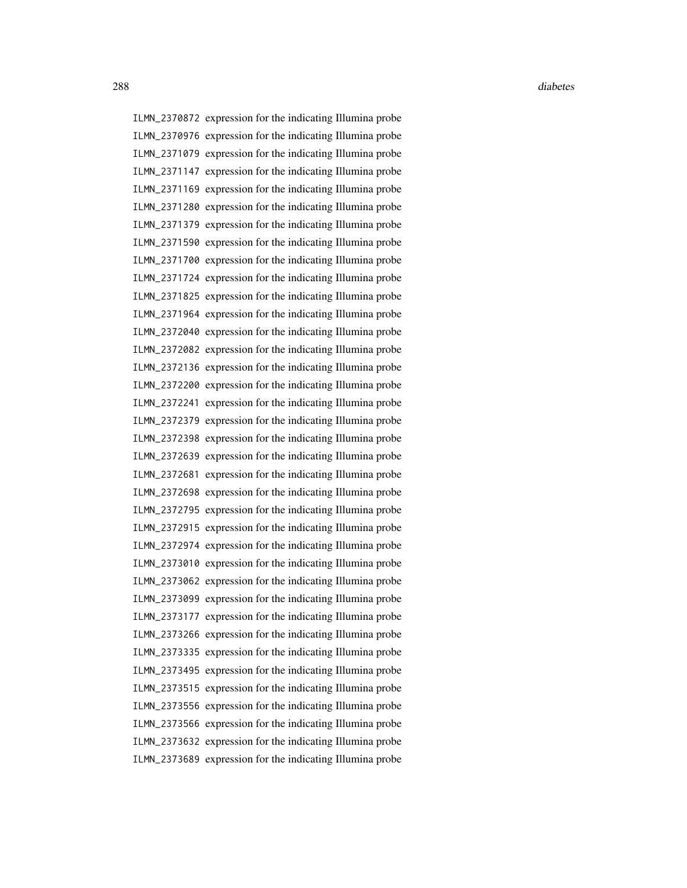ILMN\_2370872 expression for the indicating Illumina probe ILMN\_2370976 expression for the indicating Illumina probe ILMN\_2371079 expression for the indicating Illumina probe ILMN\_2371147 expression for the indicating Illumina probe ILMN\_2371169 expression for the indicating Illumina probe ILMN\_2371280 expression for the indicating Illumina probe ILMN\_2371379 expression for the indicating Illumina probe ILMN\_2371590 expression for the indicating Illumina probe ILMN\_2371700 expression for the indicating Illumina probe ILMN\_2371724 expression for the indicating Illumina probe ILMN\_2371825 expression for the indicating Illumina probe ILMN\_2371964 expression for the indicating Illumina probe ILMN\_2372040 expression for the indicating Illumina probe ILMN\_2372082 expression for the indicating Illumina probe ILMN\_2372136 expression for the indicating Illumina probe ILMN\_2372200 expression for the indicating Illumina probe ILMN\_2372241 expression for the indicating Illumina probe ILMN\_2372379 expression for the indicating Illumina probe ILMN\_2372398 expression for the indicating Illumina probe ILMN\_2372639 expression for the indicating Illumina probe ILMN\_2372681 expression for the indicating Illumina probe ILMN\_2372698 expression for the indicating Illumina probe ILMN\_2372795 expression for the indicating Illumina probe ILMN\_2372915 expression for the indicating Illumina probe ILMN\_2372974 expression for the indicating Illumina probe ILMN\_2373010 expression for the indicating Illumina probe ILMN\_2373062 expression for the indicating Illumina probe ILMN\_2373099 expression for the indicating Illumina probe ILMN\_2373177 expression for the indicating Illumina probe ILMN\_2373266 expression for the indicating Illumina probe ILMN\_2373335 expression for the indicating Illumina probe ILMN\_2373495 expression for the indicating Illumina probe ILMN\_2373515 expression for the indicating Illumina probe ILMN\_2373556 expression for the indicating Illumina probe ILMN\_2373566 expression for the indicating Illumina probe ILMN\_2373632 expression for the indicating Illumina probe ILMN\_2373689 expression for the indicating Illumina probe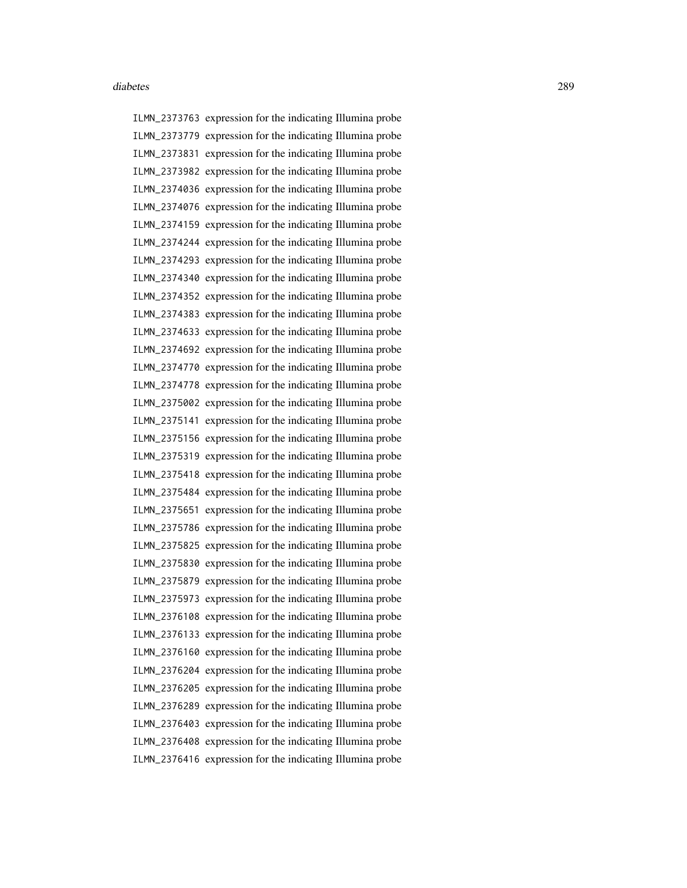ILMN\_2373763 expression for the indicating Illumina probe ILMN\_2373779 expression for the indicating Illumina probe ILMN\_2373831 expression for the indicating Illumina probe ILMN\_2373982 expression for the indicating Illumina probe ILMN\_2374036 expression for the indicating Illumina probe ILMN\_2374076 expression for the indicating Illumina probe ILMN\_2374159 expression for the indicating Illumina probe ILMN\_2374244 expression for the indicating Illumina probe ILMN\_2374293 expression for the indicating Illumina probe ILMN\_2374340 expression for the indicating Illumina probe ILMN\_2374352 expression for the indicating Illumina probe ILMN\_2374383 expression for the indicating Illumina probe ILMN\_2374633 expression for the indicating Illumina probe ILMN\_2374692 expression for the indicating Illumina probe ILMN\_2374770 expression for the indicating Illumina probe ILMN\_2374778 expression for the indicating Illumina probe ILMN\_2375002 expression for the indicating Illumina probe ILMN\_2375141 expression for the indicating Illumina probe ILMN\_2375156 expression for the indicating Illumina probe ILMN\_2375319 expression for the indicating Illumina probe ILMN\_2375418 expression for the indicating Illumina probe ILMN\_2375484 expression for the indicating Illumina probe ILMN\_2375651 expression for the indicating Illumina probe ILMN\_2375786 expression for the indicating Illumina probe ILMN\_2375825 expression for the indicating Illumina probe ILMN\_2375830 expression for the indicating Illumina probe ILMN\_2375879 expression for the indicating Illumina probe ILMN\_2375973 expression for the indicating Illumina probe ILMN\_2376108 expression for the indicating Illumina probe ILMN\_2376133 expression for the indicating Illumina probe ILMN\_2376160 expression for the indicating Illumina probe ILMN\_2376204 expression for the indicating Illumina probe ILMN\_2376205 expression for the indicating Illumina probe ILMN\_2376289 expression for the indicating Illumina probe ILMN\_2376403 expression for the indicating Illumina probe ILMN\_2376408 expression for the indicating Illumina probe ILMN\_2376416 expression for the indicating Illumina probe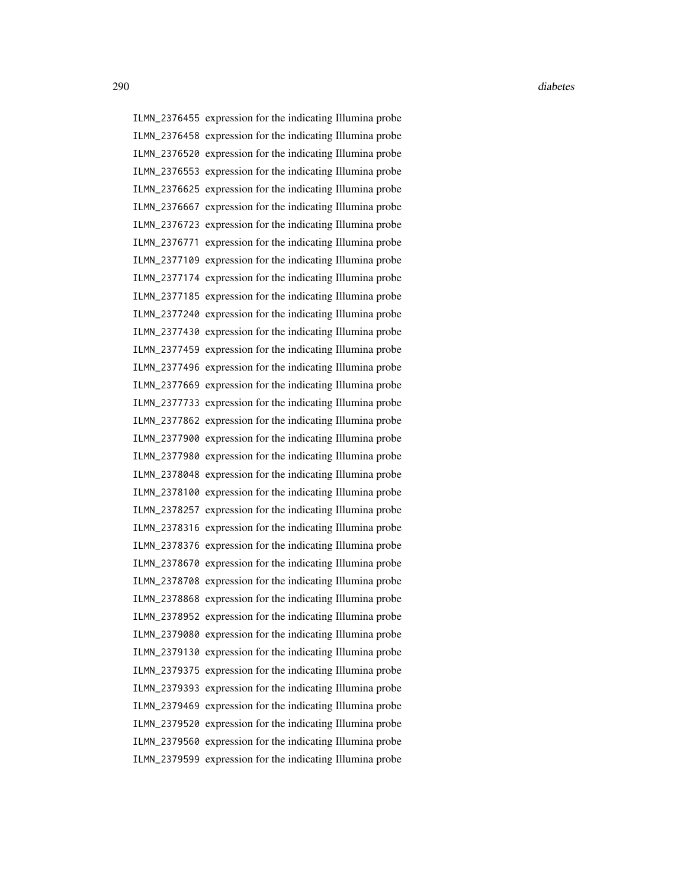ILMN\_2376455 expression for the indicating Illumina probe ILMN\_2376458 expression for the indicating Illumina probe ILMN\_2376520 expression for the indicating Illumina probe ILMN\_2376553 expression for the indicating Illumina probe ILMN\_2376625 expression for the indicating Illumina probe ILMN\_2376667 expression for the indicating Illumina probe ILMN\_2376723 expression for the indicating Illumina probe ILMN\_2376771 expression for the indicating Illumina probe ILMN\_2377109 expression for the indicating Illumina probe ILMN\_2377174 expression for the indicating Illumina probe ILMN\_2377185 expression for the indicating Illumina probe ILMN\_2377240 expression for the indicating Illumina probe ILMN\_2377430 expression for the indicating Illumina probe ILMN\_2377459 expression for the indicating Illumina probe ILMN\_2377496 expression for the indicating Illumina probe ILMN\_2377669 expression for the indicating Illumina probe ILMN\_2377733 expression for the indicating Illumina probe ILMN\_2377862 expression for the indicating Illumina probe ILMN\_2377900 expression for the indicating Illumina probe ILMN\_2377980 expression for the indicating Illumina probe ILMN\_2378048 expression for the indicating Illumina probe ILMN\_2378100 expression for the indicating Illumina probe ILMN\_2378257 expression for the indicating Illumina probe ILMN\_2378316 expression for the indicating Illumina probe ILMN\_2378376 expression for the indicating Illumina probe ILMN\_2378670 expression for the indicating Illumina probe ILMN\_2378708 expression for the indicating Illumina probe ILMN\_2378868 expression for the indicating Illumina probe ILMN\_2378952 expression for the indicating Illumina probe ILMN\_2379080 expression for the indicating Illumina probe ILMN\_2379130 expression for the indicating Illumina probe ILMN\_2379375 expression for the indicating Illumina probe ILMN\_2379393 expression for the indicating Illumina probe ILMN\_2379469 expression for the indicating Illumina probe ILMN\_2379520 expression for the indicating Illumina probe ILMN\_2379560 expression for the indicating Illumina probe ILMN\_2379599 expression for the indicating Illumina probe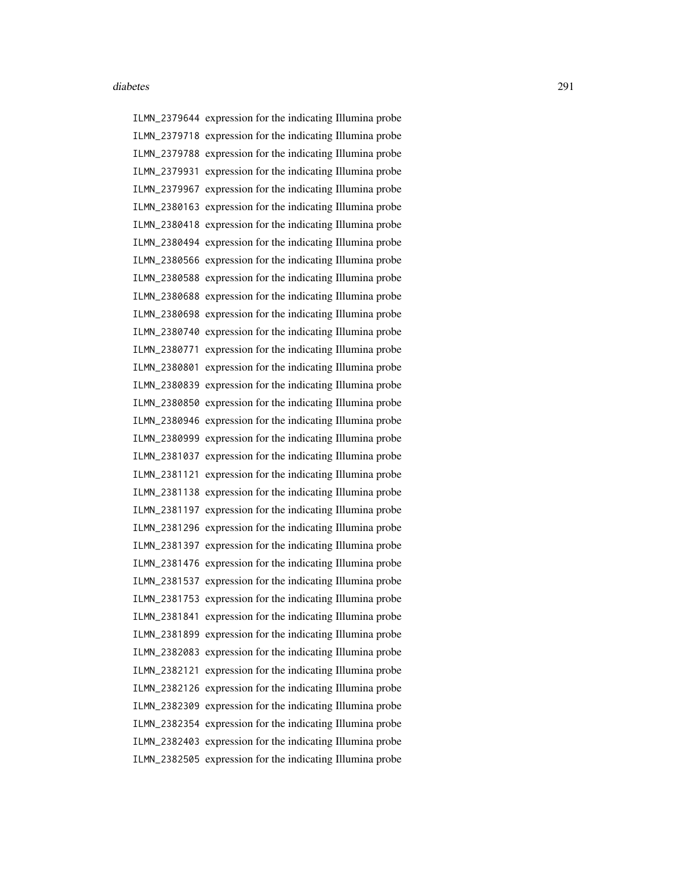ILMN\_2379644 expression for the indicating Illumina probe ILMN\_2379718 expression for the indicating Illumina probe ILMN\_2379788 expression for the indicating Illumina probe ILMN\_2379931 expression for the indicating Illumina probe ILMN\_2379967 expression for the indicating Illumina probe ILMN\_2380163 expression for the indicating Illumina probe ILMN\_2380418 expression for the indicating Illumina probe ILMN\_2380494 expression for the indicating Illumina probe ILMN\_2380566 expression for the indicating Illumina probe ILMN\_2380588 expression for the indicating Illumina probe ILMN\_2380688 expression for the indicating Illumina probe ILMN\_2380698 expression for the indicating Illumina probe ILMN\_2380740 expression for the indicating Illumina probe ILMN\_2380771 expression for the indicating Illumina probe ILMN\_2380801 expression for the indicating Illumina probe ILMN\_2380839 expression for the indicating Illumina probe ILMN\_2380850 expression for the indicating Illumina probe ILMN\_2380946 expression for the indicating Illumina probe ILMN\_2380999 expression for the indicating Illumina probe ILMN\_2381037 expression for the indicating Illumina probe ILMN\_2381121 expression for the indicating Illumina probe ILMN\_2381138 expression for the indicating Illumina probe ILMN\_2381197 expression for the indicating Illumina probe ILMN\_2381296 expression for the indicating Illumina probe ILMN\_2381397 expression for the indicating Illumina probe ILMN\_2381476 expression for the indicating Illumina probe ILMN\_2381537 expression for the indicating Illumina probe ILMN\_2381753 expression for the indicating Illumina probe ILMN\_2381841 expression for the indicating Illumina probe ILMN\_2381899 expression for the indicating Illumina probe ILMN\_2382083 expression for the indicating Illumina probe ILMN\_2382121 expression for the indicating Illumina probe ILMN\_2382126 expression for the indicating Illumina probe ILMN\_2382309 expression for the indicating Illumina probe ILMN\_2382354 expression for the indicating Illumina probe ILMN\_2382403 expression for the indicating Illumina probe ILMN\_2382505 expression for the indicating Illumina probe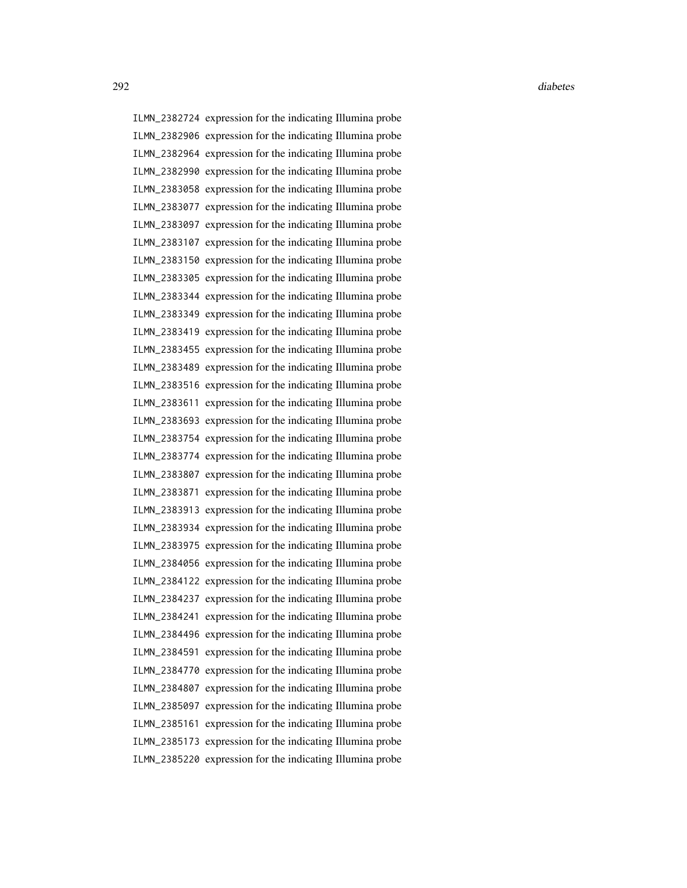ILMN\_2382724 expression for the indicating Illumina probe ILMN\_2382906 expression for the indicating Illumina probe ILMN\_2382964 expression for the indicating Illumina probe ILMN\_2382990 expression for the indicating Illumina probe ILMN\_2383058 expression for the indicating Illumina probe ILMN\_2383077 expression for the indicating Illumina probe ILMN\_2383097 expression for the indicating Illumina probe ILMN\_2383107 expression for the indicating Illumina probe ILMN\_2383150 expression for the indicating Illumina probe ILMN\_2383305 expression for the indicating Illumina probe ILMN\_2383344 expression for the indicating Illumina probe ILMN\_2383349 expression for the indicating Illumina probe ILMN\_2383419 expression for the indicating Illumina probe ILMN\_2383455 expression for the indicating Illumina probe ILMN\_2383489 expression for the indicating Illumina probe ILMN\_2383516 expression for the indicating Illumina probe ILMN\_2383611 expression for the indicating Illumina probe ILMN\_2383693 expression for the indicating Illumina probe ILMN\_2383754 expression for the indicating Illumina probe ILMN\_2383774 expression for the indicating Illumina probe ILMN\_2383807 expression for the indicating Illumina probe ILMN\_2383871 expression for the indicating Illumina probe ILMN\_2383913 expression for the indicating Illumina probe ILMN\_2383934 expression for the indicating Illumina probe ILMN\_2383975 expression for the indicating Illumina probe ILMN\_2384056 expression for the indicating Illumina probe ILMN\_2384122 expression for the indicating Illumina probe ILMN\_2384237 expression for the indicating Illumina probe ILMN\_2384241 expression for the indicating Illumina probe ILMN\_2384496 expression for the indicating Illumina probe ILMN\_2384591 expression for the indicating Illumina probe ILMN\_2384770 expression for the indicating Illumina probe ILMN\_2384807 expression for the indicating Illumina probe ILMN\_2385097 expression for the indicating Illumina probe ILMN\_2385161 expression for the indicating Illumina probe ILMN\_2385173 expression for the indicating Illumina probe ILMN\_2385220 expression for the indicating Illumina probe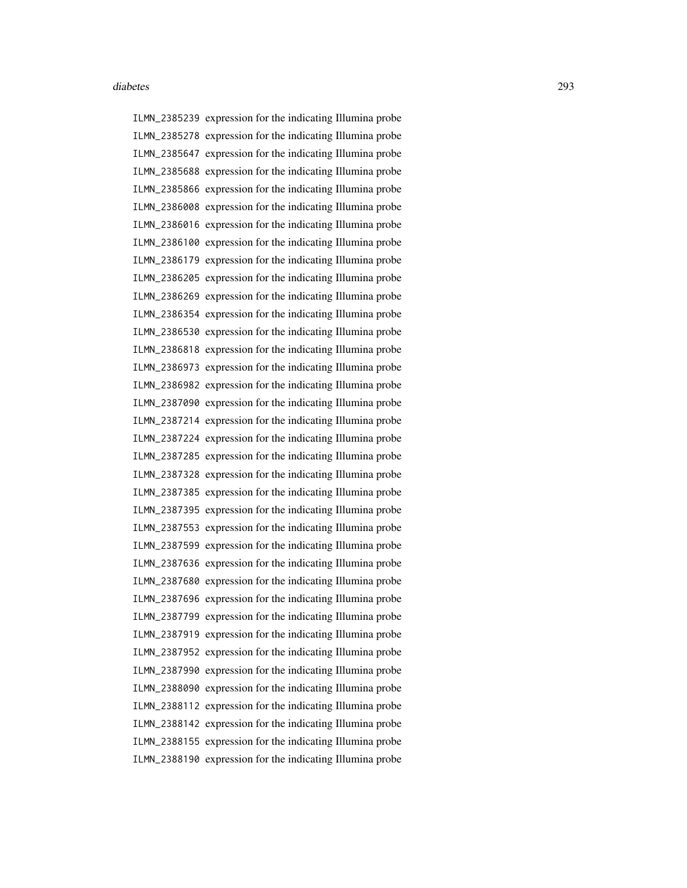ILMN\_2385239 expression for the indicating Illumina probe ILMN\_2385278 expression for the indicating Illumina probe ILMN\_2385647 expression for the indicating Illumina probe ILMN\_2385688 expression for the indicating Illumina probe ILMN\_2385866 expression for the indicating Illumina probe ILMN\_2386008 expression for the indicating Illumina probe ILMN\_2386016 expression for the indicating Illumina probe ILMN\_2386100 expression for the indicating Illumina probe ILMN\_2386179 expression for the indicating Illumina probe ILMN\_2386205 expression for the indicating Illumina probe ILMN\_2386269 expression for the indicating Illumina probe ILMN\_2386354 expression for the indicating Illumina probe ILMN\_2386530 expression for the indicating Illumina probe ILMN\_2386818 expression for the indicating Illumina probe ILMN\_2386973 expression for the indicating Illumina probe ILMN\_2386982 expression for the indicating Illumina probe ILMN\_2387090 expression for the indicating Illumina probe ILMN\_2387214 expression for the indicating Illumina probe ILMN\_2387224 expression for the indicating Illumina probe ILMN\_2387285 expression for the indicating Illumina probe ILMN\_2387328 expression for the indicating Illumina probe ILMN\_2387385 expression for the indicating Illumina probe ILMN\_2387395 expression for the indicating Illumina probe ILMN\_2387553 expression for the indicating Illumina probe ILMN\_2387599 expression for the indicating Illumina probe ILMN\_2387636 expression for the indicating Illumina probe ILMN\_2387680 expression for the indicating Illumina probe ILMN\_2387696 expression for the indicating Illumina probe ILMN\_2387799 expression for the indicating Illumina probe ILMN\_2387919 expression for the indicating Illumina probe ILMN\_2387952 expression for the indicating Illumina probe ILMN\_2387990 expression for the indicating Illumina probe ILMN\_2388090 expression for the indicating Illumina probe ILMN\_2388112 expression for the indicating Illumina probe ILMN\_2388142 expression for the indicating Illumina probe ILMN\_2388155 expression for the indicating Illumina probe ILMN\_2388190 expression for the indicating Illumina probe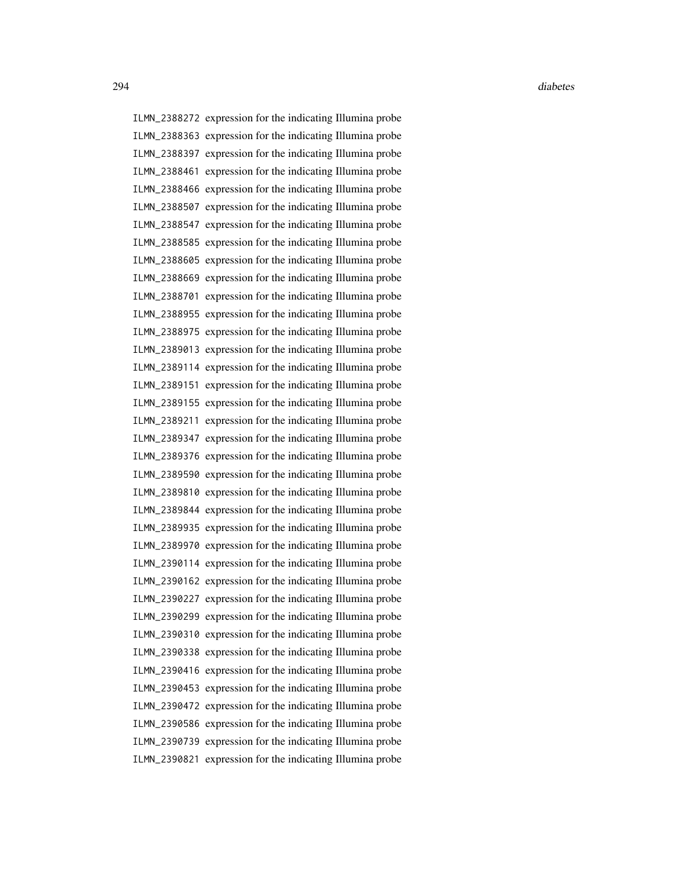ILMN\_2388272 expression for the indicating Illumina probe ILMN\_2388363 expression for the indicating Illumina probe ILMN\_2388397 expression for the indicating Illumina probe ILMN\_2388461 expression for the indicating Illumina probe ILMN\_2388466 expression for the indicating Illumina probe ILMN\_2388507 expression for the indicating Illumina probe ILMN\_2388547 expression for the indicating Illumina probe ILMN\_2388585 expression for the indicating Illumina probe ILMN\_2388605 expression for the indicating Illumina probe ILMN\_2388669 expression for the indicating Illumina probe ILMN\_2388701 expression for the indicating Illumina probe ILMN\_2388955 expression for the indicating Illumina probe ILMN\_2388975 expression for the indicating Illumina probe ILMN\_2389013 expression for the indicating Illumina probe ILMN\_2389114 expression for the indicating Illumina probe ILMN\_2389151 expression for the indicating Illumina probe ILMN\_2389155 expression for the indicating Illumina probe ILMN\_2389211 expression for the indicating Illumina probe ILMN\_2389347 expression for the indicating Illumina probe ILMN\_2389376 expression for the indicating Illumina probe ILMN\_2389590 expression for the indicating Illumina probe ILMN\_2389810 expression for the indicating Illumina probe ILMN\_2389844 expression for the indicating Illumina probe ILMN\_2389935 expression for the indicating Illumina probe ILMN\_2389970 expression for the indicating Illumina probe ILMN\_2390114 expression for the indicating Illumina probe ILMN\_2390162 expression for the indicating Illumina probe ILMN\_2390227 expression for the indicating Illumina probe ILMN\_2390299 expression for the indicating Illumina probe ILMN\_2390310 expression for the indicating Illumina probe ILMN\_2390338 expression for the indicating Illumina probe ILMN\_2390416 expression for the indicating Illumina probe ILMN\_2390453 expression for the indicating Illumina probe ILMN\_2390472 expression for the indicating Illumina probe ILMN\_2390586 expression for the indicating Illumina probe ILMN\_2390739 expression for the indicating Illumina probe ILMN\_2390821 expression for the indicating Illumina probe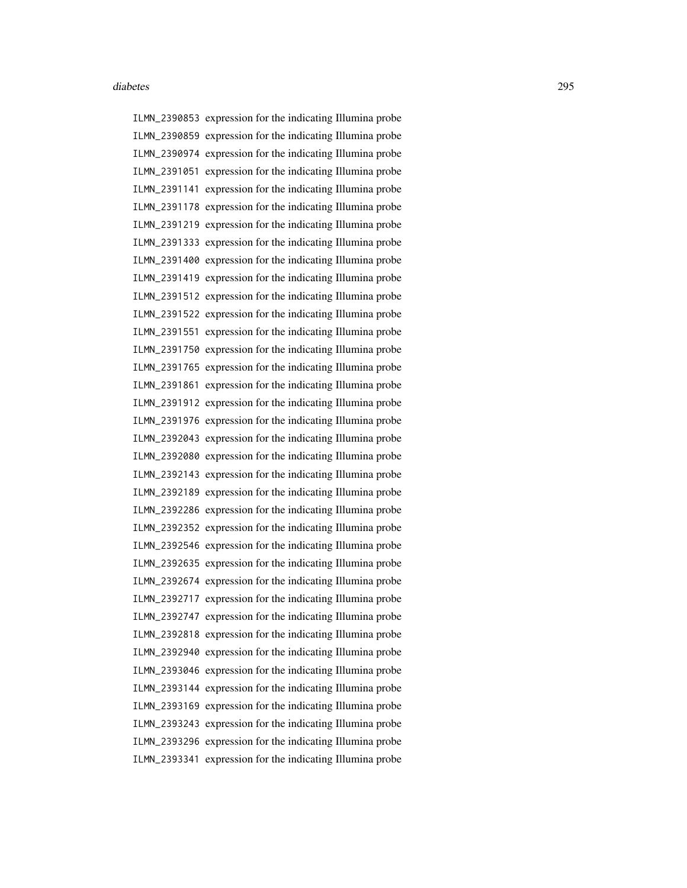ILMN\_2390853 expression for the indicating Illumina probe ILMN\_2390859 expression for the indicating Illumina probe ILMN\_2390974 expression for the indicating Illumina probe ILMN\_2391051 expression for the indicating Illumina probe ILMN\_2391141 expression for the indicating Illumina probe ILMN\_2391178 expression for the indicating Illumina probe ILMN\_2391219 expression for the indicating Illumina probe ILMN\_2391333 expression for the indicating Illumina probe ILMN\_2391400 expression for the indicating Illumina probe ILMN\_2391419 expression for the indicating Illumina probe ILMN\_2391512 expression for the indicating Illumina probe ILMN\_2391522 expression for the indicating Illumina probe ILMN\_2391551 expression for the indicating Illumina probe ILMN\_2391750 expression for the indicating Illumina probe ILMN\_2391765 expression for the indicating Illumina probe ILMN\_2391861 expression for the indicating Illumina probe ILMN\_2391912 expression for the indicating Illumina probe ILMN\_2391976 expression for the indicating Illumina probe ILMN\_2392043 expression for the indicating Illumina probe ILMN\_2392080 expression for the indicating Illumina probe ILMN\_2392143 expression for the indicating Illumina probe ILMN\_2392189 expression for the indicating Illumina probe ILMN\_2392286 expression for the indicating Illumina probe ILMN\_2392352 expression for the indicating Illumina probe ILMN\_2392546 expression for the indicating Illumina probe ILMN\_2392635 expression for the indicating Illumina probe ILMN\_2392674 expression for the indicating Illumina probe ILMN\_2392717 expression for the indicating Illumina probe ILMN\_2392747 expression for the indicating Illumina probe ILMN\_2392818 expression for the indicating Illumina probe ILMN\_2392940 expression for the indicating Illumina probe ILMN\_2393046 expression for the indicating Illumina probe ILMN\_2393144 expression for the indicating Illumina probe ILMN\_2393169 expression for the indicating Illumina probe ILMN\_2393243 expression for the indicating Illumina probe ILMN\_2393296 expression for the indicating Illumina probe ILMN\_2393341 expression for the indicating Illumina probe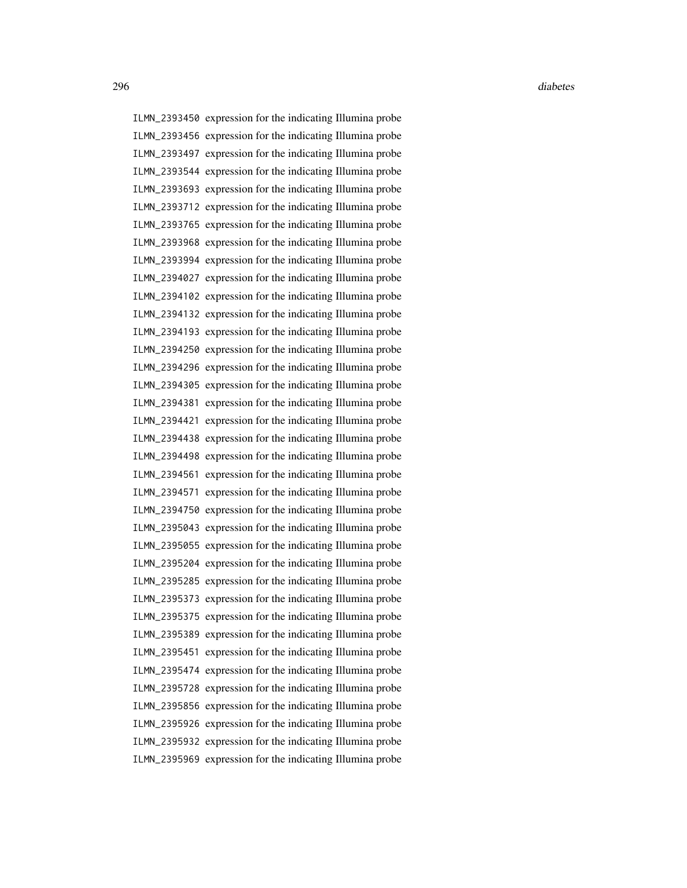ILMN\_2393450 expression for the indicating Illumina probe ILMN\_2393456 expression for the indicating Illumina probe ILMN\_2393497 expression for the indicating Illumina probe ILMN\_2393544 expression for the indicating Illumina probe ILMN\_2393693 expression for the indicating Illumina probe ILMN\_2393712 expression for the indicating Illumina probe ILMN\_2393765 expression for the indicating Illumina probe ILMN\_2393968 expression for the indicating Illumina probe ILMN\_2393994 expression for the indicating Illumina probe ILMN\_2394027 expression for the indicating Illumina probe ILMN\_2394102 expression for the indicating Illumina probe ILMN\_2394132 expression for the indicating Illumina probe ILMN\_2394193 expression for the indicating Illumina probe ILMN\_2394250 expression for the indicating Illumina probe ILMN\_2394296 expression for the indicating Illumina probe ILMN\_2394305 expression for the indicating Illumina probe ILMN\_2394381 expression for the indicating Illumina probe ILMN\_2394421 expression for the indicating Illumina probe ILMN\_2394438 expression for the indicating Illumina probe ILMN\_2394498 expression for the indicating Illumina probe ILMN\_2394561 expression for the indicating Illumina probe ILMN\_2394571 expression for the indicating Illumina probe ILMN\_2394750 expression for the indicating Illumina probe ILMN\_2395043 expression for the indicating Illumina probe ILMN\_2395055 expression for the indicating Illumina probe ILMN\_2395204 expression for the indicating Illumina probe ILMN\_2395285 expression for the indicating Illumina probe ILMN\_2395373 expression for the indicating Illumina probe ILMN\_2395375 expression for the indicating Illumina probe ILMN\_2395389 expression for the indicating Illumina probe ILMN\_2395451 expression for the indicating Illumina probe ILMN\_2395474 expression for the indicating Illumina probe ILMN\_2395728 expression for the indicating Illumina probe ILMN\_2395856 expression for the indicating Illumina probe ILMN\_2395926 expression for the indicating Illumina probe ILMN\_2395932 expression for the indicating Illumina probe ILMN\_2395969 expression for the indicating Illumina probe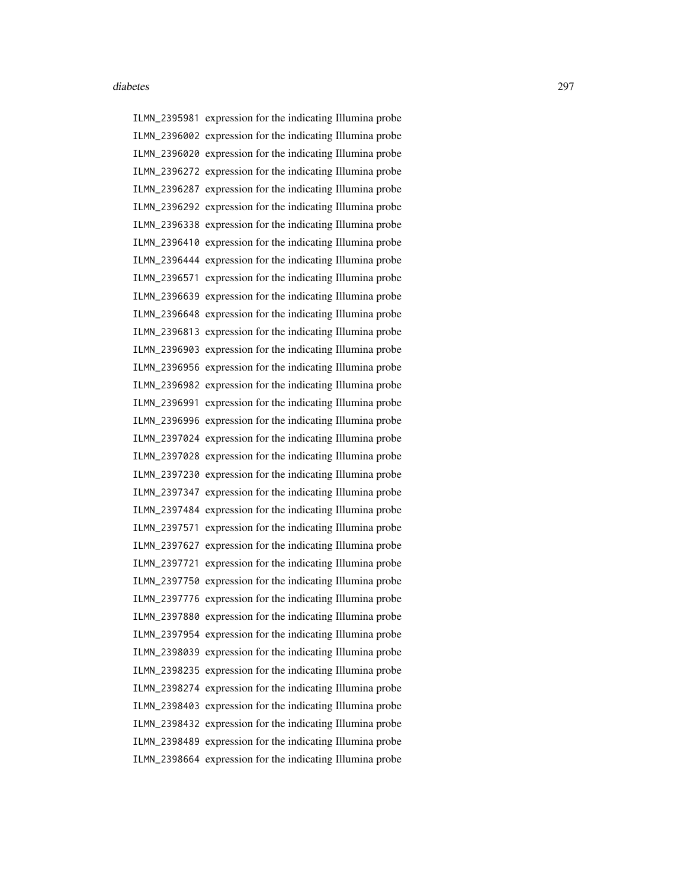ILMN\_2395981 expression for the indicating Illumina probe ILMN\_2396002 expression for the indicating Illumina probe ILMN\_2396020 expression for the indicating Illumina probe ILMN\_2396272 expression for the indicating Illumina probe ILMN\_2396287 expression for the indicating Illumina probe ILMN\_2396292 expression for the indicating Illumina probe ILMN\_2396338 expression for the indicating Illumina probe ILMN\_2396410 expression for the indicating Illumina probe ILMN\_2396444 expression for the indicating Illumina probe ILMN\_2396571 expression for the indicating Illumina probe ILMN\_2396639 expression for the indicating Illumina probe ILMN\_2396648 expression for the indicating Illumina probe ILMN\_2396813 expression for the indicating Illumina probe ILMN\_2396903 expression for the indicating Illumina probe ILMN\_2396956 expression for the indicating Illumina probe ILMN\_2396982 expression for the indicating Illumina probe ILMN\_2396991 expression for the indicating Illumina probe ILMN\_2396996 expression for the indicating Illumina probe ILMN\_2397024 expression for the indicating Illumina probe ILMN\_2397028 expression for the indicating Illumina probe ILMN\_2397230 expression for the indicating Illumina probe ILMN\_2397347 expression for the indicating Illumina probe ILMN\_2397484 expression for the indicating Illumina probe ILMN\_2397571 expression for the indicating Illumina probe ILMN\_2397627 expression for the indicating Illumina probe ILMN\_2397721 expression for the indicating Illumina probe ILMN\_2397750 expression for the indicating Illumina probe ILMN\_2397776 expression for the indicating Illumina probe ILMN\_2397880 expression for the indicating Illumina probe ILMN\_2397954 expression for the indicating Illumina probe ILMN\_2398039 expression for the indicating Illumina probe ILMN\_2398235 expression for the indicating Illumina probe ILMN\_2398274 expression for the indicating Illumina probe ILMN\_2398403 expression for the indicating Illumina probe ILMN\_2398432 expression for the indicating Illumina probe ILMN\_2398489 expression for the indicating Illumina probe ILMN\_2398664 expression for the indicating Illumina probe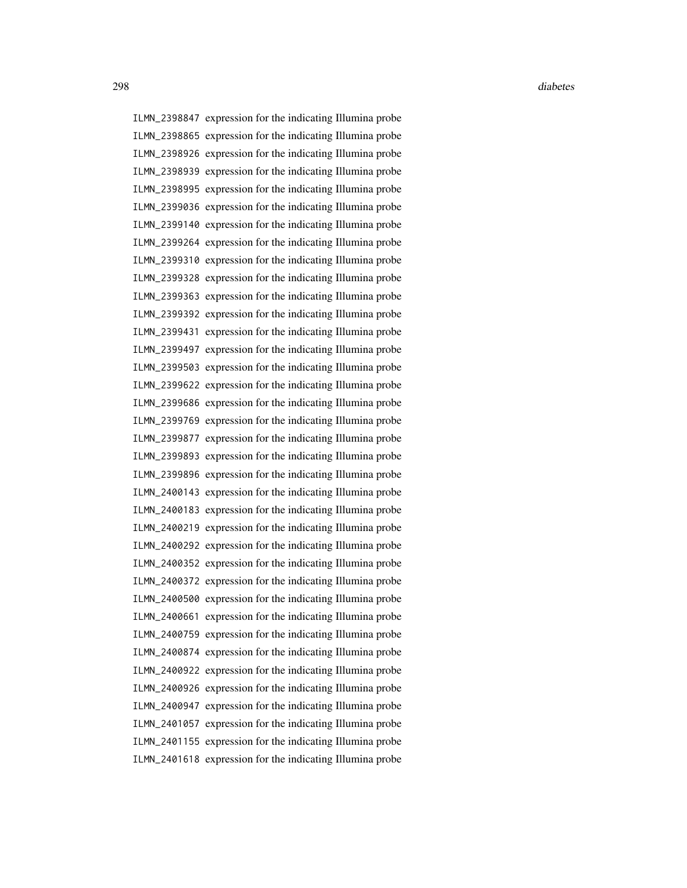ILMN\_2398847 expression for the indicating Illumina probe ILMN\_2398865 expression for the indicating Illumina probe ILMN\_2398926 expression for the indicating Illumina probe ILMN\_2398939 expression for the indicating Illumina probe ILMN\_2398995 expression for the indicating Illumina probe ILMN\_2399036 expression for the indicating Illumina probe ILMN\_2399140 expression for the indicating Illumina probe ILMN\_2399264 expression for the indicating Illumina probe ILMN\_2399310 expression for the indicating Illumina probe ILMN\_2399328 expression for the indicating Illumina probe ILMN\_2399363 expression for the indicating Illumina probe ILMN\_2399392 expression for the indicating Illumina probe ILMN\_2399431 expression for the indicating Illumina probe ILMN\_2399497 expression for the indicating Illumina probe ILMN\_2399503 expression for the indicating Illumina probe ILMN\_2399622 expression for the indicating Illumina probe ILMN\_2399686 expression for the indicating Illumina probe ILMN\_2399769 expression for the indicating Illumina probe ILMN\_2399877 expression for the indicating Illumina probe ILMN\_2399893 expression for the indicating Illumina probe ILMN\_2399896 expression for the indicating Illumina probe ILMN\_2400143 expression for the indicating Illumina probe ILMN\_2400183 expression for the indicating Illumina probe ILMN\_2400219 expression for the indicating Illumina probe ILMN\_2400292 expression for the indicating Illumina probe ILMN\_2400352 expression for the indicating Illumina probe ILMN\_2400372 expression for the indicating Illumina probe ILMN\_2400500 expression for the indicating Illumina probe ILMN\_2400661 expression for the indicating Illumina probe ILMN\_2400759 expression for the indicating Illumina probe ILMN\_2400874 expression for the indicating Illumina probe ILMN\_2400922 expression for the indicating Illumina probe ILMN\_2400926 expression for the indicating Illumina probe ILMN\_2400947 expression for the indicating Illumina probe ILMN\_2401057 expression for the indicating Illumina probe ILMN\_2401155 expression for the indicating Illumina probe ILMN\_2401618 expression for the indicating Illumina probe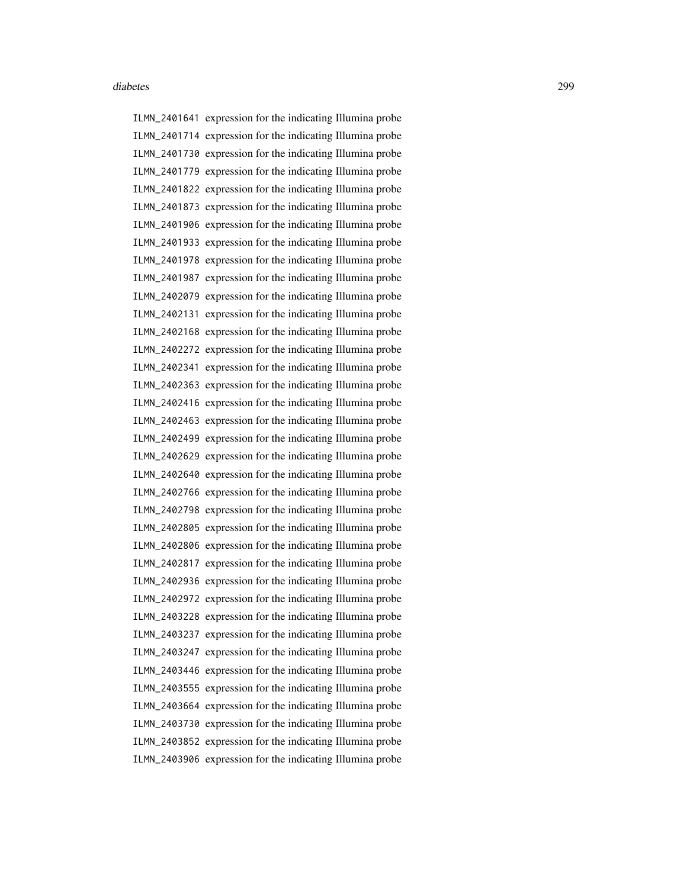ILMN\_2401641 expression for the indicating Illumina probe ILMN\_2401714 expression for the indicating Illumina probe ILMN\_2401730 expression for the indicating Illumina probe ILMN\_2401779 expression for the indicating Illumina probe ILMN\_2401822 expression for the indicating Illumina probe ILMN\_2401873 expression for the indicating Illumina probe ILMN\_2401906 expression for the indicating Illumina probe ILMN\_2401933 expression for the indicating Illumina probe ILMN\_2401978 expression for the indicating Illumina probe ILMN\_2401987 expression for the indicating Illumina probe ILMN\_2402079 expression for the indicating Illumina probe ILMN\_2402131 expression for the indicating Illumina probe ILMN\_2402168 expression for the indicating Illumina probe ILMN\_2402272 expression for the indicating Illumina probe ILMN\_2402341 expression for the indicating Illumina probe ILMN\_2402363 expression for the indicating Illumina probe ILMN\_2402416 expression for the indicating Illumina probe ILMN\_2402463 expression for the indicating Illumina probe ILMN\_2402499 expression for the indicating Illumina probe ILMN\_2402629 expression for the indicating Illumina probe ILMN\_2402640 expression for the indicating Illumina probe ILMN\_2402766 expression for the indicating Illumina probe ILMN\_2402798 expression for the indicating Illumina probe ILMN\_2402805 expression for the indicating Illumina probe ILMN\_2402806 expression for the indicating Illumina probe ILMN\_2402817 expression for the indicating Illumina probe ILMN\_2402936 expression for the indicating Illumina probe ILMN\_2402972 expression for the indicating Illumina probe ILMN\_2403228 expression for the indicating Illumina probe ILMN\_2403237 expression for the indicating Illumina probe ILMN\_2403247 expression for the indicating Illumina probe ILMN\_2403446 expression for the indicating Illumina probe ILMN\_2403555 expression for the indicating Illumina probe ILMN\_2403664 expression for the indicating Illumina probe ILMN\_2403730 expression for the indicating Illumina probe ILMN\_2403852 expression for the indicating Illumina probe ILMN\_2403906 expression for the indicating Illumina probe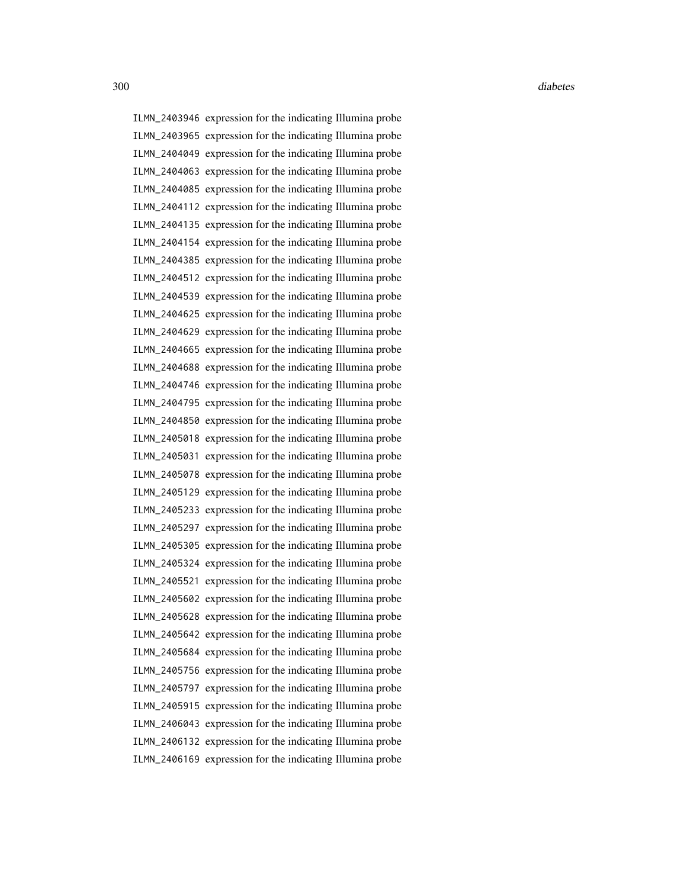ILMN\_2403946 expression for the indicating Illumina probe ILMN\_2403965 expression for the indicating Illumina probe ILMN\_2404049 expression for the indicating Illumina probe ILMN\_2404063 expression for the indicating Illumina probe ILMN\_2404085 expression for the indicating Illumina probe ILMN\_2404112 expression for the indicating Illumina probe ILMN\_2404135 expression for the indicating Illumina probe ILMN\_2404154 expression for the indicating Illumina probe ILMN\_2404385 expression for the indicating Illumina probe ILMN\_2404512 expression for the indicating Illumina probe ILMN\_2404539 expression for the indicating Illumina probe ILMN\_2404625 expression for the indicating Illumina probe ILMN\_2404629 expression for the indicating Illumina probe ILMN\_2404665 expression for the indicating Illumina probe ILMN\_2404688 expression for the indicating Illumina probe ILMN\_2404746 expression for the indicating Illumina probe ILMN\_2404795 expression for the indicating Illumina probe ILMN\_2404850 expression for the indicating Illumina probe ILMN\_2405018 expression for the indicating Illumina probe ILMN\_2405031 expression for the indicating Illumina probe ILMN\_2405078 expression for the indicating Illumina probe ILMN\_2405129 expression for the indicating Illumina probe ILMN\_2405233 expression for the indicating Illumina probe ILMN\_2405297 expression for the indicating Illumina probe ILMN\_2405305 expression for the indicating Illumina probe ILMN\_2405324 expression for the indicating Illumina probe ILMN\_2405521 expression for the indicating Illumina probe ILMN\_2405602 expression for the indicating Illumina probe ILMN\_2405628 expression for the indicating Illumina probe ILMN\_2405642 expression for the indicating Illumina probe ILMN\_2405684 expression for the indicating Illumina probe ILMN\_2405756 expression for the indicating Illumina probe ILMN\_2405797 expression for the indicating Illumina probe ILMN\_2405915 expression for the indicating Illumina probe ILMN\_2406043 expression for the indicating Illumina probe ILMN\_2406132 expression for the indicating Illumina probe ILMN\_2406169 expression for the indicating Illumina probe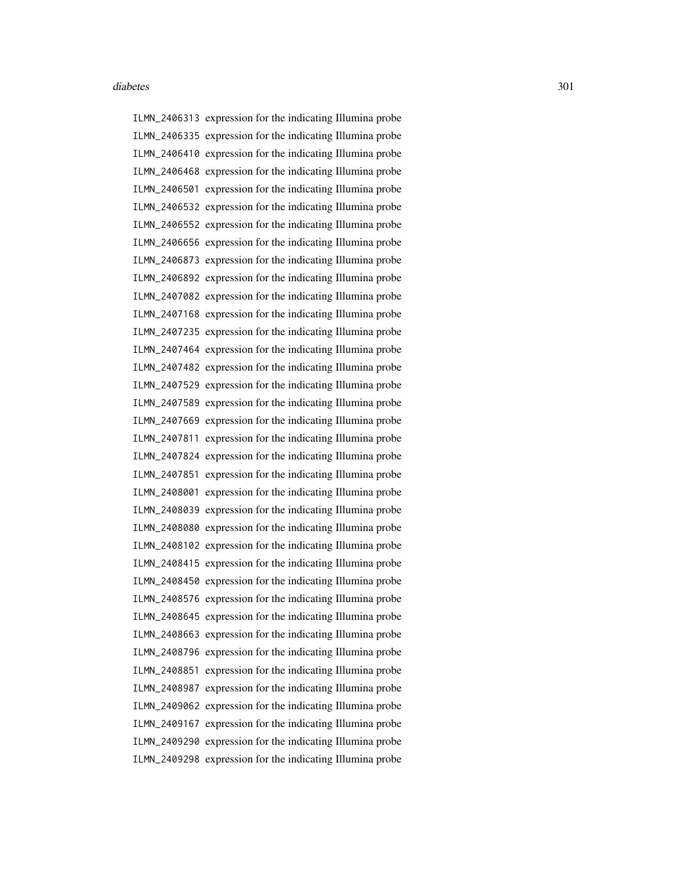ILMN\_2406313 expression for the indicating Illumina probe ILMN\_2406335 expression for the indicating Illumina probe ILMN\_2406410 expression for the indicating Illumina probe ILMN\_2406468 expression for the indicating Illumina probe ILMN\_2406501 expression for the indicating Illumina probe ILMN\_2406532 expression for the indicating Illumina probe ILMN\_2406552 expression for the indicating Illumina probe ILMN\_2406656 expression for the indicating Illumina probe ILMN\_2406873 expression for the indicating Illumina probe ILMN\_2406892 expression for the indicating Illumina probe ILMN\_2407082 expression for the indicating Illumina probe ILMN\_2407168 expression for the indicating Illumina probe ILMN\_2407235 expression for the indicating Illumina probe ILMN\_2407464 expression for the indicating Illumina probe ILMN\_2407482 expression for the indicating Illumina probe ILMN\_2407529 expression for the indicating Illumina probe ILMN\_2407589 expression for the indicating Illumina probe ILMN\_2407669 expression for the indicating Illumina probe ILMN\_2407811 expression for the indicating Illumina probe ILMN\_2407824 expression for the indicating Illumina probe ILMN\_2407851 expression for the indicating Illumina probe ILMN\_2408001 expression for the indicating Illumina probe ILMN\_2408039 expression for the indicating Illumina probe ILMN\_2408080 expression for the indicating Illumina probe ILMN\_2408102 expression for the indicating Illumina probe ILMN\_2408415 expression for the indicating Illumina probe ILMN\_2408450 expression for the indicating Illumina probe ILMN\_2408576 expression for the indicating Illumina probe ILMN\_2408645 expression for the indicating Illumina probe ILMN\_2408663 expression for the indicating Illumina probe ILMN\_2408796 expression for the indicating Illumina probe ILMN\_2408851 expression for the indicating Illumina probe ILMN\_2408987 expression for the indicating Illumina probe ILMN\_2409062 expression for the indicating Illumina probe ILMN\_2409167 expression for the indicating Illumina probe ILMN\_2409290 expression for the indicating Illumina probe ILMN\_2409298 expression for the indicating Illumina probe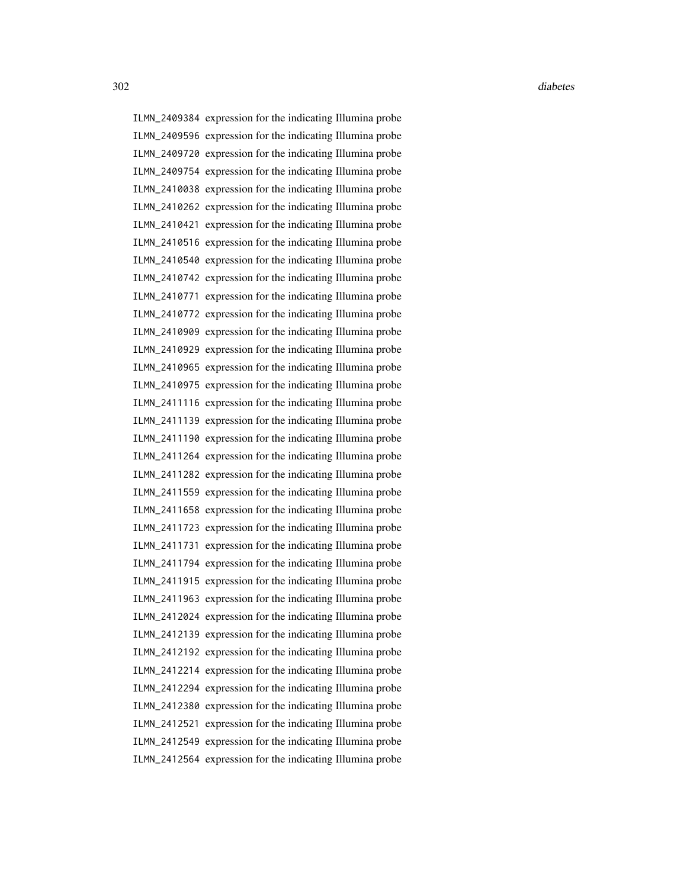ILMN\_2409384 expression for the indicating Illumina probe ILMN\_2409596 expression for the indicating Illumina probe ILMN\_2409720 expression for the indicating Illumina probe ILMN\_2409754 expression for the indicating Illumina probe ILMN\_2410038 expression for the indicating Illumina probe ILMN\_2410262 expression for the indicating Illumina probe ILMN\_2410421 expression for the indicating Illumina probe ILMN\_2410516 expression for the indicating Illumina probe ILMN\_2410540 expression for the indicating Illumina probe ILMN\_2410742 expression for the indicating Illumina probe ILMN\_2410771 expression for the indicating Illumina probe ILMN\_2410772 expression for the indicating Illumina probe ILMN\_2410909 expression for the indicating Illumina probe ILMN\_2410929 expression for the indicating Illumina probe ILMN\_2410965 expression for the indicating Illumina probe ILMN\_2410975 expression for the indicating Illumina probe ILMN\_2411116 expression for the indicating Illumina probe ILMN\_2411139 expression for the indicating Illumina probe ILMN\_2411190 expression for the indicating Illumina probe ILMN\_2411264 expression for the indicating Illumina probe ILMN\_2411282 expression for the indicating Illumina probe ILMN\_2411559 expression for the indicating Illumina probe ILMN\_2411658 expression for the indicating Illumina probe ILMN\_2411723 expression for the indicating Illumina probe ILMN\_2411731 expression for the indicating Illumina probe ILMN\_2411794 expression for the indicating Illumina probe ILMN\_2411915 expression for the indicating Illumina probe ILMN\_2411963 expression for the indicating Illumina probe ILMN\_2412024 expression for the indicating Illumina probe ILMN\_2412139 expression for the indicating Illumina probe ILMN\_2412192 expression for the indicating Illumina probe ILMN\_2412214 expression for the indicating Illumina probe ILMN\_2412294 expression for the indicating Illumina probe ILMN\_2412380 expression for the indicating Illumina probe ILMN\_2412521 expression for the indicating Illumina probe ILMN\_2412549 expression for the indicating Illumina probe ILMN\_2412564 expression for the indicating Illumina probe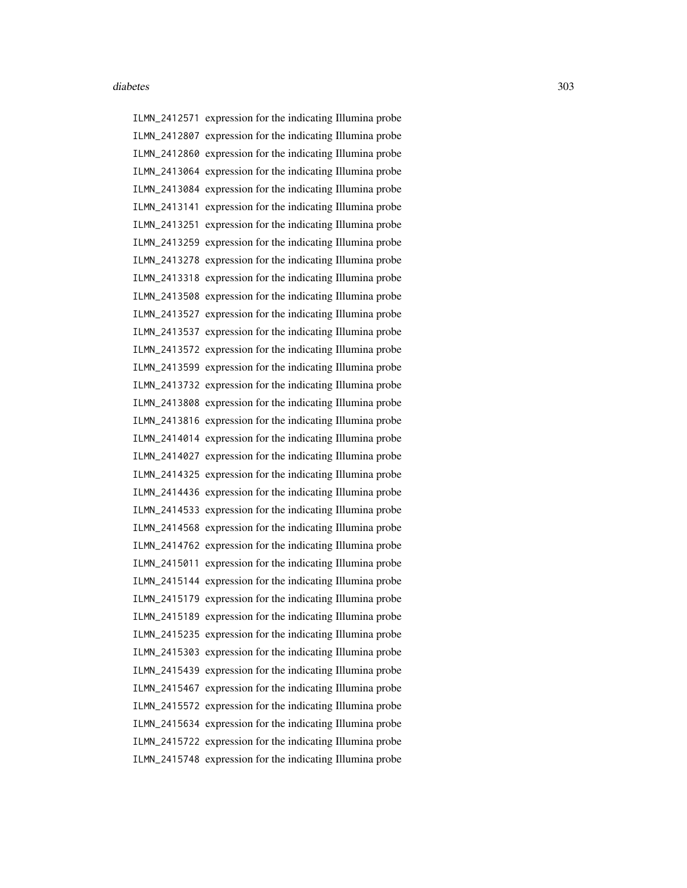ILMN\_2412571 expression for the indicating Illumina probe ILMN\_2412807 expression for the indicating Illumina probe ILMN\_2412860 expression for the indicating Illumina probe ILMN\_2413064 expression for the indicating Illumina probe ILMN\_2413084 expression for the indicating Illumina probe ILMN\_2413141 expression for the indicating Illumina probe ILMN\_2413251 expression for the indicating Illumina probe ILMN\_2413259 expression for the indicating Illumina probe ILMN\_2413278 expression for the indicating Illumina probe ILMN\_2413318 expression for the indicating Illumina probe ILMN\_2413508 expression for the indicating Illumina probe ILMN\_2413527 expression for the indicating Illumina probe ILMN\_2413537 expression for the indicating Illumina probe ILMN\_2413572 expression for the indicating Illumina probe ILMN\_2413599 expression for the indicating Illumina probe ILMN\_2413732 expression for the indicating Illumina probe ILMN\_2413808 expression for the indicating Illumina probe ILMN\_2413816 expression for the indicating Illumina probe ILMN\_2414014 expression for the indicating Illumina probe ILMN\_2414027 expression for the indicating Illumina probe ILMN\_2414325 expression for the indicating Illumina probe ILMN\_2414436 expression for the indicating Illumina probe ILMN\_2414533 expression for the indicating Illumina probe ILMN\_2414568 expression for the indicating Illumina probe ILMN\_2414762 expression for the indicating Illumina probe ILMN\_2415011 expression for the indicating Illumina probe ILMN\_2415144 expression for the indicating Illumina probe ILMN\_2415179 expression for the indicating Illumina probe ILMN\_2415189 expression for the indicating Illumina probe ILMN\_2415235 expression for the indicating Illumina probe ILMN\_2415303 expression for the indicating Illumina probe ILMN\_2415439 expression for the indicating Illumina probe ILMN\_2415467 expression for the indicating Illumina probe ILMN\_2415572 expression for the indicating Illumina probe ILMN\_2415634 expression for the indicating Illumina probe ILMN\_2415722 expression for the indicating Illumina probe ILMN\_2415748 expression for the indicating Illumina probe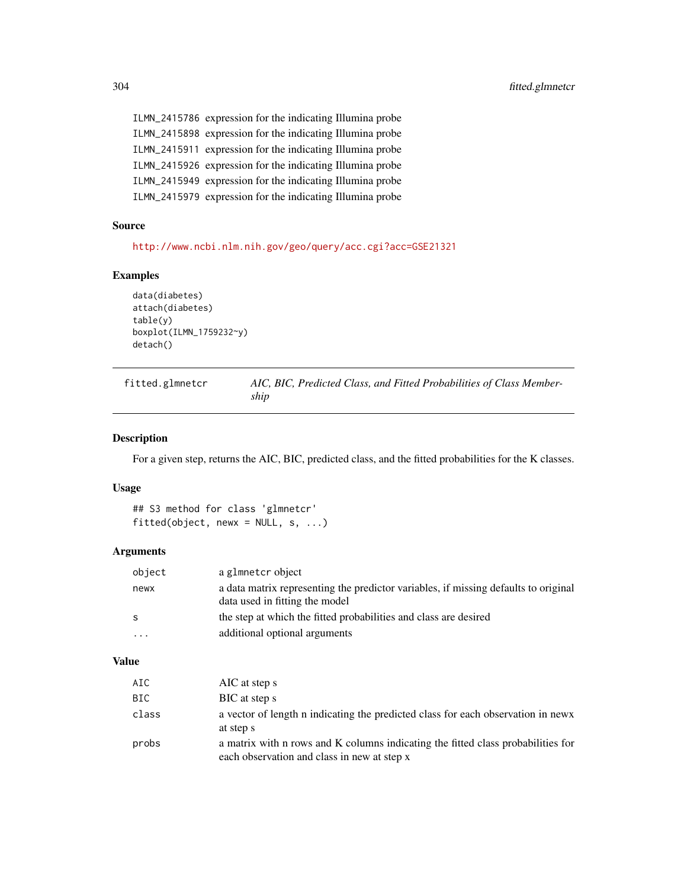ILMN\_2415786 expression for the indicating Illumina probe ILMN\_2415898 expression for the indicating Illumina probe ILMN\_2415911 expression for the indicating Illumina probe ILMN\_2415926 expression for the indicating Illumina probe ILMN\_2415949 expression for the indicating Illumina probe ILMN\_2415979 expression for the indicating Illumina probe

# Source

<http://www.ncbi.nlm.nih.gov/geo/query/acc.cgi?acc=GSE21321>

#### Examples

```
data(diabetes)
attach(diabetes)
table(y)
boxplot(ILMN_1759232~y)
detach()
```
<span id="page-303-0"></span>

| fitted.glmnetcr | AIC, BIC, Predicted Class, and Fitted Probabilities of Class Member- |
|-----------------|----------------------------------------------------------------------|
|                 | ship                                                                 |

# Description

For a given step, returns the AIC, BIC, predicted class, and the fitted probabilities for the K classes.

#### Usage

## S3 method for class 'glmnetcr' fitted(object, newx =  $NULL, s, ...)$ 

#### Arguments

| object   | a glmnetcr object                                                                                                     |
|----------|-----------------------------------------------------------------------------------------------------------------------|
| newx     | a data matrix representing the predictor variables, if missing defaults to original<br>data used in fitting the model |
| S        | the step at which the fitted probabilities and class are desired                                                      |
| $\cdots$ | additional optional arguments                                                                                         |

# Value

| AIC   | AIC at step s                                                                                                                   |
|-------|---------------------------------------------------------------------------------------------------------------------------------|
| BIC   | BIC at step s                                                                                                                   |
| class | a vector of length n indicating the predicted class for each observation in news<br>at step s                                   |
| probs | a matrix with n rows and K columns indicating the fitted class probabilities for<br>each observation and class in new at step x |

<span id="page-303-1"></span>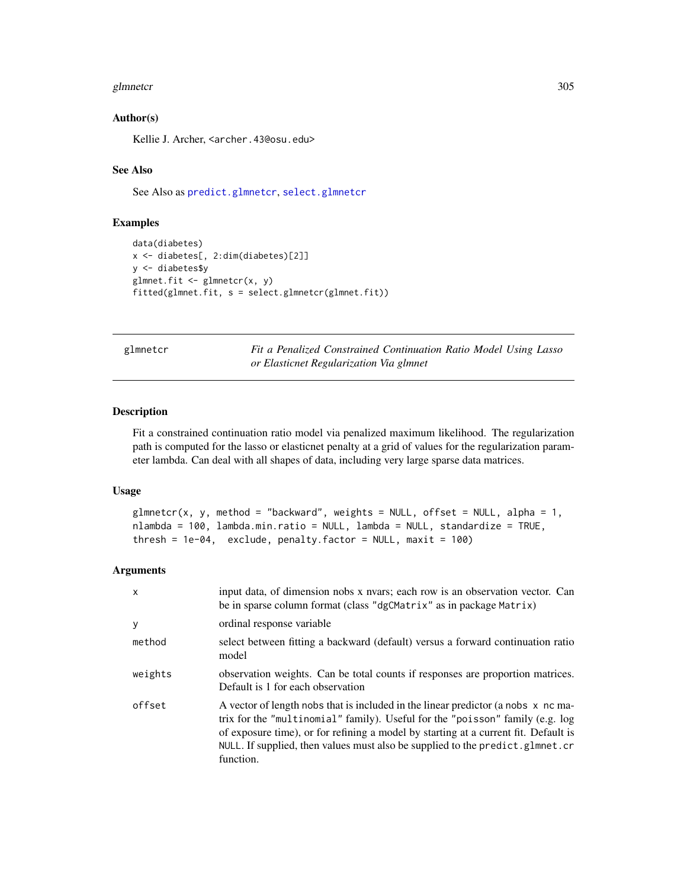#### <span id="page-304-1"></span>glmnetcr 305

#### Author(s)

Kellie J. Archer, <archer.43@osu.edu>

#### See Also

See Also as [predict.glmnetcr](#page-309-0), [select.glmnetcr](#page-311-0)

# Examples

```
data(diabetes)
x <- diabetes[, 2:dim(diabetes)[2]]
y <- diabetes$y
glmnet.fit \leq glmnetcr(x, y)
fitted(glmnet.fit, s = select.glmnetcr(glmnet.fit))
```
<span id="page-304-0"></span>glmnetcr *Fit a Penalized Constrained Continuation Ratio Model Using Lasso or Elasticnet Regularization Via glmnet*

#### Description

Fit a constrained continuation ratio model via penalized maximum likelihood. The regularization path is computed for the lasso or elasticnet penalty at a grid of values for the regularization parameter lambda. Can deal with all shapes of data, including very large sparse data matrices.

#### Usage

```
glmneter(x, y, method = "backward", weights = NULL, offset = NULL, alpha = 1,nlambda = 100, lambda.min.ratio = NULL, lambda = NULL, standardize = TRUE,
thresh = 1e-04, exclude, penalty. factor = NULL, maxit = 100)
```
#### Arguments

| $\mathsf{x}$ | input data, of dimension nobs x nvars; each row is an observation vector. Can<br>be in sparse column format (class "dgCMatrix" as in package Matrix)                                                                                                                                                                                                    |  |
|--------------|---------------------------------------------------------------------------------------------------------------------------------------------------------------------------------------------------------------------------------------------------------------------------------------------------------------------------------------------------------|--|
| <b>y</b>     | ordinal response variable                                                                                                                                                                                                                                                                                                                               |  |
| method       | select between fitting a backward (default) versus a forward continuation ratio<br>model                                                                                                                                                                                                                                                                |  |
| weights      | observation weights. Can be total counts if responses are proportion matrices.<br>Default is 1 for each observation                                                                                                                                                                                                                                     |  |
| offset       | A vector of length nobs that is included in the linear predictor (a nobs x nc ma-<br>trix for the "multinomial" family). Useful for the "poisson" family (e.g. log<br>of exposure time), or for refining a model by starting at a current fit. Default is<br>NULL. If supplied, then values must also be supplied to the predict.glmnet.cr<br>function. |  |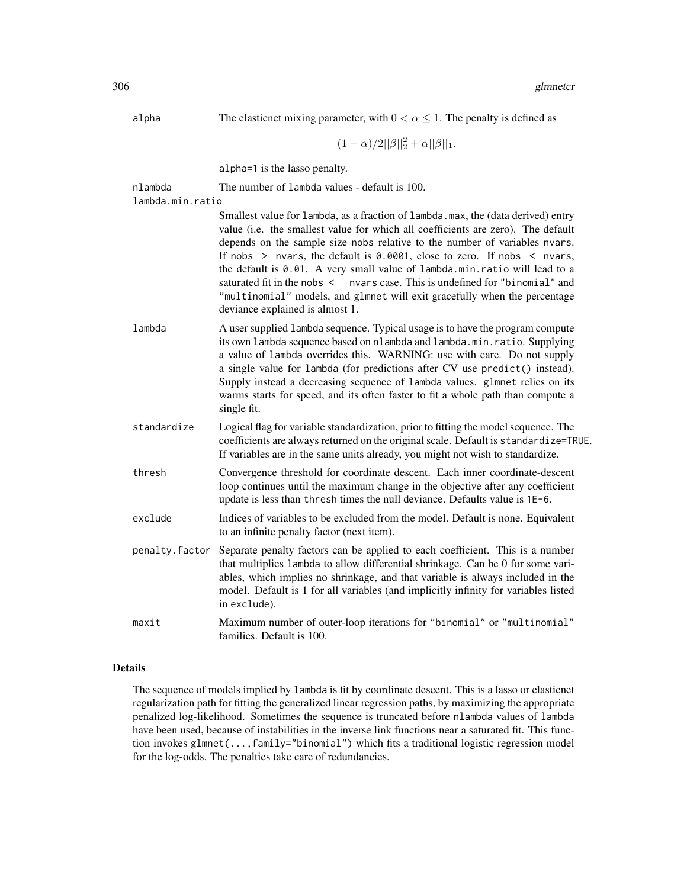| alpha            | The elasticnet mixing parameter, with $0 < \alpha \leq 1$ . The penalty is defined as                                                                                                                                                                                                                                                                                                                                                                                                                                                                                                                                   |
|------------------|-------------------------------------------------------------------------------------------------------------------------------------------------------------------------------------------------------------------------------------------------------------------------------------------------------------------------------------------------------------------------------------------------------------------------------------------------------------------------------------------------------------------------------------------------------------------------------------------------------------------------|
|                  | $(1-\alpha)/2  \beta  _2^2+\alpha  \beta  _1.$                                                                                                                                                                                                                                                                                                                                                                                                                                                                                                                                                                          |
|                  | alpha=1 is the lasso penalty.                                                                                                                                                                                                                                                                                                                                                                                                                                                                                                                                                                                           |
| nlambda          | The number of lambda values - default is 100.                                                                                                                                                                                                                                                                                                                                                                                                                                                                                                                                                                           |
| lambda.min.ratio |                                                                                                                                                                                                                                                                                                                                                                                                                                                                                                                                                                                                                         |
|                  | Smallest value for lambda, as a fraction of lambda.max, the (data derived) entry<br>value (i.e. the smallest value for which all coefficients are zero). The default<br>depends on the sample size nobs relative to the number of variables nvars.<br>If nobs $>$ nvars, the default is 0.0001, close to zero. If nobs $<$ nvars,<br>the default is 0.01. A very small value of lambda.min.ratio will lead to a<br>nvars case. This is undefined for "binomial" and<br>saturated fit in the nobs $\leq$<br>"multinomial" models, and glmnet will exit gracefully when the percentage<br>deviance explained is almost 1. |
| lambda           | A user supplied 1 ambda sequence. Typical usage is to have the program compute<br>its own lambda sequence based on nlambda and lambda.min.ratio. Supplying<br>a value of lambda overrides this. WARNING: use with care. Do not supply<br>a single value for lambda (for predictions after CV use predict() instead).<br>Supply instead a decreasing sequence of lambda values. glmnet relies on its<br>warms starts for speed, and its often faster to fit a whole path than compute a<br>single fit.                                                                                                                   |
| standardize      | Logical flag for variable standardization, prior to fitting the model sequence. The<br>coefficients are always returned on the original scale. Default is standardize=TRUE.<br>If variables are in the same units already, you might not wish to standardize.                                                                                                                                                                                                                                                                                                                                                           |
| thresh           | Convergence threshold for coordinate descent. Each inner coordinate-descent<br>loop continues until the maximum change in the objective after any coefficient<br>update is less than thresh times the null deviance. Defaults value is 1E-6.                                                                                                                                                                                                                                                                                                                                                                            |
| exclude          | Indices of variables to be excluded from the model. Default is none. Equivalent<br>to an infinite penalty factor (next item).                                                                                                                                                                                                                                                                                                                                                                                                                                                                                           |
| penalty.factor   | Separate penalty factors can be applied to each coefficient. This is a number<br>that multiplies lambda to allow differential shrinkage. Can be 0 for some vari-<br>ables, which implies no shrinkage, and that variable is always included in the<br>model. Default is 1 for all variables (and implicitly infinity for variables listed<br>in exclude).                                                                                                                                                                                                                                                               |
| maxit            | Maximum number of outer-loop iterations for "binomial" or "multinomial"                                                                                                                                                                                                                                                                                                                                                                                                                                                                                                                                                 |

# Details

The sequence of models implied by lambda is fit by coordinate descent. This is a lasso or elasticnet regularization path for fitting the generalized linear regression paths, by maximizing the appropriate penalized log-likelihood. Sometimes the sequence is truncated before nlambda values of lambda have been used, because of instabilities in the inverse link functions near a saturated fit. This function invokes glmnet(...,family="binomial") which fits a traditional logistic regression model for the log-odds. The penalties take care of redundancies.

families. Default is 100.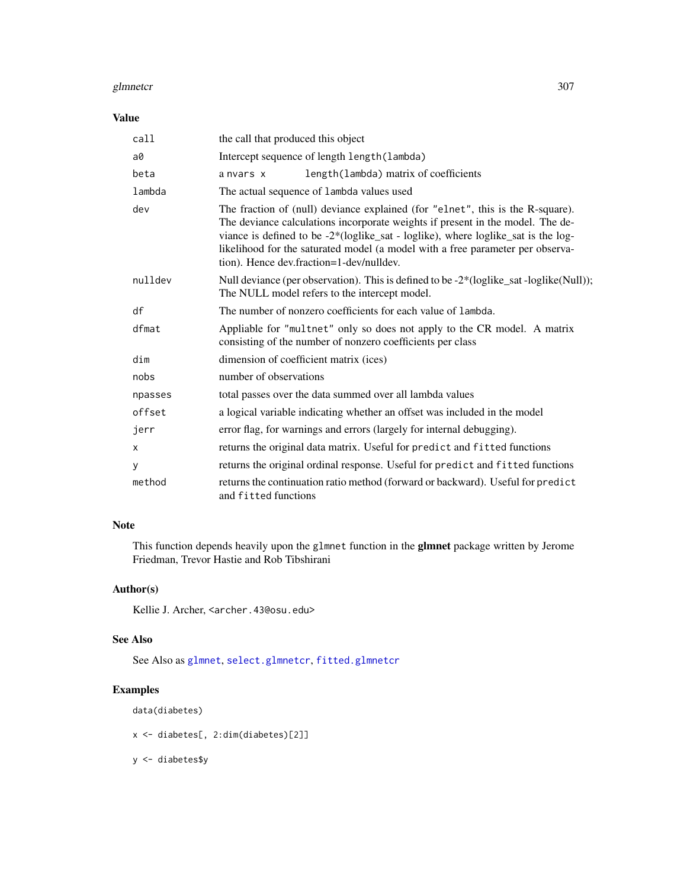#### <span id="page-306-0"></span>glmnetcr 307

# Value

| call    | the call that produced this object                                                                                                                                                                                                                                                                                                                                                  |  |
|---------|-------------------------------------------------------------------------------------------------------------------------------------------------------------------------------------------------------------------------------------------------------------------------------------------------------------------------------------------------------------------------------------|--|
| a0      | Intercept sequence of length length (lambda)                                                                                                                                                                                                                                                                                                                                        |  |
| beta    | length (lambda) matrix of coefficients<br>a nyars x                                                                                                                                                                                                                                                                                                                                 |  |
| lambda  | The actual sequence of lambda values used                                                                                                                                                                                                                                                                                                                                           |  |
| dev     | The fraction of (null) deviance explained (for "elnet", this is the R-square).<br>The deviance calculations incorporate weights if present in the model. The de-<br>viance is defined to be -2*(loglike_sat - loglike), where loglike_sat is the log-<br>likelihood for the saturated model (a model with a free parameter per observa-<br>tion). Hence dev.fraction=1-dev/nulldev. |  |
| nulldev | Null deviance (per observation). This is defined to be -2*(loglike_sat -loglike(Null));<br>The NULL model refers to the intercept model.                                                                                                                                                                                                                                            |  |
| df      | The number of nonzero coefficients for each value of lambda.                                                                                                                                                                                                                                                                                                                        |  |
| dfmat   | Appliable for "multnet" only so does not apply to the CR model. A matrix<br>consisting of the number of nonzero coefficients per class                                                                                                                                                                                                                                              |  |
| dim     | dimension of coefficient matrix (ices)                                                                                                                                                                                                                                                                                                                                              |  |
| nobs    | number of observations                                                                                                                                                                                                                                                                                                                                                              |  |
| npasses | total passes over the data summed over all lambda values                                                                                                                                                                                                                                                                                                                            |  |
| offset  | a logical variable indicating whether an offset was included in the model                                                                                                                                                                                                                                                                                                           |  |
| jerr    | error flag, for warnings and errors (largely for internal debugging).                                                                                                                                                                                                                                                                                                               |  |
| x       | returns the original data matrix. Useful for predict and fitted functions                                                                                                                                                                                                                                                                                                           |  |
| У       | returns the original ordinal response. Useful for predict and fitted functions                                                                                                                                                                                                                                                                                                      |  |
| method  | returns the continuation ratio method (forward or backward). Useful for predict<br>and fitted functions                                                                                                                                                                                                                                                                             |  |

# Note

This function depends heavily upon the glmnet function in the glmnet package written by Jerome Friedman, Trevor Hastie and Rob Tibshirani

# Author(s)

Kellie J. Archer, <archer.43@osu.edu>

# See Also

See Also as [glmnet](#page-0-0), [select.glmnetcr](#page-311-0), [fitted.glmnetcr](#page-303-0)

# Examples

data(diabetes)

x <- diabetes[, 2:dim(diabetes)[2]]

y <- diabetes\$y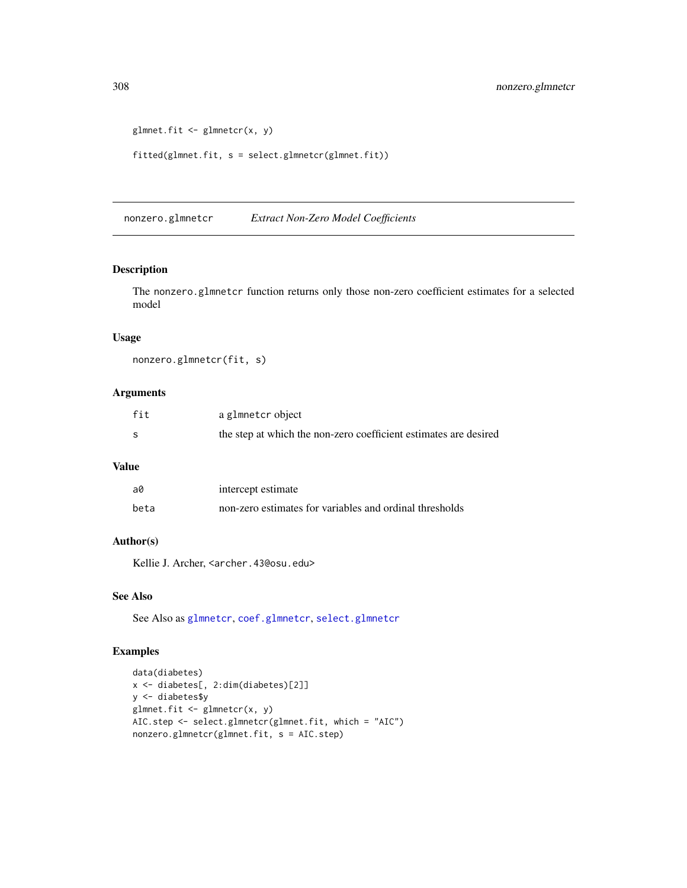```
glmnet.fit \leq glmnetcr(x, y)
fitted(glmnet.fit, s = select.glmnetcr(glmnet.fit))
```
<span id="page-307-0"></span>nonzero.glmnetcr *Extract Non-Zero Model Coefficients*

#### Description

The nonzero.glmnetcr function returns only those non-zero coefficient estimates for a selected model

#### Usage

nonzero.glmnetcr(fit, s)

# Arguments

| fit | a glmnetcr object                                                |
|-----|------------------------------------------------------------------|
| -S  | the step at which the non-zero coefficient estimates are desired |

#### Value

| a0   | intercept estimate                                      |
|------|---------------------------------------------------------|
| beta | non-zero estimates for variables and ordinal thresholds |

#### Author(s)

Kellie J. Archer, <archer.43@osu.edu>

#### See Also

See Also as [glmnetcr](#page-304-0), [coef.glmnetcr](#page-2-0), [select.glmnetcr](#page-311-0)

#### Examples

```
data(diabetes)
x <- diabetes[, 2:dim(diabetes)[2]]
y <- diabetes$y
glmnet.fit <- glmnetcr(x, y)
AIC.step <- select.glmnetcr(glmnet.fit, which = "AIC")
nonzero.glmnetcr(glmnet.fit, s = AIC.step)
```
<span id="page-307-1"></span>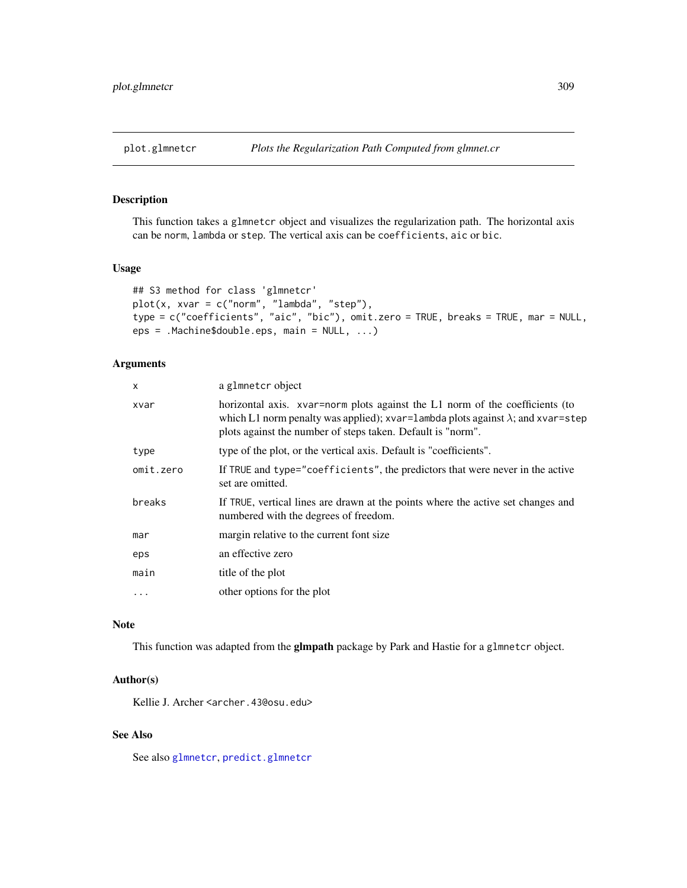# <span id="page-308-0"></span>Description

This function takes a glmnetcr object and visualizes the regularization path. The horizontal axis can be norm, lambda or step. The vertical axis can be coefficients, aic or bic.

#### Usage

```
## S3 method for class 'glmnetcr'
plot(x, xvar = c("norm", "lambda", "step"),
type = c("coefficients", "aic", "bic"), omit.zero = TRUE, breaks = TRUE, mar = NULL,
eps = .Machine$double.eps, main = NULL, ...)
```
# Arguments

| X         | a glmnetcr object                                                                                                                                                                                                                      |  |
|-----------|----------------------------------------------------------------------------------------------------------------------------------------------------------------------------------------------------------------------------------------|--|
| xvar      | horizontal axis. xvar=norm plots against the L1 norm of the coefficients (to<br>which L1 norm penalty was applied); xvar=lambda plots against $\lambda$ ; and xvar=step<br>plots against the number of steps taken. Default is "norm". |  |
| type      | type of the plot, or the vertical axis. Default is "coefficients".                                                                                                                                                                     |  |
| omit.zero | If TRUE and type="coefficients", the predictors that were never in the active<br>set are omitted.                                                                                                                                      |  |
| breaks    | If TRUE, vertical lines are drawn at the points where the active set changes and<br>numbered with the degrees of freedom.                                                                                                              |  |
| mar       | margin relative to the current font size                                                                                                                                                                                               |  |
| eps       | an effective zero                                                                                                                                                                                                                      |  |
| main      | title of the plot                                                                                                                                                                                                                      |  |
| .         | other options for the plot                                                                                                                                                                                                             |  |
|           |                                                                                                                                                                                                                                        |  |

#### Note

This function was adapted from the glmpath package by Park and Hastie for a glmnetcr object.

#### Author(s)

Kellie J. Archer <archer.43@osu.edu>

# See Also

See also [glmnetcr](#page-304-0), [predict.glmnetcr](#page-309-0)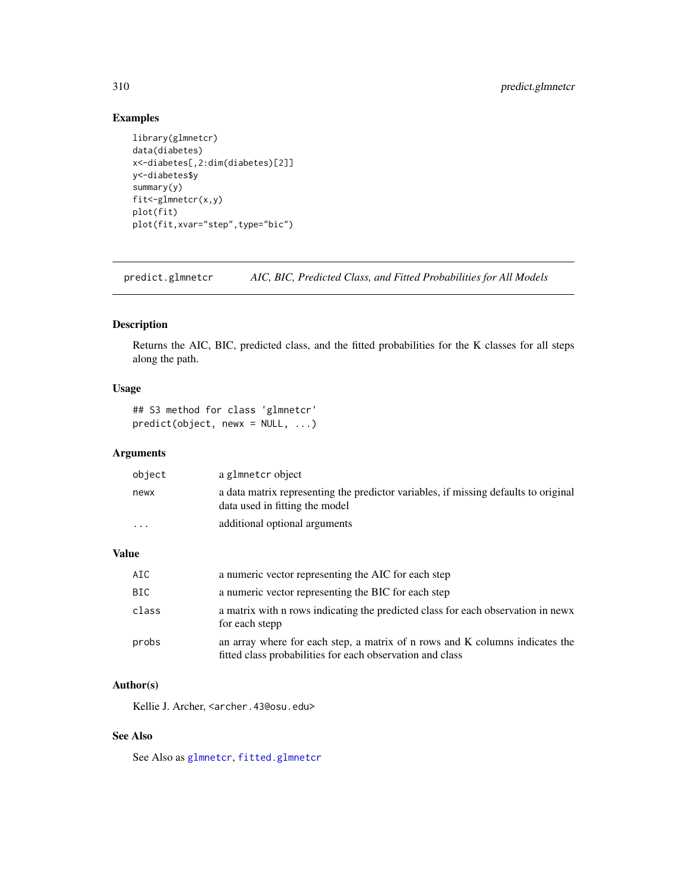# <span id="page-309-1"></span>Examples

```
library(glmnetcr)
data(diabetes)
x<-diabetes[,2:dim(diabetes)[2]]
y<-diabetes$y
summary(y)
fit<-glmnetcr(x,y)
plot(fit)
plot(fit,xvar="step",type="bic")
```
<span id="page-309-0"></span>predict.glmnetcr *AIC, BIC, Predicted Class, and Fitted Probabilities for All Models*

# Description

Returns the AIC, BIC, predicted class, and the fitted probabilities for the K classes for all steps along the path.

# Usage

```
## S3 method for class 'glmnetcr'
predict(object, newx = NULL, ...)
```
# Arguments

| object   | a glmnetcr object                                                                                                     |
|----------|-----------------------------------------------------------------------------------------------------------------------|
| newx     | a data matrix representing the predictor variables, if missing defaults to original<br>data used in fitting the model |
| $\cdots$ | additional optional arguments                                                                                         |

#### Value

| AIC   | a numeric vector representing the AIC for each step                                                                                       |
|-------|-------------------------------------------------------------------------------------------------------------------------------------------|
| BIC   | a numeric vector representing the BIC for each step                                                                                       |
| class | a matrix with n rows indicating the predicted class for each observation in news<br>for each stepp                                        |
| probs | an array where for each step, a matrix of n rows and K columns indicates the<br>fitted class probabilities for each observation and class |

#### Author(s)

Kellie J. Archer, <archer.43@osu.edu>

# See Also

See Also as [glmnetcr](#page-304-0), [fitted.glmnetcr](#page-303-0)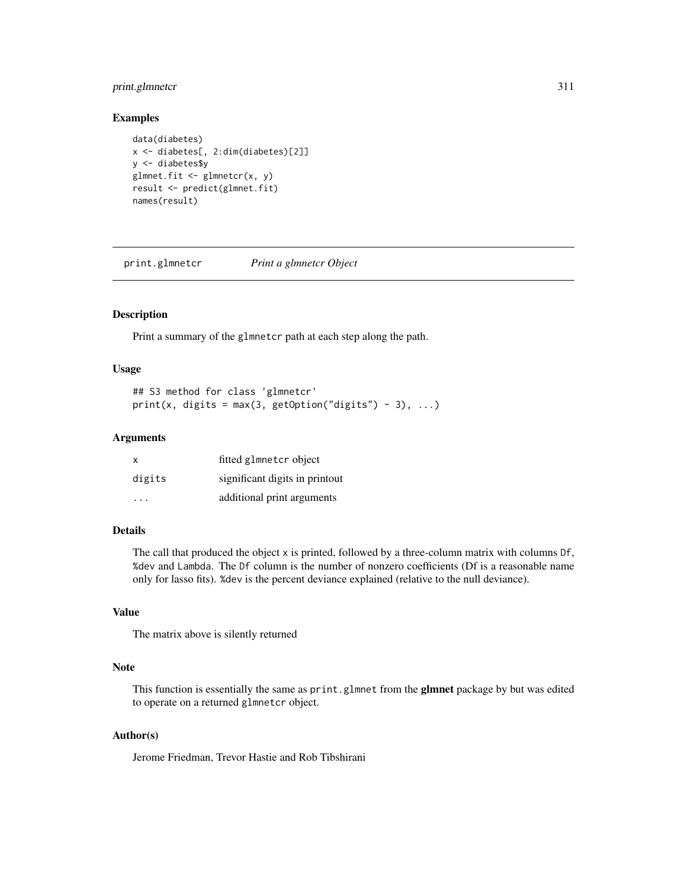# <span id="page-310-0"></span>print.glmnetcr 311

#### Examples

```
data(diabetes)
x <- diabetes[, 2:dim(diabetes)[2]]
y <- diabetes$y
glmnet.fit <- glmnetcr(x, y)
result <- predict(glmnet.fit)
names(result)
```
print.glmnetcr *Print a glmnetcr Object*

# Description

Print a summary of the glmnetcr path at each step along the path.

# Usage

```
## S3 method for class 'glmnetcr'
print(x, digits = max(3, getOption("digits") - 3), ...)
```
### Arguments

| $\mathsf{x}$ | fitted glmnetcr object         |
|--------------|--------------------------------|
| digits       | significant digits in printout |
| .            | additional print arguments     |

# Details

The call that produced the object x is printed, followed by a three-column matrix with columns Df, %dev and Lambda. The Df column is the number of nonzero coefficients (Df is a reasonable name only for lasso fits). %dev is the percent deviance explained (relative to the null deviance).

#### Value

The matrix above is silently returned

#### Note

This function is essentially the same as print.glmnet from the glmnet package by but was edited to operate on a returned glmnetcr object.

# Author(s)

Jerome Friedman, Trevor Hastie and Rob Tibshirani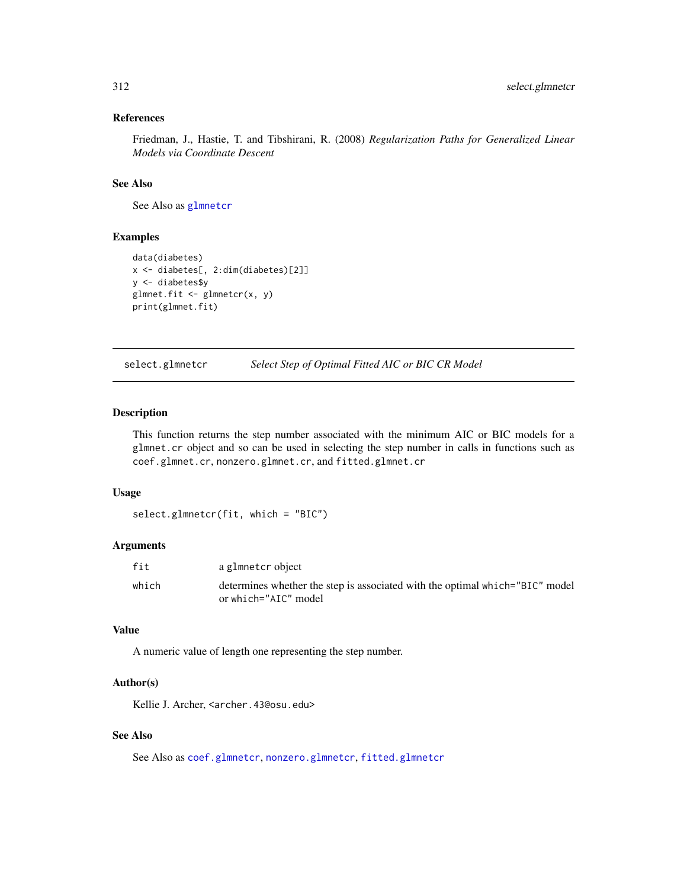# <span id="page-311-1"></span>References

Friedman, J., Hastie, T. and Tibshirani, R. (2008) *Regularization Paths for Generalized Linear Models via Coordinate Descent*

# See Also

See Also as [glmnetcr](#page-304-0)

#### Examples

```
data(diabetes)
x <- diabetes[, 2:dim(diabetes)[2]]
y <- diabetes$y
glmnet.fit <- glmnetcr(x, y)
print(glmnet.fit)
```
<span id="page-311-0"></span>select.glmnetcr *Select Step of Optimal Fitted AIC or BIC CR Model*

# Description

This function returns the step number associated with the minimum AIC or BIC models for a glmnet.cr object and so can be used in selecting the step number in calls in functions such as coef.glmnet.cr, nonzero.glmnet.cr, and fitted.glmnet.cr

# Usage

```
select.glmnetcr(fit, which = "BIC")
```
#### Arguments

| fit   | a glmnetcr object                                                            |
|-------|------------------------------------------------------------------------------|
| which | determines whether the step is associated with the optimal which="BIC" model |
|       | or which="AIC" model                                                         |

#### Value

A numeric value of length one representing the step number.

#### Author(s)

Kellie J. Archer, <archer.43@osu.edu>

# See Also

See Also as [coef.glmnetcr](#page-2-0), [nonzero.glmnetcr](#page-307-0), [fitted.glmnetcr](#page-303-0)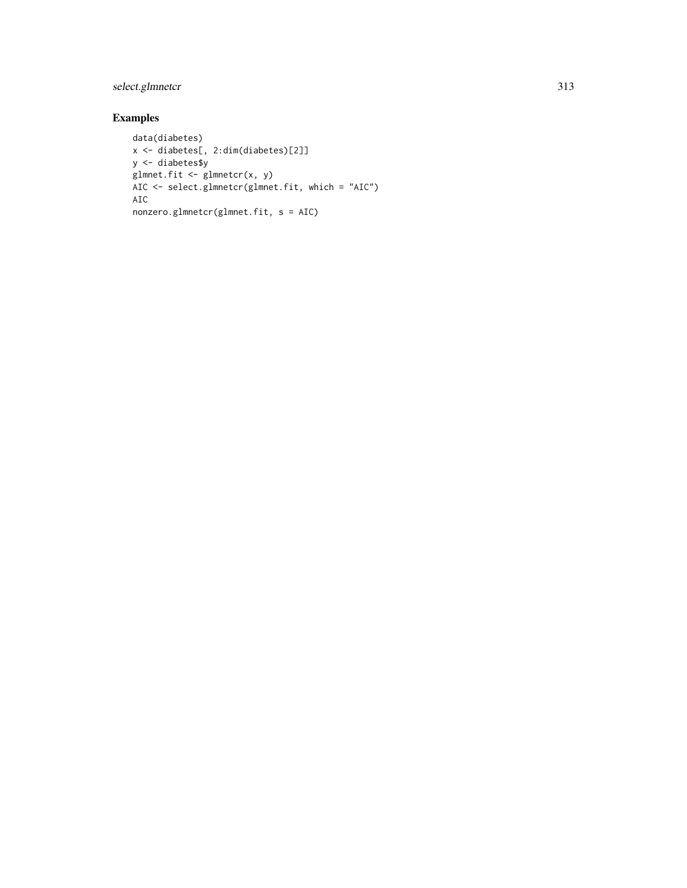# select.glmnetcr 313

# Examples

```
data(diabetes)
x <- diabetes[, 2:dim(diabetes)[2]]
y <- diabetes$y
glmnet.fit <- glmnetcr(x, y)
AIC <- select.glmnetcr(glmnet.fit, which = "AIC")
AIC
nonzero.glmnetcr(glmnet.fit, s = AIC)
```